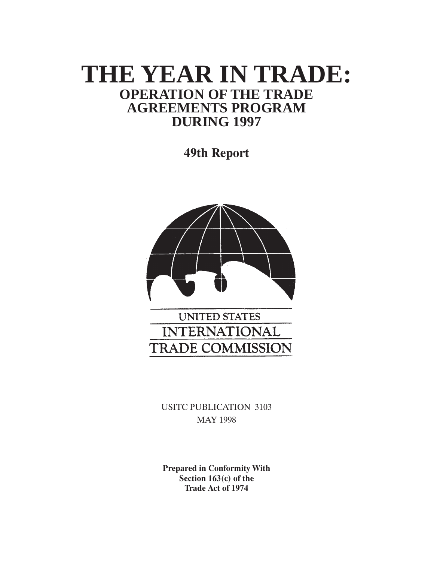# **OPERATION OF THE TRADE THE YEAR IN TRADE: AGREEMENTS PROGRAM DURING 1997**

**49th Report** 



**USITC PUBLICATION 3103 MAY 1998** 

**Prepared in Conformity With** Section  $163(c)$  of the **Trade Act of 1974**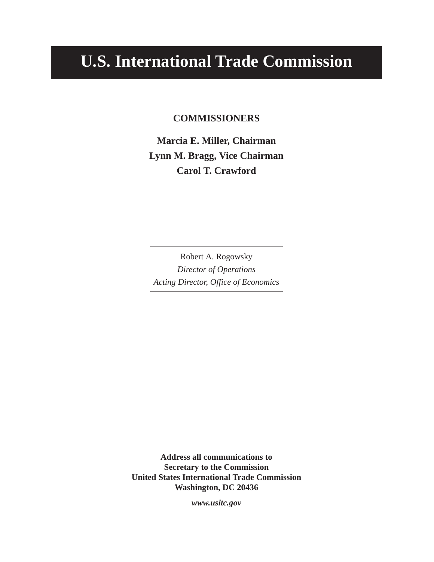# **U.S. International Trade Commission**

**COMMISSIONERS**

**Marcia E. Miller, Chairman Lynn M. Bragg, Vice Chairman Carol T. Crawford**

Robert A. Rogowsky *Director of Operations Acting Director, Office of Economics*

**Address all communications to Secretary to the Commission United States International Trade Commission Washington, DC 20436**

*www.usitc.gov*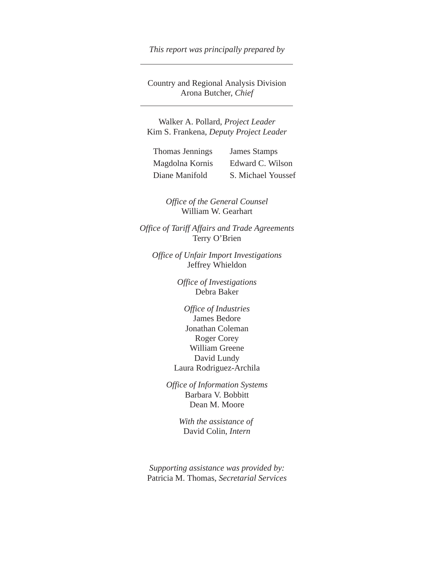*This report was principally prepared by*

Country and Regional Analysis Division Arona Butcher, *Chief*

Walker A. Pollard, *Project Leader* Kim S. Frankena, *Deputy Project Leader*

Thomas Jennings James Stamps Magdolna Kornis Edward C. Wilson Diane Manifold S. Michael Youssef

*Office of the General Counsel* William W. Gearhart

*Office of Tariff Affairs and Trade Agreements* Terry O'Brien

*Office of Unfair Import Investigations* Jeffrey Whieldon

> *Office of Investigations* Debra Baker

*Office of Industries* James Bedore Jonathan Coleman Roger Corey William Greene David Lundy Laura Rodriguez-Archila

*Office of Information Systems* Barbara V. Bobbitt Dean M. Moore

> *With the assistance of*  David Colin, *Intern*

*Supporting assistance was provided by:* Patricia M. Thomas, *Secretarial Services*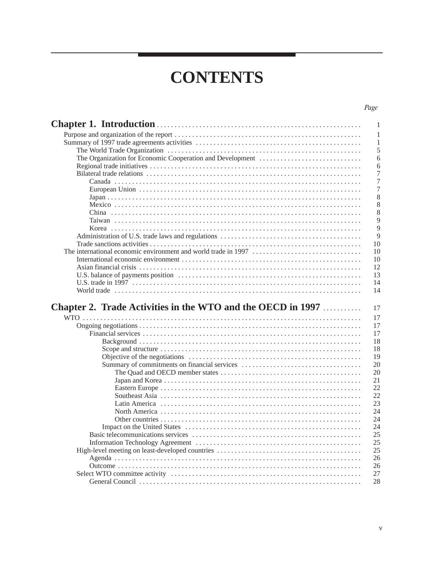# **CONTENTS**

|                                                             | 1              |
|-------------------------------------------------------------|----------------|
|                                                             | 1              |
|                                                             | 1              |
|                                                             | 5              |
|                                                             | 6              |
|                                                             | 6              |
|                                                             | 7              |
|                                                             | 7              |
|                                                             | 7              |
|                                                             |                |
|                                                             | 8              |
|                                                             | 8              |
|                                                             | 8              |
|                                                             | 9              |
|                                                             | $\overline{Q}$ |
|                                                             | 9              |
|                                                             | 10             |
|                                                             | 10             |
|                                                             | 10             |
|                                                             | 12             |
|                                                             | 13             |
|                                                             | 14             |
|                                                             | 14             |
|                                                             |                |
| Chapter 2. Trade Activities in the WTO and the OECD in 1997 | 17<br>17       |
|                                                             | 17             |
|                                                             | 17             |
|                                                             | 18             |
|                                                             | 18             |
|                                                             | 19             |
|                                                             | 20             |
|                                                             | 20             |
|                                                             | 21             |
|                                                             | 22             |
|                                                             | 22             |
|                                                             | 23             |
|                                                             | 24             |
|                                                             | 24             |
|                                                             | 24             |
|                                                             | 25             |
|                                                             | 25             |
|                                                             | 25             |
|                                                             | 26             |
|                                                             |                |
|                                                             | 26<br>27       |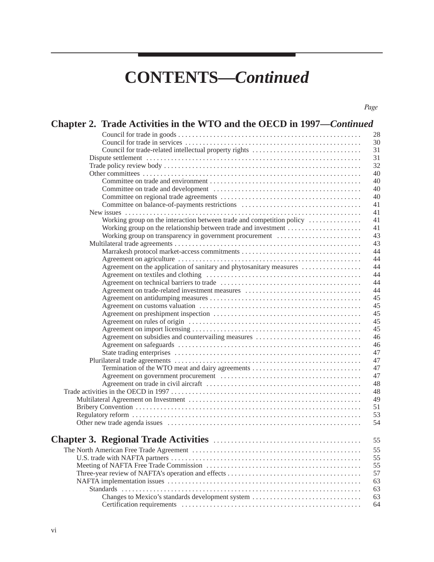| Chapter 2. Trade Activities in the WTO and the OECD in 1997—Continued |    |
|-----------------------------------------------------------------------|----|
|                                                                       | 28 |
|                                                                       | 30 |
| Council for trade-related intellectual property rights                | 31 |
|                                                                       | 31 |
|                                                                       | 32 |
|                                                                       | 40 |
|                                                                       | 40 |
|                                                                       | 40 |
|                                                                       | 40 |
| Committee on balance-of-payments restrictions                         | 41 |
|                                                                       | 41 |
| Working group on the interaction between trade and competition policy | 41 |
|                                                                       | 41 |
| Working group on transparency in government procurement               | 43 |
|                                                                       | 43 |
|                                                                       | 44 |
|                                                                       | 44 |
| Agreement on the application of sanitary and phytosanitary measures   | 44 |
|                                                                       | 44 |
|                                                                       | 44 |
| Agreement on trade-related investment measures                        | 44 |
|                                                                       | 45 |
|                                                                       | 45 |
|                                                                       | 45 |
|                                                                       | 45 |
|                                                                       | 45 |
|                                                                       | 46 |
| Agreement on subsidies and countervailing measures                    |    |
|                                                                       | 46 |
|                                                                       | 47 |
|                                                                       | 47 |
|                                                                       | 47 |
|                                                                       | 47 |
|                                                                       | 48 |
|                                                                       | 48 |
|                                                                       | 49 |
|                                                                       | 51 |
|                                                                       | 53 |
|                                                                       | 54 |
|                                                                       | 55 |
|                                                                       | 55 |
|                                                                       | 55 |
|                                                                       | 55 |
|                                                                       | 57 |
|                                                                       | 63 |
|                                                                       | 63 |
|                                                                       |    |

Changes to Mexico's standards development system 63 . . . . . . . . . . . . . . . . . . . . . . . . . . . . . . . Certification requirements 64 . . . . . . . . . . . . . . . . . . . . . . . . . . . . . . . . . . . . . . . . . . . . . . . . . . .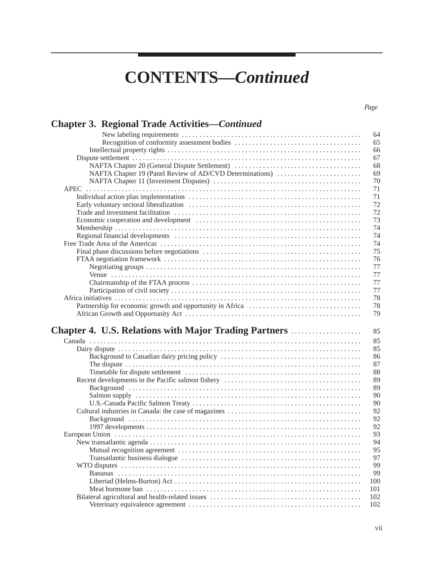| <b>Chapter 3. Regional Trade Activities-Continued</b>         |            |
|---------------------------------------------------------------|------------|
|                                                               | 64         |
|                                                               | 65         |
|                                                               | 66         |
|                                                               | 67         |
| NAFTA Chapter 20 (General Dispute Settlement)                 | 68         |
| NAFTA Chapter 19 (Panel Review of AD/CVD Determinations)      | 69         |
|                                                               | 70         |
|                                                               | 71         |
|                                                               | 71         |
|                                                               | 72         |
|                                                               | 72         |
|                                                               | 73         |
|                                                               | 74         |
|                                                               | 74         |
|                                                               | 74         |
|                                                               | 75         |
|                                                               | 76         |
|                                                               | 77         |
|                                                               | 77         |
|                                                               | 77         |
|                                                               | 77         |
|                                                               | 78         |
|                                                               | 78         |
|                                                               | 79         |
|                                                               |            |
| <b>Chapter 4. U.S. Relations with Major Trading Partners </b> | 85         |
|                                                               |            |
|                                                               | 85         |
|                                                               | 85         |
|                                                               | 86         |
|                                                               | 87         |
|                                                               | 88         |
|                                                               | 89         |
|                                                               | 89         |
|                                                               | 90         |
|                                                               | 90         |
|                                                               |            |
|                                                               | 92         |
|                                                               | 92         |
|                                                               | 92         |
|                                                               | 93         |
|                                                               | 94         |
|                                                               | 95         |
|                                                               |            |
|                                                               | 97         |
|                                                               | 99         |
|                                                               | 99         |
|                                                               | 100        |
|                                                               | 101<br>102 |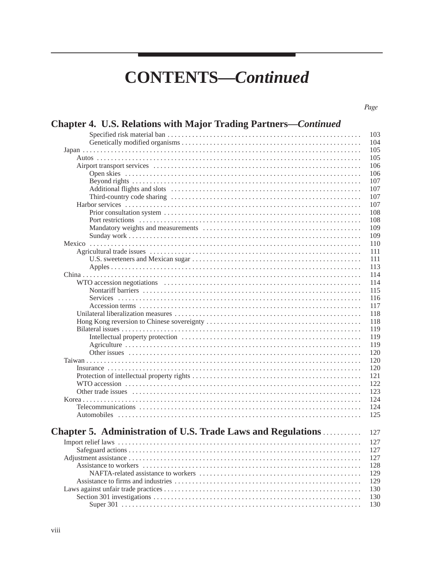| <b>Chapter 4. U.S. Relations with Major Trading Partners—Continued</b> |            |
|------------------------------------------------------------------------|------------|
|                                                                        | 103        |
|                                                                        | 104        |
|                                                                        | 105        |
|                                                                        | 105        |
|                                                                        | 106        |
|                                                                        | 106        |
|                                                                        | 107        |
|                                                                        | 107        |
|                                                                        | 107        |
|                                                                        | 107        |
|                                                                        | 108        |
|                                                                        | 108        |
|                                                                        | 109        |
|                                                                        | 109        |
|                                                                        | 110        |
|                                                                        | 111        |
|                                                                        | 111        |
|                                                                        | 113        |
|                                                                        | 114        |
|                                                                        | 114        |
|                                                                        | 115        |
|                                                                        |            |
|                                                                        | 116<br>117 |
|                                                                        |            |
|                                                                        | 118<br>118 |
|                                                                        | 119        |
|                                                                        | 119        |
|                                                                        | 119        |
|                                                                        | 120        |
|                                                                        | 120        |
|                                                                        |            |
|                                                                        | 120        |
|                                                                        |            |
|                                                                        | 122        |
|                                                                        | 123        |
|                                                                        | 124        |
|                                                                        | 124        |
|                                                                        | 125        |
|                                                                        |            |
| Chapter 5. Administration of U.S. Trade Laws and Regulations           | 127        |
|                                                                        | 127        |
|                                                                        | 127        |
|                                                                        | 127        |
|                                                                        | 128        |
|                                                                        | 129        |
|                                                                        | 129        |
|                                                                        | 130        |
|                                                                        | 130        |
|                                                                        | 130        |
|                                                                        |            |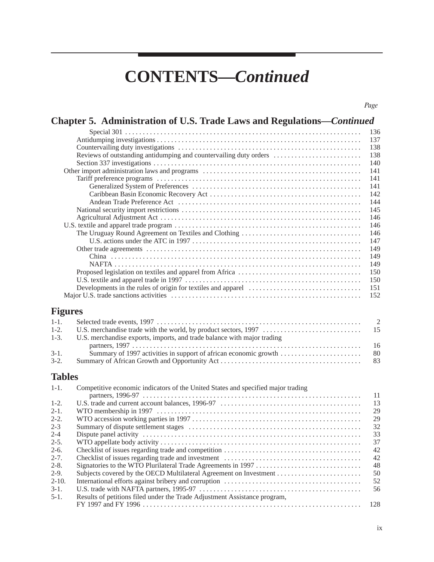|                     | Chapter 5. Administration of U.S. Trade Laws and Regulations—Continued           |                |
|---------------------|----------------------------------------------------------------------------------|----------------|
|                     |                                                                                  | 136            |
|                     |                                                                                  | 137            |
|                     |                                                                                  | 138            |
|                     | Reviews of outstanding antidumping and countervailing duty orders                | 138            |
|                     |                                                                                  | 140            |
|                     |                                                                                  | 141            |
|                     |                                                                                  | 141            |
|                     |                                                                                  | 141            |
|                     |                                                                                  | 142            |
|                     |                                                                                  | 144            |
|                     |                                                                                  | 145            |
|                     |                                                                                  | 146            |
|                     |                                                                                  | 146            |
|                     |                                                                                  | 146            |
|                     |                                                                                  | 147            |
|                     |                                                                                  | 149            |
|                     |                                                                                  | 149            |
|                     |                                                                                  | 149            |
|                     |                                                                                  | 150            |
|                     |                                                                                  | 150            |
|                     |                                                                                  | 151            |
|                     |                                                                                  | 152            |
| <b>Figures</b>      |                                                                                  |                |
| $1-1.$              |                                                                                  | $\overline{2}$ |
| $1-2.$              |                                                                                  | 15             |
| $1-3.$              | U.S. merchandise exports, imports, and trade balance with major trading          |                |
|                     |                                                                                  | 16             |
| $3-1.$              | Summary of 1997 activities in support of african economic growth                 | 80             |
| $3-2.$              |                                                                                  | 83             |
|                     |                                                                                  |                |
| <b>Tables</b>       |                                                                                  |                |
| $1-1.$              | Competitive economic indicators of the United States and specified major trading | 11             |
| $1-2.$              |                                                                                  | 13             |
|                     |                                                                                  |                |
| $2-1.$<br>$2 - 2$ . |                                                                                  | 29             |
|                     |                                                                                  | 29             |
| $2 - 3$             |                                                                                  | 32             |
| $2 - 4$             |                                                                                  | 33             |
| $2-5.$              |                                                                                  | 37             |
| $2-6.$              |                                                                                  | 42             |
| $2 - 7.$            |                                                                                  | 42             |
| $2 - 8.$            |                                                                                  | 48             |
| $2-9.$              |                                                                                  | 50             |
| $2 - 10.$           |                                                                                  | 52             |
| $3-1.$              |                                                                                  | 56             |
| $5-1.$              | Results of petitions filed under the Trade Adjustment Assistance program,        | 128            |
|                     |                                                                                  |                |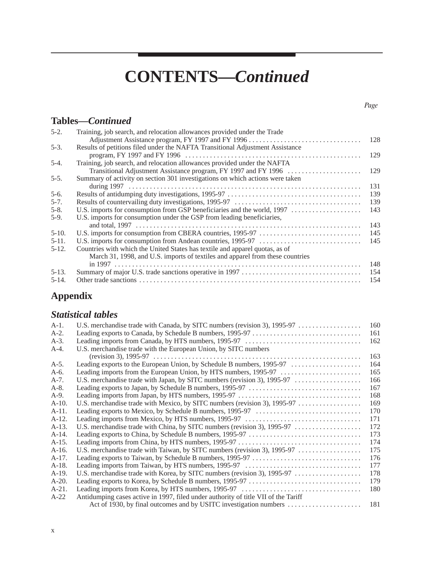## **Tables—***Continued*

| $5-2.$   | Training, job search, and relocation allowances provided under the Trade      |     |
|----------|-------------------------------------------------------------------------------|-----|
|          |                                                                               | 128 |
| $5-3.$   | Results of petitions filed under the NAFTA Transitional Adjustment Assistance |     |
|          |                                                                               | 129 |
| $5-4.$   | Training, job search, and relocation allowances provided under the NAFTA      |     |
|          |                                                                               | 129 |
| $5-5.$   | Summary of activity on section 301 investigations on which actions were taken |     |
|          |                                                                               | 131 |
| $5-6.$   |                                                                               | 139 |
| $5 - 7.$ |                                                                               | 139 |
| $5-8.$   |                                                                               | 143 |
| $5-9.$   | U.S. imports for consumption under the GSP from leading beneficiaries,        |     |
|          |                                                                               | 143 |
| $5-10.$  |                                                                               | 145 |
| $5-11.$  |                                                                               | 145 |
| $5-12.$  | Countries with which the United States has textile and apparel quotas, as of  |     |
|          | March 31, 1998, and U.S. imports of textiles and apparel from these countries |     |
|          |                                                                               | 148 |
| $5-13.$  |                                                                               | 154 |
| $5-14.$  |                                                                               | 154 |

# **Appendix**

### *Statistical tables*

| $A-1$ . |                                                                                    | 160 |
|---------|------------------------------------------------------------------------------------|-----|
| $A-2$ . |                                                                                    | 161 |
| $A-3$ . |                                                                                    | 162 |
| $A-4.$  | U.S. merchandise trade with the European Union, by SITC numbers                    |     |
|         |                                                                                    | 163 |
| $A-5.$  |                                                                                    | 164 |
| $A-6.$  |                                                                                    | 165 |
| $A-7.$  |                                                                                    | 166 |
| $A-8.$  |                                                                                    | 167 |
| $A-9.$  |                                                                                    | 168 |
| $A-10.$ |                                                                                    | 169 |
| $A-11.$ |                                                                                    | 170 |
| $A-12.$ |                                                                                    | 171 |
| $A-13.$ |                                                                                    | 172 |
| $A-14.$ |                                                                                    | 173 |
| $A-15.$ |                                                                                    | 174 |
| $A-16.$ |                                                                                    | 175 |
| $A-17.$ |                                                                                    | 176 |
| $A-18.$ |                                                                                    | 177 |
| $A-19.$ |                                                                                    | 178 |
| $A-20.$ |                                                                                    | 179 |
| $A-21.$ |                                                                                    | 180 |
| $A-22$  | Antidumping cases active in 1997, filed under authority of title VII of the Tariff |     |
|         | Act of 1930, by final outcomes and by USITC investigation numbers                  | 181 |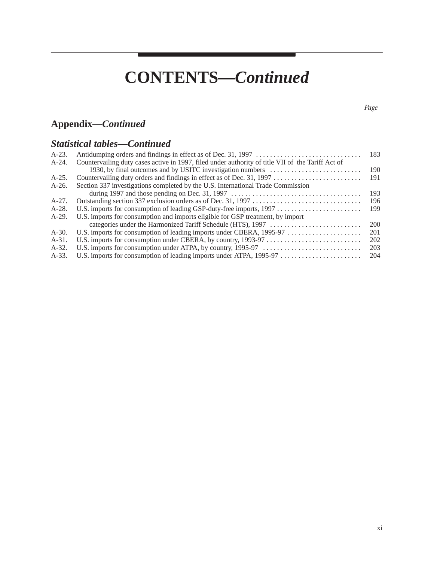## **Appendix—***Continued*

## *Statistical tables—Continued*

| $A-23.$ |                                                                                                   | 183 |
|---------|---------------------------------------------------------------------------------------------------|-----|
| $A-24.$ | Countervailing duty cases active in 1997, filed under authority of title VII of the Tariff Act of |     |
|         | 1930, by final outcomes and by USITC investigation numbers                                        | 190 |
| $A-25.$ |                                                                                                   | 191 |
| $A-26.$ | Section 337 investigations completed by the U.S. International Trade Commission                   |     |
|         |                                                                                                   | 193 |
| $A-27.$ |                                                                                                   | 196 |
| $A-28.$ |                                                                                                   | 199 |
| $A-29.$ | U.S. imports for consumption and imports eligible for GSP treatment, by import                    |     |
|         |                                                                                                   | 200 |
| $A-30.$ |                                                                                                   | 201 |
| $A-31.$ |                                                                                                   | 202 |
| $A-32.$ |                                                                                                   | 203 |
| $A-33.$ |                                                                                                   | 204 |

#### Page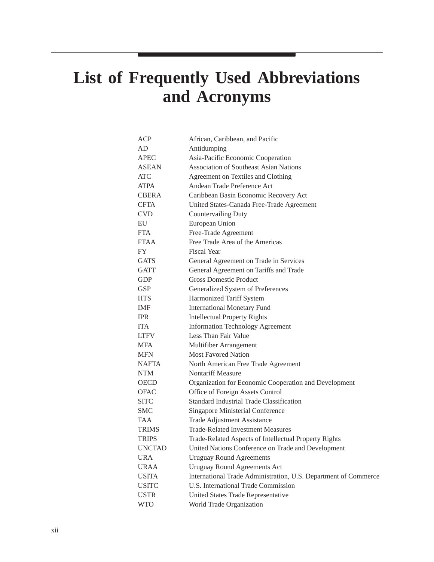# **List of Frequently Used Abbreviations and Acronyms**

| ACP           | African, Caribbean, and Pacific                                 |
|---------------|-----------------------------------------------------------------|
| AD.           | Antidumping                                                     |
| <b>APEC</b>   | Asia-Pacific Economic Cooperation                               |
| <b>ASEAN</b>  | <b>Association of Southeast Asian Nations</b>                   |
| <b>ATC</b>    | Agreement on Textiles and Clothing                              |
| <b>ATPA</b>   | Andean Trade Preference Act                                     |
| <b>CBERA</b>  | Caribbean Basin Economic Recovery Act                           |
| <b>CFTA</b>   | United States-Canada Free-Trade Agreement                       |
| <b>CVD</b>    | <b>Countervailing Duty</b>                                      |
| EU            | European Union                                                  |
| <b>FTA</b>    | Free-Trade Agreement                                            |
| <b>FTAA</b>   | Free Trade Area of the Americas                                 |
| FY.           | <b>Fiscal Year</b>                                              |
| <b>GATS</b>   | General Agreement on Trade in Services                          |
| <b>GATT</b>   | General Agreement on Tariffs and Trade                          |
| <b>GDP</b>    | <b>Gross Domestic Product</b>                                   |
| <b>GSP</b>    | Generalized System of Preferences                               |
| <b>HTS</b>    | Harmonized Tariff System                                        |
| <b>IMF</b>    | <b>International Monetary Fund</b>                              |
| <b>IPR</b>    | <b>Intellectual Property Rights</b>                             |
| <b>ITA</b>    | <b>Information Technology Agreement</b>                         |
| <b>LTFV</b>   | Less Than Fair Value                                            |
| <b>MFA</b>    | Multifiber Arrangement                                          |
| <b>MFN</b>    | <b>Most Favored Nation</b>                                      |
| <b>NAFTA</b>  | North American Free Trade Agreement                             |
| <b>NTM</b>    | <b>Nontariff Measure</b>                                        |
| <b>OECD</b>   | Organization for Economic Cooperation and Development           |
| <b>OFAC</b>   | Office of Foreign Assets Control                                |
| <b>SITC</b>   | <b>Standard Industrial Trade Classification</b>                 |
| <b>SMC</b>    | Singapore Ministerial Conference                                |
| <b>TAA</b>    | Trade Adjustment Assistance                                     |
| <b>TRIMS</b>  | <b>Trade-Related Investment Measures</b>                        |
| <b>TRIPS</b>  | Trade-Related Aspects of Intellectual Property Rights           |
| <b>UNCTAD</b> | United Nations Conference on Trade and Development              |
| <b>URA</b>    | <b>Uruguay Round Agreements</b>                                 |
| <b>URAA</b>   | <b>Uruguay Round Agreements Act</b>                             |
| <b>USITA</b>  | International Trade Administration, U.S. Department of Commerce |
| <b>USITC</b>  | U.S. International Trade Commission                             |
| <b>USTR</b>   | United States Trade Representative                              |
| <b>WTO</b>    | World Trade Organization                                        |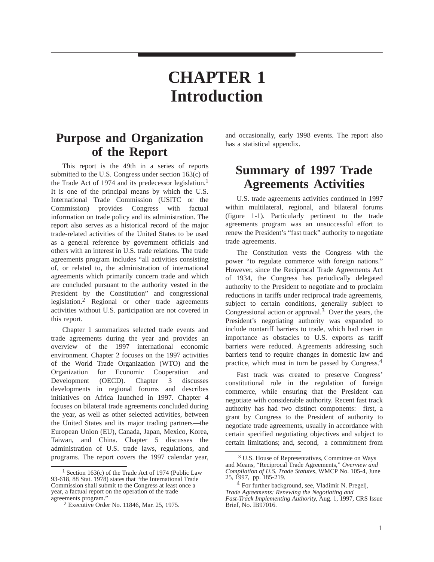# **CHAPTER 1 Introduction**

## **Purpose and Organization of the Report**

This report is the 49th in a series of reports submitted to the U.S. Congress under section 163(c) of the Trade Act of 1974 and its predecessor legislation.<sup>1</sup> It is one of the principal means by which the U.S. International Trade Commission (USITC or the Commission) provides Congress with factual information on trade policy and its administration. The report also serves as a historical record of the major trade-related activities of the United States to be used as a general reference by government officials and others with an interest in U.S. trade relations. The trade agreements program includes "all activities consisting of, or related to, the administration of international agreements which primarily concern trade and which are concluded pursuant to the authority vested in the President by the Constitution" and congressional legislation.2 Regional or other trade agreements activities without U.S. participation are not covered in this report.

Chapter 1 summarizes selected trade events and trade agreements during the year and provides an overview of the 1997 international economic environment. Chapter 2 focuses on the 1997 activities of the World Trade Organization (WTO) and the Organization for Economic Cooperation and Development (OECD). Chapter 3 discusses developments in regional forums and describes initiatives on Africa launched in 1997. Chapter 4 focuses on bilateral trade agreements concluded during the year, as well as other selected activities, between the United States and its major trading partners—the European Union (EU), Canada, Japan, Mexico, Korea, Taiwan, and China. Chapter 5 discusses the administration of U.S. trade laws, regulations, and programs. The report covers the 1997 calendar year,

and occasionally, early 1998 events. The report also has a statistical appendix.

## **Summary of 1997 Trade Agreements Activities**

U.S. trade agreements activities continued in 1997 within multilateral, regional, and bilateral forums (figure 1-1). Particularly pertinent to the trade agreements program was an unsuccessful effort to renew the President's "fast track" authority to negotiate trade agreements.

The Constitution vests the Congress with the power "to regulate commerce with foreign nations." However, since the Reciprocal Trade Agreements Act of 1934, the Congress has periodically delegated authority to the President to negotiate and to proclaim reductions in tariffs under reciprocal trade agreements, subject to certain conditions, generally subject to Congressional action or approval. $3$  Over the years, the President's negotiating authority was expanded to include nontariff barriers to trade, which had risen in importance as obstacles to U.S. exports as tariff barriers were reduced. Agreements addressing such barriers tend to require changes in domestic law and practice, which must in turn be passed by Congress.<sup>4</sup>

Fast track was created to preserve Congress' constitutional role in the regulation of foreign commerce, while ensuring that the President can negotiate with considerable authority. Recent fast track authority has had two distinct components: first, a grant by Congress to the President of authority to negotiate trade agreements, usually in accordance with certain specified negotiating objectives and subject to certain limitations; and, second, a commitment from

<sup>1</sup> Section 163(c) of the Trade Act of 1974 (Public Law 93-618, 88 Stat. 1978) states that "the International Trade Commission shall submit to the Congress at least once a year, a factual report on the operation of the trade agreements program."

<sup>2</sup> Executive Order No. 11846, Mar. 25, 1975.

<sup>3</sup> U.S. House of Representatives, Committee on Ways and Means, "Reciprocal Trade Agreements," *Overview and Compilation of U.S. Trade Statutes*, WMCP No. 105-4, June 25, 1997, pp. 185-219.

<sup>4</sup> For further background, see, Vladimir N. Pregelj, *Trade Agreements: Renewing the Negotiating and*

*Fast-Track Implementing Authority*, Aug. 1, 1997, CRS Issue Brief, No. IB97016.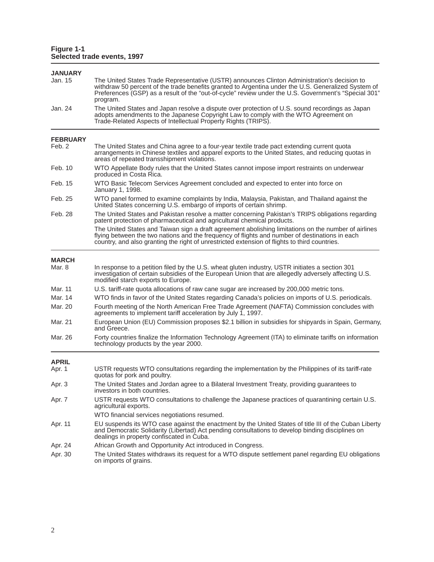| <b>JANUARY</b>  |                                                                                                                                                                                                                                                                                                                         |
|-----------------|-------------------------------------------------------------------------------------------------------------------------------------------------------------------------------------------------------------------------------------------------------------------------------------------------------------------------|
| Jan. 15         | The United States Trade Representative (USTR) announces Clinton Administration's decision to<br>withdraw 50 percent of the trade benefits granted to Argentina under the U.S. Generalized System of<br>Preferences (GSP) as a result of the "out-of-cycle" review under the U.S. Government's "Special 301"<br>program. |
| Jan. 24         | The United States and Japan resolve a dispute over protection of U.S. sound recordings as Japan<br>adopts amendments to the Japanese Copyright Law to comply with the WTO Agreement on<br>Trade-Related Aspects of Intellectual Property Rights (TRIPS).                                                                |
| <b>FEBRUARY</b> |                                                                                                                                                                                                                                                                                                                         |
| Feb. 2          | The United States and China agree to a four-year textile trade pact extending current quota<br>arrangements in Chinese textiles and apparel exports to the United States, and reducing quotas in<br>areas of repeated transshipment violations.                                                                         |
| Feb. 10         | WTO Appellate Body rules that the United States cannot impose import restraints on underwear<br>produced in Costa Rica.                                                                                                                                                                                                 |
| Feb. 15         | WTO Basic Telecom Services Agreement concluded and expected to enter into force on<br>January 1, 1998.                                                                                                                                                                                                                  |
| Feb. 25         | WTO panel formed to examine complaints by India, Malaysia, Pakistan, and Thailand against the<br>United States concerning U.S. embargo of imports of certain shrimp.                                                                                                                                                    |
| Feb. 28         | The United States and Pakistan resolve a matter concerning Pakistan's TRIPS obligations regarding<br>patent protection of pharmaceutical and agricultural chemical products.                                                                                                                                            |
|                 | The United States and Taiwan sign a draft agreement abolishing limitations on the number of airlines<br>flying between the two nations and the frequency of flights and number of destinations in each<br>country, and also granting the right of unrestricted extension of flights to third countries.                 |
| <b>MARCH</b>    |                                                                                                                                                                                                                                                                                                                         |
| Mar. 8          | In response to a petition filed by the U.S. wheat gluten industry, USTR initiates a section 301<br>investigation of certain subsidies of the European Union that are allegedly adversely affecting U.S.<br>modified starch exports to Europe.                                                                           |
| Mar. 11         | U.S. tariff-rate quota allocations of raw cane sugar are increased by 200,000 metric tons.                                                                                                                                                                                                                              |
| Mar. 14         | WTO finds in favor of the United States regarding Canada's policies on imports of U.S. periodicals.                                                                                                                                                                                                                     |
| Mar. 20         | Fourth meeting of the North American Free Trade Agreement (NAFTA) Commission concludes with<br>agreements to implement tariff acceleration by July 1, 1997.                                                                                                                                                             |
| Mar. 21         | European Union (EU) Commission proposes \$2.1 billion in subsidies for shipyards in Spain, Germany,<br>and Greece.                                                                                                                                                                                                      |
| Mar. 26         | Forty countries finalize the Information Technology Agreement (ITA) to eliminate tariffs on information<br>technology products by the year 2000.                                                                                                                                                                        |
| <b>APRIL</b>    |                                                                                                                                                                                                                                                                                                                         |
| Apr. 1          | USTR requests WTO consultations regarding the implementation by the Philippines of its tariff-rate<br>quotas for pork and poultry.                                                                                                                                                                                      |
| Apr. 3          | The United States and Jordan agree to a Bilateral Investment Treaty, providing guarantees to<br>investors in both countries.                                                                                                                                                                                            |
| Apr. 7          | USTR requests WTO consultations to challenge the Japanese practices of quarantining certain U.S.<br>agricultural exports.                                                                                                                                                                                               |
|                 | WTO financial services negotiations resumed.                                                                                                                                                                                                                                                                            |
| Apr. 11         | EU suspends its WTO case against the enactment by the United States of title III of the Cuban Liberty<br>and Democratic Solidarity (Libertad) Act pending consultations to develop binding disciplines on<br>dealings in property confiscated in Cuba.                                                                  |
| Apr. 24         | African Growth and Opportunity Act introduced in Congress.                                                                                                                                                                                                                                                              |
| Apr. 30         | The United States withdraws its request for a WTO dispute settlement panel regarding EU obligations<br>on imports of grains.                                                                                                                                                                                            |

2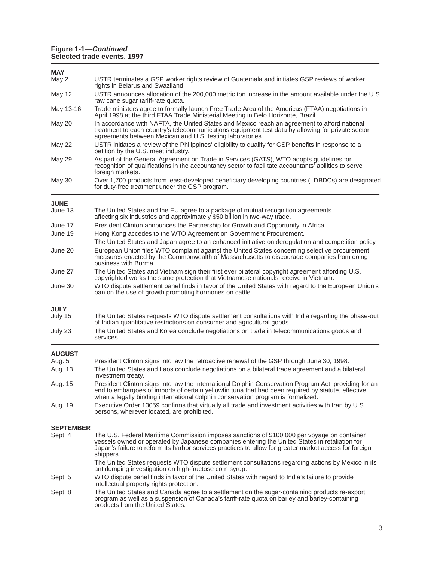| <b>MAY</b>       |                                                                                                                                                                                                                                                                                                                     |
|------------------|---------------------------------------------------------------------------------------------------------------------------------------------------------------------------------------------------------------------------------------------------------------------------------------------------------------------|
| May 2            | USTR terminates a GSP worker rights review of Guatemala and initiates GSP reviews of worker<br>rights in Belarus and Swaziland.                                                                                                                                                                                     |
| May 12           | USTR announces allocation of the 200,000 metric ton increase in the amount available under the U.S.<br>raw cane sugar tariff-rate quota.                                                                                                                                                                            |
| May 13-16        | Trade ministers agree to formally launch Free Trade Area of the Americas (FTAA) negotiations in<br>April 1998 at the third FTAA Trade Ministerial Meeting in Belo Horizonte, Brazil.                                                                                                                                |
| May 20           | In accordance with NAFTA, the United States and Mexico reach an agreement to afford national<br>treatment to each country's telecommunications equipment test data by allowing for private sector<br>agreements between Mexican and U.S. testing laboratories.                                                      |
| May 22           | USTR initiates a review of the Philippines' eligibility to qualify for GSP benefits in response to a<br>petition by the U.S. meat industry.                                                                                                                                                                         |
| May 29           | As part of the General Agreement on Trade in Services (GATS), WTO adopts guidelines for<br>recognition of qualifications in the accountancy sector to facilitate accountants <sup>7</sup> abilities to serve<br>foreign markets.                                                                                    |
| <b>May 30</b>    | Over 1,700 products from least-developed beneficiary developing countries (LDBDCs) are designated<br>for duty-free treatment under the GSP program.                                                                                                                                                                 |
| <b>JUNE</b>      |                                                                                                                                                                                                                                                                                                                     |
| June 13          | The United States and the EU agree to a package of mutual recognition agreements<br>affecting six industries and approximately \$50 billion in two-way trade.                                                                                                                                                       |
| June 17          | President Clinton announces the Partnership for Growth and Opportunity in Africa.                                                                                                                                                                                                                                   |
| June 19          | Hong Kong accedes to the WTO Agreement on Government Procurement.                                                                                                                                                                                                                                                   |
|                  | The United States and Japan agree to an enhanced initiative on deregulation and competition policy.                                                                                                                                                                                                                 |
| June 20          | European Union files WTO complaint against the United States concerning selective procurement<br>measures enacted by the Commonwealth of Massachusetts to discourage companies from doing<br>business with Burma.                                                                                                   |
| June 27          | The United States and Vietnam sign their first ever bilateral copyright agreement affording U.S.<br>copyrighted works the same protection that Vietnamese nationals receive in Vietnam.                                                                                                                             |
| June 30          | WTO dispute settlement panel finds in favor of the United States with regard to the European Union's<br>ban on the use of growth promoting hormones on cattle.                                                                                                                                                      |
| <b>JULY</b>      |                                                                                                                                                                                                                                                                                                                     |
| July 15          | The United States requests WTO dispute settlement consultations with India regarding the phase-out<br>of Indian quantitative restrictions on consumer and agricultural goods.                                                                                                                                       |
| July 23          | The United States and Korea conclude negotiations on trade in telecommunications goods and<br>services.                                                                                                                                                                                                             |
| <b>AUGUST</b>    |                                                                                                                                                                                                                                                                                                                     |
| Aug. 5           | President Clinton signs into law the retroactive renewal of the GSP through June 30, 1998.                                                                                                                                                                                                                          |
| Aug. 13          | The United States and Laos conclude negotiations on a bilateral trade agreement and a bilateral<br>investment treaty.                                                                                                                                                                                               |
| Aug. 15          | President Clinton signs into law the International Dolphin Conservation Program Act, providing for an<br>end to embargoes of imports of certain yellowfin tuna that had been required by statute, effective<br>when a legally binding international dolphin conservation program is formalized.                     |
| Aug. 19          | Executive Order 13059 confirms that virtually all trade and investment activities with Iran by U.S.<br>persons, wherever located, are prohibited.                                                                                                                                                                   |
| <b>SEPTEMBER</b> |                                                                                                                                                                                                                                                                                                                     |
| Sept. 4          | The U.S. Federal Maritime Commission imposes sanctions of \$100,000 per voyage on container<br>vessels owned or operated by Japanese companies entering the United States in retaliation for<br>Japan's failure to reform its harbor services practices to allow for greater market access for foreign<br>shippers. |
|                  | The United States requests WTO dispute settlement consultations regarding actions by Mexico in its<br>antidumping investigation on high-fructose corn syrup.                                                                                                                                                        |
| Sept. 5          | WTO dispute panel finds in favor of the United States with regard to India's failure to provide<br>intellectual property rights protection.                                                                                                                                                                         |
| Sept. 8          | The United States and Canada agree to a settlement on the sugar-containing products re-export<br>program as well as a suspension of Canada's tariff-rate quota on barley and barley-containing<br>products from the United States.                                                                                  |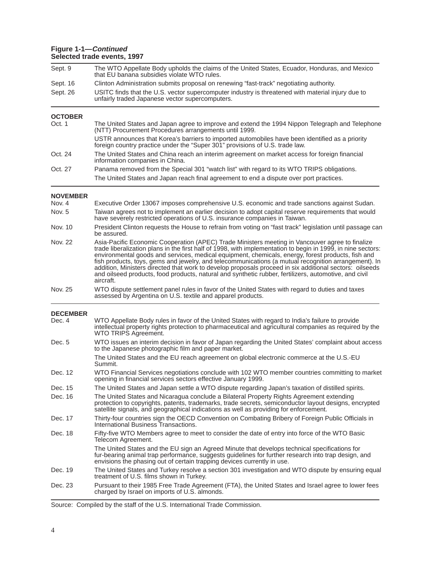# **Figure 1-1—Continued**

| <b>Figure 1-1-Continued</b> | Selected trade events, 1997                                                                                                                                                                                                                                                                                                                                                                                                                                                                                                                                                                                                                                   |  |  |  |  |  |  |  |
|-----------------------------|---------------------------------------------------------------------------------------------------------------------------------------------------------------------------------------------------------------------------------------------------------------------------------------------------------------------------------------------------------------------------------------------------------------------------------------------------------------------------------------------------------------------------------------------------------------------------------------------------------------------------------------------------------------|--|--|--|--|--|--|--|
| Sept. 9                     | The WTO Appellate Body upholds the claims of the United States, Ecuador, Honduras, and Mexico<br>that EU banana subsidies violate WTO rules.                                                                                                                                                                                                                                                                                                                                                                                                                                                                                                                  |  |  |  |  |  |  |  |
| Sept. 16                    | Clinton Administration submits proposal on renewing "fast-track" negotiating authority.                                                                                                                                                                                                                                                                                                                                                                                                                                                                                                                                                                       |  |  |  |  |  |  |  |
| Sept. 26                    | USITC finds that the U.S. vector supercomputer industry is threatened with material injury due to<br>unfairly traded Japanese vector supercomputers.                                                                                                                                                                                                                                                                                                                                                                                                                                                                                                          |  |  |  |  |  |  |  |
| <b>OCTOBER</b>              |                                                                                                                                                                                                                                                                                                                                                                                                                                                                                                                                                                                                                                                               |  |  |  |  |  |  |  |
| Oct. 1                      | The United States and Japan agree to improve and extend the 1994 Nippon Telegraph and Telephone<br>(NTT) Procurement Procedures arrangements until 1999.                                                                                                                                                                                                                                                                                                                                                                                                                                                                                                      |  |  |  |  |  |  |  |
|                             | USTR announces that Korea's barriers to imported automobiles have been identified as a priority<br>foreign country practice under the "Super 301" provisions of U.S. trade law.                                                                                                                                                                                                                                                                                                                                                                                                                                                                               |  |  |  |  |  |  |  |
| Oct. 24                     | The United States and China reach an interim agreement on market access for foreign financial<br>information companies in China.                                                                                                                                                                                                                                                                                                                                                                                                                                                                                                                              |  |  |  |  |  |  |  |
| Oct. 27                     | Panama removed from the Special 301 "watch list" with regard to its WTO TRIPS obligations.                                                                                                                                                                                                                                                                                                                                                                                                                                                                                                                                                                    |  |  |  |  |  |  |  |
|                             | The United States and Japan reach final agreement to end a dispute over port practices.                                                                                                                                                                                                                                                                                                                                                                                                                                                                                                                                                                       |  |  |  |  |  |  |  |
| <b>NOVEMBER</b>             |                                                                                                                                                                                                                                                                                                                                                                                                                                                                                                                                                                                                                                                               |  |  |  |  |  |  |  |
| Nov. 4                      | Executive Order 13067 imposes comprehensive U.S. economic and trade sanctions against Sudan.                                                                                                                                                                                                                                                                                                                                                                                                                                                                                                                                                                  |  |  |  |  |  |  |  |
| Nov. 5                      | Taiwan agrees not to implement an earlier decision to adopt capital reserve requirements that would<br>have severely restricted operations of U.S. insurance companies in Taiwan.                                                                                                                                                                                                                                                                                                                                                                                                                                                                             |  |  |  |  |  |  |  |
| Nov. 10                     | President Clinton requests the House to refrain from voting on "fast track" legislation until passage can<br>be assured.                                                                                                                                                                                                                                                                                                                                                                                                                                                                                                                                      |  |  |  |  |  |  |  |
| Nov. 22                     | Asia-Pacific Economic Cooperation (APEC) Trade Ministers meeting in Vancouver agree to finalize<br>trade liberalization plans in the first half of 1998, with implementation to begin in 1999, in nine sectors:<br>environmental goods and services, medical equipment, chemicals, energy, forest products, fish and<br>fish products, toys, gems and jewelry, and telecommunications (a mutual recognition arrangement). In<br>addition, Ministers directed that work to develop proposals proceed in six additional sectors: oilseeds<br>and oilseed products, food products, natural and synthetic rubber, fertilizers, automotive, and civil<br>aircraft. |  |  |  |  |  |  |  |
| Nov. 25                     | WTO dispute settlement panel rules in favor of the United States with regard to duties and taxes<br>assessed by Argentina on U.S. textile and apparel products.                                                                                                                                                                                                                                                                                                                                                                                                                                                                                               |  |  |  |  |  |  |  |
| <b>DECEMBER</b>             |                                                                                                                                                                                                                                                                                                                                                                                                                                                                                                                                                                                                                                                               |  |  |  |  |  |  |  |
| Dec. 4                      | WTO Appellate Body rules in favor of the United States with regard to India's failure to provide<br>intellectual property rights protection to pharmaceutical and agricultural companies as required by the<br>WTO TRIPS Agreement.                                                                                                                                                                                                                                                                                                                                                                                                                           |  |  |  |  |  |  |  |
| Dec. 5                      | WTO issues an interim decision in favor of Japan regarding the United States' complaint about access<br>to the Japanese photographic film and paper market.                                                                                                                                                                                                                                                                                                                                                                                                                                                                                                   |  |  |  |  |  |  |  |
|                             | The United States and the EU reach agreement on global electronic commerce at the U.S.-EU<br>Summit.                                                                                                                                                                                                                                                                                                                                                                                                                                                                                                                                                          |  |  |  |  |  |  |  |
| Dec. 12                     | WTO Financial Services negotiations conclude with 102 WTO member countries committing to market<br>opening in financial services sectors effective January 1999.                                                                                                                                                                                                                                                                                                                                                                                                                                                                                              |  |  |  |  |  |  |  |
| Dec. 15                     | The United States and Japan settle a WTO dispute regarding Japan's taxation of distilled spirits.                                                                                                                                                                                                                                                                                                                                                                                                                                                                                                                                                             |  |  |  |  |  |  |  |

- Dec. 16 The United States and Nicaragua conclude a Bilateral Property Rights Agreement extending protection to copyrights, patents, trademarks, trade secrets, semiconductor layout designs, encrypted satellite signals, and geographical indications as well as providing for enforcement.
- Dec. 17 Thirty-four countries sign the OECD Convention on Combating Bribery of Foreign Public Officials in International Business Transactions.
- Dec. 18 Fifty-five WTO Members agree to meet to consider the date of entry into force of the WTO Basic Telecom Agreement. The United States and the EU sign an Agreed Minute that develops technical specifications for fur-bearing animal trap performance, suggests guidelines for further research into trap design, and envisions the phasing out of certain trapping devices currently in use. Dec. 19 The United States and Turkey resolve a section 301 investigation and WTO dispute by ensuring equal treatment of U.S. films shown in Turkey. Dec. 23 Pursuant to their 1985 Free Trade Agreement (FTA), the United States and Israel agree to lower fees charged by Israel on imports of U.S. almonds.

Source: Compiled by the staff of the U.S. International Trade Commission.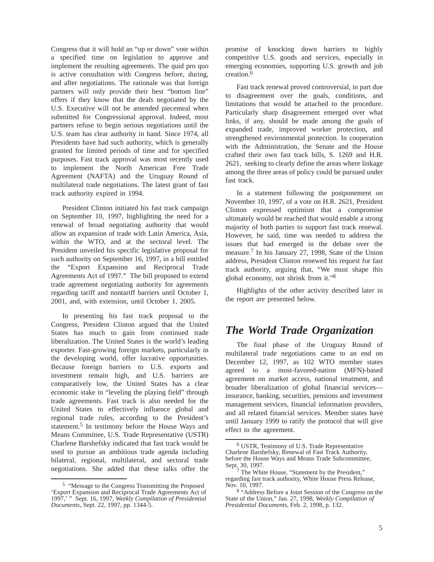Congress that it will hold an "up or down" vote within a specified time on legislation to approve and implement the resulting agreements. The quid pro quo is active consultation with Congress before, during, and after negotiations. The rationale was that foreign partners will only provide their best "bottom line" offers if they know that the deals negotiated by the U.S. Executive will not be amended piecemeal when submitted for Congressional approval. Indeed, most partners refuse to begin serious negotiations until the U.S. team has clear authority in hand. Since 1974, all Presidents have had such authority, which is generally granted for limited periods of time and for specified purposes. Fast track approval was most recently used to implement the North American Free Trade Agreement (NAFTA) and the Uruguay Round of multilateral trade negotiations. The latest grant of fast track authority expired in 1994.

President Clinton initiated his fast track campaign on September 10, 1997, highlighting the need for a renewal of broad negotiating authority that would allow an expansion of trade with Latin America, Asia, within the WTO, and at the sectoral level. The President unveiled his specific legislative proposal for such authority on September 16, 1997, in a bill entitled the "Export Expansion and Reciprocal Trade Agreements Act of 1997." The bill proposed to extend trade agreement negotiating authority for agreements regarding tariff and nontariff barriers until October 1, 2001, and, with extension, until October 1, 2005.

In presenting his fast track proposal to the Congress, President Clinton argued that the United States has much to gain from continued trade liberalization. The United States is the world's leading exporter. Fast-growing foreign markets, particularly in the developing world, offer lucrative opportunities. Because foreign barriers to U.S. exports and investment remain high, and U.S. barriers are comparatively low, the United States has a clear economic stake in "leveling the playing field" through trade agreements. Fast track is also needed for the United States to effectively influence global and regional trade rules, according to the President's statement.<sup>5</sup> In testimony before the House Ways and Means Committee, U.S. Trade Representative (USTR) Charlene Barshefsky indicated that fast track would be used to pursue an ambitious trade agenda including bilateral, regional, multilateral, and sectoral trade negotiations. She added that these talks offer the

5 "Message to the Congress Transmitting the Proposed 'Export Expansion and Reciprocal Trade Agreements Act of 1997,' " Sept. 16, 1997, *Weekly Compilation of Presidential Documents*, Sept. 22, 1997, pp. 1344-5.

promise of knocking down barriers to highly competitive U.S. goods and services, especially in emerging economies, supporting U.S. growth and job creation.6

Fast track renewal proved controversial, in part due to disagreement over the goals, conditions, and limitations that would be attached to the procedure. Particularly sharp disagreement emerged over what links, if any, should be made among the goals of expanded trade, improved worker protection, and strengthened environmental protection. In cooperation with the Administration, the Senate and the House crafted their own fast track bills, S. 1269 and H.R. 2621, seeking to clearly define the areas where linkage among the three areas of policy could be pursued under fast track.

In a statement following the postponement on November 10, 1997, of a vote on H.R. 2621, President Clinton expressed optimism that a compromise ultimately would be reached that would enable a strong majority of both parties to support fast track renewal. However, he said, time was needed to address the issues that had emerged in the debate over the measure.7 In his January 27, 1998, State of the Union address, President Clinton renewed his request for fast track authority, arguing that, "We must shape this global economy, not shrink from it."8

Highlights of the other activity described later in the report are presented below.

## *The World Trade Organization*

The final phase of the Uruguay Round of multilateral trade negotiations came to an end on December 12, 1997, as 102 WTO member states agreed to a most-favored-nation (MFN)-based agreement on market access, national treatment, and broader liberalization of global financial services insurance, banking, securities, pensions and investment management services, financial information providers, and all related financial services. Member states have until January 1999 to ratify the protocol that will give effect to the agreement.

<sup>6</sup> USTR, Testimony of U.S. Trade Representative Charlene Barshefsky, Renewal of Fast Track Authority, before the House Ways and Means Trade Subcommittee, Sept. 30, 1997.

<sup>7</sup> The White House, "Statement by the President," regarding fast track authority, White House Press Release, Nov. 10, 1997.

<sup>8 &</sup>quot;Address Before a Joint Session of the Congress on the State of the Union," Jan. 27, 1998, *Weekly Compilation of Presidential Documents*, Feb. 2, 1998, p. 132.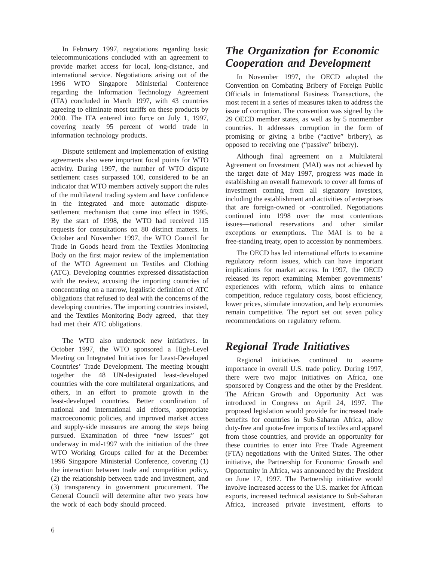In February 1997, negotiations regarding basic telecommunications concluded with an agreement to provide market access for local, long-distance, and international service. Negotiations arising out of the 1996 WTO Singapore Ministerial Conference regarding the Information Technology Agreement (ITA) concluded in March 1997, with 43 countries agreeing to eliminate most tariffs on these products by 2000. The ITA entered into force on July 1, 1997, covering nearly 95 percent of world trade in information technology products.

Dispute settlement and implementation of existing agreements also were important focal points for WTO activity. During 1997, the number of WTO dispute settlement cases surpassed 100, considered to be an indicator that WTO members actively support the rules of the multilateral trading system and have confidence in the integrated and more automatic disputesettlement mechanism that came into effect in 1995. By the start of 1998, the WTO had received 115 requests for consultations on 80 distinct matters. In October and November 1997, the WTO Council for Trade in Goods heard from the Textiles Monitoring Body on the first major review of the implementation of the WTO Agreement on Textiles and Clothing (ATC). Developing countries expressed dissatisfaction with the review, accusing the importing countries of concentrating on a narrow, legalistic definition of ATC obligations that refused to deal with the concerns of the developing countries. The importing countries insisted, and the Textiles Monitoring Body agreed, that they had met their ATC obligations.

The WTO also undertook new initiatives. In October 1997, the WTO sponsored a High-Level Meeting on Integrated Initiatives for Least-Developed Countries' Trade Development. The meeting brought together the 48 UN-designated least-developed countries with the core multilateral organizations, and others, in an effort to promote growth in the least-developed countries. Better coordination of national and international aid efforts, appropriate macroeconomic policies, and improved market access and supply-side measures are among the steps being pursued. Examination of three "new issues" got underway in mid-1997 with the initiation of the three WTO Working Groups called for at the December 1996 Singapore Ministerial Conference, covering (1) the interaction between trade and competition policy, (2) the relationship between trade and investment, and (3) transparency in government procurement. The General Council will determine after two years how the work of each body should proceed.

## *The Organization for Economic Cooperation and Development*

In November 1997, the OECD adopted the Convention on Combating Bribery of Foreign Public Officials in International Business Transactions, the most recent in a series of measures taken to address the issue of corruption. The convention was signed by the 29 OECD member states, as well as by 5 nonmember countries. It addresses corruption in the form of promising or giving a bribe ("active" bribery), as opposed to receiving one ("passive" bribery).

Although final agreement on a Multilateral Agreement on Investment (MAI) was not achieved by the target date of May 1997, progress was made in establishing an overall framework to cover all forms of investment coming from all signatory investors, including the establishment and activities of enterprises that are foreign-owned or -controlled. Negotiations continued into 1998 over the most contentious issues—national reservations and other similar exceptions or exemptions. The MAI is to be a free-standing treaty, open to accession by nonmembers.

The OECD has led international efforts to examine regulatory reform issues, which can have important implications for market access. In 1997, the OECD released its report examining Member governments' experiences with reform, which aims to enhance competition, reduce regulatory costs, boost efficiency, lower prices, stimulate innovation, and help economies remain competitive. The report set out seven policy recommendations on regulatory reform.

## *Regional Trade Initiatives*

Regional initiatives continued to assume importance in overall U.S. trade policy. During 1997, there were two major initiatives on Africa, one sponsored by Congress and the other by the President. The African Growth and Opportunity Act was introduced in Congress on April 24, 1997. The proposed legislation would provide for increased trade benefits for countries in Sub-Saharan Africa, allow duty-free and quota-free imports of textiles and apparel from those countries, and provide an opportunity for these countries to enter into Free Trade Agreement (FTA) negotiations with the United States. The other initiative, the Partnership for Economic Growth and Opportunity in Africa, was announced by the President on June 17, 1997. The Partnership initiative would involve increased access to the U.S. market for African exports, increased technical assistance to Sub-Saharan Africa, increased private investment, efforts to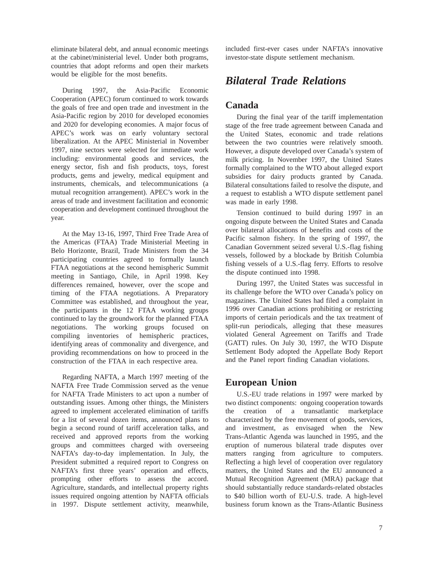eliminate bilateral debt, and annual economic meetings at the cabinet/ministerial level. Under both programs, countries that adopt reforms and open their markets would be eligible for the most benefits.

During 1997, the Asia-Pacific Economic Cooperation (APEC) forum continued to work towards the goals of free and open trade and investment in the Asia-Pacific region by 2010 for developed economies and 2020 for developing economies. A major focus of APEC's work was on early voluntary sectoral liberalization. At the APEC Ministerial in November 1997, nine sectors were selected for immediate work including: environmental goods and services, the energy sector, fish and fish products, toys, forest products, gems and jewelry, medical equipment and instruments, chemicals, and telecommunications (a mutual recognition arrangement). APEC's work in the areas of trade and investment facilitation and economic cooperation and development continued throughout the year.

At the May 13-16, 1997, Third Free Trade Area of the Americas (FTAA) Trade Ministerial Meeting in Belo Horizonte, Brazil, Trade Ministers from the 34 participating countries agreed to formally launch FTAA negotiations at the second hemispheric Summit meeting in Santiago, Chile, in April 1998. Key differences remained, however, over the scope and timing of the FTAA negotiations. A Preparatory Committee was established, and throughout the year, the participants in the 12 FTAA working groups continued to lay the groundwork for the planned FTAA negotiations. The working groups focused on compiling inventories of hemispheric practices, identifying areas of commonality and divergence, and providing recommendations on how to proceed in the construction of the FTAA in each respective area.

Regarding NAFTA, a March 1997 meeting of the NAFTA Free Trade Commission served as the venue for NAFTA Trade Ministers to act upon a number of outstanding issues. Among other things, the Ministers agreed to implement accelerated elimination of tariffs for a list of several dozen items, announced plans to begin a second round of tariff acceleration talks, and received and approved reports from the working groups and committees charged with overseeing NAFTA's day-to-day implementation. In July, the President submitted a required report to Congress on NAFTA's first three years' operation and effects, prompting other efforts to assess the accord. Agriculture, standards, and intellectual property rights issues required ongoing attention by NAFTA officials in 1997. Dispute settlement activity, meanwhile, included first-ever cases under NAFTA's innovative investor-state dispute settlement mechanism.

## *Bilateral Trade Relations*

### **Canada**

During the final year of the tariff implementation stage of the free trade agreement between Canada and the United States, economic and trade relations between the two countries were relatively smooth. However, a dispute developed over Canada's system of milk pricing. In November 1997, the United States formally complained to the WTO about alleged export subsidies for dairy products granted by Canada. Bilateral consultations failed to resolve the dispute, and a request to establish a WTO dispute settlement panel was made in early 1998.

Tension continued to build during 1997 in an ongoing dispute between the United States and Canada over bilateral allocations of benefits and costs of the Pacific salmon fishery. In the spring of 1997, the Canadian Government seized several U.S.-flag fishing vessels, followed by a blockade by British Columbia fishing vessels of a U.S.-flag ferry. Efforts to resolve the dispute continued into 1998.

During 1997, the United States was successful in its challenge before the WTO over Canada's policy on magazines. The United States had filed a complaint in 1996 over Canadian actions prohibiting or restricting imports of certain periodicals and the tax treatment of split-run periodicals, alleging that these measures violated General Agreement on Tariffs and Trade (GATT) rules. On July 30, 1997, the WTO Dispute Settlement Body adopted the Appellate Body Report and the Panel report finding Canadian violations.

### **European Union**

U.S.-EU trade relations in 1997 were marked by two distinct components: ongoing cooperation towards the creation of a transatlantic marketplace characterized by the free movement of goods, services, and investment, as envisaged when the New Trans-Atlantic Agenda was launched in 1995, and the eruption of numerous bilateral trade disputes over matters ranging from agriculture to computers. Reflecting a high level of cooperation over regulatory matters, the United States and the EU announced a Mutual Recognition Agreement (MRA) package that should substantially reduce standards-related obstacles to \$40 billion worth of EU-U.S. trade. A high-level business forum known as the Trans-Atlantic Business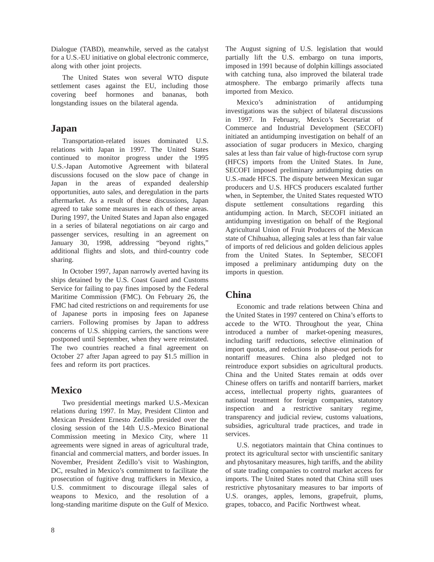Dialogue (TABD), meanwhile, served as the catalyst for a U.S.-EU initiative on global electronic commerce, along with other joint projects.

The United States won several WTO dispute settlement cases against the EU, including those covering beef hormones and bananas, both longstanding issues on the bilateral agenda.

### **Japan**

Transportation-related issues dominated U.S. relations with Japan in 1997. The United States continued to monitor progress under the 1995 U.S.-Japan Automotive Agreement with bilateral discussions focused on the slow pace of change in Japan in the areas of expanded dealership opportunities, auto sales, and deregulation in the parts aftermarket. As a result of these discussions, Japan agreed to take some measures in each of these areas. During 1997, the United States and Japan also engaged in a series of bilateral negotiations on air cargo and passenger services, resulting in an agreement on January 30, 1998, addressing "beyond rights," additional flights and slots, and third-country code sharing.

In October 1997, Japan narrowly averted having its ships detained by the U.S. Coast Guard and Customs Service for failing to pay fines imposed by the Federal Maritime Commission (FMC). On February 26, the FMC had cited restrictions on and requirements for use of Japanese ports in imposing fees on Japanese carriers. Following promises by Japan to address concerns of U.S. shipping carriers, the sanctions were postponed until September, when they were reinstated. The two countries reached a final agreement on October 27 after Japan agreed to pay \$1.5 million in fees and reform its port practices.

### **Mexico**

Two presidential meetings marked U.S.-Mexican relations during 1997. In May, President Clinton and Mexican President Ernesto Zedillo presided over the closing session of the 14th U.S.-Mexico Binational Commission meeting in Mexico City, where 11 agreements were signed in areas of agricultural trade, financial and commercial matters, and border issues. In November, President Zedillo's visit to Washington, DC, resulted in Mexico's commitment to facilitate the prosecution of fugitive drug traffickers in Mexico, a U.S. commitment to discourage illegal sales of weapons to Mexico, and the resolution of a long-standing maritime dispute on the Gulf of Mexico.

The August signing of U.S. legislation that would partially lift the U.S. embargo on tuna imports, imposed in 1991 because of dolphin killings associated with catching tuna, also improved the bilateral trade atmosphere. The embargo primarily affects tuna imported from Mexico.

Mexico's administration of antidumping investigations was the subject of bilateral discussions in 1997. In February, Mexico's Secretariat of Commerce and Industrial Development (SECOFI) initiated an antidumping investigation on behalf of an association of sugar producers in Mexico, charging sales at less than fair value of high-fructose corn syrup (HFCS) imports from the United States. In June, SECOFI imposed preliminary antidumping duties on U.S.-made HFCS. The dispute between Mexican sugar producers and U.S. HFCS producers escalated further when, in September, the United States requested WTO dispute settlement consultations regarding this antidumping action. In March, SECOFI initiated an antidumping investigation on behalf of the Regional Agricultural Union of Fruit Producers of the Mexican state of Chihuahua, alleging sales at less than fair value of imports of red delicious and golden delicious apples from the United States. In September, SECOFI imposed a preliminary antidumping duty on the imports in question.

### **China**

Economic and trade relations between China and the United States in 1997 centered on China's efforts to accede to the WTO. Throughout the year, China introduced a number of market-opening measures, including tariff reductions, selective elimination of import quotas, and reductions in phase-out periods for nontariff measures. China also pledged not to reintroduce export subsidies on agricultural products. China and the United States remain at odds over Chinese offers on tariffs and nontariff barriers, market access, intellectual property rights, guarantees of national treatment for foreign companies, statutory inspection and a restrictive sanitary regime, transparency and judicial review, customs valuations, subsidies, agricultural trade practices, and trade in services.

U.S. negotiators maintain that China continues to protect its agricultural sector with unscientific sanitary and phytosanitary measures, high tariffs, and the ability of state trading companies to control market access for imports. The United States noted that China still uses restrictive phytosanitary measures to bar imports of U.S. oranges, apples, lemons, grapefruit, plums, grapes, tobacco, and Pacific Northwest wheat.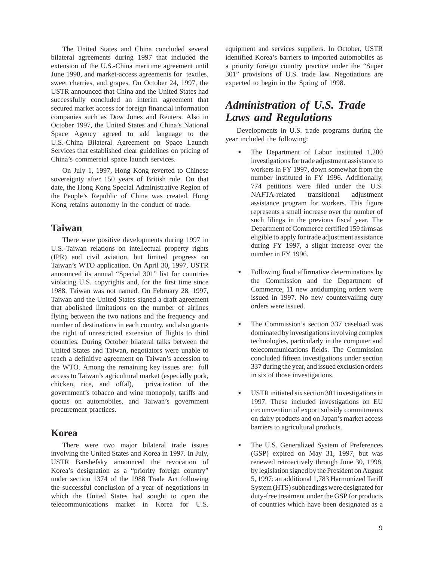The United States and China concluded several bilateral agreements during 1997 that included the extension of the U.S.-China maritime agreement until June 1998, and market-access agreements for textiles, sweet cherries, and grapes. On October 24, 1997, the USTR announced that China and the United States had successfully concluded an interim agreement that secured market access for foreign financial information companies such as Dow Jones and Reuters. Also in October 1997, the United States and China's National Space Agency agreed to add language to the U.S.-China Bilateral Agreement on Space Launch Services that established clear guidelines on pricing of China's commercial space launch services.

On July 1, 1997, Hong Kong reverted to Chinese sovereignty after 150 years of British rule. On that date, the Hong Kong Special Administrative Region of the People's Republic of China was created. Hong Kong retains autonomy in the conduct of trade.

### **Taiwan**

There were positive developments during 1997 in U.S.-Taiwan relations on intellectual property rights (IPR) and civil aviation, but limited progress on Taiwan's WTO application. On April 30, 1997, USTR announced its annual "Special 301" list for countries violating U.S. copyrights and, for the first time since 1988, Taiwan was not named. On February 28, 1997, Taiwan and the United States signed a draft agreement that abolished limitations on the number of airlines flying between the two nations and the frequency and number of destinations in each country, and also grants the right of unrestricted extension of flights to third countries. During October bilateral talks between the United States and Taiwan, negotiators were unable to reach a definitive agreement on Taiwan's accession to the WTO. Among the remaining key issues are: full access to Taiwan's agricultural market (especially pork, chicken, rice, and offal), privatization of the government's tobacco and wine monopoly, tariffs and quotas on automobiles, and Taiwan's government procurement practices.

### **Korea**

There were two major bilateral trade issues involving the United States and Korea in 1997. In July, USTR Barshefsky announced the revocation of Korea's designation as a "priority foreign country" under section 1374 of the 1988 Trade Act following the successful conclusion of a year of negotiations in which the United States had sought to open the telecommunications market in Korea for U.S.

equipment and services suppliers. In October, USTR identified Korea's barriers to imported automobiles as a priority foreign country practice under the "Super 301" provisions of U.S. trade law. Negotiations are expected to begin in the Spring of 1998.

## *Administration of U.S. Trade Laws and Regulations*

Developments in U.S. trade programs during the year included the following:

- The Department of Labor instituted 1,280 investigations for trade adjustment assistance to workers in FY 1997, down somewhat from the number instituted in FY 1996. Additionally, 774 petitions were filed under the U.S. NAFTA-related transitional adjustment assistance program for workers. This figure represents a small increase over the number of such filings in the previous fiscal year. The Department of Commerce certified 159 firms as eligible to apply for trade adjustment assistance during FY 1997, a slight increase over the number in FY 1996.
- Following final affirmative determinations by the Commission and the Department of Commerce, 11 new antidumping orders were issued in 1997. No new countervailing duty orders were issued.
- The Commission's section 337 caseload was dominated by investigations involving complex technologies, particularly in the computer and telecommunications fields. The Commission concluded fifteen investigations under section 337 during the year, and issued exclusion orders in six of those investigations.
- USTR initiated six section 301 investigations in 1997. These included investigations on EU circumvention of export subsidy commitments on dairy products and on Japan's market access barriers to agricultural products.
- The U.S. Generalized System of Preferences (GSP) expired on May 31, 1997, but was renewed retroactively through June 30, 1998, by legislation signed by the President on August 5, 1997; an additional 1,783 Harmonized Tariff System (HTS) subheadings were designated for duty-free treatment under the GSP for products of countries which have been designated as a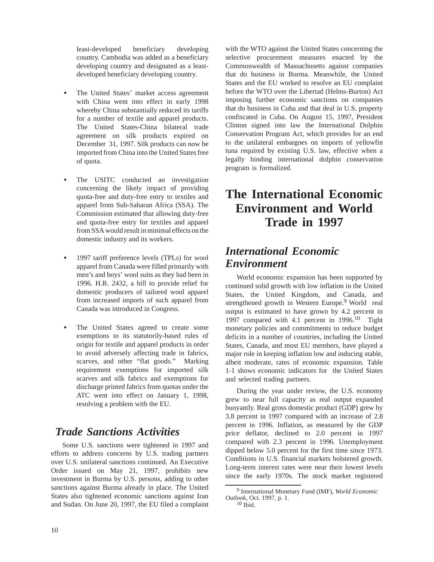least-developed beneficiary developing country. Cambodia was added as a beneficiary developing country and designated as a leastdeveloped beneficiary developing country.

- The United States' market access agreement with China went into effect in early 1998 whereby China substantially reduced its tariffs for a number of textile and apparel products. The United States-China bilateral trade agreement on silk products expired on December 31, 1997. Silk products can now be imported from China into the United States free of quota.
- The USITC conducted an investigation concerning the likely impact of providing quota-free and duty-free entry to textiles and apparel from Sub-Saharan Africa (SSA). The Commission estimated that allowing duty-free and quota-free entry for textiles and apparel from SSA would result in minimal effects on the domestic industry and its workers.
- 1997 tariff preference levels (TPLs) for wool apparel from Canada were filled primarily with men's and boys' wool suits as they had been in 1996. H.R. 2432, a bill to provide relief for domestic producers of tailored wool apparel from increased imports of such apparel from Canada was introduced in Congress.
- The United States agreed to create some exemptions to its statutorily-based rules of origin for textile and apparel products in order to avoid adversely affecting trade in fabrics, scarves, and other "flat goods." Marking requirement exemptions for imported silk scarves and silk fabrics and exemptions for discharge printed fabrics from quotas under the ATC went into effect on January 1, 1998, resolving a problem with the EU.

## *Trade Sanctions Activities*

Some U.S. sanctions were tightened in 1997 and efforts to address concerns by U.S. trading partners over U.S. unilateral sanctions continued. An Executive Order issued on May 21, 1997, prohibits new investment in Burma by U.S. persons, adding to other sanctions against Burma already in place. The United States also tightened economic sanctions against Iran and Sudan. On June 20, 1997, the EU filed a complaint with the WTO against the United States concerning the selective procurement measures enacted by the Commonwealth of Massachusetts against companies that do business in Burma. Meanwhile, the United States and the EU worked to resolve an EU complaint before the WTO over the Libertad (Helms-Burton) Act imposing further economic sanctions on companies that do business in Cuba and that deal in U.S. property confiscated in Cuba. On August 15, 1997, President Clinton signed into law the International Dolphin Conservation Program Act, which provides for an end to the unilateral embargoes on imports of yellowfin tuna required by existing U.S. law, effective when a legally binding international dolphin conservation program is formalized.

# **The International Economic Environment and World Trade in 1997**

## *International Economic Environment*

World economic expansion has been supported by continued solid growth with low inflation in the United States, the United Kingdom, and Canada, and strengthened growth in Western Europe.<sup>9</sup> World real output is estimated to have grown by 4.2 percent in 1997 compared with 4.1 percent in 1996.10 Tight monetary policies and commitments to reduce budget deficits in a number of countries, including the United States, Canada, and most EU members, have played a major role in keeping inflation low and inducing stable, albeit moderate, rates of economic expansion. Table 1-1 shows economic indicators for the United States and selected trading partners.

During the year under review, the U.S. economy grew to near full capacity as real output expanded buoyantly. Real gross domestic product (GDP) grew by 3.8 percent in 1997 compared with an increase of 2.8 percent in 1996. Inflation, as measured by the GDP price deflator, declined to 2.0 percent in 1997 compared with 2.3 percent in 1996. Unemployment dipped below 5.0 percent for the first time since 1973. Conditions in U.S. financial markets bolstered growth. Long-term interest rates were near their lowest levels since the early 1970s. The stock market registered

<sup>9</sup> International Monetary Fund (IMF), *World Economic Outlook*, Oct. 1997, p. 1. 10 Ibid.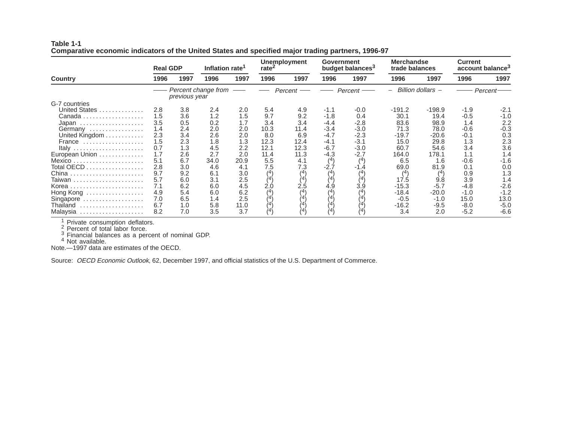#### **Table 1-1 Comparative economic indicators of the United States and specified major trading partners, 1996-97**

|                                    | <b>Real GDP</b>                      |                   | Inflation rate <sup>1</sup> |                    | <b>Unemployment</b><br>rate <sup>2</sup> |                     | <b>Government</b><br>budget balances <sup>3</sup> |                  | <b>Merchandse</b><br>trade balances |                          | <b>Current</b><br>account balance <sup>3</sup> |                         |
|------------------------------------|--------------------------------------|-------------------|-----------------------------|--------------------|------------------------------------------|---------------------|---------------------------------------------------|------------------|-------------------------------------|--------------------------|------------------------------------------------|-------------------------|
| <b>Country</b>                     | 1996                                 | 1997              | 1996                        | 1997               | 1996                                     | 1997                | 1996                                              | 1997             | 1996                                | 1997                     | 1996                                           | 1997                    |
|                                    | Percent change from<br>previous year |                   | Percent                     |                    | Percent                                  |                     | Billion dollars -                                 |                  | Percent                             |                          |                                                |                         |
| G-7 countries<br>United States     | 2.8<br>1.5                           | 3.8<br>3.6        | 2.4<br>1.2                  | 2.0<br>1.5         | 5.4<br>9.7                               | 4.9<br>9.2          | $-1.1$<br>$-1.8$                                  | $-0.0$<br>0.4    | $-191.2$<br>30.1                    | $-198.9$<br>19.4         | $-1.9$<br>$-0.5$                               | $-2.1$<br>$-1.0$        |
| Canada<br>Japan<br>Germany         | 3.5<br>1.4                           | 0.5<br>2.4        | 0.2<br>2.0                  | 1.7<br>2.0         | 3.4<br>10.3                              | 3.4<br>11.4         | $-4.4$<br>$-3.4$                                  | $-2.8$<br>$-3.0$ | 83.6<br>71.3                        | 98.9<br>78.0             | 1.4<br>$-0.6$                                  | 2.2<br>$-0.3$           |
| United Kingdom<br>France           | 2.3<br>1.5                           | 3.4<br>2.3        | 2.6<br>1.8                  | 2.0<br>1.3         | 8.0<br>12.3                              | 6.9<br>12.4         | $-4.7$<br>$-4.1$                                  | $-2.3$<br>$-3.1$ | $-19.7$<br>15.0                     | -20.6<br>29.8            | $-0.1$<br>1.3                                  | 0.3<br>2.3              |
| Italy<br>European Union<br>Mexico. | 0.7<br>1.7<br>5.1                    | 1.3<br>2.6<br>6.7 | 4.5<br>2.7<br>34.0          | 2.2<br>2.0<br>20.9 | 12.1<br>11.4<br>5.5                      | 12.3<br>11.3<br>4.1 | $-6.7$<br>$-4.3$                                  | $-3.0$<br>$-2.7$ | 60.7<br>164.0<br>6.5                | 54.6<br>178.1<br>1.6     | 3.4<br>1.1<br>$-0.6$                           | 3.6<br>1.4<br>$-1.6$    |
| Total OECD<br>China                | 2.8<br>9.7                           | 3.0<br>9.2        | 4.6<br>6.1                  | 4.1<br>3.0         | 7.5                                      | 7.3                 | $-2.7$                                            | .4               | 69.0                                | 81.9                     | 0.1<br>0.9                                     | 0.0<br>1.3              |
| Taiwan<br>Korea<br>Hong Kong       | 5.7<br>7.1<br>4.9                    | 6.0<br>6.2<br>5.4 | 3.1<br>6.0<br>6.0           | 2.5<br>4.5<br>6.2  | 2.0                                      | 2.5                 | 4.9                                               | 3.9              | 17.5<br>$-15.3$<br>$-18.4$          | 9.8<br>$-5.7$<br>$-20.0$ | 3.9<br>$-4.8$<br>$-1.0$                        | 1.4<br>$-2.6$<br>$-1.2$ |
| Singapore<br>.<br>Thailand         | 7.0<br>6.7                           | 6.5<br>1.0        | 1.4<br>5.8                  | 2.5<br>11.0        |                                          |                     |                                                   |                  | $-0.5$<br>$-16.2$                   | $-1.0$<br>$-9.5$         | 15.0<br>$-8.0$                                 | 13.0<br>$-5.0$          |
| Malaysia                           | 8.2                                  | 7.0               | 3.5                         | 3.7                |                                          |                     |                                                   |                  | 3.4                                 | 2.0                      | $-5.2$                                         | $-6.6$                  |

<sup>1</sup> Private consumption deflators.<br><sup>2</sup> Percent of total labor force.

 $^3$  Financial balances as a percent of nominal GDP.<br><sup>4</sup> Not available.

Note.—1997 data are estimates of the OECD.

Source: OECD Economic Outlook, 62, December 1997, and official statistics of the U.S. Department of Commerce.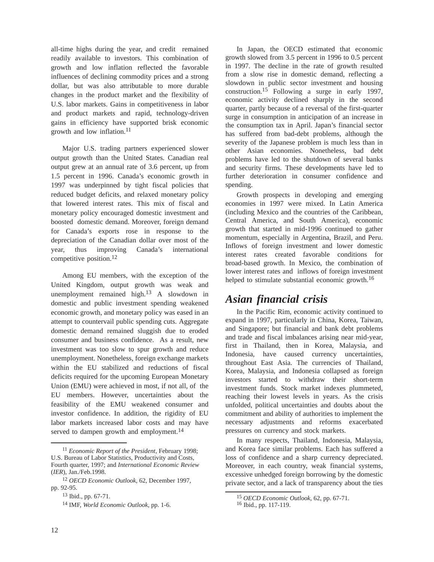all-time highs during the year, and credit remained readily available to investors. This combination of growth and low inflation reflected the favorable influences of declining commodity prices and a strong dollar, but was also attributable to more durable changes in the product market and the flexibility of U.S. labor markets. Gains in competitiveness in labor and product markets and rapid, technology-driven gains in efficiency have supported brisk economic growth and low inflation. $11$ 

Major U.S. trading partners experienced slower output growth than the United States. Canadian real output grew at an annual rate of 3.6 percent, up from 1.5 percent in 1996. Canada's economic growth in 1997 was underpinned by tight fiscal policies that reduced budget deficits, and relaxed monetary policy that lowered interest rates. This mix of fiscal and monetary policy encouraged domestic investment and boosted domestic demand. Moreover, foreign demand for Canada's exports rose in response to the depreciation of the Canadian dollar over most of the year, thus improving Canada's international competitive position.12

Among EU members, with the exception of the United Kingdom, output growth was weak and unemployment remained high.<sup>13</sup> A slowdown in domestic and public investment spending weakened economic growth, and monetary policy was eased in an attempt to countervail public spending cuts. Aggregate domestic demand remained sluggish due to eroded consumer and business confidence. As a result, new investment was too slow to spur growth and reduce unemployment. Nonetheless, foreign exchange markets within the EU stabilized and reductions of fiscal deficits required for the upcoming European Monetary Union (EMU) were achieved in most, if not all, of the EU members. However, uncertainties about the feasibility of the EMU weakened consumer and investor confidence. In addition, the rigidity of EU labor markets increased labor costs and may have served to dampen growth and employment.<sup>14</sup>

In Japan, the OECD estimated that economic growth slowed from 3.5 percent in 1996 to 0.5 percent in 1997. The decline in the rate of growth resulted from a slow rise in domestic demand, reflecting a slowdown in public sector investment and housing construction.15 Following a surge in early 1997, economic activity declined sharply in the second quarter, partly because of a reversal of the first-quarter surge in consumption in anticipation of an increase in the consumption tax in April. Japan's financial sector has suffered from bad-debt problems, although the severity of the Japanese problem is much less than in other Asian economies. Nonetheless, bad debt problems have led to the shutdown of several banks and security firms. These developments have led to further deterioration in consumer confidence and spending.

Growth prospects in developing and emerging economies in 1997 were mixed. In Latin America (including Mexico and the countries of the Caribbean, Central America, and South America), economic growth that started in mid-1996 continued to gather momentum, especially in Argentina, Brazil, and Peru. Inflows of foreign investment and lower domestic interest rates created favorable conditions for broad-based growth. In Mexico, the combination of lower interest rates and inflows of foreign investment helped to stimulate substantial economic growth.<sup>16</sup>

## *Asian financial crisis*

In the Pacific Rim, economic activity continued to expand in 1997, particularly in China, Korea, Taiwan, and Singapore; but financial and bank debt problems and trade and fiscal imbalances arising near mid-year, first in Thailand, then in Korea, Malaysia, and Indonesia, have caused currency uncertainties, throughout East Asia. The currencies of Thailand, Korea, Malaysia, and Indonesia collapsed as foreign investors started to withdraw their short-term investment funds. Stock market indexes plummeted, reaching their lowest levels in years. As the crisis unfolded, political uncertainties and doubts about the commitment and ability of authorities to implement the necessary adjustments and reforms exacerbated pressures on currency and stock markets.

In many respects, Thailand, Indonesia, Malaysia, and Korea face similar problems. Each has suffered a loss of confidence and a sharp currency depreciated. Moreover, in each country, weak financial systems, excessive unhedged foreign borrowing by the domestic private sector, and a lack of transparency about the ties

<sup>11</sup> *Economic Report of the President*, February 1998; U.S. Bureau of Labor Statistics, Productivity and Costs, Fourth quarter, 1997; and *International Economic Review* (*IER*), Jan./Feb.1998.

<sup>12</sup> *OECD Economic Outlook*, 62, December 1997, pp. 92-95.

<sup>13</sup> Ibid., pp. 67-71.

<sup>14</sup> IMF, *World Economic Outlook*, pp. 1-6.

<sup>15</sup> *OECD Economic Outlook*, 62, pp. 67-71. 16 Ibid., pp. 117-119.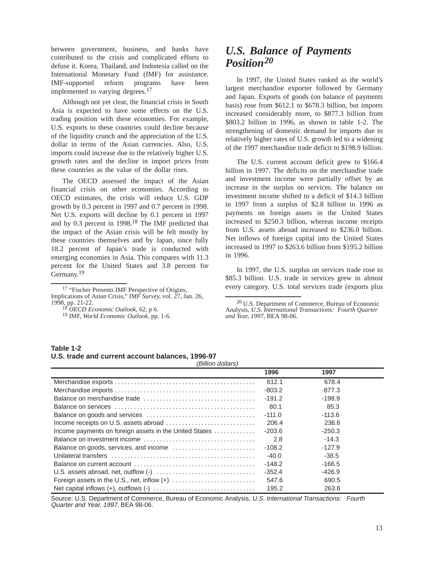between government, business, and banks have contributed to the crisis and complicated efforts to defuse it. Korea, Thailand, and Indonesia called on the International Monetary Fund (IMF) for assistance. IMF-supported reform programs have been implemented to varying degrees.17

Although not yet clear, the financial crisis in South Asia is expected to have some effects on the U.S. trading position with these economies. For example, U.S. exports to these countries could decline because of the liquidity crunch and the appreciation of the U.S. dollar in terms of the Asian currencies. Also, U.S. imports could increase due to the relatively higher U.S. growth rates and the decline in import prices from these countries as the value of the dollar rises.

The OECD assessed the impact of the Asian financial crisis on other economies. According to OECD estimates, the crisis will reduce U.S. GDP growth by 0.3 percent in 1997 and 0.7 percent in 1998. Net U.S. exports will decline by 0.1 percent in 1997 and by 0.3 percent in 1998.18 The IMF predicted that the impact of the Asian crisis will be felt mostly by these countries themselves and by Japan, since fully 18.2 percent of Japan's trade is conducted with emerging economies in Asia. This compares with 11.3 percent for the United States and 3.8 percent for Germany.19

17 "Fischer Presents IMF Perspective of Origins, Implications of Asian Crisis," *IMF Survey*, vol. 27, Jan. 26, 1998, pp. 21-22.

<sup>18</sup> *OECD Economic Outlook*, 62, p 6. 19 IMF, *World Economic Outlook*, pp. 1-6.

*U.S. Balance of Payments Position<sup>20</sup>*

In 1997, the United States ranked as the world's largest merchandise exporter followed by Germany and Japan. Exports of goods (on balance of payments basis) rose from \$612.1 to \$678.3 billion, but imports increased considerably more, to \$877.3 billion from \$803.2 billion in 1996, as shown in table 1-2. The strengthening of domestic demand for imports due to relatively higher rates of U.S. growth led to a widening of the 1997 merchandise trade deficit to \$198.9 billion.

The U.S. current account deficit grew to \$166.4 billion in 1997. The deficits on the merchandise trade and investment income were partially offset by an increase in the surplus on services. The balance on investment income shifted to a deficit of \$14.3 billion in 1997 from a surplus of \$2.8 billion in 1996 as payments on foreign assets in the United States increased to \$250.3 billion, whereas income receipts from U.S. assets abroad increased to \$236.0 billion. Net inflows of foreign capital into the United States increased in 1997 to \$263.6 billion from \$195.2 billion in 1996.

In 1997, the U.S. surplus on services trade rose to \$85.3 billion. U.S. trade in services grew in almost every category. U.S. total services trade (exports plus

#### **Table 1-2 U.S. trade and current account balances, 1996-97**

| (Billion dollars)                                      |          |          |  |
|--------------------------------------------------------|----------|----------|--|
|                                                        | 1996     | 1997     |  |
|                                                        | 612.1    | 678.4    |  |
|                                                        | $-803.2$ | $-877.3$ |  |
|                                                        | $-191.2$ | $-198.9$ |  |
|                                                        | 80.1     | 85.3     |  |
|                                                        | $-111.0$ | $-113.6$ |  |
|                                                        | 206.4    | 236.6    |  |
| Income payments on foreign assets in the United States | $-203.6$ | $-250.3$ |  |
|                                                        | 2.8      | $-14.3$  |  |
| Balance on goods, services, and income                 | $-108.2$ | $-127.9$ |  |
|                                                        | $-40.0$  | $-38.5$  |  |
|                                                        | $-148.2$ | $-166.5$ |  |
|                                                        | $-352.4$ | $-426.9$ |  |
|                                                        | 547.6    | 690.5    |  |
|                                                        | 195.2    | 263.6    |  |

Source: U.S. Department of Commerce, Bureau of Economic Analysis, U.S. International Transactions: Fourth Quarter and Year, 1997, BEA 98-06.

<sup>20</sup> U.S. Department of Commerce, Bureau of Economic Analysis, *U.S. International Transactions: Fourth Quarter and Year, 1997*, BEA 98-06.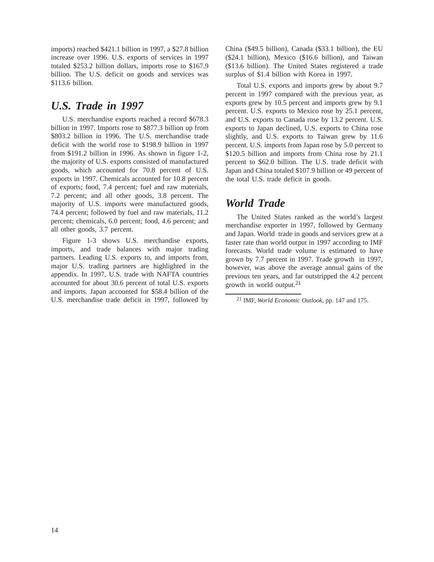imports) reached \$421.1 billion in 1997, a \$27.8 billion increase over 1996. U.S. exports of services in 1997 totaled \$253.2 billion dollars, imports rose to \$167.9 billion. The U.S. deficit on goods and services was \$113.6 billion.

## *U.S. Trade in 1997*

U.S. merchandise exports reached a record \$678.3 billion in 1997. Imports rose to \$877.3 billion up from \$803.2 billion in 1996. The U.S. merchandise trade deficit with the world rose to \$198.9 billion in 1997 from \$191.2 billion in 1996. As shown in figure 1-2, the majority of U.S. exports consisted of manufactured goods, which accounted for 70.8 percent of U.S. exports in 1997. Chemicals accounted for 10.8 percent of exports; food, 7.4 percent; fuel and raw materials, 7.2 percent; and all other goods, 3.8 percent. The majority of U.S. imports were manufactured goods, 74.4 percent; followed by fuel and raw materials, 11.2 percent; chemicals, 6.0 percent; food, 4.6 percent; and all other goods, 3.7 percent.

Figure 1-3 shows U.S. merchandise exports, imports, and trade balances with major trading partners. Leading U.S. exports to, and imports from, major U.S. trading partners are highlighted in the appendix. In 1997, U.S. trade with NAFTA countries accounted for about 30.6 percent of total U.S. exports and imports. Japan accounted for \$58.4 billion of the U.S. merchandise trade deficit in 1997, followed by

China (\$49.5 billion), Canada (\$33.1 billion), the EU (\$24.1 billion), Mexico (\$16.6 billion), and Taiwan (\$13.6 billion). The United States registered a trade surplus of \$1.4 billion with Korea in 1997.

Total U.S. exports and imports grew by about 9.7 percent in 1997 compared with the previous year, as exports grew by 10.5 percent and imports grew by 9.1 percent. U.S. exports to Mexico rose by 25.1 percent, and U.S. exports to Canada rose by 13.2 percent. U.S. exports to Japan declined, U.S. exports to China rose slightly, and U.S. exports to Taiwan grew by 11.6 percent. U.S. imports from Japan rose by 5.0 percent to \$120.5 billion and imports from China rose by 21.1 percent to \$62.0 billion. The U.S. trade deficit with Japan and China totaled \$107.9 billion or 49 percent of the total U.S. trade deficit in goods.

## *World Trade*

The United States ranked as the world's largest merchandise exporter in 1997, followed by Germany and Japan. World trade in goods and services grew at a faster rate than world output in 1997 according to IMF forecasts. World trade volume is estimated to have grown by 7.7 percent in 1997. Trade growth in 1997, however, was above the average annual gains of the previous ten years, and far outstripped the 4.2 percent growth in world output.21

<sup>21</sup> IMF, *World Economic Outlook*, pp. 147 and 175.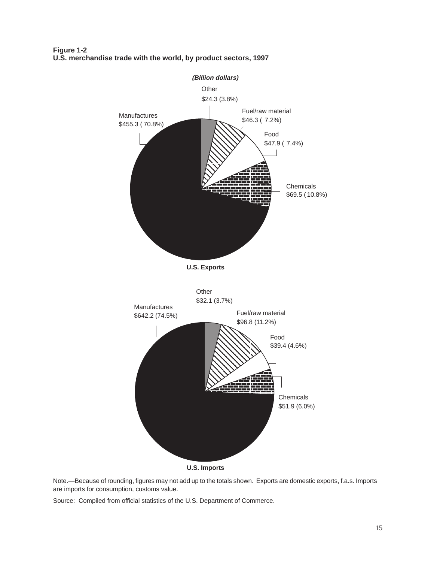



**U.S. Imports**

Note.—Because of rounding, figures may not add up to the totals shown. Exports are domestic exports, f.a.s. Imports are imports for consumption, customs value.

Source: Compiled from official statistics of the U.S. Department of Commerce.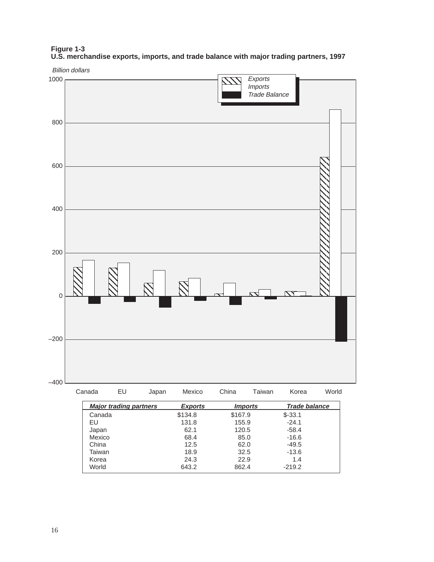### **Figure 1-3 U.S. merchandise exports, imports, and trade balance with major trading partners, 1997**

Billion dollars



| <b>Major trading partners</b> | <b>Exports</b> | <i>Imports</i> | Trade balance |
|-------------------------------|----------------|----------------|---------------|
| Canada                        | \$134.8        | \$167.9        | $$ -33.1$     |
| EU                            | 131.8          | 155.9          | $-24.1$       |
| Japan                         | 62.1           | 120.5          | $-58.4$       |
| Mexico                        | 68.4           | 85.0           | $-16.6$       |
| China                         | 12.5           | 62.0           | $-49.5$       |
| Taiwan                        | 18.9           | 32.5           | $-13.6$       |
| Korea                         | 24.3           | 22.9           | 1.4           |
| World                         | 643.2          | 862.4          | $-219.2$      |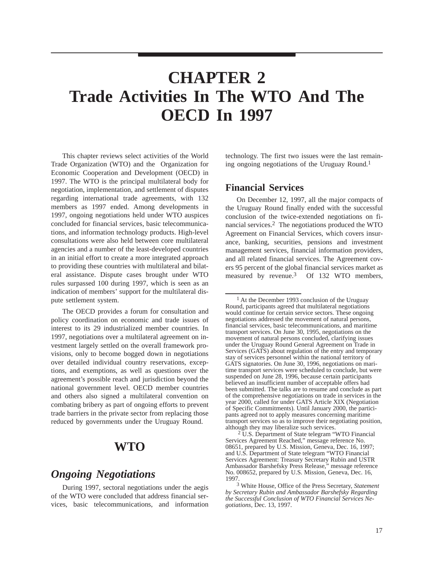# **CHAPTER 2 Trade Activities In The WTO And The OECD In 1997**

This chapter reviews select activities of the World Trade Organization (WTO) and the Organization for Economic Cooperation and Development (OECD) in 1997. The WTO is the principal multilateral body for negotiation, implementation, and settlement of disputes regarding international trade agreements, with 132 members as 1997 ended. Among developments in 1997, ongoing negotiations held under WTO auspices concluded for financial services, basic telecommunications, and information technology products. High-level consultations were also held between core multilateral agencies and a number of the least-developed countries in an initial effort to create a more integrated approach to providing these countries with multilateral and bilateral assistance. Dispute cases brought under WTO rules surpassed 100 during 1997, which is seen as an indication of members' support for the multilateral dispute settlement system.

The OECD provides a forum for consultation and policy coordination on economic and trade issues of interest to its 29 industrialized member countries. In 1997, negotiations over a multilateral agreement on investment largely settled on the overall framework provisions, only to become bogged down in negotiations over detailed individual country reservations, exceptions, and exemptions, as well as questions over the agreement's possible reach and jurisdiction beyond the national government level. OECD member countries and others also signed a multilateral convention on combating bribery as part of ongoing efforts to prevent trade barriers in the private sector from replacing those reduced by governments under the Uruguay Round.

## **WTO**

## *Ongoing Negotiations*

During 1997, sectoral negotiations under the aegis of the WTO were concluded that address financial services, basic telecommunications, and information technology. The first two issues were the last remaining ongoing negotiations of the Uruguay Round.<sup>1</sup>

### **Financial Services**

On December 12, 1997, all the major compacts of the Uruguay Round finally ended with the successful conclusion of the twice-extended negotiations on financial services.2 The negotiations produced the WTO Agreement on Financial Services, which covers insurance, banking, securities, pensions and investment management services, financial information providers, and all related financial services. The Agreement covers 95 percent of the global financial services market as measured by revenue.<sup>3</sup> Of 132 WTO members,

<sup>&</sup>lt;sup>1</sup> At the December 1993 conclusion of the Uruguay Round, participants agreed that multilateral negotiations would continue for certain service sectors. These ongoing negotiations addressed the movement of natural persons, financial services, basic telecommunications, and maritime transport services. On June 30, 1995, negotiations on the movement of natural persons concluded, clarifying issues under the Uruguay Round General Agreement on Trade in Services (GATS) about regulation of the entry and temporary stay of services personnel within the national territory of GATS signatories. On June 30, 1996, negotiations on maritime transport services were scheduled to conclude, but were suspended on June 28, 1996, because certain participants believed an insufficient number of acceptable offers had been submitted. The talks are to resume and conclude as part of the comprehensive negotiations on trade in services in the year 2000, called for under GATS Article XIX (Negotiation of Specific Commitments). Until January 2000, the participants agreed not to apply measures concerning maritime transport services so as to improve their negotiating position, although they may liberalize such services.

<sup>2</sup> U.S. Department of State telegram "WTO Financial Services Agreement Reached," message reference No. 08651, prepared by U.S. Mission, Geneva, Dec. 16, 1997; and U.S. Department of State telegram "WTO Financial Services Agreement: Treasury Secretary Rubin and USTR Ambassador Barshefsky Press Release," message reference No. 008652, prepared by U.S. Mission, Geneva, Dec. 16, 1997.

<sup>3</sup> White House, Office of the Press Secretary, *Statement by Secretary Rubin and Ambassador Barshefsky Regarding the Successful Conclusion of WTO Financial Services Negotiations*, Dec. 13, 1997.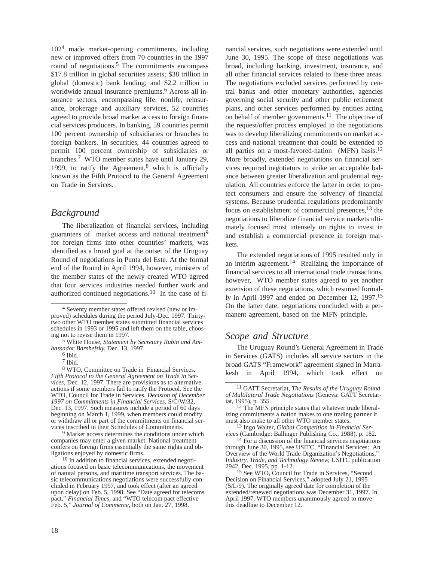1024 made market-opening commitments, including new or improved offers from 70 countries in the 1997 round of negotiations.<sup>5</sup> The commitments encompass \$17.8 trillion in global securities assets; \$38 trillion in global (domestic) bank lending; and \$2.2 trillion in worldwide annual insurance premiums.<sup>6</sup> Across all insurance sectors, encompassing life, nonlife, reinsurance, brokerage and auxiliary services, 52 countries agreed to provide broad market access to foreign financial services producers. In banking, 59 countries permit 100 percent ownership of subsidiaries or branches to foreign bankers. In securities, 44 countries agreed to permit 100 percent ownership of subsidiaries or branches.7 WTO member states have until January 29, 1999, to ratify the Agreement, $8$  which is officially known as the Fifth Protocol to the General Agreement on Trade in Services.

### *Background*

The liberalization of financial services, including guarantees of market access and national treatment<sup>9</sup> for foreign firms into other countries' markets, was identified as a broad goal at the outset of the Uruguay Round of negotiations in Punta del Este. At the formal end of the Round in April 1994, however, ministers of the member states of the newly created WTO agreed that four services industries needed further work and authorized continued negotiations.<sup>10</sup> In the case of fi-

8 WTO, Committee on Trade in Financial Services, *Fifth Protocol to the General Agreement on Trade in Services*, Dec. 12, 1997. There are provisions as to alternative actions if some members fail to ratify the Protocol. See the WTO, Council for Trade in Services, *Decision of December 1997 on Commitments in Financial Services*, S/C/W/32, Dec. 13, 1997. Such measures include a period of 60 days beginning on March 1, 1999, when members could modify or withdraw all or part of the commitments on financial services inscribed in their Schedules of Commitments.

<sup>9</sup> Market access determines the conditions under which companies may enter a given market. National treatment confers on foreign firms essentially the same rights and obligations enjoyed by domestic firms.

10 In addition to financial services, extended negotiations focused on basic telecommunications, the movement of natural persons, and maritime transport services. The basic telecommunications negotiations were successfully concluded in February 1997, and took effect (after an agreed upon delay) on Feb. 5, 1998. See "Date agreed for telecoms pact," *Financial Times*, and "WTO telecom pact effective Feb. 5," *Journal of Commerce*, both on Jan. 27, 1998.

nancial services, such negotiations were extended until June 30, 1995. The scope of these negotiations was broad, including banking, investment, insurance, and all other financial services related to these three areas. The negotiations excluded services performed by central banks and other monetary authorities, agencies governing social security and other public retirement plans, and other services performed by entities acting on behalf of member governments.<sup>11</sup> The objective of the request/offer process employed in the negotiations was to develop liberalizing commitments on market access and national treatment that could be extended to all parties on a most-favored-nation (MFN) basis.<sup>12</sup> More broadly, extended negotiations on financial services required negotiators to strike an acceptable balance between greater liberalization and prudential regulation. All countries enforce the latter in order to protect consumers and ensure the solvency of financial systems. Because prudential regulations predominantly focus on establishment of commercial presences, $^{13}$  the negotiations to liberalize financial service markets ultimately focused most intensely on rights to invest in and establish a commercial presence in foreign markets.

The extended negotiations of 1995 resulted only in an interim agreement.<sup>14</sup> Realizing the importance of financial services to all international trade transactions, however, WTO member states agreed to yet another extension of these negotiations, which resumed formally in April 1997 and ended on December 12, 1997.15 On the latter date, negotiations concluded with a permanent agreement, based on the MFN principle.

### *Scope and Structure*

The Uruguay Round's General Agreement in Trade in Services (GATS) includes all service sectors in the broad GATS "Framework" agreement signed in Marrakesh in April 1994, which took effect on

<sup>4</sup> Seventy member states offered revised (new or improved) schedules during the period July-Dec. 1997. Thirtytwo other WTO member states submitted financial services schedules in 1993 or 1995 and left them on the table, choosing not to revise them in 1997.

<sup>5</sup> White House, *Statement by Secretary Rubin and Ambassador Barshefsky*, Dec. 13, 1997.

<sup>6</sup> Ibid.

<sup>7</sup> Ibid.

<sup>11</sup> GATT Secretariat, *The Results of the Uruguay Round of Multilateral Trade Negotiations* (Geneva: GATT Secretariat, 1995), p. 355.

<sup>&</sup>lt;sup>12</sup> The MFN principle states that whatever trade liberalizing commitments a nation makes to one trading partner it must also make to all other WTO member states.

<sup>13</sup> Ingo Walter, *Global Competition in Financial Services* (Cambridge: Ballinger Publishing Co., 1988), p. 182.

 $14$  For a discussion of the financial services negotiations through June 30, 1995, see USITC, "Financial Services: An Overview of the World Trade Organization's Negotiations," *Industry, Trade, and Technology Review*, USITC publication 2942, Dec. 1995, pp. 1-12.

<sup>&</sup>lt;sup>15</sup> See WTO, Council for Trade in Services, "Second Decision on Financial Services," adopted July 21, 1995 (S/L/9). The originally agreed date for completion of the extended/renewed negotiations was December 31, 1997. In April 1997, WTO members unanimously agreed to move this deadline to December 12.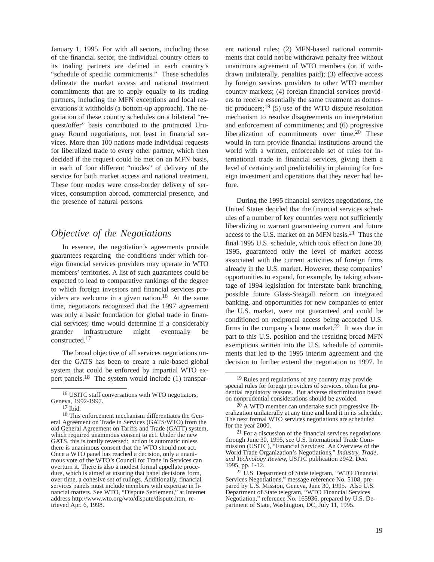January 1, 1995. For with all sectors, including those of the financial sector, the individual country offers to its trading partners are defined in each country's "schedule of specific commitments." These schedules delineate the market access and national treatment commitments that are to apply equally to its trading partners, including the MFN exceptions and local reservations it withholds (a bottom-up approach). The negotiation of these country schedules on a bilateral "request/offer" basis contributed to the protracted Uruguay Round negotiations, not least in financial services. More than 100 nations made individual requests for liberalized trade to every other partner, which then decided if the request could be met on an MFN basis, in each of four different "modes" of delivery of the service for both market access and national treatment. These four modes were cross-border delivery of services, consumption abroad, commercial presence, and the presence of natural persons.

### *Objective of the Negotiations*

In essence, the negotiation's agreements provide guarantees regarding the conditions under which foreign financial services providers may operate in WTO members' territories. A list of such guarantees could be expected to lead to comparative rankings of the degree to which foreign investors and financial services providers are welcome in a given nation.<sup>16</sup> At the same time, negotiators recognized that the 1997 agreement was only a basic foundation for global trade in financial services; time would determine if a considerably grander infrastructure might eventually be constructed.17

The broad objective of all services negotiations under the GATS has been to create a rule-based global system that could be enforced by impartial WTO expert panels.18 The system would include (1) transpar-

ent national rules; (2) MFN-based national commitments that could not be withdrawn penalty free without unanimous agreement of WTO members (or, if withdrawn unilaterally, penalties paid); (3) effective access by foreign services providers to other WTO member country markets; (4) foreign financial services providers to receive essentially the same treatment as domestic producers;<sup>19</sup> (5) use of the WTO dispute resolution mechanism to resolve disagreements on interpretation and enforcement of commitments; and (6) progressive liberalization of commitments over time.<sup>20</sup> These would in turn provide financial institutions around the world with a written, enforceable set of rules for international trade in financial services, giving them a level of certainty and predictability in planning for foreign investment and operations that they never had before.

During the 1995 financial services negotiations, the United States decided that the financial services schedules of a number of key countries were not sufficiently liberalizing to warrant guaranteeing current and future access to the U.S. market on an MFN basis.21 Thus the final 1995 U.S. schedule, which took effect on June 30, 1995, guaranteed only the level of market access associated with the current activities of foreign firms already in the U.S. market. However, these companies' opportunities to expand, for example, by taking advantage of 1994 legislation for interstate bank branching, possible future Glass-Steagall reform on integrated banking, and opportunities for new companies to enter the U.S. market, were not guaranteed and could be conditioned on reciprocal access being accorded U.S. firms in the company's home market.<sup>22</sup> It was due in part to this U.S. position and the resulting broad MFN exemptions written into the U.S. schedule of commitments that led to the 1995 interim agreement and the decision to further extend the negotiation to 1997. In

<sup>16</sup> USITC staff conversations with WTO negotiators, Geneva, 1992-1997.

<sup>17</sup> Ibid.

<sup>18</sup> This enforcement mechanism differentiates the General Agreement on Trade in Services (GATS/WTO) from the old General Agreement on Tariffs and Trade (GATT) system, which required unanimous consent to act. Under the new GATS, this is totally reversed: action is automatic unless there is unanimous consent that the WTO should not act. Once a WTO panel has reached a decision, only a unanimous vote of the WTO's Council for Trade in Services can overturn it. There is also a modest formal appellate procedure, which is aimed at insuring that panel decisions form, over time, a cohesive set of rulings. Additionally, financial services panels must include members with expertise in financial matters. See WTO, "Dispute Settlement," at Internet address http://www.wto.org/wto/dispute/dispute.htm, retrieved Apr. 6, 1998.

<sup>19</sup> Rules and regulations of any country may provide special rules for foreign providers of services, often for prudential regulatory reasons. But adverse discrimination based on nonprudential considerations should be avoided.

<sup>20</sup> A WTO member can undertake such progressive liberalization unilaterally at any time and bind it in its schedule. The next formal WTO services negotiations are scheduled for the year 2000.

<sup>21</sup> For a discussion of the financial services negotiations through June 30, 1995, see U.S. International Trade Commission (USITC), "Financial Services: An Overview of the World Trade Organization's Negotiations," *Industry, Trade, and Technology Review*, USITC publication 2942, Dec. 1995, pp. 1-12.

<sup>22</sup> U.S. Department of State telegram, "WTO Financial Services Negotiations," message reference No. 5108, prepared by U.S. Mission, Geneva, June 30, 1995. Also U.S. Department of State telegram, "WTO Financial Services Negotiation," reference No. 165936, prepared by U.S. Department of State, Washington, DC, July 11, 1995.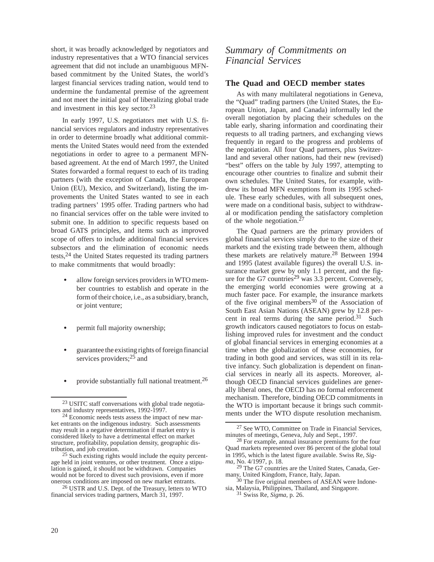short, it was broadly acknowledged by negotiators and industry representatives that a WTO financial services agreement that did not include an unambiguous MFNbased commitment by the United States, the world's largest financial services trading nation, would tend to undermine the fundamental premise of the agreement and not meet the initial goal of liberalizing global trade and investment in this key sector.23

In early 1997, U.S. negotiators met with U.S. financial services regulators and industry representatives in order to determine broadly what additional commitments the United States would need from the extended negotiations in order to agree to a permanent MFNbased agreement. At the end of March 1997, the United States forwarded a formal request to each of its trading partners (with the exception of Canada, the European Union (EU), Mexico, and Switzerland), listing the improvements the United States wanted to see in each trading partners' 1995 offer. Trading partners who had no financial services offer on the table were invited to submit one. In addition to specific requests based on broad GATS principles, and items such as improved scope of offers to include additional financial services subsectors and the elimination of economic needs tests,24 the United States requested its trading partners to make commitments that would broadly:

- allow foreign services providers in WTO member countries to establish and operate in the form of their choice, i.e., as a subsidiary, branch, or joint venture;
- permit full majority ownership;
- $\bullet$  guarantee the existing rights of foreign financial services providers;<sup>25</sup> and
- $\bullet$ provide substantially full national treatment.26

*Summary of Commitments on Financial Services*

### **The Quad and OECD member states**

As with many multilateral negotiations in Geneva, the "Quad" trading partners (the United States, the European Union, Japan, and Canada) informally led the overall negotiation by placing their schedules on the table early, sharing information and coordinating their requests to all trading partners, and exchanging views frequently in regard to the progress and problems of the negotiation. All four Quad partners, plus Switzerland and several other nations, had their new (revised) "best" offers on the table by July 1997, attempting to encourage other countries to finalize and submit their own schedules. The United States, for example, withdrew its broad MFN exemptions from its 1995 schedule. These early schedules, with all subsequent ones, were made on a conditional basis, subject to withdrawal or modification pending the satisfactory completion of the whole negotiation.<sup>27</sup>

The Quad partners are the primary providers of global financial services simply due to the size of their markets and the existing trade between them, although these markets are relatively mature.<sup>28</sup> Between 1994 and 1995 (latest available figures) the overall U.S. insurance market grew by only 1.1 percent, and the figure for the G7 countries<sup>29</sup> was  $3.3$  percent. Conversely, the emerging world economies were growing at a much faster pace. For example, the insurance markets of the five original members $30$  of the Association of South East Asian Nations (ASEAN) grew by 12.8 percent in real terms during the same period.<sup>31</sup> Such growth indicators caused negotiators to focus on establishing improved rules for investment and the conduct of global financial services in emerging economies at a time when the globalization of these economies, for trading in both good and services, was still in its relative infancy. Such globalization is dependent on financial services in nearly all its aspects. Moreover, although OECD financial services guidelines are generally liberal ones, the OECD has no formal enforcement mechanism. Therefore, binding OECD commitments in the WTO is important because it brings such commitments under the WTO dispute resolution mechanism.

<sup>23</sup> USITC staff conversations with global trade negotiators and industry representatives, 1992-1997.

<sup>&</sup>lt;sup>24</sup> Economic needs tests assess the impact of new market entrants on the indigenous industry. Such assessments may result in a negative determination if market entry is considered likely to have a detrimental effect on market structure, profitability, population density, geographic distribution, and job creation.

<sup>25</sup> Such existing rights would include the equity percentage held in joint ventures, or other treatment. Once a stipulation is gained, it should not be withdrawn. Companies would not be forced to divest such provisions, even if more onerous conditions are imposed on new market entrants.

<sup>26</sup> USTR and U.S. Dept. of the Treasury, letters to WTO financial services trading partners, March 31, 1997.

<sup>27</sup> See WTO, Committee on Trade in Financial Services, minutes of meetings, Geneva, July and Sept., 1997.

<sup>28</sup> For example, annual insurance premiums for the four Quad markets represented over 86 percent of the global total in 1995, which is the latest figure available. Swiss Re, *Sigma*, No. 4/1997, p. 18.

<sup>29</sup> The G7 countries are the United States, Canada, Germany, United Kingdom, France, Italy, Japan.

 $30$  The five original members of ASEAN were Indonesia, Malaysia, Philippines, Thailand, and Singapore.

<sup>31</sup> Swiss Re, *Sigma*, p. 26.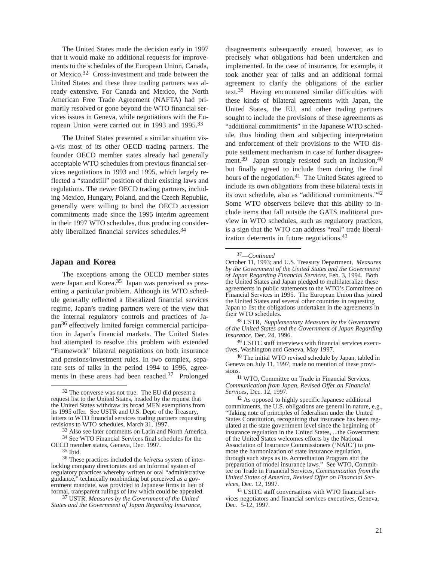The United States made the decision early in 1997 that it would make no additional requests for improvements to the schedules of the European Union, Canada, or Mexico.32 Cross-investment and trade between the United States and these three trading partners was already extensive. For Canada and Mexico, the North American Free Trade Agreement (NAFTA) had primarily resolved or gone beyond the WTO financial services issues in Geneva, while negotiations with the European Union were carried out in 1993 and 1995.33

The United States presented a similar situation visa-vis most of its other OECD trading partners. The founder OECD member states already had generally acceptable WTO schedules from previous financial services negotiations in 1993 and 1995, which largely reflected a "standstill" position of their existing laws and regulations. The newer OECD trading partners, including Mexico, Hungary, Poland, and the Czech Republic, generally were willing to bind the OECD accession commitments made since the 1995 interim agreement in their 1997 WTO schedules, thus producing considerably liberalized financial services schedules.34

#### **Japan and Korea**

The exceptions among the OECD member states were Japan and Korea.<sup>35</sup> Japan was perceived as presenting a particular problem. Although its WTO schedule generally reflected a liberalized financial services regime, Japan's trading partners were of the view that the internal regulatory controls and practices of Japan36 effectively limited foreign commercial participation in Japan's financial markets. The United States had attempted to resolve this problem with extended "Framework" bilateral negotiations on both insurance and pensions/investment rules. In two complex, separate sets of talks in the period 1994 to 1996, agreements in these areas had been reached.<sup>37</sup> Prolonged

OECD member states, Geneva, Dec. 1997.

35 Ibid.

disagreements subsequently ensued, however, as to precisely what obligations had been undertaken and implemented. In the case of insurance, for example, it took another year of talks and an additional formal agreement to clarify the obligations of the earlier text.38 Having encountered similar difficulties with these kinds of bilateral agreements with Japan, the United States, the EU, and other trading partners sought to include the provisions of these agreements as "additional commitments" in the Japanese WTO schedule, thus binding them and subjecting interpretation and enforcement of their provisions to the WTO dispute settlement mechanism in case of further disagreement.<sup>39</sup> Japan strongly resisted such an inclusion,<sup>40</sup> but finally agreed to include them during the final hours of the negotiation.<sup>41</sup> The United States agreed to include its own obligations from these bilateral texts in its own schedule, also as "additional commitments."42 Some WTO observers believe that this ability to include items that fall outside the GATS traditional purview in WTO schedules, such as regulatory practices, is a sign that the WTO can address "real" trade liberalization deterrents in future negotiations.<sup>43</sup>

<sup>32</sup> The converse was not true. The EU did present a request list to the United States, headed by the request that the United States withdraw its broad MFN exemptions from its 1995 offer. See USTR and U.S. Dept. of the Treasury, letters to WTO financial services trading partners requesting revisions to WTO schedules, March 31, 1997.

<sup>33</sup> Also see later comments on Latin and North America. 34 See WTO Financial Services final schedules for the

<sup>36</sup> These practices included the *keiretsu* system of interlocking company directorates and an informal system of regulatory practices whereby written or oral "administrative guidance," technically nonbinding but perceived as a government mandate, was provided to Japanese firms in lieu of formal, transparent rulings of law which could be appealed.

<sup>37</sup> USTR, *Measures by the Government of the United States and the Government of Japan Regarding Insurance*,

<sup>37—</sup>*Continued*

October 11, 1993; and U.S. Treasury Department, *Measures by the Government of the United States and the Government of Japan Regarding Financial Services*, Feb. 3, 1994. Both the United States and Japan pledged to multilateralize these agreements in public statements to the WTO's Committee on Financial Services in 1995. The European Union thus joined the United States and several other countries in requesting Japan to list the obligations undertaken in the agreements in their WTO schedules.

<sup>38</sup> USTR, *Supplementary Measures by the Government of the United States and the Government of Japan Regarding Insurance*, Dec. 24, 1996.

<sup>39</sup> USITC staff interviews with financial services executives, Washington and Geneva, May 1997.

<sup>40</sup> The initial WTO revised schedule by Japan, tabled in Geneva on July 11, 1997, made no mention of these provisions.

<sup>41</sup> WTO, Committee on Trade in Financial Services, *Communication from Japan, Revised Offer on Financial Services*, Dec. 12, 1997.

 $42$  As opposed to highly specific Japanese additional commitments, the U.S. obligations are general in nature, e.g., "Taking note of principles of federalism under the United States Constitution, recognizing that insurance has been regulated at the state government level since the beginning of insurance regulation in the United States, ...the Government of the United States welcomes efforts by the National Association of Insurance Commissioners ('NAIC') to promote the harmonization of state insurance regulation, through such steps as its Accreditation Program and the preparation of model insurance laws." See WTO, Committee on Trade in Financial Services, *Communication from the United States of America, Revised Offer on Financial Services*, Dec. 12, 1997.

<sup>43</sup> USITC staff conversations with WTO financial services negotiators and financial services executives, Geneva, Dec. 5-12, 1997.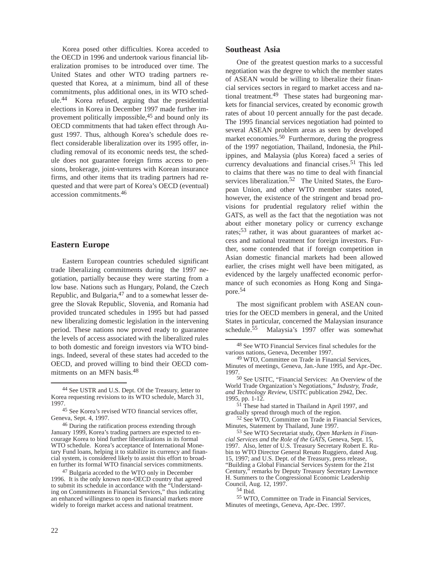Korea posed other difficulties. Korea acceded to the OECD in 1996 and undertook various financial liberalization promises to be introduced over time. The United States and other WTO trading partners requested that Korea, at a minimum, bind all of these commitments, plus additional ones, in its WTO schedule.44 Korea refused, arguing that the presidential elections in Korea in December 1997 made further improvement politically impossible,45 and bound only its OECD commitments that had taken effect through August 1997. Thus, although Korea's schedule does reflect considerable liberalization over its 1995 offer, including removal of its economic needs test, the schedule does not guarantee foreign firms access to pensions, brokerage, joint-ventures with Korean insurance firms, and other items that its trading partners had requested and that were part of Korea's OECD (eventual) accession commitments.46

#### **Eastern Europe**

Eastern European countries scheduled significant trade liberalizing commitments during the 1997 negotiation, partially because they were starting from a low base. Nations such as Hungary, Poland, the Czech Republic, and Bulgaria, $47$  and to a somewhat lesser degree the Slovak Republic, Slovenia, and Romania had provided truncated schedules in 1995 but had passed new liberalizing domestic legislation in the intervening period. These nations now proved ready to guarantee the levels of access associated with the liberalized rules to both domestic and foreign investors via WTO bindings. Indeed, several of these states had acceded to the OECD, and proved willing to bind their OECD commitments on an MFN basis.48

<sup>47</sup> Bulgaria acceded to the WTO only in December 1996. It is the only known non-OECD country that agreed to submit its schedule in accordance with the "Understanding on Commitments in Financial Services," thus indicating an enhanced willingness to open its financial markets more widely to foreign market access and national treatment.

#### **Southeast Asia**

One of the greatest question marks to a successful negotiation was the degree to which the member states of ASEAN would be willing to liberalize their financial services sectors in regard to market access and national treatment.49 These states had burgeoning markets for financial services, created by economic growth rates of about 10 percent annually for the past decade. The 1995 financial services negotiation had pointed to several ASEAN problem areas as seen by developed market economies.<sup>50</sup> Furthermore, during the progress of the 1997 negotiation, Thailand, Indonesia, the Philippines, and Malaysia (plus Korea) faced a series of currency devaluations and financial crises.<sup>51</sup> This led to claims that there was no time to deal with financial services liberalization.<sup>52</sup> The United States, the European Union, and other WTO member states noted, however, the existence of the stringent and broad provisions for prudential regulatory relief within the GATS, as well as the fact that the negotiation was not about either monetary policy or currency exchange rates;53 rather, it was about guarantees of market access and national treatment for foreign investors. Further, some contended that if foreign competition in Asian domestic financial markets had been allowed earlier, the crises might well have been mitigated, as evidenced by the largely unaffected economic performance of such economies as Hong Kong and Singapore.54

The most significant problem with ASEAN countries for the OECD members in general, and the United States in particular, concerned the Malaysian insurance schedule.55 Malaysia's 1997 offer was somewhat

52 See WTO, Committee on Trade in Financial Services, Minutes, Statement by Thailand, June 1997.

53 See WTO Secretariat study, *Open Markets in Financial Services and the Role of the GATS,* Geneva, Sept. 15, 1997. Also, letter of U.S. Treasury Secretary Robert E. Rubin to WTO Director General Renato Ruggiero, dated Aug. 15, 1997; and U.S. Dept. of the Treasury, press release, "Building a Global Financial Services System for the 21st Century," remarks by Deputy Treasury Secretary Lawrence H. Summers to the Congressional Economic Leadership Council, Aug. 12, 1997.

54 Ibid.

55 WTO, Committee on Trade in Financial Services, Minutes of meetings, Geneva, Apr.-Dec. 1997.

<sup>44</sup> See USTR and U.S. Dept. Of the Treasury, letter to Korea requesting revisions to its WTO schedule, March 31, 1997.

<sup>45</sup> See Korea's revised WTO financial services offer, Geneva, Sept. 4, 1997.

<sup>46</sup> During the ratification process extending through January 1999, Korea's trading partners are expected to encourage Korea to bind further liberalizations in its formal WTO schedule. Korea's acceptance of International Monetary Fund loans, helping it to stabilize its currency and financial system, is considered likely to assist this effort to broaden further its formal WTO financial services commitments.

<sup>48</sup> See WTO Financial Services final schedules for the various nations, Geneva, December 1997.

<sup>49</sup> WTO, Committee on Trade in Financial Services, Minutes of meetings, Geneva, Jan.-June 1995, and Apr.-Dec. 1997.

<sup>50</sup> See USITC, "Financial Services: An Overview of the World Trade Organization's Negotiations," *Industry, Trade, and Technology Review*, USITC publication 2942, Dec. 1995, pp. 1-12.

<sup>&</sup>lt;sup>51</sup> These had started in Thailand in April 1997, and gradually spread through much of the region.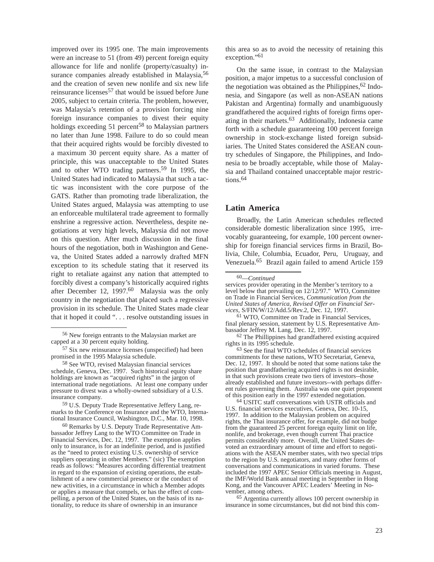improved over its 1995 one. The main improvements were an increase to 51 (from 49) percent foreign equity allowance for life and nonlife (property/casualty) insurance companies already established in Malaysia,<sup>56</sup> and the creation of seven new nonlife and six new life reinsurance licenses<sup>57</sup> that would be issued before June 2005, subject to certain criteria. The problem, however, was Malaysia's retention of a provision forcing nine foreign insurance companies to divest their equity holdings exceeding  $51$  percent<sup>58</sup> to Malaysian partners no later than June 1998. Failure to do so could mean that their acquired rights would be forcibly divested to a maximum 30 percent equity share. As a matter of principle, this was unacceptable to the United States and to other WTO trading partners.59 In 1995, the United States had indicated to Malaysia that such a tactic was inconsistent with the core purpose of the GATS. Rather than promoting trade liberalization, the United States argued, Malaysia was attempting to use an enforceable multilateral trade agreement to formally enshrine a regressive action. Nevertheless, despite negotiations at very high levels, Malaysia did not move on this question. After much discussion in the final hours of the negotiation, both in Washington and Geneva, the United States added a narrowly drafted MFN exception to its schedule stating that it reserved its right to retaliate against any nation that attempted to forcibly divest a company's historically acquired rights after December 12, 1997.<sup>60</sup> Malaysia was the only country in the negotiation that placed such a regressive provision in its schedule. The United States made clear that it hoped it could ". . . resolve outstanding issues in

59 U.S. Deputy Trade Representative Jeffery Lang, remarks to the Conference on Insurance and the WTO, International Insurance Council, Washington, D.C., Mar. 10, 1998.

60 Remarks by U.S. Deputy Trade Representative Ambassador Jeffrey Lang to the WTO Committee on Trade in Financial Services, Dec. 12, 1997. The exemption applies only to insurance, is for an indefinite period, and is justified as the "need to protect existing U.S. ownership of service suppliers operating in other Members." (sic) The exemption reads as follows: "Measures according differential treatment in regard to the expansion of existing operations, the establishment of a new commercial presence or the conduct of new activities, in a circumstance in which a Member adopts or applies a measure that compels, or has the effect of compelling, a person of the United States, on the basis of its nationality, to reduce its share of ownership in an insurance

this area so as to avoid the necessity of retaining this exception."<sup>61</sup>

On the same issue, in contrast to the Malaysian position, a major impetus to a successful conclusion of the negotiation was obtained as the Philippines,  $62$  Indonesia, and Singapore (as well as non-ASEAN nations Pakistan and Argentina) formally and unambiguously grandfathered the acquired rights of foreign firms operating in their markets.63 Additionally, Indonesia came forth with a schedule guaranteeing 100 percent foreign ownership in stock-exchange listed foreign subsidiaries. The United States considered the ASEAN country schedules of Singapore, the Philippines, and Indonesia to be broadly acceptable, while those of Malaysia and Thailand contained unacceptable major restrictions.<sup>64</sup>

#### **Latin America**

Broadly, the Latin American schedules reflected considerable domestic liberalization since 1995, irrevocably guaranteeing, for example, 100 percent ownership for foreign financial services firms in Brazil, Bolivia, Chile, Columbia, Ecuador, Peru, Uruguay, and Venezuela.65 Brazil again failed to amend Article 159

<sup>56</sup> New foreign entrants to the Malaysian market are capped at a 30 percent equity holding.

<sup>57</sup> Six new reinsurance licenses (unspecified) had been promised in the 1995 Malaysia schedule.

<sup>58</sup> See WTO, revised Malaysian financial services schedule, Geneva, Dec. 1997. Such historical equity share holdings are known as "acquired rights" in the jargon of international trade negotiations. At least one company under pressure to divest was a wholly-owned subsidiary of a U.S. insurance company.

<sup>60—</sup>*Continued*

services provider operating in the Member's territory to a level below that prevailing on 12/12/97." WTO, Committee on Trade in Financial Services, *Communication from the United States of America, Revised Offer on Financial Services*, S/FIN/W/12/Add.5/Rev.2, Dec. 12, 1997.

<sup>61</sup> WTO, Committee on Trade in Financial Services, final plenary session, statement by U.S. Representative Ambassador Jeffrey M. Lang, Dec. 12, 1997.

<sup>62</sup> The Phillippines had grandfathered existing acquired rights in its 1995 schedule.

<sup>63</sup> See the final WTO schedules of financial services commitments for these nations, WTO Secretariat, Geneva, Dec. 12, 1997. It should be noted that some nations take the position that grandfathering acquired rights is not desirable, in that such provisions create two tiers of investors--those already established and future investors--with perhaps different rules governing them. Australia was one quiet proponent of this position early in the 1997 extended negotiation.

<sup>64</sup> USITC staff conversations with USTR officials and U.S. financial services executives, Geneva, Dec. 10-15, 1997. In addition to the Malaysian problem on acquired rights, the Thai insurance offer, for example, did not budge from the guaranteed 25 percent foreign equity limit on life, nonlife, and brokerage, even though current Thai practice permits considerably more. Overall, the United States devoted an extraordinary amount of time and effort to negotiations with the ASEAN member states, with two special trips to the region by U.S. negotiators, and many other forms of conversations and communications in varied forums. These included the 1997 APEC Senior Officials meeting in August, the IMF/World Bank annual meeting in September in Hong Kong, and the Vancouver APEC Leaders' Meeting in November, among others.

<sup>65</sup> Argentina currently allows 100 percent ownership in insurance in some circumstances, but did not bind this com-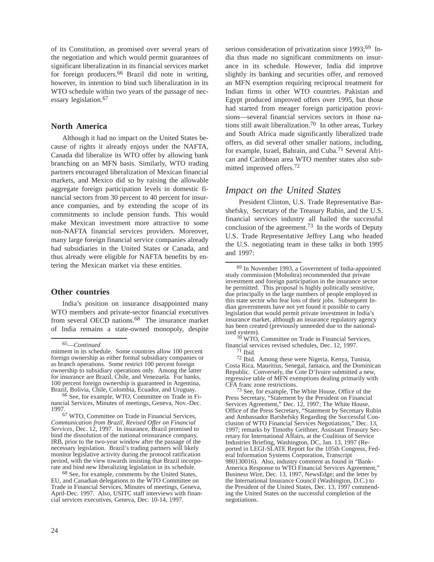of its Constitution, as promised over several years of the negotiation and which would permit guarantees of significant liberalization in its financial services market for foreign producers.<sup>66</sup> Brazil did note in writing, however, its intention to bind such liberalization in its WTO schedule within two years of the passage of necessary legislation.<sup>67</sup>

#### **North America**

Although it had no impact on the United States because of rights it already enjoys under the NAFTA, Canada did liberalize its WTO offer by allowing bank branching on an MFN basis. Similarly, WTO trading partners encouraged liberalization of Mexican financial markets, and Mexico did so by raising the allowable aggregate foreign participation levels in domestic financial sectors from 30 percent to 40 percent for insurance companies, and by extending the scope of its commitments to include pension funds. This would make Mexican investment more attractive to some non-NAFTA financial services providers. Moreover, many large foreign financial service companies already had subsidiaries in the United States or Canada, and thus already were eligible for NAFTA benefits by entering the Mexican market via these entities.

#### **Other countries**

India's position on insurance disappointed many WTO members and private-sector financial executives from several OECD nations.68 The insurance market of India remains a state-owned monopoly, despite

67 WTO, Committee on Trade in Financial Services, *Communication from Brazil, Revised Offer on Financial Services*, Dec. 12, 1997. In insurance, Brazil promised to bind the dissolution of the national reinsurance company, IRB, prior to the two-year window after the passage of the necessary legislation. Brazil's trading partners will likely monitor legislative activity during the protocol ratification period, with the view towards insisting that Brazil incorporate and bind new liberalizing legislation in its schedule.

serious consideration of privatization since 1993;<sup>69</sup> India thus made no significant commitments on insurance in its schedule. However, India did improve slightly its banking and securities offer, and removed an MFN exemption requiring reciprocal treatment for Indian firms in other WTO countries. Pakistan and Egypt produced improved offers over 1995, but those had started from meager foreign participation provisions—several financial services sectors in those nations still await liberalization.<sup>70</sup> In other areas, Turkey and South Africa made significantly liberalized trade offers, as did several other smaller nations, including, for example, Israel, Bahrain, and Cuba.<sup>71</sup> Several African and Caribbean area WTO member states also submitted improved offers.72

### *Impact on the United States*

 President Clinton, U.S. Trade Representative Barshefsky, Secretary of the Treasury Rubin, and the U.S. financial services industry all hailed the successful conclusion of the agreement.<sup>73</sup> In the words of Deputy U.S. Trade Representative Jeffrey Lang who headed the U.S. negotiating team in these talks in both 1995 and 1997:

72 Ibid. Among these were Nigeria, Kenya, Tunisia, Costa Rica, Mauritius, Senegal, Jamaica, and the Dominican Republic. Conversely, the Cote D'Ivoire submitted a new, regressive table of MFN exemptions dealing primarily with CFA franc zone restrictions.

73 See, for example, The White House, Office of the Press Secretary, "Statement by the President on Financial Services Agreement," Dec. 12, 1997; The White House, Office of the Press Secretary, "Statement by Secretary Rubin and Ambassador Barshefsky Regarding the Successful Conclusion of WTO Financial Services Negotiations," Dec. 13, 1997; remarks by Timothy Geithner, Assistant Treasury Secretary for International Affairs, at the Coalition of Service Industries Briefing, Washington, DC, Jan. 13, 1997 (Reported in LEGI-SLATE Report for the 105th Congress, Federal Information Systems Corporation, Transcript 980130016). Also, industry comment as found in "Bank-America Response to WTO Financial Services Agreement," Business Wire, Dec. 13, 1997, NewsEdge; and the letter by the International Insurance Council (Washington, D.C.) to the President of the United States, Dec. 13, 1997 commending the United States on the successful completion of the negotiations.

<sup>65—</sup>*Continued*

mitment in its schedule. Some countries allow 100 percent foreign ownership as either formal subsidiary companies or as branch operations. Some restrict 100 percent foreign ownership to subsidiary operations only. Among the latter for insurance are Brazil, Chile, and Venezuela. For banks, 100 percent foreign ownership is guaranteed in Argentina, Brazil, Bolivia, Chile, Colombia, Ecuador, and Uruguay.

<sup>66</sup> See, for example, WTO, Committee on Trade in Financial Services, Minutes of meetings, Geneva, Nov.-Dec. 1997.

<sup>68</sup> See, for example, comments by the United States, EU, and Canadian delegations to the WTO Committee on Trade in Financial Services, Minutes of meetings, Geneva, April-Dec. 1997. Also, USITC staff interviews with financial services executives, Geneva, Dec. 10-14, 1997.

<sup>69</sup> In November 1993, a Government of India-appointed study commission (Moholtra) recommended that private investment and foreign participation in the insurance sector be permitted. This proposal is highly politically sensitive, due principally to the large numbers of people employed in this state sector who fear loss of their jobs. Subsequent Indian governments have not yet found it possible to carry legislation that would permit private investment in India's insurance market, although an insurance regulatory agency has been created (previously unneeded due to the nationalized system).

<sup>70</sup> WTO, Committee on Trade in Financial Services, financial services revised schedules, Dec. 12, 1997.

 $71$  Ibid.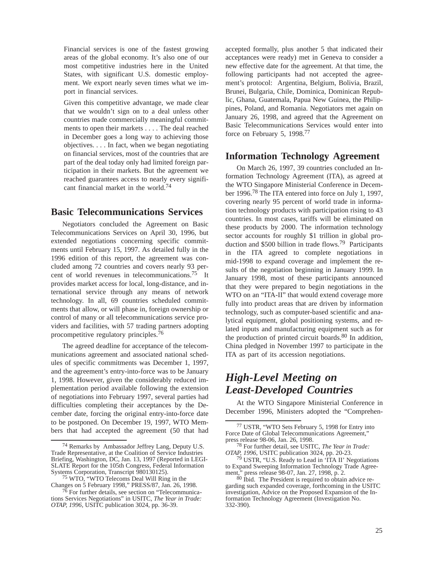Financial services is one of the fastest growing areas of the global economy. It's also one of our most competitive industries here in the United States, with significant U.S. domestic employment. We export nearly seven times what we import in financial services.

Given this competitive advantage, we made clear that we wouldn't sign on to a deal unless other countries made commercially meaningful commitments to open their markets . . . . The deal reached in December goes a long way to achieving those objectives. . . . In fact, when we began negotiating on financial services, most of the countries that are part of the deal today only had limited foreign participation in their markets. But the agreement we reached guarantees access to nearly every significant financial market in the world.74

#### **Basic Telecommunications Services**

Negotiators concluded the Agreement on Basic Telecommunications Services on April 30, 1996, but extended negotiations concerning specific commitments until February 15, 1997. As detailed fully in the 1996 edition of this report, the agreement was concluded among 72 countries and covers nearly 93 percent of world revenues in telecommunications.75 It provides market access for local, long-distance, and international service through any means of network technology. In all, 69 countries scheduled commitments that allow, or will phase in, foreign ownership or control of many or all telecommunications service providers and facilities, with 57 trading partners adopting procompetitive regulatory principles.76

The agreed deadline for acceptance of the telecommunications agreement and associated national schedules of specific commitments was December 1, 1997, and the agreement's entry-into-force was to be January 1, 1998. However, given the considerably reduced implementation period available following the extension of negotiations into February 1997, several parties had difficulties completing their acceptances by the December date, forcing the original entry-into-force date to be postponed. On December 19, 1997, WTO Members that had accepted the agreement (50 that had accepted formally, plus another 5 that indicated their acceptances were ready) met in Geneva to consider a new effective date for the agreement. At that time, the following participants had not accepted the agreement's protocol: Argentina, Belgium, Bolivia, Brazil, Brunei, Bulgaria, Chile, Dominica, Dominican Republic, Ghana, Guatemala, Papua New Guinea, the Philippines, Poland, and Romania. Negotiators met again on January 26, 1998, and agreed that the Agreement on Basic Telecommunications Services would enter into force on February 5, 1998.77

### **Information Technology Agreement**

On March 26, 1997, 39 countries concluded an Information Technology Agreement (ITA), as agreed at the WTO Singapore Ministerial Conference in December 1996.78 The ITA entered into force on July 1, 1997, covering nearly 95 percent of world trade in information technology products with participation rising to 43 countries. In most cases, tariffs will be eliminated on these products by 2000. The information technology sector accounts for roughly \$1 trillion in global production and \$500 billion in trade flows.79 Participants in the ITA agreed to complete negotiations in mid-1998 to expand coverage and implement the results of the negotiation beginning in January 1999. In January 1998, most of these participants announced that they were prepared to begin negotiations in the WTO on an "ITA-II" that would extend coverage more fully into product areas that are driven by information technology, such as computer-based scientific and analytical equipment, global positioning systems, and related inputs and manufacturing equipment such as for the production of printed circuit boards.<sup>80</sup> In addition, China pledged in November 1997 to participate in the ITA as part of its accession negotiations.

## *High-Level Meeting on Least-Developed Countries*

At the WTO Singapore Ministerial Conference in December 1996, Ministers adopted the "Comprehen-

<sup>74</sup> Remarks by Ambassador Jeffrey Lang, Deputy U.S. Trade Representative, at the Coalition of Service Industries Briefing, Washington, DC, Jan. 13, 1997 (Reported in LEGI-SLATE Report for the 105th Congress, Federal Information Systems Corporation, Transcript 980130125).

<sup>75</sup> WTO, "WTO Telecoms Deal Will Ring in the Changes on 5 February 1998," PRESS/87, Jan. 26, 1998.

 $^{76}$  For further details, see section on "Telecommunications Services Negotiations" in USITC, *The Year in Trade: OTAP, 1996*, USITC publication 3024, pp. 36-39.

<sup>77</sup> USTR, "WTO Sets February 5, 1998 for Entry into Force Date of Global Telecommunications Agreement," press release 98-06, Jan. 26, 1998.

<sup>78</sup> For further detail, see USITC, *The Year in Trade: OTAP, 1996*, USITC publication 3024, pp. 20-23.

<sup>79</sup> USTR, "U.S. Ready to Lead in 'ITA II' Negotiations to Expand Sweeping Information Technology Trade Agreement," press release 98-07, Jan. 27, 1998, p. 2.

<sup>80</sup> Ibid. The President is required to obtain advice regarding such expanded coverage, forthcoming in the USITC investigation, Advice on the Proposed Expansion of the Information Technology Agreement (Investigation No. 332-390).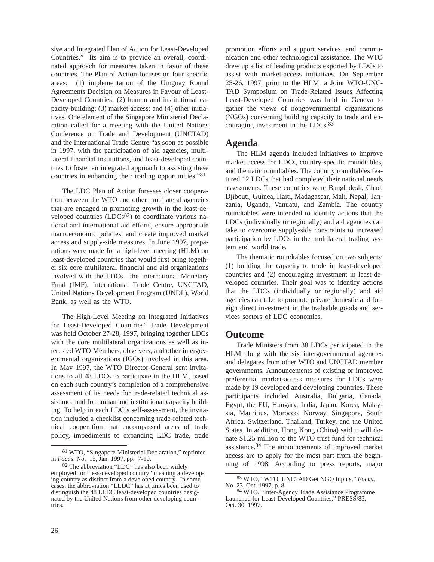sive and Integrated Plan of Action for Least-Developed Countries." Its aim is to provide an overall, coordinated approach for measures taken in favor of these countries. The Plan of Action focuses on four specific areas: (1) implementation of the Uruguay Round Agreements Decision on Measures in Favour of Least-Developed Countries; (2) human and institutional capacity-building; (3) market access; and (4) other initiatives. One element of the Singapore Ministerial Declaration called for a meeting with the United Nations Conference on Trade and Development (UNCTAD) and the International Trade Centre "as soon as possible in 1997, with the participation of aid agencies, multilateral financial institutions, and least-developed countries to foster an integrated approach to assisting these countries in enhancing their trading opportunities."81

The LDC Plan of Action foresees closer cooperation between the WTO and other multilateral agencies that are engaged in promoting growth in the least-developed countries  $(LDCs<sup>82</sup>)$  to coordinate various national and international aid efforts, ensure appropriate macroeconomic policies, and create improved market access and supply-side measures. In June 1997, preparations were made for a high-level meeting (HLM) on least-developed countries that would first bring together six core multilateral financial and aid organizations involved with the LDCs—the International Monetary Fund (IMF), International Trade Centre, UNCTAD, United Nations Development Program (UNDP), World Bank, as well as the WTO.

The High-Level Meeting on Integrated Initiatives for Least-Developed Countries' Trade Development was held October 27-28, 1997, bringing together LDCs with the core multilateral organizations as well as interested WTO Members, observers, and other intergovernmental organizations (IGOs) involved in this area. In May 1997, the WTO Director-General sent invitations to all 48 LDCs to participate in the HLM, based on each such country's completion of a comprehensive assessment of its needs for trade-related technical assistance and for human and institutional capacity building. To help in each LDC's self-assessment, the invitation included a checklist concerning trade-related technical cooperation that encompassed areas of trade policy, impediments to expanding LDC trade, trade

promotion efforts and support services, and communication and other technological assistance. The WTO drew up a list of leading products exported by LDCs to assist with market-access initiatives. On September 25-26, 1997, prior to the HLM, a Joint WTO-UNC-TAD Symposium on Trade-Related Issues Affecting Least-Developed Countries was held in Geneva to gather the views of nongovernmental organizations (NGOs) concerning building capacity to trade and encouraging investment in the LDCs.<sup>83</sup>

#### **Agenda**

The HLM agenda included initiatives to improve market access for LDCs, country-specific roundtables, and thematic roundtables. The country roundtables featured 12 LDCs that had completed their national needs assessments. These countries were Bangladesh, Chad, Djibouti, Guinea, Haiti, Madagascar, Mali, Nepal, Tanzania, Uganda, Vanuatu, and Zambia. The country roundtables were intended to identify actions that the LDCs (individually or regionally) and aid agencies can take to overcome supply-side constraints to increased participation by LDCs in the multilateral trading system and world trade.

The thematic roundtables focused on two subjects: (1) building the capacity to trade in least-developed countries and (2) encouraging investment in least-developed countries. Their goal was to identify actions that the LDCs (individually or regionally) and aid agencies can take to promote private domestic and foreign direct investment in the tradeable goods and services sectors of LDC economies.

#### **Outcome**

Trade Ministers from 38 LDCs participated in the HLM along with the six intergovernmental agencies and delegates from other WTO and UNCTAD member governments. Announcements of existing or improved preferential market-access measures for LDCs were made by 19 developed and developing countries. These participants included Australia, Bulgaria, Canada, Egypt, the EU, Hungary, India, Japan, Korea, Malaysia, Mauritius, Morocco, Norway, Singapore, South Africa, Switzerland, Thailand, Turkey, and the United States. In addition, Hong Kong (China) said it will donate \$1.25 million to the WTO trust fund for technical assistance.84 The announcements of improved market access are to apply for the most part from the beginning of 1998. According to press reports, major

<sup>81</sup> WTO, "Singapore Ministerial Declaration," reprinted in *Focus*, No. 15, Jan. 1997, pp. 7-10.

<sup>82</sup> The abbreviation "LDC" has also been widely employed for "less-developed country" meaning a developing country as distinct from a developed country. In some cases, the abbreviation "LLDC" has at times been used to distinguish the 48 LLDC least-developed countries designated by the United Nations from other developing countries.

<sup>83</sup> WTO, "WTO, UNCTAD Get NGO Inputs," *Focus*,

<sup>84</sup> WTO, "Inter-Agency Trade Assistance Programme Launched for Least-Developed Countries," PRESS/83, Oct. 30, 1997.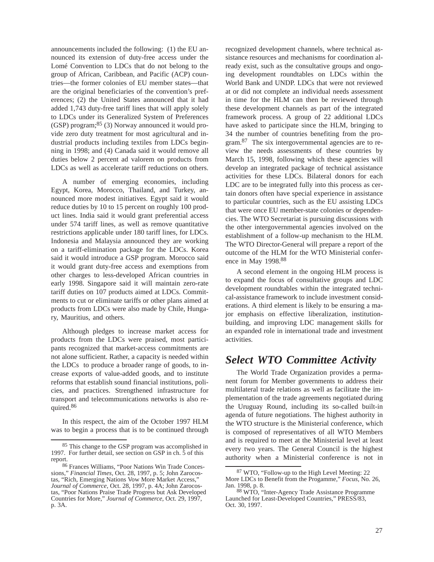announcements included the following: (1) the EU announced its extension of duty-free access under the Lomé Convention to LDCs that do not belong to the group of African, Caribbean, and Pacific (ACP) countries—the former colonies of EU member states—that are the original beneficiaries of the convention's preferences; (2) the United States announced that it had added 1,743 duty-free tariff lines that will apply solely to LDCs under its Generalized System of Preferences  $(GSP)$  program;<sup>85</sup> (3) Norway announced it would provide zero duty treatment for most agricultural and industrial products including textiles from LDCs beginning in 1998; and (4) Canada said it would remove all duties below 2 percent ad valorem on products from LDCs as well as accelerate tariff reductions on others.

A number of emerging economies, including Egypt, Korea, Morocco, Thailand, and Turkey, announced more modest initiatives. Egypt said it would reduce duties by 10 to 15 percent on roughly 100 product lines. India said it would grant preferential access under 574 tariff lines, as well as remove quantitative restrictions applicable under 180 tariff lines, for LDCs. Indonesia and Malaysia announced they are working on a tariff-elimination package for the LDCs. Korea said it would introduce a GSP program. Morocco said it would grant duty-free access and exemptions from other charges to less-developed African countries in early 1998. Singapore said it will maintain zero-rate tariff duties on 107 products aimed at LDCs. Commitments to cut or eliminate tariffs or other plans aimed at products from LDCs were also made by Chile, Hungary, Mauritius, and others.

Although pledges to increase market access for products from the LDCs were praised, most participants recognized that market-access commitments are not alone sufficient. Rather, a capacity is needed within the LDCs to produce a broader range of goods, to increase exports of value-added goods, and to institute reforms that establish sound financial institutions, policies, and practices. Strengthened infrastructure for transport and telecommunications networks is also required.<sup>86</sup>

In this respect, the aim of the October 1997 HLM was to begin a process that is to be continued through

recognized development channels, where technical assistance resources and mechanisms for coordination already exist, such as the consultative groups and ongoing development roundtables on LDCs within the World Bank and UNDP. LDCs that were not reviewed at or did not complete an individual needs assessment in time for the HLM can then be reviewed through these development channels as part of the integrated framework process. A group of 22 additional LDCs have asked to participate since the HLM, bringing to 34 the number of countries benefiting from the program.87 The six intergovernmental agencies are to review the needs assessments of these countries by March 15, 1998, following which these agencies will develop an integrated package of technical assistance activities for these LDCs. Bilateral donors for each LDC are to be integrated fully into this process as certain donors often have special experience in assistance to particular countries, such as the EU assisting LDCs that were once EU member-state colonies or dependencies. The WTO Secretariat is pursuing discussions with the other intergovernmental agencies involved on the establishment of a follow-up mechanism to the HLM. The WTO Director-General will prepare a report of the outcome of the HLM for the WTO Ministerial conference in May 1998.88

A second element in the ongoing HLM process is to expand the focus of consultative groups and LDC development roundtables within the integrated technical-assistance framework to include investment considerations. A third element is likely to be ensuring a major emphasis on effective liberalization, institutionbuilding, and improving LDC management skills for an expanded role in international trade and investment activities.

## *Select WTO Committee Activity*

The World Trade Organization provides a permanent forum for Member governments to address their multilateral trade relations as well as facilitate the implementation of the trade agreements negotiated during the Uruguay Round, including its so-called built-in agenda of future negotiations. The highest authority in the WTO structure is the Ministerial conference, which is composed of representatives of all WTO Members and is required to meet at the Ministerial level at least every two years. The General Council is the highest authority when a Ministerial conference is not in

<sup>85</sup> This change to the GSP program was accomplished in 1997. For further detail, see section on GSP in ch. 5 of this report.

<sup>86</sup> Frances Williams, "Poor Nations Win Trade Concessions," *Financial Times*, Oct. 28, 1997, p. 5; John Zarocostas, "Rich, Emerging Nations Vow More Market Access," *Journal of Commerce*, Oct. 28, 1997, p. 4A; John Zarocostas, "Poor Nations Praise Trade Progress but Ask Developed Countries for More," *Journal of Commerce*, Oct. 29, 1997, p. 3A.

<sup>87</sup> WTO, "Follow-up to the High Level Meeting: 22 More LDCs to Benefit from the Progamme," *Focus*, No. 26, Jan. 1998, p. 8.

<sup>88</sup> WTO, "Inter-Agency Trade Assistance Programme Launched for Least-Developed Countries," PRESS/83, Oct. 30, 1997.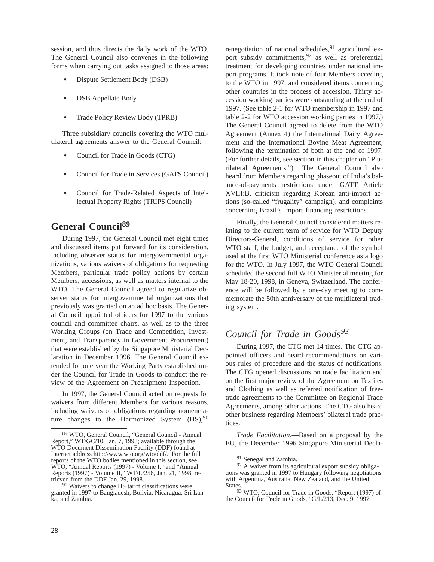session, and thus directs the daily work of the WTO. The General Council also convenes in the following forms when carrying out tasks assigned to those areas:

- Dispute Settlement Body (DSB)
- DSB Appellate Body
- Trade Policy Review Body (TPRB)

Three subsidiary councils covering the WTO multilateral agreements answer to the General Council:

- Council for Trade in Goods (CTG)
- Council for Trade in Services (GATS Council)
- Council for Trade-Related Aspects of Intellectual Property Rights (TRIPS Council)

### **General Council<sup>89</sup>**

During 1997, the General Council met eight times and discussed items put forward for its consideration, including observer status for intergovernmental organizations, various waivers of obligations for requesting Members, particular trade policy actions by certain Members, accessions, as well as matters internal to the WTO. The General Council agreed to regularize observer status for intergovernmental organizations that previously was granted on an ad hoc basis. The General Council appointed officers for 1997 to the various council and committee chairs, as well as to the three Working Groups (on Trade and Competition, Investment, and Transparency in Government Procurement) that were established by the Singapore Ministerial Declaration in December 1996. The General Council extended for one year the Working Party established under the Council for Trade in Goods to conduct the review of the Agreement on Preshipment Inspection.

In 1997, the General Council acted on requests for waivers from different Members for various reasons, including waivers of obligations regarding nomenclature changes to the Harmonized System  $(HS)$ , 90

renegotiation of national schedules,  $91$  agricultural export subsidy commitments,92 as well as preferential treatment for developing countries under national import programs. It took note of four Members acceding to the WTO in 1997, and considered items concerning other countries in the process of accession. Thirty accession working parties were outstanding at the end of 1997. (See table 2-1 for WTO membership in 1997 and table 2-2 for WTO accession working parties in 1997.) The General Council agreed to delete from the WTO Agreement (Annex 4) the International Dairy Agreement and the International Bovine Meat Agreement, following the termination of both at the end of 1997. (For further details, see section in this chapter on "Plurilateral Agreements.") The General Council also heard from Members regarding phaseout of India's balance-of-payments restrictions under GATT Article XVIII:B, criticism regarding Korean anti-import actions (so-called "frugality" campaign), and complaints concerning Brazil's import financing restrictions.

Finally, the General Council considered matters relating to the current term of service for WTO Deputy Directors-General, conditions of service for other WTO staff, the budget, and acceptance of the symbol used at the first WTO Ministerial conference as a logo for the WTO. In July 1997, the WTO General Council scheduled the second full WTO Ministerial meeting for May 18-20, 1998, in Geneva, Switzerland. The conference will be followed by a one-day meeting to commemorate the 50th anniversary of the multilateral trading system.

## *Council for Trade in Goods<sup>93</sup>*

During 1997, the CTG met 14 times. The CTG appointed officers and heard recommendations on various rules of procedure and the status of notifications. The CTG opened discussions on trade facilitation and on the first major review of the Agreement on Textiles and Clothing as well as referred notification of freetrade agreements to the Committee on Regional Trade Agreements, among other actions. The CTG also heard other business regarding Members' bilateral trade practices.

*Trade Facilitation*.—Based on a proposal by the EU, the December 1996 Singapore Ministerial Decla-

<sup>89</sup> WTO, General Council, "General Council - Annual Report," WT/GC/10, Jan. 7, 1998; available through the WTO Document Dissemination Facility (DDF) found at Internet address http://www.wto.org/wto/ddf/. For the full reports of the WTO bodies mentioned in this section, see WTO, "Annual Reports (1997) - Volume I," and "Annual Reports (1997) - Volume II," WT/L/256, Jan. 21, 1998, retrieved from the DDF Jan. 29, 1998.

<sup>90</sup> Waivers to change HS tariff classifications were granted in 1997 to Bangladesh, Bolivia, Nicaragua, Sri Lanka, and Zambia.

<sup>91</sup> Senegal and Zambia.

<sup>92</sup> A waiver from its agricultural export subsidy obligations was granted in 1997 to Hungary following negotiations with Argentina, Australia, New Zealand, and the United States.

<sup>93</sup> WTO, Council for Trade in Goods, "Report (1997) of the Council for Trade in Goods," G/L/213, Dec. 9, 1997.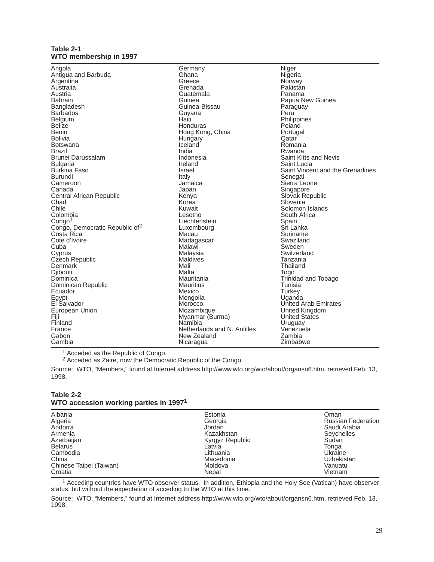#### **Table 2-1 WTO membership in 1997**

| Angola                                     | Germany                     | Niger                            |
|--------------------------------------------|-----------------------------|----------------------------------|
| Antigua and Barbuda                        | Ghana                       | Nigeria                          |
| Argentina                                  | Greece                      | Norway                           |
| Australia                                  | Grenada                     | Pakistan                         |
| Austria                                    | Guatemala                   | Panama                           |
| <b>Bahrain</b>                             | Guinea                      | Papua New Guinea                 |
| Bangladesh                                 | Guinea-Bissau               | Paraguay                         |
| <b>Barbados</b>                            | Guyana                      | Peru                             |
| Belgium                                    | Haiti                       | Philippines                      |
| Belize                                     | Honduras                    | Poland                           |
| <b>Benin</b>                               | Hong Kong, China            | Portugal                         |
| <b>Bolivia</b>                             |                             | Qatar                            |
| <b>Botswana</b>                            | Hungary<br>Iceland          | Romania                          |
| <b>Brazil</b>                              | India                       | Rwanda                           |
| Brunei Darussalam                          | Indonesia                   | <b>Saint Kitts and Nevis</b>     |
|                                            |                             |                                  |
| <b>Bulgaria</b>                            | Ireland                     | Saint Lucia                      |
| Burkina Faso                               | Israel                      | Saint Vincent and the Grenadines |
| Burundi                                    | Italy                       | Senegal                          |
| Cameroon                                   | Jamaica                     | Sierra Leone                     |
| Canada                                     | Japan                       | Singapore                        |
| Central African Republic                   | Kenya                       | Slovak Republic                  |
| Chad                                       | Korea                       | Slovenia                         |
| Chile                                      | Kuwait                      | Solomon Islands                  |
| Colombia                                   | Lesotho                     | South Africa                     |
| Congo <sup>1</sup>                         | Liechtenstein               | Spain                            |
| Congo, Democratic Republic of <sup>2</sup> | Luxembourg                  | Sri Lanka                        |
| Costa Rica                                 | Macau                       | Suriname                         |
| Cote d'Ivoire                              | Madagascar                  | Swaziland                        |
| Cuba                                       | Malawi                      | Sweden                           |
| Cyprus                                     | Malaysia                    | Switzerland                      |
| Czech Republic                             | <b>Maldives</b>             | Tanzania                         |
| Denmark                                    | Mali                        | Thailand                         |
| Djibouti                                   | Malta                       | Togo                             |
| Dominica                                   | Mauritania                  | Trinidad and Tobago              |
| Dominican Republic                         | <b>Mauritius</b>            | Tunisia                          |
| Ecuador                                    | Mexico                      | Turkey                           |
| Egypt                                      | Mongolia                    | Uganda                           |
| El Salvador                                | Morocco                     | United Arab Emirates             |
| European Union                             | Mozambique                  | United Kingdom                   |
| Fiji                                       | Myanmar (Burma)             | <b>United States</b>             |
| Finland                                    | Namibia                     | Uruguay                          |
| France                                     | Netherlands and N. Antilles | Venezuela                        |
| Gabon                                      | New Zealand                 | Zambia                           |
| Gambia                                     | Nicaragua                   | Zimbabwe                         |
|                                            |                             |                                  |

<sup>1</sup> Acceded as the Republic of Congo.

<sup>2</sup> Acceded as Zaire, now the Democratic Republic of the Congo.

Source: WTO, "Members," found at Internet address http://www.wto.org/wto/about/organsn6.htm, retrieved Feb. 13, 1998.

#### **Table 2-2 WTO accession working parties in 19971**

| Albania                 | Estonia         | Oman                      |
|-------------------------|-----------------|---------------------------|
| Algeria                 | Georgia         | <b>Russian Federation</b> |
| Andorra                 | Jordan          | Saudi Arabia              |
| Armenia                 | Kazakhstan      | <b>Sevchelles</b>         |
| Azerbaijan              | Kyrgyz Republic | Sudan                     |
| <b>Belarus</b>          | Latvia          | Tonga                     |
| Cambodia                | Lithuania       | Ukraine                   |
| China                   | Macedonia       | Uzbekistan                |
| Chinese Taipei (Taiwan) | Moldova         | Vanuatu                   |
| Croatia                 | Nepal           | Vietnam                   |

1 Acceding countries have WTO observer status. In addition, Ethiopia and the Holy See (Vatican) have observer status, but without the expectation of acceding to the WTO at this time.

Source: WTO, "Members," found at Internet address http://www.wto.org/wto/about/organsn6.htm, retrieved Feb. 13, 1998.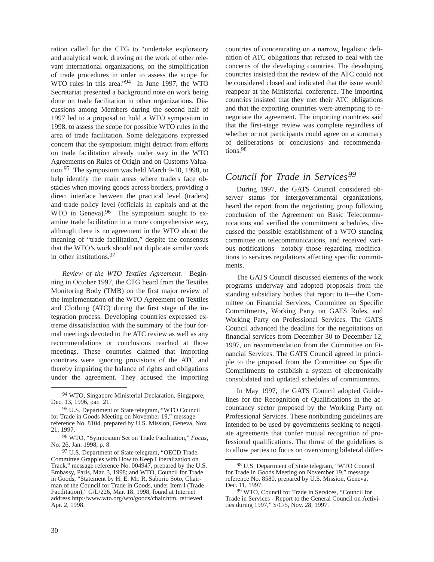ration called for the CTG to "undertake exploratory and analytical work, drawing on the work of other relevant international organizations, on the simplification of trade procedures in order to assess the scope for WTO rules in this area."94 In June 1997, the WTO Secretariat presented a background note on work being done on trade facilitation in other organizations. Discussions among Members during the second half of 1997 led to a proposal to hold a WTO symposium in 1998, to assess the scope for possible WTO rules in the area of trade facilitation. Some delegations expressed concern that the symposium might detract from efforts on trade facilitation already under way in the WTO Agreements on Rules of Origin and on Customs Valuation.95 The symposium was held March 9-10, 1998, to help identify the main areas where traders face obstacles when moving goods across borders, providing a direct interface between the practical level (traders) and trade policy level (officials in capitals and at the WTO in Geneva).<sup>96</sup> The symposium sought to examine trade facilitation in a more comprehensive way, although there is no agreement in the WTO about the meaning of "trade facilitation," despite the consensus that the WTO's work should not duplicate similar work in other institutions.97

*Review of the WTO Textiles Agreement.*—Beginning in October 1997, the CTG heard from the Textiles Monitoring Body (TMB) on the first major review of the implementation of the WTO Agreement on Textiles and Clothing (ATC) during the first stage of the integration process. Developing countries expressed extreme dissatisfaction with the summary of the four formal meetings devoted to the ATC review as well as any recommendations or conclusions reached at those meetings. These countries claimed that importing countries were ignoring provisions of the ATC and thereby impairing the balance of rights and obligations under the agreement. They accused the importing countries of concentrating on a narrow, legalistic definition of ATC obligations that refused to deal with the concerns of the developing countries. The developing countries insisted that the review of the ATC could not be considered closed and indicated that the issue would reappear at the Ministerial conference. The importing countries insisted that they met their ATC obligations and that the exporting countries were attempting to renegotiate the agreement. The importing countries said that the first-stage review was complete regardless of whether or not participants could agree on a summary of deliberations or conclusions and recommendations.98

## *Council for Trade in Services<sup>99</sup>*

During 1997, the GATS Council considered observer status for intergovernmental organizations, heard the report from the negotiating group following conclusion of the Agreement on Basic Telecommunications and verified the commitment schedules, discussed the possible establishment of a WTO standing committee on telecommunications, and received various notifications—notably those regarding modifications to services regulations affecting specific commitments.

The GATS Council discussed elements of the work programs underway and adopted proposals from the standing subsidiary bodies that report to it—the Committee on Financial Services, Committee on Specific Commitments, Working Party on GATS Rules, and Working Party on Professional Services. The GATS Council advanced the deadline for the negotiations on financial services from December 30 to December 12, 1997, on recommendation from the Committee on Financial Services. The GATS Council agreed in principle to the proposal from the Committee on Specific Commitments to establish a system of electronically consolidated and updated schedules of commitments.

In May 1997, the GATS Council adopted Guidelines for the Recognition of Qualifications in the accountancy sector proposed by the Working Party on Professional Services. These nonbinding guidelines are intended to be used by governments seeking to negotiate agreements that confer mutual recognition of professional qualifications. The thrust of the guidelines is to allow parties to focus on overcoming bilateral differ-

<sup>94</sup> WTO, Singapore Ministerial Declaration, Singapore, Dec. 13, 1996, par. 21.

<sup>95</sup> U.S. Department of State telegram, "WTO Council for Trade in Goods Meeting on November 19," message reference No. 8104, prepared by U.S. Mission, Geneva, Nov. 21, 1997.

<sup>96</sup> WTO, "Symposium Set on Trade Facilitation," *Focus*, No. 26, Jan. 1998, p. 8.

<sup>97</sup> U.S. Department of State telegram, "OECD Trade Committee Grapples with How to Keep Liberalization on Track," message reference No. 004947, prepared by the U.S. Embassy, Paris, Mar. 3, 1998; and WTO, Council for Trade in Goods, "Statement by H. E. Mr. R. Saborio Soto, Chairman of the Council for Trade in Goods, under Item I (Trade Facilitation)," G/L/226, Mar. 18, 1998, found at Internet address http://www.wto.org/wto/goods/chair.htm, retrieved Apr. 2, 1998.

<sup>98</sup> U.S. Department of State telegram, "WTO Council for Trade in Goods Meeting on November 19," message reference No. 8580, prepared by U.S. Mission, Geneva, Dec. 11, 1997.

<sup>99</sup> WTO, Council for Trade in Services, "Council for Trade in Services - Report to the General Council on Activities during 1997," S/C/5, Nov. 28, 1997.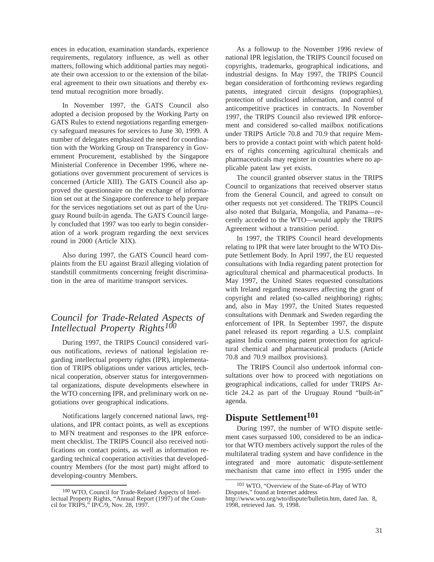ences in education, examination standards, experience requirements, regulatory influence, as well as other matters, following which additional parties may negotiate their own accession to or the extension of the bilateral agreement to their own situations and thereby extend mutual recognition more broadly.

In November 1997, the GATS Council also adopted a decision proposed by the Working Party on GATS Rules to extend negotiations regarding emergency safeguard measures for services to June 30, 1999. A number of delegates emphasized the need for coordination with the Working Group on Transparency in Government Procurement, established by the Singapore Ministerial Conference in December 1996, where negotiations over government procurement of services is concerned (Article XIII). The GATS Council also approved the questionnaire on the exchange of information set out at the Singapore conference to help prepare for the services negotiations set out as part of the Uruguay Round built-in agenda. The GATS Council largely concluded that 1997 was too early to begin consideration of a work program regarding the next services round in 2000 (Article XIX).

Also during 1997, the GATS Council heard complaints from the EU against Brazil alleging violation of standstill commitments concerning freight discrimination in the area of maritime transport services.

### *Council for Trade-Related Aspects of Intellectual Property Rights<sup>100</sup>*

During 1997, the TRIPS Council considered various notifications, reviews of national legislation regarding intellectual property rights (IPR), implementation of TRIPS obligations under various articles, technical cooperation, observer status for intergovernmental organizations, dispute developments elsewhere in the WTO concerning IPR, and preliminary work on negotiations over geographical indications.

Notifications largely concerned national laws, regulations, and IPR contact points, as well as exceptions to MFN treatment and responses to the IPR enforcement checklist. The TRIPS Council also received notifications on contact points, as well as information regarding technical cooperation activities that developedcountry Members (for the most part) might afford to developing-country Members.

As a followup to the November 1996 review of national IPR legislation, the TRIPS Council focused on copyrights, trademarks, geographical indications, and industrial designs. In May 1997, the TRIPS Council began consideration of forthcoming reviews regarding patents, integrated circuit designs (topographies), protection of undisclosed information, and control of anticompetitive practices in contracts. In November 1997, the TRIPS Council also reviewed IPR enforcement and considered so-called mailbox notifications under TRIPS Article 70.8 and 70.9 that require Members to provide a contact point with which patent holders of rights concerning agricultural chemicals and pharmaceuticals may register in countries where no applicable patent law yet exists.

The council granted observer status in the TRIPS Council to organizations that received observer status from the General Council, and agreed to consult on other requests not yet considered. The TRIPS Council also noted that Bulgaria, Mongolia, and Panama—recently acceded to the WTO—would apply the TRIPS Agreement without a transition period.

In 1997, the TRIPS Council heard developments relating to IPR that were later brought to the WTO Dispute Settlement Body. In April 1997, the EU requested consultations with India regarding patent protection for agricultural chemical and pharmaceutical products. In May 1997, the United States requested consultations with Ireland regarding measures affecting the grant of copyright and related (so-called neighboring) rights; and, also in May 1997, the United States requested consultations with Denmark and Sweden regarding the enforcement of IPR. In September 1997, the dispute panel released its report regarding a U.S. complaint against India concerning patent protection for agricultural chemical and pharmaceutical products (Article 70.8 and 70.9 mailbox provisions).

The TRIPS Council also undertook informal consultations over how to proceed with negotiations on geographical indications, called for under TRIPS Article 24.2 as part of the Uruguay Round "built-in" agenda.

## Dispute Settlement<sup>101</sup>

During 1997, the number of WTO dispute settlement cases surpassed 100, considered to be an indicator that WTO members actively support the rules of the multilateral trading system and have confidence in the integrated and more automatic dispute-settlement mechanism that came into effect in 1995 under the

<sup>100</sup> WTO, Council for Trade-Related Aspects of Intellectual Property Rights, "Annual Report (1997) of the Council for TRIPS," IP/C/9, Nov. 28, 1997.

<sup>101</sup> WTO, "Overview of the State-of-Play of WTO

Disputes," found at Internet address

http://www.wto.org/wto/dispute/bulletin.htm, dated Jan. 8, 1998, retrieved Jan. 9, 1998.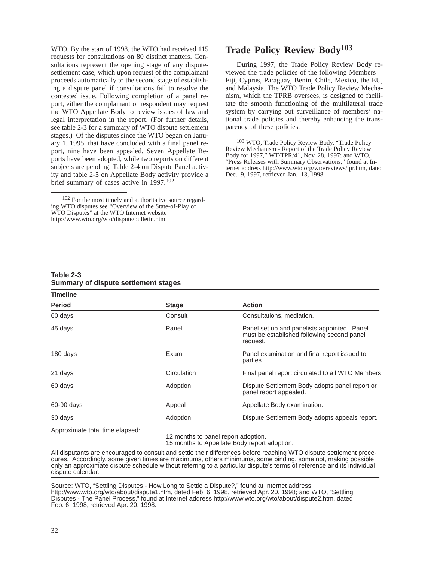WTO. By the start of 1998, the WTO had received 115 requests for consultations on 80 distinct matters. Consultations represent the opening stage of any disputesettlement case, which upon request of the complainant proceeds automatically to the second stage of establishing a dispute panel if consultations fail to resolve the contested issue. Following completion of a panel report, either the complainant or respondent may request the WTO Appellate Body to review issues of law and legal interpretation in the report. (For further details, see table 2-3 for a summary of WTO dispute settlement stages.) Of the disputes since the WTO began on January 1, 1995, that have concluded with a final panel report, nine have been appealed. Seven Appellate Reports have been adopted, while two reports on different subjects are pending. Table 2-4 on Dispute Panel activity and table 2-5 on Appellate Body activity provide a brief summary of cases active in 1997.102

### **Trade Policy Review Body<sup>103</sup>**

During 1997, the Trade Policy Review Body reviewed the trade policies of the following Members— Fiji, Cyprus, Paraguay, Benin, Chile, Mexico, the EU, and Malaysia. The WTO Trade Policy Review Mechanism, which the TPRB oversees, is designed to facilitate the smooth functioning of the multilateral trade system by carrying out surveillance of members' national trade policies and thereby enhancing the transparency of these policies.

#### **Table 2-3 Summary of dispute settlement stages**

| <b>Timeline</b>                 |              |                                                                                                       |
|---------------------------------|--------------|-------------------------------------------------------------------------------------------------------|
| <b>Period</b>                   | <b>Stage</b> | <b>Action</b>                                                                                         |
| 60 days                         | Consult      | Consultations, mediation.                                                                             |
| 45 days                         | Panel        | Panel set up and panelists appointed. Panel<br>must be established following second panel<br>request. |
| 180 days                        | Exam         | Panel examination and final report issued to<br>parties.                                              |
| 21 days                         | Circulation  | Final panel report circulated to all WTO Members.                                                     |
| 60 days                         | Adoption     | Dispute Settlement Body adopts panel report or<br>panel report appealed.                              |
| 60-90 days                      | Appeal       | Appellate Body examination.                                                                           |
| 30 days                         | Adoption     | Dispute Settlement Body adopts appeals report.                                                        |
| Approximate total time elapsed: |              |                                                                                                       |

12 months to panel report adoption.

15 months to Appellate Body report adoption.

All disputants are encouraged to consult and settle their differences before reaching WTO dispute settlement procedures. Accordingly, some given times are maximums, others minimums, some binding, some not, making possible only an approximate dispute schedule without referring to a particular dispute's terms of reference and its individual dispute calendar.

Source: WTO, "Settling Disputes - How Long to Settle a Dispute?," found at Internet address http://www.wto.org/wto/about/dispute1.htm, dated Feb. 6, 1998, retrieved Apr. 20, 1998; and WTO, "Settling Disputes - The Panel Process," found at Internet address http://www.wto.org/wto/about/dispute2.htm, dated Feb. 6, 1998, retrieved Apr. 20, 1998.

<sup>102</sup> For the most timely and authoritative source regarding WTO disputes see "Overview of the State-of-Play of WTO Disputes" at the WTO Internet website http://www.wto.org/wto/dispute/bulletin.htm.

<sup>103</sup> WTO, Trade Policy Review Body, "Trade Policy Review Mechanism - Report of the Trade Policy Review Body for 1997," WT/TPR/41, Nov. 28, 1997; and WTO, "Press Releases with Summary Observations," found at Internet address http://www.wto.org/wto/reviews/tpr.htm, dated Dec. 9, 1997, retrieved Jan. 13, 1998.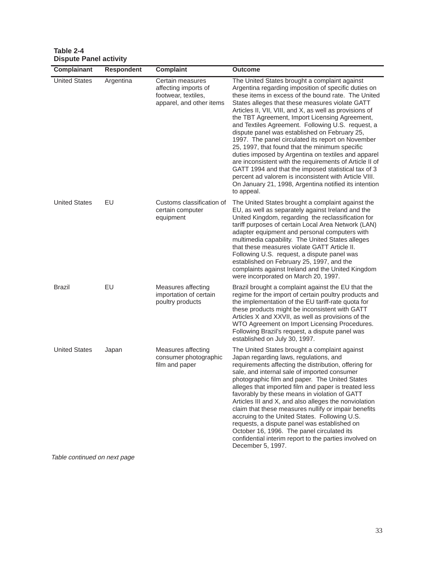| Complainant          | <b>Respondent</b> | <b>Complaint</b>                                                                            | <b>Outcome</b>                                                                                                                                                                                                                                                                                                                                                                                                                                                                                                                                                                                                                                                                                                                                                                                                                                     |
|----------------------|-------------------|---------------------------------------------------------------------------------------------|----------------------------------------------------------------------------------------------------------------------------------------------------------------------------------------------------------------------------------------------------------------------------------------------------------------------------------------------------------------------------------------------------------------------------------------------------------------------------------------------------------------------------------------------------------------------------------------------------------------------------------------------------------------------------------------------------------------------------------------------------------------------------------------------------------------------------------------------------|
| <b>United States</b> | Argentina         | Certain measures<br>affecting imports of<br>footwear, textiles,<br>apparel, and other items | The United States brought a complaint against<br>Argentina regarding imposition of specific duties on<br>these items in excess of the bound rate. The United<br>States alleges that these measures violate GATT<br>Articles II, VII, VIII, and X, as well as provisions of<br>the TBT Agreement, Import Licensing Agreement,<br>and Textiles Agreement. Following U.S. request, a<br>dispute panel was established on February 25,<br>1997. The panel circulated its report on November<br>25, 1997, that found that the minimum specific<br>duties imposed by Argentina on textiles and apparel<br>are inconsistent with the requirements of Article II of<br>GATT 1994 and that the imposed statistical tax of 3<br>percent ad valorem is inconsistent with Article VIII.<br>On January 21, 1998, Argentina notified its intention<br>to appeal. |
| <b>United States</b> | EU                | Customs classification of<br>certain computer<br>equipment                                  | The United States brought a complaint against the<br>EU, as well as separately against Ireland and the<br>United Kingdom, regarding the reclassification for<br>tariff purposes of certain Local Area Network (LAN)<br>adapter equipment and personal computers with<br>multimedia capability. The United States alleges<br>that these measures violate GATT Article II.<br>Following U.S. request, a dispute panel was<br>established on February 25, 1997, and the<br>complaints against Ireland and the United Kingdom<br>were incorporated on March 20, 1997.                                                                                                                                                                                                                                                                                  |
| Brazil               | EU                | Measures affecting<br>importation of certain<br>poultry products                            | Brazil brought a complaint against the EU that the<br>regime for the import of certain poultry products and<br>the implementation of the EU tariff-rate quota for<br>these products might be inconsistent with GATT<br>Articles X and XXVII, as well as provisions of the<br>WTO Agreement on Import Licensing Procedures.<br>Following Brazil's request, a dispute panel was<br>established on July 30, 1997.                                                                                                                                                                                                                                                                                                                                                                                                                                     |
| <b>United States</b> | Japan             | Measures affecting<br>consumer photographic<br>film and paper                               | The United States brought a complaint against<br>Japan regarding laws, regulations, and<br>requirements affecting the distribution, offering for<br>sale, and internal sale of imported consumer<br>photographic film and paper. The United States<br>alleges that imported film and paper is treated less<br>favorably by these means in violation of GATT<br>Articles III and X, and also alleges the nonviolation<br>claim that these measures nullify or impair benefits<br>accruing to the United States. Following U.S.<br>requests, a dispute panel was established on<br>October 16, 1996. The panel circulated its<br>confidential interim report to the parties involved on<br>December 5, 1997.                                                                                                                                         |

**Table 2-4 Dispute Panel activity**

Table continued on next page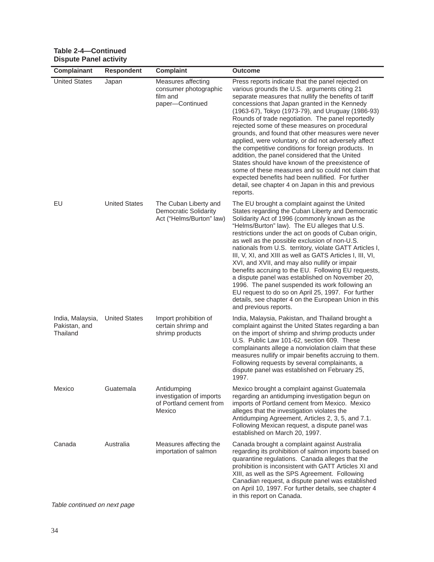| Complainant                                   | <b>Respondent</b>    | <b>Complaint</b>                                                                  | <b>Outcome</b>                                                                                                                                                                                                                                                                                                                                                                                                                                                                                                                                                                                                                                                                                                                                                                                                                |
|-----------------------------------------------|----------------------|-----------------------------------------------------------------------------------|-------------------------------------------------------------------------------------------------------------------------------------------------------------------------------------------------------------------------------------------------------------------------------------------------------------------------------------------------------------------------------------------------------------------------------------------------------------------------------------------------------------------------------------------------------------------------------------------------------------------------------------------------------------------------------------------------------------------------------------------------------------------------------------------------------------------------------|
| <b>United States</b>                          | Japan                | Measures affecting<br>consumer photographic<br>film and<br>paper-Continued        | Press reports indicate that the panel rejected on<br>various grounds the U.S. arguments citing 21<br>separate measures that nullify the benefits of tariff<br>concessions that Japan granted in the Kennedy<br>(1963-67), Tokyo (1973-79), and Uruguay (1986-93)<br>Rounds of trade negotiation. The panel reportedly<br>rejected some of these measures on procedural<br>grounds, and found that other measures were never<br>applied, were voluntary, or did not adversely affect<br>the competitive conditions for foreign products. In<br>addition, the panel considered that the United<br>States should have known of the preexistence of<br>some of these measures and so could not claim that<br>expected benefits had been nullified. For further<br>detail, see chapter 4 on Japan in this and previous<br>reports. |
| EU                                            | <b>United States</b> | The Cuban Liberty and<br><b>Democratic Solidarity</b><br>Act ("Helms/Burton" law) | The EU brought a complaint against the United<br>States regarding the Cuban Liberty and Democratic<br>Solidarity Act of 1996 (commonly known as the<br>"Helms/Burton" law). The EU alleges that U.S.<br>restrictions under the act on goods of Cuban origin,<br>as well as the possible exclusion of non-U.S.<br>nationals from U.S. territory, violate GATT Articles I,<br>III, V, XI, and XIII as well as GATS Articles I, III, VI,<br>XVI, and XVII, and may also nullify or impair<br>benefits accruing to the EU. Following EU requests,<br>a dispute panel was established on November 20,<br>1996. The panel suspended its work following an<br>EU request to do so on April 25, 1997. For further<br>details, see chapter 4 on the European Union in this<br>and previous reports.                                    |
| India, Malaysia,<br>Pakistan, and<br>Thailand | <b>United States</b> | Import prohibition of<br>certain shrimp and<br>shrimp products                    | India, Malaysia, Pakistan, and Thailand brought a<br>complaint against the United States regarding a ban<br>on the import of shrimp and shrimp products under<br>U.S. Public Law 101-62, section 609. These<br>complainants allege a nonviolation claim that these<br>measures nullify or impair benefits accruing to them.<br>Following requests by several complainants, a<br>dispute panel was established on February 25,<br>1997.                                                                                                                                                                                                                                                                                                                                                                                        |
| Mexico                                        | Guatemala            | Antidumping<br>investigation of imports<br>of Portland cement from<br>Mexico      | Mexico brought a complaint against Guatemala<br>regarding an antidumping investigation begun on<br>imports of Portland cement from Mexico. Mexico<br>alleges that the investigation violates the<br>Antidumping Agreement, Articles 2, 3, 5, and 7.1.<br>Following Mexican request, a dispute panel was<br>established on March 20, 1997.                                                                                                                                                                                                                                                                                                                                                                                                                                                                                     |
| Canada                                        | Australia            | Measures affecting the<br>importation of salmon                                   | Canada brought a complaint against Australia<br>regarding its prohibition of salmon imports based on<br>quarantine regulations. Canada alleges that the<br>prohibition is inconsistent with GATT Articles XI and<br>XIII, as well as the SPS Agreement. Following<br>Canadian request, a dispute panel was established<br>on April 10, 1997. For further details, see chapter 4<br>in this report on Canada.                                                                                                                                                                                                                                                                                                                                                                                                                  |

#### **Table 2-4—Continued Dispute Panel activity**

Table continued on next page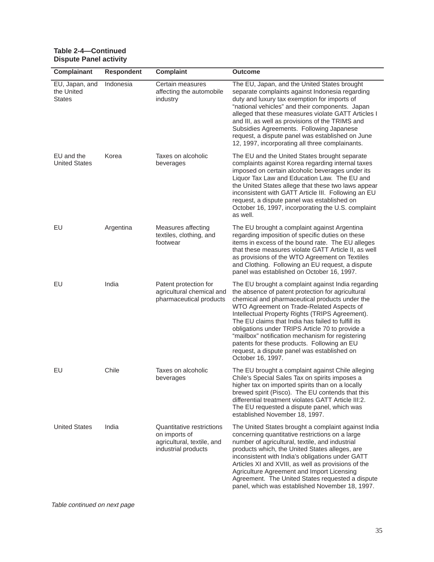#### **Table 2-4—Continued Dispute Panel activity**

| Complainant                                   | <b>Respondent</b> | <b>Complaint</b>                                                                                | <b>Outcome</b>                                                                                                                                                                                                                                                                                                                                                                                                                                                                                                                            |
|-----------------------------------------------|-------------------|-------------------------------------------------------------------------------------------------|-------------------------------------------------------------------------------------------------------------------------------------------------------------------------------------------------------------------------------------------------------------------------------------------------------------------------------------------------------------------------------------------------------------------------------------------------------------------------------------------------------------------------------------------|
| EU, Japan, and<br>the United<br><b>States</b> | Indonesia         | Certain measures<br>affecting the automobile<br>industry                                        | The EU, Japan, and the United States brought<br>separate complaints against Indonesia regarding<br>duty and luxury tax exemption for imports of<br>"national vehicles" and their components. Japan<br>alleged that these measures violate GATT Articles I<br>and III, as well as provisions of the TRIMS and<br>Subsidies Agreements. Following Japanese<br>request, a dispute panel was established on June<br>12, 1997, incorporating all three complainants.                                                                           |
| EU and the<br><b>United States</b>            | Korea             | Taxes on alcoholic<br>beverages                                                                 | The EU and the United States brought separate<br>complaints against Korea regarding internal taxes<br>imposed on certain alcoholic beverages under its<br>Liquor Tax Law and Education Law. The EU and<br>the United States allege that these two laws appear<br>inconsistent with GATT Article III. Following an EU<br>request, a dispute panel was established on<br>October 16, 1997, incorporating the U.S. complaint<br>as well.                                                                                                     |
| EU                                            | Argentina         | Measures affecting<br>textiles, clothing, and<br>footwear                                       | The EU brought a complaint against Argentina<br>regarding imposition of specific duties on these<br>items in excess of the bound rate. The EU alleges<br>that these measures violate GATT Article II, as well<br>as provisions of the WTO Agreement on Textiles<br>and Clothing. Following an EU request, a dispute<br>panel was established on October 16, 1997.                                                                                                                                                                         |
| EU                                            | India             | Patent protection for<br>agricultural chemical and<br>pharmaceutical products                   | The EU brought a complaint against India regarding<br>the absence of patent protection for agricultural<br>chemical and pharmaceutical products under the<br>WTO Agreement on Trade-Related Aspects of<br>Intellectual Property Rights (TRIPS Agreement).<br>The EU claims that India has failed to fulfill its<br>obligations under TRIPS Article 70 to provide a<br>"mailbox" notification mechanism for registering<br>patents for these products. Following an EU<br>request, a dispute panel was established on<br>October 16, 1997. |
| EU                                            | Chile             | Taxes on alcoholic<br>beverages                                                                 | The EU brought a complaint against Chile alleging<br>Chile's Special Sales Tax on spirits imposes a<br>higher tax on imported spirits than on a locally<br>brewed spirit (Pisco). The EU contends that this<br>differential treatment violates GATT Article III:2.<br>The EU requested a dispute panel, which was<br>established November 18, 1997.                                                                                                                                                                                       |
| <b>United States</b>                          | India             | Quantitative restrictions<br>on imports of<br>agricultural, textile, and<br>industrial products | The United States brought a complaint against India<br>concerning quantitative restrictions on a large<br>number of agricultural, textile, and industrial<br>products which, the United States alleges, are<br>inconsistent with India's obligations under GATT<br>Articles XI and XVIII, as well as provisions of the<br>Agriculture Agreement and Import Licensing<br>Agreement. The United States requested a dispute<br>panel, which was established November 18, 1997.                                                               |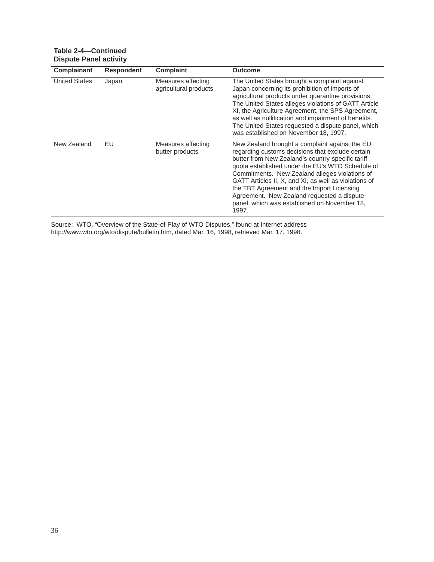#### **Table 2-4—Continued Dispute Panel activity**

| <b>Complainant</b>   | <b>Respondent</b> | Complaint                                   | <b>Outcome</b>                                                                                                                                                                                                                                                                                                                                                                                                                                                              |
|----------------------|-------------------|---------------------------------------------|-----------------------------------------------------------------------------------------------------------------------------------------------------------------------------------------------------------------------------------------------------------------------------------------------------------------------------------------------------------------------------------------------------------------------------------------------------------------------------|
| <b>United States</b> | Japan             | Measures affecting<br>agricultural products | The United States brought a complaint against<br>Japan concerning its prohibition of imports of<br>agricultural products under quarantine provisions.<br>The United States alleges violations of GATT Article<br>XI, the Agriculture Agreement, the SPS Agreement,<br>as well as nullification and impairment of benefits.<br>The United States requested a dispute panel, which<br>was established on November 18, 1997.                                                   |
| New Zealand          | EU                | Measures affecting<br>butter products       | New Zealand brought a complaint against the EU<br>regarding customs decisions that exclude certain<br>butter from New Zealand's country-specific tariff<br>quota established under the EU's WTO Schedule of<br>Commitments. New Zealand alleges violations of<br>GATT Articles II, X, and XI, as well as violations of<br>the TBT Agreement and the Import Licensing<br>Agreement. New Zealand requested a dispute<br>panel, which was established on November 18,<br>1997. |

Source: WTO, "Overview of the State-of-Play of WTO Disputes," found at Internet address http://www.wto.org/wto/dispute/bulletin.htm, dated Mar. 16, 1998, retrieved Mar. 17, 1998.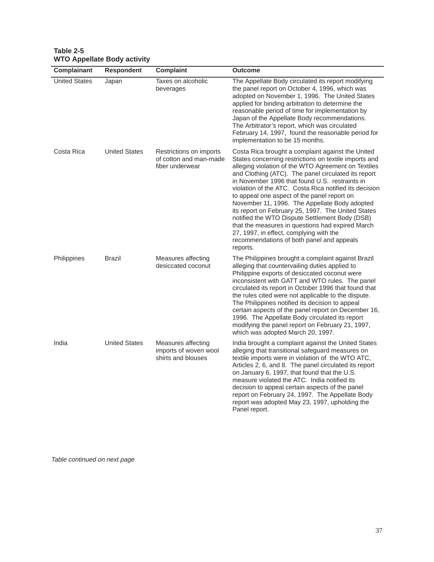| Complainant          | <b>Respondent</b>    | <b>Complaint</b>                                                     | Outcome                                                                                                                                                                                                                                                                                                                                                                                                                                                                                                                                                                                                                                                                                              |
|----------------------|----------------------|----------------------------------------------------------------------|------------------------------------------------------------------------------------------------------------------------------------------------------------------------------------------------------------------------------------------------------------------------------------------------------------------------------------------------------------------------------------------------------------------------------------------------------------------------------------------------------------------------------------------------------------------------------------------------------------------------------------------------------------------------------------------------------|
| <b>United States</b> | Japan                | Taxes on alcoholic<br>beverages                                      | The Appellate Body circulated its report modifying<br>the panel report on October 4, 1996, which was<br>adopted on November 1, 1996. The United States<br>applied for binding arbitration to determine the<br>reasonable period of time for implementation by<br>Japan of the Appellate Body recommendations.<br>The Arbitrator's report, which was circulated<br>February 14, 1997, found the reasonable period for<br>implementation to be 15 months.                                                                                                                                                                                                                                              |
| Costa Rica           | <b>United States</b> | Restrictions on imports<br>of cotton and man-made<br>fiber underwear | Costa Rica brought a complaint against the United<br>States concerning restrictions on textile imports and<br>alleging violation of the WTO Agreement on Textiles<br>and Clothing (ATC). The panel circulated its report<br>in November 1996 that found U.S. restraints in<br>violation of the ATC. Costa Rica notified its decision<br>to appeal one aspect of the panel report on<br>November 11, 1996. The Appellate Body adopted<br>its report on February 25, 1997. The United States<br>notified the WTO Dispute Settlement Body (DSB)<br>that the measures in questions had expired March<br>27, 1997, in effect, complying with the<br>recommendations of both panel and appeals<br>reports. |
| Philippines          | Brazil               | Measures affecting<br>desiccated coconut                             | The Philippines brought a complaint against Brazil<br>alleging that countervailing duties applied to<br>Philippine exports of desiccated coconut were<br>inconsistent with GATT and WTO rules. The panel<br>circulated its report in October 1996 that found that<br>the rules cited were not applicable to the dispute.<br>The Philippines notified its decision to appeal<br>certain aspects of the panel report on December 16,<br>1996. The Appellate Body circulated its report<br>modifying the panel report on February 21, 1997,<br>which was adopted March 20, 1997.                                                                                                                        |
| India                | <b>United States</b> | Measures affecting<br>imports of woven wool<br>shirts and blouses    | India brought a complaint against the United States<br>alleging that transitional safeguard measures on<br>textile imports were in violation of the WTO ATC,<br>Articles 2, 6, and 8. The panel circulated its report<br>on January 6, 1997, that found that the U.S.<br>measure violated the ATC. India notified its<br>decision to appeal certain aspects of the panel<br>report on February 24, 1997. The Appellate Body<br>report was adopted May 23, 1997, upholding the<br>Panel report.                                                                                                                                                                                                       |

**Table 2-5 WTO Appellate Body activity**

Table continued on next page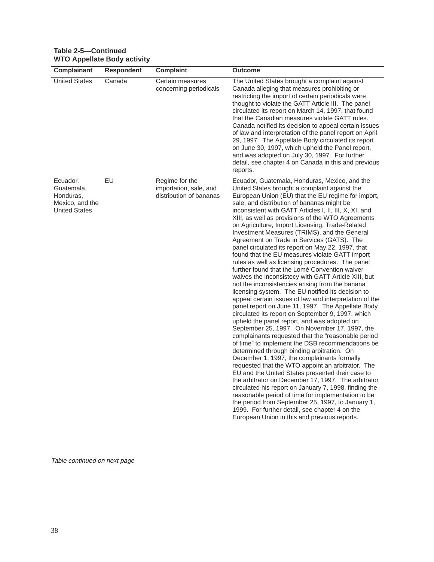| Complainant                                                                    | <b>Respondent</b> | Complaint                                                           | <b>Outcome</b>                                                                                                                                                                                                                                                                                                                                                                                                                                                                                                                                                                                                                                                                                                                                                                                                                                                                                                                                                                                                                                                                                                                                                                                                                                                                                                                                                                                                                                                                                                                                                                                                                                                                                                                                                 |
|--------------------------------------------------------------------------------|-------------------|---------------------------------------------------------------------|----------------------------------------------------------------------------------------------------------------------------------------------------------------------------------------------------------------------------------------------------------------------------------------------------------------------------------------------------------------------------------------------------------------------------------------------------------------------------------------------------------------------------------------------------------------------------------------------------------------------------------------------------------------------------------------------------------------------------------------------------------------------------------------------------------------------------------------------------------------------------------------------------------------------------------------------------------------------------------------------------------------------------------------------------------------------------------------------------------------------------------------------------------------------------------------------------------------------------------------------------------------------------------------------------------------------------------------------------------------------------------------------------------------------------------------------------------------------------------------------------------------------------------------------------------------------------------------------------------------------------------------------------------------------------------------------------------------------------------------------------------------|
| <b>United States</b>                                                           | Canada            | Certain measures<br>concerning periodicals                          | The United States brought a complaint against<br>Canada alleging that measures prohibiting or<br>restricting the import of certain periodicals were<br>thought to violate the GATT Article III. The panel<br>circulated its report on March 14, 1997, that found<br>that the Canadian measures violate GATT rules.<br>Canada notified its decision to appeal certain issues<br>of law and interpretation of the panel report on April<br>29, 1997. The Appellate Body circulated its report<br>on June 30, 1997, which upheld the Panel report,<br>and was adopted on July 30, 1997. For further<br>detail, see chapter 4 on Canada in this and previous<br>reports.                                                                                                                                                                                                                                                                                                                                                                                                                                                                                                                                                                                                                                                                                                                                                                                                                                                                                                                                                                                                                                                                                           |
| Ecuador,<br>Guatemala,<br>Honduras,<br>Mexico, and the<br><b>United States</b> | EU                | Regime for the<br>importation, sale, and<br>distribution of bananas | Ecuador, Guatemala, Honduras, Mexico, and the<br>United States brought a complaint against the<br>European Union (EU) that the EU regime for import,<br>sale, and distribution of bananas might be<br>inconsistent with GATT Articles I, II, III, X, XI, and<br>XIII, as well as provisions of the WTO Agreements<br>on Agriculture, Import Licensing, Trade-Related<br>Investment Measures (TRIMS), and the General<br>Agreement on Trade in Services (GATS). The<br>panel circulated its report on May 22, 1997, that<br>found that the EU measures violate GATT import<br>rules as well as licensing procedures. The panel<br>further found that the Lomé Convention waiver<br>waives the inconsistecy with GATT Article XIII, but<br>not the inconsistencies arising from the banana<br>licensing system. The EU notified its decision to<br>appeal certain issues of law and interpretation of the<br>panel report on June 11, 1997. The Appellate Body<br>circulated its report on September 9, 1997, which<br>upheld the panel report, and was adopted on<br>September 25, 1997. On November 17, 1997, the<br>complainants requested that the "reasonable period<br>of time" to implement the DSB recommendations be<br>determined through binding arbitration. On<br>December 1, 1997, the complainants formally<br>requested that the WTO appoint an arbitrator. The<br>EU and the United States presented their case to<br>the arbitrator on December 17, 1997. The arbitrator<br>circulated his report on January 7, 1998, finding the<br>reasonable period of time for implementation to be<br>the period from September 25, 1997, to January 1,<br>1999. For further detail, see chapter 4 on the<br>European Union in this and previous reports. |

#### **Table 2-5—Continued WTO Appellate Body activity**

Table continued on next page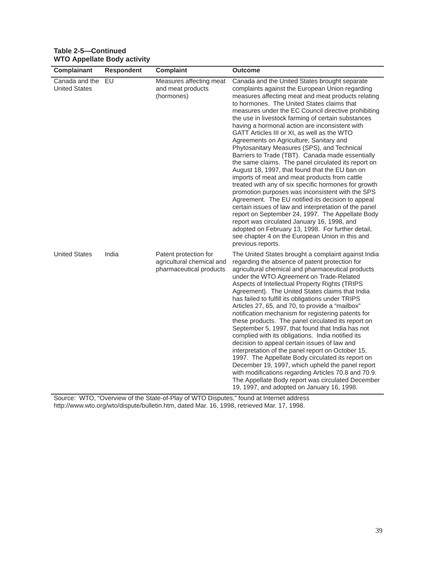| Complainant                            | <b>Respondent</b> | <b>Complaint</b>                                                              | <b>Outcome</b>                                                                                                                                                                                                                                                                                                                                                                                                                                                                                                                                                                                                                                                                                                                                                                                                                                                                                                                                                                                                                                                                                                                                                                       |
|----------------------------------------|-------------------|-------------------------------------------------------------------------------|--------------------------------------------------------------------------------------------------------------------------------------------------------------------------------------------------------------------------------------------------------------------------------------------------------------------------------------------------------------------------------------------------------------------------------------------------------------------------------------------------------------------------------------------------------------------------------------------------------------------------------------------------------------------------------------------------------------------------------------------------------------------------------------------------------------------------------------------------------------------------------------------------------------------------------------------------------------------------------------------------------------------------------------------------------------------------------------------------------------------------------------------------------------------------------------|
| Canada and the<br><b>United States</b> | EU                | Measures affecting meat<br>and meat products<br>(hormones)                    | Canada and the United States brought separate<br>complaints against the European Union regarding<br>measures affecting meat and meat products relating<br>to hormones. The United States claims that<br>measures under the EC Council directive prohibiting<br>the use in livestock farming of certain substances<br>having a hormonal action are inconsistent with<br>GATT Articles III or XI, as well as the WTO<br>Agreements on Agriculture, Sanitary and<br>Phytosanitary Measures (SPS), and Technical<br>Barriers to Trade (TBT). Canada made essentially<br>the same claims. The panel circulated its report on<br>August 18, 1997, that found that the EU ban on<br>imports of meat and meat products from cattle<br>treated with any of six specific hormones for growth<br>promotion purposes was inconsistent with the SPS<br>Agreement. The EU notified its decision to appeal<br>certain issues of law and interpretation of the panel<br>report on September 24, 1997. The Appellate Body<br>report was circulated January 16, 1998, and<br>adopted on February 13, 1998. For further detail,<br>see chapter 4 on the European Union in this and<br>previous reports. |
| <b>United States</b>                   | India             | Patent protection for<br>agricultural chemical and<br>pharmaceutical products | The United States brought a complaint against India<br>regarding the absence of patent protection for<br>agricultural chemical and pharmaceutical products<br>under the WTO Agreement on Trade-Related<br>Aspects of Intellectual Property Rights (TRIPS<br>Agreement). The United States claims that India<br>has failed to fulfill its obligations under TRIPS<br>Articles 27, 65, and 70, to provide a "mailbox"<br>notification mechanism for registering patents for<br>these products. The panel circulated its report on<br>September 5, 1997, that found that India has not<br>complied with its obligations. India notified its<br>decision to appeal certain issues of law and<br>interpretation of the panel report on October 15,<br>1997. The Appellate Body circulated its report on<br>December 19, 1997, which upheld the panel report<br>with modifications regarding Articles 70.8 and 70.9.<br>The Appellate Body report was circulated December<br>19, 1997, and adopted on January 16, 1998.                                                                                                                                                                    |

**Table 2-5—Continued WTO Appellate Body activity**

Source: WTO, "Overview of the State-of-Play of WTO Disputes," found at Internet address http://www.wto.org/wto/dispute/bulletin.htm, dated Mar. 16, 1998, retrieved Mar. 17, 1998.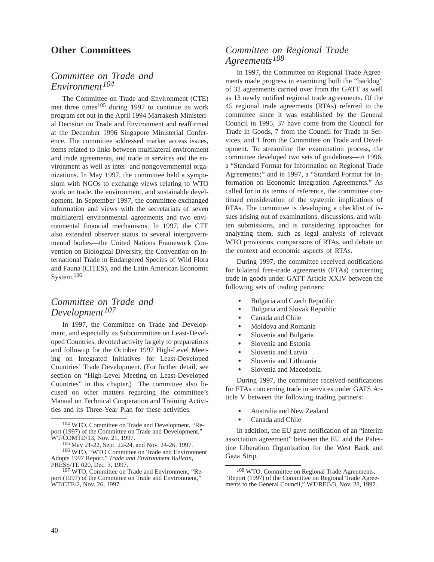#### **Other Committees**

#### *Committee on Trade and Environment<sup>104</sup>*

The Committee on Trade and Environment (CTE) met three times $105$  during 1997 to continue its work program set out in the April 1994 Marrakesh Ministerial Decision on Trade and Environment and reaffirmed at the December 1996 Singapore Ministerial Conference. The committee addressed market access issues, items related to links between multilateral environment and trade agreements, and trade in services and the environment as well as inter- and nongovernmental organizations. In May 1997, the committee held a symposium with NGOs to exchange views relating to WTO work on trade, the environment, and sustainable development. In September 1997, the committee exchanged information and views with the secretariats of seven multilateral environmental agreements and two environmental financial mechanisms. In 1997, the CTE also extended observer status to several intergovernmental bodies—the United Nations Framework Convention on Biological Diversity, the Convention on International Trade in Endangered Species of Wild Flora and Fauna (CITES), and the Latin American Economic System.106

### *Committee on Trade and Development<sup>107</sup>*

In 1997, the Committee on Trade and Development, and especially its Subcommittee on Least-Developed Countries, devoted activity largely to preparations and followup for the October 1997 High-Level Meeting on Integrated Initiatives for Least-Developed Countries' Trade Development. (For further detail, see section on "High-Level Meeting on Least-Developed Countries" in this chapter.) The committee also focused on other matters regarding the committee's Manual on Technical Cooperation and Training Activities and its Three-Year Plan for these activities.

### *Committee on Regional Trade Agreements<sup>108</sup>*

In 1997, the Committee on Regional Trade Agreements made progress in examining both the "backlog" of 32 agreements carried over from the GATT as well as 13 newly notified regional trade agreements. Of the 45 regional trade agreements (RTAs) referred to the committee since it was established by the General Council in 1995, 37 have come from the Council for Trade in Goods, 7 from the Council for Trade in Services, and 1 from the Committee on Trade and Development. To streamline the examination process, the committee developed two sets of guidelines—in 1996, a "Standard Format for Information on Regional Trade Agreements;" and in 1997, a "Standard Format for Information on Economic Integration Agreements." As called for in its terms of reference, the committee continued consideration of the systemic implications of RTAs. The committee is developing a checklist of issues arising out of examinations, discussions, and written submissions, and is considering approaches for analyzing them, such as legal analysis of relevant WTO provisions, comparisons of RTAs, and debate on the context and economic aspects of RTAs.

During 1997, the committee received notifications for bilateral free-trade agreements (FTAs) concerning trade in goods under GATT Article XXIV between the following sets of trading partners:

- Bulgaria and Czech Republic Ī
- Bulgaria and Slovak Republic Ī
- Canada and Chile Ī
- Moldova and Romania Ī
- Slovenia and Bulgaria Ī
- Slovenia and Estonia Ī
- Slovenia and Latvia Ī
- Slovenia and Lithuania Ī
- Slovenia and Macedonia

During 1997, the committee received notifications for FTAs concerning trade in services under GATS Article V between the following trading partners:

- Australia and New Zealand  $\bullet$
- Canada and Chile

In addition, the EU gave notification of an "interim association agreement" between the EU and the Palestine Liberation Organization for the West Bank and Gaza Strip.

<sup>104</sup> WTO, Committee on Trade and Development, "Report (1997) of the Committee on Trade and Development," WT/COMTD/13, Nov. 21, 1997.

<sup>105</sup> May 21-22, Sept. 22-24, and Nov. 24-26, 1997.

<sup>106</sup> WTO, "WTO Committee on Trade and Environment Adopts 1997 Report," *Trade and Environment Bulletin*, PRESS/TE 020, Dec. 3, 1997.

<sup>107</sup> WTO, Committee on Trade and Environment, "Report (1997) of the Committee on Trade and Environment," WT/CTE/2, Nov. 26, 1997.

<sup>108</sup> WTO, Committee on Regional Trade Agreements, "Report (1997) of the Committee on Regional Trade Agreements to the General Council," WT/REG/3, Nov. 28, 1997.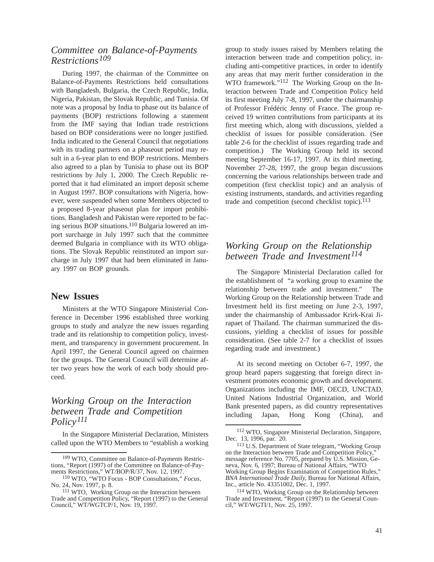#### *Committee on Balance-of-Payments Restrictions<sup>109</sup>*

During 1997, the chairman of the Committee on Balance-of-Payments Restrictions held consultations with Bangladesh, Bulgaria, the Czech Republic, India, Nigeria, Pakistan, the Slovak Republic, and Tunisia. Of note was a proposal by India to phase out its balance of payments (BOP) restrictions following a statement from the IMF saying that Indian trade restrictions based on BOP considerations were no longer justified. India indicated to the General Council that negotiations with its trading partners on a phaseout period may result in a 6-year plan to end BOP restrictions. Members also agreed to a plan by Tunisia to phase out its BOP restrictions by July 1, 2000. The Czech Republic reported that it had eliminated an import deposit scheme in August 1997. BOP consultations with Nigeria, however, were suspended when some Members objected to a proposed 8-year phaseout plan for import prohibitions. Bangladesh and Pakistan were reported to be facing serious BOP situations.110 Bulgaria lowered an import surcharge in July 1997 such that the committee deemed Bulgaria in compliance with its WTO obligations. The Slovak Republic reinstituted an import surcharge in July 1997 that had been eliminated in January 1997 on BOP grounds.

#### **New Issues**

Ministers at the WTO Singapore Ministerial Conference in December 1996 established three working groups to study and analyze the new issues regarding trade and its relationship to competition policy, investment, and transparency in government procurement. In April 1997, the General Council agreed on chairmen for the groups. The General Council will determine after two years how the work of each body should proceed.

#### *Working Group on the Interaction between Trade and Competition Policy<sup>111</sup>*

In the Singapore Ministerial Declaration, Ministers called upon the WTO Members to "establish a working group to study issues raised by Members relating the interaction between trade and competition policy, including anti-competitive practices, in order to identify any areas that may merit further consideration in the WTO framework."112 The Working Group on the Interaction between Trade and Competition Policy held its first meeting July 7-8, 1997, under the chairmanship of Professor Frédéric Jenny of France. The group received 19 written contributions from participants at its first meeting which, along with discussions, yielded a checklist of issues for possible consideration. (See table 2-6 for the checklist of issues regarding trade and competition.) The Working Group held its second meeting September 16-17, 1997. At its third meeting, November 27-28, 1997, the group began discussions concerning the various relationships between trade and competition (first checklist topic) and an analysis of existing instruments, standards, and activities regarding trade and competition (second checklist topic).<sup>113</sup>

### *Working Group on the Relationship between Trade and Investment<sup>114</sup>*

The Singapore Ministerial Declaration called for the establishment of "a working group to examine the relationship between trade and investment." The Working Group on the Relationship between Trade and Investment held its first meeting on June 2-3, 1997, under the chairmanship of Ambassador Krirk-Krai Jirapaet of Thailand. The chairman summarized the discussions, yielding a checklist of issues for possible consideration. (See table 2-7 for a checklist of issues regarding trade and investment.)

At its second meeting on October 6-7, 1997, the group heard papers suggesting that foreign direct investment promotes economic growth and development. Organizations including the IMF, OECD, UNCTAD, United Nations Industrial Organization, and World Bank presented papers, as did country representatives including Japan, Hong Kong (China), and

<sup>109</sup> WTO, Committee on Balance-of-Payments Restrictions, "Report (1997) of the Committee on Balance-of-Payments Restrictions," WT/BOP/R/37, Nov. 12, 1997.

<sup>110</sup> WTO, "WTO Focus - BOP Consultations," *Focus*, No. 24, Nov. 1997, p. 8.

<sup>111</sup> WTO, Working Group on the Interaction between Trade and Competition Policy, "Report (1997) to the General Council," WT/WGTCP/1, Nov. 19, 1997.

<sup>112</sup> WTO, Singapore Ministerial Declaration, Singapore, Dec. 13, 1996, par. 20.

<sup>113</sup> U.S. Department of State telegram, "Working Group on the Interaction between Trade and Competition Policy," message reference No. 7705, prepared by  $\hat{U}$ .S. Mission, Geneva, Nov. 6, 1997; Bureau of National Affairs, "WTO Working Group Begins Examination of Competition Rules," *BNA International Trade Daily*, Bureau for National Affairs, Inc., article No. 43351002, Dec. 1, 1997.

<sup>114</sup> WTO, Working Group on the Relationship between Trade and Investment, "Report (1997) to the General Council," WT/WGTI/1, Nov. 25, 1997.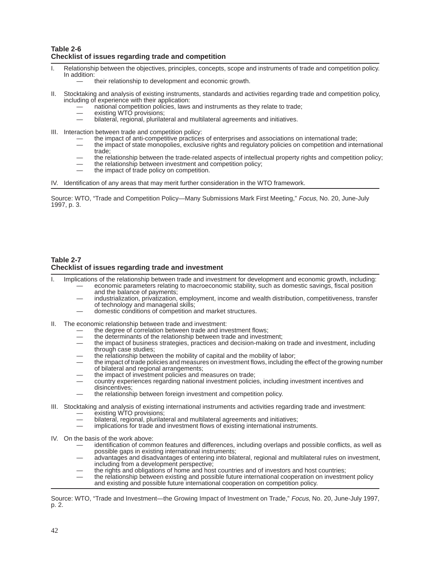#### **Table 2-6 Checklist of issues regarding trade and competition**

- I. Relationship between the objectives, principles, concepts, scope and instruments of trade and competition policy. In addition:
	- their relationship to development and economic growth.
- II. Stocktaking and analysis of existing instruments, standards and activities regarding trade and competition policy, including of experience with their application:
	- national competition policies, laws and instruments as they relate to trade;
	- existing WTO provisions;
	- bilateral, regional, plurilateral and multilateral agreements and initiatives.
- III. Interaction between trade and competition policy:
	- the impact of anti-competitive practices of enterprises and associations on international trade;
	- the impact of state monopolies, exclusive rights and regulatory policies on competition and international trade;
	- the relationship between the trade-related aspects of intellectual property rights and competition policy;
	- the relationship between investment and competition policy;
	- the impact of trade policy on competition.

IV. Identification of any areas that may merit further consideration in the WTO framework.

Source: WTO, "Trade and Competition Policy—Many Submissions Mark First Meeting," Focus, No. 20, June-July 1997, p. 3.

#### **Table 2-7 Checklist of issues regarding trade and investment**

- I. Implications of the relationship between trade and investment for development and economic growth, including: — economic parameters relating to macroeconomic stability, such as domestic savings, fiscal position and the balance of payments;
	- industrialization, privatization, employment, income and wealth distribution, competitiveness, transfer of technology and managerial skills;
	- domestic conditions of competition and market structures.
- II. The economic relationship between trade and investment:
	- the degree of correlation between trade and investment flows;
	- the determinants of the relationship between trade and investment;
	- the impact of business strategies, practices and decision-making on trade and investment, including through case studies;
	- the relationship between the mobility of capital and the mobility of labor;
	- the impact of trade policies and measures on investment flows, including the effect of the growing number of bilateral and regional arrangements;
	- the impact of investment policies and measures on trade;
	- country experiences regarding national investment policies, including investment incentives and disincentives;
	- the relationship between foreign investment and competition policy.

III. Stocktaking and analysis of existing international instruments and activities regarding trade and investment: existing WTO provisions;

- bilateral, regional, plurilateral and multilateral agreements and initiatives;
- implications for trade and investment flows of existing international instruments.
- IV. On the basis of the work above:
	- identification of common features and differences, including overlaps and possible conflicts, as well as possible gaps in existing international instruments;
	- advantages and disadvantages of entering into bilateral, regional and multilateral rules on investment, including from a development perspective;
	- the rights and obligations of home and host countries and of investors and host countries;
	- the relationship between existing and possible future international cooperation on investment policy and existing and possible future international cooperation on competition policy.

Source: WTO, "Trade and Investment—the Growing Impact of Investment on Trade," Focus, No. 20, June-July 1997, p. 2.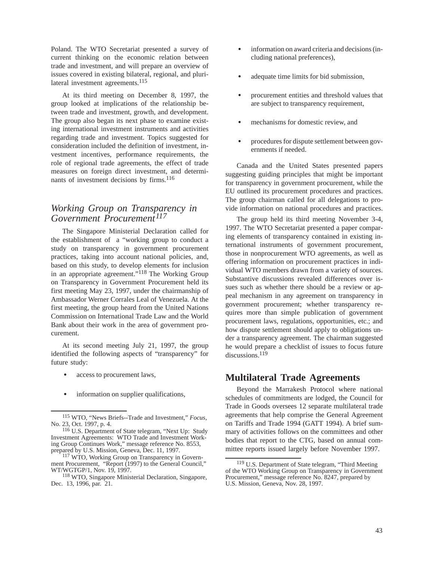Poland. The WTO Secretariat presented a survey of current thinking on the economic relation between trade and investment, and will prepare an overview of issues covered in existing bilateral, regional, and plurilateral investment agreements.<sup>115</sup>

At its third meeting on December 8, 1997, the group looked at implications of the relationship between trade and investment, growth, and development. The group also began its next phase to examine existing international investment instruments and activities regarding trade and investment. Topics suggested for consideration included the definition of investment, investment incentives, performance requirements, the role of regional trade agreements, the effect of trade measures on foreign direct investment, and determinants of investment decisions by firms.<sup>116</sup>

#### *Working Group on Transparency in Government Procurement<sup>117</sup>*

The Singapore Ministerial Declaration called for the establishment of a "working group to conduct a study on transparency in government procurement practices, taking into account national policies, and, based on this study, to develop elements for inclusion in an appropriate agreement."<sup>118</sup> The Working Group on Transparency in Government Procurement held its first meeting May 23, 1997, under the chairmanship of Ambassador Werner Corrales Leal of Venezuela. At the first meeting, the group heard from the United Nations Commission on International Trade Law and the World Bank about their work in the area of government procurement.

At its second meeting July 21, 1997, the group identified the following aspects of "transparency" for future study:

- access to procurement laws,
- $\bullet$ information on supplier qualifications,
- $\bullet$  information on award criteria and decisions (including national preferences),
- adequate time limits for bid submission,
- $\bullet$  procurement entities and threshold values that are subject to transparency requirement,
- mechanisms for domestic review, and
- procedures for dispute settlement between governments if needed.

Canada and the United States presented papers suggesting guiding principles that might be important for transparency in government procurement, while the EU outlined its procurement procedures and practices. The group chairman called for all delegations to provide information on national procedures and practices.

The group held its third meeting November 3-4, 1997. The WTO Secretariat presented a paper comparing elements of transparency contained in existing international instruments of government procurement, those in nonprocurement WTO agreements, as well as offering information on procurement practices in individual WTO members drawn from a variety of sources. Substantive discussions revealed differences over issues such as whether there should be a review or appeal mechanism in any agreement on transparency in government procurement; whether transparency requires more than simple publication of government procurement laws, regulations, opportunities, etc.; and how dispute settlement should apply to obligations under a transparency agreement. The chairman suggested he would prepare a checklist of issues to focus future discussions.<sup>119</sup>

### **Multilateral Trade Agreements**

Beyond the Marrakesh Protocol where national schedules of commitments are lodged, the Council for Trade in Goods oversees 12 separate multilateral trade agreements that help comprise the General Agreement on Tariffs and Trade 1994 (GATT 1994). A brief summary of activities follows on the committees and other bodies that report to the CTG, based on annual committee reports issued largely before November 1997.

<sup>115</sup> WTO, "News Briefs--Trade and Investment," *Focus*, No. 23, Oct. 1997, p. 4.

<sup>116</sup> U.S. Department of State telegram, "Next Up: Study Investment Agreements: WTO Trade and Investment Working Group Continues Work," message reference No. 8553, prepared by U.S. Mission, Geneva, Dec. 11, 1997.

<sup>117</sup> WTO, Working Group on Transparency in Government Procurement, "Report (1997) to the General Council," WT/WGTGP/1, Nov. 19, 1997.

<sup>118</sup> WTO, Singapore Ministerial Declaration, Singapore, Dec. 13, 1996, par. 21.

<sup>119</sup> U.S. Department of State telegram, "Third Meeting of the WTO Working Group on Transparency in Government Procurement," message reference No. 8247, prepared by U.S. Mission, Geneva, Nov. 28, 1997.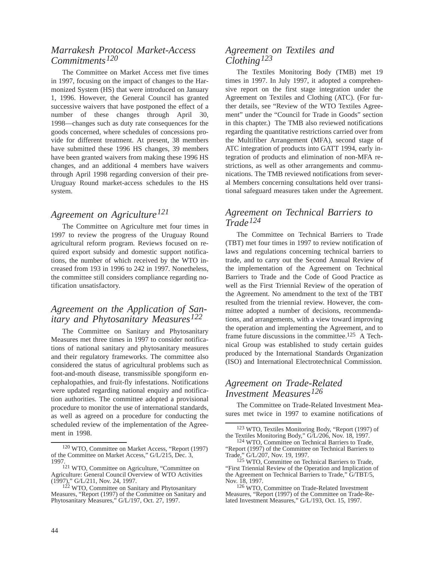#### *Marrakesh Protocol Market-Access Commitments<sup>120</sup>*

The Committee on Market Access met five times in 1997, focusing on the impact of changes to the Harmonized System (HS) that were introduced on January 1, 1996. However, the General Council has granted successive waivers that have postponed the effect of a number of these changes through April 30, 1998—changes such as duty rate consequences for the goods concerned, where schedules of concessions provide for different treatment. At present, 38 members have submitted these 1996 HS changes, 39 members have been granted waivers from making these 1996 HS changes, and an additional 4 members have waivers through April 1998 regarding conversion of their pre-Uruguay Round market-access schedules to the HS system.

## *Agreement on Agriculture<sup>121</sup>*

The Committee on Agriculture met four times in 1997 to review the progress of the Uruguay Round agricultural reform program. Reviews focused on required export subsidy and domestic support notifications, the number of which received by the WTO increased from 193 in 1996 to 242 in 1997. Nonetheless, the committee still considers compliance regarding notification unsatisfactory.

### *Agreement on the Application of Sanitary and Phytosanitary Measures<sup>122</sup>*

The Committee on Sanitary and Phytosanitary Measures met three times in 1997 to consider notifications of national sanitary and phytosanitary measures and their regulatory frameworks. The committee also considered the status of agricultural problems such as foot-and-mouth disease, transmissible spongiform encephalopathies, and fruit-fly infestations. Notifications were updated regarding national enquiry and notification authorities. The committee adopted a provisional procedure to monitor the use of international standards, as well as agreed on a procedure for conducting the scheduled review of the implementation of the Agreement in 1998.

### *Agreement on Textiles and Clothing<sup>123</sup>*

The Textiles Monitoring Body (TMB) met 19 times in 1997. In July 1997, it adopted a comprehensive report on the first stage integration under the Agreement on Textiles and Clothing (ATC). (For further details, see "Review of the WTO Textiles Agreement" under the "Council for Trade in Goods" section in this chapter.) The TMB also reviewed notifications regarding the quantitative restrictions carried over from the Multifiber Arrangement (MFA), second stage of ATC integration of products into GATT 1994, early integration of products and elimination of non-MFA restrictions, as well as other arrangements and communications. The TMB reviewed notifications from several Members concerning consultations held over transitional safeguard measures taken under the Agreement.

### *Agreement on Technical Barriers to Trade<sup>124</sup>*

The Committee on Technical Barriers to Trade (TBT) met four times in 1997 to review notification of laws and regulations concerning technical barriers to trade, and to carry out the Second Annual Review of the implementation of the Agreement on Technical Barriers to Trade and the Code of Good Practice as well as the First Triennial Review of the operation of the Agreement. No amendment to the text of the TBT resulted from the triennial review. However, the committee adopted a number of decisions, recommendations, and arrangements, with a view toward improving the operation and implementing the Agreement, and to frame future discussions in the committee.125 A Technical Group was established to study certain guides produced by the International Standards Organization (ISO) and International Electrotechnical Commission.

### *Agreement on Trade-Related Investment Measures<sup>126</sup>*

The Committee on Trade-Related Investment Measures met twice in 1997 to examine notifications of

<sup>120</sup> WTO, Committee on Market Access, "Report (1997) of the Committee on Market Access," G/L/215, Dec. 3, 1997.

<sup>121</sup> WTO, Committee on Agriculture, "Committee on Agriculture: General Council Overview of WTO Activities (1997)," G/L/211, Nov. 24, 1997.

<sup>&</sup>lt;sup>122</sup> WTO, Committee on Sanitary and Phytosanitary Measures, "Report (1997) of the Committee on Sanitary and Phytosanitary Measures," G/L/197, Oct. 27, 1997.

<sup>123</sup> WTO, Textiles Monitoring Body, "Report (1997) of the Textiles Monitoring Body," G/L/206, Nov. 18, 1997.

<sup>124</sup> WTO, Committee on Technical Barriers to Trade, "Report (1997) of the Committee on Technical Barriers to Trade," G/L/207, Nov. 19, 1997.

<sup>125</sup> WTO, Committee on Technical Barriers to Trade, "First Triennial Review of the Operation and Implication of the Agreement on Technical Barriers to Trade," G/TBT/5, Nov. 18, 1997.

<sup>126</sup> WTO, Committee on Trade-Related Investment Measures, "Report (1997) of the Committee on Trade-Related Investment Measures," G/L/193, Oct. 15, 1997.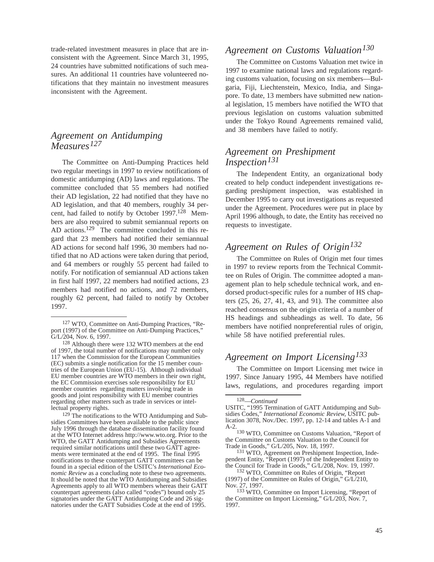trade-related investment measures in place that are inconsistent with the Agreement. Since March 31, 1995, 24 countries have submitted notifications of such measures. An additional 11 countries have volunteered notifications that they maintain no investment measures inconsistent with the Agreement.

### *Agreement on Antidumping Measures<sup>127</sup>*

The Committee on Anti-Dumping Practices held two regular meetings in 1997 to review notifications of domestic antidumping (AD) laws and regulations. The committee concluded that 55 members had notified their AD legislation, 22 had notified that they have no AD legislation, and that 40 members, roughly 34 percent, had failed to notify by October 1997.128 Members are also required to submit semiannual reports on AD actions.<sup>129</sup> The committee concluded in this regard that 23 members had notified their semiannual AD actions for second half 1996, 30 members had notified that no AD actions were taken during that period, and 64 members or roughly 55 percent had failed to notify. For notification of semiannual AD actions taken in first half 1997, 22 members had notified actions, 23 members had notified no actions, and 72 members, roughly 62 percent, had failed to notify by October 1997.

129 The notifications to the WTO Antidumping and Subsidies Committees have been available to the public since July 1996 through the database dissemination facility found at the WTO Internet address http://www.wto.org. Prior to the WTO, the GATT Antidumping and Subsidies Agreements required similar notifications until these two GATT agreements were terminated at the end of 1995. The final 1995 notifications to these counterpart GATT committees can be found in a special edition of the USITC's *International Economic Review* as a concluding note to these two agreements. It should be noted that the WTO Antidumping and Subsidies Agreements apply to all WTO members whereas their GATT counterpart agreements (also called "codes") bound only 25 signatories under the GATT Antidumping Code and 26 signatories under the GATT Subsidies Code at the end of 1995.

### *Agreement on Customs Valuation<sup>130</sup>*

The Committee on Customs Valuation met twice in 1997 to examine national laws and regulations regarding customs valuation, focusing on six members—Bulgaria, Fiji, Liechtenstein, Mexico, India, and Singapore. To date, 13 members have submitted new national legislation, 15 members have notified the WTO that previous legislation on customs valuation submitted under the Tokyo Round Agreements remained valid, and 38 members have failed to notify.

#### *Agreement on Preshipment Inspection<sup>131</sup>*

The Independent Entity, an organizational body created to help conduct independent investigations regarding preshipment inspection, was established in December 1995 to carry out investigations as requested under the Agreement. Procedures were put in place by April 1996 although, to date, the Entity has received no requests to investigate.

### *Agreement on Rules of Origin<sup>132</sup>*

The Committee on Rules of Origin met four times in 1997 to review reports from the Technical Committee on Rules of Origin. The committee adopted a management plan to help schedule technical work, and endorsed product-specific rules for a number of HS chapters (25, 26, 27, 41, 43, and 91). The committee also reached consensus on the origin criteria of a number of HS headings and subheadings as well. To date, 56 members have notified nonpreferential rules of origin, while 58 have notified preferential rules.

### *Agreement on Import Licensing<sup>133</sup>*

The Committee on Import Licensing met twice in 1997. Since January 1995, 44 Members have notified laws, regulations, and procedures regarding import

131 WTO, Agreement on Preshipment Inspection, Independent Entity, "Report (1997) of the Independent Entity to the Council for Trade in Goods," G/L/208, Nov. 19, 1997.

<sup>127</sup> WTO, Committee on Anti-Dumping Practices, "Report (1997) of the Committee on Anti-Dumping Practices," G/L/204, Nov. 6, 1997.

<sup>128</sup> Although there were 132 WTO members at the end of 1997, the total number of notifications may number only 117 when the Commission for the European Communities (EC) submits a single notification for the 15 member countries of the European Union (EU-15). Although individual EU member countries are WTO members in their own right, the EC Commission exercises sole responsibility for EU member countries regarding matters involving trade in goods and joint responsibility with EU member countries regarding other matters such as trade in services or intellectual property rights.

<sup>128—</sup>*Continued*

USITC, "1995 Termination of GATT Antidumping and Subsidies Codes," *International Economic Review*, USITC publication 3078, Nov./Dec. 1997, pp. 12-14 and tables A-1 and A-2.

<sup>130</sup> WTO, Committee on Customs Valuation, "Report of the Committee on Customs Valuation to the Council for Trade in Goods," G/L/205, Nov. 18, 1997.

<sup>132</sup> WTO, Committee on Rules of Origin, "Report (1997) of the Committee on Rules of Origin," G/L/210, Nov. 27, 1997.

<sup>133</sup> WTO, Committee on Import Licensing, "Report of the Committee on Import Licensing," G/L/203, Nov. 7, 1997.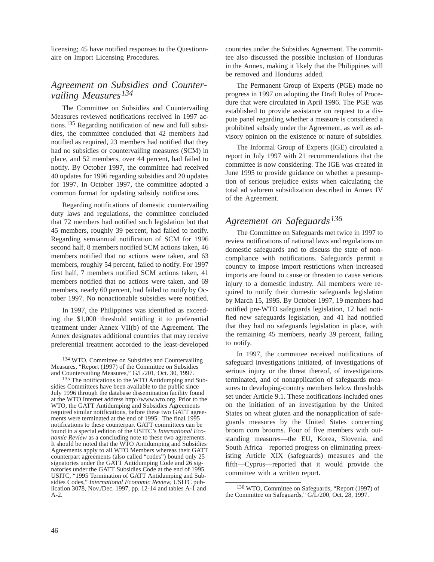licensing; 45 have notified responses to the Questionnaire on Import Licensing Procedures.

#### *Agreement on Subsidies and Countervailing Measures<sup>134</sup>*

The Committee on Subsidies and Countervailing Measures reviewed notifications received in 1997 actions.135 Regarding notification of new and full subsidies, the committee concluded that 42 members had notified as required, 23 members had notified that they had no subsidies or countervailing measures (SCM) in place, and 52 members, over 44 percent, had failed to notify. By October 1997, the committee had received 40 updates for 1996 regarding subsidies and 20 updates for 1997. In October 1997, the committee adopted a common format for updating subsidy notifications.

Regarding notifications of domestic countervailing duty laws and regulations, the committee concluded that 72 members had notified such legislation but that 45 members, roughly 39 percent, had failed to notify. Regarding semiannual notification of SCM for 1996 second half, 8 members notified SCM actions taken, 46 members notified that no actions were taken, and 63 members, roughly 54 percent, failed to notify. For 1997 first half, 7 members notified SCM actions taken, 41 members notified that no actions were taken, and 69 members, nearly 60 percent, had failed to notify by October 1997. No nonactionable subsidies were notified.

In 1997, the Philippines was identified as exceeding the \$1,000 threshold entitling it to preferential treatment under Annex VII(b) of the Agreement. The Annex designates additional countries that may receive preferential treatment accorded to the least-developed countries under the Subsidies Agreement. The committee also discussed the possible inclusion of Honduras in the Annex, making it likely that the Philippines will be removed and Honduras added.

The Permanent Group of Experts (PGE) made no progress in 1997 on adopting the Draft Rules of Procedure that were circulated in April 1996. The PGE was established to provide assistance on request to a dispute panel regarding whether a measure is considered a prohibited subsidy under the Agreement, as well as advisory opinion on the existence or nature of subsidies.

The Informal Group of Experts (IGE) circulated a report in July 1997 with 21 recommendations that the committee is now considering. The IGE was created in June 1995 to provide guidance on whether a presumption of serious prejudice exists when calculating the total ad valorem subsidization described in Annex IV of the Agreement.

## *Agreement on Safeguards<sup>136</sup>*

The Committee on Safeguards met twice in 1997 to review notifications of national laws and regulations on domestic safeguards and to discuss the state of noncompliance with notifications. Safeguards permit a country to impose import restrictions when increased imports are found to cause or threaten to cause serious injury to a domestic industry. All members were required to notify their domestic safeguards legislation by March 15, 1995. By October 1997, 19 members had notified pre-WTO safeguards legislation, 12 had notified new safeguards legislation, and 41 had notified that they had no safeguards legislation in place, with the remaining 45 members, nearly 39 percent, failing to notify.

In 1997, the committee received notifications of safeguard investigations initiated, of investigations of serious injury or the threat thereof, of investigations terminated, and of nonapplication of safeguards measures to developing-country members below thresholds set under Article 9.1. These notifications included ones on the initiation of an investigation by the United States on wheat gluten and the nonapplication of safeguards measures by the United States concerning broom corn brooms. Four of five members with outstanding measures—the EU, Korea, Slovenia, and South Africa—reported progress on eliminating preexisting Article XIX (safeguards) measures and the fifth—Cyprus—reported that it would provide the committee with a written report.

<sup>134</sup> WTO, Committee on Subsidies and Countervailing Measures, "Report (1997) of the Committee on Subsidies and Countervailing Measures," G/L/201, Oct. 30, 1997.

<sup>&</sup>lt;sup>135</sup> The notifications to the WTO Antidumping and Subsidies Committees have been available to the public since July 1996 through the database dissemination facility found at the WTO Internet address http://www.wto.org. Prior to the WTO, the GATT Antidumping and Subsidies Agreements required similar notifications, before these two GATT agreements were terminated at the end of 1995. The final 1995 notifications to these counterpart GATT committees can be found in a special edition of the USITC's *International Economic Review* as a concluding note to these two agreements. It should be noted that the WTO Antidumping and Subsidies Agreements apply to all WTO Members whereas their GATT counterpart agreements (also called "codes") bound only 25 signatories under the GATT Antidumping Code and 26 signatories under the GATT Subsidies Code at the end of 1995. USITC, "1995 Termination of GATT Antidumping and Subsidies Codes," *International Economic Review*, USITC publication 3078, Nov./Dec. 1997, pp. 12-14 and tables A-1 and A-2.

<sup>136</sup> WTO, Committee on Safeguards, "Report (1997) of the Committee on Safeguards," G/L/200, Oct. 28, 1997.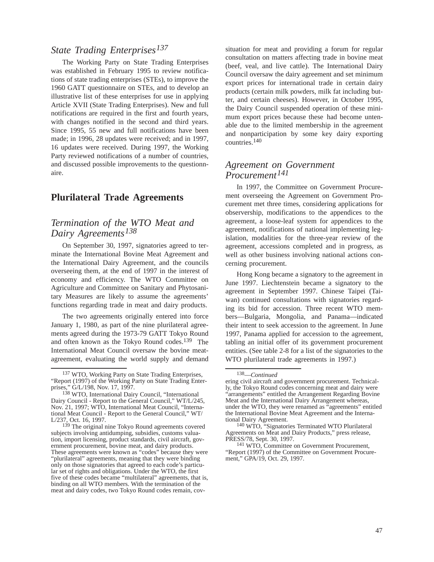### *State Trading Enterprises<sup>137</sup>*

The Working Party on State Trading Enterprises was established in February 1995 to review notifications of state trading enterprises (STEs), to improve the 1960 GATT questionnaire on STEs, and to develop an illustrative list of these enterprises for use in applying Article XVII (State Trading Enterprises). New and full notifications are required in the first and fourth years, with changes notified in the second and third years. Since 1995, 55 new and full notifications have been made; in 1996, 28 updates were received; and in 1997, 16 updates were received. During 1997, the Working Party reviewed notifications of a number of countries, and discussed possible improvements to the questionnaire.

#### **Plurilateral Trade Agreements**

#### *Termination of the WTO Meat and Dairy Agreements<sup>138</sup>*

On September 30, 1997, signatories agreed to terminate the International Bovine Meat Agreement and the International Dairy Agreement, and the councils overseeing them, at the end of 1997 in the interest of economy and efficiency. The WTO Committee on Agriculture and Committee on Sanitary and Phytosanitary Measures are likely to assume the agreements' functions regarding trade in meat and dairy products.

The two agreements originally entered into force January 1, 1980, as part of the nine plurilateral agreements agreed during the 1973-79 GATT Tokyo Round and often known as the Tokyo Round codes.139 The International Meat Council oversaw the bovine meatagreement, evaluating the world supply and demand

situation for meat and providing a forum for regular consultation on matters affecting trade in bovine meat (beef, veal, and live cattle). The International Dairy Council oversaw the dairy agreement and set minimum export prices for international trade in certain dairy products (certain milk powders, milk fat including butter, and certain cheeses). However, in October 1995, the Dairy Council suspended operation of these minimum export prices because these had become untenable due to the limited membership in the agreement and nonparticipation by some key dairy exporting countries.140

#### *Agreement on Government Procurement<sup>141</sup>*

In 1997, the Committee on Government Procurement overseeing the Agreement on Government Procurement met three times, considering applications for observership, modifications to the appendices to the agreement, a loose-leaf system for appendices to the agreement, notifications of national implementing legislation, modalities for the three-year review of the agreement, accessions completed and in progress, as well as other business involving national actions concerning procurement.

Hong Kong became a signatory to the agreement in June 1997. Liechtenstein became a signatory to the agreement in September 1997. Chinese Taipei (Taiwan) continued consultations with signatories regarding its bid for accession. Three recent WTO members—Bulgaria, Mongolia, and Panama—indicated their intent to seek accession to the agreement. In June 1997, Panama applied for accession to the agreement, tabling an initial offer of its government procurement entities. (See table 2-8 for a list of the signatories to the WTO plurilateral trade agreements in 1997.)

<sup>137</sup> WTO, Working Party on State Trading Enterprises, "Report (1997) of the Working Party on State Trading Enterprises," G/L/198, Nov. 17, 1997.

<sup>138</sup> WTO, International Dairy Council, "International Dairy Council - Report to the General Council," WT/L/245, Nov. 21, 1997; WTO, International Meat Council, "International Meat Council - Report to the General Council," WT/ L/237, Oct. 16, 1997.

<sup>&</sup>lt;sup>139</sup> The original nine Tokyo Round agreements covered subjects involving antidumping, subsidies, customs valuation, import licensing, product standards, civil aircraft, government procurement, bovine meat, and dairy products. These agreements were known as "codes" because they were "plurilateral" agreements, meaning that they were binding only on those signatories that agreed to each code's particular set of rights and obligations. Under the WTO, the first five of these codes became "multilateral" agreements, that is, binding on all WTO members. With the termination of the meat and dairy codes, two Tokyo Round codes remain, cov-

<sup>138—</sup>*Continued*

ering civil aircraft and government procurement. Technically, the Tokyo Round codes concerning meat and dairy were "arrangements" entitled the Arrangement Regarding Bovine Meat and the International Dairy Arrangement whereas, under the WTO, they were renamed as "agreements" entitled the International Bovine Meat Agreement and the International Dairy Agreement.

<sup>140</sup> WTO, "Signatories Terminated WTO Plurilateral Agreements on Meat and Dairy Products," press release, PRESS/78, Sept. 30, 1997.

<sup>141</sup> WTO, Committee on Government Procurement, "Report (1997) of the Committee on Government Procurement," GPA/19, Oct. 29, 1997.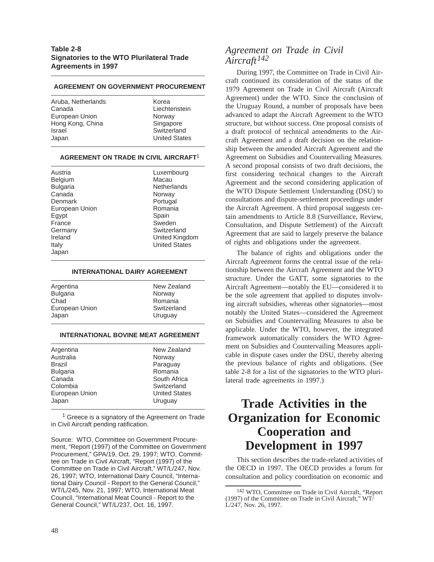#### **AGREEMENT ON GOVERNMENT PROCUREMENT**

| Aruba, Netherlands | Korea                |
|--------------------|----------------------|
| Canada             | Liechtenstein        |
| European Union     | Norway               |
| Hong Kong, China   | Singapore            |
| Israel             | Switzerland          |
| Japan              | <b>United States</b> |

#### **AGREEMENT ON TRADE IN CIVIL AIRCRAFT**<sup>1</sup>

| Austria        | Luxembourg           |
|----------------|----------------------|
| Belgium        | Macau                |
| Bulgaria       | Netherlands          |
| Canada         | Norway               |
| Denmark        | Portugal             |
| European Union | Romania              |
| Egypt          | Spain                |
| France         | Sweden               |
| Germany        | Switzerland          |
| Ireland        | United Kingdom       |
| Italy          | <b>United States</b> |
| Japan          |                      |
|                |                      |

#### **INTERNATIONAL DAIRY AGREEMENT**

| Argentina<br><b>Bulgaria</b> | New Zealand<br>Norway |
|------------------------------|-----------------------|
| Chad                         | Romania               |
| European Union               | Switzerland           |
| Japan                        | Uruguay               |
|                              |                       |

#### **INTERNATIONAL BOVINE MEAT AGREEMENT**

| Argentina       | New Zealand          |
|-----------------|----------------------|
| Australia       | Norway               |
| <b>Brazil</b>   | Paraguay             |
| <b>Bulgaria</b> | Romania              |
| Canada          | South Africa         |
| Colombia        | Switzerland          |
| European Union  | <b>United States</b> |
| Japan           | Uruguay              |
|                 |                      |

 $1$  Greece is a signatory of the Agreement on Trade in Civil Aircraft pending ratification.

Source: WTO, Committee on Government Procurement, "Report (1997) of the Committee on Government Procurement," GPA/19, Oct. 29, 1997; WTO, Committee on Trade in Civil Aircraft, "Report (1997) of the Committee on Trade in Civil Aircraft," WT/L/247, Nov. 26, 1997; WTO, International Dairy Council, "International Dairy Council - Report to the General Council," WT/L/245, Nov. 21, 1997; WTO, International Meat Council, "International Meat Council - Report to the General Council," WT/L/237, Oct. 16, 1997.

#### *Agreement on Trade in Civil Aircraft<sup>142</sup>*

During 1997, the Committee on Trade in Civil Aircraft continued its consideration of the status of the 1979 Agreement on Trade in Civil Aircraft (Aircraft Agreement) under the WTO. Since the conclusion of the Uruguay Round, a number of proposals have been advanced to adapt the Aircraft Agreement to the WTO structure, but without success. One proposal consists of a draft protocol of technical amendments to the Aircraft Agreement and a draft decision on the relationship between the amended Aircraft Agreement and the Agreement on Subsidies and Countervailing Measures. A second proposal consists of two draft decisions, the first considering technical changes to the Aircraft Agreement and the second considering application of the WTO Dispute Settlement Understanding (DSU) to consultations and dispute-settlement proceedings under the Aircraft Agreement. A third proposal suggests certain amendments to Article 8.8 (Surveillance, Review, Consultation, and Dispute Settlement) of the Aircraft Agreement that are said to largely preserve the balance of rights and obligations under the agreement.

The balance of rights and obligations under the Aircraft Agreement forms the central issue of the relationship between the Aircraft Agreement and the WTO structure. Under the GATT, some signatories to the Aircraft Agreement—notably the EU—considered it to be the sole agreement that applied to disputes involving aircraft subsidies, whereas other signatories—most notably the United States—considered the Agreement on Subsidies and Countervailing Measures to also be applicable. Under the WTO, however, the integrated framework automatically considers the WTO Agreement on Subsidies and Countervailing Measures applicable in dispute cases under the DSU, thereby altering the previous balance of rights and obligations. (See table 2-8 for a list of the signatories to the WTO plurilateral trade agreements in 1997.)

## **Trade Activities in the Organization for Economic Cooperation and Development in 1997**

This section describes the trade-related activities of the OECD in 1997. The OECD provides a forum for consultation and policy coordination on economic and

<sup>142</sup> WTO, Committee on Trade in Civil Aircraft, "Report (1997) of the Committee on Trade in Civil Aircraft,"  $WT$ L/247, Nov. 26, 1997.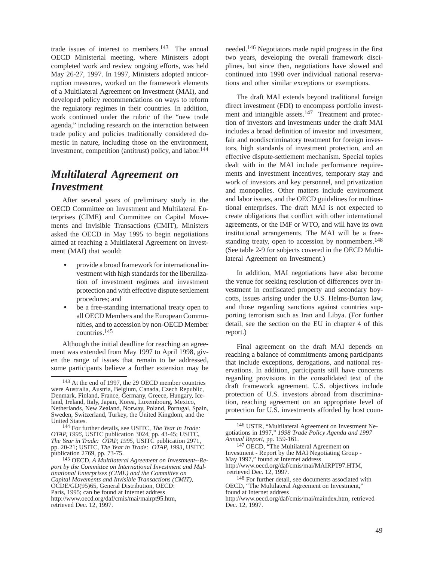trade issues of interest to members.143 The annual OECD Ministerial meeting, where Ministers adopt completed work and review ongoing efforts, was held May 26-27, 1997. In 1997, Ministers adopted anticorruption measures, worked on the framework elements of a Multilateral Agreement on Investment (MAI), and developed policy recommendations on ways to reform the regulatory regimes in their countries. In addition, work continued under the rubric of the "new trade agenda," including research on the interaction between trade policy and policies traditionally considered domestic in nature, including those on the environment, investment, competition (antitrust) policy, and labor.<sup>144</sup>

## *Multilateral Agreement on Investment*

After several years of preliminary study in the OECD Committee on Investment and Multilateral Enterprises (CIME) and Committee on Capital Movements and Invisible Transactions (CMIT), Ministers asked the OECD in May 1995 to begin negotiations aimed at reaching a Multilateral Agreement on Investment (MAI) that would:

- provide a broad framework for international investment with high standards for the liberalization of investment regimes and investment protection and with effective dispute settlement procedures; and
- be a free-standing international treaty open to all OECD Members and the European Communities, and to accession by non-OECD Member countries.145

Although the initial deadline for reaching an agreement was extended from May 1997 to April 1998, given the range of issues that remain to be addressed, some participants believe a further extension may be

needed.146 Negotiators made rapid progress in the first two years, developing the overall framework disciplines, but since then, negotiations have slowed and continued into 1998 over individual national reservations and other similar exceptions or exemptions.

The draft MAI extends beyond traditional foreign direct investment (FDI) to encompass portfolio investment and intangible assets.<sup>147</sup> Treatment and protection of investors and investments under the draft MAI includes a broad definition of investor and investment, fair and nondiscriminatory treatment for foreign investors, high standards of investment protection, and an effective dispute-settlement mechanism. Special topics dealt with in the MAI include performance requirements and investment incentives, temporary stay and work of investors and key personnel, and privatization and monopolies. Other matters include environment and labor issues, and the OECD guidelines for multinational enterprises. The draft MAI is not expected to create obligations that conflict with other international agreements, or the IMF or WTO, and will have its own institutional arrangements. The MAI will be a freestanding treaty, open to accession by nonmembers.<sup>148</sup> (See table 2-9 for subjects covered in the OECD Multilateral Agreement on Investment.)

In addition, MAI negotiations have also become the venue for seeking resolution of differences over investment in confiscated property and secondary boycotts, issues arising under the U.S. Helms-Burton law, and those regarding sanctions against countries supporting terrorism such as Iran and Libya. (For further detail, see the section on the EU in chapter 4 of this report.)

Final agreement on the draft MAI depends on reaching a balance of commitments among participants that include exceptions, derogations, and national reservations. In addition, participants still have concerns regarding provisions in the consolidated text of the draft framework agreement. U.S. objectives include protection of U.S. investors abroad from discrimination, reaching agreement on an appropriate level of protection for U.S. investments afforded by host coun-

<sup>143</sup> At the end of 1997, the 29 OECD member countries were Australia, Austria, Belgium, Canada, Czech Republic, Denmark, Finland, France, Germany, Greece, Hungary, Iceland, Ireland, Italy, Japan, Korea, Luxembourg, Mexico, Netherlands, New Zealand, Norway, Poland, Portugal, Spain, Sweden, Switzerland, Turkey, the United Kingdom, and the United States.

<sup>144</sup> For further details, see USITC, *The Year in Trade: OTAP, 1996*, USITC publication 3024, pp. 43-45; USITC, *The Year in Trade: OTAP, 1995*, USITC publication 2971, pp. 20-21; USITC, *The Year in Trade: OTAP, 1993*, USITC publication 2769, pp. 73-75.

<sup>145</sup> OECD, *A Multilateral Agreement on Investment--Report by the Committee on International Investment and Multinational Enterprises (CIME) and the Committee on Capital Movements and Invisible Transactions (CMIT)*, OCDE/GD(95)65, General Distribution, OECD: Paris, 1995; can be found at Internet address http://www.oecd.org/daf/cmis/mai/mairpt95.htm, retrieved Dec. 12, 1997.

<sup>146</sup> USTR, "Multilateral Agreement on Investment Negotiations in 1997," *1998 Trade Policy Agenda and 1997 Annual Report*, pp. 159-161.

<sup>147</sup> OECD, "The Multilateral Agreement on Investment - Report by the MAI Negotiating Group - May 1997," found at Internet address

http://www.oecd.org/daf/cmis/mai/MAIRPT97.HTM, retrieved Dec. 12, 1997.

<sup>148</sup> For further detail, see documents associated with OECD, "The Multilateral Agreement on Investment," found at Internet address

http://www.oecd.org/daf/cmis/mai/maindex.htm, retrieved

Dec. 12, 1997.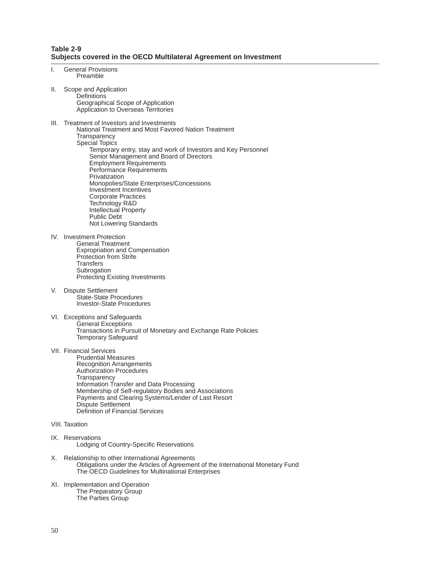#### **Table 2-9 Subjects covered in the OECD Multilateral Agreement on Investment**

#### I. General Provisions Preamble II. Scope and Application **Definitions** Geographical Scope of Application Application to Overseas Territories III. Treatment of Investors and Investments National Treatment and Most Favored Nation Treatment **Transparency** Special Topics Temporary entry, stay and work of Investors and Key Personnel Senior Management and Board of Directors Employment Requirements Performance Requirements **Privatization** Monopolies/State Enterprises/Concessions Investment Incentives Corporate Practices Technology R&D Intellectual Property Public Debt Not Lowering Standards IV. Investment Protection General Treatment Expropriation and Compensation Protection from Strife **Transfers Subrogation** Protecting Existing Investments

- V. Dispute Settlement State-State Procedures Investor-State Procedures
- VI. Exceptions and Safeguards General Exceptions Transactions in Pursuit of Monetary and Exchange Rate Policies Temporary Safeguard
- VII. Financial Services

Prudential Measures Recognition Arrangements Authorization Procedures **Transparency** Information Transfer and Data Processing Membership of Self-regulatory Bodies and Associations Payments and Clearing Systems/Lender of Last Resort Dispute Settlement Definition of Financial Services

#### VIII. Taxation

- IX. Reservations Lodging of Country-Specific Reservations
- X. Relationship to other International Agreements Obligations under the Articles of Agreement of the International Monetary Fund The OECD Guidelines for Multinational Enterprises
- XI. Implementation and Operation The Preparatory Group The Parties Group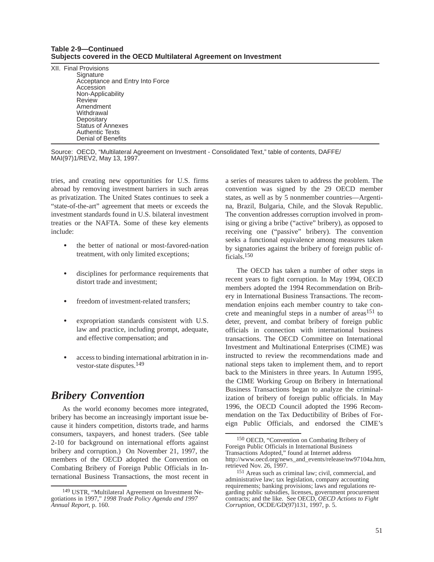#### **Table 2-9—Continued Subjects covered in the OECD Multilateral Agreement on Investment**

XII. Final Provisions **Signature** Acceptance and Entry Into Force Accession Non-Applicability Review Amendment **Withdrawal Depositary** Status of Annexes Authentic Texts Denial of Benefits

Source: OECD, "Multilateral Agreement on Investment - Consolidated Text," table of contents, DAFFE/ MAI(97)1/REV2, May 13, 1997.

tries, and creating new opportunities for U.S. firms abroad by removing investment barriers in such areas as privatization. The United States continues to seek a "state-of-the-art" agreement that meets or exceeds the investment standards found in U.S. bilateral investment treaties or the NAFTA. Some of these key elements include:

- the better of national or most-favored-nation treatment, with only limited exceptions;
- $\bullet$  disciplines for performance requirements that distort trade and investment;
- freedom of investment-related transfers;
- expropriation standards consistent with U.S. law and practice, including prompt, adequate, and effective compensation; and
- access to binding international arbitration in investor-state disputes.149

## *Bribery Convention*

As the world economy becomes more integrated, bribery has become an increasingly important issue because it hinders competition, distorts trade, and harms consumers, taxpayers, and honest traders. (See table 2-10 for background on international efforts against bribery and corruption.) On November 21, 1997, the members of the OECD adopted the Convention on Combating Bribery of Foreign Public Officials in International Business Transactions, the most recent in

a series of measures taken to address the problem. The convention was signed by the 29 OECD member states, as well as by 5 nonmember countries—Argentina, Brazil, Bulgaria, Chile, and the Slovak Republic. The convention addresses corruption involved in promising or giving a bribe ("active" bribery), as opposed to receiving one ("passive" bribery). The convention seeks a functional equivalence among measures taken by signatories against the bribery of foreign public officials.150

The OECD has taken a number of other steps in recent years to fight corruption. In May 1994, OECD members adopted the 1994 Recommendation on Bribery in International Business Transactions. The recommendation enjoins each member country to take concrete and meaningful steps in a number of areas<sup>151</sup> to deter, prevent, and combat bribery of foreign public officials in connection with international business transactions. The OECD Committee on International Investment and Multinational Enterprises (CIME) was instructed to review the recommendations made and national steps taken to implement them, and to report back to the Ministers in three years. In Autumn 1995, the CIME Working Group on Bribery in International Business Transactions began to analyze the criminalization of bribery of foreign public officials. In May 1996, the OECD Council adopted the 1996 Recommendation on the Tax Deductibility of Bribes of Foreign Public Officials, and endorsed the CIME's

<sup>149</sup> USTR, "Multilateral Agreement on Investment Negotiations in 1997," *1998 Trade Policy Agenda and 1997 Annual Report*, p. 160.

<sup>150</sup> OECD, "Convention on Combating Bribery of Foreign Public Officials in International Business Transactions Adopted," found at Internet address http://www.oecd.org/news\_and\_events/release/nw97104a.htm, retrieved Nov. 26, 1997.

<sup>151</sup> Areas such as criminal law; civil, commercial, and administrative law; tax legislation, company accounting requirements; banking provisions; laws and regulations regarding public subsidies, licenses, government procurement contracts; and the like. See OECD, *OECD Actions to Fight Corruption*, OCDE/GD(97)131, 1997, p. 5.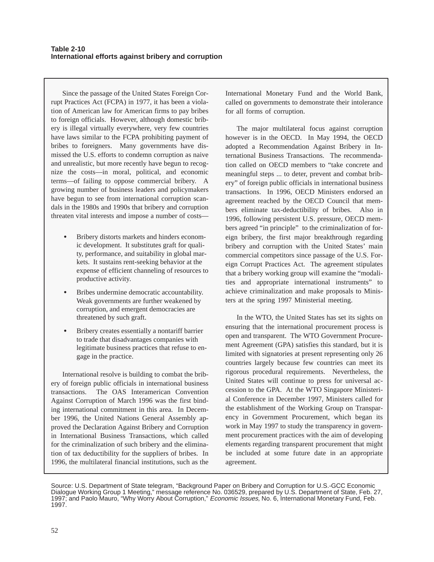Since the passage of the United States Foreign Corrupt Practices Act (FCPA) in 1977, it has been a violation of American law for American firms to pay bribes to foreign officials. However, although domestic bribery is illegal virtually everywhere, very few countries have laws similar to the FCPA prohibiting payment of bribes to foreigners. Many governments have dismissed the U.S. efforts to condemn corruption as naive and unrealistic, but more recently have begun to recognize the costs—in moral, political, and economic terms—of failing to oppose commercial bribery. A growing number of business leaders and policymakers have begun to see from international corruption scandals in the 1980s and 1990s that bribery and corruption threaten vital interests and impose a number of costs—

- Bribery distorts markets and hinders economic development. It substitutes graft for quality, performance, and suitability in global markets. It sustains rent-seeking behavior at the expense of efficient channeling of resources to productive activity.
- Bribes undermine democratic accountability. Weak governments are further weakened by corruption, and emergent democracies are threatened by such graft.
- Bribery creates essentially a nontariff barrier to trade that disadvantages companies with legitimate business practices that refuse to engage in the practice.

International resolve is building to combat the bribery of foreign public officials in international business transactions. The OAS Interamerican Convention Against Corruption of March 1996 was the first binding international commitment in this area. In December 1996, the United Nations General Assembly approved the Declaration Against Bribery and Corruption in International Business Transactions, which called for the criminalization of such bribery and the elimination of tax deductibility for the suppliers of bribes. In 1996, the multilateral financial institutions, such as the

International Monetary Fund and the World Bank, called on governments to demonstrate their intolerance for all forms of corruption.

The major multilateral focus against corruption however is in the OECD. In May 1994, the OECD adopted a Recommendation Against Bribery in International Business Transactions. The recommendation called on OECD members to "take concrete and meaningful steps ... to deter, prevent and combat bribery" of foreign public officials in international business transactions. In 1996, OECD Ministers endorsed an agreement reached by the OECD Council that members eliminate tax-deductibility of bribes. Also in 1996, following persistent U.S. pressure, OECD members agreed "in principle" to the criminalization of foreign bribery, the first major breakthrough regarding bribery and corruption with the United States' main commercial competitors since passage of the U.S. Foreign Corrupt Practices Act. The agreement stipulates that a bribery working group will examine the "modalities and appropriate international instruments" to achieve criminalization and make proposals to Ministers at the spring 1997 Ministerial meeting.

In the WTO, the United States has set its sights on ensuring that the international procurement process is open and transparent. The WTO Government Procurement Agreement (GPA) satisfies this standard, but it is limited with signatories at present representing only 26 countries largely because few countries can meet its rigorous procedural requirements. Nevertheless, the United States will continue to press for universal accession to the GPA. At the WTO Singapore Ministerial Conference in December 1997, Ministers called for the establishment of the Working Group on Transparency in Government Procurement, which began its work in May 1997 to study the transparency in government procurement practices with the aim of developing elements regarding transparent procurement that might be included at some future date in an appropriate agreement.

Source: U.S. Department of State telegram, "Background Paper on Bribery and Corruption for U.S.-GCC Economic Dialogue Working Group 1 Meeting," message reference No. 036529, prepared by U.S. Department of State, Feb. 27, 1997; and Paolo Mauro, "Why Worry About Corruption," Economic Issues, No. 6, International Monetary Fund, Feb. 1997.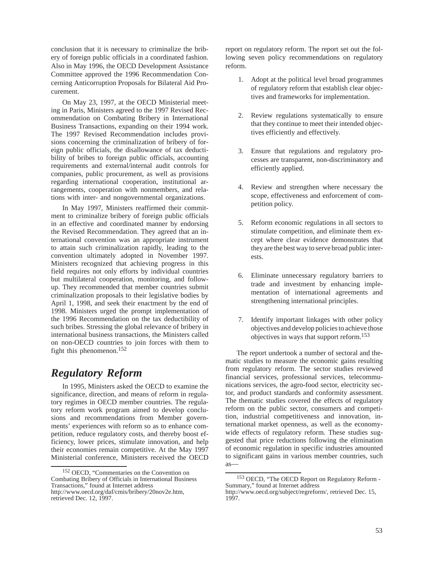conclusion that it is necessary to criminalize the bribery of foreign public officials in a coordinated fashion. Also in May 1996, the OECD Development Assistance Committee approved the 1996 Recommendation Concerning Anticorruption Proposals for Bilateral Aid Procurement.

On May 23, 1997, at the OECD Ministerial meeting in Paris, Ministers agreed to the 1997 Revised Recommendation on Combating Bribery in International Business Transactions, expanding on their 1994 work. The 1997 Revised Recommendation includes provisions concerning the criminalization of bribery of foreign public officials, the disallowance of tax deductibility of bribes to foreign public officials, accounting requirements and external/internal audit controls for companies, public procurement, as well as provisions regarding international cooperation, institutional arrangements, cooperation with nonmembers, and relations with inter- and nongovernmental organizations.

In May 1997, Ministers reaffirmed their commitment to criminalize bribery of foreign public officials in an effective and coordinated manner by endorsing the Revised Recommendation. They agreed that an international convention was an appropriate instrument to attain such criminalization rapidly, leading to the convention ultimately adopted in November 1997. Ministers recognized that achieving progress in this field requires not only efforts by individual countries but multilateral cooperation, monitoring, and followup. They recommended that member countries submit criminalization proposals to their legislative bodies by April 1, 1998, and seek their enactment by the end of 1998. Ministers urged the prompt implementation of the 1996 Recommendation on the tax deductibility of such bribes. Stressing the global relevance of bribery in international business transactions, the Ministers called on non-OECD countries to join forces with them to fight this phenomenon.152

## *Regulatory Reform*

In 1995, Ministers asked the OECD to examine the significance, direction, and means of reform in regulatory regimes in OECD member countries. The regulatory reform work program aimed to develop conclusions and recommendations from Member governments' experiences with reform so as to enhance competition, reduce regulatory costs, and thereby boost efficiency, lower prices, stimulate innovation, and help their economies remain competitive. At the May 1997 Ministerial conference, Ministers received the OECD

report on regulatory reform. The report set out the following seven policy recommendations on regulatory reform.

- 1. Adopt at the political level broad programmes of regulatory reform that establish clear objectives and frameworks for implementation.
- 2. Review regulations systematically to ensure that they continue to meet their intended objectives efficiently and effectively.
- 3. Ensure that regulations and regulatory processes are transparent, non-discriminatory and efficiently applied.
- 4. Review and strengthen where necessary the scope, effectiveness and enforcement of competition policy.
- 5. Reform economic regulations in all sectors to stimulate competition, and eliminate them except where clear evidence demonstrates that they are the best way to serve broad public interests.
- 6. Eliminate unnecessary regulatory barriers to trade and investment by enhancing implementation of international agreements and strengthening international principles.
- 7. Identify important linkages with other policy objectives and develop policies to achieve those objectives in ways that support reform.153

The report undertook a number of sectoral and thematic studies to measure the economic gains resulting from regulatory reform. The sector studies reviewed financial services, professional services, telecommunications services, the agro-food sector, electricity sector, and product standards and conformity assessment. The thematic studies covered the effects of regulatory reform on the public sector, consumers and competition, industrial competitiveness and innovation, international market openness, as well as the economywide effects of regulatory reform. These studies suggested that price reductions following the elimination of economic regulation in specific industries amounted to significant gains in various member countries, such as—

<sup>152</sup> OECD, "Commentaries on the Convention on Combating Bribery of Officials in International Business Transactions," found at Internet address http://www.oecd.org/daf/cmis/bribery/20nov2e.htm, retrieved Dec. 12, 1997.

<sup>153</sup> OECD, "The OECD Report on Regulatory Reform - Summary," found at Internet address

http://www.oecd.org/subject/regreform/, retrieved Dec. 15, 1997.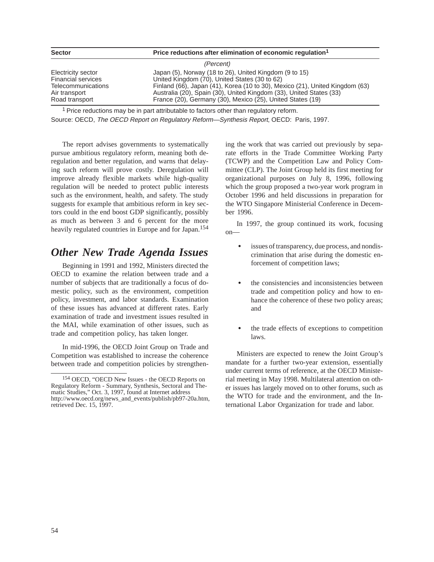| <b>Sector</b>                                                                                                   | Price reductions after elimination of economic regulation <sup>1</sup>                                                                                                                                                                                                                                                       |  |  |
|-----------------------------------------------------------------------------------------------------------------|------------------------------------------------------------------------------------------------------------------------------------------------------------------------------------------------------------------------------------------------------------------------------------------------------------------------------|--|--|
|                                                                                                                 | (Percent)                                                                                                                                                                                                                                                                                                                    |  |  |
| Electricity sector<br><b>Financial services</b><br><b>Telecommunications</b><br>Air transport<br>Road transport | Japan (5), Norway (18 to 26), United Kingdom (9 to 15)<br>United Kingdom (70), United States (30 to 62)<br>Finland (66), Japan (41), Korea (10 to 30), Mexico (21), United Kingdom (63)<br>Australia (20), Spain (30), United Kingdom (33), United States (33)<br>France (20), Germany (30), Mexico (25), United States (19) |  |  |

 $<sup>1</sup>$  Price reductions may be in part attributable to factors other than regulatory reform.</sup> Source: OECD, The OECD Report on Regulatory Reform—Synthesis Report, OECD: Paris, 1997.

The report advises governments to systematically pursue ambitious regulatory reform, meaning both deregulation and better regulation, and warns that delaying such reform will prove costly. Deregulation will improve already flexible markets while high-quality regulation will be needed to protect public interests such as the environment, health, and safety. The study suggests for example that ambitious reform in key sectors could in the end boost GDP significantly, possibly as much as between 3 and 6 percent for the more heavily regulated countries in Europe and for Japan.<sup>154</sup>

## *Other New Trade Agenda Issues*

Beginning in 1991 and 1992, Ministers directed the OECD to examine the relation between trade and a number of subjects that are traditionally a focus of domestic policy, such as the environment, competition policy, investment, and labor standards. Examination of these issues has advanced at different rates. Early examination of trade and investment issues resulted in the MAI, while examination of other issues, such as trade and competition policy, has taken longer.

In mid-1996, the OECD Joint Group on Trade and Competition was established to increase the coherence between trade and competition policies by strengthening the work that was carried out previously by separate efforts in the Trade Committee Working Party (TCWP) and the Competition Law and Policy Committee (CLP). The Joint Group held its first meeting for organizational purposes on July 8, 1996, following which the group proposed a two-year work program in October 1996 and held discussions in preparation for the WTO Singapore Ministerial Conference in December 1996.

In 1997, the group continued its work, focusing on—

- issues of transparency, due process, and nondiscrimination that arise during the domestic enforcement of competition laws;
- the consistencies and inconsistencies between trade and competition policy and how to enhance the coherence of these two policy areas; and
- the trade effects of exceptions to competition laws.

Ministers are expected to renew the Joint Group's mandate for a further two-year extension, essentially under current terms of reference, at the OECD Ministerial meeting in May 1998. Multilateral attention on other issues has largely moved on to other forums, such as the WTO for trade and the environment, and the International Labor Organization for trade and labor.

<sup>154</sup> OECD, "OECD New Issues - the OECD Reports on Regulatory Reform - Summary, Synthesis, Sectoral and Thematic Studies," Oct. 3, 1997, found at Internet address http://www.oecd.org/news\_and\_events/publish/pb97-20a.htm, retrieved Dec. 15, 1997.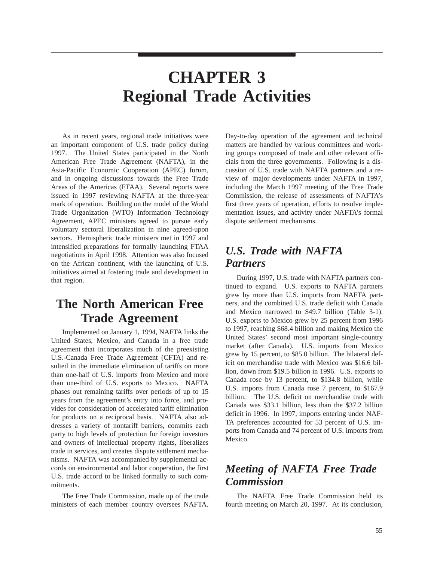# **CHAPTER 3 Regional Trade Activities**

As in recent years, regional trade initiatives were an important component of U.S. trade policy during 1997. The United States participated in the North American Free Trade Agreement (NAFTA), in the Asia-Pacific Economic Cooperation (APEC) forum, and in ongoing discussions towards the Free Trade Areas of the Americas (FTAA). Several reports were issued in 1997 reviewing NAFTA at the three-year mark of operation. Building on the model of the World Trade Organization (WTO) Information Technology Agreement, APEC ministers agreed to pursue early voluntary sectoral liberalization in nine agreed-upon sectors. Hemispheric trade ministers met in 1997 and intensified preparations for formally launching FTAA negotiations in April 1998. Attention was also focused on the African continent, with the launching of U.S. initiatives aimed at fostering trade and development in that region.

## **The North American Free Trade Agreement**

Implemented on January 1, 1994, NAFTA links the United States, Mexico, and Canada in a free trade agreement that incorporates much of the preexisting U.S.-Canada Free Trade Agreement (CFTA) and resulted in the immediate elimination of tariffs on more than one-half of U.S. imports from Mexico and more than one-third of U.S. exports to Mexico. NAFTA phases out remaining tariffs over periods of up to 15 years from the agreement's entry into force, and provides for consideration of accelerated tariff elimination for products on a reciprocal basis. NAFTA also addresses a variety of nontariff barriers, commits each party to high levels of protection for foreign investors and owners of intellectual property rights, liberalizes trade in services, and creates dispute settlement mechanisms. NAFTA was accompanied by supplemental accords on environmental and labor cooperation, the first U.S. trade accord to be linked formally to such commitments.

The Free Trade Commission, made up of the trade ministers of each member country oversees NAFTA.

Day-to-day operation of the agreement and technical matters are handled by various committees and working groups composed of trade and other relevant officials from the three governments. Following is a discussion of U.S. trade with NAFTA partners and a review of major developments under NAFTA in 1997, including the March 1997 meeting of the Free Trade Commission, the release of assessments of NAFTA's first three years of operation, efforts to resolve implementation issues, and activity under NAFTA's formal dispute settlement mechanisms.

## *U.S. Trade with NAFTA Partners*

During 1997, U.S. trade with NAFTA partners continued to expand. U.S. exports to NAFTA partners grew by more than U.S. imports from NAFTA partners, and the combined U.S. trade deficit with Canada and Mexico narrowed to \$49.7 billion (Table 3-1). U.S. exports to Mexico grew by 25 percent from 1996 to 1997, reaching \$68.4 billion and making Mexico the United States' second most important single-country market (after Canada). U.S. imports from Mexico grew by 15 percent, to \$85.0 billion. The bilateral deficit on merchandise trade with Mexico was \$16.6 billion, down from \$19.5 billion in 1996. U.S. exports to Canada rose by 13 percent, to \$134.8 billion, while U.S. imports from Canada rose 7 percent, to \$167.9 billion. The U.S. deficit on merchandise trade with Canada was \$33.1 billion, less than the \$37.2 billion deficit in 1996. In 1997, imports entering under NAF-TA preferences accounted for 53 percent of U.S. imports from Canada and 74 percent of U.S. imports from Mexico.

## *Meeting of NAFTA Free Trade Commission*

The NAFTA Free Trade Commission held its fourth meeting on March 20, 1997. At its conclusion,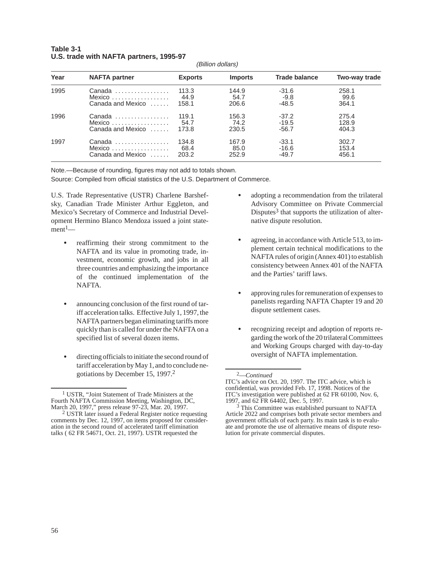#### **Table 3-1 U.S. trade with NAFTA partners, 1995-97**

| (Billion dollars) |                      |                |                |                      |               |  |  |  |
|-------------------|----------------------|----------------|----------------|----------------------|---------------|--|--|--|
| Year              | <b>NAFTA</b> partner | <b>Exports</b> | <b>Imports</b> | <b>Trade balance</b> | Two-way trade |  |  |  |
| 1995              | Canada               | 113.3          | 144.9          | $-31.6$              | 258.1         |  |  |  |
|                   | Mexico               | 44.9           | 54.7           | $-9.8$               | 99.6          |  |  |  |
|                   | Canada and Mexico    | 158.1          | 206.6          | $-48.5$              | 364.1         |  |  |  |
| 1996              | Canada               | 119.1          | 156.3          | $-37.2$              | 275.4         |  |  |  |
|                   | Mexico               | 54.7           | 74.2           | $-19.5$              | 128.9         |  |  |  |
|                   | Canada and Mexico    | 173.8          | 230.5          | $-56.7$              | 404.3         |  |  |  |
| 1997              | Canada               | 134.8          | 167.9          | $-33.1$              | 302.7         |  |  |  |
|                   | Mexico               | 68.4           | 85.0           | $-16.6$              | 153.4         |  |  |  |
|                   | Canada and Mexico    | 203.2          | 252.9          | $-49.7$              | 456.1         |  |  |  |

Note.—Because of rounding, figures may not add to totals shown.

Source: Compiled from official statistics of the U.S. Department of Commerce.

U.S. Trade Representative (USTR) Charlene Barshefsky, Canadian Trade Minister Arthur Eggleton, and Mexico's Secretary of Commerce and Industrial Development Hermino Blanco Mendoza issued a joint state $ment<sup>1</sup>$ —

- reaffirming their strong commitment to the NAFTA and its value in promoting trade, investment, economic growth, and jobs in all three countries and emphasizing the importance of the continued implementation of the NAFTA.
- announcing conclusion of the first round of tariff acceleration talks. Effective July 1, 1997, the NAFTA partners began eliminating tariffs more quickly than is called for under the NAFTA on a specified list of several dozen items.
- directing officials to initiate the second round of tariff acceleration by May 1, and to conclude negotiations by December 15, 1997.2
- adopting a recommendation from the trilateral Advisory Committee on Private Commercial Disputes $3$  that supports the utilization of alternative dispute resolution.
- agreeing, in accordance with Article 513, to implement certain technical modifications to the NAFTA rules of origin (Annex 401) to establish consistency between Annex 401 of the NAFTA and the Parties' tariff laws.
- approving rules for remuneration of expenses to panelists regarding NAFTA Chapter 19 and 20 dispute settlement cases.
- recognizing receipt and adoption of reports regarding the work of the 20 trilateral Committees and Working Groups charged with day-to-day oversight of NAFTA implementation.

<sup>1</sup> USTR, "Joint Statement of Trade Ministers at the Fourth NAFTA Commission Meeting, Washington, DC, March 20, 1997," press release 97-23, Mar. 20, 1997.

<sup>2</sup> USTR later issued a Federal Register notice requesting comments by Dec. 12, 1997, on items proposed for consideration in the second round of accelerated tariff elimination talks ( 62 FR 54671, Oct. 21, 1997). USTR requested the

<sup>2—</sup>*Continued*

ITC's advice on Oct. 20, 1997. The ITC advice, which is confidential, was provided Feb. 17, 1998. Notices of the ITC's investigation were published at 62 FR 60100, Nov. 6, 1997, and 62 FR 64402, Dec. 5, 1997.

 $3$  This Committee was established pursuant to NAFTA Article 2022 and comprises both private sector members and government officials of each party. Its main task is to evaluate and promote the use of alternative means of dispute resolution for private commercial disputes.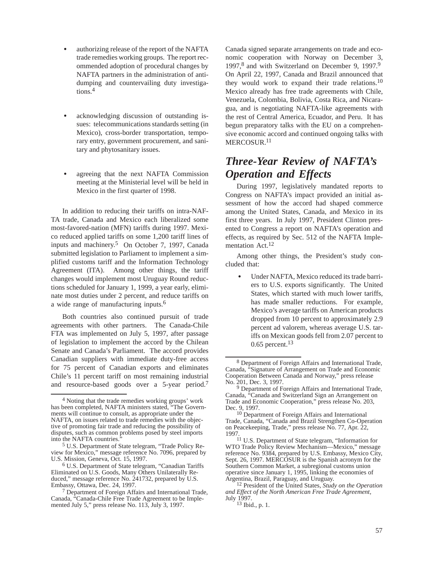- authorizing release of the report of the NAFTA trade remedies working groups. The report recommended adoption of procedural changes by NAFTA partners in the administration of antidumping and countervailing duty investigations.4
- acknowledging discussion of outstanding issues: telecommunications standards setting (in Mexico), cross-border transportation, temporary entry, government procurement, and sanitary and phytosanitary issues.
- agreeing that the next NAFTA Commission meeting at the Ministerial level will be held in Mexico in the first quarter of 1998.

In addition to reducing their tariffs on intra-NAF-TA trade, Canada and Mexico each liberalized some most-favored-nation (MFN) tariffs during 1997. Mexico reduced applied tariffs on some 1,200 tariff lines of inputs and machinery.5 On October 7, 1997, Canada submitted legislation to Parliament to implement a simplified customs tariff and the Information Technology Agreement (ITA). Among other things, the tariff changes would implement most Uruguay Round reductions scheduled for January 1, 1999, a year early, eliminate most duties under 2 percent, and reduce tariffs on a wide range of manufacturing inputs.6

Both countries also continued pursuit of trade agreements with other partners. The Canada-Chile FTA was implemented on July 5, 1997, after passage of legislation to implement the accord by the Chilean Senate and Canada's Parliament. The accord provides Canadian suppliers with immediate duty-free access for 75 percent of Canadian exports and eliminates Chile's 11 percent tariff on most remaining industrial and resource-based goods over a 5-year period.7

Canada signed separate arrangements on trade and economic cooperation with Norway on December 3, 1997,<sup>8</sup> and with Switzerland on December 9, 1997.<sup>9</sup> On April 22, 1997, Canada and Brazil announced that they would work to expand their trade relations.<sup>10</sup> Mexico already has free trade agreements with Chile, Venezuela, Colombia, Bolivia, Costa Rica, and Nicaragua, and is negotiating NAFTA-like agreements with the rest of Central America, Ecuador, and Peru. It has begun preparatory talks with the EU on a comprehensive economic accord and continued ongoing talks with MERCOSUR.<sup>11</sup>

## *Three-Year Review of NAFTA's Operation and Effects*

During 1997, legislatively mandated reports to Congress on NAFTA's impact provided an initial assessment of how the accord had shaped commerce among the United States, Canada, and Mexico in its first three years. In July 1997, President Clinton presented to Congress a report on NAFTA's operation and effects, as required by Sec. 512 of the NAFTA Implementation Act.<sup>12</sup>

Among other things, the President's study concluded that:

 Under NAFTA, Mexico reduced its trade barriers to U.S. exports significantly. The United States, which started with much lower tariffs, has made smaller reductions. For example, Mexico's average tariffs on American products dropped from 10 percent to approximately 2.9 percent ad valorem, whereas average U.S. tariffs on Mexican goods fell from 2.07 percent to 0.65 percent.13

<sup>4</sup> Noting that the trade remedies working groups' work has been completed, NAFTA ministers stated, "The Governments will continue to consult, as appropriate under the NAFTA, on issues related to trade remedies with the objective of promoting fair trade and reducing the possibility of disputes, such as common problems posed by steel imports into the NAFTA countries."

<sup>5</sup> U.S. Department of State telegram, "Trade Policy Review for Mexico," message reference No. 7096, prepared by U.S. Mission, Geneva, Oct. 15, 1997.

<sup>6</sup> U.S. Department of State telegram, "Canadian Tariffs Eliminated on U.S. Goods, Many Others Unilaterally Reduced," message reference No. 241732, prepared by U.S. Embassy, Ottawa, Dec. 24, 1997.

<sup>&</sup>lt;sup>7</sup> Department of Foreign Affairs and International Trade, Canada, "Canada-Chile Free Trade Agreement to be Implemented July 5," press release No. 113, July 3, 1997.

<sup>8</sup> Department of Foreign Affairs and International Trade, Canada, "Signature of Arrangement on Trade and Economic Cooperation Between Canada and Norway," press release No. 201, Dec. 3, 1997.

<sup>&</sup>lt;sup>9</sup> Department of Foreign Affairs and International Trade, Canada, "Canada and Switzerland Sign an Arrangement on Trade and Economic Cooperation," press release No. 203, Dec. 9, 1997.

<sup>&</sup>lt;sup>10</sup> Department of Foreign Affairs and International Trade, Canada, "Canada and Brazil Strengthen Co-Operation on Peacekeeping, Trade," press release No. 77, Apr. 22, 1997.

<sup>11</sup> U.S. Department of State telegram, "Information for WTO Trade Policy Review Mechanism—Mexico," message reference No. 9384, prepared by U.S. Embassy, Mexico City, Sept. 26, 1997. MERCOSUR is the Spanish acronym for the Southern Common Market, a subregional customs union operative since January 1, 1995, linking the economies of Argentina, Brazil, Paraguay, and Uruguay.

<sup>&</sup>lt;sup>12</sup> President of the United States, *Study on the Operation* and Effect of the North American Free Trade Agreement, July 1997.<br><sup>13</sup> Ibid., p. 1.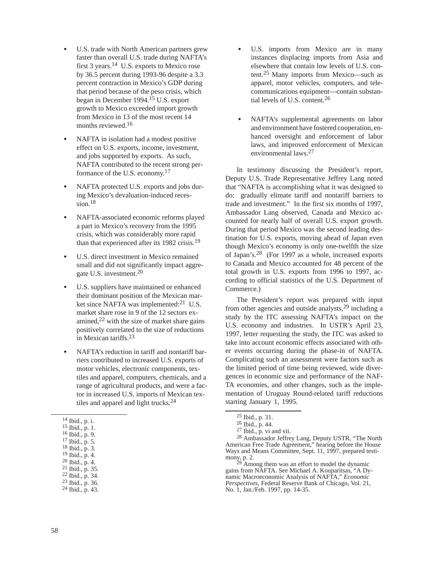- U.S. trade with North American partners grew faster than overall U.S. trade during NAFTA's first 3 years.<sup>14</sup> U.S. exports to Mexico rose by 36.5 percent during 1993-96 despite a 3.3 percent contraction in Mexico's GDP during that period because of the peso crisis, which began in December 1994.<sup>15</sup> U.S. export growth to Mexico exceeded import growth from Mexico in 13 of the most recent 14 months reviewed.<sup>16</sup>
- NAFTA in isolation had a modest positive effect on U.S. exports, income, investment, and jobs supported by exports. As such, NAFTA contributed to the recent strong performance of the U.S. economy.17
- NAFTA protected U.S. exports and jobs during Mexico's devaluation-induced reces $sion.<sup>18</sup>$
- NAFTA-associated economic reforms played a part in Mexico's recovery from the 1995 crisis, which was considerably more rapid than that experienced after its 1982 crisis.<sup>19</sup>
- U.S. direct investment in Mexico remained small and did not significantly impact aggregate U.S. investment.20
- U.S. suppliers have maintained or enhanced their dominant position of the Mexican market since NAFTA was implemented:<sup>21</sup> U.S. market share rose in 9 of the 12 sectors examined, $2<sup>2</sup>$  with the size of market share gains positively correlated to the size of reductions in Mexican tariffs.23
- NAFTA's reduction in tariff and nontariff barriers contributed to increased U.S. exports of motor vehicles, electronic components, textiles and apparel, computers, chemicals, and a range of agricultural products, and were a factor in increased U.S. imports of Mexican textiles and apparel and light trucks.<sup>24</sup>
- U.S. imports from Mexico are in many instances displacing imports from Asia and elsewhere that contain low levels of U.S. content.25 Many imports from Mexico—such as apparel, motor vehicles, computers, and telecommunications equipment—contain substantial levels of U.S. content.26
- NAFTA's supplemental agreements on labor and environment have fostered cooperation, enhanced oversight and enforcement of labor laws, and improved enforcement of Mexican environmental laws.27

In testimony discussing the President's report, Deputy U.S. Trade Representative Jeffrey Lang noted that "NAFTA is accomplishing what it was designed to do: gradually elimate tariff and nontariff barriers to trade and investment." In the first six months of 1997, Ambassador Lang observed, Canada and Mexico accounted for nearly half of overall U.S. export growth. During that period Mexico was the second leading destination for U.S. exports, moving ahead of Japan even though Mexico's economy is only one-twelfth the size of Japan's.28 (For 1997 as a whole, increased exports to Canada and Mexico accounted for 48 percent of the total growth in U.S. exports from 1996 to 1997, according to official statistics of the U.S. Department of Commerce.)

The President's report was prepared with input from other agencies and outside analysts, $29$  including a study by the ITC assessing NAFTA's impact on the U.S. economy and industries. In USTR's April 23, 1997, letter requesting the study, the ITC was asked to take into account economic effects associated with other events occurring during the phase-in of NAFTA. Complicating such an assessment were factors such as the limited period of time being reviewed, wide divergences in economic size and performance of the NAF-TA economies, and other changes, such as the implementation of Uruguay Round-related tariff reductions starting January 1, 1995.

<sup>14</sup> Ibid., p. i.

<sup>15</sup> Ibid., p. 1.

<sup>16</sup> Ibid., p. 9.

<sup>17</sup> Ibid., p. 5. 18 Ibid., p. 3.

<sup>19</sup> Ibid., p. 4.

<sup>20</sup> Ibid., p. 4.

 $21$  Ibid., p. 35.

 $^{22}$  Ibid., p. 34.

<sup>23</sup> Ibid., p. 36.

<sup>24</sup> Ibid., p. 43.

<sup>25</sup> Ibid., p. 31.

<sup>26</sup> Ibid., p. 44.

 $27$  Ibid., p. vi and vii.

<sup>28</sup> Ambassador Jeffrey Lang, Deputy USTR, "The North American Free Trade Agreement," hearing before the House Ways and Means Committee, Sept. 11, 1997, prepared testimony, p. 2.

<sup>&</sup>lt;sup>29</sup> Among them was an effort to model the dynamic gains from NAFTA. See Michael A. Kouparitsas, "A Dynamic Macroeconomic Analysis of NAFTA," *Economic Perspectives*, Federal Reserve Bank of Chicago, Vol. 21, No. 1, Jan./Feb. 1997, pp. 14-35.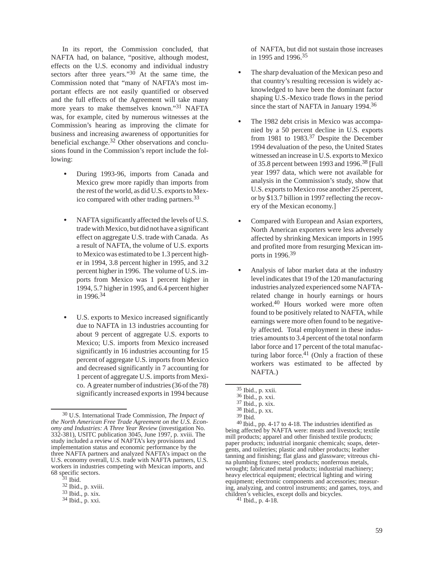In its report, the Commission concluded, that NAFTA had, on balance, "positive, although modest, effects on the U.S. economy and individual industry sectors after three years." $30$  At the same time, the Commission noted that "many of NAFTA's most important effects are not easily quantified or observed and the full effects of the Agreement will take many more years to make themselves known."31 NAFTA was, for example, cited by numerous witnesses at the Commission's hearing as improving the climate for business and increasing awareness of opportunities for beneficial exchange.<sup>32</sup> Other observations and conclusions found in the Commission's report include the following:

- $\bullet$  During 1993-96, imports from Canada and Mexico grew more rapidly than imports from the rest of the world, as did U.S. exports to Mexico compared with other trading partners.33
- NAFTA significantly affected the levels of U.S. trade with Mexico, but did not have a significant effect on aggregate U.S. trade with Canada. As a result of NAFTA, the volume of U.S. exports to Mexico was estimated to be 1.3 percent higher in 1994, 3.8 percent higher in 1995, and 3.2 percent higher in 1996. The volume of U.S. imports from Mexico was 1 percent higher in 1994, 5.7 higher in 1995, and 6.4 percent higher in 1996.<sup>34</sup>
- U.S. exports to Mexico increased significantly due to NAFTA in 13 industries accounting for about 9 percent of aggregate U.S. exports to Mexico; U.S. imports from Mexico increased significantly in 16 industries accounting for 15 percent of aggregate U.S. imports from Mexico and decreased significantly in 7 accounting for 1 percent of aggregate U.S. imports from Mexico. A greater number of industries (36 of the 78) significantly increased exports in 1994 because

of NAFTA, but did not sustain those increases in 1995 and 1996.35

- The sharp devaluation of the Mexican peso and that country's resulting recession is widely acknowledged to have been the dominant factor shaping U.S.-Mexico trade flows in the period since the start of NAFTA in January 1994.36
- The 1982 debt crisis in Mexico was accompanied by a 50 percent decline in U.S. exports from 1981 to 1983.37 Despite the December 1994 devaluation of the peso, the United States witnessed an increase in U.S. exports to Mexico of 35.8 percent between 1993 and 1996.38 [Full year 1997 data, which were not available for analysis in the Commission's study, show that U.S. exports to Mexico rose another 25 percent, or by \$13.7 billion in 1997 reflecting the recovery of the Mexican economy.]
- Compared with European and Asian exporters, North American exporters were less adversely affected by shrinking Mexican imports in 1995 and profited more from resurging Mexican imports in 1996.<sup>39</sup>
- Analysis of labor market data at the industry level indicates that 19 of the 120 manufacturing industries analyzed experienced some NAFTArelated change in hourly earnings or hours worked.40 Hours worked were more often found to be positively related to NAFTA, while earnings were more often found to be negatively affected. Total employment in these industries amounts to 3.4 percent of the total nonfarm labor force and 17 percent of the total manufacturing labor force. $41$  (Only a fraction of these workers was estimated to be affected by NAFTA.)

<sup>30</sup> U.S. International Trade Commission, *The Impact of the North American Free Trade Agreement on the U.S. Economy and Industries: A Three Year Review* (investigation No. 332-381), USITC publication 3045, June 1997, p. xviii. The study included a review of NAFTA's key provisions and implementation status and economic performance by the three NAFTA partners and analyzed NAFTA's impact on the U.S. economy overall, U.S. trade with NAFTA partners, U.S. workers in industries competing with Mexican imports, and 68 specific sectors.

<sup>31</sup> Ibid.

<sup>32</sup> Ibid., p. xviii.

<sup>33</sup> Ibid., p. xix.

<sup>34</sup> Ibid., p. xxi.

<sup>35</sup> Ibid., p. xxii. 36 Ibid., p. xxi. 37 Ibid., p. xix. 38 Ibid., p. xx. 39 Ibid.

<sup>40</sup> Ibid., pp. 4-17 to 4-18. The industries identified as being affected by NAFTA were: meats and livestock; textile mill products; apparel and other finished textile products; paper products; industrial inorganic chemicals; soaps, detergents, and toiletries; plastic and rubber products; leather tanning and finishing; flat glass and glassware; vitreous china plumbing fixtures; steel products; nonferrous metals, wrought; fabricated metal products; industrial machinery; heavy electrical equipment; electrical lighting and wiring equipment; electronic components and accessories; measuring, analyzing, and control instruments; and games, toys, and children's vehicles, except dolls and bicycles. 41 Ibid., p. 4-18.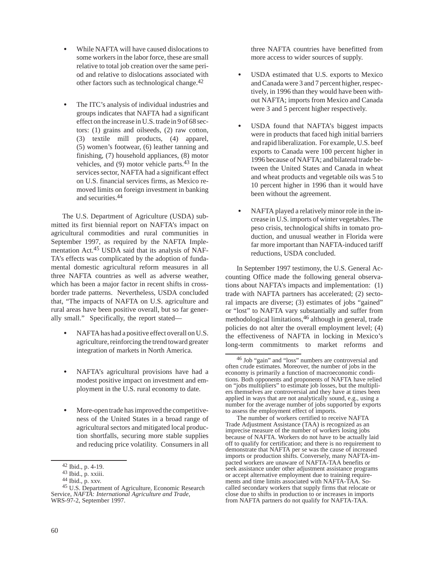- While NAFTA will have caused dislocations to some workers in the labor force, these are small relative to total job creation over the same period and relative to dislocations associated with other factors such as technological change.42
- The ITC's analysis of individual industries and groups indicates that NAFTA had a significant effect on the increase in U.S. trade in 9 of 68 sectors: (1) grains and oilseeds, (2) raw cotton, (3) textile mill products, (4) apparel, (5) women's footwear, (6) leather tanning and finishing, (7) household appliances, (8) motor vehicles, and  $(9)$  motor vehicle parts.<sup>43</sup> In the services sector, NAFTA had a significant effect on U.S. financial services firms, as Mexico removed limits on foreign investment in banking and securities.44

The U.S. Department of Agriculture (USDA) submitted its first biennial report on NAFTA's impact on agricultural commodities and rural communities in September 1997, as required by the NAFTA Implementation Act.45 USDA said that its analysis of NAF-TA's effects was complicated by the adoption of fundamental domestic agricultural reform measures in all three NAFTA countries as well as adverse weather, which has been a major factor in recent shifts in crossborder trade patterns. Nevertheless, USDA concluded that, "The impacts of NAFTA on U.S. agriculture and rural areas have been positive overall, but so far generally small." Specifically, the report stated—

- NAFTA has had a positive effect overall on U.S. agriculture, reinforcing the trend toward greater integration of markets in North America.
- NAFTA's agricultural provisions have had a modest positive impact on investment and employment in the U.S. rural economy to date.
- More-open trade has improved the competitiveness of the United States in a broad range of agricultural sectors and mitigated local production shortfalls, securing more stable supplies and reducing price volatility. Consumers in all

three NAFTA countries have benefitted from more access to wider sources of supply.

- USDA estimated that U.S. exports to Mexico and Canada were 3 and 7 percent higher, respectively, in 1996 than they would have been without NAFTA; imports from Mexico and Canada were 3 and 5 percent higher respectively.
- USDA found that NAFTA's biggest impacts were in products that faced high initial barriers and rapid liberalization. For example, U.S. beef exports to Canada were 100 percent higher in 1996 because of NAFTA; and bilateral trade between the United States and Canada in wheat and wheat products and vegetable oils was 5 to 10 percent higher in 1996 than it would have been without the agreement.
- NAFTA played a relatively minor role in the increase in U.S. imports of winter vegetables. The peso crisis, technological shifts in tomato production, and unusual weather in Florida were far more important than NAFTA-induced tariff reductions, USDA concluded.

In September 1997 testimony, the U.S. General Accounting Office made the following general observations about NAFTA's impacts and implementation: (1) trade with NAFTA partners has accelerated; (2) sectoral impacts are diverse; (3) estimates of jobs "gained" or "lost" to NAFTA vary substantially and suffer from methodological limitations,46 although in general, trade policies do not alter the overall employment level; (4) the effectiveness of NAFTA in locking in Mexico's long-term commitments to market reforms and

<sup>42</sup> Ibid., p. 4-19.

<sup>43</sup> Ibid., p. xxiii.

<sup>44</sup> Ibid., p. xxv.

<sup>45</sup> U.S. Department of Agriculture, Economic Research Service, *NAFTA: International Agriculture and Trade*, WRS-97-2, September 1997.

<sup>46</sup> Job "gain" and "loss" numbers are controversial and often crude estimates. Moreover, the number of jobs in the economy is primarily a function of macroeconomic conditions. Both opponents and proponents of NAFTA have relied on "jobs multipliers" to estimate job losses, but the multipliers themselves are controversial and they have at times been applied in ways that are not analytically sound, e.g., using a number for the average number of jobs supported by exports to assess the employment effect of imports.

The number of workers certified to receive NAFTA Trade Adjustment Assistance (TAA) is recognized as an imprecise measure of the number of workers losing jobs because of NAFTA. Workers do not have to be actually laid off to qualify for certification; and there is no requirement to demonstrate that NAFTA per se was the cause of increased imports or production shifts. Conversely, many NAFTA-impacted workers are unaware of NAFTA-TAA benefits or seek assistance under other adjustment assistance programs or accept alternative employment due to training requirements and time limits associated with NAFTA-TAA. Socalled secondary workers that supply firms that relocate or close due to shifts in production to or increases in imports from NAFTA partners do not qualify for NAFTA-TAA.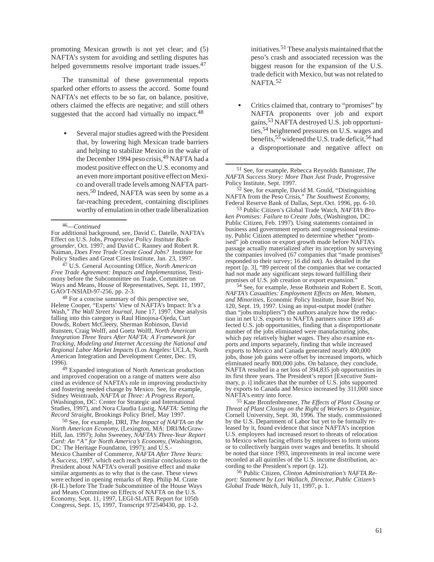promoting Mexican growth is not yet clear; and (5) NAFTA's system for avoiding and settling disputes has helped governments resolve important trade issues.<sup>47</sup>

The transmittal of these governmental reports sparked other efforts to assess the accord. Some found NAFTA's net effects to be so far, on balance, positive, others claimed the effects are negative; and still others suggested that the accord had virtually no impact.<sup>48</sup>

 Several major studies agreed with the President that, by lowering high Mexican trade barriers and helping to stabilize Mexico in the wake of the December 1994 peso crisis, <sup>49</sup> NAFTA had a modest positive effect on the U.S. economy and an even more important positive effect on Mexico and overall trade levels among NAFTA partners.50 Indeed, NAFTA was seen by some as a far-reaching precedent, containing disciplines worthy of emulation in other trade liberalization

47 U.S. General Accounting Office, *North American Free Trade Agreement: Impacts and Implementation*, Testimony before the Subcommittee on Trade, Committee on Ways and Means, House of Representatives, Sept. 11, 1997, GAO/T-NSIAD-97-256, pp. 2-3.

48 For a concise summary of this perspective see, Helene Cooper, "Experts' View of NAFTA's Impact: It's a Wash," *The Wall Street Journal*, June 17, 1997. One analysis falling into this category is Raul Hinojosa-Ojeda, Curt Dowds, Robert McCleery, Sherman Robinson, David Runsten, Craig Wolff, and Goetz Wolff, *North American Integration Three Years After NAFTA: A Framework for Tracking, Modeling and Internet Accessing the National and Regional Labor Market Impacts* (Los Angeles: UCLA, North American Integration and Development Center, Dec. 19,  $1996$ ).

49 Expanded integration of North American production and improved cooperation on a range of matters were also cited as evidence of NAFTA's role in improving productivity and fostering needed change by Mexico. See, for example, Sidney Weintraub, NAFTA at Three: A Progress Report. (Washington, *DC*: Center for Strategic and International Studies, 1997), and Nora Claudia Lustig, *NAFTA: Setting the Record Straight*, Brookings Policy Brief, May 1997.

50 See, for example, DRI, *The Impact of NAFTA on the North American Economy,* (Lexington, MA: DRI/McGraw-Hill, Jan. 1997); John Sweeney, *NAFTA's Three-Year Report Card: An "A" for North America's Economy*, (Washington, DC: The Heritage Foundaton, 1997); and U.S.- Mexico Chamber of Commerce, *NAFTA After Three Years: A Success*, 1997, which each reach similar conclusions to the President about NAFTA's overall positive effect and make similar arguments as to why that is the case. These views were echoed in opening remarks of Rep. Philip M. Crane (R-IL) before The Trade Subcommittee of the House Ways and Means Committee on Effects of NAFTA on the U.S. Economy, Sept. 11, 1997, LEGI-SLATE Report for 105th Congress, Sept. 15, 1997, Transcript 972540430, pp. 1-2.

initiatives.51 These analysts maintained that the peso's crash and associated recession was the biggest reason for the expansion of the U.S. trade deficit with Mexico, but was not related to NAFTA.52

 Critics claimed that, contrary to "promises" by NAFTA proponents over job and export gains,53 NAFTA destroyed U.S. job opportunities,54 heightened pressures on U.S. wages and benefits,  $5\frac{5}{3}$  widened the U.S. trade deficit,  $56$  had a disproportionate and negative affect on

 $52$  See, for example, David M. Gould, "Distinguishing NAFTA from the Peso Crisis," The Southwest Economy, Federal Reserve Bank of Dallas, Sept./Oct. 1996, pp. 6-10.

53 Public Citizen's Global Trade Watch, *NAFTA's Broken Promises: Failure to Create Jobs*, (Washington, DC: Public Citizen, Feb. 1997). Using statements contained in business and government reports and congressional testimony, Public Citizen attempted to determine whether "promised" job creation or export growth made before NAFTA's passage actually materialized after its inception by surveying the companies involved (67 companies that "made promises") responded to their survey; 16 did not). As detailed in the report [p. 3], "89 percent of the companies that we contacted had not made any significant steps toward fulfilling their promises of U.S. job creation or export expansion.

54 See, for example, Jesse Rothstein and Robert E. Scott, *NAFTA's Casualties: Employment Effects on Men, Women, and Minorities*, Economic Policy Institute, Issue Brief No. 120, Sept. 19, 1997. Using an input-output model (rather than "jobs multipliers") the authors analyze how the reduction in net U.S. exports to NAFTA partners since 1993 affected U.S. job opportunities, finding that a disproportionate number of the jobs eliminated were manufacturing jobs, which pay relatively higher wages. They also examine exports and imports separately, finding that while increased exports to Mexico and Canada generated nearly 400,000 jobs, those job gains were offset by increased imports, which eliminated nearly 800,000 jobs. On balance, they conclude, NAFTA resulted in a net loss of 394,835 job opportunities in its first three years. The President's report [Executive Summary, p. i] indicates that the number of U.S. jobs supported by exports to Canada and Mexico increased by 311,000 since NAFTA's entry into force.

55 Kate Bronfenbrenner, *The Effects of Plant Closing or Threat of Plant Closing on the Right of Workers to Organize*, Cornell University, Sept. 30, 1996. The study, commissioned by the U.S. Department of Labor but yet to be formally released by it, found evidence that since NAFTA's inception U.S. employers had increased resort to threats of relocation to Mexico when facing efforts by employees to form unions or to collectively bargain over wages and benefits. It should be noted that since 1993, improvements in real income were recorded at all quintiles of the U.S. income distribution, according to the President's report (p. 12).

56 Public Citizen, *Clinton Administration's NAFTA Report: Statement by Lori Wallach, Director, Public Citizen's Global Trade Watch*, July 11, 1997, p. 1.

<sup>46—</sup>*Continued*

For additional background, see, David C. Datelle, NAFTA's Effect on U.S. Jobs, *Progressive Policy Institute Backgrounder*, Oct. 1997; and David C. Ranney and Robert R. Naiman, *Does Free Trade Create Good Jobs?* Institute for Policy Studies and Great Cities Institute, Jan. 23, 1997.

<sup>51</sup> See, for example, Rebecca Reynolds Bannister, *The NAFTA Success Story: More Than Just Trade*, Progressive Policy Institute, Sept. 1997.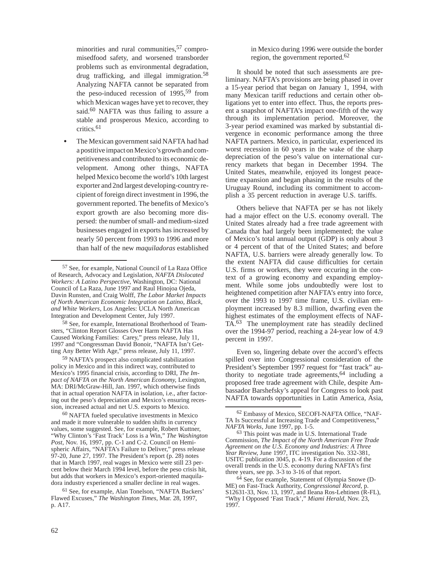minorities and rural communities,<sup>57</sup> compromisedfood safety, and worsened transborder problems such as environmental degradation, drug trafficking, and illegal immigration.58 Analyzing NAFTA cannot be separated from the peso-induced recession of 1995,59 from which Mexican wages have yet to recover, they said.<sup>60</sup> NAFTA was thus failing to assure a stable and prosperous Mexico, according to critics.61

 The Mexican government said NAFTA had had a postitive impact on Mexico's growth and competitiveness and contributed to its economic development. Among other things, NAFTA helped Mexico become the world's 10th largest exporter and 2nd largest developing-country recipient of foreign direct investment in 1996, the government reported. The benefits of Mexico's export growth are also becoming more dispersed: the number of small- and medium-sized businesses engaged in exports has increased by nearly 50 percent from 1993 to 1996 and more than half of the new *maquiladoras* established

58 See, for example, International Brotherhood of Teamsters, "Clinton Report Glosses Over Harm NAFTA Has Caused Working Families: Carey," press release, July 11, 1997 and "Congressman David Bonoir, "NAFTA Isn't Getting Any Better With Age," press release, July 11, 1997.

59 NAFTA's prospect also complicated stabilization policy in Mexico and in this indirect way, contributed to Mexico's 1995 financial crisis, according to DRI, *The Impact of NAFTA on the North American Economy*, Lexington, MA: DRI/McGraw-Hill, Jan. 1997, which otherwise finds that in actual operation NAFTA in isolation, i.e., after factoring out the peso's depreciation and Mexico's ensuring recession, increased actual and net U.S. exports to Mexico.

60 NAFTA fueled speculative investments in Mexico and made it more vulnerable to sudden shifts in currency values, some suggested. See, for example, Robert Kuttner, "Why Clinton's 'Fast Track' Loss is a Win," *The Washington Post*, Nov. 16, 1997, pp. C-1 and C-2. Council on Hemispheric Affairs, "NAFTA's Failure to Deliver," press release 97-20, June 27, 1997. The President's report (p. 28) notes that in March 1997, real wages in Mexico were still 23 percent below their March 1994 level, before the peso crisis hit, but adds that workers in Mexico's export-oriented maquiladora industry experienced a smaller decline in real wages.

61 See, for example, Alan Tonelson, "NAFTA Backers' Flawed Excuses," *The Washington Times*, Mar. 28, 1997, p. A17.

in Mexico during 1996 were outside the border region, the government reported.62

It should be noted that such assessments are preliminary. NAFTA's provisions are being phased in over a 15-year period that began on January 1, 1994, with many Mexican tariff reductions and certain other obligations yet to enter into effect. Thus, the reports present a snapshot of NAFTA's impact one-fifth of the way through its implementation period. Moreover, the 3-year period examined was marked by substantial divergence in economic performance among the three NAFTA partners. Mexico, in particular, experienced its worst recession in 60 years in the wake of the sharp depreciation of the peso's value on international currency markets that began in December 1994. The United States, meanwhile, enjoyed its longest peacetime expansion and began phasing in the results of the Uruguay Round, including its commitment to accomplish a 35 percent reduction in average U.S. tariffs.

Others believe that NAFTA per se has not likely had a major effect on the U.S. economy overall. The United States already had a free trade agreement with Canada that had largely been implemented; the value of Mexico's total annual output (GDP) is only about 3 or 4 percent of that of the United States; and before NAFTA, U.S. barriers were already generally low. To the extent NAFTA did cause difficulties for certain U.S. firms or workers, they were occuring in the context of a growing economy and expanding employment. While some jobs undoubtedly were lost to heightened competition after NAFTA's entry into force, over the 1993 to 1997 time frame, U.S. civilian employment increased by 8.3 million, dwarfing even the highest estimates of the employment effects of NAF-TA.63 The unemployment rate has steadily declined over the 1994-97 period, reaching a 24-year low of 4.9 percent in 1997.

Even so, lingering debate over the accord's effects spilled over into Congressional consideration of the President's September 1997 request for "fast track" authority to negotiate trade agreements,  $64$  including a proposed free trade agreement with Chile, despite Ambassador Barshefsky's appeal for Congress to look past NAFTA towards opportunities in Latin America, Asia,

<sup>57</sup> See, for example, National Council of La Raza Office of Research, Advocacy and Legislation, *NAFTA Dislocated Workers: A Latino Perspective*, Washington, DC: National Council of La Raza, June 1997 and Raul Hinojoa Ojeda, Davin Runsten, and Craig Wolff, *The Labor Market Impacts of North American Economic Integration on Latino, Black, and White Workers*, Los Angeles: UCLA North American Integration and Development Center, July 1997.

<sup>62</sup> Embassy of Mexico, SECOFI-NAFTA Office, "NAF-TA Is Successful at Increasing Trade and Competitiveness,' *NAFTA Works*, June 1997, pp. 1-5.

<sup>63</sup> This point was made in U.S. International Trade Commission, *The Impact of the North American Free Trade Agreement on the U.S. Economy and Industries: A Three Year Review*, June 1997, ITC investigation No. 332-381, USITC publication 3045, p. 4-19. For a discussion of the overall trends in the U.S. economy during NAFTA's first three years, see pp. 3-3 to 3-16 of that report.

<sup>64</sup> See, for example, Statement of Olympia Snowe (D-ME) on Fast-Track Authority, *Congressional Record*, p. S12631-33, Nov. 13, 1997, and Ileana Ros-Lehtinen (R-FL), "Why I Opposed 'Fast Track'," *Miami Herald*, Nov. 23, 1997.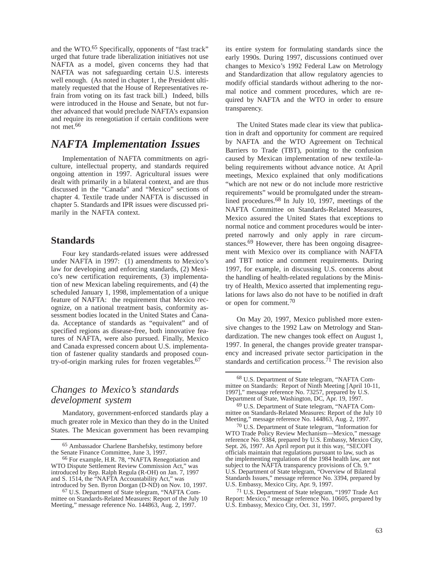and the WTO.65 Specifically, opponents of "fast track" urged that future trade liberalization initiatives not use NAFTA as a model, given concerns they had that NAFTA was not safeguarding certain U.S. interests well enough. (As noted in chapter 1, the President ultimately requested that the House of Representatives refrain from voting on its fast track bill.) Indeed, bills were introduced in the House and Senate, but not further advanced that would preclude NAFTA's expansion and require its renegotiation if certain conditions were not met.66

### *NAFTA Implementation Issues*

Implementation of NAFTA commitments on agriculture, intellectual property, and standards required ongoing attention in 1997. Agricultural issues were dealt with primarily in a bilateral context, and are thus discussed in the "Canada" and "Mexico" sections of chapter 4. Textile trade under NAFTA is discussed in chapter 5. Standards and IPR issues were discussed primarily in the NAFTA context.

#### **Standards**

Four key standards-related issues were addressed under NAFTA in 1997: (1) amendments to Mexico's law for developing and enforcing standards, (2) Mexico's new certification requirements, (3) implementation of new Mexican labeling requirements, and (4) the scheduled January 1, 1998, implementation of a unique feature of NAFTA: the requirement that Mexico recognize, on a national treatment basis, conformity assessment bodies located in the United States and Canada. Acceptance of standards as "equivalent" and of specified regions as disease-free, both innovative features of NAFTA, were also pursued. Finally, Mexico and Canada expressed concern about U.S. implementation of fastener quality standards and proposed country-of-origin marking rules for frozen vegetables.<sup>67</sup>

#### *Changes to Mexico's standards development system*

Mandatory, government-enforced standards play a much greater role in Mexico than they do in the United States. The Mexican government has been revamping

its entire system for formulating standards since the early 1990s. During 1997, discussions continued over changes to Mexico's 1992 Federal Law on Metrology and Standardization that allow regulatory agencies to modify official standards without adhering to the normal notice and comment procedures, which are required by NAFTA and the WTO in order to ensure transparency.

The United States made clear its view that publication in draft and opportunity for comment are required by NAFTA and the WTO Agreement on Technical Barriers to Trade (TBT), pointing to the confusion caused by Mexican implementation of new textile-labeling requirements without advance notice. At April meetings, Mexico explained that only modifications "which are not new or do not include more restrictive requirements" would be promulgated under the streamlined procedures.68 In July 10, 1997, meetings of the NAFTA Committee on Standards-Related Measures, Mexico assured the United States that exceptions to normal notice and comment procedures would be interpreted narrowly and only apply in rare circumstances.<sup>69</sup> However, there has been ongoing disagreement with Mexico over its compliance with NAFTA and TBT notice and comment requirements. During 1997, for example, in discussing U.S. concerns about the handling of health-related regulations by the Ministry of Health, Mexico asserted that implementing regulations for laws also do not have to be notified in draft or open for comment.<sup>70</sup>

On May 20, 1997, Mexico published more extensive changes to the 1992 Law on Metrology and Standardization. The new changes took effect on August 1, 1997. In general, the changes provide greater transparency and increased private sector participation in the standards and certification process.<sup>71</sup> The revision also

<sup>65</sup> Ambassador Charlene Barshefsky, testimony before the Senate Finance Committee, June 3, 1997.

<sup>66</sup> For example, H.R. 78, "NAFTA Renegotiation and WTO Dispute Settlement Review Commission Act," was introduced by Rep. Ralph Regula (R-OH) on Jan. 7, 1997 and S. 1514, the "NAFTA Accountability Act," was introduced by Sen. Byron Dorgan (D-ND) on Nov. 10, 1997.

<sup>67</sup> U.S. Department of State telegram, "NAFTA Committee on Standards-Related Measures: Report of the July 10 Meeting," message reference No. 144863, Aug. 2, 1997.

<sup>68</sup> U.S. Department of State telegram, "NAFTA Committee on Standards: Report of Ninth Meeting [April 10-11, 1997]," message reference No. 73257, prepared by U.S. Department of State, Washington, DC, Apr. 19, 1997.

<sup>69</sup> U.S. Department of State telegram, "NAFTA Committee on Standards-Related Measures: Report of the July 10 Meeting," message reference No. 144863, Aug. 2, 1997.

<sup>70</sup> U.S. Department of State telegram, "Information for WTO Trade Policy Review Mechanism—Mexico," message reference No. 9384, prepared by U.S. Embassy, Mexico City, Sept. 26, 1997. An April report put it this way, "SECOFI officials maintain that regulations pursuant to law, such as the implementing regulations of the 1984 health law, are not subject to the NAFTA transparency provisions of Ch. 9." U.S. Department of State telegram, "Overview of Bilateral Standards Issues," message reference No. 3394, prepared by U.S. Embassy, Mexico City, Apr. 9, 1997.

<sup>&</sup>lt;sup>71</sup> U.S. Department of State telegram, "1997 Trade Act Report: Mexico," message reference No. 10605, prepared by U.S. Embassy, Mexico City, Oct. 31, 1997.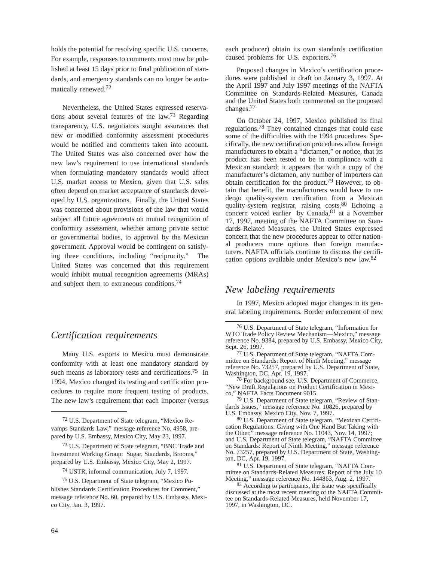holds the potential for resolving specific U.S. concerns. For example, responses to comments must now be published at least 15 days prior to final publication of standards, and emergency standards can no longer be automatically renewed.72

Nevertheless, the United States expressed reservations about several features of the law.73 Regarding transparency, U.S. negotiators sought assurances that new or modified conformity assessment procedures would be notified and comments taken into account. The United States was also concerned over how the new law's requirement to use international standards when formulating mandatory standards would affect U.S. market access to Mexico, given that U.S. sales often depend on market acceptance of standards developed by U.S. organizations. Finally, the United States was concerned about provisions of the law that would subject all future agreements on mutual recognition of conformity assessment, whether among private sector or governmental bodies, to approval by the Mexican government. Approval would be contingent on satisfying three conditions, including "reciprocity." The United States was concerned that this requirement would inhibit mutual recognition agreements (MRAs) and subject them to extraneous conditions.74

#### *Certification requirements*

Many U.S. exports to Mexico must demonstrate conformity with at least one mandatory standard by such means as laboratory tests and certifications.<sup>75</sup> In 1994, Mexico changed its testing and certification procedures to require more frequent testing of products. The new law's requirement that each importer (versus each producer) obtain its own standards certification caused problems for U.S. exporters.76

Proposed changes in Mexico's certification procedures were published in draft on January 3, 1997. At the April 1997 and July 1997 meetings of the NAFTA Committee on Standards-Related Measures, Canada and the United States both commented on the proposed changes.77

On October 24, 1997, Mexico published its final regulations.78 They contained changes that could ease some of the difficulties with the 1994 procedures. Specifically, the new certification procedures allow foreign manufacturers to obtain a "dictamen," or notice, that its product has been tested to be in compliance with a Mexican standard; it appears that with a copy of the manufacturer's dictamen, any number of importers can obtain certification for the product.79 However, to obtain that benefit, the manufacturers would have to undergo quality-system certification from a Mexican quality-system registrar, raising costs.80 Echoing a concern voiced earlier by Canada, 81 at a November 17, 1997, meeting of the NAFTA Committee on Standards-Related Measures, the United States expressed concern that the new procedures appear to offer national producers more options than foreign manufacturers. NAFTA officials continue to discuss the certification options available under Mexico's new law.82

#### *New labeling requirements*

In 1997, Mexico adopted major changes in its general labeling requirements. Border enforcement of new

<sup>72</sup> U.S. Department of State telegram, "Mexico Revamps Standards Law," message reference No. 4958, prepared by U.S. Embassy, Mexico City, May 23, 1997.

<sup>73</sup> U.S. Department of State telegram, "BNC Trade and Investment Working Group: Sugar, Standards, Brooms," prepared by U.S. Embassy, Mexico City, May 2, 1997.

<sup>74</sup> USTR, informal communication, July 7, 1997.

<sup>75</sup> U.S. Department of State telegram, "Mexico Publishes Standards Certification Procedures for Comment," message reference No. 60, prepared by U.S. Embassy, Mexico City, Jan. 3, 1997.

<sup>76</sup> U.S. Department of State telegram, "Information for WTO Trade Policy Review Mechanism—Mexico," message reference No. 9384, prepared by U.S. Embassy, Mexico City, Sept. 26, 1997.

<sup>77</sup> U.S. Department of State telegram, "NAFTA Committee on Standards: Report of Ninth Meeting," message reference No. 73257, prepared by U.S. Department of State, Washington, DC, Apr. 19, 1997.

<sup>78</sup> For background see, U.S. Department of Commerce, "New Draft Regulations on Product Certification in Mexico," NAFTA Facts Document 9015.

<sup>79</sup> U.S. Department of State telegram, "Review of Standards Issues," message reference No. 10826, prepared by U.S. Embassy, Mexico City, Nov. 7, 1997.

<sup>80</sup> U.S. Department of State telegram, "Mexican Certification Regulations: Giving with One Hand But Taking with the Other," message reference No. 11043, Nov. 14, 1997; and U.S. Department of State telegram, "NAFTA Committee on Standards: Report of Ninth Meeting," message reference No. 73257, prepared by U.S. Department of State, Washington, DC, Apr. 19, 1997.

<sup>81</sup> U.S. Department of State telegram, "NAFTA Committee on Standards-Related Measures: Report of the July 10 Meeting," message reference No. 144863, Aug. 2, 1997.

<sup>82</sup> According to participants, the issue was specifically discussed at the most recent meeting of the NAFTA Committee on Standards-Related Measures, held November 17, 1997, in Washington, DC.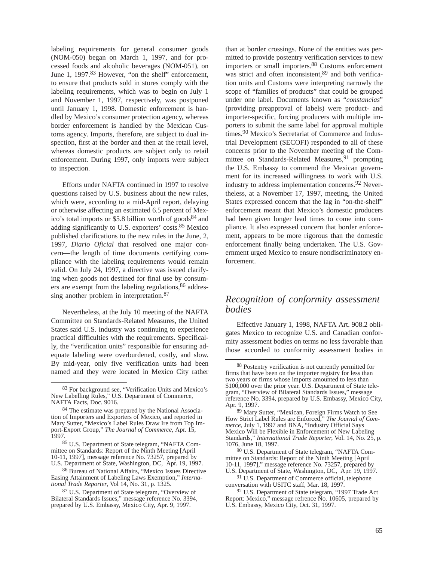labeling requirements for general consumer goods (NOM-050) began on March 1, 1997, and for processed foods and alcoholic beverages (NOM-051), on June 1, 1997.<sup>83</sup> However, "on the shelf" enforcement, to ensure that products sold in stores comply with the labeling requirements, which was to begin on July 1 and November 1, 1997, respectively, was postponed until January 1, 1998. Domestic enforcement is handled by Mexico's consumer protection agency, whereas border enforcement is handled by the Mexican Customs agency. Imports, therefore, are subject to dual inspection, first at the border and then at the retail level, whereas domestic products are subject only to retail enforcement. During 1997, only imports were subject to inspection.

Efforts under NAFTA continued in 1997 to resolve questions raised by U.S. business about the new rules, which were, according to a mid-April report, delaying or otherwise affecting an estimated 6.5 percent of Mexico's total imports or \$5.8 billion worth of goods $84$  and adding significantly to U.S. exporters' costs.85 Mexico published clarifications to the new rules in the June, 2, 1997, *Diario Oficial* that resolved one major concern—the length of time documents certifying compliance with the labeling requirements would remain valid. On July 24, 1997, a directive was issued clarifying when goods not destined for final use by consumers are exempt from the labeling regulations,  $86$  addressing another problem in interpretation.87

Nevertheless, at the July 10 meeting of the NAFTA Committee on Standards-Related Measures, the United States said U.S. industry was continuing to experience practical difficulties with the requirements. Specifically, the "verification units" responsible for ensuring adequate labeling were overburdened, costly, and slow. By mid-year, only five verification units had been named and they were located in Mexico City rather than at border crossings. None of the entities was permitted to provide postentry verification services to new importers or small importers.88 Customs enforcement was strict and often inconsistent,<sup>89</sup> and both verification units and Customs were interpreting narrowly the scope of "families of products" that could be grouped under one label. Documents known as "*constancias*" (providing preapproval of labels) were product- and importer-specific, forcing producers with multiple importers to submit the same label for approval multiple times.<sup>90</sup> Mexico's Secretariat of Commerce and Industrial Development (SECOFI) responded to all of these concerns prior to the November meeting of the Committee on Standards-Related Measures,  $91$  prompting the U.S. Embassy to commend the Mexican government for its increased willingness to work with U.S. industry to address implementation concerns.<sup>92</sup> Nevertheless, at a November 17, 1997, meeting, the United States expressed concern that the lag in "on-the-shelf" enforcement meant that Mexico's domestic producers had been given longer lead times to come into compliance. It also expressed concern that border enforcement, appears to be more rigorous than the domestic enforcement finally being undertaken. The U.S. Government urged Mexico to ensure nondiscriminatory enforcement.

#### *Recognition of conformity assessment bodies*

Effective January 1, 1998, NAFTA Art. 908.2 obligates Mexico to recognize U.S. and Canadian conformity assessment bodies on terms no less favorable than those accorded to conformity assessment bodies in

<sup>&</sup>lt;sup>83</sup> For background see, "Verification Units and Mexico's New Labelling Rules," U.S. Department of Commerce, NAFTA Facts, Doc. 9016.

<sup>84</sup> The estimate was prepared by the National Association of Importers and Exporters of Mexico, and reported in Mary Sutter, "Mexico's Label Rules Draw Ire from Top Import-Export Group," *The Journal of Commerce*, Apr. 15, 1997.

<sup>85</sup> U.S. Department of State telegram, "NAFTA Committee on Standards: Report of the Ninth Meeting [April 10-11, 1997], message reference No. 73257, prepared by U.S. Department of State, Washington, DC, Apr. 19, 1997.

<sup>86</sup> Bureau of National Affairs, "Mexico Issues Directive Easing Attainment of Labeling Laws Exemption," *International Trade Reporter*, Vol 14, No. 31, p. 1325.

<sup>87</sup> U.S. Department of State telegram, "Overview of Bilateral Standards Issues," message reference No. 3394, prepared by U.S. Embassy, Mexico City, Apr. 9, 1997.

<sup>88</sup> Postentry verification is not currently permitted for firms that have been on the importer registry for less than two years or firms whose imports amounted to less than \$100,000 over the prior year. U.S. Department of State telegram, "Overview of Bilateral Standards Issues," message reference No. 3394, prepared by U.S. Embassy, Mexico City, Apr. 9, 1997.

<sup>89</sup> Mary Sutter, "Mexican, Foreign Firms Watch to See How Strict Label Rules are Enforced," *The Journal of Com- merce*, July 1, 1997 and BNA, "Industry Official Says Mexico Will be Flexible in Enforcement of New Labeling Standards," *International Trade Reporter*, Vol. 14, No. 25, p. 1076, June 18, 1997.

<sup>&</sup>lt;sup>90</sup> U.S. Department of State telegram, "NAFTA Committee on Standards: Report of the Ninth Meeting [April 10-11, 1997]," message reference No. 73257, prepared by U.S. Department of State, Washington, DC, Apr. 19, 1997.

<sup>91</sup> U.S. Department of Commerce official, telephone conversation with USITC staff, Mar. 18, 1997.

<sup>92</sup> U.S. Department of State telegram, "1997 Trade Act Report: Mexico," message refrence No. 10605, prepared by U.S. Embassy, Mexico City, Oct. 31, 1997.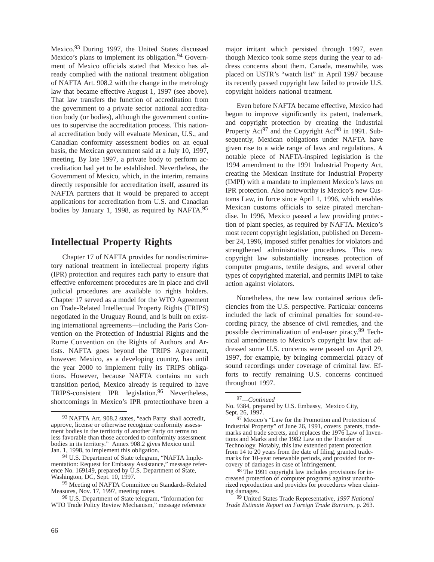Mexico.93 During 1997, the United States discussed Mexico's plans to implement its obligation.<sup>94</sup> Government of Mexico officials stated that Mexico has already complied with the national treatment obligation of NAFTA Art. 908.2 with the change in the metrology law that became effective August 1, 1997 (see above). That law transfers the function of accreditation from the government to a private sector national accreditation body (or bodies), although the government continues to supervise the accreditation process. This national accreditation body will evaluate Mexican, U.S., and Canadian conformity assessment bodies on an equal basis, the Mexican government said at a July 10, 1997, meeting. By late 1997, a private body to perform accreditation had yet to be established. Nevertheless, the Government of Mexico, which, in the interim, remains directly responsible for accreditation itself, assured its NAFTA partners that it would be prepared to accept applications for accreditation from U.S. and Canadian bodies by January 1, 1998, as required by NAFTA.<sup>95</sup>

#### **Intellectual Property Rights**

Chapter 17 of NAFTA provides for nondiscriminatory national treatment in intellectual property rights (IPR) protection and requires each party to ensure that effective enforcement procedures are in place and civil judicial procedures are available to rights holders. Chapter 17 served as a model for the WTO Agreement on Trade-Related Intellectual Property Rights (TRIPS) negotiated in the Uruguay Round, and is built on existing international agreements—including the Paris Convention on the Protection of Industrial Rights and the Rome Convention on the Rights of Authors and Artists. NAFTA goes beyond the TRIPS Agreement, however. Mexico, as a developing country, has until the year 2000 to implement fully its TRIPS obligations. However, because NAFTA contains no such transition period, Mexico already is required to have TRIPS-consistent IPR legislation.<sup>96</sup> Nevertheless, shortcomings in Mexico's IPR protectionhave been a major irritant which persisted through 1997, even though Mexico took some steps during the year to address concerns about them. Canada, meanwhile, was placed on USTR's "watch list" in April 1997 because its recently passed copyright law failed to provide U.S. copyright holders national treatment.

Even before NAFTA became effective, Mexico had begun to improve significantly its patent, trademark, and copyright protection by creating the Industrial Property Act<sup>97</sup> and the Copyright Act<sup>98</sup> in 1991. Subsequently, Mexican obligations under NAFTA have given rise to a wide range of laws and regulations. A notable piece of NAFTA-inspired legislation is the 1994 amendment to the 1991 Industrial Property Act, creating the Mexican Institute for Industrial Property (IMPI) with a mandate to implement Mexico's laws on IPR protection. Also noteworthy is Mexico's new Customs Law, in force since April 1, 1996, which enables Mexican customs officials to seize pirated merchandise. In 1996, Mexico passed a law providing protection of plant species, as required by NAFTA. Mexico's most recent copyright legislation, published on December 24, 1996, imposed stiffer penalties for violators and strengthened administrative procedures. This new copyright law substantially increases protection of computer programs, textile designs, and several other types of copyrighted material, and permits IMPI to take action against violators.

Nonetheless, the new law contained serious deficiencies from the U.S. perspective. Particular concerns included the lack of criminal penalties for sound-recording piracy, the absence of civil remedies, and the possible decriminalization of end-user piracy.99 Technical amendments to Mexico's copyright law that addressed some U.S. concerns were passed on April 29, 1997, for example, by bringing commercial piracy of sound recordings under coverage of criminal law. Efforts to rectify remaining U.S. concerns continued throughout 1997.

<sup>&</sup>lt;sup>93</sup> NAFTA Art. 908.2 states, "each Party shall accredit, approve, license or otherwise recognize conformity assessment bodies in the territoriy of another Party on terms no less favorable than those accorded to conformity assessment bodies in its territory." Annex 908.2 gives Mexico until Jan. 1, 1998, to implement this obligation.

<sup>94</sup> U.S. Department of State telegram, "NAFTA Implementation: Request for Embassy Assistance," message reference No. 169149, prepared by U.S. Department of State, Washington, DC, Sept. 10, 1997.

<sup>&</sup>lt;sup>95</sup> Meeting of NAFTA Committee on Standards-Related Measures, Nov. 17, 1997, meeting notes.

<sup>96</sup> U.S. Department of State telegram, "Information for WTO Trade Policy Review Mechanism," message reference

<sup>97—</sup>*Continued*

No. 9384, prepared by U.S. Embassy, Mexico City, Sept. 26, 1997.

<sup>97</sup> Mexico's "Law for the Promotion and Protection of Industrial Property" of June 26, 1991, covers patents, trademarks and trade secrets, and replaces the 1976 Law of Inventions and Marks and the 1982 Law on the Transfer of Technology. Notably, this law extended patent protection from 14 to 20 years from the date of filing, granted trademarks for 10-year renewable periods, and provided for recovery of damages in case of infringement.

<sup>98</sup> The 1991 copyright law includes provisions for increased protection of computer programs against unauthorized reproduction and provides for procedures when claiming damages.

<sup>99</sup> United States Trade Representative, *1997 National Trade Estimate Report on Foreign Trade Barriers*, p. 263.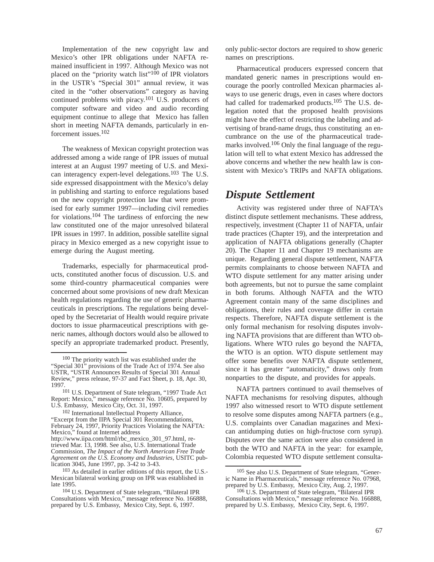Implementation of the new copyright law and Mexico's other IPR obligations under NAFTA remained insufficient in 1997. Although Mexico was not placed on the "priority watch list"<sup>100</sup> of IPR violators in the USTR's "Special 301" annual review, it was cited in the "other observations" category as having continued problems with piracy.101 U.S. producers of computer software and video and audio recording equipment continue to allege that Mexico has fallen short in meeting NAFTA demands, particularly in enforcement issues.102

The weakness of Mexican copyright protection was addressed among a wide range of IPR issues of mutual interest at an August 1997 meeting of U.S. and Mexican interagency expert-level delegations.103 The U.S. side expressed disappointment with the Mexico's delay in publishing and starting to enforce regulations based on the new copyright protection law that were promised for early summer 1997—including civil remedies for violations.104 The tardiness of enforcing the new law constituted one of the major unresolved bilateral IPR issues in 1997. In addition, possible satellite signal piracy in Mexico emerged as a new copyright issue to emerge during the August meeting.

Trademarks, especially for pharmaceutical products, constituted another focus of discussion. U.S. and some third-country pharmaceutical companies were concerned about some provisions of new draft Mexican health regulations regarding the use of generic pharmaceuticals in prescriptions. The regulations being developed by the Secretariat of Health would require private doctors to issue pharmaceutical prescriptions with generic names, although doctors would also be allowed to specify an appropriate trademarked product. Presently,

only public-sector doctors are required to show generic names on prescriptions.

Pharmaceutical producers expressed concern that mandated generic names in prescriptions would encourage the poorly controlled Mexican pharmacies always to use generic drugs, even in cases where doctors had called for trademarked products.<sup>105</sup> The U.S. delegation noted that the proposed health provisions might have the effect of restricting the labeling and advertising of brand-name drugs, thus constituting an encumbrance on the use of the pharmaceutical trademarks involved.<sup>106</sup> Only the final language of the regulation will tell to what extent Mexico has addressed the above concerns and whether the new health law is consistent with Mexico's TRIPs and NAFTA obligations.

#### *Dispute Settlement*

Activity was registered under three of NAFTA's distinct dispute settlement mechanisms. These address, respectively, investment (Chapter 11 of NAFTA, unfair trade practices (Chapter 19), and the interpretation and application of NAFTA obligations generally (Chapter 20). The Chapter 11 and Chapter 19 mechanisms are unique. Regarding general dispute settlement, NAFTA permits complainants to choose between NAFTA and WTO dispute settlement for any matter arising under both agreements, but not to pursue the same complaint in both forums. Although NAFTA and the WTO Agreement contain many of the same disciplines and obligations, their rules and coverage differ in certain respects. Therefore, NAFTA dispute settlement is the only formal mechanism for resolving disputes involving NAFTA provisions that are different than WTO obligations. Where WTO rules go beyond the NAFTA, the WTO is an option. WTO dispute settlement may offer some benefits over NAFTA dispute settlement, since it has greater "automaticity," draws only from nonparties to the dispute, and provides for appeals.

NAFTA partners continued to avail themselves of NAFTA mechanisms for resolving disputes, although 1997 also witnessed resort to WTO dispute settlement to resolve some disputes among NAFTA partners (e.g., U.S. complaints over Canadian magazines and Mexican antidumping duties on high-fructose corn syrup). Disputes over the same action were also considered in both the WTO and NAFTA in the year: for example, Colombia requested WTO dispute settlement consulta-

<sup>100</sup> The priority watch list was established under the "Special 301" provisions of the Trade Act of 1974. See also USTR, "USTR Announces Results of Special 301 Annual Review," press release, 97-37 and Fact Sheet, p. 18, Apr. 30, 1997.

<sup>101</sup> U.S. Department of State telegram, "1997 Trade Act Report: Mexico," message reference No. 10605, prepared by U.S. Embassy, Mexico City, Oct. 31, 1997.

<sup>102</sup> International Intellectual Property Alliance, "Excerpt from the IIPA Special 301 Recommendations, February 24, 1997, Priority Practices Violating the NAFTA: Mexico," found at Internet address http://www.iipa.com/html/rbc\_mexico\_301\_97.html, retrieved Mar. 13, 1998. See also, U.S. International Trade Commission, *The Impact of the North American Free Trade Agreement on the U.S. Economy and Industries,* USITC publication 3045, June 1997, pp. 3-42 to 3-43.

<sup>103</sup> As detailed in earlier editions of this report, the U.S.- Mexican bilateral working group on IPR was established in late 1995.

<sup>104</sup> U.S. Department of State telegram, "Bilateral IPR Consultations with Mexico," message reference No. 166888, prepared by U.S. Embassy, Mexico City, Sept. 6, 1997.

<sup>105</sup> See also U.S. Department of State telegram, "Generic Name in Pharmaceuticals," message reference No. 07968, prepared by U.S. Embassy, Mexico City, Aug. 2, 1997.

<sup>106</sup> U.S. Department of State telegram, "Bilateral IPR Consultations with Mexico," message reference No. 166888, prepared by U.S. Embassy, Mexico City, Sept. 6, 1997.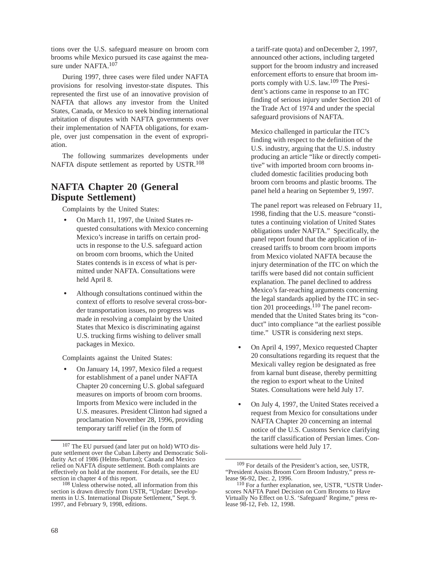tions over the U.S. safeguard measure on broom corn brooms while Mexico pursued its case against the measure under NAFTA.107

During 1997, three cases were filed under NAFTA provisions for resolving investor-state disputes. This represented the first use of an innovative provision of NAFTA that allows any investor from the United States, Canada, or Mexico to seek binding international arbitation of disputes with NAFTA governments over their implementation of NAFTA obligations, for example, over just compensation in the event of expropriation.

The following summarizes developments under NAFTA dispute settlement as reported by USTR.108

#### **NAFTA Chapter 20 (General Dispute Settlement)**

Complaints by the United States:

- On March 11, 1997, the United States requested consultations with Mexico concerning Mexico's increase in tariffs on certain products in response to the U.S. safeguard action on broom corn brooms, which the United States contends is in excess of what is permitted under NAFTA. Consultations were held April 8.
- Although consultations continued within the context of efforts to resolve several cross-border transportation issues, no progress was made in resolving a complaint by the United States that Mexico is discriminating against U.S. trucking firms wishing to deliver small packages in Mexico.

Complaints against the United States:

 On January 14, 1997, Mexico filed a request for establishment of a panel under NAFTA Chapter 20 concerning U.S. global safeguard measures on imports of broom corn brooms. Imports from Mexico were included in the U.S. measures. President Clinton had signed a proclamation November 28, 1996, providing temporary tariff relief (in the form of

a tariff-rate quota) and onDecember 2, 1997, announced other actions, including targeted support for the broom industry and increased enforcement efforts to ensure that broom imports comply with U.S. law.109 The President's actions came in response to an ITC finding of serious injury under Section 201 of the Trade Act of 1974 and under the special safeguard provisions of NAFTA.

Mexico challenged in particular the ITC's finding with respect to the definition of the U.S. industry, arguing that the U.S. industry producing an article "like or directly competitive" with imported broom corn brooms included domestic facilities producing both broom corn brooms and plastic brooms. The panel held a hearing on September 9, 1997.

The panel report was released on February 11, 1998, finding that the U.S. measure "constitutes a continuing violation of United States obligations under NAFTA." Specifically, the panel report found that the application of increased tariffs to broom corn broom imports from Mexico violated NAFTA because the injury determination of the ITC on which the tariffs were based did not contain sufficient explanation. The panel declined to address Mexico's far-reaching arguments concerning the legal standards applied by the ITC in section 201 proceedings.110 The panel recommended that the United States bring its "conduct" into compliance "at the earliest possible time." USTR is considering next steps.

- On April 4, 1997, Mexico requested Chapter 20 consultations regarding its request that the Mexicali valley region be designated as free from karnal bunt disease, thereby permitting the region to export wheat to the United States. Consultations were held July 17.
- On July 4, 1997, the United States received a request from Mexico for consultations under NAFTA Chapter 20 concerning an internal notice of the U.S. Customs Service clarifying the tariff classification of Persian limes. Consultations were held July 17.

<sup>107</sup> The EU pursued (and later put on hold) WTO dispute settlement over the Cuban Liberty and Democratic Solidarity Act of 1986 (Helms-Burton); Canada and Mexico relied on NAFTA dispute settlement. Both complaints are effectively on hold at the moment. For details, see the EU section in chapter 4 of this report.

<sup>108</sup> Unless otherwise noted, all information from this section is drawn directly from USTR, "Update: Developments in U.S. International Dispute Settlement," Sept. 9. 1997, and February 9, 1998, editions.

<sup>109</sup> For details of the President's action, see, USTR, "President Assists Broom Corn Broom Industry," press release 96-92, Dec. 2, 1996.

<sup>110</sup> For a further explanation, see, USTR, "USTR Underscores NAFTA Panel Decision on Corn Brooms to Have Virtually No Effect on U.S. 'Safeguard' Regime," press release 98-12, Feb. 12, 1998.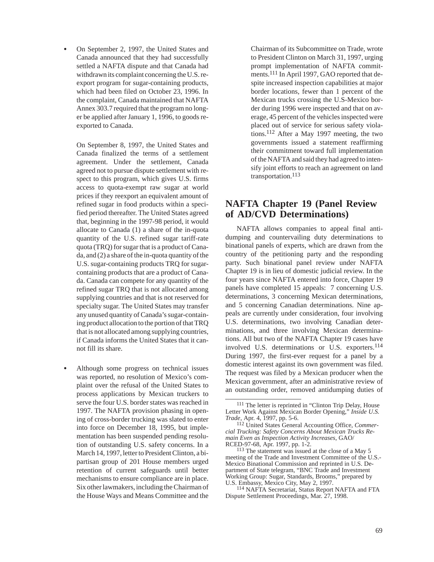On September 2, 1997, the United States and Canada announced that they had successfully settled a NAFTA dispute and that Canada had withdrawn its complaint concerning the U.S. reexport program for sugar-containing products, which had been filed on October 23, 1996. In the complaint, Canada maintained that NAFTA Annex 303.7 required that the program no longer be applied after January 1, 1996, to goods reexported to Canada.

On September 8, 1997, the United States and Canada finalized the terms of a settlement agreement. Under the settlement, Canada agreed not to pursue dispute settlement with respect to this program, which gives U.S. firms access to quota-exempt raw sugar at world prices if they reexport an equivalent amount of refined sugar in food products within a specified period thereafter. The United States agreed that, beginning in the 1997-98 period, it would allocate to Canada (1) a share of the in-quota quantity of the U.S. refined sugar tariff-rate quota (TRQ) for sugar that is a product of Canada, and (2) a share of the in-quota quantity of the U.S. sugar-containing products TRQ for sugarcontaining products that are a product of Canada. Canada can compete for any quantity of the refined sugar TRQ that is not allocated among supplying countries and that is not reserved for specialty sugar. The United States may transfer any unused quantity of Canada's sugar-containing product allocation to the portion of that TRQ that is not allocated among supplying countries, if Canada informs the United States that it cannot fill its share.

 Although some progress on technical issues was reported, no resolution of Mexico's complaint over the refusal of the United States to process applications by Mexican truckers to serve the four U.S. border states was reached in 1997. The NAFTA provision phasing in opening of cross-border trucking was slated to enter into force on December 18, 1995, but implementation has been suspended pending resolution of outstanding U.S. safety concerns. In a March 14, 1997, letter to President Clinton, a bipartisan group of 201 House members urged retention of current safeguards until better mechanisms to ensure compliance are in place. Six other lawmakers, including the Chairman of the House Ways and Means Committee and the

Chairman of its Subcommittee on Trade, wrote to President Clinton on March 31, 1997, urging prompt implementation of NAFTA commitments.111 In April 1997, GAO reported that despite increased inspection capabilities at major border locations, fewer than 1 percent of the Mexican trucks crossing the U.S-Mexico border during 1996 were inspected and that on average, 45 percent of the vehicles inspected were placed out of service for serious safety violations.112 After a May 1997 meeting, the two governments issued a statement reaffirming their commitment toward full implementation of the NAFTA and said they had agreed to intensify joint efforts to reach an agreement on land transportation.113

#### **NAFTA Chapter 19 (Panel Review of AD/CVD Determinations)**

NAFTA allows companies to appeal final antidumping and countervailing duty determinations to binational panels of experts, which are drawn from the country of the petitioning party and the responding party. Such binational panel review under NAFTA Chapter 19 is in lieu of domestic judicial review. In the four years since NAFTA entered into force, Chapter 19 panels have completed 15 appeals: 7 concerning U.S. determinations, 3 concerning Mexican determinations, and 5 concerning Canadian determinations. Nine appeals are currently under consideration, four involving U.S. determinations, two involving Canadian determinations, and three involving Mexican determinations. All but two of the NAFTA Chapter 19 cases have involved U.S. determinations or U.S. exporters.<sup>114</sup> During 1997, the first-ever request for a panel by a domestic interest against its own government was filed. The request was filed by a Mexican producer when the Mexican government, after an administrative review of an outstanding order, removed antidumping duties of

114 NAFTA Secretariat, Status Report NAFTA and FTA Dispute Settlement Proceedings, Mar. 27, 1998.

<sup>111</sup> The letter is reprinted in "Clinton Trip Delay, House Letter Work Against Mexican Border Opening," *Inside U.S. Trade*, Apr. 4, 1997, pp. 5-6.

<sup>112</sup> United States General Accounting Office, *Commercial Trucking: Safety Concerns About Mexican Trucks Remain Even as Inspection Activity Increases*, GAO/ RCED-97-68, Apr. 1997, pp. 1-2.

<sup>113</sup> The statement was issued at the close of a May 5 meeting of the Trade and Investment Committee of the U.S.- Mexico Binational Commission and reprinted in U.S. Department of State telegram, "BNC Trade and Investment Working Group: Sugar, Standards, Brooms," prepared by U.S. Embassy, Mexico City, May 2, 1997.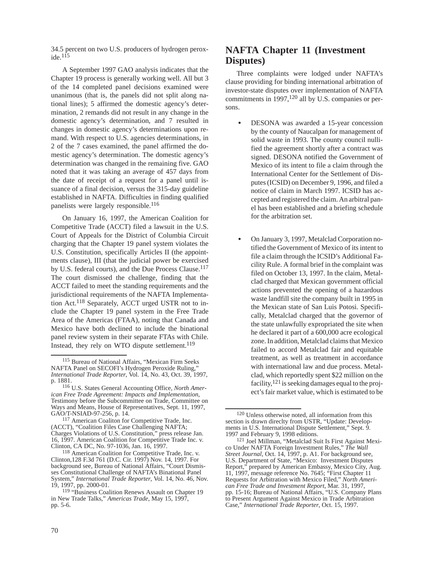34.5 percent on two U.S. producers of hydrogen peroxide. $115$ 

A September 1997 GAO analysis indicates that the Chapter 19 process is generally working well. All but 3 of the 14 completed panel decisions examined were unanimous (that is, the panels did not split along national lines); 5 affirmed the domestic agency's determination, 2 remands did not result in any change in the domestic agency's determination, and 7 resulted in changes in domestic agency's determinations upon remand. With respect to U.S. agencies determinations, in 2 of the 7 cases examined, the panel affirmed the domestic agency's determination. The domestic agency's determination was changed in the remaining five. GAO noted that it was taking an average of 457 days from the date of receipt of a request for a panel until issuance of a final decision, versus the 315-day guideline established in NAFTA. Difficulties in finding qualified panelists were largely responsible.<sup>116</sup>

On January 16, 1997, the American Coalition for Competitive Trade (ACCT) filed a lawsuit in the U.S. Court of Appeals for the District of Columbia Circuit charging that the Chapter 19 panel system violates the U.S. Constitution, specifically Articles II (the appointments clause), III (that the judicial power be exercised by U.S. federal courts), and the Due Process Clause.<sup>117</sup> The court dismissed the challenge, finding that the ACCT failed to meet the standing requirements and the jurisdictional requirements of the NAFTA Implementation Act.118 Separately, ACCT urged USTR not to include the Chapter 19 panel system in the Free Trade Area of the Americas (FTAA), noting that Canada and Mexico have both declined to include the binational panel review system in their separate FTAs with Chile. Instead, they rely on WTO dispute settlement. $119$ 

#### **NAFTA Chapter 11 (Investment Disputes)**

Three complaints were lodged under NAFTA's clause providing for binding international arbitration of investor-state disputes over implementation of NAFTA commitments in  $1997$ ,  $120$  all by U.S. companies or persons.

- DESONA was awarded a 15-year concession by the county of Naucalpan for management of solid waste in 1993. The county council nullified the agreement shortly after a contract was signed. DESONA notified the Government of Mexico of its intent to file a claim through the International Center for the Settlement of Disputes (ICSID) on December 9, 1996, and filed a notice of claim in March 1997. ICSID has accepted and registered the claim. An arbitral panel has been established and a briefing schedule for the arbitration set.
- On January 3, 1997, Metalclad Corporation notified the Government of Mexico of its intent to file a claim through the ICSID's Additional Facility Rule. A formal brief in the complaint was filed on October 13, 1997. In the claim, Metalclad charged that Mexican government official actions prevented the opening of a hazardous waste landfill site the company built in 1995 in the Mexican state of San Luis Potosi. Specifically, Metalclad charged that the governor of the state unlawfully expropriated the site when he declared it part of a 600,000 acre ecological zone. In addition, Metalclad claims that Mexico failed to accord Metalclad fair and equitable treatment, as well as treatment in accordance with international law and due process. Metalclad, which reportedly spent \$22 million on the facility,121 is seeking damages equal to the project's fair market value, which is estimated to be

<sup>115</sup> Bureau of National Affairs, "Mexican Firm Seeks NAFTA Panel on SECOFI's Hydrogen Peroxide Ruling," *International Trade Reporter*, Vol. 14, No. 43, Oct. 39, 1997, p. 1881.

<sup>116</sup> U.S. States General Accounting Office, *North American Free Trade Agreement: Impacts and Implementation*, Testimony before the Subcommittee on Trade, Committee on Ways and Means, House of Representatives, Sept. 11, 1997, GAO/T-NSIAD-97-256, p. 14.

<sup>117</sup> American Coaliton for Competitive Trade, Inc. (ACCT), "Coalition Files Case Challenging NAFTA; Charges Violations of U.S. Constitution," press release Jan. 16, 1997. American Coalition for Competitive Trade Inc. v. Clinton, CA DC, No. 97-1036, Jan. 16, 1997.

<sup>118</sup> American Coalition for Competitive Trade, Inc. v. Clinton,128 F.3d 761 (D.C. Cir. 1997) Nov. 14, 1997. For background see, Bureau of National Affairs, "Court Dismisses Constitutional Challenge of NAFTA's Binational Panel System," *International Trade Reporter*, Vol. 14, No. 46, Nov. 19, 1997, pp. 2000-01.

<sup>119 &</sup>quot;Business Coalition Renews Assault on Chapter 19 in New Trade Talks," *Americas Trade*, May 15, 1997, pp. 5-6.

<sup>120</sup> Unless otherwise noted, all information from this section is drawn direclty from USTR, "Update: Developments in U.S. International Dispute Settlement," Sept. 9. 1997 and February 9, 1998 editions.

<sup>121</sup> Joel Millman, "Metalclad Suit Is First Against Mexico Under NAFTA Foreign Investment Rules," *The Wall Street Journal*, Oct. 14, 1997, p. A1. For background see, U.S. Department of State, "Mexico: Investment Disputes Report," prepared by American Embassy, Mexico City, Aug. 11, 1997, message reference No. 7645; "First Chapter 11 Requests for Arbitration with Mexico Filed," *North American Free Trade and Investment Report*, Mar. 31, 1997, pp. 15-16; Bureau of National Affairs, "U.S. Company Plans to Present Argument Against Mexico in Trade Arbitration Case," *International Trade Reporter*, Oct. 15, 1997.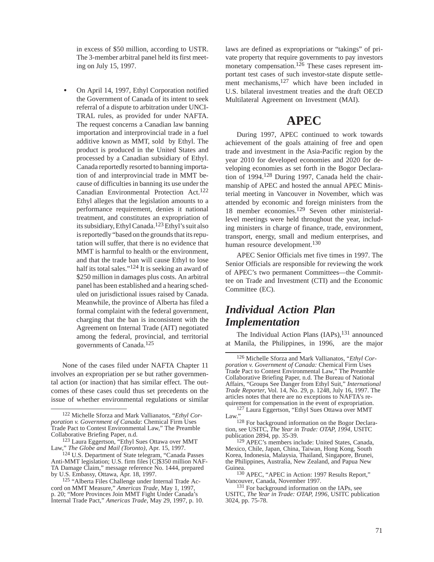in excess of \$50 million, according to USTR. The 3-member arbitral panel held its first meeting on July 15, 1997.

 On April 14, 1997, Ethyl Corporation notified the Government of Canada of its intent to seek referral of a dispute to arbitration under UNCI-TRAL rules, as provided for under NAFTA. The request concerns a Canadian law banning importation and interprovincial trade in a fuel additive known as MMT, sold by Ethyl. The product is produced in the United States and processed by a Canadian subsidiary of Ethyl. Canada reportedly resorted to banning importation of and interprovincial trade in MMT because of difficulties in banning its use under the Canadian Environmental Protection Act.122 Ethyl alleges that the legislation amounts to a performance requirement, denies it national treatment, and constitutes an expropriation of its subsidiary, Ethyl Canada.123 Ethyl's suit also is reportedly "based on the grounds that its reputation will suffer, that there is no evidence that MMT is harmful to health or the environment, and that the trade ban will cause Ethyl to lose half its total sales." $124$  It is seeking an award of \$250 million in damages plus costs. An arbitral panel has been established and a hearing scheduled on jurisdictional issues raised by Canada. Meanwhile, the province of Alberta has filed a formal complaint with the federal government, charging that the ban is inconsistent with the Agreement on Internal Trade (AIT) negotiated among the federal, provincial, and territorial governments of Canada.125

None of the cases filed under NAFTA Chapter 11 involves an expropriation per se but rather governmental action (or inaction) that has similar effect. The outcomes of these cases could thus set precedents on the issue of whether environmental regulations or similar laws are defined as expropriations or "takings" of private property that require governments to pay investors monetary compensation.<sup>126</sup> These cases represent important test cases of such investor-state dispute settlement mechanisms,<sup>127</sup> which have been included in U.S. bilateral investment treaties and the draft OECD Multilateral Agreement on Investment (MAI).

## **APEC**

During 1997, APEC continued to work towards achievement of the goals attaining of free and open trade and investment in the Asia-Pacific region by the year 2010 for developed economies and 2020 for developing economies as set forth in the Bogor Declaration of 1994.<sup>128</sup> During 1997, Canada held the chairmanship of APEC and hosted the annual APEC Ministerial meeting in Vancouver in November, which was attended by economic and foreign ministers from the 18 member economies.129 Seven other ministeriallevel meetings were held throughout the year, including ministers in charge of finance, trade, environment, transport, energy, small and medium enterprises, and human resource development.<sup>130</sup>

APEC Senior Officials met five times in 1997. The Senior Officials are responsible for reviewing the work of APEC's two permanent Committees—the Committee on Trade and Investment (CTI) and the Economic Committee (EC).

## *Individual Action Plan Implementation*

The Individual Action Plans  $(IAPs)$ ,  $^{131}$  announced at Manila, the Philippines, in 1996, are the major

<sup>122</sup> Michelle Sforza and Mark Vallianatos, "*Ethyl Corporation v. Government of Canada*: Chemical Firm Uses Trade Pact to Contest Environmental Law," The Preamble Collaborative Briefing Paper, n.d.

<sup>123</sup> Laura Eggertson, "Ethyl Sues Ottawa over MMT Law," *The Globe and Mail (Toronto)*, Apr. 15, 1997.

<sup>124</sup> U.S. Department of State telegram, "Canada Passes Anti-MMT legislation; U.S. firm files [C]\$350 million NAF-TA Damage Claim," message reference No. 1444, prepared by U.S. Embassy, Ottawa, Apr. 18, 1997.

<sup>125 &</sup>quot;Alberta Files Challenge under Internal Trade Accord on MMT Measure," *Americas Trade*, May 1, 1997, p. 20; "More Provinces Join MMT Fight Under Canada's Internal Trade Pact," *Americas Trade*, May 29, 1997, p. 10.

<sup>126</sup> Michelle Sforza and Mark Vallianatos, "*Ethyl Corporation v. Government of Canada:* Chemical Firm Uses Trade Pact to Contest Environmental Law," The Preamble Collaborative Briefing Paper, n.d. The Bureau of National Affairs, "Groups See Danger from Ethyl Suit," *International Trade Reporter*, Vol. 14, No. 29, p. 1248, July 16, 1997. The articles notes that there are no exceptions to NAFTA's requirement for compensation in the event of expropriation.

<sup>127</sup> Laura Eggertson, "Ethyl Sues Ottawa over MMT Law."

<sup>&</sup>lt;sup>128</sup> For background information on the Bogor Declaration, see USITC, *The Year in Trade: OTAP*, *1994*, USITC

<sup>&</sup>lt;sup>129</sup> APEC's members include: United States, Canada, Mexico, Chile, Japan, China, Taiwan, Hong Kong, South Korea, Indonesia, Malaysia, Thailand, Singapore, Brunei, the Philippines, Australia, New Zealand, and Papua New Guinea.

<sup>130</sup> APEC, "APEC in Action: 1997 Results Report," Vancouver, Canada, November 1997.

<sup>&</sup>lt;sup>131</sup> For background information on the IAPs, see USITC, *The Year in Trade: OTAP*, *1996*, USITC publication 3024, pp. 75-78.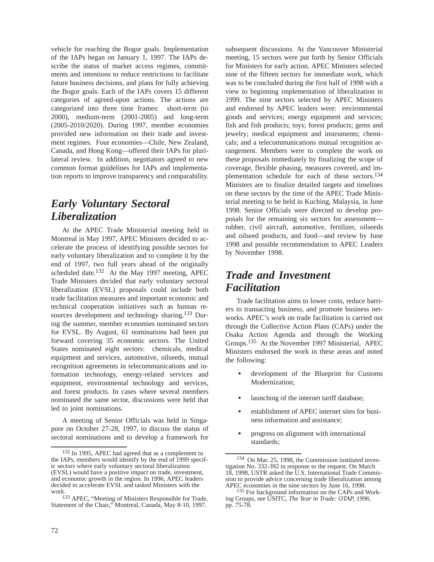vehicle for reaching the Bogor goals. Implementation of the IAPs began on January 1, 1997. The IAPs describe the status of market access regimes, commitments and intentions to reduce restrictions to facilitate future business decisions, and plans for fully achieving the Bogor goals. Each of the IAPs covers 15 different categories of agreed-upon actions. The actions are categorized into three time frames: short-term (to 2000), medium-term (2001-2005) and long-term (2005-2010/2020). During 1997, member economies provided new information on their trade and investment regimes. Four economies—Chile, New Zealand, Canada, and Hong Kong—offered their IAPs for plurilateral review. In addition, negotiators agreed to new common format guidelines for IAPs and implementation reports to improve transparency and comparability.

## *Early Voluntary Sectoral Liberalization*

At the APEC Trade Ministerial meeting held in Montreal in May 1997, APEC Ministers decided to accelerate the process of identifying possible sectors for early voluntary liberalization and to complete it by the end of 1997, two full years ahead of the originally scheduled date.<sup>132</sup> At the May 1997 meeting, APEC Trade Ministers decided that early voluntary sectoral liberalization (EVSL) proposals could include both trade facilitation measures and important economic and technical cooperation initiatives such as human resources development and technology sharing.<sup>133</sup> During the summer, member economies nominated sectors for EVSL. By August, 61 nominations had been put forward covering 35 economic sectors. The United States nominated eight sectors: chemicals, medical equipment and services, automotive, oilseeds, mutual recognition agreements in telecommunications and information technology, energy-related services and equipment, environmental technology and services, and forest products. In cases where several members nominated the same sector, discussions were held that led to joint nominations.

A meeting of Senior Officials was held in Singapore on October 27-28, 1997, to discuss the status of sectoral nominations and to develop a framework for

subsequent discussions. At the Vancouver Ministerial meeting, 15 sectors were put forth by Senior Officials for Ministers for early action. APEC Ministers selected nine of the fifteen sectors for immediate work, which was to be concluded during the first half of 1998 with a view to beginning implementation of liberalization in 1999. The nine sectors selected by APEC Ministers and endorsed by APEC leaders were: environmental goods and services; energy equipment and services; fish and fish products; toys; forest products; gems and jewelry; medical equipment and instruments; chemicals; and a telecommunications mutual recognition arrangement. Members were to complete the work on these proposals immediately by finalizing the scope of coverage, flexible phasing, measures covered, and implementation schedule for each of these sectors.134 Ministers are to finalize detailed targets and timelines on these sectors by the time of the APEC Trade Ministerial meeting to be held in Kuching, Malaysia, in June 1998. Senior Officials were directed to develop proposals for the remaining six sectors for assessment rubber, civil aircraft, automotive, fertilizer, oilseeds and oilseed products, and food—and review by June 1998 and possible recommendation to APEC Leaders by November 1998.

## *Trade and Investment Facilitation*

Trade facilitation aims to lower costs, reduce barriers to transacting business, and promote business networks. APEC's work on trade facilitation is carried out through the Collective Action Plans (CAPs) under the Osaka Action Agenda and through the Working Groups.135 At the November 1997 Ministerial, APEC Ministers endorsed the work in these areas and noted the following:

- $\bullet$  development of the Blueprint for Customs Modernization;
- launching of the internet tariff database;
- establishment of APEC internet sites for business information and assistance;
- progress on alignment with international standards;

<sup>132</sup> In 1995, APEC had agreed that as a complement to the IAPs, members would identify by the end of 1999 specific sectors where early voluntary sectoral liberalization (EVSL) would have a positive impact on trade, investment, and economic growth in the region. In 1996, APEC leaders decided to accelerate EVSL and tasked Ministers with the work.

<sup>133</sup> APEC, "Meeting of Ministers Responsible for Trade, Statement of the Chair," Montreal, Canada, May 8-10, 1997.

<sup>134</sup> On Mar. 25, 1998, the Commission instituted investigation No. 332-392 in response to the request. On March 18, 1998, USTR asked the U.S. International Trade Commission to provide advice concerning trade liberalization among APEC economies in the nine sectors by June 16, 1998.

<sup>135</sup> For background information on the CAPs and Working Groups, see USITC, *The Year in Trade: OTAP*, *1996*, pp. 75-78.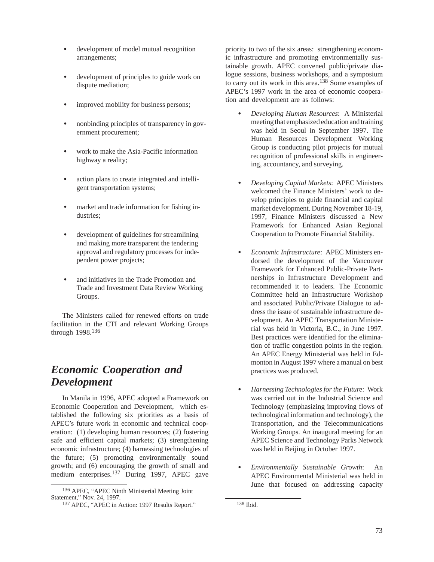- development of model mutual recognition arrangements;
- development of principles to guide work on dispute mediation;
- improved mobility for business persons;
- nonbinding principles of transparency in government procurement;
- work to make the Asia-Pacific information highway a reality;
- action plans to create integrated and intelligent transportation systems;
- market and trade information for fishing industries;
- development of guidelines for streamlining and making more transparent the tendering approval and regulatory processes for independent power projects;
- and initiatives in the Trade Promotion and Trade and Investment Data Review Working Groups.

The Ministers called for renewed efforts on trade facilitation in the CTI and relevant Working Groups through 1998.136

## *Economic Cooperation and Development*

In Manila in 1996, APEC adopted a Framework on Economic Cooperation and Development, which established the following six priorities as a basis of APEC's future work in economic and technical cooperation: (1) developing human resources; (2) fostering safe and efficient capital markets; (3) strengthening economic infrastructure; (4) harnessing technologies of the future; (5) promoting environmentally sound growth; and (6) encouraging the growth of small and medium enterprises.137 During 1997, APEC gave

priority to two of the six areas: strengthening economic infrastructure and promoting environmentally sustainable growth. APEC convened public/private dialogue sessions, business workshops, and a symposium to carry out its work in this area.138 Some examples of APEC's 1997 work in the area of economic cooperation and development are as follows:

- *Developing Human Resources*: A Ministerial meeting that emphasized education and training was held in Seoul in September 1997. The Human Resources Development Working Group is conducting pilot projects for mutual recognition of professional skills in engineering, accountancy, and surveying.
- *Developing Capital Markets*: APEC Ministers welcomed the Finance Ministers' work to develop principles to guide financial and capital market development. During November 18-19, 1997, Finance Ministers discussed a New Framework for Enhanced Asian Regional Cooperation to Promote Financial Stability.
- $\bullet$  *Economic Infrastructure*: APEC Ministers endorsed the development of the Vancouver Framework for Enhanced Public-Private Partnerships in Infrastructure Development and recommended it to leaders. The Economic Committee held an Infrastructure Workshop and associated Public/Private Dialogue to address the issue of sustainable infrastructure development. An APEC Transportation Ministerial was held in Victoria, B.C., in June 1997. Best practices were identified for the elimination of traffic congestion points in the region. An APEC Energy Ministerial was held in Edmonton in August 1997 where a manual on best practices was produced.
- *Harnessing Technologies for the Future*: Work was carried out in the Industrial Science and Technology (emphasizing improving flows of technological information and technology), the Transportation, and the Telecommunications Working Groups. An inaugural meeting for an APEC Science and Technology Parks Network was held in Beijing in October 1997.
- *Environmentally Sustainable Growth*: An APEC Environmental Ministerial was held in June that focused on addressing capacity

<sup>136</sup> APEC, "APEC Ninth Ministerial Meeting Joint Statement," Nov. 24, 1997.

<sup>137</sup> APEC, "APEC in Action: 1997 Results Report."

<sup>138</sup> Ibid.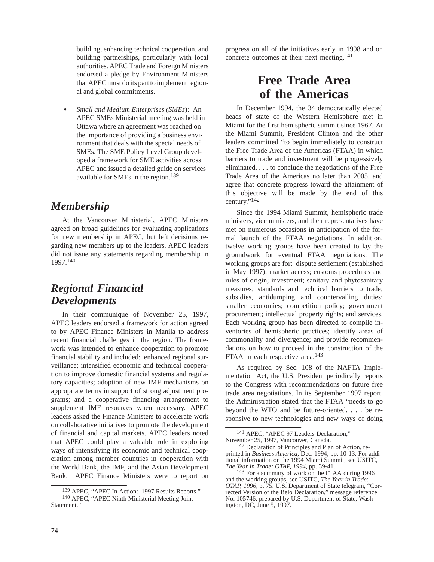building, enhancing technical cooperation, and building partnerships, particularly with local authorities. APEC Trade and Foreign Ministers endorsed a pledge by Environment Ministers that APEC must do its part to implement regional and global commitments.

 *Small and Medium Enterprises (SMEs*): An APEC SMEs Ministerial meeting was held in Ottawa where an agreement was reached on the importance of providing a business environment that deals with the special needs of SMEs. The SME Policy Level Group developed a framework for SME activities across APEC and issued a detailed guide on services available for SMEs in the region.<sup>139</sup>

## *Membership*

At the Vancouver Ministerial, APEC Ministers agreed on broad guidelines for evaluating applications for new membership in APEC, but left decisions regarding new members up to the leaders. APEC leaders did not issue any statements regarding membership in 1997.140

## *Regional Financial Developments*

In their communique of November 25, 1997, APEC leaders endorsed a framework for action agreed to by APEC Finance Ministers in Manila to address recent financial challenges in the region. The framework was intended to enhance cooperation to promote financial stability and included: enhanced regional surveillance; intensified economic and technical cooperation to improve domestic financial systems and regulatory capacities; adoption of new IMF mechanisms on appropriate terms in support of strong adjustment programs; and a cooperative financing arrangement to supplement IMF resources when necessary. APEC leaders asked the Finance Ministers to accelerate work on collaborative initiatives to promote the development of financial and capital markets. APEC leaders noted that APEC could play a valuable role in exploring ways of intensifying its economic and technical cooperation among member countries in cooperation with the World Bank, the IMF, and the Asian Development Bank. APEC Finance Ministers were to report on

progress on all of the initiatives early in 1998 and on concrete outcomes at their next meeting.141

## **Free Trade Area of the Americas**

In December 1994, the 34 democratically elected heads of state of the Western Hemisphere met in Miami for the first hemispheric summit since 1967. At the Miami Summit, President Clinton and the other leaders committed "to begin immediately to construct the Free Trade Area of the Americas (FTAA) in which barriers to trade and investment will be progressively eliminated. . . . to conclude the negotiations of the Free Trade Area of the Americas no later than 2005, and agree that concrete progress toward the attainment of this objective will be made by the end of this century."142

Since the 1994 Miami Summit, hemispheric trade ministers, vice ministers, and their representatives have met on numerous occasions in anticipation of the formal launch of the FTAA negotiations. In addition, twelve working groups have been created to lay the groundwork for eventual FTAA negotiations. The working groups are for: dispute settlement (established in May 1997); market access; customs procedures and rules of origin; investment; sanitary and phytosanitary measures; standards and technical barriers to trade; subsidies, antidumping and countervailing duties; smaller economies; competition policy; government procurement; intellectual property rights; and services. Each working group has been directed to compile inventories of hemispheric practices; identify areas of commonality and divergence; and provide recommendations on how to proceed in the construction of the FTAA in each respective area.<sup>143</sup>

As required by Sec. 108 of the NAFTA Implementation Act, the U.S. President periodically reports to the Congress with recommendations on future free trade area negotiations. In its September 1997 report, the Administration stated that the FTAA "needs to go beyond the WTO and be future-oriented. . . . be responsive to new technologies and new ways of doing

<sup>139</sup> APEC, "APEC In Action: 1997 Results Reports." 140 APEC, "APEC Ninth Ministerial Meeting Joint Statement."

<sup>141</sup> APEC, "APEC 97 Leaders Declaration," November 25, 1997, Vancouver, Canada.

<sup>142</sup> Declaration of Principles and Plan of Action, reprinted in *Business America*, Dec. 1994, pp. 10-13. For additional information on the 1994 Miami Summit, see USITC, *The Year in Trade: OTAP, 1994*, pp. 39-41.

<sup>143</sup> For a summary of work on the FTAA during 1996 and the working groups, see USITC, *The Year in Trade: OTAP, 1996,* p. 75. U.S. Department of State telegram, "Corrected Version of the Belo Declaration," message reference No. 105746, prepared by U.S. Department of State, Washington, DC, June 5, 1997.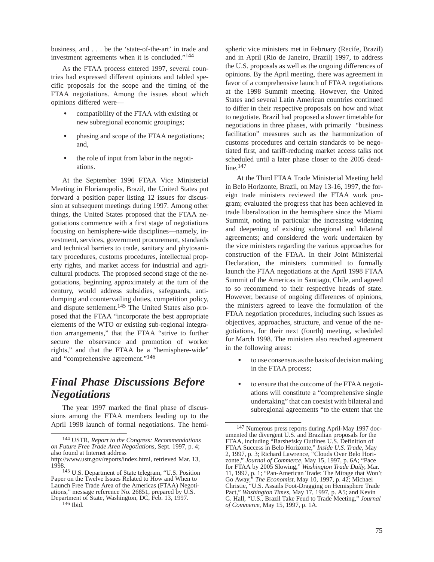business, and . . . be the 'state-of-the-art' in trade and investment agreements when it is concluded."144

As the FTAA process entered 1997, several countries had expressed different opinions and tabled specific proposals for the scope and the timing of the FTAA negotiations. Among the issues about which opinions differed were—

- compatibility of the FTAA with existing or new subregional economic groupings;
- phasing and scope of the FTAA negotiations; and,
- the role of input from labor in the negotiations.

At the September 1996 FTAA Vice Ministerial Meeting in Florianopolis, Brazil, the United States put forward a position paper listing 12 issues for discussion at subsequent meetings during 1997. Among other things, the United States proposed that the FTAA negotiations commence with a first stage of negotiations focusing on hemisphere-wide disciplines—namely, investment, services, government procurement, standards and technical barriers to trade, sanitary and phytosanitary procedures, customs procedures, intellectual property rights, and market access for industrial and agricultural products. The proposed second stage of the negotiations, beginning approximately at the turn of the century, would address subsidies, safeguards, antidumping and countervailing duties, competition policy, and dispute settlement.<sup>145</sup> The United States also proposed that the FTAA "incorporate the best appropriate elements of the WTO or existing sub-regional integration arrangements," that the FTAA "strive to further secure the observance and promotion of worker rights," and that the FTAA be a "hemisphere-wide" and "comprehensive agreement."146

## *Final Phase Discussions Before Negotiations*

The year 1997 marked the final phase of discussions among the FTAA members leading up to the April 1998 launch of formal negotiations. The hemi-

spheric vice ministers met in February (Recife, Brazil) and in April (Rio de Janeiro, Brazil) 1997, to address the U.S. proposals as well as the ongoing differences of opinions. By the April meeting, there was agreement in favor of a comprehensive launch of FTAA negotiations at the 1998 Summit meeting. However, the United States and several Latin American countries continued to differ in their respective proposals on how and what to negotiate. Brazil had proposed a slower timetable for negotiations in three phases, with primarily "business facilitation" measures such as the harmonization of customs procedures and certain standards to be negotiated first, and tariff-reducing market access talks not scheduled until a later phase closer to the 2005 deadline.147

At the Third FTAA Trade Ministerial Meeting held in Belo Horizonte, Brazil, on May 13-16, 1997, the foreign trade ministers reviewed the FTAA work program; evaluated the progress that has been achieved in trade liberalization in the hemisphere since the Miami Summit, noting in particular the increasing widening and deepening of existing subregional and bilateral agreements; and considered the work undertaken by the vice ministers regarding the various approaches for construction of the FTAA. In their Joint Ministerial Declaration, the ministers committed to formally launch the FTAA negotiations at the April 1998 FTAA Summit of the Americas in Santiago, Chile, and agreed to so recommend to their respective heads of state. However, because of ongoing differences of opinions, the ministers agreed to leave the formulation of the FTAA negotiation procedures, including such issues as objectives, approaches, structure, and venue of the negotiations, for their next (fourth) meeting, scheduled for March 1998. The ministers also reached agreement in the following areas:

- to use consensus as the basis of decision making in the FTAA process;
- to ensure that the outcome of the FTAA negotiations will constitute a "comprehensive single undertaking" that can coexist with bilateral and subregional agreements "to the extent that the

<sup>144</sup> USTR, *Report to the Congress: Recommendations on Future Free Trade Area Negotiations*, Sept. 1997, p. 4; also found at Internet address

http://www.ustr.gov/reports/index.html, retrieved Mar. 13, 1998.

<sup>145</sup> U.S. Department of State telegram, "U.S. Position Paper on the Twelve Issues Related to How and When to Launch Free Trade Area of the Americas (FTAA) Negotiations," message reference No. 26851, prepared by U.S. Department of State, Washington, DC, Feb. 13, 1997.

<sup>146</sup> Ibid.

<sup>147</sup> Numerous press reports during April-May 1997 documented the divergent U.S. and Brazilian proposals for the FTAA, including "Barshefsky Outlines U.S. Definition of FTAA Success in Belo Horizonte," *Inside U.S. Trade*, May 2, 1997, p. 3; Richard Lawrence, "Clouds Over Belo Horizonte," *Journal of Commerce*, May 15, 1997, p. 6A; "Pace for FTAA by 2005 Slowing," *Washington Trade Daily*, Mar. 11, 1997, p. 1; "Pan-American Trade: The Mirage that Won't Go Away," *The Economist*, May 10, 1997, p. 42; Michael Christie, "U.S. Assails Foot-Dragging on Hemisphere Trade Pact," *Washington Times*, May 17, 1997, p. A5; and Kevin G. Hall, "U.S., Brazil Take Feud to Trade Meeting," *Journal of Commerce*, May 15, 1997, p. 1A.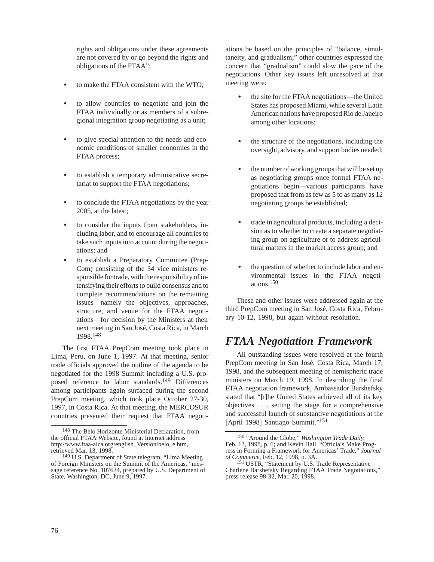rights and obligations under these agreements are not covered by or go beyond the rights and obligations of the FTAA";

- to make the FTAA consistent with the WTO;
- to allow countries to negotiate and join the FTAA individually or as members of a subregional integration group negotiating as a unit;
- to give special attention to the needs and economic conditions of smaller economies in the FTAA process;
- to establish a temporary administrative secretariat to support the FTAA negotiations;
- to conclude the FTAA negotiations by the year 2005, at the latest;
- to consider the inputs from stakeholders, including labor, and to encourage all countries to take such inputs into account during the negotiations; and
- to establish a Preparatory Committee (Prep-Com) consisting of the 34 vice ministers responsible for trade, with the responsibility of intensifying their efforts to build consensus and to complete recommendations on the remaining issues—namely the objectives, approaches, structure, and venue for the FTAA negotiations—for decision by the Ministers at their next meeting in San José, Costa Rica, in March 1998.148

The first FTAA PrepCom meeting took place in Lima, Peru, on June 1, 1997. At that meeting, senior trade officials approved the outline of the agenda to be negotiated for the 1998 Summit including a U.S.-proposed reference to labor standards.<sup>149</sup> Differences among participants again surfaced during the second PrepCom meeting, which took place October 27-30, 1997, in Costa Rica. At that meeting, the MERCOSUR countries presented their request that FTAA negotiations be based on the principles of "balance, simultaneity, and gradualism;" other countries expressed the concern that "gradualism" could slow the pace of the negotiations. Other key issues left unresolved at that meeting were:

- the site for the FTAA negotiations—the United States has proposed Miami, while several Latin American nations have proposed Rio de Janeiro among other locations;
- the structure of the negotiations, including the oversight, advisory, and support bodies needed;
- the number of working groups that will be set up as negotiating groups once formal FTAA negotiations begin—various participants have proposed that from as few as 5 to as many as 12 negotiating groups be established;
- trade in agricultural products, including a decision as to whether to create a separate negotiating group on agriculture or to address agricultural matters in the market access group; and
- $\bullet$  the question of whether to include labor and environmental issues in the FTAA negotiations.150

These and other issues were addressed again at the third PrepCom meeting in San José, Costa Rica, February 10-12, 1998, but again without resolution.

## *FTAA Negotiation Framework*

All outstanding issues were resolved at the fourth PrepCom meeting in San José, Costa Rica, March 17, 1998, and the subsequent meeting of hemispheric trade ministers on March 19, 1998. In describing the final FTAA negotiation framework, Ambassador Barshefsky stated that "[t]he United States achieved all of its key objectives . . . setting the stage for a comprehensive and successful launch of substantive negotiations at the [April 1998] Santiago Summit."151

<sup>148</sup> The Belo Horizonte Ministerial Declaration, from the official FTAA Website, found at Internet address http://www.ftaa-alca.org/english\_Version/belo\_e.htm, retrieved Mar. 13, 1998.

<sup>149</sup> U.S. Department of State telegram, "Lima Meeting of Foreign Ministers on the Summit of the Americas," message reference No. 107634, prepared by U.S. Department of State, Washington, DC, June 9, 1997.

<sup>150 &</sup>quot;Around the Globe," *Washington Trade Daily*, Feb. 13, 1998, p. 6; and Kevin Hall, "Officials Make Progress in Forming a Framework for Americas' Trade," *Journal of Commerce*, Feb. 12, 1998, p. 3A.

<sup>151</sup> USTR, "Statement by U.S. Trade Representative Charlene Barshefsky Regarding FTAA Trade Negotiations," press release 98-32, Mar. 20, 1998.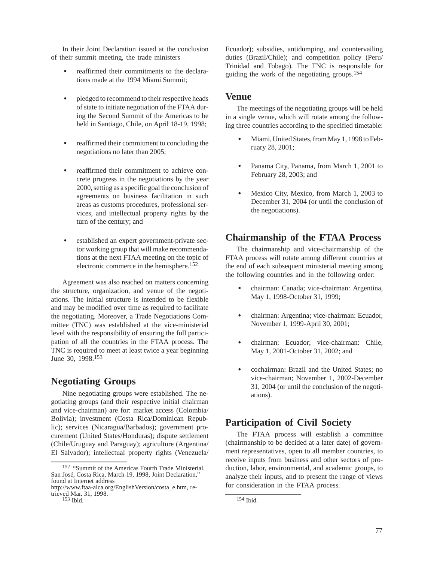In their Joint Declaration issued at the conclusion of their summit meeting, the trade ministers—

- reaffirmed their commitments to the declarations made at the 1994 Miami Summit;
- $\bullet$  pledged to recommend to their respective heads of state to initiate negotiation of the FTAA during the Second Summit of the Americas to be held in Santiago, Chile, on April 18-19, 1998;
- $\bullet$  reaffirmed their commitment to concluding the negotiations no later than 2005;
- reaffirmed their commitment to achieve concrete progress in the negotiations by the year 2000, setting as a specific goal the conclusion of agreements on business facilitation in such areas as customs procedures, professional services, and intellectual property rights by the turn of the century; and
- established an expert government-private sector working group that will make recommendations at the next FTAA meeting on the topic of electronic commerce in the hemisphere.<sup>152</sup>

Agreement was also reached on matters concerning the structure, organization, and venue of the negotiations. The initial structure is intended to be flexible and may be modified over time as required to facilitate the negotiating. Moreover, a Trade Negotiations Committee (TNC) was established at the vice-ministerial level with the responsibility of ensuring the full participation of all the countries in the FTAA process. The TNC is required to meet at least twice a year beginning June 30, 1998.153

#### **Negotiating Groups**

Nine negotiating groups were established. The negotiating groups (and their respective initial chairman and vice-chairman) are for: market access (Colombia/ Bolivia); investment (Costa Rica/Dominican Republic); services (Nicaragua/Barbados); government procurement (United States/Honduras); dispute settlement (Chile/Uruguay and Paraguay); agriculture (Argentina/ El Salvador); intellectual property rights (Venezuela/ Ecuador); subsidies, antidumping, and countervailing duties (Brazil/Chile); and competition policy (Peru/ Trinidad and Tobago). The TNC is responsible for guiding the work of the negotiating groups.154

#### **Venue**

The meetings of the negotiating groups will be held in a single venue, which will rotate among the following three countries according to the specified timetable:

- $\bullet$  Miami, United States, from May 1, 1998 to February 28, 2001;
- $\bullet$  Panama City, Panama, from March 1, 2001 to February 28, 2003; and
- $\bullet$  Mexico City, Mexico, from March 1, 2003 to December 31, 2004 (or until the conclusion of the negotiations).

#### **Chairmanship of the FTAA Process**

The chairmanship and vice-chairmanship of the FTAA process will rotate among different countries at the end of each subsequent ministerial meeting among the following countries and in the following order:

- $\bullet$  chairman: Canada; vice-chairman: Argentina, May 1, 1998-October 31, 1999;
- $\bullet$  chairman: Argentina; vice-chairman: Ecuador, November 1, 1999-April 30, 2001;
- $\bullet$  chairman: Ecuador; vice-chairman: Chile, May 1, 2001-October 31, 2002; and
- $\bullet$  cochairman: Brazil and the United States; no vice-chairman; November 1, 2002-December 31, 2004 (or until the conclusion of the negotiations).

## **Participation of Civil Society**

The FTAA process will establish a committee (chairmanship to be decided at a later date) of government representatives, open to all member countries, to receive inputs from business and other sectors of production, labor, environmental, and academic groups, to analyze their inputs, and to present the range of views for consideration in the FTAA process.

<sup>152 &</sup>quot;Summit of the Americas Fourth Trade Ministerial, San José, Costa Rica, March 19, 1998, Joint Declaration," found at Internet address

http://www.ftaa-alca.org/EnglishVersion/costa\_e.htm, retrieved Mar. 31, 1998.

<sup>153</sup> Ibid.

<sup>154</sup> Ibid.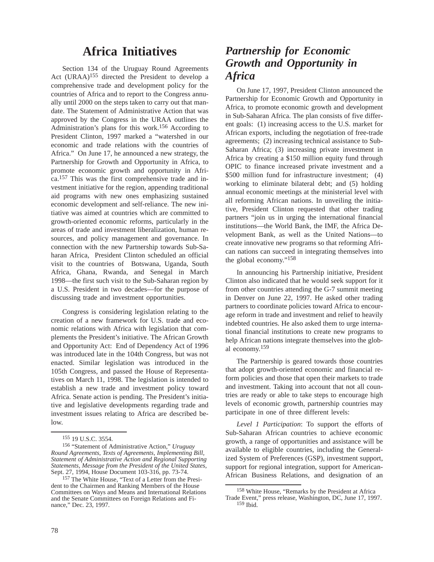## **Africa Initiatives**

Section 134 of the Uruguay Round Agreements Act (URAA)155 directed the President to develop a comprehensive trade and development policy for the countries of Africa and to report to the Congress annually until 2000 on the steps taken to carry out that mandate. The Statement of Administrative Action that was approved by the Congress in the URAA outlines the Administration's plans for this work.156 According to President Clinton, 1997 marked a "watershed in our economic and trade relations with the countries of Africa." On June 17, he announced a new strategy, the Partnership for Growth and Opportunity in Africa, to promote economic growth and opportunity in Africa.157 This was the first comprehensive trade and investment initiative for the region, appending traditional aid programs with new ones emphasizing sustained economic development and self-reliance. The new initiative was aimed at countries which are committed to growth-oriented economic reforms, particularly in the areas of trade and investment liberalization, human resources, and policy management and governance. In connection with the new Partnership towards Sub-Saharan Africa, President Clinton scheduled an official visit to the countries of Botswana, Uganda, South Africa, Ghana, Rwanda, and Senegal in March 1998—the first such visit to the Sub-Saharan region by a U.S. President in two decades—for the purpose of discussing trade and investment opportunities.

Congress is considering legislation relating to the creation of a new framework for U.S. trade and economic relations with Africa with legislation that complements the President's initiative. The African Growth and Opportunity Act: End of Dependency Act of 1996 was introduced late in the 104th Congress, but was not enacted. Similar legislation was introduced in the 105th Congress, and passed the House of Representatives on March 11, 1998. The legislation is intended to establish a new trade and investment policy toward Africa. Senate action is pending. The President's initiative and legislative developments regarding trade and investment issues relating to Africa are described below.

## *Partnership for Economic Growth and Opportunity in Africa*

On June 17, 1997, President Clinton announced the Partnership for Economic Growth and Opportunity in Africa, to promote economic growth and development in Sub-Saharan Africa. The plan consists of five different goals: (1) increasing access to the U.S. market for African exports, including the negotiation of free-trade agreements; (2) increasing technical assistance to Sub-Saharan Africa; (3) increasing private investment in Africa by creating a \$150 million equity fund through OPIC to finance increased private investment and a \$500 million fund for infrastructure investment; (4) working to eliminate bilateral debt; and (5) holding annual economic meetings at the ministerial level with all reforming African nations. In unveiling the initiative, President Clinton requested that other trading partners "join us in urging the international financial institutions—the World Bank, the IMF, the Africa Development Bank, as well as the United Nations—to create innovative new programs so that reforming African nations can succeed in integrating themselves into the global economy."158

In announcing his Partnership initiative, President Clinton also indicated that he would seek support for it from other countries attending the G-7 summit meeting in Denver on June 22, 1997. He asked other trading partners to coordinate policies toward Africa to encourage reform in trade and investment and relief to heavily indebted countries. He also asked them to urge international financial institutions to create new programs to help African nations integrate themselves into the global economy.159

The Partnership is geared towards those countries that adopt growth-oriented economic and financial reform policies and those that open their markets to trade and investment. Taking into account that not all countries are ready or able to take steps to encourage high levels of economic growth, partnership countries may participate in one of three different levels:

*Level 1 Participation*: To support the efforts of Sub-Saharan African countries to achieve economic growth, a range of opportunities and assistance will be available to eligible countries, including the Generalized System of Preferences (GSP), investment support, support for regional integration, support for American-African Business Relations, and designation of an

<sup>155 19</sup> U.S.C. 3554.

<sup>156 &</sup>quot;Statement of Administrative Action," *Uruguay Round Agreements, Texts of Agreements, Implementing Bill, Statement of Administrative Action and Regional Supporting Statements, Message from the President of the United States*, Sept. 27, 1994, House Document 103-316, pp. 73-74.

<sup>157</sup> The White House, "Text of a Letter from the President to the Chairmen and Ranking Members of the House Committees on Ways and Means and International Relations and the Senate Committees on Foreign Relations and Finance," Dec. 23, 1997.

<sup>158</sup> White House, "Remarks by the President at Africa Trade Event," press release, Washington, DC, June 17, 1997. 159 Ibid.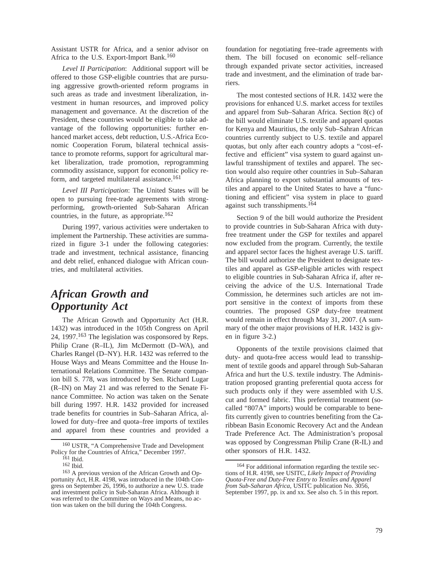Assistant USTR for Africa, and a senior advisor on Africa to the U.S. Export-Import Bank.160

*Level II Participation*: Additional support will be offered to those GSP-eligible countries that are pursuing aggressive growth-oriented reform programs in such areas as trade and investment liberalization, investment in human resources, and improved policy management and governance. At the discretion of the President, these countries would be eligible to take advantage of the following opportunities: further enhanced market access, debt reduction, U.S.-Africa Economic Cooperation Forum, bilateral technical assistance to promote reforms, support for agricultural market liberalization, trade promotion, reprogramming commodity assistance, support for economic policy reform, and targeted multilateral assistance.<sup>161</sup>

*Level III Participation*: The United States will be open to pursuing free-trade agreements with strongperforming, growth-oriented Sub-Saharan African countries, in the future, as appropriate.<sup>162</sup>

During 1997, various activities were undertaken to implement the Partnership. These activities are summarized in figure 3-1 under the following categories: trade and investment, technical assistance, financing and debt relief, enhanced dialogue with African countries, and multilateral activities.

## *African Growth and Opportunity Act*

The African Growth and Opportunity Act (H.R. 1432) was introduced in the 105th Congress on April 24, 1997.163 The legislation was cosponsored by Reps. Philip Crane (R–IL), Jim McDermott (D–WA), and Charles Rangel (D–NY). H.R. 1432 was referred to the House Ways and Means Committee and the House International Relations Committee. The Senate companion bill S. 778, was introduced by Sen. Richard Lugar (R–IN) on May 21 and was referred to the Senate Finance Committee. No action was taken on the Senate bill during 1997. H.R. 1432 provided for increased trade benefits for countries in Sub–Saharan Africa, allowed for duty–free and quota–free imports of textiles and apparel from these countries and provided a foundation for negotiating free–trade agreements with them. The bill focused on economic self–reliance through expanded private sector activities, increased trade and investment, and the elimination of trade barriers.

The most contested sections of H.R. 1432 were the provisions for enhanced U.S. market access for textiles and apparel from Sub–Saharan Africa. Section 8(c) of the bill would eliminate U.S. textile and apparel quotas for Kenya and Mauritius, the only Sub–Sahran African countries currently subject to U.S. textile and apparel quotas, but only after each country adopts a "cost–effective and efficient" visa system to guard against unlawful transshipment of textiles and apparel. The section would also require other countries in Sub–Saharan Africa planning to export substantial amounts of textiles and apparel to the United States to have a "functioning and efficient" visa system in place to guard against such transshipments.164

Section 9 of the bill would authorize the President to provide countries in Sub-Saharan Africa with dutyfree treatment under the GSP for textiles and apparel now excluded from the program. Currently, the textile and apparel sector faces the highest average U.S. tariff. The bill would authorize the President to designate textiles and apparel as GSP-eligible articles with respect to eligible countries in Sub-Saharan Africa if, after receiving the advice of the U.S. International Trade Commission, he determines such articles are not import sensitive in the context of imports from these countries. The proposed GSP duty-free treatment would remain in effect through May 31, 2007. (A summary of the other major provisions of H.R. 1432 is given in figure 3-2.)

Opponents of the textile provisions claimed that duty- and quota-free access would lead to transshipment of textile goods and apparel through Sub-Saharan Africa and hurt the U.S. textile industry. The Administration proposed granting preferential quota access for such products only if they were assembled with U.S. cut and formed fabric. This preferential treatment (socalled "807A" imports) would be comparable to benefits currently given to countries benefiting from the Caribbean Basin Economic Recovery Act and the Andean Trade Preference Act. The Administration's proposal was opposed by Congressman Philip Crane (R-IL) and other sponsors of H.R. 1432.

<sup>160</sup> USTR, "A Comprehensive Trade and Development Policy for the Countries of Africa," December 1997.

<sup>161</sup> Ibid.

<sup>162</sup> Ibid.

<sup>163</sup> A previous version of the African Growth and Opportunity  $\text{\AA}$ ct, H.R. 4198, was introduced in the 104th  $\text{Con}$ gress on September 26, 1996, to authorize a new U.S. trade and investment policy in Sub-Saharan Africa. Although it was referred to the Committee on Ways and Means, no action was taken on the bill during the 104th Congress.

<sup>164</sup> For additional information regarding the textile sections of H.R. 4198, see USITC, *Likely Impact of Providing Quota-Free and Duty-Free Entry to Textiles and Apparel from Sub-Saharan Africa*, USITC publication No. 3056, September 1997, pp. ix and xx. See also ch. 5 in this report.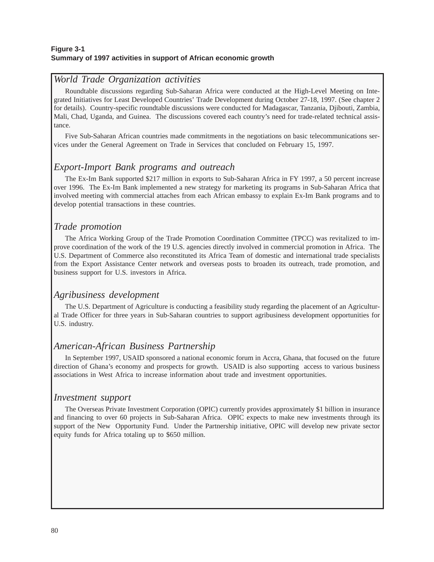#### **Figure 3-1 Summary of 1997 activities in support of African economic growth**

#### *World Trade Organization activities*

Roundtable discussions regarding Sub-Saharan Africa were conducted at the High-Level Meeting on Integrated Initiatives for Least Developed Countries' Trade Development during October 27-18, 1997. (See chapter 2 for details). Country-specific roundtable discussions were conducted for Madagascar, Tanzania, Djibouti, Zambia, Mali, Chad, Uganda, and Guinea. The discussions covered each country's need for trade-related technical assistance.

Five Sub-Saharan African countries made commitments in the negotiations on basic telecommunications services under the General Agreement on Trade in Services that concluded on February 15, 1997.

#### *Export-Import Bank programs and outreach*

The Ex-Im Bank supported \$217 million in exports to Sub-Saharan Africa in FY 1997, a 50 percent increase over 1996. The Ex-Im Bank implemented a new strategy for marketing its programs in Sub-Saharan Africa that involved meeting with commercial attaches from each African embassy to explain Ex-Im Bank programs and to develop potential transactions in these countries.

#### *Trade promotion*

The Africa Working Group of the Trade Promotion Coordination Committee (TPCC) was revitalized to improve coordination of the work of the 19 U.S. agencies directly involved in commercial promotion in Africa. The U.S. Department of Commerce also reconstituted its Africa Team of domestic and international trade specialists from the Export Assistance Center network and overseas posts to broaden its outreach, trade promotion, and business support for U.S. investors in Africa.

#### *Agribusiness development*

The U.S. Department of Agriculture is conducting a feasibility study regarding the placement of an Agricultural Trade Officer for three years in Sub-Saharan countries to support agribusiness development opportunities for U.S. industry.

#### *American-African Business Partnership*

In September 1997, USAID sponsored a national economic forum in Accra, Ghana, that focused on the future direction of Ghana's economy and prospects for growth. USAID is also supporting access to various business associations in West Africa to increase information about trade and investment opportunities.

#### *Investment support*

The Overseas Private Investment Corporation (OPIC) currently provides approximately \$1 billion in insurance and financing to over 60 projects in Sub-Saharan Africa. OPIC expects to make new investments through its support of the New Opportunity Fund. Under the Partnership initiative, OPIC will develop new private sector equity funds for Africa totaling up to \$650 million.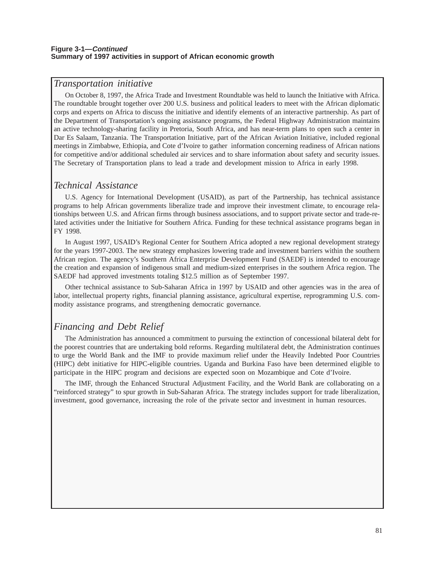#### **Figure 3-1—Continued Summary of 1997 activities in support of African economic growth**

#### *Transportation initiative*

On October 8, 1997, the Africa Trade and Investment Roundtable was held to launch the Initiative with Africa. The roundtable brought together over 200 U.S. business and political leaders to meet with the African diplomatic corps and experts on Africa to discuss the initiative and identify elements of an interactive partnership. As part of the Department of Transportation's ongoing assistance programs, the Federal Highway Administration maintains an active technology-sharing facility in Pretoria, South Africa, and has near-term plans to open such a center in Dar Es Salaam, Tanzania. The Transportation Initiative, part of the African Aviation Initiative, included regional meetings in Zimbabwe, Ethiopia, and Cote d'Ivoire to gather information concerning readiness of African nations for competitive and/or additional scheduled air services and to share information about safety and security issues. The Secretary of Transportation plans to lead a trade and development mission to Africa in early 1998.

#### *Technical Assistance*

U.S. Agency for International Development (USAID), as part of the Partnership, has technical assistance programs to help African governments liberalize trade and improve their investment climate, to encourage relationships between U.S. and African firms through business associations, and to support private sector and trade-related activities under the Initiative for Southern Africa. Funding for these technical assistance programs began in FY 1998.

In August 1997, USAID's Regional Center for Southern Africa adopted a new regional development strategy for the years 1997-2003. The new strategy emphasizes lowering trade and investment barriers within the southern African region. The agency's Southern Africa Enterprise Development Fund (SAEDF) is intended to encourage the creation and expansion of indigenous small and medium-sized enterprises in the southern Africa region. The SAEDF had approved investments totaling \$12.5 million as of September 1997.

Other technical assistance to Sub-Saharan Africa in 1997 by USAID and other agencies was in the area of labor, intellectual property rights, financial planning assistance, agricultural expertise, reprogramming U.S. commodity assistance programs, and strengthening democratic governance.

## *Financing and Debt Relief*

The Administration has announced a commitment to pursuing the extinction of concessional bilateral debt for the poorest countries that are undertaking bold reforms. Regarding multilateral debt, the Administration continues to urge the World Bank and the IMF to provide maximum relief under the Heavily Indebted Poor Countries (HIPC) debt initiative for HIPC-eligible countries. Uganda and Burkina Faso have been determined eligible to participate in the HIPC program and decisions are expected soon on Mozambique and Cote d'Ivoire.

The IMF, through the Enhanced Structural Adjustment Facility, and the World Bank are collaborating on a "reinforced strategy" to spur growth in Sub-Saharan Africa. The strategy includes support for trade liberalization, investment, good governance, increasing the role of the private sector and investment in human resources.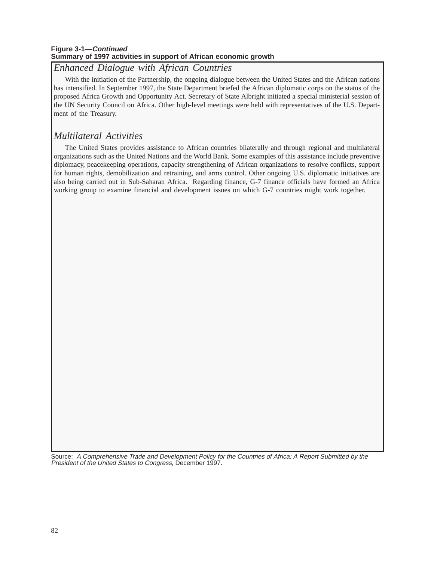#### **Figure 3-1—Continued Summary of 1997 activities in support of African economic growth**

*Enhanced Dialogue with African Countries*

With the initiation of the Partnership, the ongoing dialogue between the United States and the African nations has intensified. In September 1997, the State Department briefed the African diplomatic corps on the status of the proposed Africa Growth and Opportunity Act. Secretary of State Albright initiated a special ministerial session of the UN Security Council on Africa. Other high-level meetings were held with representatives of the U.S. Department of the Treasury.

## *Multilateral Activities*

The United States provides assistance to African countries bilaterally and through regional and multilateral organizations such as the United Nations and the World Bank. Some examples of this assistance include preventive diplomacy, peacekeeping operations, capacity strengthening of African organizations to resolve conflicts, support for human rights, demobilization and retraining, and arms control. Other ongoing U.S. diplomatic initiatives are also being carried out in Sub-Saharan Africa. Regarding finance, G-7 finance officials have formed an Africa working group to examine financial and development issues on which G-7 countries might work together.

Source: A Comprehensive Trade and Development Policy for the Countries of Africa: A Report Submitted by the President of the United States to Congress, December 1997.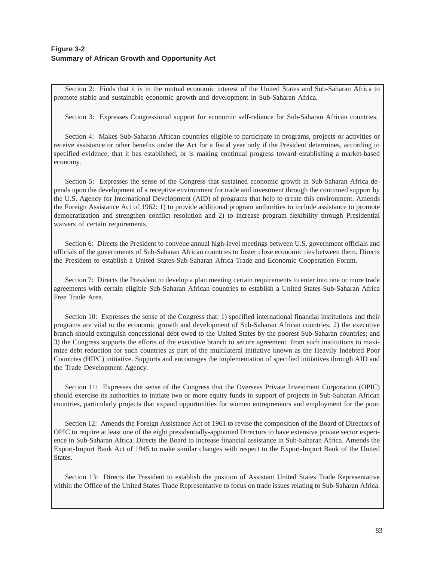Section 2: Finds that it is in the mutual economic interest of the United States and Sub-Saharan Africa to promote stable and sustainable economic growth and development in Sub-Saharan Africa.

Section 3: Expresses Congressional support for economic self-reliance for Sub-Saharan African countries.

Section 4: Makes Sub-Saharan African countries eligible to participate in programs, projects or activities or receive assistance or other benefits under the Act for a fiscal year only if the President determines, according to specified evidence, that it has established, or is making continual progress toward establishing a market-based economy.

Section 5: Expresses the sense of the Congress that sustained economic growth in Sub-Saharan Africa depends upon the development of a receptive environment for trade and investment through the continued support by the U.S. Agency for International Development (AID) of programs that help to create this environment. Amends the Foreign Assistance Act of 1962: 1) to provide additional program authorities to include assistance to promote democratization and strengthen conflict resolution and 2) to increase program flexibility through Presidential waivers of certain requirements.

Section 6: Directs the President to convene annual high-level meetings between U.S. government officials and officials of the governments of Sub-Saharan African countries to foster close economic ties between them. Directs the President to establish a United States-Sub-Saharan Africa Trade and Economic Cooperation Forum.

Section 7: Directs the President to develop a plan meeting certain requirements to enter into one or more trade agreements with certain eligible Sub-Saharan African countries to establish a United States-Sub-Saharan Africa Free Trade Area.

Section 10: Expresses the sense of the Congress that: 1) specified international financial institutions and their programs are vital to the economic growth and development of Sub-Saharan African countries; 2) the executive branch should extinguish concessional debt owed to the United States by the poorest Sub-Saharan countries; and 3) the Congress supports the efforts of the executive branch to secure agreement from such institutions to maximize debt reduction for such countries as part of the multilateral initiative known as the Heavily Indebted Poor Countries (HIPC) initiative. Supports and encourages the implementation of specified initiatives through AID and the Trade Development Agency.

Section 11: Expresses the sense of the Congress that the Overseas Private Investment Corporation (OPIC) should exercise its authorities to initiate two or more equity funds in support of projects in Sub-Saharan African countries, particularly projects that expand opportunities for women entrepreneurs and employment for the poor.

Section 12: Amends the Foreign Assistance Act of 1961 to revise the composition of the Board of Directors of OPIC to require at least one of the eight presidentially-appointed Directors to have extensive private sector experience in Sub-Saharan Africa. Directs the Board to increase financial assistance in Sub-Saharan Africa. Amends the Export-Import Bank Act of 1945 to make similar changes with respect to the Export-Import Bank of the United States.

Section 13: Directs the President to establish the position of Assistant United States Trade Representative within the Office of the United States Trade Representative to focus on trade issues relating to Sub-Saharan Africa.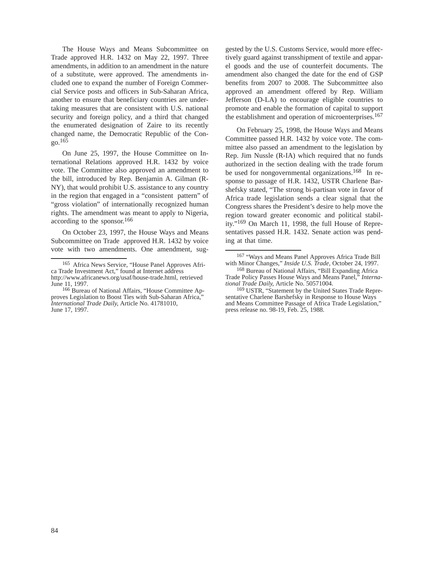The House Ways and Means Subcommittee on Trade approved H.R. 1432 on May 22, 1997. Three amendments, in addition to an amendment in the nature of a substitute, were approved. The amendments included one to expand the number of Foreign Commercial Service posts and officers in Sub-Saharan Africa, another to ensure that beneficiary countries are undertaking measures that are consistent with U.S. national security and foreign policy, and a third that changed the enumerated designation of Zaire to its recently changed name, the Democratic Republic of the Congo.165

On June 25, 1997, the House Committee on International Relations approved H.R. 1432 by voice vote. The Committee also approved an amendment to the bill, introduced by Rep. Benjamin A. Gilman (R-NY), that would prohibit U.S. assistance to any country in the region that engaged in a "consistent pattern" of "gross violation" of internationally recognized human rights. The amendment was meant to apply to Nigeria, according to the sponsor.166

On October 23, 1997, the House Ways and Means Subcommittee on Trade approved H.R. 1432 by voice vote with two amendments. One amendment, sug-

gested by the U.S. Customs Service, would more effectively guard against transshipment of textile and apparel goods and the use of counterfeit documents. The amendment also changed the date for the end of GSP benefits from 2007 to 2008. The Subcommittee also approved an amendment offered by Rep. William Jefferson (D-LA) to encourage eligible countries to promote and enable the formation of capital to support the establishment and operation of microenterprises.<sup>167</sup>

On February 25, 1998, the House Ways and Means Committee passed H.R. 1432 by voice vote. The committee also passed an amendment to the legislation by Rep. Jim Nussle (R-IA) which required that no funds authorized in the section dealing with the trade forum be used for nongovernmental organizations.<sup>168</sup> In response to passage of H.R. 1432, USTR Charlene Barshefsky stated, "The strong bi-partisan vote in favor of Africa trade legislation sends a clear signal that the Congress shares the President's desire to help move the region toward greater economic and political stability."169 On March 11, 1998, the full House of Representatives passed H.R. 1432. Senate action was pending at that time.

<sup>165</sup> Africa News Service, "House Panel Approves Africa Trade Investment Act," found at Internet address http://www.africanews.org/usaf/house-trade.html, retrieved June 11, 1997.

<sup>166</sup> Bureau of National Affairs, "House Committee Approves Legislation to Boost Ties with Sub-Saharan Africa, *International Trade Daily*, Article No. 41781010, June 17, 1997.

<sup>167 &</sup>quot;Ways and Means Panel Approves Africa Trade Bill with Minor Changes," *Inside U.S. Trade*, October 24, 1997.

<sup>168</sup> Bureau of National Affairs, "Bill Expanding Africa Trade Policy Passes House Ways and Means Panel," *International Trade Daily*, Article No. 50571004.

<sup>169</sup> USTR, "Statement by the United States Trade Representative Charlene Barshefsky in Response to House Ways and Means Committee Passage of Africa Trade Legislation," press release no. 98-19, Feb. 25, 1988.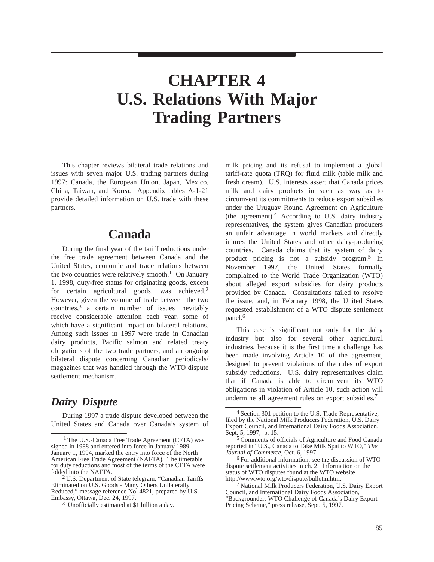# **CHAPTER 4 U.S. Relations With Major Trading Partners**

This chapter reviews bilateral trade relations and issues with seven major U.S. trading partners during 1997: Canada, the European Union, Japan, Mexico, China, Taiwan, and Korea. Appendix tables A-1-21 provide detailed information on U.S. trade with these partners.

## **Canada**

During the final year of the tariff reductions under the free trade agreement between Canada and the United States, economic and trade relations between the two countries were relatively smooth.<sup>1</sup> On January 1, 1998, duty-free status for originating goods, except for certain agricultural goods, was achieved.<sup>2</sup> However, given the volume of trade between the two countries, $3$  a certain number of issues inevitably receive considerable attention each year, some of which have a significant impact on bilateral relations. Among such issues in 1997 were trade in Canadian dairy products, Pacific salmon and related treaty obligations of the two trade partners, and an ongoing bilateral dispute concerning Canadian periodicals/ magazines that was handled through the WTO dispute settlement mechanism.

## *Dairy Dispute*

During 1997 a trade dispute developed between the United States and Canada over Canada's system of milk pricing and its refusal to implement a global tariff-rate quota (TRQ) for fluid milk (table milk and fresh cream). U.S. interests assert that Canada prices milk and dairy products in such as way as to circumvent its commitments to reduce export subsidies under the Uruguay Round Agreement on Agriculture (the agreement). $4$  According to U.S. dairy industry representatives, the system gives Canadian producers an unfair advantage in world markets and directly injures the United States and other dairy-producing countries. Canada claims that its system of dairy product pricing is not a subsidy program.5 In November 1997, the United States formally complained to the World Trade Organization (WTO) about alleged export subsidies for dairy products provided by Canada. Consultations failed to resolve the issue; and, in February 1998, the United States requested establishment of a WTO dispute settlement panel.<sup>6</sup>

This case is significant not only for the dairy industry but also for several other agricultural industries, because it is the first time a challenge has been made involving Article 10 of the agreement, designed to prevent violations of the rules of export subsidy reductions. U.S. dairy representatives claim that if Canada is able to circumvent its WTO obligations in violation of Article 10, such action will undermine all agreement rules on export subsidies.<sup>7</sup>

<sup>&</sup>lt;sup>1</sup> The U.S.-Canada Free Trade Agreement (CFTA) was signed in 1988 and entered into force in January 1989. January 1, 1994, marked the entry into force of the North American Free Trade Agreement (NAFTA). The timetable for duty reductions and most of the terms of the CFTA were folded into the NAFTA.

<sup>2</sup> U.S. Department of State telegram, "Canadian Tariffs Eliminated on U.S. Goods - Many Others Unilaterally Reduced," message reference No. 4821, prepared by U.S. Embassy, Ottawa, Dec. 24, 1997.

<sup>3</sup> Unofficially estimated at \$1 billion a day.

<sup>4</sup> Section 301 petition to the U.S. Trade Representative, filed by the National Milk Producers Federation, U.S. Dairy Export Council, and International Dairy Foods Association, Sept. 5, 1997, p. 15.

<sup>5</sup> Comments of officials of Agriculture and Food Canada reported in "U.S., Canada to Take Milk Spat to WTO," *The Journal of Commerce*, Oct. 6, 1997.

<sup>6</sup> For additional information, see the discussion of WTO dispute settlement activities in ch. 2. Information on the status of WTO disputes found at the WTO website http://www.wto.org/wto/dispute/bulletin.htm.

<sup>7</sup> National Milk Producers Federation, U.S. Dairy Export Council, and International Dairy Foods Association, "Backgrounder: WTO Challenge of Canada's Dairy Export Pricing Scheme," press release, Sept. 5, 1997.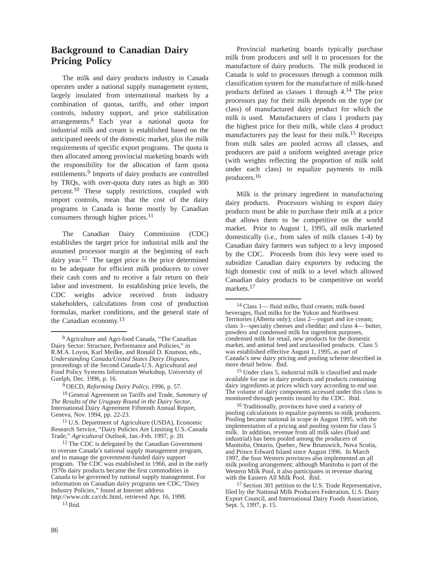#### **Background to Canadian Dairy Pricing Policy**

The milk and dairy products industry in Canada operates under a national supply management system, largely insulated from international markets by a combination of quotas, tariffs, and other import controls, industry support, and price stabilization arrangements.8 Each year a national quota for industrial milk and cream is established based on the anticipated needs of the domestic market, plus the milk requirements of specific export programs. The quota is then allocated among provincial marketing boards with the responsibility for the allocation of farm quota entitlements.9 Imports of dairy products are controlled by TRQs, with over-quota duty rates as high as 300 percent.10 These supply restrictions, coupled with import controls, mean that the cost of the dairy programs in Canada is borne mostly by Canadian consumers through higher prices.<sup>11</sup>

The Canadian Dairy Commission (CDC) establishes the target price for industrial milk and the assumed processor margin at the beginning of each dairy year.<sup>12</sup> The target price is the price determined to be adequate for efficient milk producers to cover their cash costs and to receive a fair return on their labor and investment. In establishing price levels, the CDC weighs advice received from industry stakeholders, calculations from cost of production formulas, market conditions, and the general state of the Canadian economy.13

<sup>11</sup> U.S. Department of Agriculture (USDA), Economic Research Service, "Dairy Policies Are Limiting U.S.-Canada Trade," *Agricultural Outlook*, Jan.-Feb. 1997, p. 20.

<sup>12</sup> The CDC is delegated by the Canadian Government to oversee Canada's national supply management program, and to manage the government-funded dairy support program. The CDC was established in 1966, and in the early 1970s dairy products became the first commodities in Canada to be governed by national supply management. For information on Canadian dairy programs see CDC,"Dairy Industry Policies," found at Internet address http://www.cdc.ca/cdc.html, retrieved Apr. 16, 1998.

Provincial marketing boards typically purchase milk from producers and sell it to processors for the manufacture of dairy products. The milk produced in Canada is sold to processors through a common milk classification system for the manufacture of milk-based products defined as classes 1 through 4.14 The price processors pay for their milk depends on the type (or class) of manufactured dairy product for which the milk is used. Manufacturers of class 1 products pay the highest price for their milk, while class 4 product manufacturers pay the least for their milk.15 Receipts from milk sales are pooled across all classes, and producers are paid a uniform weighted average price (with weights reflecting the proportion of milk sold under each class) to equalize payments to milk producers.16

Milk is the primary ingredient in manufacturing dairy products. Processors wishing to export dairy products must be able to purchase their milk at a price that allows them to be competitive on the world market. Prior to August 1, 1995, all milk marketed domestically (i.e., from sales of milk classes 1-4) by Canadian dairy farmers was subject to a levy imposed by the CDC. Proceeds from this levy were used to subsidize Canadian dairy exporters by reducing the high domestic cost of milk to a level which allowed Canadian dairy products to be competitive on world markets.17

<sup>8</sup> Agriculture and Agri-food Canada, "The Canadian Dairy Sector: Structure, Performance and Policies," in R.M.A. Loyns, Karl Meilke, and Ronald D. Knutson, eds., *Understanding Canada/United States Dairy Disputes*, proceedings of the Second Canada-U.S. Agricultural and Food Policy Systems Information Workshop, University of Guelph, Dec. 1996, p. 16.

<sup>9</sup> OECD, *Reforming Dairy Policy*, 1996, p. 57.

<sup>10</sup> General Agreement on Tariffs and Trade, *Summary of The Results of the Uruguay Round in the Dairy Sector*, International Dairy Agreement Fifteenth Annual Report, Geneva, Nov. 1994, pp. 22-23.

<sup>13</sup> Ibid.

<sup>14</sup> Class 1— fluid milks, fluid creams, milk-based beverages, fluid milks for the Yukon and Northwest Territories (Alberta only); class 2—yogurt and ice cream; class 3—specialty cheeses and cheddar; and class 4— butter, powders and condensed milk for ingredient purposes, condensed milk for retail, new products for the domestic market, and animal feed and unclassified products. Class 5 was established effective August 1, 1995, as part of Canada's new dairy pricing and pooling scheme described in more detail below. Ibid.

<sup>15</sup> Under class 5, industrial milk is classified and made available for use in dairy products and products containing dairy ingredients at prices which vary according to end use. The volume of dairy components accessed under this class is monitored through permits issued by the CDC. Ibid.

<sup>16</sup> Traditionally, provinces have used a variety of pooling calculations to equalize payments to milk producers. Pooling became national in scope in August 1995, with the implementation of a pricing and pooling system for class 5 milk. In addition, revenue from all milk sales (fluid and industrial) has been pooled among the producers of Manitoba, Ontario, Quebec, New Brunswick, Nova Scotia, and Prince Edward Island since August 1996. In March 1997, the four Western provinces also implemented an all milk pooling arrangement; although Manitoba is part of the Western Milk Pool, it also participates in revenue sharing with the Eastern All Milk Pool. Ibid.

<sup>&</sup>lt;sup>17</sup> Section 301 petition to the U.S. Trade Representative, filed by the National Milk Producers Federation, U.S. Dairy Export Council, and International Dairy Foods Association, Sept. 5, 1997, p. 15.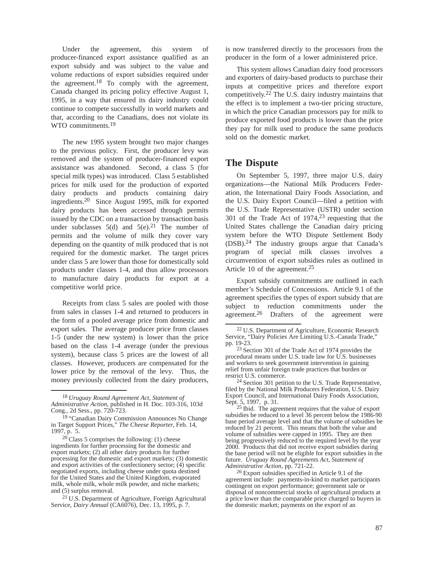Under the agreement, this system of producer-financed export assistance qualified as an export subsidy and was subject to the value and volume reductions of export subsidies required under the agreement.<sup>18</sup> To comply with the agreement, Canada changed its pricing policy effective August 1, 1995, in a way that ensured its dairy industry could continue to compete successfully in world markets and that, according to the Canadians, does not violate its WTO commitments.<sup>19</sup>

The new 1995 system brought two major changes to the previous policy. First, the producer levy was removed and the system of producer-financed export assistance was abandoned. Second, a class 5 (for special milk types) was introduced. Class 5 established prices for milk used for the production of exported dairy products and products containing dairy ingredients.20 Since August 1995, milk for exported dairy products has been accessed through permits issued by the CDC on a transaction by transaction basis under subclasses  $5(d)$  and  $5(e).^{21}$  The number of permits and the volume of milk they cover vary depending on the quantity of milk produced that is not required for the domestic market. The target prices under class 5 are lower than those for domestically sold products under classes 1-4, and thus allow processors to manufacture dairy products for export at a competitive world price.

Receipts from class 5 sales are pooled with those from sales in classes 1-4 and returned to producers in the form of a pooled average price from domestic and export sales. The average producer price from classes 1-5 (under the new system) is lower than the price based on the class 1-4 average (under the previous system), because class 5 prices are the lowest of all classes. However, producers are compensated for the lower price by the removal of the levy. Thus, the money previously collected from the dairy producers,

is now transferred directly to the processors from the producer in the form of a lower administered price.

This system allows Canadian dairy food processors and exporters of dairy-based products to purchase their inputs at competitive prices and therefore export competitively.<sup>22</sup> The U.S. dairy industry maintains that the effect is to implement a two-tier pricing structure, in which the price Canadian processors pay for milk to produce exported food products is lower than the price they pay for milk used to produce the same products sold on the domestic market.

#### **The Dispute**

On September 5, 1997, three major U.S. dairy organizations—the National Milk Producers Federation, the International Dairy Foods Association, and the U.S. Dairy Export Council—filed a petition with the U.S. Trade Representative (USTR) under section 301 of the Trade Act of  $1974<sup>23</sup>$  requesting that the United States challenge the Canadian dairy pricing system before the WTO Dispute Settlement Body (DSB).24 The industry groups argue that Canada's program of special milk classes involves a circumvention of export subsidies rules as outlined in Article 10 of the agreement.<sup>25</sup>

Export subsidy commitments are outlined in each member's Schedule of Concessions. Article 9.1 of the agreement specifies the types of export subsidy that are subject to reduction commitments under the agreement.<sup>26</sup> Drafters of the agreement were

<sup>18</sup> *Uruguay Round Agreement Act, Statement of Administrative Action*, published in H. Doc. 103-316, 103d Cong., 2d Sess., pp. 720-723.

<sup>19</sup> "Canadian Dairy Commission Announces No Change in Target Support Prices," *The Cheese Reporter*, Feb. 14, 1997, p. 5.

 $20$  Class 5 comprises the following: (1) cheese ingredients for further processing for the domestic and export markets; (2) all other dairy products for further processing for the domestic and export markets; (3) domestic and export activities of the confectionery sector; (4) specific negotiated exports, including cheese under quota destined for the United States and the United Kingdom, evaporated milk, whole milk, whole milk powder, and niche markets; and (5) surplus removal.

<sup>21</sup> U.S. Department of Agriculture, Foreign Agricultural Service, *Dairy Annual* (CA6076), Dec. 13, 1995, p. 7.

<sup>22</sup> U.S. Department of Agriculture, Economic Research Service, "Dairy Policies Are Limiting U.S.-Canada Trade," pp. 19-23.

<sup>&</sup>lt;sup>23</sup> Section 301 of the Trade Act of 1974 provides the procedural means under U.S. trade law for U.S. businesses and workers to seek government intervention in gaining relief from unfair foreign trade practices that burden or restrict U.S. commerce.

<sup>&</sup>lt;sup>24</sup> Section 301 petition to the U.S. Trade Representative, filed by the National Milk Producers Federation, U.S. Dairy Export Council, and International Dairy Foods Association, Sept. 5, 1997, p. 31.

<sup>&</sup>lt;sup>25</sup> Ibid. The agreement requires that the value of export subsidies be reduced to a level 36 percent below the 1986-90 base period average level and that the volume of subsidies be reduced by 21 percent. This means that both the value and volume of subsidies were capped in 1995. They are then being progressively reduced to the required level by the year 2000. Products that did not receive export subsidies during the base period will not be eligible for export subsidies in the future. *Uruguay Round Agreements Act, Statement of Administrative Action*, pp. 721-22.

<sup>26</sup> Export subsidies specified in Article 9.1 of the agreement include: payments-in-kind to market participants contingent on export performance; government sale or disposal of noncommercial stocks of agricultural products at a price lower than the comparable price charged to buyers in the domestic market; payments on the export of an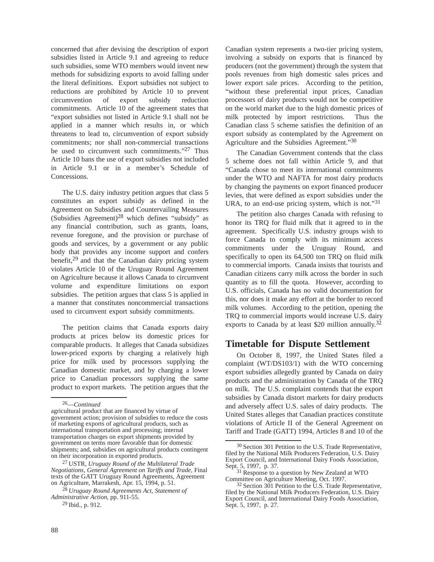concerned that after devising the description of export subsidies listed in Article 9.1 and agreeing to reduce such subsidies, some WTO members would invent new methods for subsidizing exports to avoid falling under the literal definitions. Export subsidies not subject to reductions are prohibited by Article 10 to prevent circumvention of export subsidy reduction commitments. Article 10 of the agreement states that "export subsidies not listed in Article 9.1 shall not be applied in a manner which results in, or which threatens to lead to, circumvention of export subsidy commitments; nor shall non-commercial transactions be used to circumvent such commitments."<sup>27</sup> Thus Article 10 bans the use of export subsidies not included in Article 9.1 or in a member's Schedule of Concessions.

The U.S. dairy industry petition argues that class 5 constitutes an export subsidy as defined in the Agreement on Subsidies and Countervailing Measures (Subsidies Agreement)<sup>28</sup> which defines "subsidy" as any financial contribution, such as grants, loans, revenue foregone, and the provision or purchase of goods and services, by a government or any public body that provides any income support and confers benefit,29 and that the Canadian dairy pricing system violates Article 10 of the Uruguay Round Agreement on Agriculture because it allows Canada to circumvent volume and expenditure limitations on export subsidies. The petition argues that class 5 is applied in a manner that constitutes noncommercial transactions used to circumvent export subsidy commitments.

The petition claims that Canada exports dairy products at prices below its domestic prices for comparable products. It alleges that Canada subsidizes lower-priced exports by charging a relatively high price for milk used by processors supplying the Canadian domestic market, and by charging a lower price to Canadian processors supplying the same product to export markets. The petition argues that the

26—*Continued*

Canadian system represents a two-tier pricing system, involving a subsidy on exports that is financed by producers (not the government) through the system that pools revenues from high domestic sales prices and lower export sale prices. According to the petition, "without these preferential input prices, Canadian processors of dairy products would not be competitive on the world market due to the high domestic prices of milk protected by import restrictions. Thus the Canadian class 5 scheme satisfies the definition of an export subsidy as contemplated by the Agreement on Agriculture and the Subsidies Agreement."<sup>30</sup>

The Canadian Government contends that the class 5 scheme does not fall within Article 9, and that "Canada chose to meet its international commitments under the WTO and NAFTA for most dairy products by changing the payments on export financed producer levies, that were defined as export subsidies under the URA, to an end-use pricing system, which is not."<sup>31</sup>

The petition also charges Canada with refusing to honor its TRQ for fluid milk that it agreed to in the agreement. Specifically U.S. industry groups wish to force Canada to comply with its minimum access commitments under the Uruguay Round, and specifically to open its 64,500 ton TRQ on fluid milk to commercial imports. Canada insists that tourists and Canadian citizens carry milk across the border in such quantity as to fill the quota. However, according to U.S. officials, Canada has no valid documentation for this, nor does it make any effort at the border to record milk volumes. According to the petition, opening the TRQ to commercial imports would increase U.S. dairy exports to Canada by at least \$20 million annually.32

#### **Timetable for Dispute Settlement**

On October 8, 1997, the United States filed a complaint (WT/DS103/1) with the WTO concerning export subsidies allegedly granted by Canada on dairy products and the administration by Canada of the TRQ on milk. The U.S. complaint contends that the export subsidies by Canada distort markets for dairy products and adversely affect U.S. sales of dairy products. The United States alleges that Canadian practices constitute violations of Article II of the General Agreement on Tariff and Trade (GATT) 1994, Articles 8 and 10 of the

agricultural product that are financed by virtue of government action; provision of subsidies to reduce the costs of marketing exports of agricultural products, such as international transportation and processing; internal transportation charges on export shipments provided by government on terms more favorable than for domestic shipments; and, subsidies on agricultural products contingent on their incorporation in exported products.

<sup>27</sup> USTR, *Uruguay Round of the Multilateral Trade Negotiations, General Agreement on Tariffs and Trade,* Final texts of the GATT Uruguay Round Agreements, Agreement on Agriculture, Marrakesh, Apr. 15, 1994, p. 51.

<sup>28</sup> *Uruguay Round Agreements Act, Statement of Administrative Action*, pp. 911-55.

<sup>29</sup> Ibid., p. 912.

<sup>30</sup> Section 301 Petition to the U.S. Trade Representative, filed by the National Milk Producers Federation, U.S. Dairy Export Council, and International Dairy Foods Association,

 $31$  Response to a question by New Zealand at WTO Committee on Agriculture Meeting, Oct. 1997.

 $32$  Section 301 Petition to the U.S. Trade Representative, filed by the National Milk Producers Federation, U.S. Dairy Export Council, and International Dairy Foods Association, Sept. 5, 1997, p. 27.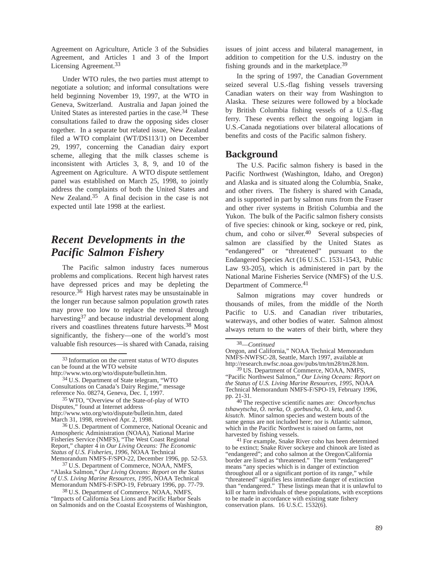Agreement on Agriculture, Article 3 of the Subsidies Agreement, and Articles 1 and 3 of the Import Licensing Agreement.<sup>33</sup>

Under WTO rules, the two parties must attempt to negotiate a solution; and informal consultations were held beginning November 19, 1997, at the WTO in Geneva, Switzerland. Australia and Japan joined the United States as interested parties in the case. $34$  These consultations failed to draw the opposing sides closer together. In a separate but related issue, New Zealand filed a WTO complaint (WT/DS113/1) on December 29, 1997, concerning the Canadian dairy export scheme, alleging that the milk classes scheme is inconsistent with Articles 3, 8, 9, and 10 of the Agreement on Agriculture. A WTO dispute settlement panel was established on March 25, 1998, to jointly address the complaints of both the United States and New Zealand. $35$  A final decision in the case is not expected until late 1998 at the earliest.

## *Recent Developments in the Pacific Salmon Fishery*

The Pacific salmon industry faces numerous problems and complications. Recent high harvest rates have depressed prices and may be depleting the resource.36 High harvest rates may be unsustainable in the longer run because salmon population growth rates may prove too low to replace the removal through harvesting<sup>37</sup> and because industrial development along rivers and coastlines threatens future harvests.38 Most significantly, the fishery—one of the world's most valuable fish resources—is shared with Canada, raising

issues of joint access and bilateral management, in addition to competition for the U.S. industry on the fishing grounds and in the marketplace.39

In the spring of 1997, the Canadian Government seized several U.S.-flag fishing vessels traversing Canadian waters on their way from Washington to Alaska. These seizures were followed by a blockade by British Columbia fishing vessels of a U.S.-flag ferry. These events reflect the ongoing logjam in U.S.-Canada negotiations over bilateral allocations of benefits and costs of the Pacific salmon fishery.

#### **Background**

The U.S. Pacific salmon fishery is based in the Pacific Northwest (Washington, Idaho, and Oregon) and Alaska and is situated along the Columbia, Snake, and other rivers. The fishery is shared with Canada, and is supported in part by salmon runs from the Fraser and other river systems in British Columbia and the Yukon. The bulk of the Pacific salmon fishery consists of five species: chinook or king*,* sockeye or red*,* pink*,* chum*,* and coho or silver.40Several subspecies of salmon are classified by the United States as "endangered" or "threatened" pursuant to the Endangered Species Act (16 U.S.C. 1531-1543, Public Law 93-205), which is administered in part by the National Marine Fisheries Service (NMFS) of the U.S. Department of Commerce.<sup>41</sup>

Salmon migrations may cover hundreds or thousands of miles, from the middle of the North Pacific to U.S. and Canadian river tributaries, waterways, and other bodies of water. Salmon almost always return to the waters of their birth, where they

pp. 21-31. <sup>40</sup> The respective scientific names are: *Oncorhynchus tshawytscha*, *O. nerka*, *O. gorbuscha*, *O. keta*, and *O. kisutch*. Minor salmon species and western bouts of the same genus are not included here; nor is Atlantic salmon, which in the Pacific Northwest is raised on farms, not harvested by fishing vessels.

<sup>41</sup> For example, Snake River coho has been determined to be extinct; Snake River sockeye and chinook are listed as "endangered"; and coho salmon at the Oregon/California border are listed as "threatened." The term "endangered" means "any species which is in danger of extinction throughout all or a significant portion of its range," while "threatened" signifies less immediate danger of extinction than "endangered." These listings mean that it is unlawful to kill or harm individuals of these populations, with exceptions to be made in accordance with existing state fishery conservation plans. 16 U.S.C. 1532(6).

<sup>33</sup> Information on the current status of WTO disputes can be found at the WTO website

http://www.wto.org/wto/dispute/bulletin.htm.

<sup>34</sup> U.S. Department of State telegram, "WTO Consultations on Canada's Dairy Regime," message reference No. 08274, Geneva, Dec. 1, 1997.

<sup>35</sup> WTO, "Overview of the State-of-play of WTO Disputes," found at Internet address http://www.wto.org/wto/dispute/bulletin.htm, dated

March 31, 1998, retreived Apr. 2, 1998.

<sup>36</sup> U.S. Department of Commerce, National Oceanic and Atmospheric Administration (NOAA), National Marine Fisheries Service (NMFS), "The West Coast Regional Report," chapter 4 in *Our Living Oceans: The Economic Status of U.S. Fisheries, 1996*, NOAA Technical Memorandum NMFS-F/SPO-22, December 1996, pp. 52-53.

<sup>37</sup> U.S. Department of Commerce, NOAA, NMFS, "Alaska Salmon," *Our Living Oceans: Report on the Status of U.S. Living Marine Resources, 1995*, NOAA Technical Memorandum NMFS-F/SPO-19, February 1996, pp. 77-79.

<sup>38</sup> U.S. Department of Commerce, NOAA, NMFS, "Impacts of California Sea Lions and Pacific Harbor Seals on Salmonids and on the Coastal Ecosystems of Washington,

<sup>38—</sup>*Continued*

Oregon, and California," NOAA Technical Memorandum NMFS-NWFSC-28, Seattle, March 1997, available at http://research.nwfsc.noaa.gov/pubs/tm/tm28/tm28.htm. <sup>39</sup> US. Department of Commerce, NOAA, NMFS,

<sup>&</sup>quot;Pacific Northwest Salmon," *Our Living Oceans: Report on the Status of U.S. Living Marine Resources, 1995*, NOAA Technical Memorandum NMFS-F/SPO-19, February 1996,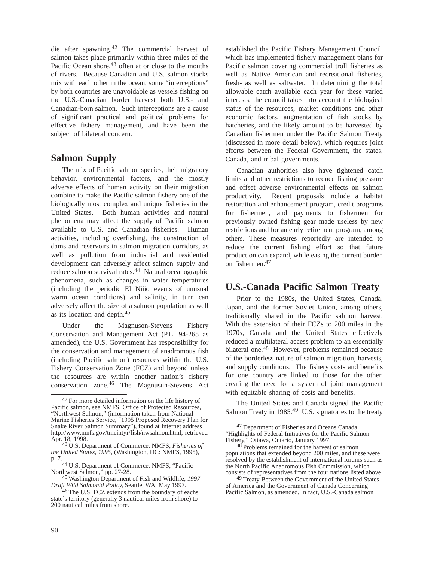die after spawning.42 The commercial harvest of salmon takes place primarily within three miles of the Pacific Ocean shore, <sup>43</sup> often at or close to the mouths of rivers. Because Canadian and U.S. salmon stocks mix with each other in the ocean, some "interceptions" by both countries are unavoidable as vessels fishing on the U.S.-Canadian border harvest both U.S.- and Canadian-born salmon. Such interceptions are a cause of significant practical and political problems for effective fishery management, and have been the subject of bilateral concern.

#### **Salmon Supply**

The mix of Pacific salmon species, their migratory behavior, environmental factors, and the mostly adverse effects of human activity on their migration combine to make the Pacific salmon fishery one of the biologically most complex and unique fisheries in the United States. Both human activities and natural phenomena may affect the supply of Pacific salmon available to U.S. and Canadian fisheries. Human activities, including overfishing, the construction of dams and reservoirs in salmon migration corridors, as well as pollution from industrial and residential development can adversely affect salmon supply and reduce salmon survival rates.44 Natural oceanographic phenomena, such as changes in water temperatures (including the periodic El Niño events of unusual warm ocean conditions) and salinity, in turn can adversely affect the size of a salmon population as well as its location and depth.45

Under the Magnuson-Stevens Fishery Conservation and Management Act (P.L. 94-265 as amended), the U.S. Government has responsibility for the conservation and management of anadromous fish (including Pacific salmon) resources within the U.S. Fishery Conservation Zone (FCZ) and beyond unless the resources are within another nation's fishery conservation zone.46 The Magnusun-Stevens Act established the Pacific Fishery Management Council, which has implemented fishery management plans for Pacific salmon covering commercial troll fisheries as well as Native American and recreational fisheries, fresh- as well as saltwater. In determining the total allowable catch available each year for these varied interests, the council takes into account the biological status of the resources, market conditions and other economic factors, augmentation of fish stocks by hatcheries, and the likely amount to be harvested by Canadian fishermen under the Pacific Salmon Treaty (discussed in more detail below), which requires joint efforts between the Federal Government, the states, Canada, and tribal governments.

Canadian authorities also have tightened catch limits and other restrictions to reduce fishing pressure and offset adverse environmental effects on salmon productivity. Recent proposals include a habitat restoration and enhancement program, credit programs for fishermen, and payments to fishermen for previously owned fishing gear made useless by new restrictions and for an early retirement program, among others. These measures reportedly are intended to reduce the current fishing effort so that future production can expand, while easing the current burden on fishermen.47

#### **U.S.-Canada Pacific Salmon Treaty**

Prior to the 1980s, the United States, Canada, Japan, and the former Soviet Union, among others, traditionally shared in the Pacific salmon harvest. With the extension of their FCZs to 200 miles in the 1970s, Canada and the United States effectively reduced a multilateral access problem to an essentially bilateral one.<sup>48</sup> However, problems remained because of the borderless nature of salmon migration, harvests, and supply conditions. The fishery costs and benefits for one country are linked to those for the other, creating the need for a system of joint management with equitable sharing of costs and benefits.

The United States and Canada signed the Pacific Salmon Treaty in  $1985<sup>49</sup>$  U.S. signatories to the treaty

<sup>42</sup> For more detailed information on the life history of Pacific salmon, see NMFS, Office of Protected Resources, "Northwest Salmon," (information taken from National Marine Fisheries Service, "1995 Proposed Recovery Plan for Snake River Salmon Summary"), found at Internet address http://www.nmfs.gov/tmcintyr/fish/nwsalmon.html, retrieved Apr. 18, 1998.

<sup>43</sup> U.S. Department of Commerce, NMFS, *Fisheries of the United States, 1995*, (Washington, DC: NMFS, 1995), p. 7.

<sup>44</sup> U.S. Department of Commerce, NMFS, "Pacific Northwest Salmon," pp. 27-28.

<sup>45</sup> Washington Department of Fish and Wildlife, *1997 Draft Wild Salmonid Policy*, Seattle, WA, May 1997.

<sup>46</sup> The U.S. FCZ extends from the boundary of eachs state's territory (generally 3 nautical miles from shore) to 200 nautical miles from shore.

<sup>47</sup> Department of Fisheries and Oceans Canada, "Highlights of Federal Initiatives for the Pacific Salmon Fishery," Ottawa, Ontario, January 1997.

<sup>48</sup> Problems remained for the harvest of salmon populations that extended beyond 200 miles, and these were resolved by the establishment of international forums such as the North Pacific Anadromous Fish Commission, which consists of representatives from the four nations listed above.

<sup>49</sup> Treaty Between the Government of the United States of America and the Government of Canada Concerning Pacific Salmon, as amended. In fact, U.S.-Canada salmon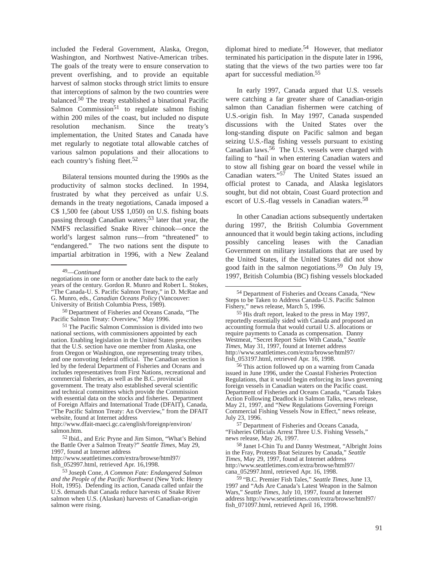included the Federal Government, Alaska, Oregon, Washington, and Northwest Native-American tribes. The goals of the treaty were to ensure conservation to prevent overfishing, and to provide an equitable harvest of salmon stocks through strict limits to ensure that interceptions of salmon by the two countries were balanced.50 The treaty established a binational Pacific Salmon Commission $51$  to regulate salmon fishing within 200 miles of the coast, but included no dispute resolution mechanism. Since the treaty's implementation, the United States and Canada have met regularly to negotiate total allowable catches of various salmon populations and their allocations to each country's fishing fleet.<sup>52</sup>

Bilateral tensions mounted during the 1990s as the productivity of salmon stocks declined. In 1994, frustrated by what they perceived as unfair U.S. demands in the treaty negotiations, Canada imposed a C\$ 1,500 fee (about US\$ 1,050) on U.S. fishing boats passing through Canadian waters;53 later that year, the NMFS reclassified Snake River chinook—once the world's largest salmon runs—from "threatened" to "endangered." The two nations sent the dispute to impartial arbitration in 1996, with a New Zealand

<sup>50</sup> Department of Fisheries and Oceans Canada, "The Pacific Salmon Treaty: Overview," May 1996.

<sup>51</sup> The Pacific Salmon Commission is divided into two national sections, with commissioners appointed by each nation. Enabling legislation in the United States prescribes that the U.S. section have one member from Alaska, one from Oregon or Washington, one representing treaty tribes, and one nonvoting federal official. The Canadian section is led by the federal Department of Fisheries and Oceans and includes representatives from First Nations, recreational and commercial fisheries, as well as the B.C. provincial government. The treaty also established several scientific and technical committees which provide the Commission with essential data on the stocks and fisheries. Department of Foreign Affairs and International Trade (DFAIT), Canada, "The Pacific Salmon Treaty: An Overview," from the DFAIT website, found at Internet address

http://www.dfait-maeci.gc.ca/english/foreignp/environ/ salmon.htm.

diplomat hired to mediate.54 However, that mediator terminated his participation in the dispute later in 1996, stating that the views of the two parties were too far apart for successful mediation.55

In early 1997, Canada argued that U.S. vessels were catching a far greater share of Canadian-origin salmon than Canadian fishermen were catching of U.S.-origin fish. In May 1997, Canada suspended discussions with the United States over the long-standing dispute on Pacific salmon and began seizing U.S.-flag fishing vessels pursuant to existing Canadian laws.56 The U.S. vessels were charged with failing to "hail in when entering Canadian waters and to stow all fishing gear on board the vessel while in Canadian waters."57 The United States issued an official protest to Canada, and Alaska legislators sought, but did not obtain, Coast Guard protection and escort of U.S.-flag vessels in Canadian waters.<sup>58</sup>

In other Canadian actions subsequently undertaken during 1997, the British Columbia Government announced that it would begin taking actions, including possibly canceling leases with the Canadian Government on military installations that are used by the United States, if the United States did not show good faith in the salmon negotiations.59 On July 19, 1997, British Columbia (BC) fishing vessels blockaded

<sup>56</sup> This action followed up on a warning from Canada issued in June 1996, under the Coastal Fisheries Protection Regulations, that it would begin enforcing its laws governing foreign vessels in Canadian waters on the Pacific coast. Department of Fisheries and Oceans Canada, "Canada Takes Action Following Deadlock in Salmon Talks, news release, May 21, 1997, and "New Regulations Governing Foreign Commercial Fishing Vessels Now in Effect," news release, July 23, 1996.

<sup>49—</sup>*Continued*

negotiations in one form or another date back to the early years of the century. Gordon R. Munro and Robert L. Stokes, "The Canada-U. S. Pacific Salmon Treaty," in D. McRae and G. Munro, eds., *Canadian Oceans Policy* (Vancouver: University of British Columbia Press, 1989).

<sup>52</sup> Ibid., and Eric Pryne and Jim Simon, "What's Behind the Battle Over a Salmon Treaty?" *Seattle Times*, May 29, 1997, found at Internet address

http://www.seattletimes.com/extra/browse/html97/ fish\_052997.html, retrieved Apr. 16,1998.

<sup>53</sup> Joseph Cone, *A Common Fate: Endangered Salmon and the People of the Pacific Northwest* (New York: Henry Holt, 1995). Defending its action, Canada called unfair the U.S. demands that Canada reduce harvests of Snake River salmon when U.S. (Alaskan) harvests of Canadian-origin salmon were rising.

<sup>54</sup> Department of Fisheries and Oceans Canada, "New Steps to be Taken to Address Canada-U.S. Pacific Salmon Fishery," news release, March 5, 1996.

<sup>55</sup> His draft report, leaked to the press in May 1997, reportedly essentially sided with Canada and proposed an accounting formula that would curtail U.S. allocations or require payments to Canada as compensation. Danny Westmeat, "Secret Report Sides With Canada," *Seattle Times*, May 31, 1997, found at Internet address http://www.seattletimes.com/extra/browse/html97/ fish\_053197.html, retrieved Apr. 16, 1998.

<sup>57</sup> Department of Fisheries and Oceans Canada, "Fisheries Officials Arrest Three U.S. Fishing Vessels," news release, May 26, 1997.

<sup>58</sup> Janet I-Chin Tu and Danny Westmeat, "Albright Joins in the Fray, Protests Boat Seizures by Canada," *Seattle Times*, May 29, 1997, found at Internet address http://www.seattletimes.com/extra/browse/html97/ cana\_052997.html, retrieved Apr. 16, 1998.

<sup>59</sup> "B.C. Premier Fish Tales," *Seattle Times*, June 13, 1997 and "Ads Are Canada's Latest Weapon in the Salmon Wars," *Seattle Times*, July 10, 1997, found at Internet address http://www.seattletimes.com/extra/browse/html97/ fish\_071097.html, retrieved April 16, 1998.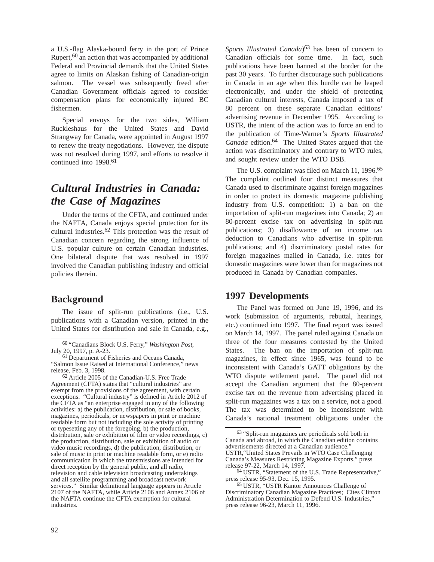a U.S.-flag Alaska-bound ferry in the port of Prince Rupert,60 an action that was accompanied by additional Federal and Provincial demands that the United States agree to limits on Alaskan fishing of Canadian-origin salmon. The vessel was subsequently freed after Canadian Government officials agreed to consider compensation plans for economically injured BC fishermen.

Special envoys for the two sides, William Ruckleshaus for the United States and David Strangway for Canada, were appointed in August 1997 to renew the treaty negotiations. However, the dispute was not resolved during 1997, and efforts to resolve it continued into 1998.61

## *Cultural Industries in Canada: the Case of Magazines*

Under the terms of the CFTA, and continued under the NAFTA, Canada enjoys special protection for its cultural industries.62 This protection was the result of Canadian concern regarding the strong influence of U.S. popular culture on certain Canadian industries. One bilateral dispute that was resolved in 1997 involved the Canadian publishing industry and official policies therein.

#### **Background**

The issue of split-run publications (i.e., U.S. publications with a Canadian version, printed in the United States for distribution and sale in Canada, e.g.,

Sports Illustrated Canada)<sup>63</sup> has been of concern to Canadian officials for some time. In fact, such publications have been banned at the border for the past 30 years. To further discourage such publications in Canada in an age when this hurdle can be leaped electronically, and under the shield of protecting Canadian cultural interests, Canada imposed a tax of 80 percent on these separate Canadian editions' advertising revenue in December 1995. According to USTR, the intent of the action was to force an end to the publication of Time-Warner's *Sports Illustrated Canada* edition.64 The United States argued that the action was discriminatory and contrary to WTO rules, and sought review under the WTO DSB.

The U.S. complaint was filed on March 11, 1996.<sup>65</sup> The complaint outlined four distinct measures that Canada used to discriminate against foreign magazines in order to protect its domestic magazine publishing industry from U.S. competition: 1) a ban on the importation of split-run magazines into Canada; 2) an 80-percent excise tax on advertising in split-run publications; 3) disallowance of an income tax deduction to Canadians who advertise in split-run publications; and 4) discriminatory postal rates for foreign magazines mailed in Canada, i.e. rates for domestic magazines were lower than for magazines not produced in Canada by Canadian companies.

#### **1997 Developments**

The Panel was formed on June 19, 1996, and its work (submission of arguments, rebuttal, hearings, etc.) continued into 1997. The final report was issued on March 14, 1997. The panel ruled against Canada on three of the four measures contested by the United States. The ban on the importation of split-run magazines, in effect since 1965, was found to be inconsistent with Canada's GATT obligations by the WTO dispute settlement panel. The panel did not accept the Canadian argument that the 80-percent excise tax on the revenue from advertising placed in split-run magazines was a tax on a service, not a good. The tax was determined to be inconsistent with Canada's national treatment obligations under the

<sup>60</sup> "Canadians Block U.S. Ferry," *Washington Post*, July 20, 1997, p. A-23.

<sup>61</sup> Department of Fisheries and Oceans Canada, "Salmon Issue Raised at International Conference," news release, Feb. 3, 1998.

<sup>62</sup> Article 2005 of the Canadian-U.S. Free Trade Agreement (CFTA) states that "cultural industries" are exempt from the provisions of the agreement, with certain exceptions. "Cultural industry" is defined in Article 2012 of the CFTA as "an enterprise engaged in any of the following activities: a) the publication, distribution, or sale of books, magazines, periodicals, or newspapers in print or machine readable form but not including the sole activity of printing or typesetting any of the foregoing, b) the production, distribution, sale or exhibition of film or video recordings, c) the production, distribution, sale or exhibition of audio or video music recordings, d) the publication, distribution, or sale of music in print or machine readable form, or e) radio communication in which the transmissions are intended for direct reception by the general public, and all radio, television and cable television broadcasting undertakings and all satellite programming and broadcast network services." Similar definitional language appears in Article 2107 of the NAFTA, while Article 2106 and Annex 2106 of the NAFTA continue the CFTA exemption for cultural industries.

<sup>63</sup> "Split-run magazines are periodicals sold both in Canada and abroad, in which the Canadian edition contains advertisements directed at a Canadian audience." USTR,"United States Prevails in WTO Case Challenging Canada's Measures Restricting Magazine Exports," press release 97-22, March 14, 1997.

<sup>64</sup> USTR, "Statement of the U.S. Trade Representative," press release 95-93, Dec. 15, 1995.

<sup>65</sup> USTR, "USTR Kantor Announces Challenge of Discriminatory Canadian Magazine Practices; Cites Clinton Administration Determination to Defend U.S. Industries," press release 96-23, March 11, 1996.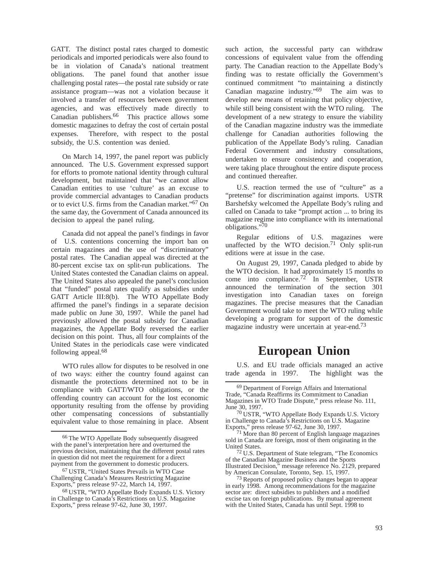GATT. The distinct postal rates charged to domestic periodicals and imported periodicals were also found to be in violation of Canada's national treatment obligations. The panel found that another issue challenging postal rates—the postal rate subsidy or rate assistance program—was not a violation because it involved a transfer of resources between government agencies, and was effectively made directly to Canadian publishers.66This practice allows some domestic magazines to defray the cost of certain postal expenses. Therefore, with respect to the postal subsidy, the U.S. contention was denied.

On March 14, 1997, the panel report was publicly announced. The U.S. Government expressed support for efforts to promote national identity through cultural development, but maintained that "we cannot allow Canadian entities to use 'culture' as an excuse to provide commercial advantages to Canadian products or to evict U.S. firms from the Canadian market."67 On the same day, the Government of Canada announced its decision to appeal the panel ruling.

Canada did not appeal the panel's findings in favor of U.S. contentions concerning the import ban on certain magazines and the use of "discriminatory" postal rates. The Canadian appeal was directed at the 80-percent excise tax on split-run publications. The United States contested the Canadian claims on appeal. The United States also appealed the panel's conclusion that "funded" postal rates qualify as subsidies under GATT Article III:8(b). The WTO Appellate Body affirmed the panel's findings in a separate decision made public on June 30, 1997. While the panel had previously allowed the postal subsidy for Canadian magazines, the Appellate Body reversed the earlier decision on this point. Thus, all four complaints of the United States in the periodicals case were vindicated following appeal.68

WTO rules allow for disputes to be resolved in one of two ways: either the country found against can dismantle the protections determined not to be in compliance with GATT/WTO obligations, or the offending country can account for the lost economic opportunity resulting from the offense by providing other compensating concessions of substantially equivalent value to those remaining in place. Absent

such action, the successful party can withdraw concessions of equivalent value from the offending party. The Canadian reaction to the Appellate Body's finding was to restate officially the Government's continued commitment "to maintaining a distinctly Canadian magazine industry."69 The aim was to develop new means of retaining that policy objective, while still being consistent with the WTO ruling. The development of a new strategy to ensure the viability of the Canadian magazine industry was the immediate challenge for Canadian authorities following the publication of the Appellate Body's ruling. Canadian Federal Government and industry consultations, undertaken to ensure consistency and cooperation, were taking place throughout the entire dispute process and continued thereafter.

U.S. reaction termed the use of "culture" as a "pretense" for discrimination against imports. USTR Barshefsky welcomed the Appellate Body's ruling and called on Canada to take "prompt action ... to bring its magazine regime into compliance with its international obligations."70

Regular editions of U.S. magazines were unaffected by the WTO decision.<sup>71</sup> Only split-run editions were at issue in the case.

On August 29, 1997, Canada pledged to abide by the WTO decision. It had approximately 15 months to come into compliance.72 In September, USTR announced the termination of the section 301 investigation into Canadian taxes on foreign magazines. The precise measures that the Canadian Government would take to meet the WTO ruling while developing a program for support of the domestic magazine industry were uncertain at year-end.<sup>73</sup>

## **European Union**

U.S. and EU trade officials managed an active trade agenda in 1997. The highlight was the

<sup>66</sup> The WTO Appellate Body subsequently disagreed with the panel's interpretation here and overturned the previous decision, maintaining that the different postal rates in question did not meet the requirement for a direct payment from the government to domestic producers.

<sup>67</sup> USTR, "United States Prevails in WTO Case Challenging Canada's Measures Restricting Magazine Exports," press release 97-22, March 14, 1997.

<sup>68</sup> USTR, "WTO Appellate Body Expands U.S. Victory in Challenge to Canada's Restrictions on U.S. Magazine Exports," press release 97-62, June 30, 1997.

<sup>&</sup>lt;sup>69</sup> Department of Foreign Affairs and International Trade, "Canada Reaffirms its Commitment to Canadian Magazines in WTO Trade Dispute," press release No. 111, June 30, 1997.

<sup>70</sup> USTR, "WTO Appellate Body Expands U.S. Victory in Challenge to Canada's Restrictions on U.S. Magazine Exports," press release 97-62, June 30, 1997.

<sup>71</sup> More than 80 percent of English language magazines sold in Canada are foreign, most of them originating in the United States.

<sup>72</sup> U.S. Department of State telegram, "The Economics of the Canadian Magazine Business and the Sports Illustrated Decision," message reference No. 2129, prepared by American Consulate, Toronto, Sep. 15, 1997.

<sup>73</sup> Reports of proposed policy changes began to appear in early 1998. Among recommendations for the magazine sector are: direct subsidies to publishers and a modified excise tax on foreign publications. By mutual agreement with the United States, Canada has until Sept. 1998 to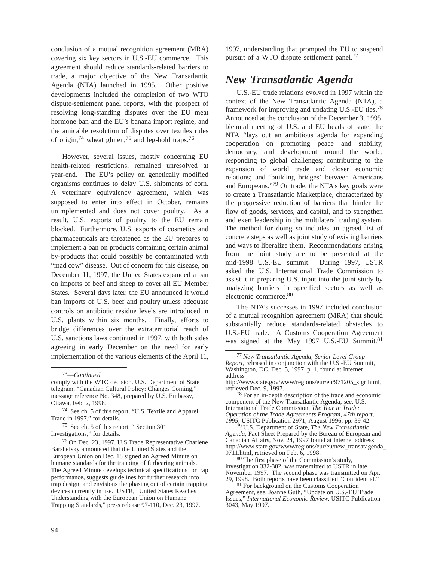conclusion of a mutual recognition agreement (MRA) covering six key sectors in U.S.-EU commerce. This agreement should reduce standards-related barriers to trade, a major objective of the New Transatlantic Agenda (NTA) launched in 1995. Other positive developments included the completion of two WTO dispute-settlement panel reports, with the prospect of resolving long-standing disputes over the EU meat hormone ban and the EU's banana import regime, and the amicable resolution of disputes over textiles rules of origin,<sup>74</sup> wheat gluten,<sup>75</sup> and leg-hold traps.<sup>76</sup>

However, several issues, mostly concerning EU health-related restrictions, remained unresolved at year-end. The EU's policy on genetically modified organisms continues to delay U.S. shipments of corn. A veterinary equivalency agreement, which was supposed to enter into effect in October, remains unimplemented and does not cover poultry. As a result, U.S. exports of poultry to the EU remain blocked. Furthermore, U.S. exports of cosmetics and pharmaceuticals are threatened as the EU prepares to implement a ban on products containing certain animal by-products that could possibly be contaminated with "mad cow" disease. Out of concern for this disease, on December 11, 1997, the United States expanded a ban on imports of beef and sheep to cover all EU Member States. Several days later, the EU announced it would ban imports of U.S. beef and poultry unless adequate controls on antibiotic residue levels are introduced in U.S. plants within six months. Finally, efforts to bridge differences over the extraterritorial reach of U.S. sanctions laws continued in 1997, with both sides agreeing in early December on the need for early implementation of the various elements of the April 11,

75 See ch. 5 of this report, " Section 301 Investigations," for details.

<sup>76</sup> On Dec. 23, 1997, U.S.Trade Representative Charlene Barshefsky announced that the United States and the European Union on Dec. 18 signed an Agreed Minute on humane standards for the trapping of furbearing animals. The Agreed Minute develops technical specifications for trap performance, suggests guidelines for further research into trap design, and envisions the phasing out of certain trapping devices currently in use. USTR, "United States Reaches Understanding with the European Union on Humane Trapping Standards," press release 97-110, Dec. 23, 1997.

1997, understanding that prompted the EU to suspend pursuit of a WTO dispute settlement panel.<sup>77</sup>

## *New Transatlantic Agenda*

U.S.-EU trade relations evolved in 1997 within the context of the New Transatlantic Agenda (NTA), a framework for improving and updating U.S.-EU ties.78 Announced at the conclusion of the December 3, 1995, biennial meeting of U.S. and EU heads of state, the NTA "lays out an ambitious agenda for expanding cooperation on promoting peace and stability, democracy, and development around the world; responding to global challenges; contributing to the expansion of world trade and closer economic relations; and 'building bridges' between Americans and Europeans."79 On trade, the NTA's key goals were to create a Transatlantic Marketplace, characterized by the progressive reduction of barriers that hinder the flow of goods, services, and capital, and to strengthen and exert leadership in the multilateral trading system. The method for doing so includes an agreed list of concrete steps as well as joint study of existing barriers and ways to liberalize them. Recommendations arising from the joint study are to be presented at the mid-1998 U.S.-EU summit. During 1997, USTR asked the U.S. International Trade Commission to assist it in preparing U.S. input into the joint study by analyzing barriers in specified sectors as well as electronic commerce.80

The NTA's successes in 1997 included conclusion of a mutual recognition agreement (MRA) that should substantially reduce standards-related obstacles to U.S.-EU trade. A Customs Cooperation Agreement was signed at the May 1997 U.S.-EU Summit.<sup>81</sup>

<sup>73—</sup>*Continued*

comply with the WTO decision. U.S. Department of State telegram, "Canadian Cultural Policy: Changes Coming," message reference No. 348, prepared by U.S. Embassy, Ottawa, Feb. 2, 1998.

<sup>74</sup> See ch. 5 of this report, "U.S. Textile and Apparel Trade in 1997," for details.

<sup>77</sup> *New Transatlantic Agenda, Senior Level Group Report*, released in conjunction with the U.S.-EU Summit, Washington, DC, Dec. 5, 1997, p. 1, found at Internet address

http://www.state.gov/www/regions/eur/eu/971205\_slgr.html, retrieved Dec. 9, 1997.

<sup>78</sup> For an in-depth description of the trade and economic component of the New Transatlantic Agenda, see, U.S. International Trade Commission, *The Year in Trade: Operation of the Trade Agreements Program, 47th report, 1995*, USITC Publication 2971, August 1996, pp. 39-42.

<sup>79</sup> U.S. Department of State, *The New Transatlantic Agenda*, Fact Sheet Prepared by the Bureau of European and Canadian Affairs, Nov. 24, 1997 found at Internet address http://www.state.gov/www/regions/eur/eu/new\_transatagenda\_ 9711.html, retrieved on Feb. 6, 1998.

<sup>80</sup> The first phase of the Commission's study, investigation 332-382, was transmitted to USTR in late November 1997. The second phase was transmitted on Apr. 29, 1998. Both reports have been classified "Confidential."

<sup>81</sup> For background on the Customs Cooperation Agreement, see, Joanne Guth, "Update on U.S.-EU Trade Issues," *International Economic Review*, USITC Publication 3043, May 1997.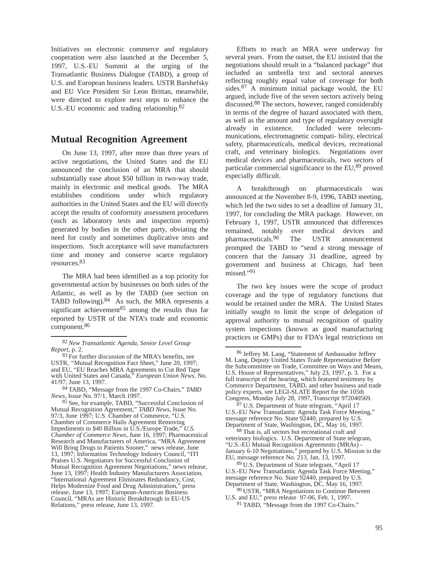Initiatives on electronic commerce and regulatory cooperation were also launched at the December 5, 1997, U.S.-EU Summit at the urging of the Transatlantic Business Dialogue (TABD), a group of U.S. and European business leaders. USTR Barshefsky and EU Vice President Sir Leon Brittan, meanwhile, were directed to explore next steps to enhance the U.S.-EU economic and trading relationship.82

#### **Mutual Recognition Agreement**

On June 13, 1997, after more than three years of active negotiations, the United States and the EU announced the conclusion of an MRA that should substantially ease about \$50 billion in two-way trade, mainly in electronic and medical goods. The MRA establishes conditions under which regulatory authorities in the United States and the EU will directly accept the results of conformity assessment procedures (such as laboratory tests and inspection reports) generated by bodies in the other party, obviating the need for costly and sometimes duplicative tests and inspections. Such acceptance will save manufacturers time and money and conserve scarce regulatory resources.83

The MRA had been identified as a top priority for governmental action by businesses on both sides of the Atlantic, as well as by the TABD (see section on TABD following). $84$  As such, the MRA represents a significant achievement<sup>85</sup> among the results thus far reported by USTR of the NTA's trade and economic component.86

Efforts to reach an MRA were underway for several years. From the outset, the EU insisted that the negotiations should result in a "balanced package" that included an umbrella text and sectoral annexes reflecting roughly equal value of coverage for both sides.<sup>87</sup> A minimum initial package would, the EU argued, include five of the seven sectors actively being discussed.88 The sectors, however, ranged considerably in terms of the degree of hazard associated with them, as well as the amount and type of regulatory oversight already in existence. Included were telecommunications, electromagnetic compati- bility, electrical safety, pharmaceuticals, medical devices, recreational craft, and veterinary biologics. Negotiations over medical devices and pharmaceuticals, two sectors of particular commercial significance to the EU,<sup>89</sup> proved especially difficult.

A breakthrough on pharmaceuticals was announced at the November 8-9, 1996, TABD meeting, which led the two sides to set a deadline of January 31, 1997, for concluding the MRA package. However, on February 1, 1997, USTR announced that differences remained, notably over medical devices and pharmaceuticals.90 The USTR announcement prompted the TABD to "send a strong message of concern that the January 31 deadline, agreed by government and business at Chicago, had been missed."91

The two key issues were the scope of product coverage and the type of regulatory functions that would be retained under the MRA. The United States initially sought to limit the scope of delegation of approval authority to mutual recognition of quality system inspections (known as good manufacturing practices or GMPs) due to FDA's legal restrictions on

<sup>82</sup> *New Transatlantic Agenda, Senior Level Group Report*, p. 2.

 $83$  For further discussion of the MRA's benefits, see USTR, *"*Mutual Recognition Fact Sheet," June 20, 1997; and EU, "EU Reaches MRA Agreements to Cut Red Tape with United States and Canada," *European Union News*, No. 41/97, June 13, 1997.

<sup>84</sup> TABD, "Message from the 1997 Co-Chairs," *TABD News*, Issue No. 97/1, March 1997.

<sup>85</sup> See, for example, TABD, "Successful Conclusion of Mutual Recognition Agreement," *TABD News*, Issue No. 97/3, June 1997; U.S. Chamber of Commerce, "U.S. Chamber of Commerce Hails Agreement Removing Impediments to \$40 Billion in U.S./Europe Trade," *U.S. Chamber of Commerce News*, June 16, 1997; Pharmaceutical Research and Manufacturers of America, "MRA Agreement Will Bring Drugs to Patients Sooner," news release, June 13, 1997; Information Technology Industry Council, "ITI Praises U.S. Negotiators for Successful Conclusion of Mutual Recognition Agreement Negotiations," news release, June 13, 1997; Health Industry Manufacturers Association, "International Agreement Eliminates Redundancy, Cost, Helps Modernize Food and Drug Administration," press release, June 13, 1997; European-American Business Council, "MRAs are Historic Breakthrough in EU-US Relations," press release, June 13, 1997.

<sup>86</sup> Jeffrey M. Lang, "Statement of Ambassador Jeffrey M. Lang, Deputy United States Trade Representative Before the Subcommittee on Trade, Committee on Ways and Means, U.S. House of Representatives," July 23, 1997, p. 3. For a full transcript of the hearing, which featured testimony by Commerce Department, TABD, and other business and trade policy experts, see LEGI-SLATE Report for the 105th Congress, Monday July 28, 1997, Transcript 972040569.

<sup>&</sup>lt;sup>87</sup> U.S. Department of State telegram, "April 17 U.S.-EU New Transatlantic Agenda Task Force Meeting," message reference No. State 92440, prepared by U.S. Department of State, Washington, DC, May 16, 1997.

<sup>88</sup> That is, all sectors but recreational craft and veterinary biologics. U.S. Department of State telegram, "U.S.-EU Mutual Recognition Agreements (MRAs) - January 6-10 Negotiations," prepared by U.S. Mission to the EU, message reference No. 213, Jan. 13, 1997.

<sup>89</sup> U.S. Department of State telegram, "April 17 U.S.-EU New Transatlantic Agenda Task Force Meeting," message reference No. State 92440, prepared by U.S. Department of State, Washington, DC, May 16, 1997.

<sup>90</sup> USTR, "MRA Negotiations to Continue Between U.S. and EU," press release 97-06, Feb. 1, 1997.

<sup>91</sup> TABD, "Message from the 1997 Co-Chairs."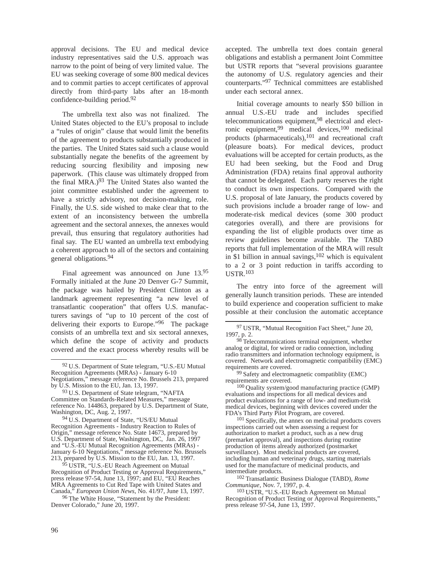approval decisions. The EU and medical device industry representatives said the U.S. approach was narrow to the point of being of very limited value. The EU was seeking coverage of some 800 medical devices and to commit parties to accept certificates of approval directly from third-party labs after an 18-month confidence-building period.92

The umbrella text also was not finalized. The United States objected to the EU's proposal to include a "rules of origin" clause that would limit the benefits of the agreement to products substantially produced in the parties. The United States said such a clause would substantially negate the benefits of the agreement by reducing sourcing flexibility and imposing new paperwork. (This clause was ultimately dropped from the final MRA.) $93$  The United States also wanted the joint committee established under the agreement to have a strictly advisory, not decision-making, role. Finally, the U.S. side wished to make clear that to the extent of an inconsistency between the umbrella agreement and the sectoral annexes, the annexes would prevail, thus ensuring that regulatory authorities had final say. The EU wanted an umbrella text embodying a coherent approach to all of the sectors and containing general obligations.94

Final agreement was announced on June 13.95 Formally initialed at the June 20 Denver G-7 Summit, the package was hailed by President Clinton as a landmark agreement representing "a new level of transatlantic cooperation" that offers U.S. manufacturers savings of "up to 10 percent of the cost of delivering their exports to Europe."96 The package consists of an umbrella text and six sectoral annexes, which define the scope of activity and products covered and the exact process whereby results will be

<sup>94</sup> U.S. Department of State, "US/EU Mutual Recognition Agreements - Industry Reaction to Rules of Origin," message reference No. State 14673, prepared by U.S. Department of State, Washington, DC, Jan. 26, 1997 and "U.S.-EU Mutual Recognition Agreements (MRAs) - January 6-10 Negotiations," message reference No. Brussels 213, prepared by U.S. Mission to the EU, Jan. 13, 1997.

<sup>95</sup> USTR, "U.S.-EU Reach Agreement on Mutual Recognition of Product Testing or Approval Requirements," press release 97-54, June 13, 1997; and EU, "EU Reaches MRA Agreements to Cut Red Tape with United States and Canada," *European Union News*, No. 41/97, June 13, 1997.

<sup>96</sup> The White House, "Statement by the President: Denver Colorado," June 20, 1997.

accepted. The umbrella text does contain general obligations and establish a permanent Joint Committee but USTR reports that "several provisions guarantee the autonomy of U.S. regulatory agencies and their counterparts."97 Technical committees are established under each sectoral annex.

Initial coverage amounts to nearly \$50 billion in annual U.S.-EU trade and includes specified telecommunications equipment, <sup>98</sup> electrical and electronic equipment,99 medical devices,100 medicinal products (pharmaceuticals),101 and recreational craft (pleasure boats). For medical devices, product evaluations will be accepted for certain products, as the EU had been seeking, but the Food and Drug Administration (FDA) retains final approval authority that cannot be delegated. Each party reserves the right to conduct its own inspections. Compared with the U.S. proposal of late January, the products covered by such provisions include a broader range of low- and moderate-risk medical devices (some 300 product categories overall), and there are provisions for expanding the list of eligible products over time as review guidelines become available. The TABD reports that full implementation of the MRA will result in \$1 billion in annual savings, $102$  which is equivalent to a 2 or 3 point reduction in tariffs according to USTR.103

The entry into force of the agreement will generally launch transition periods. These are intended to build experience and cooperation sufficient to make possible at their conclusion the automatic acceptance

<sup>92</sup> U.S. Department of State telegram, "U.S.-EU Mutual Recognition Agreements (MRAs) - January 6-10 Negotiations," message reference No. Brussels 213, prepared by U.S. Mission to the EU, Jan. 13, 1997.

<sup>&</sup>lt;sup>93</sup> U.S. Department of State telegram, "NAFTA Committee on Standards-Related Measures," message reference No. 144863, prepared by U.S. Department of State, Washington, DC, Aug. 2, 1997.

<sup>97</sup> USTR, "Mutual Recognition Fact Sheet," June 20, 1997, p. 2.

<sup>98&</sup>lt;sup> Telecommunications terminal equipment, whether</sup> analog or digital, for wired or radio connection, including radio transmitters and information technology equipment, is covered. Network and electromagnetic compatibility (EMC) requirements are covered.

<sup>99</sup> Safety and electromagnetic compatiblity (EMC) requirements are covered.

<sup>100</sup> Quality system/good manufacturing practice (GMP) evaluations and inspections for all medical devices and product evaluations for a range of low- and medium-risk medical devices, beginning with devices covered under the FDA's Third Party Pilot Program, are covered.

<sup>&</sup>lt;sup>101</sup> Specifically, the annex on medicinal products covers inspections carried out when assessing a request for authorization to market a product, such as a new drug (premarket approval), and inspections during routine production of items already authorized (postmarket surveillance). Most medicinal products are covered, including human and veterinary drugs, starting materials used for the manufacture of medicinal products, and intermediate products.

<sup>102</sup> Transatlantic Business Dialogue (TABD), *Rome Communique*, Nov. 7, 1997, p. 4.

<sup>103</sup> USTR, "U.S.-EU Reach Agreement on Mutual Recognition of Product Testing or Approval Requirements," press release 97-54, June 13, 1997.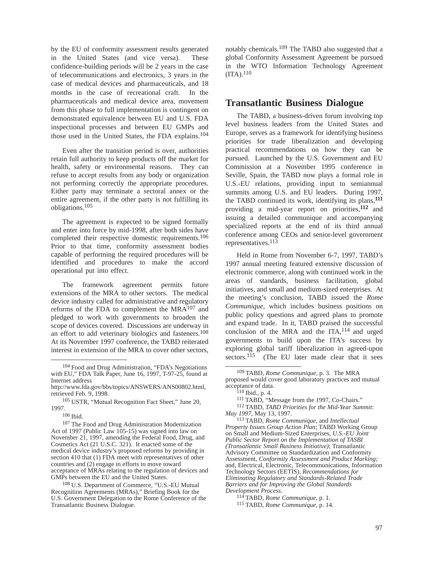by the EU of conformity assessment results generated in the United States (and vice versa). These confidence-building periods will be 2 years in the case of telecommunications and electronics, 3 years in the case of medical devices and pharmaceuticals, and 18 months in the case of recreational craft. In the pharmaceuticals and medical device area, movement from this phase to full implementation is contingent on demonstrated equivalence between EU and U.S. FDA inspectional processes and between EU GMPs and those used in the United States, the FDA explains.<sup>104</sup>

Even after the transition period is over, authorities retain full authority to keep products off the market for health, safety or environmental reasons. They can refuse to accept results from any body or organization not performing correctly the appropriate procedures. Either party may terminate a sectoral annex or the entire agreement, if the other party is not fulfilling its obligations.105

The agreement is expected to be signed formally and enter into force by mid-1998, after both sides have completed their respective domestic requirements.106 Prior to that time, conformity assessment bodies capable of performing the required procedures will be identified and procedures to make the accord operational put into effect.

The framework agreement permits future extensions of the MRA to other sectors. The medical device industry called for administrative and regulatory reforms of the FDA to complement the  $MRA^{107}$  and pledged to work with governments to broaden the scope of devices covered. Discussions are underway in an effort to add veterinary biologics and fasteners.108 At its November 1997 conference, the TABD reiterated interest in extension of the MRA to cover other sectors,

notably chemicals.109 The TABD also suggested that a global Conformity Assessment Agreement be pursued in the WTO Information Technology Agreement  $(TTA).<sup>110</sup>$ 

#### **Transatlantic Business Dialogue**

The TABD, a business-driven forum involving top level business leaders from the United States and Europe, serves as a framework for identifying business priorities for trade liberalization and developing practical recommendations on how they can be pursued. Launched by the U.S. Government and EU Commission at a November 1995 conference in Seville, Spain, the TABD now plays a formal role in U.S.-EU relations, providing input to semiannual summits among U.S. and EU leaders. During 1997, the TABD continued its work, identifying its plans,**<sup>111</sup>** providing a mid-year report on priorities,**<sup>112</sup>** and issuing a detailed communique and accompanying specialized reports at the end of its third annual conference among CEOs and senior-level government representatives.113

Held in Rome from November 6-7, 1997, TABD's 1997 annual meeting featured extensive discussion of electronic commerce, along with continued work in the areas of standards, business facilitation, global initiatives, and small and medium-sized enterprises. At the meeting's conclusion, TABD issued the *Rome Communique*, which includes business positions on public policy questions and agreed plans to promote and expand trade. In it, TABD praised the successful conclusion of the MRA and the ITA,<sup>114</sup> and urged governments to build upon the ITA's success by exploring global tariff liberalization in agreed-upon sectors.<sup>115</sup> (The EU later made clear that it sees

<sup>104</sup> Food and Drug Administration, "FDA's Negotiations with EU," FDA Talk Paper, June 16, 1997, T-97-25, found at Internet address

http://www.fda.gov/bbs/topics/ANSWERS/ANS00802.html, retrieved Feb. 9, 1998.

<sup>105</sup> USTR, "Mutual Recognition Fact Sheet," June 20, 1997.

<sup>106</sup> Ibid.

<sup>107</sup> The Food and Drug Administration Modernization Act of 1997 (Public Law  $105-15$ ) was signed into law on November 21, 1997, amending the Federal Food, Drug, and Cosmetics Act (21 U.S.C. 321). It enacted some of the medical device industry's proposed reforms by providing in section 410 that (1) FDA meet with representatives of other countries and (2) engage in efforts to move toward acceptance of MRAs relating to the regulation of devices and GMPs between the EU and the United States.

<sup>108</sup> U.S. Department of Commerce, "U.S.-EU Mutual Recognition Agreements (MRAs)," Briefing Book for the U.S. Government Delegation to the Rome Conference of the Transatlantic Business Dialogue.

<sup>109</sup> TABD, *Rome Communique*, p. 3. The MRA proposed would cover good laboratory practices and mutual acceptance of data.

 $110$  Ibid., p. 4.

<sup>111</sup> TABD, "Message from the 1997, Co-Chairs."

<sup>112</sup> TABD, *TABD Priorities for the Mid-Year Summit: May 1997*, May 13, 1997.

<sup>113</sup> TABD, *Rome Communique*, and *Intellectual Property Issues Group Action Plan*; TABD Working Group on Small and Medium-Sized Enterprises, *U.S.-EU Joint Public Sector Report on the Implementation of TASBI (Transatlantic Small Business Initiative)*; Transatlantic Advisory Committee on Standardization and Conformity Assessment, *Conformity Assessment and Product Marking;* and, Electrical, Electronic, Telecommunications, Information Technology Sectors (EETIS), *Recommendations for Eliminating Regulatory and Standards-Related Trade Barriers and for Improving the Global Standards*

*Development Process*. <sup>114</sup> TABD, *Rome Communique*, p. 1.

<sup>115</sup> TABD, *Rome Communique*, p. 14.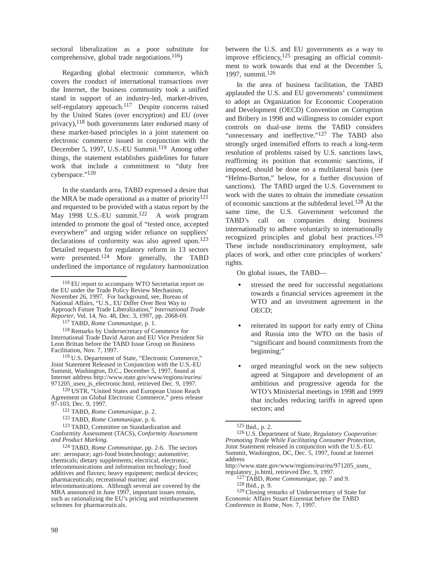sectoral liberalization as a poor substitute for comprehensive, global trade negotiations. $^{116}$ )

Regarding global electronic commerce, which covers the conduct of international transactions over the Internet, the business community took a unified stand in support of an industry-led, market-driven, self-regulatory approach.<sup>117</sup> Despite concerns raised by the United States (over encryption) and EU (over privacy),  $118$  both governments later endorsed many of these market-based principles in a joint statement on electronic commerce issued in conjunction with the December 5, 1997, U.S.-EU Summit.<sup>119</sup> Among other things, the statement establishes guidelines for future work that include a commitment to "duty free cyberspace."120

In the standards area, TABD expressed a desire that the MRA be made operational as a matter of priority<sup>121</sup> and requested to be provided with a status report by the May 1998 U.S.-EU summit.122 A work program intended to promote the goal of "tested once, accepted everywhere" and urging wider reliance on suppliers' declarations of conformity was also agreed upon. $123$ Detailed requests for regulatory reform in 13 sectors were presented.<sup>124</sup> More generally, the TABD underlined the importance of regulatory harmonization between the U.S. and EU governments as a way to improve efficiency, $125$  presaging an official commitment to work towards that end at the December 5, 1997, summit.126

In the area of business facilitation, the TABD applauded the U.S. and EU governments' commitment to adopt an Organization for Economic Cooperation and Development (OECD) Convention on Corruption and Bribery in 1998 and willingness to consider export controls on dual-use items the TABD considers "unnecessary and ineffective."<sup>127</sup> The TABD also strongly urged intensified efforts to reach a long-term resolution of problems raised by U.S. sanctions laws, reaffirming its position that economic sanctions, if imposed, should be done on a multilateral basis (see "Helms-Burton," below, for a further discussion of sanctions). The TABD urged the U.S. Government to work with the states to obtain the immediate cessation of economic sanctions at the subfederal level.128 At the same time, the U.S. Government welcomed the TABD's call on companies doing business internationally to adhere voluntarily to internationally recognized principles and global best practices.<sup>129</sup> These include nondiscriminatory employment, safe places of work, and other core principles of workers' rights.

On global issues, the TABD—

- stressed the need for successful negotiations towards a financial services agreement in the WTO and an investment agreement in the OECD;
- $\bullet$  reiterated its support for early entry of China and Russia into the WTO on the basis of "significant and bound commitments from the beginning;"
- urged meaningful work on the new subjects agreed at Singapore and development of an ambitious and progressive agenda for the WTO's Ministerial meetings in 1998 and 1999 that includes reducing tariffs in agreed upon sectors; and

<sup>116</sup> EU report to accompany WTO Secretariat report on the EU under the Trade Policy Review Mechanism, November 26, 1997. For background, see, Bureau of National Affairs, "U.S., EU Differ Over Best Way to Approach Future Trade Liberalization," *International Trade Reporter*, Vol. 14, No. 48, Dec. 3, 1997, pp. 2068-69.

<sup>117</sup> TABD, *Rome Communique*, p. 1.

<sup>118</sup> Remarks by Undersecretary of Commerce for International Trade David Aaron and EU Vice President Sir Leon Brittan before the TABD Issue Group on Business Facilitation, Nov. 7, 1997.

<sup>119</sup> U.S. Department of State, "Electronic Commerce," Joint Statement Released in Conjunction with the U.S.-EU Summit, Washington, D.C., December 5, 1997, found at Internet address http://www.state.gov/www/regions/eur/eu/ 971205\_useu\_js\_electronic.html, retrieved Dec. 9, 1997.

<sup>120</sup> USTR, "United States and European Union Reach Agreement on Global Electronic Commerce," press release 97-103, Dec. 9, 1997.

<sup>121</sup> TABD, *Rome Communique*, p. 2.

<sup>122</sup> TABD, *Rome Communique*, p. 6.

<sup>123</sup> TABD, Committee on Standardization and Conformity Assessment (TACS), *Conformity Assessment*

*and Product Marking*. <sup>124</sup> TABD, *Rome Communique*, pp. 2-6. The sectors are: aerospace; agri-food biotechnology; automotive; chemicals; dietary supplements; electrical, electronic, telecommunications and information technology; food additives and flavors; heavy equipment; medical devices; pharmaceuticals; recreational marine; and

telecommunications. Although several are covered by the MRA announced in June 1997, important issues remain, such as rationalizing the EU's pricing and reimbursement schemes for pharmaceuticals.

<sup>125</sup> Ibid., p. 2.<br><sup>126</sup> U.S. Department of State, *Regulatory Cooperation:*<br>*Promoting Trade While Facilitating Consumer Protection*, Joint Statement released in conjunction with the U.S.-EU Summit, Washington, DC, Dec. 5, 1997, found at Internet address

http://www.state.gov/www/regions/eur/eu/971205\_useu\_<br>regulatory\_js.html, retrieved Dec. 9, 1997.

<sup>127</sup> TABD, *Rome Communique*, pp. 7 and 9.<br><sup>128</sup> Ibid., p. 9. 129 Closing remarks of Undersecretary of State for Economic Affairs Stuart Eizenstat before the TABD Conference in Rome, Nov. 7, 1997.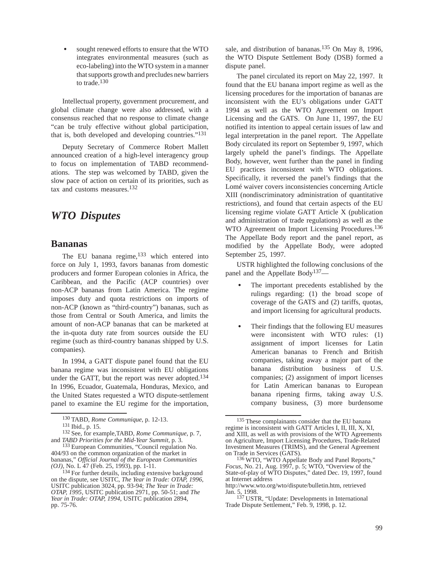sought renewed efforts to ensure that the WTO integrates environmental measures (such as eco-labeling) into the WTO system in a manner that supports growth and precludes new barriers to trade. $130$ 

Intellectual property, government procurement, and global climate change were also addressed, with a consensus reached that no response to climate change "can be truly effective without global participation, that is, both developed and developing countries."131

Deputy Secretary of Commerce Robert Mallett announced creation of a high-level interagency group to focus on implementation of TABD recommendations. The step was welcomed by TABD, given the slow pace of action on certain of its priorities, such as tax and customs measures.132

## *WTO Disputes*

#### **Bananas**

The EU banana regime, $133$  which entered into force on July 1, 1993, favors bananas from domestic producers and former European colonies in Africa, the Caribbean, and the Pacific (ACP countries) over non-ACP bananas from Latin America. The regime imposes duty and quota restrictions on imports of non-ACP (known as "third-country") bananas, such as those from Central or South America, and limits the amount of non-ACP bananas that can be marketed at the in-quota duty rate from sources outside the EU regime (such as third-country bananas shipped by U.S. companies).

In 1994, a GATT dispute panel found that the EU banana regime was inconsistent with EU obligations under the GATT, but the report was never adopted.<sup>134</sup> In 1996, Ecuador, Guatemala, Honduras, Mexico, and the United States requested a WTO dispute-settlement panel to examine the EU regime for the importation, sale, and distribution of bananas.<sup>135</sup> On May 8, 1996, the WTO Dispute Settlement Body (DSB) formed a dispute panel.

The panel circulated its report on May 22, 1997. It found that the EU banana import regime as well as the licensing procedures for the importation of bananas are inconsistent with the EU's obligations under GATT 1994 as well as the WTO Agreement on Import Licensing and the GATS. On June 11, 1997, the EU notified its intention to appeal certain issues of law and legal interpretation in the panel report. The Appellate Body circulated its report on September 9, 1997, which largely upheld the panel's findings. The Appellate Body, however, went further than the panel in finding EU practices inconsistent with WTO obligations. Specifically, it reversed the panel's findings that the Lomé waiver covers inconsistencies concerning Article XIII (nondiscriminatory administration of quantitative restrictions), and found that certain aspects of the EU licensing regime violate GATT Article X (publication and administration of trade regulations) as well as the WTO Agreement on Import Licensing Procedures.<sup>136</sup> The Appellate Body report and the panel report, as modified by the Appellate Body, were adopted September 25, 1997.

USTR highlighted the following conclusions of the panel and the Appellate Body<sup>137</sup>—

- The important precedents established by the rulings regarding: (1) the broad scope of coverage of the GATS and (2) tariffs, quotas, and import licensing for agricultural products.
- Their findings that the following EU measures were inconsistent with WTO rules: (1) assignment of import licenses for Latin American bananas to French and British companies, taking away a major part of the banana distribution business of U.S. companies; (2) assignment of import licenses for Latin American bananas to European banana ripening firms, taking away U.S. company business, (3) more burdensome

<sup>130</sup> TABD, *Rome Communique*, p. 12-13.

<sup>131</sup> Ibid., p. 15.

<sup>132</sup> See, for example,TABD, *Rome Communique*, p. 7, and *TABD Priorities for the Mid-Year Summit*, p. 3.

<sup>133</sup> European Communities, "Council regulation No. 404/93 on the common organization of the market in bananas," *Official Journal of the European Communities (OJ)*, No. L 47 (Feb. 25, 1993), pp. 1-11.

<sup>134</sup> For further details, including extensive background on the dispute, see USITC, *The Year in Trade: OTAP, 1996*, USITC publication 3024, pp. 93-94; *The Year in Trade: OTAP, 1995*, USITC publication 2971, pp. 50-51; and *The Year in Trade: OTAP, 1994*, USITC publication 2894, pp. 75-76.

<sup>135</sup> These complainants consider that the EU banana regime is inconsistent with GATT Articles I, II, III, X, XI, and XIII, as well as with provisions of the WTO Agreements on Agriculture, Import Licensing Procedures, Trade-Related Investment Measures (TRIMS), and the General Agreement on Trade in Services (GATS).

<sup>136</sup> WTO, "WTO Appellate Body and Panel Reports," *Focus*, No. 21, Aug. 1997, p. 5; WTO, "Overview of the State-of-play of WTO Disputes," dated Dec. 19, 1997, found at Internet address http://www.wto.org/wto/dispute/bulletin.htm, retrieved

Jan. 5, 1998.

<sup>&</sup>lt;sup>137</sup> USTR, "Update: Developments in International Trade Dispute Settlement," Feb. 9, 1998, p. 12.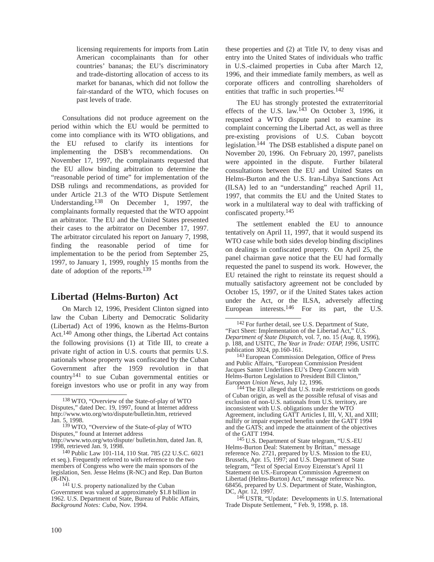licensing requirements for imports from Latin American cocomplainants than for other countries' bananas; the EU's discriminatory and trade-distorting allocation of access to its market for bananas, which did not follow the fair-standard of the WTO, which focuses on past levels of trade.

Consultations did not produce agreement on the period within which the EU would be permitted to come into compliance with its WTO obligations, and the EU refused to clarify its intentions for implementing the DSB's recommendations. On November 17, 1997, the complainants requested that the EU allow binding arbitration to determine the "reasonable period of time" for implementation of the DSB rulings and recommendations, as provided for under Article 21.3 of the WTO Dispute Settlement Understanding.138 On December 1, 1997, the complainants formally requested that the WTO appoint an arbitrator. The EU and the United States presented their cases to the arbitrator on December 17, 1997. The arbitrator circulated his report on January 7, 1998, finding the reasonable period of time for implementation to be the period from September 25, 1997, to January 1, 1999, roughly 15 months from the date of adoption of the reports.139

#### **Libertad (Helms-Burton) Act**

On March 12, 1996, President Clinton signed into law the Cuban Liberty and Democratic Solidarity (Libertad) Act of 1996, known as the Helms-Burton Act.140 Among other things, the Libertad Act contains the following provisions (1) at Title III, to create a private right of action in U.S. courts that permits U.S. nationals whose property was confiscated by the Cuban Government after the 1959 revolution in that country141 to sue Cuban governmental entities or foreign investors who use or profit in any way from

these properties and (2) at Title IV, to deny visas and entry into the United States of individuals who traffic in U.S.-claimed properties in Cuba after March 12, 1996, and their immediate family members, as well as corporate officers and controlling shareholders of entities that traffic in such properties.<sup>142</sup>

The EU has strongly protested the extraterritorial effects of the U.S. law.143 On October 3, 1996, it requested a WTO dispute panel to examine its complaint concerning the Libertad Act, as well as three pre-existing provisions of U.S. Cuban boycott legislation.144 The DSB established a dispute panel on November 20, 1996. On February 20, 1997, panelists were appointed in the dispute. Further bilateral consultations between the EU and United States on Helms-Burton and the U.S. Iran-Libya Sanctions Act (ILSA) led to an "understanding" reached April 11, 1997, that commits the EU and the United States to work in a multilateral way to deal with trafficking of confiscated property.145

The settlement enabled the EU to announce tentatively on April 11, 1997, that it would suspend its WTO case while both sides develop binding disciplines on dealings in confiscated property. On April 25, the panel chairman gave notice that the EU had formally requested the panel to suspend its work. However, the EU retained the right to reinstate its request should a mutually satisfactory agreement not be concluded by October 15, 1997, or if the United States takes action under the Act, or the ILSA, adversely affecting European interests.<sup>146</sup> For its part, the U.S.

<sup>138</sup> WTO, "Overview of the State-of-play of WTO Disputes," dated Dec. 19, 1997, found at Internet address http://www.wto.org/wto/dispute/bulletin.htm, retrieved Jan. 5, 1998.

<sup>139</sup> WTO, "Overview of the State-of-play of WTO Disputes," found at Internet address http://www.wto.org/wto/dispute/ bulletin.htm, dated Jan. 8,

<sup>1998,</sup> retrieved Jan. 9, 1998. <sup>140</sup> Public Law 101-114, 110 Stat. 785 (22 U.S.C. 6021

et seq.). Frequently referred to with reference to the two members of Congress who were the main sponsors of the legislation, Sen. Jesse Helms (R-NC) and Rep. Dan Burton  $(R-IN)$ 

<sup>141</sup> U.S. property nationalized by the Cuban Government was valued at approximately \$1.8 billion in 1962. U.S. Department of State, Bureau of Public Affairs, *Background Notes: Cuba*, Nov. 1994.

<sup>142</sup> For further detail, see U.S. Department of State, "Fact Sheet: Implementation of the Libertad Act," *U.S. Department of State Dispatch*, vol. 7, no. 15 (Aug. 8, 1996), p. 188, and USITC, *The Year in Trade: OTAP, 1996*, USITC publication 3024, pp.160-161.

<sup>143</sup> European Commission Delegation, Office of Press and Public Affairs, "European Commission President Jacques Santer Underlines EU's Deep Concern with Helms-Burton Legislation to President Bill Clinton," *European Union News*, July 12, 1996.

<sup>&</sup>lt;sup>144</sup> The EU alleged that U.S. trade restrictions on goods of Cuban origin, as well as the possible refusal of visas and exclusion of non-U.S. nationals from U.S. territory, are inconsistent with U.S. obligations under the WTO Agreement, including GATT Articles I, III, V, XI, and XIII; nullify or impair expected benefits under the GATT 1994 and the GATS; and impede the attainment of the objectives of the GATT 1994.

<sup>145</sup> U.S. Department of State telegram, "U.S.-EU Helms-Burton Deal: Statement by Brittan," message reference No. 2721, prepared by U.S. Mission to the EU, Brussels, Apr. 15, 1997; and U.S. Department of State telegram, "Text of Special Envoy Eizenstat's April 11 Statement on US.-European Commission Agreement on Libertad (Helms-Burton) Act," message reference No. 68456, prepared by U.S. Department of State, Washington, DC, Apr. 12, 1997.

<sup>&</sup>lt;sup>146</sup> USTR, "Update: Developments in U.S. International Trade Dispute Settlement, " Feb. 9, 1998, p. 18.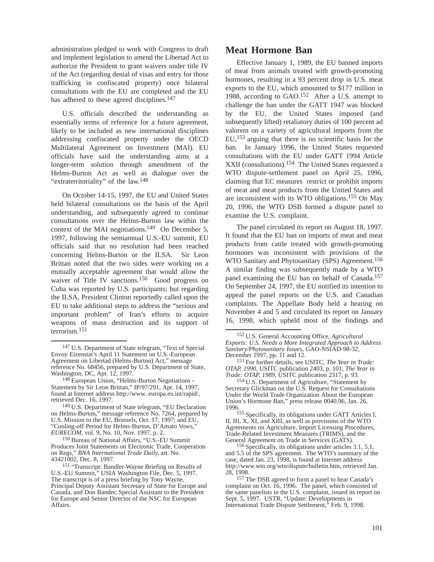administration pledged to work with Congress to draft and implement legislation to amend the Libertad Act to authorize the President to grant waivers under title IV of the Act (regarding denial of visas and entry for those trafficking in confiscated property) once bilateral consultations with the EU are completed and the EU has adhered to these agreed disciplines.<sup>147</sup>

U.S. officials described the understanding as essentially terms of reference for a future agreement, likely to be included as new international disciplines addressing confiscated property under the OECD Multilateral Agreement on Investment (MAI). EU officials have said the understanding aims at a longer-term solution through amendment of the Helms-Burton Act as well as dialogue over the "extraterritoriality" of the law.<sup>148</sup>

On October 14-15, 1997, the EU and United States held bilateral consultations on the basis of the April understanding, and subsequently agreed to continue consultations over the Helms-Burton law within the context of the MAI negotiations.<sup>149</sup> On December 5, 1997, following the semiannual U.S.-EU summit, EU officials said that no resolution had been reached concerning Helms-Burton or the ILSA. Sir Leon Brittan noted that the two sides were working on a mutually acceptable agreement that would allow the waiver of Title IV sanctions.<sup>150</sup> Good progress on Cuba was reported by U.S. participants; but regarding the ILSA, President Clinton reportedly called upon the EU to take additional steps to address the "serious and important problem" of Iran's efforts to acquire weapons of mass destruction and its support of terrorism.151

#### **Meat Hormone Ban**

Effective January 1, 1989, the EU banned imports of meat from animals treated with growth-promoting hormones, resulting in a 93 percent drop in U.S. meat exports to the EU, which amounted to \$177 million in 1988, according to GAO.152After a U.S. attempt to challenge the ban under the GATT 1947 was blocked by the EU, the United States imposed (and subsequently lifted) retaliatory duties of 100 percent ad valorem on a variety of agricultural imports from the  $EU<sup>153</sup>$  arguing that there is no scientific basis for the ban. In January 1996, the United States requested consultations with the EU under GATT 1994 Article XXII (consultations).154 The United States requested a WTO dispute-settlement panel on April 25, 1996, claiming that EC measures restrict or prohibit imports of meat and meat products from the United States and are inconsistent with its WTO obligations.155 On May 20, 1996, the WTO DSB formed a dispute panel to examine the U.S. complaint.

The panel circulated its report on August 18, 1997. It found that the EU ban on imports of meat and meat products from cattle treated with growth-promoting hormones was inconsistent with provisions of the WTO Sanitary and Phytosanitary (SPS) Agreement.<sup>156</sup> A similar finding was subsequently made by a WTO panel examining the EU ban on behalf of Canada.<sup>157</sup> On September 24, 1997, the EU notified its intention to appeal the panel reports on the U.S. and Canadian complaints. The Appellate Body held a hearing on November 4 and 5 and circulated its report on January 16, 1998, which upheld most of the findings and

<sup>147</sup> U.S. Department of State telegram, "Text of Special Envoy Eizenstat's April 11 Statement on U.S.-European Agreement on Libertad (Helms-Burton) Act," message reference No. 68456, prepared by U.S. Department of State, Washington, DC, Apr. 12, 1997.

<sup>148</sup> European Union, "Helms-Burton Negotiations - Statement by Sir Leon Brittan," IP/97/291, Apr. 14, 1997, found at Internet address http://www. europa.eu.int/rapid/, retrieved Dec. 16, 1997.

<sup>149</sup> U.S. Department of State telegram, "EU Declaration on Helms-Burton," message reference No. 7264, prepared by U.S. Mission to the EU, Brussels, Oct. 17, 1997; and EU, "Cooling-off Period for Helms-Burton, D'Amato Vows," *EURECOM*, vol. 9, No. 10, Nov. 1997, p. 2.

<sup>150</sup> Bureau of National Affairs, "U.S.-EU Summit Produces Joint Statements on Electronic Trade, Cooperation on Regs," *BNA International Trade Daily*, art. No. 43421002, Dec. 8, 1997.

<sup>151</sup> "Transcript: Bandler-Wayne Briefing on Results of U.S.-EU Summit," USIA Washington File, Dec. 5, 1997. The transcript is of a press briefing by Tony Wayne, Principal Deputy Assistant Secretary of State for Europe and Canada, and Don Bander, Special Assistant to the President for Europe and Senior Director of the NSC for European Affairs.

<sup>152</sup> U.S. General Accounting Office, *Agricultural Exports: U.S. Needs a More Integrated Approach to Address Sanitary/Phytosanitary Issues*, GAO-NSIAD-98-32, December 1997, pp. 11 and 12.

<sup>153</sup> For further details, see USITC, *The Year in Trade: OTAP, 1990*, USITC publication 2403, p. 101; *The Year in Trade: OTAP, 1989*, USITC publication 2317, p. 93.

<sup>154</sup> U.S. Department of Agriculture, "Statement by Secretary Glickman on the U.S. Request for Consultations Under the World Trade Organization About the European Union's Hormone Ban," press release 0040.96, Jan. 26, 1996.

<sup>155</sup> Specifically, its obligations under GATT Articles I, II, III, X, XI, and XIII, as well as provisions of the WTO Agreements on Agriculture, Import Licensing Procedures, Trade-Related Investment Measures (TRIMS), and the General Agreement on Trade in Services (GATS).

<sup>156</sup> Specifically, its obligations under articles 3.1, 5.1, and 5.5 of the SPS agreement. The WTO's summary of the case, dated Jan. 23, 1998, is found at Internet address http://www.wto.org/wto/dispute/bulletin.htm, retrieved Jan. 28, 1998.

<sup>157</sup> The DSB agreed to form a panel to hear Canada's complaint on Oct. 16, 1996. The panel, which consisted of the same panelists in the U.S. complaint, issued its report on Sept. 5, 1997. USTR, "Update: Developments in International Trade Dispute Settlement," Feb. 9, 1998.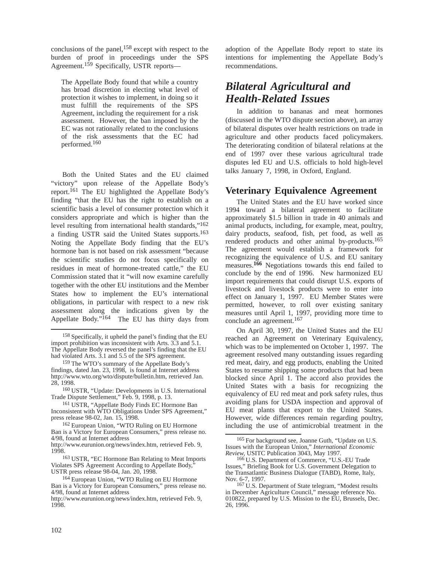conclusions of the panel, $158$  except with respect to the burden of proof in proceedings under the SPS Agreement.159 Specifically, USTR reports—

The Appellate Body found that while a country has broad discretion in electing what level of protection it wishes to implement, in doing so it must fulfill the requirements of the SPS Agreement, including the requirement for a risk assessment. However, the ban imposed by the EC was not rationally related to the conclusions of the risk assessments that the EC had performed.160

Both the United States and the EU claimed "victory" upon release of the Appellate Body's report.<sup>161</sup> The EU highlighted the Appellate Body's finding "that the EU has the right to establish on a scientific basis a level of consumer protection which it considers appropriate and which is higher than the level resulting from international health standards,"<sup>162</sup> a finding USTR said the United States supports.163 Noting the Appellate Body finding that the EU's hormone ban is not based on risk assessment "because the scientific studies do not focus specifically on residues in meat of hormone-treated cattle," the EU Commission stated that it "will now examine carefully together with the other EU institutions and the Member States how to implement the EU's international obligations, in particular with respect to a new risk assessment along the indications given by the Appellate Body."164 The EU has thirty days from

adoption of the Appellate Body report to state its intentions for implementing the Appellate Body's recommendations.

## *Bilateral Agricultural and Health-Related Issues*

In addition to bananas and meat hormones (discussed in the WTO dispute section above), an array of bilateral disputes over health restrictions on trade in agriculture and other products faced policymakers. The deteriorating condition of bilateral relations at the end of 1997 over these various agricultural trade disputes led EU and U.S. officials to hold high-level talks January 7, 1998, in Oxford, England.

#### **Veterinary Equivalence Agreement**

The United States and the EU have worked since 1994 toward a bilateral agreement to facilitate approximately \$1.5 billion in trade in 40 animals and animal products, including, for example, meat, poultry, dairy products, seafood, fish, pet food, as well as rendered products and other animal by-products.165 The agreement would establish a framework for recognizing the equivalence of U.S. and EU sanitary measures.**166** Negotiations towards this end failed to conclude by the end of 1996. New harmonized EU import requirements that could disrupt U.S. exports of livestock and livestock products were to enter into effect on January 1, 1997. EU Member States were permitted, however, to roll over existing sanitary measures until April 1, 1997, providing more time to conclude an agreement.167

On April 30, 1997, the United States and the EU reached an Agreement on Veterinary Equivalency, which was to be implemented on October 1, 1997. The agreement resolved many outstanding issues regarding red meat, dairy, and egg products, enabling the United States to resume shipping some products that had been blocked since April 1. The accord also provides the United States with a basis for recognizing the equivalency of EU red meat and pork safety rules, thus avoiding plans for USDA inspection and approval of EU meat plants that export to the United States. However, wide differences remain regarding poultry, including the use of antimicrobial treatment in the

<sup>158</sup> Specifically, it upheld the panel's finding that the EU import prohibition was inconsistent with Arts. 3.3 and 5.1. The Appellate Body reversed the panel's finding that the EU had violated Arts. 3.1 and 5.5 of the SPS agreement.

<sup>159</sup> The WTO's summary of the Appellate Body's findings, dated Jan. 23, 1998, is found at Internet address http://www.wto.org/wto/dispute/bulletin.htm, retrieved Jan. 28, 1998.

<sup>160</sup> USTR, "Update: Developments in U.S. International Trade Dispute Settlement," Feb. 9, 1998, p. 13.

<sup>161</sup> USTR, "Appellate Body Finds EC Hormone Ban Inconsistent with WTO Obligations Under SPS Agreement," press release 98-02, Jan. 15, 1998.

<sup>162</sup> European Union, "WTO Ruling on EU Hormone Ban is a Victory for European Consumers," press release no. 4/98, found at Internet address

http://www.eurunion.org/news/index.htm, retrieved Feb. 9, 1998.

<sup>163</sup> USTR, "EC Hormone Ban Relating to Meat Imports Violates SPS Agreement According to Appellate Body," USTR press release 98-04, Jan. 20, 1998.

<sup>164</sup> European Union, "WTO Ruling on EU Hormone Ban is a Victory for European Consumers," press release no. 4/98, found at Internet address

http://www.eurunion.org/news/index.htm, retrieved Feb. 9, 1998.

<sup>165</sup> For background see, Joanne Guth, "Update on U.S. Issues with the European Union," *International Economic Review*, USITC Publication 3043, May 1997.

<sup>166</sup> U.S. Department of Commerce, "U.S.-EU Trade Issues," Briefing Book for U.S. Government Delegation to the Transatlantic Business Dialogue (TABD), Rome, Italy, Nov. 6-7, 1997.

<sup>167</sup> U.S. Department of State telegram, "Modest results in December Agriculture Council," message reference No. 010822, prepared by U.S. Mission to the EU, Brussels, Dec. 26, 1996.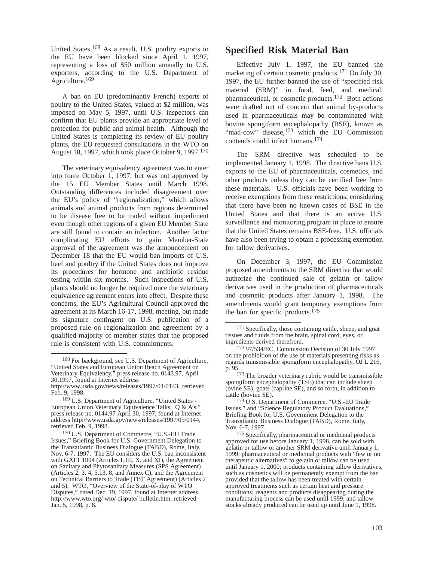United States.168 As a result, U.S. poultry exports to the EU have been blocked since April 1, 1997, representing a loss of \$50 million annually to U.S. exporters, according to the U.S. Department of Agriculture.169

A ban on EU (predominantly French) exports of poultry to the United States, valued at \$2 million, was imposed on May 5, 1997, until U.S. inspectors can confirm that EU plants provide an appropriate level of protection for public and animal health. Although the United States is completing its review of EU poultry plants, the EU requested consultations in the WTO on August 18, 1997, which took place October 9, 1997.<sup>170</sup>

The veterinary equivalency agreement was to enter into force October 1, 1997, but was not approved by the 15 EU Member States until March 1998. Outstanding differences included disagreement over the EU's policy of "regionalization," which allows animals and animal products from regions determined to be disease free to be traded without impediment even though other regions of a given EU Member State are still found to contain an infection. Another factor complicating EU efforts to gain Member-State approval of the agreement was the announcement on December 18 that the EU would ban imports of U.S. beef and poultry if the United States does not improve its procedures for hormone and antibiotic residue testing within six months. Such inspections of U.S. plants should no longer be required once the veterinary equivalence agreement enters into effect. Despite these concerns, the EU's Agricultural Council approved the agreement at its March 16-17, 1998, meeting, but made its signature contingent on U.S. publication of a proposed rule on regionalization and agreement by a qualified majority of member states that the proposed rule is consistent with U.S. commitments.

#### **Specified Risk Material Ban**

Effective July 1, 1997, the EU banned the marketing of certain cosmetic products.171 On July 30, 1997, the EU further banned the use of "specified risk material (SRM)" in food, feed, and medical, pharmaceutical, or cosmetic products.172 Both actions were drafted out of concern that animal by-products used in pharmaceuticals may be contaminated with bovine spongiform encephalopathy (BSE), known as "mad-cow" disease,<sup>173</sup> which the EU Commission contends could infect humans.174

The SRM directive was scheduled to be implemented January 1, 1998. The directive bans U.S. exports to the EU of pharmaceuticals, cosmetics, and other products unless they can be certified free from these materials. U.S. officials have been working to receive exemptions from these restrictions, considering that there have been no known cases of BSE in the United States and that there is an active U.S. surveillance and monitoring program in place to ensure that the United States remains BSE-free. U.S. officials have also been trying to obtain a processing exemption for tallow derivatives.

On December 3, 1997, the EU Commission proposed amendments to the SRM directive that would authorize the continued sale of gelatin or tallow derivatives used in the production of pharmaceuticals and cosmetic products after January 1, 1998. The amendments would grant temporary exemptions from the ban for specific products.<sup>175</sup>

<sup>168</sup> For background, see U.S. Department of Agriculture, "United States and European Union Reach Agreement on Veterinary Equivalency," press release no. 0143.97, April 30,1997, found at Internet address http://www.usda.gov/news/releases/1997/04/0143, retrieved

Feb. 9, 1998.

<sup>169</sup> U.S. Department of Agriculture, "United States - European Union Veterinary Equivalence Talks: Q & A's," press release no. 0144.97 April 30, 1997, found at Internet address http://www.usda.gov/news/releases/1997/05/0144, retrieved Feb. 9, 1998.

<sup>170</sup> U.S. Department of Commerce, "U.S.-EU Trade Issues," Briefing Book for U.S. Government Delegation to the Transatlantic Business Dialogue (TABD), Rome, Italy, Nov. 6-7, 1997. The EU considers the U.S. ban inconsistent with GATT 1994 (Articles I, III, X, and XI), the Agreement on Sanitary and Phytosanitary Measures (SPS Agreement) (Articles 2, 3, 4, 5,13. 8, and Annex C), and the Agreement on Technical Barriers to Trade (TBT Agreement) (Articles 2 and 5). WTO, "Overview of the State-of-play of WTO Disputes," dated Dec. 19, 1997, found at Internet address http://www.wto.org/ wto/ dispute/ bulletin.htm, retrieved Jan. 5, 1998, p. 8.

<sup>171</sup> Specifically, those containing cattle, sheep, and goat tissues and fluids from the brain, spinal cord, eyes, or ingredients derived therefrom.

<sup>172</sup> 97/534/EC, Commission Decision of 30 July 1997 on the prohibition of the use of materials presenting risks as regards transmissible spongiform encephalopathy, OJ L 216, p. 95.

<sup>173</sup> The broader veterinary rubric would be transmissible spongiform encephalopathy (TSE) that can include sheep (ovine SE), goats (caprine SE), and so forth, in addition to cattle (bovine SE).

<sup>174</sup> U.S. Department of Commerce, "U.S.-EU Trade Issues," and "Science Regulatory Product Evaluations," Briefing Book for U.S. Government Delegation to the Transatlantic Business Dialogue (TABD), Rome, Italy, Nov. 6-7, 1997.

<sup>175</sup> Specifically, pharmaceutical or medicinal products approved for use before January 1, 1998, can be sold with gelatin or tallow or another SRM derivative until January 1, 1999; pharmaceutical or medicinal products with "few or no therapeutic alternatives" to gelatin or tallow can be used until January 1, 2000; products containing tallow derivatives, such as cosmetics will be permanently exempt from the ban provided that the tallow has been treated with certain approved treatments such as certain heat and pressure conditions; reagents and products disappearing during the manufacturing process can be used until 1999; and tallow stocks already produced can be used up until June 1, 1998.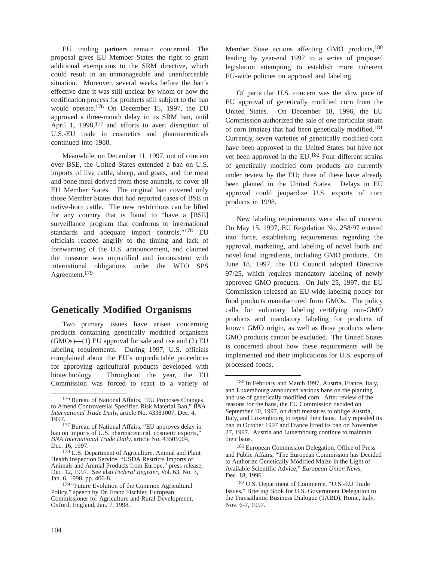EU trading partners remain concerned. The proposal gives EU Member States the right to grant additional exemptions to the SRM directive, which could result in an unmanageable and unenforceable situation. Moreover, several weeks before the ban's effective date it was still unclear by whom or how the certification process for products still subject to the ban would operate.176 On December 15, 1997, the EU approved a three-month delay in its SRM ban, until April 1, 1998,<sup>177</sup> and efforts to avert disruption of U.S.-EU trade in cosmetics and pharmaceuticals continued into 1988.

Meanwhile, on December 11, 1997, out of concern over BSE, the United States extended a ban on U.S. imports of live cattle, sheep, and goats, and the meat and bone meal derived from these animals, to cover all EU Member States. The original ban covered only those Member States that had reported cases of BSE in native-born cattle. The new restrictions can be lifted for any country that is found to "have a [BSE] surveillance program that conforms to international standards and adequate import controls."178 EU officials reacted angrily to the timing and lack of forewarning of the U.S. announcement, and claimed the measure was unjustified and inconsistent with international obligations under the WTO SPS Agreement.179

### **Genetically Modified Organisms**

Two primary issues have arisen concerning products containing genetically modified organisms  $(GMOs)$ —(1) EU approval for sale and use and (2) EU labeling requirements. During 1997, U.S. officials complained about the EU's unpredictable procedures for approving agricultural products developed with biotechnology. Throughout the year, the EU Commission was forced to react to a variety of

Member State actions affecting GMO products,<sup>180</sup> leading by year-end 1997 to a series of proposed legislation attempting to establish more coherent EU-wide policies on approval and labeling.

Of particular U.S. concern was the slow pace of EU approval of genetically modified corn from the United States. On December 18, 1996, the EU Commission authorized the sale of one particular strain of corn (maize) that had been genetically modified.181 Currently, seven varieties of genetically modified corn have been approved in the United States but have not yet been approved in the EU.182 Four different strains of genetically modified corn products are currently under review by the EU; three of these have already been planted in the United States. Delays in EU approval could jeopardize U.S. exports of corn products in 1998.

New labeling requirements were also of concern. On May 15, 1997, EU Regulation No. 258/97 entered into force, establishing requirements regarding the approval, marketing, and labeling of novel foods and novel food ingredients, including GMO products. On June 18, 1997, the EU Council adopted Directive 97/25, which requires mandatory labeling of newly approved GMO products. On July 25, 1997, the EU Commission released an EU-wide labeling policy for food products manufactured from GMOs. The policy calls for voluntary labeling certifying non-GMO products and mandatory labeling for products of known GMO origin, as well as those products where GMO products cannot be excluded. The United States is concerned about how these requirements will be implemented and their implications for U.S. exports of processed foods.

<sup>176</sup> Bureau of National Affairs, "EU Proposes Changes to Amend Controversial Specified Risk Material Ban," *BNA International Trade Daily*, article No. 43381007, Dec. 4, 1997.

<sup>177</sup> Bureau of National Affairs, "EU approves delay in ban on imports of U.S. pharmaceutical, cosmetic exports," *BNA International Trade Daily*, article No. 43501004, Dec. 16, 1997.

<sup>178</sup> U.S. Department of Agriculture, Animal and Plant Health Inspection Service, "USDA Restricts Imports of Animals and Animal Products from Europe," press release, Dec. 12, 1997. See also *Federal Register*, Vol. 63, No. 3, Jan. 6, 1998, pp. 406-8.

<sup>179</sup> "Future Evolution of the Common Agricultural Policy," speech by Dr. Franz Fischler, European Commissioner for Agriculture and Rural Development, Oxford, England, Jan. 7, 1998.

<sup>180</sup> In February and March 1997, Austria, France, Italy, and Luxembourg announced various bans on the planting and use of genetically modified corn. After review of the reasons for the bans, the EU Commission decided on September 10, 1997, on draft measures to oblige Austria, Italy, and Luxembourg to repeal their bans. Italy repealed its ban in October 1997 and France lifted its ban on November 27, 1997. Austria and Luxembourg continue to maintain their bans.

<sup>181</sup> European Commission Delegation, Office of Press and Public Affairs, "The European Commission has Decided to Authorize Genetically Modified Maize in the Light of Available Scientific Advice," *European Union News*, Dec. 18, 1996.

<sup>182</sup> U.S. Department of Commerce, "U.S.-EU Trade Issues," Briefing Book for U.S. Government Delegation to the Transatlantic Business Dialogue (TABD), Rome, Italy, Nov. 6-7, 1997.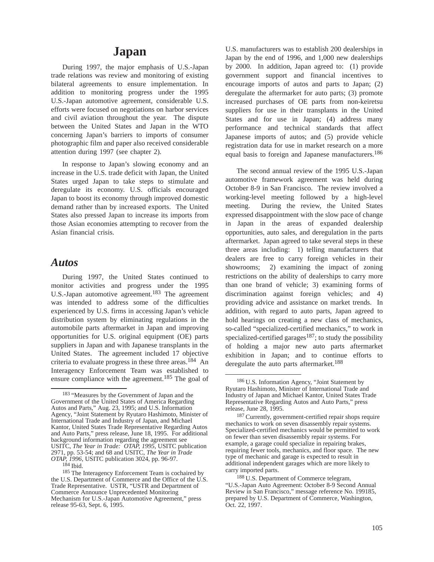## **Japan**

During 1997, the major emphasis of U.S.-Japan trade relations was review and monitoring of existing bilateral agreements to ensure implementation. In addition to monitoring progress under the 1995 U.S.-Japan automotive agreement, considerable U.S. efforts were focused on negotiations on harbor services and civil aviation throughout the year. The dispute between the United States and Japan in the WTO concerning Japan's barriers to imports of consumer photographic film and paper also received considerable attention during 1997 (see chapter 2).

In response to Japan's slowing economy and an increase in the U.S. trade deficit with Japan, the United States urged Japan to take steps to stimulate and deregulate its economy. U.S. officials encouraged Japan to boost its economy through improved domestic demand rather than by increased exports. The United States also pressed Japan to increase its imports from those Asian economies attempting to recover from the Asian financial crisis.

#### *Autos*

During 1997, the United States continued to monitor activities and progress under the 1995 U.S.-Japan automotive agreement.<sup>183</sup> The agreement was intended to address some of the difficulties experienced by U.S. firms in accessing Japan's vehicle distribution system by eliminating regulations in the automobile parts aftermarket in Japan and improving opportunities for U.S. original equipment (OE) parts suppliers in Japan and with Japanese transplants in the United States. The agreement included 17 objective criteria to evaluate progress in these three areas.184 An Interagency Enforcement Team was established to ensure compliance with the agreement.185 The goal of

U.S. manufacturers was to establish 200 dealerships in Japan by the end of 1996, and 1,000 new dealerships by 2000. In addition, Japan agreed to: (1) provide government support and financial incentives to encourage imports of autos and parts to Japan; (2) deregulate the aftermarket for auto parts; (3) promote increased purchases of OE parts from non-keiretsu suppliers for use in their transplants in the United States and for use in Japan; (4) address many performance and technical standards that affect Japanese imports of autos; and (5) provide vehicle registration data for use in market research on a more equal basis to foreign and Japanese manufacturers.186

The second annual review of the 1995 U.S.-Japan automotive framework agreement was held during October 8-9 in San Francisco. The review involved a working-level meeting followed by a high-level meeting. During the review, the United States expressed disappointment with the slow pace of change in Japan in the areas of expanded dealership opportunities, auto sales, and deregulation in the parts aftermarket. Japan agreed to take several steps in these three areas including: 1) telling manufacturers that dealers are free to carry foreign vehicles in their showrooms; 2) examining the impact of zoning restrictions on the ability of dealerships to carry more than one brand of vehicle; 3) examining forms of discrimination against foreign vehicles; and 4) providing advice and assistance on market trends. In addition, with regard to auto parts, Japan agreed to hold hearings on creating a new class of mechanics, so-called "specialized-certified mechanics," to work in specialized-certified garages<sup>187</sup>; to study the possibility of holding a major new auto parts aftermarket exhibition in Japan; and to continue efforts to deregulate the auto parts aftermarket.<sup>188</sup>

<sup>183</sup> "Measures by the Government of Japan and the Government of the United States of America Regarding Autos and Parts," Aug. 23, 1995; and U.S. Information Agency, "Joint Statement by Ryutaro Hashimoto, Minister of International Trade and Industry of Japan, and Michael Kantor, United States Trade Representative Regarding Autos and Auto Parts," press release, June 18, 1995. For additional background information regarding the agreement see USITC, *The Year in Trade: OTAP, 1995*, USITC publication 2971, pp. 53-54; and 68 and USITC, *The Year in Trade OTAP, 1996*, USITC publication 3024, pp. 96-97.

<sup>184</sup> Ibid.

<sup>185</sup> The Interagency Enforcement Team is cochaired by the U.S. Department of Commerce and the Office of the U.S. Trade Representative. USTR, "USTR and Department of Commerce Announce Unprecedented Monitoring Mechanism for U.S.-Japan Automotive Agreement," press release 95-63, Sept. 6, 1995.

<sup>186</sup> U.S. Information Agency, "Joint Statement by Ryutaro Hashimoto, Minister of International Trade and Industry of Japan and Michael Kantor, United States Trade Representative Regarding Autos and Auto Parts," press release, June 28, 1995.

<sup>&</sup>lt;sup>187</sup> Currently, government-certified repair shops require mechanics to work on seven disassembly repair systems. Specialized-certified mechanics would be permitted to work on fewer than seven disassembly repair systems. For example, a garage could specialize in repairing brakes, requiring fewer tools, mechanics, and floor space. The new type of mechanic and garage is expected to result in additional independent garages which are more likely to carry imported parts.

<sup>188</sup> U.S. Department of Commerce telegram, "U.S.-Japan Auto Agreement: October 8-9 Second Annual Review in San Francisco," message reference No. 199185, prepared by U.S. Department of Commerce, Washington, Oct. 22, 1997.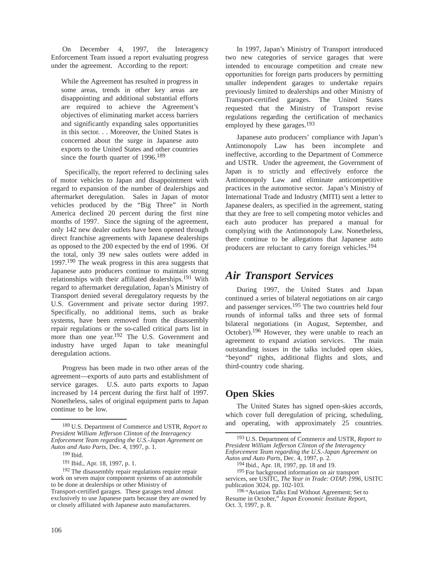On December 4, 1997, the Interagency Enforcement Team issued a report evaluating progress under the agreement. According to the report:

While the Agreement has resulted in progress in some areas, trends in other key areas are disappointing and additional substantial efforts are required to achieve the Agreement's objectives of eliminating market access barriers and significantly expanding sales opportunities in this sector. . . Moreover, the United States is concerned about the surge in Japanese auto exports to the United States and other countries since the fourth quarter of  $1996$ <sup>189</sup>

 Specifically, the report referred to declining sales of motor vehicles to Japan and disappointment with regard to expansion of the number of dealerships and aftermarket deregulation. Sales in Japan of motor vehicles produced by the "Big Three" in North America declined 20 percent during the first nine months of 1997. Since the signing of the agreement, only 142 new dealer outlets have been opened through direct franchise agreements with Japanese dealerships as opposed to the 200 expected by the end of 1996. Of the total, only 39 new sales outlets were added in 1997.190 The weak progress in this area suggests that Japanese auto producers continue to maintain strong relationships with their affiliated dealerships.191 With regard to aftermarket deregulation, Japan's Ministry of Transport denied several deregulatory requests by the U.S. Government and private sector during 1997. Specifically, no additional items, such as brake systems, have been removed from the disassembly repair regulations or the so-called critical parts list in more than one year.<sup>192</sup> The U.S. Government and industry have urged Japan to take meaningful deregulation actions.

Progress has been made in two other areas of the agreement—exports of auto parts and establishment of service garages. U.S. auto parts exports to Japan increased by 14 percent during the first half of 1997. Nonetheless, sales of original equipment parts to Japan continue to be low.

In 1997, Japan's Ministry of Transport introduced two new categories of service garages that were intended to encourage competition and create new opportunities for foreign parts producers by permitting smaller independent garages to undertake repairs previously limited to dealerships and other Ministry of Transport-certified garages. The United States requested that the Ministry of Transport revise regulations regarding the certification of mechanics employed by these garages.<sup>193</sup>

Japanese auto producers' compliance with Japan's Antimonopoly Law has been incomplete and ineffective, according to the Department of Commerce and USTR. Under the agreement, the Government of Japan is to strictly and effectively enforce the Antimonopoly Law and eliminate anticompetitive practices in the automotive sector. Japan's Ministry of International Trade and Industry (MITI) sent a letter to Japanese dealers, as specified in the agreement, stating that they are free to sell competing motor vehicles and each auto producer has prepared a manual for complying with the Antimonopoly Law. Nonetheless, there continue to be allegations that Japanese auto producers are reluctant to carry foreign vehicles.194

## *Air Transport Services*

During 1997, the United States and Japan continued a series of bilateral negotiations on air cargo and passenger services.195 The two countries held four rounds of informal talks and three sets of formal bilateral negotiations (in August, September, and October).196 However, they were unable to reach an agreement to expand aviation services. The main outstanding issues in the talks included open skies, "beyond" rights, additional flights and slots, and third-country code sharing.

## **Open Skies**

The United States has signed open-skies accords, which cover full deregulation of pricing, scheduling, and operating, with approximately 25 countries.

<sup>189</sup> U.S. Department of Commerce and USTR, *Report to President William Jefferson Clinton of the Interagency Enforcement Team regarding the U.S.-Japan Agreement on Autos and Auto Parts*, Dec. 4, 1997, p. 1.

<sup>190</sup> Ibid.

<sup>191</sup> Ibid., Apr. 18, 1997, p. 1.

<sup>192</sup> The disassembly repair regulations require repair work on seven major component systems of an automobile to be done at dealerships or other Ministry of Transport-certified garages. These garages tend almost exclusively to use Japanese parts because they are owned by or closely affiliated with Japanese auto manufacturers.

<sup>193</sup> U.S. Department of Commerce and USTR*, Report to President William Jefferson Clinton of the Interagency Enforcement Team regarding the U.S.-Japan Agreement on Autos and Auto Parts*, Dec. 4, 1997, p. 2.

<sup>194</sup> Ibid., Apr. 18, 1997, pp. 18 and 19.

<sup>195</sup> For background information on air transport services, see USITC, *The Year in Trade: OTAP, 1996*, USITC publication 3024, pp. 102-103.

<sup>196</sup> "Aviation Talks End Without Agreement; Set to Resume in October," *Japan Economic Institute Report*, Oct. 3, 1997, p. 8.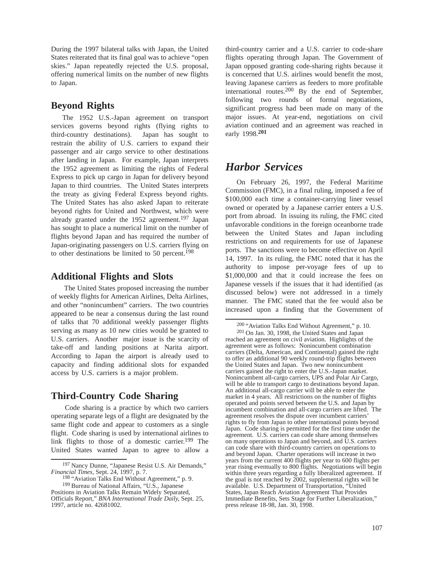During the 1997 bilateral talks with Japan, the United States reiterated that its final goal was to achieve "open skies." Japan repeatedly rejected the U.S. proposal, offering numerical limits on the number of new flights to Japan.

#### **Beyond Rights**

The 1952 U.S.-Japan agreement on transport services governs beyond rights (flying rights to third-country destinations). Japan has sought to restrain the ability of U.S. carriers to expand their passenger and air cargo service to other destinations after landing in Japan. For example, Japan interprets the 1952 agreement as limiting the rights of Federal Express to pick up cargo in Japan for delivery beyond Japan to third countries. The United States interprets the treaty as giving Federal Express beyond rights. The United States has also asked Japan to reiterate beyond rights for United and Northwest, which were already granted under the 1952 agreement.<sup>197</sup> Japan has sought to place a numerical limit on the number of flights beyond Japan and has required the number of Japan-originating passengers on U.S. carriers flying on to other destinations be limited to 50 percent.198

#### **Additional Flights and Slots**

 The United States proposed increasing the number of weekly flights for American Airlines, Delta Airlines, and other "nonincumbent" carriers. The two countries appeared to be near a consensus during the last round of talks that 70 additional weekly passenger flights serving as many as 10 new cities would be granted to U.S. carriers. Another major issue is the scarcity of take-off and landing positions at Narita airport. According to Japan the airport is already used to capacity and finding additional slots for expanded access by U.S. carriers is a major problem.

#### **Third-Country Code Sharing**

 Code sharing is a practice by which two carriers operating separate legs of a flight are designated by the same flight code and appear to customers as a single flight. Code sharing is used by international airlines to link flights to those of a domestic carrier.199 The United States wanted Japan to agree to allow a

third-country carrier and a U.S. carrier to code-share flights operating through Japan. The Government of Japan opposed granting code-sharing rights because it is concerned that U.S. airlines would benefit the most, leaving Japanese carriers as feeders to more profitable international routes.<sup>200</sup> By the end of September, following two rounds of formal negotiations, significant progress had been made on many of the major issues. At year-end, negotiations on civil aviation continued and an agreement was reached in early 1998.**<sup>201</sup>**

## *Harbor Services*

On February 26, 1997, the Federal Maritime Commission (FMC), in a final ruling, imposed a fee of \$100,000 each time a container-carrying liner vessel owned or operated by a Japanese carrier enters a U.S. port from abroad. In issuing its ruling, the FMC cited unfavorable conditions in the foreign oceanborne trade between the United States and Japan including restrictions on and requirements for use of Japanese ports. The sanctions were to become effective on April 14, 1997. In its ruling, the FMC noted that it has the authority to impose per-voyage fees of up to \$1,000,000 and that it could increase the fees on Japanese vessels if the issues that it had identified (as discussed below) were not addressed in a timely manner. The FMC stated that the fee would also be increased upon a finding that the Government of

<sup>197</sup> Nancy Dunne, "Japanese Resist U.S. Air Demands," *Financial Times*, Sept. 24, 1997, p. 7.

<sup>198</sup> "Aviation Talks End Without Agreement," p. 9. <sup>199</sup> Bureau of National Affairs, "U.S., Japanese

Positions in Aviation Talks Remain Widely Separated,

Officials Report," *BNA International Trade Daily*, Sept. 25, 1997, article no. 42681002.

<sup>200</sup> "Aviation Talks End Without Agreement," p. 10. <sup>201</sup> On Jan. 30, 1998, the United States and Japan reached an agreement on civil aviation. Highlights of the agreement were as follows: Nonincumbent combination carriers (Delta, American, and Continental) gained the right to offer an additional 90 weekly round-trip flights between the United States and Japan. Two new nonincumbent carriers gained the right to enter the U.S.-Japan market. Nonincumbent all-cargo carriers, UPS and Polar Air Cargo, will be able to transport cargo to destinations beyond Japan. An additional all-cargo carrier will be able to enter the market in 4 years. All restrictions on the number of flights operated and points served between the U.S. and Japan by incumbent combination and all-cargo carriers are lifted. The agreement resolves the dispute over incumbent carriers' rights to fly from Japan to other international points beyond Japan. Code sharing is permitted for the first time under the agreement. U.S. carriers can code share among themselves on many operations to Japan and beyond, and U.S. carriers can code share with third-country carriers on operations to and beyond Japan. Charter operations will increase in two years from the current 400 flights per year to 600 flights per year rising eventually to 800 flights. Negotiations will begin within three years regarding a fully liberalized agreement. If the goal is not reached by 2002, supplemental rights will be available. U.S. Department of Transportation, "United States, Japan Reach Aviation Agreement That Provides Immediate Benefits, Sets Stage for Further Liberalization," press release 18-98, Jan. 30, 1998.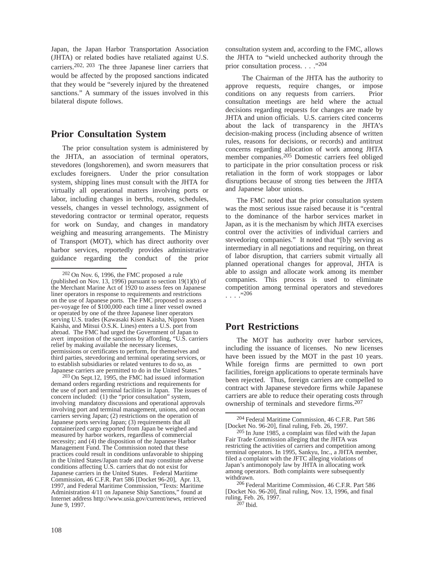Japan, the Japan Harbor Transportation Association (JHTA) or related bodies have retaliated against U.S. carriers.202, <sup>203</sup> The three Japanese liner carriers that would be affected by the proposed sanctions indicated that they would be "severely injured by the threatened sanctions." A summary of the issues involved in this bilateral dispute follows.

#### **Prior Consultation System**

The prior consultation system is administered by the JHTA, an association of terminal operators, stevedores (longshoremen), and sworn measurers that excludes foreigners. Under the prior consultation system, shipping lines must consult with the JHTA for virtually all operational matters involving ports or labor, including changes in berths, routes, schedules, vessels, changes in vessel technology, assignment of stevedoring contractor or terminal operator, requests for work on Sunday, and changes in mandatory weighing and measuring arrangements. The Ministry of Transport (MOT), which has direct authority over harbor services, reportedly provides administrative guidance regarding the conduct of the prior

<sup>203</sup> On Sept.12, 1995, the FMC had issued information demand orders regarding restrictions and requirements for the use of port and terminal facilities in Japan. The issues of concern included: (1) the "prior consultation" system, involving mandatory discussions and operational approvals involving port and terminal management, unions, and ocean carriers serving Japan; (2) restrictions on the operation of Japanese ports serving Japan; (3) requirements that all containerized cargo exported from Japan be weighed and measured by harbor workers, regardless of commercial necessity; and (4) the disposition of the Japanese Harbor Management Fund. The Commission noted that these practices could result in conditions unfavorable to shipping in the United States/Japan trade and may constitute adverse conditions affecting U.S. carriers that do not exist for Japanese carriers in the United States. Federal Maritime Commission, 46 C.F.R. Part 586 [Docket 96-20], Apr. 13, 1997, and Federal Maritime Commission, "Texts: Maritime Administration 4/11 on Japanese Ship Sanctions," found at Internet address http://www.usia.gov/current/news, retrieved June 9, 1997.

consultation system and, according to the FMC, allows the JHTA to "wield unchecked authority through the prior consultation process. . . ."204

 The Chairman of the JHTA has the authority to approve requests, require changes, or impose conditions on any requests from carriers. Prior consultation meetings are held where the actual decisions regarding requests for changes are made by JHTA and union officials. U.S. carriers cited concerns about the lack of transparency in the JHTA's decision-making process (including absence of written rules, reasons for decisions, or records) and antitrust concerns regarding allocation of work among JHTA member companies.205 Domestic carriers feel obliged to participate in the prior consultation process or risk retaliation in the form of work stoppages or labor disruptions because of strong ties between the JHTA and Japanese labor unions.

The FMC noted that the prior consultation system was the most serious issue raised because it is "central to the dominance of the harbor services market in Japan, as it is the mechanism by which JHTA exercises control over the activities of individual carriers and stevedoring companies." It noted that "[b]y serving as intermediary in all negotiations and requiring, on threat of labor disruption, that carriers submit virtually all planned operational changes for approval, JHTA is able to assign and allocate work among its member companies. This process is used to eliminate competition among terminal operators and stevedores . . . ."206

#### **Port Restrictions**

The MOT has authority over harbor services, including the issuance of licenses. No new licenses have been issued by the MOT in the past 10 years. While foreign firms are permitted to own port facilities, foreign applications to operate terminals have been rejected. Thus, foreign carriers are compelled to contract with Japanese stevedore firms while Japanese carriers are able to reduce their operating costs through ownership of terminals and stevedore firms.207

<sup>207</sup> Ibid.

 $202$  On Nov. 6, 1996, the FMC proposed a rule (published on Nov. 13, 1996) pursuant to section 19(1)(b) of the Merchant Marine Act of 1920 to assess fees on Japanese liner operators in response to requirements and restrictions on the use of Japanese ports. The FMC proposed to assess a per-voyage fee of \$100,000 each time a liner vessel owned or operated by one of the three Japanese liner operators serving U.S. trades (Kawasaki Kisen Kaisha, Nippon Yusen Kaisha, and Mitsui O.S.K. Lines) enters a U.S. port from abroad. The FMC had urged the Government of Japan to avert imposition of the sanctions by affording, "U.S. carriers relief by making available the necessary licenses, permissions or certificates to perform, for themselves and third parties, stevedoring and terminal operating services, or to establish subsidiaries or related ventures to do so, as Japanese carriers are permitted to do in the United States."

<sup>&</sup>lt;sup>204</sup> Federal Maritime Commission, 46 C.F.R. Part 586 [Docket No. 96-20], final ruling, Feb. 26, 1997.

<sup>205</sup> In June 1985, a complaint was filed with the Japan Fair Trade Commission alleging that the JHTA was restricting the activities of carriers and competition among terminal operators. In 1995, Sankyu, Inc., a JHTA member, filed a complaint with the JFTC alleging violations of Japan's antimonopoly law by JHTA in allocating work among operators. Both complaints were subsequently withdrawn.

<sup>206</sup> Federal Maritime Commission, 46 C.F.R. Part 586 [Docket No. 96-20], final ruling, Nov. 13, 1996, and final ruling, Feb. 26, 1997.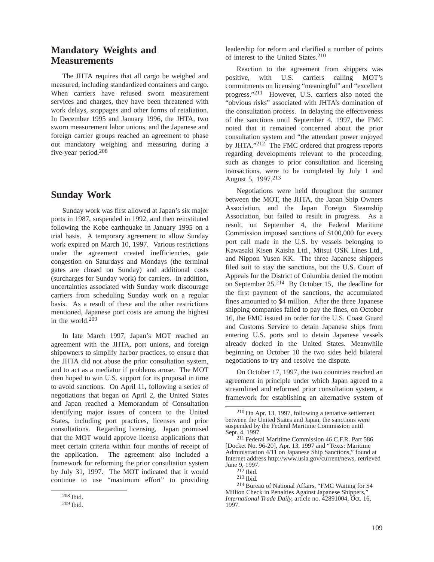#### **Mandatory Weights and Measurements**

The JHTA requires that all cargo be weighed and measured, including standardized containers and cargo. When carriers have refused sworn measurement services and charges, they have been threatened with work delays, stoppages and other forms of retaliation. In December 1995 and January 1996, the JHTA, two sworn measurement labor unions, and the Japanese and foreign carrier groups reached an agreement to phase out mandatory weighing and measuring during a five-year period.208

### **Sunday Work**

Sunday work was first allowed at Japan's six major ports in 1987, suspended in 1992, and then reinstituted following the Kobe earthquake in January 1995 on a trial basis. A temporary agreement to allow Sunday work expired on March 10, 1997. Various restrictions under the agreement created inefficiencies, gate congestion on Saturdays and Mondays (the terminal gates are closed on Sunday) and additional costs (surcharges for Sunday work) for carriers. In addition, uncertainties associated with Sunday work discourage carriers from scheduling Sunday work on a regular basis. As a result of these and the other restrictions mentioned, Japanese port costs are among the highest in the world.209

In late March 1997, Japan's MOT reached an agreement with the JHTA, port unions, and foreign shipowners to simplify harbor practices, to ensure that the JHTA did not abuse the prior consultation system, and to act as a mediator if problems arose. The MOT then hoped to win U.S. support for its proposal in time to avoid sanctions. On April 11, following a series of negotiations that began on April 2, the United States and Japan reached a Memorandum of Consultation identifying major issues of concern to the United States, including port practices, licenses and prior consultations. Regarding licensing, Japan promised that the MOT would approve license applications that meet certain criteria within four months of receipt of the application. The agreement also included a framework for reforming the prior consultation system by July 31, 1997. The MOT indicated that it would continue to use "maximum effort" to providing

leadership for reform and clarified a number of points of interest to the United States.210

Reaction to the agreement from shippers was positive, with U.S. carriers calling MOT's commitments on licensing "meaningful" and "excellent progress."211 However, U.S. carriers also noted the "obvious risks" associated with JHTA's domination of the consultation process. In delaying the effectiveness of the sanctions until September 4, 1997, the FMC noted that it remained concerned about the prior consultation system and "the attendant power enjoyed by JHTA."212 The FMC ordered that progress reports regarding developments relevant to the proceeding, such as changes to prior consultation and licensing transactions, were to be completed by July 1 and August 5, 1997.213

Negotiations were held throughout the summer between the MOT, the JHTA, the Japan Ship Owners Association, and the Japan Foreign Steamship Association, but failed to result in progress. As a result, on September 4, the Federal Maritime Commission imposed sanctions of \$100,000 for every port call made in the U.S. by vessels belonging to Kawasaki Kisen Kaisha Ltd., Mitsui OSK Lines Ltd., and Nippon Yusen KK. The three Japanese shippers filed suit to stay the sanctions, but the U.S. Court of Appeals for the District of Columbia denied the motion on September 25.214 By October 15, the deadline for the first payment of the sanctions, the accumulated fines amounted to \$4 million. After the three Japanese shipping companies failed to pay the fines, on October 16, the FMC issued an order for the U.S. Coast Guard and Customs Service to detain Japanese ships from entering U.S. ports and to detain Japanese vessels already docked in the United States. Meanwhile beginning on October 10 the two sides held bilateral negotiations to try and resolve the dispute.

On October 17, 1997, the two countries reached an agreement in principle under which Japan agreed to a streamlined and reformed prior consultation system, a framework for establishing an alternative system of

<sup>208</sup> Ibid.

<sup>209</sup> Ibid.

<sup>210</sup> On Apr. 13, 1997, following a tentative settlement between the United States and Japan, the sanctions were suspended by the Federal Maritime Commission until Sept. 4, 1997.

<sup>211</sup> Federal Maritime Commission 46 C.F.R. Part 586 [Docket No. 96-20], Apr. 13, 1997 and "Texts: Maritime Administration 4/11 on Japanese Ship Sanctions," found at Internet address http://www.usia.gov/current/news, retrieved June 9, 1997.

<sup>212</sup> Ibid.

<sup>213</sup> Ibid.

<sup>214</sup> Bureau of National Affairs, "FMC Waiting for \$4 Million Check in Penalties Against Japanese Shippers,' *International Trade Daily*, article no. 42891004, Oct. 16, 1997.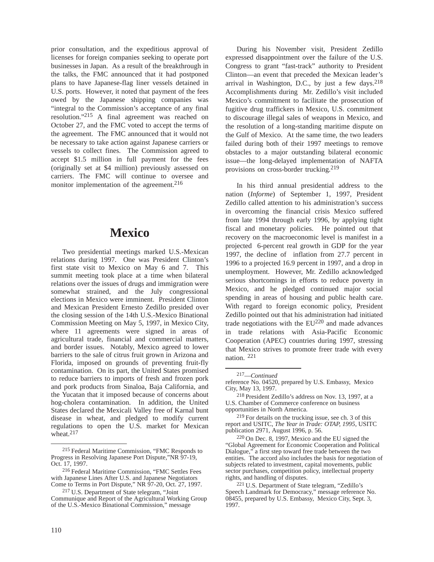prior consultation, and the expeditious approval of licenses for foreign companies seeking to operate port businesses in Japan. As a result of the breakthrough in the talks, the FMC announced that it had postponed plans to have Japanese-flag liner vessels detained in U.S. ports. However, it noted that payment of the fees owed by the Japanese shipping companies was "integral to the Commission's acceptance of any final resolution."215 A final agreement was reached on October 27, and the FMC voted to accept the terms of the agreement. The FMC announced that it would not be necessary to take action against Japanese carriers or vessels to collect fines. The Commission agreed to accept \$1.5 million in full payment for the fees (originally set at \$4 million) previously assessed on carriers. The FMC will continue to oversee and monitor implementation of the agreement.<sup>216</sup>

## **Mexico**

Two presidential meetings marked U.S.-Mexican relations during 1997. One was President Clinton's first state visit to Mexico on May 6 and 7. This summit meeting took place at a time when bilateral relations over the issues of drugs and immigration were somewhat strained, and the July congressional elections in Mexico were imminent. President Clinton and Mexican President Ernesto Zedillo presided over the closing session of the 14th U.S.-Mexico Binational Commission Meeting on May 5, 1997, in Mexico City, where 11 agreements were signed in areas of agricultural trade, financial and commercial matters, and border issues. Notably, Mexico agreed to lower barriers to the sale of citrus fruit grown in Arizona and Florida, imposed on grounds of preventing fruit-fly contamination. On its part, the United States promised to reduce barriers to imports of fresh and frozen pork and pork products from Sinaloa, Baja California, and the Yucatan that it imposed because of concerns about hog-cholera contamination. In addition, the United States declared the Mexicali Valley free of Karnal bunt disease in wheat, and pledged to modify current regulations to open the U.S. market for Mexican wheat.217

During his November visit, President Zedillo expressed disappointment over the failure of the U.S. Congress to grant "fast-track" authority to President Clinton—an event that preceded the Mexican leader's arrival in Washington, D.C., by just a few days.  $218$ Accomplishments during Mr. Zedillo's visit included Mexico's commitment to facilitate the prosecution of fugitive drug traffickers in Mexico, U.S. commitment to discourage illegal sales of weapons in Mexico, and the resolution of a long-standing maritime dispute on the Gulf of Mexico. At the same time, the two leaders failed during both of their 1997 meetings to remove obstacles to a major outstanding bilateral economic issue—the long-delayed implementation of NAFTA provisions on cross-border trucking.219

In his third annual presidential address to the nation (*Informe*) of September 1, 1997, President Zedillo called attention to his administration's success in overcoming the financial crisis Mexico suffered from late 1994 through early 1996, by applying tight fiscal and monetary policies. He pointed out that recovery on the macroeconomic level is manifest in a projected 6-percent real growth in GDP for the year 1997, the decline of inflation from 27.7 percent in 1996 to a projected 16.9 percent in 1997, and a drop in unemployment. However, Mr. Zedillo acknowledged serious shortcomings in efforts to reduce poverty in Mexico, and he pledged continued major social spending in areas of housing and public health care. With regard to foreign economic policy, President Zedillo pointed out that his administration had initiated trade negotiations with the  $EU^{220}$  and made advances in trade relations with Asia-Pacific Economic Cooperation (APEC) countries during 1997, stressing that Mexico strives to promote freer trade with every nation. <sup>221</sup>

<sup>215</sup> Federal Maritime Commission, "FMC Responds to Progress in Resolving Japanese Port Dispute,"NR 97-19, Oct. 17, 1997.

<sup>216</sup> Federal Maritime Commission, "FMC Settles Fees with Japanese Lines After U.S. and Japanese Negotiators Come to Terms in Port Dispute," NR 97-20, Oct. 27, 1997.

<sup>217</sup> U.S. Department of State telegram, "Joint Communique and Report of the Agricultural Working Group of the U.S.-Mexico Binational Commission," message

<sup>217—</sup>*Continued*

reference No. 04520, prepared by U.S. Embassy, Mexico City, May 13, 1997.

<sup>218</sup> President Zedillo's address on Nov. 13, 1997, at a U.S. Chamber of Commerce conference on business opportunities in North America.

<sup>219</sup> For details on the trucking issue, see ch. 3 of this report and USITC, *The Year in Trade: OTAP, 1995*, USITC publication 2971, August 1996, p. 56.

 $220$  On Dec. 8, 1997, Mexico and the EU signed the "Global Agreement for Economic Cooperation and Political Dialogue," a first step toward free trade between the two entities. The accord also includes the basis for negotiation of subjects related to investment, capital movements, public sector purchases, competition policy, intellectual property rights, and handling of disputes.

<sup>221</sup> U.S. Department of State telegram, "Zedillo's Speech Landmark for Democracy," message reference No. 08455, prepared by U.S. Embassy, Mexico City, Sept. 3, 1997.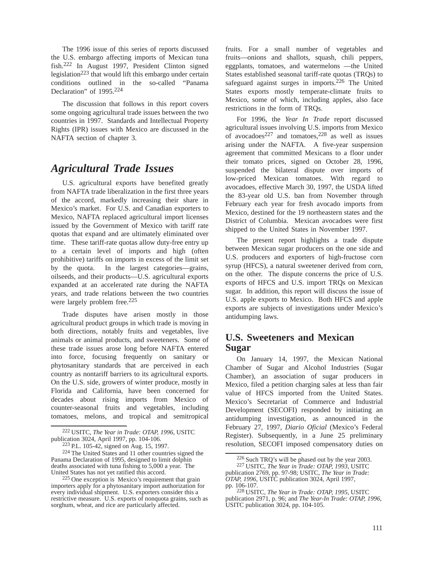The 1996 issue of this series of reports discussed the U.S. embargo affecting imports of Mexican tuna fish.222 In August 1997, President Clinton signed legislation<sup>223</sup> that would lift this embargo under certain conditions outlined in the so-called "Panama Declaration" of 1995.224

The discussion that follows in this report covers some ongoing agricultural trade issues between the two countries in 1997. Standards and Intellectual Property Rights (IPR) issues with Mexico are discussed in the NAFTA section of chapter 3.

## *Agricultural Trade Issues*

U.S. agricultural exports have benefited greatly from NAFTA trade liberalization in the first three years of the accord, markedly increasing their share in Mexico's market. For U.S. and Canadian exporters to Mexico, NAFTA replaced agricultural import licenses issued by the Government of Mexico with tariff rate quotas that expand and are ultimately eliminated over time. These tariff-rate quotas allow duty-free entry up to a certain level of imports and high (often prohibitive) tariffs on imports in excess of the limit set by the quota. In the largest categories—grains, oilseeds, and their products—U.S. agricultural exports expanded at an accelerated rate during the NAFTA years, and trade relations between the two countries were largely problem free.<sup>225</sup>

Trade disputes have arisen mostly in those agricultural product groups in which trade is moving in both directions, notably fruits and vegetables, live animals or animal products, and sweeteners. Some of these trade issues arose long before NAFTA entered into force, focusing frequently on sanitary or phytosanitary standards that are perceived in each country as nontariff barriers to its agricultural exports. On the U.S. side, growers of winter produce, mostly in Florida and California, have been concerned for decades about rising imports from Mexico of counter-seasonal fruits and vegetables, including tomatoes, melons, and tropical and semitropical

fruits. For a small number of vegetables and fruits—onions and shallots, squash, chili peppers, eggplants, tomatoes, and watermelons —the United States established seasonal tariff-rate quotas (TRQs) to safeguard against surges in imports.<sup>226</sup> The United States exports mostly temperate-climate fruits to Mexico, some of which, including apples, also face restrictions in the form of TRQs.

For 1996, the *Year In Trade* report discussed agricultural issues involving U.S. imports from Mexico of avocadoes<sup>227</sup> and tomatoes,<sup>228</sup> as well as issues arising under the NAFTA. A five-year suspension agreement that committed Mexicans to a floor under their tomato prices, signed on October 28, 1996, suspended the bilateral dispute over imports of low-priced Mexican tomatoes. With regard to avocadoes, effective March 30, 1997, the USDA lifted the 83-year old U.S. ban from November through February each year for fresh avocado imports from Mexico, destined for the 19 northeastern states and the District of Columbia. Mexican avocadoes were first shipped to the United States in November 1997.

The present report highlights a trade dispute between Mexican sugar producers on the one side and U.S. producers and exporters of high-fructose corn syrup (HFCS), a natural sweetener derived from corn, on the other. The dispute concerns the price of U.S. exports of HFCS and U.S. import TRQs on Mexican sugar. In addition, this report will discuss the issue of U.S. apple exports to Mexico. Both HFCS and apple exports are subjects of investigations under Mexico's antidumping laws.

#### **U.S. Sweeteners and Mexican Sugar**

On January 14, 1997, the Mexican National Chamber of Sugar and Alcohol Industries (Sugar Chamber), an association of sugar producers in Mexico, filed a petition charging sales at less than fair value of HFCS imported from the United States. Mexico's Secretariat of Commerce and Industrial Development (SECOFI) responded by initiating an antidumping investigation, as announced in the February 27, 1997, *Diario Oficial* (Mexico's Federal Register). Subsequently, in a June 25 preliminary resolution, SECOFI imposed compensatory duties on

<sup>222</sup> USITC, *The Year in Trade: OTAP, 1996*, USITC publication 3024, April 1997, pp. 104-106.

<sup>223</sup> P.L. 105-42, signed on Aug. 15, 1997.

<sup>224</sup> The United States and 11 other countries signed the Panama Declaration of 1995, designed to limit dolphin deaths associated with tuna fishing to 5,000 a year. The United States has not yet ratified this accord.

<sup>225</sup> One exception is Mexico's requirement that grain importers apply for a phytosanitary import authorization for every individual shipment. U.S. exporters consider this a restrictive measure. U.S. exports of nonquota grains, such as sorghum, wheat, and rice are particularly affected.

 $226$  Such TRO's will be phased out by the year 2003.

<sup>227</sup> USITC, *The Year in Trade: OTAP, 1993*, USITC publication 2769, pp. 97-98; USITC, *The Year in Trade: OTAP, 1996*, USITC publication 3024, April 1997, pp. 106-107.

<sup>228</sup> USITC, *The Year in Trade: OTAP, 1995*, USITC publication 2971, p. 96; and *The Year-In Trade: OTAP, 1996*, USITC publication 3024, pp. 104-105.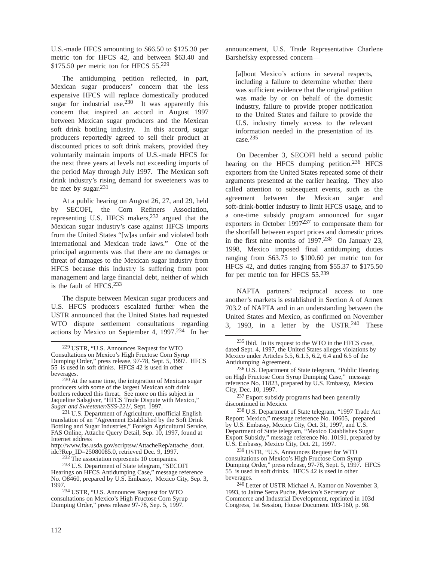U.S.-made HFCS amounting to \$66.50 to \$125.30 per metric ton for HFCS 42, and between \$63.40 and \$175.50 per metric ton for HFCS 55.229

The antidumping petition reflected, in part, Mexican sugar producers' concern that the less expensive HFCS will replace domestically produced sugar for industrial use.<sup>230</sup> It was apparently this concern that inspired an accord in August 1997 between Mexican sugar producers and the Mexican soft drink bottling industry. In this accord, sugar producers reportedly agreed to sell their product at discounted prices to soft drink makers, provided they voluntarily maintain imports of U.S.-made HFCS for the next three years at levels not exceeding imports of the period May through July 1997. The Mexican soft drink industry's rising demand for sweeteners was to be met by sugar.231

At a public hearing on August 26, 27, and 29, held by SECOFI, the Corn Refiners Association, representing U.S. HFCS makers,232 argued that the Mexican sugar industry's case against HFCS imports from the United States "[w]as unfair and violated both international and Mexican trade laws." One of the principal arguments was that there are no damages or threat of damages to the Mexican sugar industry from HFCS because this industry is suffering from poor management and large financial debt, neither of which is the fault of HFCS.233

The dispute between Mexican sugar producers and U.S. HFCS producers escalated further when the USTR announced that the United States had requested WTO dispute settlement consultations regarding actions by Mexico on September 4, 1997.234 In her

http://www.fas.usda.gov/scriptsw/AttacheRep/attache\_dout. idc?Rep\_ID=25080085.0, retrieved Dec. 9, 1997.

 $232$  The association represents 10 companies.

announcement, U.S. Trade Representative Charlene Barshefsky expressed concern—

[a]bout Mexico's actions in several respects, including a failure to determine whether there was sufficient evidence that the original petition was made by or on behalf of the domestic industry, failure to provide proper notification to the United States and failure to provide the U.S. industry timely access to the relevant information needed in the presentation of its  $case.235$ 

On December 3, SECOFI held a second public hearing on the HFCS dumping petition.<sup>236</sup> HFCS exporters from the United States repeated some of their arguments presented at the earlier hearing. They also called attention to subsequent events, such as the agreement between the Mexican sugar and soft-drink-bottler industry to limit HFCS usage, and to a one-time subsidy program announced for sugar exporters in October 1997237 to compensate them for the shortfall between export prices and domestic prices in the first nine months of  $1997.238$  On January 23, 1998, Mexico imposed final antidumping duties ranging from \$63.75 to \$100.60 per metric ton for HFCS 42, and duties ranging from \$55.37 to \$175.50 for per metric ton for HFCS 55.<sup>239</sup>

NAFTA partners' reciprocal access to one another's markets is established in Section A of Annex 703.2 of NAFTA and in an understanding between the United States and Mexico, as confirmed on November 3, 1993, in a letter by the USTR. $240$  These

<sup>237</sup> Export subsidy programs had been generally discontinued in Mexico.

<sup>238</sup> U.S. Department of State telegram, "1997 Trade Act Report: Mexico," message reference No. 10605, prepared by U.S. Embassy, Mexico City, Oct. 31, 1997, and U.S. Department of State telegram, "Mexico Establishes Sugar Export Subsidy," message reference No. 10191, prepared by U.S. Embassy, Mexico City, Oct. 21, 1997.

<sup>239</sup> USTR, "U.S. Announces Request for WTO consultations on Mexico's High Fructose Corn Syrup Dumping Order," press release, 97-78, Sept. 5, 1997. HFCS 55 is used in soft drinks. HFCS 42 is used in other beverages.

<sup>240</sup> Letter of USTR Michael A. Kantor on November 3, 1993, to Jaime Serra Puche, Mexico's Secretary of Commerce and Industrial Development, reprinted in 103d Congress, 1st Session, House Document 103-160, p. 98.

<sup>229</sup> USTR, "U.S. Announces Request for WTO Consultations on Mexico's High Fructose Corn Syrup Dumping Order," press release, 97-78, Sept. 5, 1997. HFCS 55 is used in soft drinks. HFCS 42 is used in other beverages.

 $230$  At the same time, the integration of Mexican sugar producers with some of the largest Mexican soft drink bottlers reduced this threat. See more on this subject in Jaqueline Salsgiver, "HFCS Trade Dispute with Mexico," *Sugar and Sweetener/SSS-221/,* Sept. 1997.

<sup>231</sup> U.S. Department of Agriculture, unofficial English translation of an "Agreement Established by the Soft Drink Bottling and Sugar Industries," Foreign Agricultural Service, FAS Online, Attache Query Detail, Sep. 10, 1997, found at Internet address

<sup>233</sup> U.S. Department of State telegram, "SECOFI

Hearings on HFCS Antidumping Case," message reference No. O8460, prepared by U.S. Embassy, Mexico City, Sep. 3, 1997.

<sup>234</sup> USTR, "U.S. Announces Request for WTO consultations on Mexico's High Fructose Corn Syrup Dumping Order," press release 97-78*,* Sep. 5, 1997.

<sup>235</sup> Ibid. In its request to the WTO in the HFCS case, dated Sept. 4, 1997, the United States alleges violations by Mexico under Articles 5.5, 6.1.3, 6.2, 6.4 and 6.5 of the Antidumping Agreement.

<sup>236</sup> U.S. Department of State telegram, "Public Hearing on High Fructose Corn Syrup Dumping Case," message reference No. 11823, prepared by U.S. Embassy, Mexico City, Dec. 10, 1997.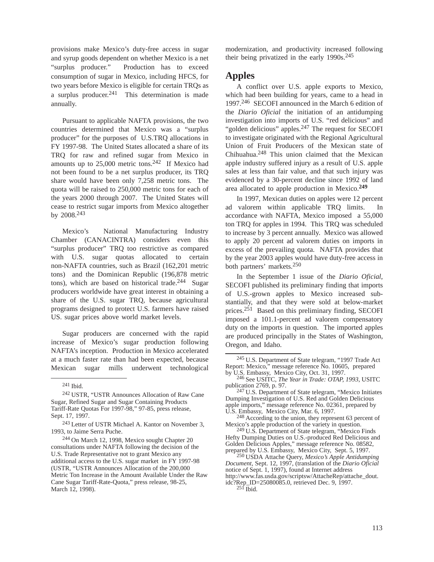provisions make Mexico's duty-free access in sugar and syrup goods dependent on whether Mexico is a net "surplus producer." Production has to exceed consumption of sugar in Mexico, including HFCS, for two years before Mexico is eligible for certain TRQs as a surplus producer.<sup>241</sup> This determination is made annually.

Pursuant to applicable NAFTA provisions, the two countries determined that Mexico was a "surplus producer" for the purposes of U.S.TRQ allocations in FY 1997-98. The United States allocated a share of its TRQ for raw and refined sugar from Mexico in amounts up to 25,000 metric tons.<sup>242</sup> If Mexico had not been found to be a net surplus producer, its TRQ share would have been only 7,258 metric tons. The quota will be raised to 250,000 metric tons for each of the years 2000 through 2007. The United States will cease to restrict sugar imports from Mexico altogether by 2008.243

Mexico's National Manufacturing Industry Chamber (CANACINTRA) considers even this "surplus producer" TRQ too restrictive as compared with U.S. sugar quotas allocated to certain non-NAFTA countries, such as Brazil (162,201 metric tons) and the Dominican Republic (196,878 metric tons), which are based on historical trade.<sup>244</sup> Sugar producers worldwide have great interest in obtaining a share of the U.S. sugar TRQ, because agricultural programs designed to protect U.S. farmers have raised US. sugar prices above world market levels.

Sugar producers are concerned with the rapid increase of Mexico's sugar production following NAFTA's inception. Production in Mexico accelerated at a much faster rate than had been expected, because Mexican sugar mills underwent technological modernization, and productivity increased following their being privatized in the early 1990s.245

#### **Apples**

A conflict over U.S. apple exports to Mexico, which had been building for years, came to a head in 1997.246 SECOFI announced in the March 6 edition of the *Diario Oficial* the initiation of an antidumping investigation into imports of U.S. "red delicious" and "golden delicious" apples.<sup>247</sup> The request for SECOFI to investigate originated with the Regional Agricultural Union of Fruit Producers of the Mexican state of Chihuahua.248 This union claimed that the Mexican apple industry suffered injury as a result of U.S. apple sales at less than fair value, and that such injury was evidenced by a 30-percent decline since 1992 of land area allocated to apple production in Mexico.**<sup>249</sup>**

In 1997, Mexican duties on apples were 12 percent ad valorem within applicable TRQ limits. In accordance with NAFTA, Mexico imposed a 55,000 ton TRQ for apples in 1994. This TRQ was scheduled to increase by 3 percent annually. Mexico was allowed to apply 20 percent ad valorem duties on imports in excess of the prevailing quota. NAFTA provides that by the year 2003 apples would have duty-free access in both partners' markets.250

In the September 1 issue of the *Diario Oficial*, SECOFI published its preliminary finding that imports of U.S.-grown apples to Mexico increased substantially, and that they were sold at below-market prices.251 Based on this preliminary finding, SECOFI imposed a 101.1-percent ad valorem compensatory duty on the imports in question. The imported apples are produced principally in the States of Washington, Oregon, and Idaho.

<sup>241</sup> Ibid.

<sup>242</sup> USTR, "USTR Announces Allocation of Raw Cane Sugar, Refined Sugar and Sugar Containing Products Tariff-Rate Quotas For 1997-98," 97-85, press release*,* Sept. 17, 1997.

<sup>243</sup> Letter of USTR Michael A. Kantor on November 3, 1993, to Jaime Serra Puche.

<sup>244</sup> On March 12, 1998, Mexico sought Chapter 20 consultations under NAFTA following the decision of the U.S. Trade Representative not to grant Mexico any additional access to the U.S. sugar market in FY 1997-98 (USTR, "USTR Announces Allocation of the 200,000 Metric Ton Increase in the Amount Available Under the Raw Cane Sugar Tariff-Rate-Quota," press release, 98-25, March 12, 1998).

<sup>245</sup> U.S. Department of State telegram, "1997 Trade Act Report: Mexico," message reference No. 10605, prepared by U.S. Embassy, Mexico City, Oct. 31, 1997.

<sup>&</sup>lt;sup>246</sup> See USITC, *The Year in Trade: OTAP, 1993*, USITC publication 2769, p. 97.

<sup>&</sup>lt;sup>247</sup> U.S. Department of State telegram, "Mexico Initiates Dumping Investigation of U.S. Red and Golden Delicious apple imports," message reference No. 02361, prepared by U.S. Embassy, Mexico City, Mar. 6, 1997.<br><sup>248</sup> According to the union, they represent 63 percent of

Mexico's apple production of the variety in question.<br><sup>249</sup> U.S. Department of State telegram, "Mexico Finds

Hefty Dumping Duties on U.S.-produced Red Delicious and Golden Delicious Apples," message reference No. 08582, prepared by U.S. Embassy, Mexico City, Sept. 5, 1997. <sup>250</sup> USDA Attache Query, *Mexico's Apple Antidumping*

*Document,* Sept. 12, 1997, (translation of the *Diario Oficial* notice of Sept. 1, 1997), found at Internet address http://www.fas.usda.gov/scriptsw/AttacheRep/attache\_dout. idc?Rep\_ID=25080085.0, retrieved Dec. 9, 1997. <sup>251</sup> Ibid.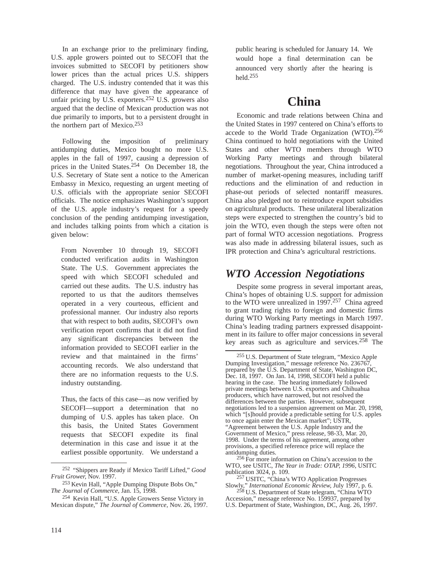In an exchange prior to the preliminary finding, U.S. apple growers pointed out to SECOFI that the invoices submitted to SECOFI by petitioners show lower prices than the actual prices U.S. shippers charged. The U.S. industry contended that it was this difference that may have given the appearance of unfair pricing by U.S. exporters.<sup>252</sup> U.S. growers also argued that the decline of Mexican production was not due primarily to imports, but to a persistent drought in the northern part of Mexico.253

Following the imposition of preliminary antidumping duties, Mexico bought no more U.S. apples in the fall of 1997, causing a depression of prices in the United States.254 On December 18, the U.S. Secretary of State sent a notice to the American Embassy in Mexico, requesting an urgent meeting of U.S. officials with the appropriate senior SECOFI officials. The notice emphasizes Washington's support of the U.S. apple industry's request for a speedy conclusion of the pending antidumping investigation, and includes talking points from which a citation is given below:

From November 10 through 19, SECOFI conducted verification audits in Washington State. The U.S. Government appreciates the speed with which SECOFI scheduled and carried out these audits. The U.S. industry has reported to us that the auditors themselves operated in a very courteous, efficient and professional manner. Our industry also reports that with respect to both audits, SECOFI's own verification report confirms that it did not find any significant discrepancies between the information provided to SECOFI earlier in the review and that maintained in the firms' accounting records. We also understand that there are no information requests to the U.S. industry outstanding.

Thus, the facts of this case—as now verified by SECOFI—support a determination that no dumping of U.S. apples has taken place. On this basis, the United States Government requests that SECOFI expedite its final determination in this case and issue it at the earliest possible opportunity. We understand a public hearing is scheduled for January 14. We would hope a final determination can be announced very shortly after the hearing is held. $255$ 

## **China**

Economic and trade relations between China and the United States in 1997 centered on China's efforts to accede to the World Trade Organization (WTO).256 China continued to hold negotiations with the United States and other WTO members through WTO Working Party meetings and through bilateral negotiations. Throughout the year, China introduced a number of market-opening measures, including tariff reductions and the elimination of and reduction in phase-out periods of selected nontariff measures. China also pledged not to reintroduce export subsidies on agricultural products. These unilateral liberalization steps were expected to strengthen the country's bid to join the WTO, even though the steps were often not part of formal WTO accession negotiations. Progress was also made in addressing bilateral issues, such as IPR protection and China's agricultural restrictions.

## *WTO Accession Negotiations*

Despite some progress in several important areas, China's hopes of obtaining U.S. support for admission to the WTO were unrealized in 1997.257 China agreed to grant trading rights to foreign and domestic firms during WTO Working Party meetings in March 1997. China's leading trading partners expressed disappointment in its failure to offer major concessions in several key areas such as agriculture and services.<sup>258</sup> The

<sup>252 &</sup>quot;Shippers are Ready if Mexico Tariff Lifted," *Good Fruit Grower,* Nov. 1997.

<sup>253</sup> Kevin Hall, "Apple Dumping Dispute Bobs On," *The Journal of Commerce,* Jan. 15, 1998.

<sup>254</sup> Kevin Hall, "U.S. Apple Growers Sense Victory in Mexican dispute," *The Journal of Commerce,* Nov. 26, 1997.

<sup>255</sup> U.S. Department of State telegram, "Mexico Apple Dumping Investigation," message reference No. 236767, prepared by the U.S. Department of State, Washington DC, Dec. 18, 1997. On Jan. 14, 1998, SECOFI held a public hearing in the case. The hearing immediately followed private meetings between U.S. exporters and Chihuahua producers, which have narrowed, but not resolved the differences between the parties. However, subsequent negotiations led to a suspension agreement on Mar. 20, 1998, which "[s]hould provide a predictable setting for U.S. apples to once again enter the Mexican market"; USTR, "Agreement between the U.S. Apple Industry and the Government of Mexico," press release, 98-33, Mar. 20, 1998. Under the terms of his agreement, among other provisions, a specified reference price will replace the antidumping duties.

<sup>&</sup>lt;sup>256</sup> For more information on China's accession to the WTO, see USITC, *The Year in Trade: OTAP, 1996*, USITC publication 3024, p. 109.

<sup>&</sup>lt;sup>257</sup> USITC, "China's WTO Application Progresses Slowly," *International Economic Review*, July 1997, p. 6.

<sup>&</sup>lt;sup>258</sup> U.S. Department of State telegram, "China WTO Accession," message reference No. 159937, prepared by U.S. Department of State, Washington, DC, Aug. 26, 1997.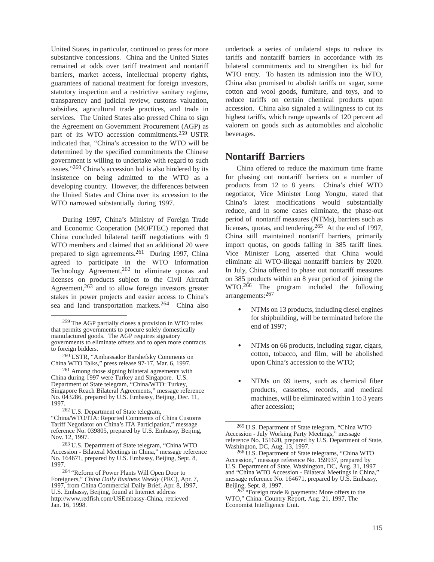United States, in particular, continued to press for more substantive concessions. China and the United States remained at odds over tariff treatment and nontariff barriers, market access, intellectual property rights, guarantees of national treatment for foreign investors, statutory inspection and a restrictive sanitary regime, transparency and judicial review, customs valuation, subsidies, agricultural trade practices, and trade in services. The United States also pressed China to sign the Agreement on Government Procurement (AGP) as part of its WTO accession commitments.259 USTR indicated that, "China's accession to the WTO will be determined by the specified commitments the Chinese government is willing to undertake with regard to such issues."260 China's accession bid is also hindered by its insistence on being admitted to the WTO as a developing country. However, the differences between the United States and China over its accession to the WTO narrowed substantially during 1997.

During 1997, China's Ministry of Foreign Trade and Economic Cooperation (MOFTEC) reported that China concluded bilateral tariff negotiations with 9 WTO members and claimed that an additional 20 were prepared to sign agreements.261 During 1997, China agreed to participate in the WTO Information Technology Agreement,262 to eliminate quotas and licenses on products subject to the Civil Aircraft Agreement,  $263$  and to allow foreign investors greater stakes in power projects and easier access to China's sea and land transportation markets.264 China also

<sup>261</sup> Among those signing bilateral agreements with China during 1997 were Turkey and Singapore. U.S. Department of State telegram, "China/WTO: Turkey, Singapore Reach Bilateral Agreements," message reference No. 043286, prepared by U.S. Embassy, Beijing, Dec. 11, 1997.

<sup>262</sup> U.S. Department of State telegram, "China/WTO/ITA: Reported Comments of China Customs Tariff Negotiator on China's ITA Participation," message reference No. 039805, prepared by U.S. Embassy, Beijing, Nov. 12, 1997.

undertook a series of unilateral steps to reduce its tariffs and nontariff barriers in accordance with its bilateral commitments and to strengthen its bid for WTO entry. To hasten its admission into the WTO, China also promised to abolish tariffs on sugar, some cotton and wool goods, furniture, and toys, and to reduce tariffs on certain chemical products upon accession. China also signaled a willingness to cut its highest tariffs, which range upwards of 120 percent ad valorem on goods such as automobiles and alcoholic beverages.

#### **Nontariff Barriers**

China offered to reduce the maximum time frame for phasing out nontariff barriers on a number of products from 12 to 8 years. China's chief WTO negotiator, Vice Minister Long Yongtu, stated that China's latest modifications would substantially reduce, and in some cases eliminate, the phase-out period of nontariff measures (NTMs), barriers such as licenses, quotas, and tendering.<sup>265</sup> At the end of 1997, China still maintained nontariff barriers, primarily import quotas, on goods falling in 385 tariff lines. Vice Minister Long asserted that China would eliminate all WTO-illegal nontariff barriers by 2020. In July, China offered to phase out nontariff measures on 385 products within an 8 year period of joining the WTO.266 The program included the following arrangements:267

- NTMs on 13 products, including diesel engines for shipbuilding, will be terminated before the end of 1997;
- $\bullet$  NTMs on 66 products, including sugar, cigars, cotton, tobacco, and film, will be abolished upon China's accession to the WTO;
- NTMs on 69 items, such as chemical fiber products, cassettes, records, and medical machines, will be eliminated within 1 to 3 years after accession;

<sup>259</sup> The AGP partially closes a provision in WTO rules that permits governments to procure solely domestically manufactured goods. The AGP requires signatory governments to eliminate offsets and to open more contracts to foreign bidders.

<sup>260</sup> USTR, "Ambassador Barshefsky Comments on China WTO Talks," press release 97-17, Mar. 6, 1997.

<sup>263</sup> U.S. Department of State telegram, "China WTO Accession - Bilateral Meetings in China," message reference No. 164671, prepared by U.S. Embassy, Beijing, Sept. 8, 1997.

<sup>264</sup> "Reform of Power Plants Will Open Door to Foreigners," *China Daily Business Weekly* (PRC), Apr. 7, 1997, from China Commercial Daily Brief, Apr. 8, 1997, U.S. Embassy, Beijing, found at Internet address http://www.redfish.com/USEmbassy-China, retrieved Jan. 16, 1998.

<sup>&</sup>lt;sup>265</sup> U.S. Department of State telegram, "China WTO Accession - July Working Party Meetings," message reference No. 151620, prepared by U.S. Department of State, Washington, DC, Aug. 13, 1997.

<sup>266</sup> U.S. Department of State telegrams, "China WTO Accession," message reference No. 159937, prepared by U.S. Department of State, Washington, DC, Aug. 31, 1997 and "China WTO Accession - Bilateral Meetings in China," message reference No. 164671, prepared by U.S. Embassy, Beijing, Sept. 8, 1997.

 $267$  "Foreign trade & payments: More offers to the WTO," China: Country Report, Aug. 21, 1997, The Economist Intelligence Unit.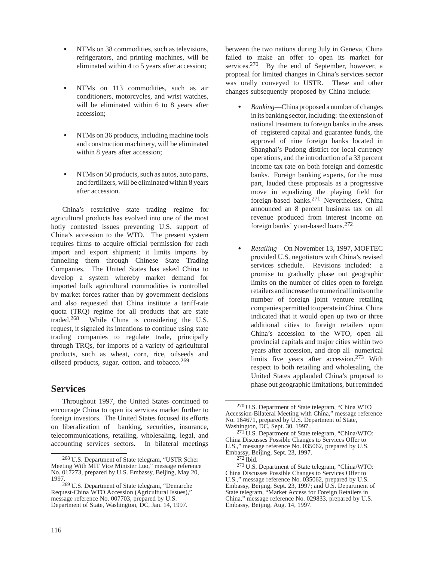- NTMs on 38 commodities, such as televisions, refrigerators, and printing machines, will be eliminated within 4 to 5 years after accession;
- NTMs on 113 commodities, such as air conditioners, motorcycles, and wrist watches, will be eliminated within 6 to 8 years after accession;
- NTMs on 36 products, including machine tools and construction machinery, will be eliminated within 8 years after accession;
- NTMs on 50 products, such as autos, auto parts, and fertilizers, will be eliminated within 8 years after accession.

China's restrictive state trading regime for agricultural products has evolved into one of the most hotly contested issues preventing U.S. support of China's accession to the WTO. The present system requires firms to acquire official permission for each import and export shipment; it limits imports by funneling them through Chinese State Trading Companies. The United States has asked China to develop a system whereby market demand for imported bulk agricultural commodities is controlled by market forces rather than by government decisions and also requested that China institute a tariff-rate quota (TRQ) regime for all products that are state traded.268 While China is considering the U.S. request, it signaled its intentions to continue using state trading companies to regulate trade, principally through TRQs, for imports of a variety of agricultural products, such as wheat, corn, rice, oilseeds and oilseed products, sugar, cotton, and tobacco.<sup>269</sup>

#### **Services**

Throughout 1997, the United States continued to encourage China to open its services market further to foreign investors. The United States focused its efforts on liberalization of banking, securities, insurance, telecommunications, retailing, wholesaling, legal, and accounting services sectors. In bilateral meetings

between the two nations during July in Geneva, China failed to make an offer to open its market for services.270By the end of September, however, a proposal for limited changes in China's services sector was orally conveyed to USTR. These and other changes subsequently proposed by China include:

- *Banking*—China proposed a number of changes in its banking sector, including: the extension of national treatment to foreign banks in the areas of registered capital and guarantee funds, the approval of nine foreign banks located in Shanghai's Pudong district for local currency operations, and the introduction of a 33 percent income tax rate on both foreign and domestic banks. Foreign banking experts, for the most part, lauded these proposals as a progressive move in equalizing the playing field for foreign-based banks.271 Nevertheless, China announced an 8 percent business tax on all revenue produced from interest income on foreign banks' yuan-based loans.272
- *Retailing*—On November 13, 1997, MOFTEC provided U.S. negotiators with China's revised services schedule. Revisions included: a promise to gradually phase out geographic limits on the number of cities open to foreign retailers and increase the numerical limits on the number of foreign joint venture retailing companies permitted to operate in China. China indicated that it would open up two or three additional cities to foreign retailers upon China's accession to the WTO, open all provincial capitals and major cities within two years after accession, and drop all numerical limits five years after accession.273 With respect to both retailing and wholesaling, the United States applauded China's proposal to phase out geographic limitations, but reminded

<sup>273</sup> U.S. Department of State telegram, "China/WTO: China Discusses Possible Changes to Services Offer to U.S.," message reference No. 035062, prepared by U.S. Embassy, Beijing, Sept. 23, 1997; and U.S. Department of State telegram, "Market Access for Foreign Retailers in China," message reference No. 029833, prepared by U.S. Embassy, Beijing, Aug. 14, 1997.

<sup>268</sup> U.S. Department of State telegram, "USTR Scher Meeting With MIT Vice Minister Luo," message reference No. 017273, prepared by U.S. Embassy, Beijing, May 20, 1997.

<sup>&</sup>lt;sup>269</sup> U.S. Department of State telegram, "Demarche Request-China WTO Accession (Agricultural Issues)," message reference No. 007703, prepared by U.S. Department of State, Washington, DC, Jan. 14, 1997.

<sup>270</sup> U.S. Department of State telegram, "China WTO Accession-Bilateral Meeting with China," message reference No. 164671, prepared by U.S. Department of State, Washington, DC, Sept. 30, 1997.

<sup>271</sup> U.S. Department of State telegram, "China/WTO: China Discusses Possible Changes to Services Offer to U.S.," message reference No. 035062, prepared by U.S. Embassy, Beijing, Sept. 23, 1997.

<sup>272</sup> Ibid.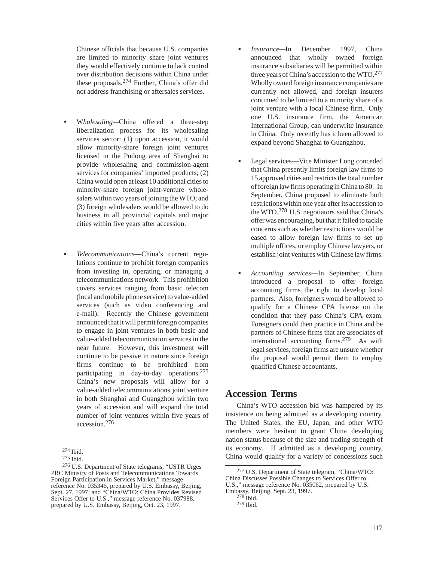Chinese officials that because U.S. companies are limited to minority–share joint ventures they would effectively continue to lack control over distribution decisions within China under these proposals.274 Further, China's offer did not address franchising or aftersales services.

- W*holesaling—*China offered a three-step liberalization process for its wholesaling services sector: (1) upon accession, it would allow minority-share foreign joint ventures licensed in the Pudong area of Shanghai to provide wholesaling and commission-agent services for companies' imported products; (2) China would open at least 10 additional cities to minority-share foreign joint-venture wholesalers within two years of joining the WTO; and (3) foreign wholesalers would be allowed to do business in all provincial capitals and major cities within five years after accession.
- *Telecommunications*—China's current regulations continue to prohibit foreign companies from investing in, operating, or managing a telecommunications network. This prohibition covers services ranging from basic telecom (local and mobile phone service) to value-added services (such as video conferencing and e-mail). Recently the Chinese government announced that it will permit foreign companies to engage in joint ventures in both basic and value-added telecommunication services in the near future. However, this investment will continue to be passive in nature since foreign firms continue to be prohibited from participating in day-to-day operations.<sup>275</sup> China's new proposals will allow for a value-added telecommunications joint venture in both Shanghai and Guangzhou within two years of accession and will expand the total number of joint ventures within five years of accession.<sup>276</sup>
- $\bullet$  *Insurance—*In December 1997, China announced that wholly owned foreign insurance subsidiaries will be permitted within three years of China's accession to the WTO.277 Wholly owned foreign insurance companies are currently not allowed, and foreign insurers continued to be limited to a minority share of a joint venture with a local Chinese firm. Only one U.S. insurance firm, the American International Group, can underwrite insurance in China. Only recently has it been allowed to expand beyond Shanghai to Guangzhou.
- Legal services—Vice Minister Long conceded that China presently limits foreign law firms to 15 approved cities and restricts the total number of foreign law firms operating in China to 80. In September, China proposed to eliminate both restrictions within one year after its accession to the WTO.278 U.S. negotiators said that China's offer was encouraging, but that it failed to tackle concerns such as whether restrictions would be eased to allow foreign law firms to set up multiple offices, or employ Chinese lawyers, or establish joint ventures with Chinese law firms.
- *Accounting services*—In September, China introduced a proposal to offer foreign accounting firms the right to develop local partners. Also, foreigners would be allowed to qualify for a Chinese CPA license on the condition that they pass China's CPA exam. Foreigners could then practice in China and be partners of Chinese firms that are associates of international accounting firms.<sup>279</sup> As with legal services, foreign firms are unsure whether the proposal would permit them to employ qualified Chinese accountants.

#### **Accession Terms**

China's WTO accession bid was hampered by its insistence on being admitted as a developing country. The United States, the EU, Japan, and other WTO members were hesitant to grant China developing nation status because of the size and trading strength of its economy. If admitted as a developing country, China would qualify for a variety of concessions such

Embassy, Beijing, Sept. 23, 1997.

<sup>274</sup> Ibid.

<sup>275</sup> Ibid.

<sup>276</sup> U.S. Department of State telegrams, "USTR Urges PRC Ministry of Posts and Telecommunications Towards Foreign Participation in Services Market," message reference No. 035346, prepared by U.S. Embassy, Beijing, Sept. 27, 1997; and "China/WTO: China Provides Revised Services Offer to U.S.," message reference No. 037988, prepared by U.S. Embassy, Beijing, Oct. 23, 1997.

<sup>277</sup> U.S. Department of State telegram, "China/WTO: China Discusses Possible Changes to Services Offer to U.S.," message reference No. 035062, prepared by U.S.

 $278$  Ibid.

<sup>279</sup> Ibid.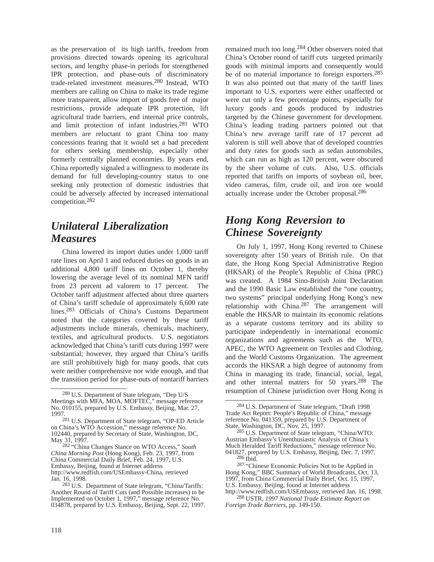as the preservation of its high tariffs, freedom from provisions directed towards opening its agricultural sectors, and lengthy phase-in periods for strengthened IPR protection, and phase-outs of discriminatory trade-related investment measures.280 Instead, WTO members are calling on China to make its trade regime more transparent, allow import of goods free of major restrictions, provide adequate IPR protection, lift agricultural trade barriers, end internal price controls, and limit protection of infant industries.281 WTO members are reluctant to grant China too many concessions fearing that it would set a bad precedent for others seeking membership, especially other formerly centrally planned economies. By years end, China reportedly signaled a willingness to moderate its demand for full developing-country status to one seeking only protection of domestic industries that could be adversely affected by increased international competition.282

## *Unilateral Liberalization Measures*

China lowered its import duties under 1,000 tariff rate lines on April 1 and reduced duties on goods in an additional 4,800 tariff lines on October 1, thereby lowering the average level of its nominal MFN tariff from 23 percent ad valorem to 17 percent. The October tariff adjustment affected about three quarters of China's tariff schedule of approximately 6,600 rate lines.283 Officials of China's Customs Department noted that the categories covered by these tariff adjustments include minerals, chemicals, machinery, textiles, and agricultural products. U.S. negotiators acknowledged that China's tariff cuts during 1997 were substantial; however, they argued that China's tariffs are still prohibitively high for many goods, that cuts were neither comprehensive nor wide enough, and that the transition period for phase-outs of nontariff barriers

remained much too long.<sup>284</sup> Other observers noted that China's October round of tariff cuts targeted primarily goods with minimal imports and consequently would be of no material importance to foreign exporters.<sup>285</sup> It was also pointed out that many of the tariff lines important to U.S. exporters were either unaffected or were cut only a few percentage points, especially for luxury goods and goods produced by industries targeted by the Chinese government for development. China's leading trading partners pointed out that China's new average tariff rate of 17 percent ad valorem is still well above that of developed countries and duty rates for goods such as sedan automobiles, which can run as high as 120 percent, were obscured by the sheer volume of cuts. Also, U.S. officials reported that tariffs on imports of soybean oil, beer, video cameras, film, crude oil, and iron ore would actually increase under the October proposal.286

## *Hong Kong Reversion to Chinese Sovereignty*

On July 1, 1997, Hong Kong reverted to Chinese sovereignty after 150 years of British rule. On that date, the Hong Kong Special Administrative Region (HKSAR) of the People's Republic of China (PRC) was created. A 1984 Sino-British Joint Declaration and the 1990 Basic Law established the "one country, two systems" principal underlying Hong Kong's new relationship with China. $287$  The arrangement will enable the HKSAR to maintain its economic relations as a separate customs territory and its ability to participate independently in international economic organizations and agreements such as the WTO, APEC, the WTO Agreement on Textiles and Clothing, and the World Customs Organization. The agreement accords the HKSAR a high degree of autonomy from China in managing its trade, financial, social, legal, and other internal matters for 50 years.288 The resumption of Chinese jurisdiction over Hong Kong is

<sup>280</sup> U.S. Department of State telegram, "Dep U/S Meetings with MFA, MOA, MOFTEC," message reference No. 010155, prepared by U.S. Embassy, Beijing, Mar. 27, 1997.

<sup>281</sup> U.S. Department of State telegram, "OP-ED Article on China's WTO Accession," message reference No. 102440, prepared by Secretary of State, Washington, DC, May 31, 1997.

<sup>282</sup> "China Changes Stance on WTO Access," *South China Morning Post* (Hong Kong), Feb. 23, 1997, from China Commercial Daily Brief, Feb. 24, 1997, U.S. Embassy, Beijing, found at Internet address http://www.redfish.com/USEmbassy-China, retrieved Jan. 16, 1998.

<sup>283</sup> U.S. Department of State telegram, "China/Tariffs: Another Round of Tariff Cuts (and Possible increases) to be Implemented on October 1, 1997," message reference No. 034878, prepared by U.S. Embassy, Beijing, Sept. 22, 1997.

<sup>284</sup> U.S. Department of State telegram, "Draft 1998 Trade Act Report: People's Republic of China," message reference No. 041359, prepared by U.S. Department of State, Washington, DC, Nov. 25, 1997.

<sup>285</sup> U.S. Department of State telegram, "China/WTO: Austrian Embassy's Unenthusiastic Analysis of China's Much Heralded Tariff Reductions," message reference No. 041827, prepared by U.S. Embassy, Beijing, Dec. 7, 1997. <sup>286</sup> Ibid.

<sup>287</sup> "Chinese Economic Policies Not to be Applied in Hong Kong," BBC Summary of World Broadcasts, Oct. 13, 1997, from China Commercial Daily Brief, Oct. 15, 1997, U.S. Embassy, Beijing, found at Internet address

http://www.redfish.com/USEmbassy, retrieved Jan. 16, 1998. <sup>288</sup> USTR, *1997 National Trade Estimate Report on Foreign Trade Barriers*, pp. 149-150.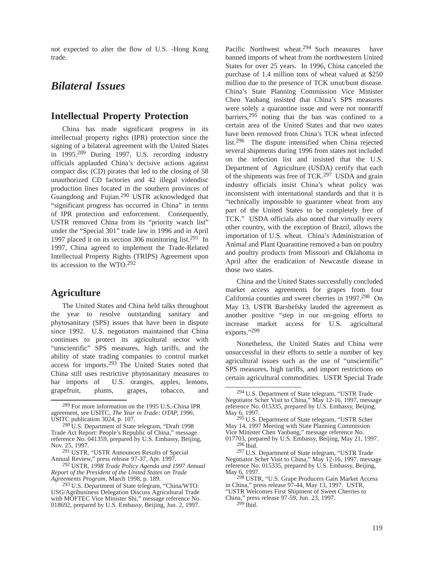not expected to alter the flow of U.S. -Hong Kong trade.

## *Bilateral Issues*

#### **Intellectual Property Protection**

China has made significant progress in its intellectual property rights (IPR) protection since the signing of a bilateral agreement with the United States in 1995.289 During 1997, U.S. recording industry officials applauded China's decisive actions against compact disc (CD) pirates that led to the closing of 58 unauthorized CD factories and 42 illegal videodisc production lines located in the southern provinces of Guangdong and Fujian.290 USTR acknowledged that "significant progress has occurred in China" in terms of IPR protection and enforcement. Consequently, USTR removed China from its "priority watch list" under the "Special 301" trade law in 1996 and in April 1997 placed it on its section 306 monitoring list.291 In 1997, China agreed to implement the Trade-Related Intellectual Property Rights (TRIPS) Agreement upon its accession to the WTO.292

#### **Agriculture**

The United States and China held talks throughout the year to resolve outstanding sanitary and phytosanitary (SPS) issues that have been in dispute since 1992. U.S. negotiators maintained that China continues to protect its agricultural sector with "unscientific" SPS measures, high tariffs, and the ability of state trading companies to control market access for imports.293 The United States noted that China still uses restrictive phytosanitary measures to bar imports of U.S. oranges, apples, lemons, grapefruit, plums, grapes, tobacco, and

Pacific Northwest wheat.294 Such measures have banned imports of wheat from the northwestern United States for over 25 years. In 1996, China canceled the purchase of 1.4 million tons of wheat valued at \$250 million due to the presence of TCK smut/bunt disease. China's State Planning Commission Vice Minister Chen Yaobang insisted that China's SPS measures were solely a quarantine issue and were not nontariff barriers,  $295$  noting that the ban was confined to a certain area of the United States and that two states have been removed from China's TCK wheat infected list.296 The dispute intensified when China rejected several shipments during 1996 from states not included on the infection list and insisted that the U.S. Department of Agriculture (USDA) certify that each of the shipments was free of TCK.<sup>297</sup> USDA and grain industry officials insist China's wheat policy was inconsistent with international standards and that it is "technically impossible to guarantee wheat from any part of the United States to be completely free of TCK." USDA officials also noted that virtually every other country, with the exception of Brazil, allows the importation of U.S. wheat. China's Administration of Animal and Plant Quarantine removed a ban on poultry and poultry products from Missouri and Oklahoma in April after the eradication of Newcastle disease in those two states.

China and the United States successfully concluded market access agreements for grapes from four California counties and sweet cherries in 1997.298 On May 13, USTR Barshefsky lauded the agreement as another positive "step in our on-going efforts to increase market access for U.S. agricultural exports."299

Nonetheless, the United States and China were unsuccessful in their efforts to settle a number of key agricultural issues such as the use of "unscientific" SPS measures, high tariffs, and import restrictions on certain agricultural commodities. USTR Special Trade

<sup>299</sup> Ibid.

<sup>289</sup> For more information on the 1995 U.S.-China IPR agreement, see USITC, *The Year in Trade: OTAP*, *1996*, USITC publication 3024, p. 107.

<sup>290</sup> U.S. Department of State telegram, "Draft 1998 Trade Act Report: People's Republic of China," message reference No. 041359, prepared by U.S. Embassy, Beijing, Nov. 25, 1997.

<sup>291</sup> USTR, "USTR Announces Results of Special Annual Review," press release 97-37, Apr. 1997.

<sup>292</sup> USTR, *1998 Trade Policy Agenda and 1997 Annual Report of the President of the United States on Trade Agreements Program*, March 1998, p. 189.

<sup>293</sup> U.S. Department of State telegram, "China/WTO: USG/Agribusiness Delegation Discuss Agricultural Trade with MOFTEC Vice Minister Shi," message reference No. 018692, prepared by U.S. Embassy, Beijing, Jun. 2, 1997.

<sup>&</sup>lt;sup>294</sup> U.S. Department of State telegram, "USTR Trade Negotiator Scher Visit to China," May 12-16, 1997, message reference No. 015335, prepared by U.S. Embassy, Beijing, May 6, 1997.

<sup>&</sup>lt;sup>295</sup> U.S. Department of State telegram, "USTR Scher May 14, 1997 Meeting with State Planning Commission Vice Minister Chen Yaobang," message reference No.

<sup>017703,</sup> prepared by U.S. Embassy, Beijing, May 21, 1997. <sup>296</sup> Ibid.

<sup>297</sup> U.S. Department of State telegram, "USTR Trade Negotiator Scher Visit to China," May 12-16, 1997, message reference No. 015335, prepared by U.S. Embassy, Beijing, May 6, 1997.

<sup>&</sup>lt;sup>298</sup> USTR, "U.S. Grape Producers Gain Market Access in China," press release 97-44, May 13, 1997. USTR, "USTR Welcomes First Shipment of Sweet Cherries to

China," press release 97-59, Jun. 23, 1997.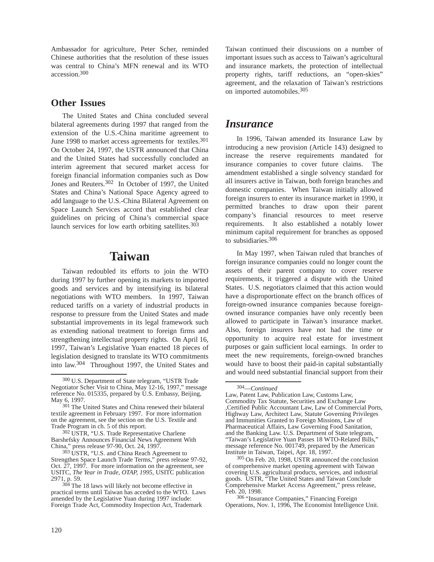Ambassador for agriculture, Peter Scher, reminded Chinese authorities that the resolution of these issues was central to China's MFN renewal and its WTO accession.300

#### **Other Issues**

The United States and China concluded several bilateral agreements during 1997 that ranged from the extension of the U.S.-China maritime agreement to June 1998 to market access agreements for textiles.<sup>301</sup> On October 24, 1997, the USTR announced that China and the United States had successfully concluded an interim agreement that secured market access for foreign financial information companies such as Dow Jones and Reuters.302 In October of 1997, the United States and China's National Space Agency agreed to add language to the U.S.-China Bilateral Agreement on Space Launch Services accord that established clear guidelines on pricing of China's commercial space launch services for low earth orbiting satellites. $303$ 

## **Taiwan**

Taiwan redoubled its efforts to join the WTO during 1997 by further opening its markets to imported goods and services and by intensifying its bilateral negotiations with WTO members. In 1997, Taiwan reduced tariffs on a variety of industrial products in response to pressure from the United States and made substantial improvements in its legal framework such as extending national treatment to foreign firms and strengthening intellectual property rights. On April 16, 1997, Taiwan's Legislative Yuan enacted 18 pieces of legislation designed to translate its WTO commitments into law.304 Throughout 1997, the United States and Taiwan continued their discussions on a number of important issues such as access to Taiwan's agricultural and insurance markets, the protection of intellectual property rights, tariff reductions, an "open-skies" agreement, and the relaxation of Taiwan's restrictions on imported automobiles.305

#### *Insurance*

In 1996, Taiwan amended its Insurance Law by introducing a new provision (Article 143) designed to increase the reserve requirements mandated for insurance companies to cover future claims. The amendment established a single solvency standard for all insurers active in Taiwan, both foreign branches and domestic companies. When Taiwan initially allowed foreign insurers to enter its insurance market in 1990, it permitted branches to draw upon their parent company's financial resources to meet reserve requirements. It also established a notably lower minimum capital requirement for branches as opposed to subsidiaries.306

In May 1997, when Taiwan ruled that branches of foreign insurance companies could no longer count the assets of their parent company to cover reserve requirements, it triggered a dispute with the United States. U.S. negotiators claimed that this action would have a disproportionate effect on the branch offices of foreign-owned insurance companies because foreignowned insurance companies have only recently been allowed to participate in Taiwan's insurance market. Also, foreign insurers have not had the time or opportunity to acquire real estate for investment purposes or gain sufficient local earnings. In order to meet the new requirements, foreign-owned branches would have to boost their paid-in capital substantially and would need substantial financial support from their

<sup>300</sup> U.S. Department of State telegram, "USTR Trade Negotiator Scher Visit to China, May 12-16, 1997," message reference No. 015335, prepared by U.S. Embassy, Beijing, May 6, 1997.

<sup>301</sup> The United States and China renewed their bilateral textile agreement in February 1997. For more information on the agreement, see the section on the U.S. Textile and Trade Program in ch. 5 of this report.

<sup>302</sup> USTR, "U.S. Trade Representative Charlene Barshefsky Announces Financial News Agreement With China," press release 97-90, Oct. 24, 1997.

<sup>&</sup>lt;sup>303</sup> USTR, "U.S. and China Reach Agreement to Strengthen Space Launch Trade Terms," press release 97-92, Oct. 27, 1997. For more information on the agreement, see USITC, *The Year in Trade, OTAP, 1995*, USITC publication 2971, p. 59.

 $304$  The 18 laws will likely not become effective in practical terms until Taiwan has acceded to the WTO. Laws amended by the Legislative Yuan during 1997 include: Foreign Trade Act, Commodity Inspection Act, Trademark

<sup>304—</sup>*Continued*

Law, Patent Law, Publication Law, Customs Law, Commodity Tax Statute, Securities and Exchange Law ,Certified Public Accountant Law, Law of Commercial Ports, Highway Law, Architect Law, Statute Governing Privileges and Immunities Granted to Foreign Missions, Law of Pharmaceutical Affairs, Law Governing Food Sanitation, and the Banking Law. U.S. Department of State telegram, "Taiwan's Legislative Yuan Passes 18 WTO-Related Bills," message reference No. 001749, prepared by the American Institute in Taiwan, Taipei, Apr. 18, 1997.

<sup>305</sup> On Feb. 20, 1998, USTR announced the conclusion of comprehensive market opening agreement with Taiwan covering U.S. agricultural products, services, and industrial goods. USTR, "The United States and Taiwan Conclude Comprehensive Market Access Agreement," press release, Feb. 20, 1998.

<sup>306</sup> "Insurance Companies," Financing Foreign Operations, Nov. 1, 1996, The Economist Intelligence Unit.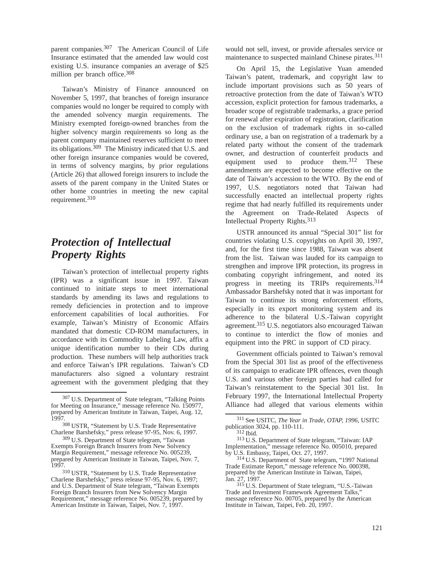parent companies.<sup>307</sup> The American Council of Life Insurance estimated that the amended law would cost existing U.S. insurance companies an average of \$25 million per branch office.308

Taiwan's Ministry of Finance announced on November 5, 1997, that branches of foreign insurance companies would no longer be required to comply with the amended solvency margin requirements. The Ministry exempted foreign-owned branches from the higher solvency margin requirements so long as the parent company maintained reserves sufficient to meet its obligations.309 The Ministry indicated that U.S. and other foreign insurance companies would be covered, in terms of solvency margins, by prior regulations (Article 26) that allowed foreign insurers to include the assets of the parent company in the United States or other home countries in meeting the new capital requirement.310

## *Protection of Intellectual Property Rights*

Taiwan's protection of intellectual property rights (IPR) was a significant issue in 1997. Taiwan continued to initiate steps to meet international standards by amending its laws and regulations to remedy deficiencies in protection and to improve enforcement capabilities of local authorities. For example, Taiwan's Ministry of Economic Affairs mandated that domestic CD-ROM manufacturers, in accordance with its Commodity Labeling Law, affix a unique identification number to their CDs during production. These numbers will help authorities track and enforce Taiwan's IPR regulations. Taiwan's CD manufacturers also signed a voluntary restraint agreement with the government pledging that they

would not sell, invest, or provide aftersales service or maintenance to suspected mainland Chinese pirates.<sup>311</sup>

On April 15, the Legislative Yuan amended Taiwan's patent, trademark, and copyright law to include important provisions such as 50 years of retroactive protection from the date of Taiwan's WTO accession, explicit protection for famous trademarks, a broader scope of registrable trademarks, a grace period for renewal after expiration of registration, clarification on the exclusion of trademark rights in so-called ordinary use, a ban on registration of a trademark by a related party without the consent of the trademark owner, and destruction of counterfeit products and equipment used to produce them.<sup>312</sup> These amendments are expected to become effective on the date of Taiwan's accession to the WTO. By the end of 1997, U.S. negotiators noted that Taiwan had successfully enacted an intellectual property rights regime that had nearly fulfilled its requirements under the Agreement on Trade-Related Aspects of Intellectual Property Rights.313

USTR announced its annual "Special 301" list for countries violating U.S. copyrights on April 30, 1997, and, for the first time since 1988, Taiwan was absent from the list. Taiwan was lauded for its campaign to strengthen and improve IPR protection, its progress in combating copyright infringement, and noted its progress in meeting its TRIPs requirements.314 Ambassador Barshefsky noted that it was important for Taiwan to continue its strong enforcement efforts, especially in its export monitoring system and its adherence to the bilateral U.S.-Taiwan copyright agreement.315 U.S. negotiators also encouraged Taiwan to continue to interdict the flow of monies and equipment into the PRC in support of CD piracy.

Government officials pointed to Taiwan's removal from the Special 301 list as proof of the effectiveness of its campaign to eradicate IPR offences, even though U.S. and various other foreign parties had called for Taiwan's reinstatement to the Special 301 list. In February 1997, the International Intellectual Property Alliance had alleged that various elements within

<sup>307</sup> U.S. Department of State telegram, "Talking Points for Meeting on Insurance," message reference No. 150977, prepared by American Institute in Taiwan, Taipei, Aug. 12, 1997.

<sup>308</sup> USTR, "Statement by U.S. Trade Representative Charlene Barshefsky," press release 97-95, Nov. 6, 1997.

<sup>309</sup> U.S. Department of State telegram, "Taiwan Exempts Foreign Branch Insurers from New Solvency Margin Requirement," message reference No. 005239, prepared by American Institute in Taiwan, Taipei, Nov. 7, 1997.

<sup>310</sup> USTR, "Statement by U.S. Trade Representative Charlene Barshefsky," press release 97-95, Nov. 6, 1997; and U.S. Department of State telegram, "Taiwan Exempts Foreign Branch Insurers from New Solvency Margin Requirement," message reference No. 005239, prepared by American Institute in Taiwan, Taipei, Nov. 7, 1997.

<sup>311</sup> See USITC, *The Year in Trade, OTAP, 1996*, USITC publication 3024, pp. 110-111.

<sup>312</sup> Ibid.

<sup>313</sup> U.S. Department of State telegram, "Taiwan: IAP Implementation," message reference No. 005010, prepared by U.S. Embassy, Taipei, Oct. 27, 1997.

<sup>314</sup> U.S. Department of State telegram, "1997 National Trade Estimate Report," message reference No. 000398, prepared by the American Institute in Taiwan, Taipei, Jan. 27, 1997.

<sup>315</sup> U.S. Department of State telegram, "U.S.-Taiwan Trade and Investment Framework Agreement Talks," message reference No. 00705, prepared by the American Institute in Taiwan, Taipei, Feb. 20, 1997.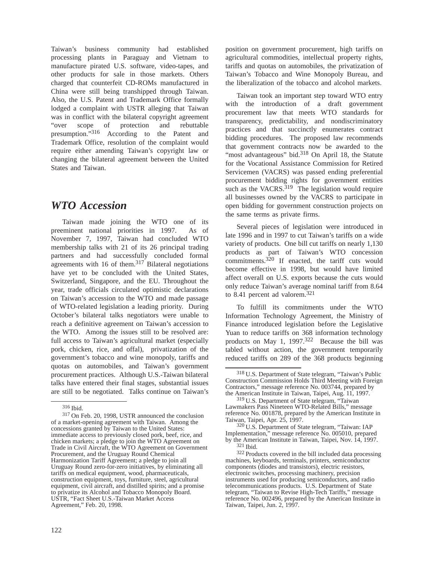Taiwan's business community had established processing plants in Paraguay and Vietnam to manufacture pirated U.S. software, video-tapes, and other products for sale in those markets. Others charged that counterfeit CD-ROMs manufactured in China were still being transhipped through Taiwan. Also, the U.S. Patent and Trademark Office formally lodged a complaint with USTR alleging that Taiwan was in conflict with the bilateral copyright agreement "over scope of protection and rebuttable presumption."316 According to the Patent and Trademark Office, resolution of the complaint would require either amending Taiwan's copyright law or changing the bilateral agreement between the United States and Taiwan.

## *WTO Accession*

Taiwan made joining the WTO one of its preeminent national priorities in 1997. As of November 7, 1997, Taiwan had concluded WTO membership talks with 21 of its 26 principal trading partners and had successfully concluded formal agreements with  $16$  of them.<sup>317</sup> Bilateral negotiations have yet to be concluded with the United States, Switzerland, Singapore, and the EU. Throughout the year, trade officials circulated optimistic declarations on Taiwan's accession to the WTO and made passage of WTO-related legislation a leading priority. During October's bilateral talks negotiators were unable to reach a definitive agreement on Taiwan's accession to the WTO. Among the issues still to be resolved are: full access to Taiwan's agricultural market (especially pork, chicken, rice, and offal), privatization of the government's tobacco and wine monopoly, tariffs and quotas on automobiles, and Taiwan's government procurement practices. Although U.S.-Taiwan bilateral talks have entered their final stages, substantial issues are still to be negotiated. Talks continue on Taiwan's

position on government procurement, high tariffs on agricultural commodities, intellectual property rights, tariffs and quotas on automobiles, the privatization of Taiwan's Tobacco and Wine Monopoly Bureau, and the liberalization of the tobacco and alcohol markets.

Taiwan took an important step toward WTO entry with the introduction of a draft government procurement law that meets WTO standards for transparency, predictability, and nondiscriminatory practices and that succinctly enumerates contract bidding procedures. The proposed law recommends that government contracts now be awarded to the "most advantageous" bid.<sup>318</sup> On April 18, the Statute for the Vocational Assistance Commission for Retired Servicemen (VACRS) was passed ending preferential procurement bidding rights for government entities such as the VACRS. $319$  The legislation would require all businesses owned by the VACRS to participate in open bidding for government construction projects on the same terms as private firms.

Several pieces of legislation were introduced in late 1996 and in 1997 to cut Taiwan's tariffs on a wide variety of products. One bill cut tariffs on nearly 1,130 products as part of Taiwan's WTO concession commitments.320 If enacted, the tariff cuts would become effective in 1998, but would have limited affect overall on U.S. exports because the cuts would only reduce Taiwan's average nominal tariff from 8.64 to 8.41 percent ad valorem.321

To fulfill its commitments under the WTO Information Technology Agreement, the Ministry of Finance introduced legislation before the Legislative Yuan to reduce tariffs on 368 information technology products on May 1,  $1997.322$  Because the bill was tabled without action, the government temporarily reduced tariffs on 289 of the 368 products beginning

<sup>316</sup> Ibid.

<sup>317</sup> On Feb. 20, 1998, USTR announced the conclusion of a market-opening agreement with Taiwan. Among the concessions granted by Taiwan to the United States: immediate access to previously closed pork, beef, rice, and chicken markets; a pledge to join the WTO Agreement on Trade in Civil Aircraft, the WTO Agreement on Government Procurement, and the Uruguay Round Chemical Harmonization Tariff Agreement; a pledge to join all Uruguay Round zero-for-zero initiatives, by eliminating all tariffs on medical equipment, wood, pharmaceuticals, construction equipment, toys, furniture, steel, agricultural equipment, civil aircraft, and distilled spirits; and a promise to privatize its Alcohol and Tobacco Monopoly Board. USTR, "Fact Sheet U.S.-Taiwan Market Access Agreement," Feb. 20, 1998.

<sup>318</sup> U.S. Department of State telegram, "Taiwan's Public Construction Commission Holds Third Meeting with Foreign Contractors," message reference No. 003744, prepared by the American Institute in Taiwan, Taipei, Aug. 11, 1997.

<sup>319</sup> U.S. Department of State telegram, "Taiwan Lawmakers Pass Nineteen WTO-Related Bills," message reference No. 001878, prepared by the American Institute in Taiwan, Taipei, Apr. 25, 1997.

<sup>320</sup> U.S. Department of State telegram, "Taiwan: IAP Implementation," message reference No. 005010, prepared by the American Institute in Taiwan, Taipei, Nov. 14, 1997. <sup>321</sup> Ibid.

<sup>322</sup> Products covered in the bill included data processing machines, keyboards, terminals, printers, semiconductor components (diodes and transistors), electric resistors, electronic switches, processing machinery, precision instruments used for producing semiconductors, and radio telecommunications products. U.S. Department of State telegram, "Taiwan to Revise High-Tech Tariffs," message reference No. 002496, prepared by the American Institute in Taiwan, Taipei, Jun. 2, 1997.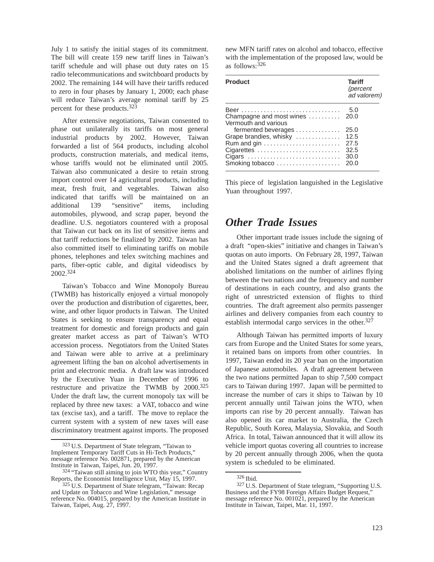July 1 to satisfy the initial stages of its commitment. The bill will create 159 new tariff lines in Taiwan's tariff schedule and will phase out duty rates on 15 radio telecommunications and switchboard products by 2002. The remaining 144 will have their tariffs reduced to zero in four phases by January 1, 2000; each phase will reduce Taiwan's average nominal tariff by 25 percent for these products.<sup>323</sup>

After extensive negotiations, Taiwan consented to phase out unilaterally its tariffs on most general industrial products by 2002. However, Taiwan forwarded a list of 564 products, including alcohol products, construction materials, and medical items, whose tariffs would not be eliminated until 2005. Taiwan also communicated a desire to retain strong import control over 14 agricultural products, including meat, fresh fruit, and vegetables. Taiwan also indicated that tariffs will be maintained on an additional 139 "sensitive" items, including automobiles, plywood, and scrap paper, beyond the deadline. U.S. negotiators countered with a proposal that Taiwan cut back on its list of sensitive items and that tariff reductions be finalized by 2002. Taiwan has also committed itself to eliminating tariffs on mobile phones, telephones and telex switching machines and parts, fiber-optic cable, and digital videodiscs by 2002.324

Taiwan's Tobacco and Wine Monopoly Bureau (TWMB) has historically enjoyed a virtual monopoly over the production and distribution of cigarettes, beer, wine, and other liquor products in Taiwan. The United States is seeking to ensure transparency and equal treatment for domestic and foreign products and gain greater market access as part of Taiwan's WTO accession process. Negotiators from the United States and Taiwan were able to arrive at a preliminary agreement lifting the ban on alcohol advertisements in print and electronic media. A draft law was introduced by the Executive Yuan in December of 1996 to restructure and privatize the TWMB by 2000.<sup>325</sup> Under the draft law, the current monopoly tax will be replaced by three new taxes: a VAT, tobacco and wine tax (excise tax), and a tariff. The move to replace the current system with a system of new taxes will ease discriminatory treatment against imports. The proposed

new MFN tariff rates on alcohol and tobacco, effective with the implementation of the proposed law, would be as follows:<sup>326</sup>

| <b>Product</b>                                   | <b>Tariff</b><br>(percent<br>ad valorem) |
|--------------------------------------------------|------------------------------------------|
| Beer                                             | 5.0                                      |
| Champagne and most wines<br>Vermouth and various | 20.0                                     |
| fermented beverages                              | 25.0                                     |
| Grape brandies, whisky                           | 12.5                                     |
|                                                  | 27.5                                     |
| Cigarettes                                       | 32.5                                     |
| Cigars                                           | 30.0                                     |
| Smoking tobacco                                  | 20.0                                     |

This piece of legislation languished in the Legislative Yuan throughout 1997.

## *Other Trade Issues*

Other important trade issues include the signing of a draft "open-skies" initiative and changes in Taiwan's quotas on auto imports. On February 28, 1997, Taiwan and the United States signed a draft agreement that abolished limitations on the number of airlines flying between the two nations and the frequency and number of destinations in each country, and also grants the right of unrestricted extension of flights to third countries. The draft agreement also permits passenger airlines and delivery companies from each country to establish intermodal cargo services in the other.<sup>327</sup>

Although Taiwan has permitted imports of luxury cars from Europe and the United States for some years, it retained bans on imports from other countries. In 1997, Taiwan ended its 20 year ban on the importation of Japanese automobiles. A draft agreement between the two nations permitted Japan to ship 7,500 compact cars to Taiwan during 1997. Japan will be permitted to increase the number of cars it ships to Taiwan by 10 percent annually until Taiwan joins the WTO, when imports can rise by 20 percent annually. Taiwan has also opened its car market to Australia, the Czech Republic, South Korea, Malaysia, Slovakia, and South Africa. In total, Taiwan announced that it will allow its vehicle import quotas covering all countries to increase by 20 percent annually through 2006, when the quota system is scheduled to be eliminated.

<sup>323</sup> U.S. Department of State telegram, "Taiwan to Implement Temporary Tariff Cuts in Hi-Tech Products," message reference No. 002871, prepared by the American Institute in Taiwan, Taipei, Jun. 20, 1997.

<sup>324</sup> "Taiwan still aiming to join WTO this year," Country Reports, the Economist Intelligence Unit, May 15, 1997.

<sup>325</sup> U.S. Department of State telegram, "Taiwan: Recap and Update on Tobacco and Wine Legislation," message reference No. 004015, prepared by the American Institute in Taiwan, Taipei, Aug. 27, 1997.

 $326$  Ibid.

<sup>327</sup> U.S. Department of State telegram, "Supporting U.S. Business and the FY98 Foreign Affairs Budget Request, message reference No. 001021, prepared by the American Institute in Taiwan, Taipei, Mar. 11, 1997.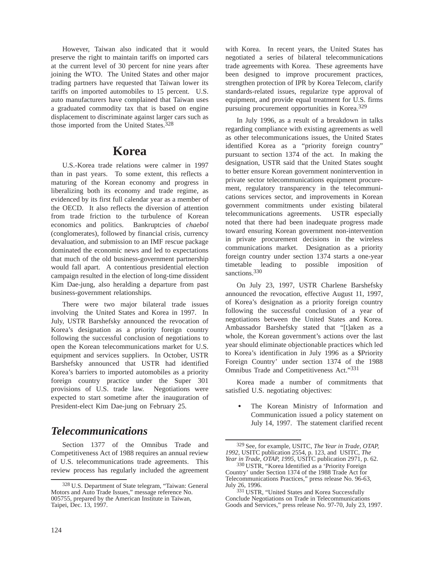However, Taiwan also indicated that it would preserve the right to maintain tariffs on imported cars at the current level of 30 percent for nine years after joining the WTO. The United States and other major trading partners have requested that Taiwan lower its tariffs on imported automobiles to 15 percent. U.S. auto manufacturers have complained that Taiwan uses a graduated commodity tax that is based on engine displacement to discriminate against larger cars such as those imported from the United States.<sup>328</sup>

## **Korea**

U.S.-Korea trade relations were calmer in 1997 than in past years. To some extent, this reflects a maturing of the Korean economy and progress in liberalizing both its economy and trade regime, as evidenced by its first full calendar year as a member of the OECD. It also reflects the diversion of attention from trade friction to the turbulence of Korean economics and politics. Bankruptcies of *chaebol* (conglomerates), followed by financial crisis, currency devaluation, and submission to an IMF rescue package dominated the economic news and led to expectations that much of the old business-government partnership would fall apart. A contentious presidential election campaign resulted in the election of long-time dissident Kim Dae-jung, also heralding a departure from past business-government relationships.

There were two major bilateral trade issues involving the United States and Korea in 1997. In July, USTR Barshefsky announced the revocation of Korea's designation as a priority foreign country following the successful conclusion of negotiations to open the Korean telecommunications market for U.S. equipment and services suppliers. In October, USTR Barshefsky announced that USTR had identified Korea's barriers to imported automobiles as a priority foreign country practice under the Super 301 provisions of U.S. trade law. Negotiations were expected to start sometime after the inauguration of President-elect Kim Dae-jung on February 25.

## *Telecommunications*

Section 1377 of the Omnibus Trade and Competitiveness Act of 1988 requires an annual review of U.S. telecommunications trade agreements. This review process has regularly included the agreement

with Korea. In recent years, the United States has negotiated a series of bilateral telecommunications trade agreements with Korea. These agreements have been designed to improve procurement practices, strengthen protection of IPR by Korea Telecom, clarify standards-related issues, regularize type approval of equipment, and provide equal treatment for U.S. firms pursuing procurement opportunities in Korea.329

In July 1996, as a result of a breakdown in talks regarding compliance with existing agreements as well as other telecommunications issues, the United States identified Korea as a "priority foreign country" pursuant to section 1374 of the act. In making the designation, USTR said that the United States sought to better ensure Korean government nonintervention in private sector telecommunications equipment procurement, regulatory transparency in the telecommunications services sector, and improvements in Korean government commitments under existing bilateral telecommunications agreements. USTR especially noted that there had been inadequate progress made toward ensuring Korean government non-intervention in private procurement decisions in the wireless communications market. Designation as a priority foreign country under section 1374 starts a one-year timetable leading to possible imposition of sanctions.<sup>330</sup>

On July 23, 1997, USTR Charlene Barshefsky announced the revocation, effective August 11, 1997, of Korea's designation as a priority foreign country following the successful conclusion of a year of negotiations between the United States and Korea. Ambassador Barshefsky stated that "[t]aken as a whole, the Korean government's actions over the last year should eliminate objectionable practices which led to Korea's identification in July 1996 as a \$Priority Foreign Country' under section 1374 of the 1988 Omnibus Trade and Competitiveness Act."<sup>331</sup>

Korea made a number of commitments that satisfied U.S. negotiating objectives:

 $\bullet$  The Korean Ministry of Information and Communication issued a policy statement on July 14, 1997. The statement clarified recent

<sup>328</sup> U.S. Department of State telegram, "Taiwan: General Motors and Auto Trade Issues," message reference No. 005755, prepared by the American Institute in Taiwan, Taipei, Dec. 13, 1997.

<sup>329</sup> See, for example, USITC, *The Year in Trade, OTAP, 1992*, USITC publication 2554, p. 123, and USITC, *The*

*Year in Trade, OTAP, 1995*, USITC publication 2971, p. 62. <sup>330</sup> USTR, "Korea Identified as a 'Priority Foreign Country' under Section 1374 of the 1988 Trade Act for

Telecommunications Practices," press release No. 96-63, July 26, 1996.

<sup>331</sup> USTR, "United States and Korea Successfully Conclude Negotiations on Trade in Telecommunications Goods and Services," press release No. 97-70, July 23, 1997.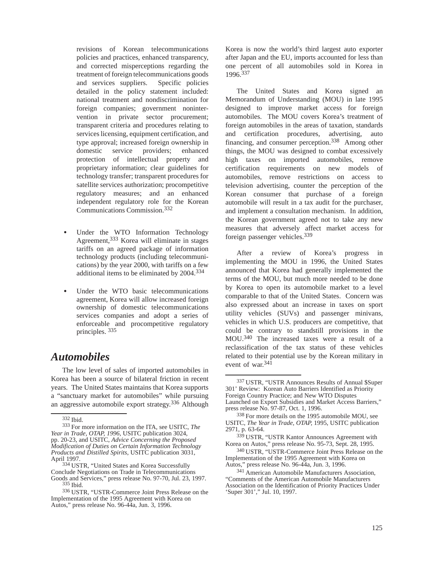revisions of Korean telecommunications policies and practices, enhanced transparency, and corrected misperceptions regarding the treatment of foreign telecommunications goods and services suppliers. Specific policies detailed in the policy statement included: national treatment and nondiscrimination for foreign companies; government nonintervention in private sector procurement; transparent criteria and procedures relating to services licensing, equipment certification, and type approval; increased foreign ownership in domestic service providers; enhanced protection of intellectual property and proprietary information; clear guidelines for technology transfer; transparent procedures for satellite services authorization; procompetitive regulatory measures; and an enhanced independent regulatory role for the Korean Communications Commission.332

- Under the WTO Information Technology Agreement,333 Korea will eliminate in stages tariffs on an agreed package of information technology products (including telecommunications) by the year 2000, with tariffs on a few additional items to be eliminated by 2004.<sup>334</sup>
- Under the WTO basic telecommunications agreement, Korea will allow increased foreign ownership of domestic telecommunications services companies and adopt a series of enforceable and procompetitive regulatory principles. 335

## *Automobiles*

The low level of sales of imported automobiles in Korea has been a source of bilateral friction in recent years. The United States maintains that Korea supports a "sanctuary market for automobiles" while pursuing an aggressive automobile export strategy.336 Although Korea is now the world's third largest auto exporter after Japan and the EU, imports accounted for less than one percent of all automobiles sold in Korea in 1996.337

The United States and Korea signed an Memorandum of Understanding (MOU) in late 1995 designed to improve market access for foreign automobiles. The MOU covers Korea's treatment of foreign automobiles in the areas of taxation, standards and certification procedures, advertising, auto financing, and consumer perception.338 Among other things, the MOU was designed to combat excessively high taxes on imported automobiles, remove certification requirements on new models of automobiles, remove restrictions on access to television advertising, counter the perception of the Korean consumer that purchase of a foreign automobile will result in a tax audit for the purchaser, and implement a consultation mechanism. In addition, the Korean government agreed not to take any new measures that adversely affect market access for foreign passenger vehicles.339

After a review of Korea's progress in implementing the MOU in 1996, the United States announced that Korea had generally implemented the terms of the MOU, but much more needed to be done by Korea to open its automobile market to a level comparable to that of the United States. Concern was also expressed about an increase in taxes on sport utility vehicles (SUVs) and passenger minivans, vehicles in which U.S. producers are competitive, that could be contrary to standstill provisions in the MOU.340 The increased taxes were a result of a reclassification of the tax status of these vehicles related to their potential use by the Korean military in event of war.341

<sup>332</sup> Ibid.

<sup>333</sup> For more information on the ITA, see USITC, *The Year in Trade, OTAP, 1996*, USITC publication 3024, pp. 20-23, and USITC, *Advice Concerning the Proposed Modification of Duties on Certain Information Technology Products and Distilled Spirits*, USITC publication 3031, April 1997.

<sup>334</sup> USTR, "United States and Korea Successfully Conclude Negotiations on Trade in Telecommunications Goods and Services," press release No. 97-70, Jul. 23, 1997. <sup>335</sup> Ibid.

<sup>336</sup> USTR, "USTR-Commerce Joint Press Release on the Implementation of the 1995 Agreement with Korea on Autos," press release No. 96-44a, Jun. 3, 1996.

<sup>337</sup> USTR, "USTR Announces Results of Annual \$Super 301' Review: Korean Auto Barriers Identified as Priority Foreign Country Practice; and New WTO Disputes Launched on Export Subsidies and Market Access Barriers," press release No. 97-87, Oct. 1, 1996.

<sup>&</sup>lt;sup>338</sup> For more details on the 1995 automobile MOU, see USITC, *The Year in Trade, OTAP,* 1995, USITC publication 2971, p. 63-64.

<sup>339</sup> USTR, "USTR Kantor Announces Agreement with Korea on Autos," press release No. 95-73, Sept. 28, 1995.

<sup>340</sup> USTR, "USTR-Commerce Joint Press Release on the Implementation of the 1995 Agreement with Korea on Autos," press release No. 96-44a, Jun. 3, 1996.

<sup>341</sup> American Automobile Manufacturers Association, "Comments of the American Automobile Manufacturers Association on the Identification of Priority Practices Under 'Super 301'," Jul. 10, 1997.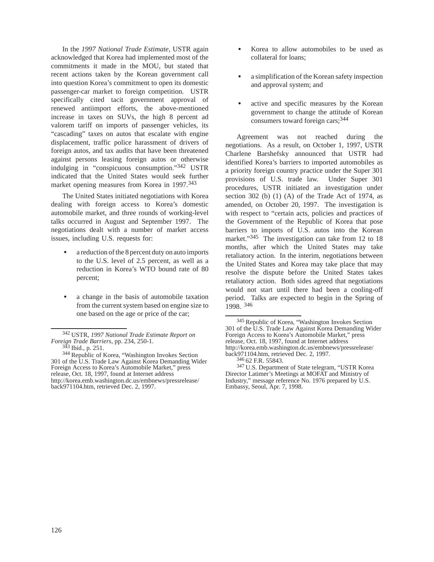In the *1997 National Trade Estimate*, USTR again acknowledged that Korea had implemented most of the commitments it made in the MOU, but stated that recent actions taken by the Korean government call into question Korea's commitment to open its domestic passenger-car market to foreign competition. USTR specifically cited tacit government approval of renewed antiimport efforts, the above-mentioned increase in taxes on SUVs, the high 8 percent ad valorem tariff on imports of passenger vehicles, its "cascading" taxes on autos that escalate with engine displacement, traffic police harassment of drivers of foreign autos, and tax audits that have been threatened against persons leasing foreign autos or otherwise indulging in "conspicuous consumption."342 USTR indicated that the United States would seek further market opening measures from Korea in 1997.<sup>343</sup>

The United States initiated negotiations with Korea dealing with foreign access to Korea's domestic automobile market, and three rounds of working-level talks occurred in August and September 1997. The negotiations dealt with a number of market access issues, including U.S. requests for:

- a reduction of the 8 percent duty on auto imports to the U.S. level of 2.5 percent, as well as a reduction in Korea's WTO bound rate of 80 percent;
- a change in the basis of automobile taxation from the current system based on engine size to one based on the age or price of the car;
- $\bullet$  Korea to allow automobiles to be used as collateral for loans;
- a simplification of the Korean safety inspection and approval system; and
- active and specific measures by the Korean government to change the attitude of Korean consumers toward foreign cars;344

Agreement was not reached during the negotiations. As a result, on October 1, 1997, USTR Charlene Barshefsky announced that USTR had identified Korea's barriers to imported automobiles as a priority foreign country practice under the Super 301 provisions of U.S. trade law. Under Super 301 procedures, USTR initiated an investigation under section 302 (b)  $(1)$   $(A)$  of the Trade Act of 1974, as amended, on October 20, 1997. The investigation is with respect to "certain acts, policies and practices of the Government of the Republic of Korea that pose barriers to imports of U.S. autos into the Korean market."<sup>345</sup> The investigation can take from 12 to 18 months, after which the United States may take retaliatory action. In the interim, negotiations between the United States and Korea may take place that may resolve the dispute before the United States takes retaliatory action. Both sides agreed that negotiations would not start until there had been a cooling-off period. Talks are expected to begin in the Spring of 1998. <sup>346</sup>

<sup>347</sup> U.S. Department of State telegram, "USTR Korea Director Latimer's Meetings at MOFAT and Ministry of Industry," message reference No. 1976 prepared by U.S. Embassy, Seoul, Apr. 7, 1998.

<sup>342</sup> USTR, *1997 National Trade Estimate Report on Foreign Trade Barriers*, pp. 234, 250-1.

<sup>&</sup>lt;sup>343</sup> Ibid., p. 251.

<sup>344</sup> Republic of Korea, "Washington Invokes Section 301 of the U.S. Trade Law Against Korea Demanding Wider Foreign Access to Korea's Automobile Market," press release, Oct. 18, 1997, found at Internet address http://korea.emb.washington.dc.us/embnews/pressrelease/ back971104.htm, retrieved Dec. 2, 1997.

<sup>345</sup> Republic of Korea, "Washington Invokes Section 301 of the U.S. Trade Law Against Korea Demanding Wider Foreign Access to Korea's Automobile Market," press release, Oct. 18, 1997, found at Internet address http://korea.emb.washington.dc.us/embnews/pressrelease/ back971104.htm, retrieved Dec. 2, 1997.

<sup>346</sup> 62 F.R. 55843.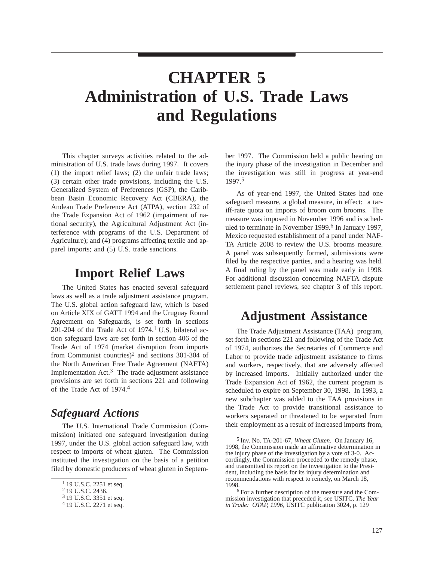# **CHAPTER 5 Administration of U.S. Trade Laws and Regulations**

This chapter surveys activities related to the administration of U.S. trade laws during 1997. It covers (1) the import relief laws; (2) the unfair trade laws; (3) certain other trade provisions, including the U.S. Generalized System of Preferences (GSP), the Caribbean Basin Economic Recovery Act (CBERA), the Andean Trade Preference Act (ATPA), section 232 of the Trade Expansion Act of 1962 (impairment of national security), the Agricultural Adjustment Act (interference with programs of the U.S. Department of Agriculture); and (4) programs affecting textile and apparel imports; and (5) U.S. trade sanctions.

## **Import Relief Laws**

The United States has enacted several safeguard laws as well as a trade adjustment assistance program. The U.S. global action safeguard law, which is based on Article XIX of GATT 1994 and the Uruguay Round Agreement on Safeguards, is set forth in sections 201-204 of the Trade Act of  $1974<sup>1</sup>$  U.S. bilateral action safeguard laws are set forth in section 406 of the Trade Act of 1974 (market disruption from imports from Communist countries)<sup>2</sup> and sections 301-304 of the North American Free Trade Agreement (NAFTA) Implementation Act. $3$  The trade adjustment assistance provisions are set forth in sections 221 and following of the Trade Act of 1974.<sup>4</sup>

## *Safeguard Actions*

The U.S. International Trade Commission (Commission) initiated one safeguard investigation during 1997, under the U.S. global action safeguard law, with respect to imports of wheat gluten. The Commission instituted the investigation on the basis of a petition filed by domestic producers of wheat gluten in September 1997. The Commission held a public hearing on the injury phase of the investigation in December and the investigation was still in progress at year-end 1997.5

As of year-end 1997, the United States had one safeguard measure, a global measure, in effect: a tariff-rate quota on imports of broom corn brooms. The measure was imposed in November 1996 and is scheduled to terminate in November 1999.<sup>6</sup> In January 1997, Mexico requested establishment of a panel under NAF-TA Article 2008 to review the U.S. brooms measure. A panel was subsequently formed, submissions were filed by the respective parties, and a hearing was held. A final ruling by the panel was made early in 1998. For additional discussion concerning NAFTA dispute settlement panel reviews, see chapter 3 of this report.

## **Adjustment Assistance**

The Trade Adjustment Assistance (TAA) program, set forth in sections 221 and following of the Trade Act of 1974, authorizes the Secretaries of Commerce and Labor to provide trade adjustment assistance to firms and workers, respectively, that are adversely affected by increased imports. Initially authorized under the Trade Expansion Act of 1962, the current program is scheduled to expire on September 30, 1998. In 1993, a new subchapter was added to the TAA provisions in the Trade Act to provide transitional assistance to workers separated or threatened to be separated from their employment as a result of increased imports from,

<sup>1</sup> 19 U.S.C. 2251 et seq.

<sup>&</sup>lt;sup>2</sup> 19 U.S.C. 2436.

<sup>&</sup>lt;sup>3</sup> 19 U.S.C. 3351 et seq.

<sup>&</sup>lt;sup>4</sup> 19 U.S.C. 2271 et seq.

<sup>5</sup> Inv. No. TA-201-67, *Wheat Gluten*. On January 16, 1998, the Commission made an affirmative determination in the injury phase of the investigation by a vote of 3-0. Accordingly, the Commission proceeded to the remedy phase, and transmitted its report on the investigation to the President, including the basis for its injury determination and recommendations with respect to remedy, on March 18, 1998.

<sup>6</sup> For a further description of the measure and the Commission investigation that preceded it, see USITC, *The Year in Trade: OTAP, 1996*, USITC publication 3024, p. 129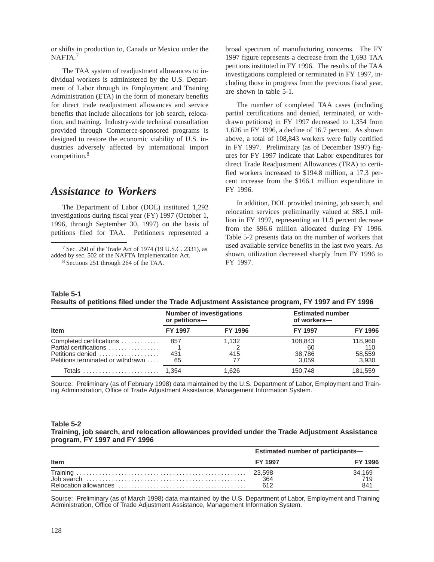or shifts in production to, Canada or Mexico under the NAFTA.7

The TAA system of readjustment allowances to individual workers is administered by the U.S. Department of Labor through its Employment and Training Administration (ETA) in the form of monetary benefits for direct trade readjustment allowances and service benefits that include allocations for job search, relocation, and training. Industry-wide technical consultation provided through Commerce-sponsored programs is designed to restore the economic viability of U.S. industries adversely affected by international import competition.8

### *Assistance to Workers*

The Department of Labor (DOL) instituted 1,292 investigations during fiscal year (FY) 1997 (October 1, 1996, through September 30, 1997) on the basis of petitions filed for TAA. Petitioners represented a

broad spectrum of manufacturing concerns. The FY 1997 figure represents a decrease from the 1,693 TAA petitions instituted in FY 1996. The results of the TAA investigations completed or terminated in FY 1997, including those in progress from the previous fiscal year, are shown in table 5-1.

The number of completed TAA cases (including partial certifications and denied, terminated, or withdrawn petitions) in FY 1997 decreased to 1,354 from 1,626 in FY 1996, a decline of 16.7 percent. As shown above, a total of 108,843 workers were fully certified in FY 1997. Preliminary (as of December 1997) figures for FY 1997 indicate that Labor expenditures for direct Trade Readjustment Allowances (TRA) to certified workers increased to \$194.8 million, a 17.3 percent increase from the \$166.1 million expenditure in FY 1996.

In addition, DOL provided training, job search, and relocation services preliminarily valued at \$85.1 million in FY 1997, representing an 11.9 percent decrease from the \$96.6 million allocated during FY 1996. Table 5-2 presents data on the number of workers that used available service benefits in the last two years. As shown, utilization decreased sharply from FY 1996 to FY 1997.

| Table 5-1                                                                                     |  |  |
|-----------------------------------------------------------------------------------------------|--|--|
| Results of petitions filed under the Trade Adjustment Assistance program, FY 1997 and FY 1996 |  |  |

|                                                                                                             | <b>Number of investigations</b><br>or petitions- |                    | <b>Estimated number</b><br>of workers- |                                   |
|-------------------------------------------------------------------------------------------------------------|--------------------------------------------------|--------------------|----------------------------------------|-----------------------------------|
| <b>Item</b>                                                                                                 | FY 1997                                          | FY 1996            | <b>FY 1997</b>                         | <b>FY 1996</b>                    |
| Completed certifications<br>Partial certifications<br>Petitions denied<br>Petitions terminated or withdrawn | 857<br>431<br>65                                 | 1.132<br>415<br>77 | 108,843<br>60<br>38.786<br>3.059       | 118,960<br>110<br>58,559<br>3,930 |
|                                                                                                             |                                                  | 1.626              | 150.748                                | 181,559                           |

Source: Preliminary (as of February 1998) data maintained by the U.S. Department of Labor, Employment and Training Administration, Office of Trade Adjustment Assistance, Management Information System.

#### **Table 5-2**

#### **Training, job search, and relocation allowances provided under the Trade Adjustment Assistance program, FY 1997 and FY 1996**

| <b>Item</b> | <b>Estimated number of participants-</b> |                      |
|-------------|------------------------------------------|----------------------|
|             | <b>FY 1997</b>                           | <b>FY 1996</b>       |
|             | 364<br>612                               | 34,169<br>719<br>841 |

Source: Preliminary (as of March 1998) data maintained by the U.S. Department of Labor, Employment and Training Administration, Office of Trade Adjustment Assistance, Management Information System.

<sup>7</sup> Sec. 250 of the Trade Act of 1974 (19 U.S.C. 2331), as added by sec. 502 of the NAFTA Implementation Act.

<sup>8</sup> Sections 251 through 264 of the TAA.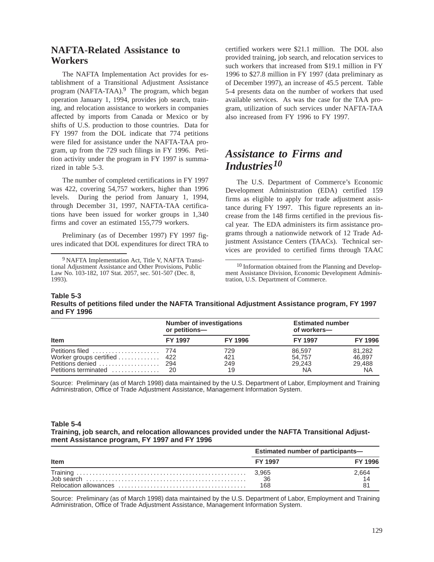#### **NAFTA-Related Assistance to Workers**

The NAFTA Implementation Act provides for establishment of a Transitional Adjustment Assistance program (NAFTA-TAA).9 The program, which began operation January 1, 1994, provides job search, training, and relocation assistance to workers in companies affected by imports from Canada or Mexico or by shifts of U.S. production to those countries. Data for FY 1997 from the DOL indicate that 774 petitions were filed for assistance under the NAFTA-TAA program, up from the 729 such filings in FY 1996. Petition activity under the program in FY 1997 is summarized in table 5-3.

The number of completed certifications in FY 1997 was 422, covering 54,757 workers, higher than 1996 levels. During the period from January 1, 1994, through December 31, 1997, NAFTA-TAA certifications have been issued for worker groups in 1,340 firms and cover an estimated 155,779 workers.

Preliminary (as of December 1997) FY 1997 figures indicated that DOL expenditures for direct TRA to certified workers were \$21.1 million. The DOL also provided training, job search, and relocation services to such workers that increased from \$19.1 million in FY 1996 to \$27.8 million in FY 1997 (data preliminary as of December 1997), an increase of 45.5 percent. Table 5-4 presents data on the number of workers that used available services. As was the case for the TAA program, utilization of such services under NAFTA-TAA also increased from FY 1996 to FY 1997.

## *Assistance to Firms and Industries<sup>10</sup>*

The U.S. Department of Commerce's Economic Development Administration (EDA) certified 159 firms as eligible to apply for trade adjustment assistance during FY 1997. This figure represents an increase from the 148 firms certified in the previous fiscal year. The EDA administers its firm assistance programs through a nationwide network of 12 Trade Adjustment Assistance Centers (TAACs). Technical services are provided to certified firms through TAAC

#### **Table 5-3 Results of petitions filed under the NAFTA Transitional Adjustment Assistance program, FY 1997 and FY 1996**

|                                                    | <b>Number of investigations</b><br>or petitions- |         | <b>Estimated number</b><br>of workers- |                |
|----------------------------------------------------|--------------------------------------------------|---------|----------------------------------------|----------------|
| <b>Item</b>                                        | <b>FY 1997</b>                                   | FY 1996 | <b>FY 1997</b>                         | <b>FY 1996</b> |
| Petitions filed  774                               |                                                  | 729     | 86,597                                 | 81,282         |
| Worker groups certified $\ldots \ldots \ldots$ 422 |                                                  | 421     | 54.757                                 | 46,897         |
|                                                    | 20                                               | 249     | 29.243                                 | 29,488         |
| Petitions terminated                               |                                                  | 19      | <b>NA</b>                              | <b>NA</b>      |

Source: Preliminary (as of March 1998) data maintained by the U.S. Department of Labor, Employment and Training Administration, Office of Trade Adjustment Assistance, Management Information System.

#### **Table 5-4 Training, job search, and relocation allowances provided under the NAFTA Transitional Adjustment Assistance program, FY 1997 and FY 1996**

| <b>Item</b> | <b>Estimated number of participants-</b> |         |
|-------------|------------------------------------------|---------|
|             | <b>FY 1997</b>                           | FY 1996 |
|             |                                          | 2,664   |
|             | -36                                      | 14      |
|             | 168                                      |         |

Source: Preliminary (as of March 1998) data maintained by the U.S. Department of Labor, Employment and Training Administration, Office of Trade Adjustment Assistance, Management Information System.

<sup>&</sup>lt;sup>9</sup> NAFTA Implementation Act, Title V, NAFTA Transitional Adjustment Assistance and Other Provisions, Public Law No. 103-182, 107 Stat. 2057, sec. 501-507 (Dec. 8, 1993).

<sup>&</sup>lt;sup>10</sup> Information obtained from the Planning and Development Assistance Division, Economic Development Administration, U.S. Department of Commerce.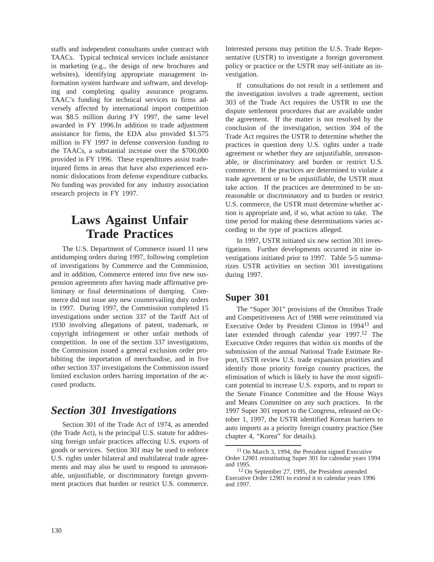staffs and independent consultants under contract with TAACs. Typical technical services include assistance in marketing (e.g., the design of new brochures and websites), identifying appropriate management information system hardware and software, and developing and completing quality assurance programs. TAAC's funding for technical services to firms adversely affected by international import competition was \$8.5 million during FY 1997, the same level awarded in FY 1996.In addition to trade adjustment assistance for firms, the EDA also provided \$1.575 million in FY 1997 in defense conversion funding to the TAACs, a substantial increase over the \$700,000 provided in FY 1996. These expenditures assist tradeinjured firms in areas that have also experienced economic dislocations from defense expenditure cutbacks. No funding was provided for any industry association research projects in FY 1997.

## **Laws Against Unfair Trade Practices**

The U.S. Department of Commerce issued 11 new antidumping orders during 1997, following completion of investigations by Commerce and the Commission, and in addition, Commerce entered into five new suspension agreements after having made affirmative preliminary or final determinations of dumping. Commerce did not issue any new countervailing duty orders in 1997. During 1997, the Commission completed 15 investigations under section 337 of the Tariff Act of 1930 involving allegations of patent, trademark, or copyright infringement or other unfair methods of competition. In one of the section 337 investigations, the Commission issued a general exclusion order prohibiting the importation of merchandise, and in five other section 337 investigations the Commission issued limited exclusion orders barring importation of the accused products.

## *Section 301 Investigations*

Section 301 of the Trade Act of 1974, as amended (the Trade Act), is the principal U.S. statute for addressing foreign unfair practices affecting U.S. exports of goods or services. Section 301 may be used to enforce U.S. rights under bilateral and multilateral trade agreements and may also be used to respond to unreasonable, unjustifiable, or discriminatory foreign government practices that burden or restrict U.S. commerce.

Interested persons may petition the U.S. Trade Representative (USTR) to investigate a foreign government policy or practice or the USTR may self-initiate an investigation.

If consultations do not result in a settlement and the investigation involves a trade agreement, section 303 of the Trade Act requires the USTR to use the dispute settlement procedures that are available under the agreement. If the matter is not resolved by the conclusion of the investigation, section 304 of the Trade Act requires the USTR to determine whether the practices in question deny U.S. rights under a trade agreement or whether they are unjustifiable, unreasonable, or discriminatory and burden or restrict U.S. commerce. If the practices are determined to violate a trade agreement or to be unjustifiable, the USTR must take action. If the practices are determined to be unreasonable or discriminatory and to burden or restrict U.S. commerce, the USTR must determine whether action is appropriate and, if so, what action to take. The time period for making these determinations varies according to the type of practices alleged.

In 1997, USTR initiated six new section 301 investigations. Further developments occurred in nine investigations initiated prior to 1997. Table 5-5 summarizes USTR activities on section 301 investigations during 1997.

#### **Super 301**

The "Super 301" provisions of the Omnibus Trade and Competitiveness Act of 1988 were reinstituted via Executive Order by President Clinton in 1994<sup>11</sup> and later extended through calendar year 1997.<sup>12</sup> The Executive Order requires that within six months of the submission of the annual National Trade Estimate Report, USTR review U.S. trade expansion priorities and identify those priority foreign country practices, the elimination of which is likely to have the most significant potential to increase U.S. exports, and to report to the Senate Finance Committee and the House Ways and Means Committee on any such practices. In the 1997 Super 301 report to the Congress, released on October 1, 1997, the USTR identified Korean barriers to auto imports as a priority foreign country practice (See chapter 4, "Korea" for details).

<sup>11</sup> On March 3, 1994, the President signed Executive Order 12901 reinstituting Super 301 for calendar years 1994 and 1995.

<sup>12</sup> On September 27, 1995, the President amended Executive Order 12901 to extend it to calendar years 1996 and 1997.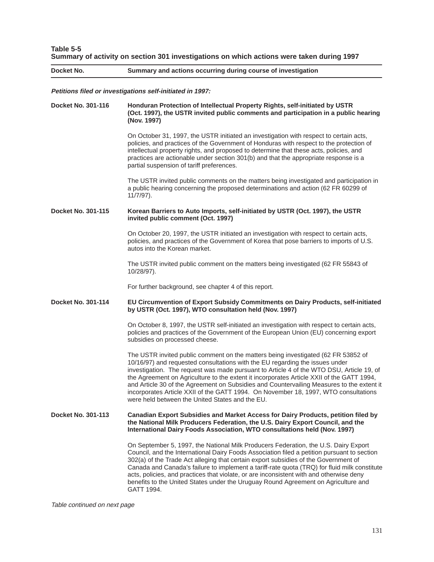| Docket No.                | Summary and actions occurring during course of investigation                                                                                                                                                                                                                                                                                                                                                                                                                                                                                                                                      |
|---------------------------|---------------------------------------------------------------------------------------------------------------------------------------------------------------------------------------------------------------------------------------------------------------------------------------------------------------------------------------------------------------------------------------------------------------------------------------------------------------------------------------------------------------------------------------------------------------------------------------------------|
|                           | Petitions filed or investigations self-initiated in 1997:                                                                                                                                                                                                                                                                                                                                                                                                                                                                                                                                         |
| <b>Docket No. 301-116</b> | Honduran Protection of Intellectual Property Rights, self-initiated by USTR<br>(Oct. 1997), the USTR invited public comments and participation in a public hearing<br>(Nov. 1997)                                                                                                                                                                                                                                                                                                                                                                                                                 |
|                           | On October 31, 1997, the USTR initiated an investigation with respect to certain acts,<br>policies, and practices of the Government of Honduras with respect to the protection of<br>intellectual property rights, and proposed to determine that these acts, policies, and<br>practices are actionable under section 301(b) and that the appropriate response is a<br>partial suspension of tariff preferences.                                                                                                                                                                                  |
|                           | The USTR invited public comments on the matters being investigated and participation in<br>a public hearing concerning the proposed determinations and action (62 FR 60299 of<br>$11/7/97$ ).                                                                                                                                                                                                                                                                                                                                                                                                     |
| Docket No. 301-115        | Korean Barriers to Auto Imports, self-initiated by USTR (Oct. 1997), the USTR<br>invited public comment (Oct. 1997)                                                                                                                                                                                                                                                                                                                                                                                                                                                                               |
|                           | On October 20, 1997, the USTR initiated an investigation with respect to certain acts,<br>policies, and practices of the Government of Korea that pose barriers to imports of U.S.<br>autos into the Korean market.                                                                                                                                                                                                                                                                                                                                                                               |
|                           | The USTR invited public comment on the matters being investigated (62 FR 55843 of<br>10/28/97).                                                                                                                                                                                                                                                                                                                                                                                                                                                                                                   |
|                           | For further background, see chapter 4 of this report.                                                                                                                                                                                                                                                                                                                                                                                                                                                                                                                                             |
| <b>Docket No. 301-114</b> | EU Circumvention of Export Subsidy Commitments on Dairy Products, self-initiated<br>by USTR (Oct. 1997), WTO consultation held (Nov. 1997)                                                                                                                                                                                                                                                                                                                                                                                                                                                        |
|                           | On October 8, 1997, the USTR self-initiated an investigation with respect to certain acts,<br>policies and practices of the Government of the European Union (EU) concerning export<br>subsidies on processed cheese.                                                                                                                                                                                                                                                                                                                                                                             |
|                           | The USTR invited public comment on the matters being investigated (62 FR 53852 of<br>10/16/97) and requested consultations with the EU regarding the issues under<br>investigation. The request was made pursuant to Article 4 of the WTO DSU, Article 19, of<br>the Agreement on Agriculture to the extent it incorporates Article XXII of the GATT 1994,<br>and Article 30 of the Agreement on Subsidies and Countervailing Measures to the extent it<br>incorporates Article XXII of the GATT 1994. On November 18, 1997, WTO consultations<br>were held between the United States and the EU. |
| Docket No. 301-113        | <b>Canadian Export Subsidies and Market Access for Dairy Products, petition filed by</b><br>the National Milk Producers Federation, the U.S. Dairy Export Council, and the<br>International Dairy Foods Association, WTO consultations held (Nov. 1997)                                                                                                                                                                                                                                                                                                                                           |
|                           | On September 5, 1997, the National Milk Producers Federation, the U.S. Dairy Export<br>Council, and the International Dairy Foods Association filed a petition pursuant to section<br>302(a) of the Trade Act alleging that certain export subsidies of the Government of<br>Canada and Canada's failure to implement a tariff-rate quota (TRQ) for fluid milk constitute<br>acts, policies, and practices that violate, or are inconsistent with and otherwise deny<br>benefits to the United States under the Uruguay Round Agreement on Agriculture and<br>GATT 1994.                          |

Table continued on next page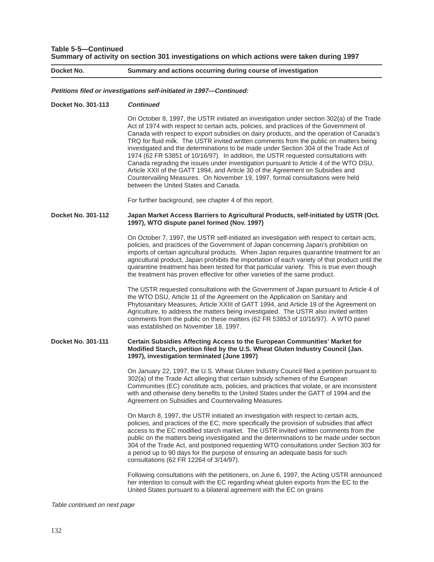| Docket No.                | Summary and actions occurring during course of investigation                                                                                                                                                                                                                                                                                                                                                                                                                                                                                                                                                                                                                                                                                                                                                                                                  |
|---------------------------|---------------------------------------------------------------------------------------------------------------------------------------------------------------------------------------------------------------------------------------------------------------------------------------------------------------------------------------------------------------------------------------------------------------------------------------------------------------------------------------------------------------------------------------------------------------------------------------------------------------------------------------------------------------------------------------------------------------------------------------------------------------------------------------------------------------------------------------------------------------|
|                           | Petitions filed or investigations self-initiated in 1997-Continued:                                                                                                                                                                                                                                                                                                                                                                                                                                                                                                                                                                                                                                                                                                                                                                                           |
| Docket No. 301-113        | <b>Continued</b>                                                                                                                                                                                                                                                                                                                                                                                                                                                                                                                                                                                                                                                                                                                                                                                                                                              |
|                           | On October 8, 1997, the USTR initiated an investigation under section 302(a) of the Trade<br>Act of 1974 with respect to certain acts, policies, and practices of the Government of<br>Canada with respect to export subsidies on dairy products, and the operation of Canada's<br>TRQ for fluid milk. The USTR invited written comments from the public on matters being<br>investigated and the determinations to be made under Section 304 of the Trade Act of<br>1974 (62 FR 53851 of 10/16/97). In addition, the USTR requested consultations with<br>Canada regrading the issues under investigation pursuant to Article 4 of the WTO DSU,<br>Article XXII of the GATT 1994, and Article 30 of the Agreement on Subsidies and<br>Countervailing Measures. On November 19, 1997, formal consultations were held<br>between the United States and Canada. |
|                           | For further background, see chapter 4 of this report.                                                                                                                                                                                                                                                                                                                                                                                                                                                                                                                                                                                                                                                                                                                                                                                                         |
| <b>Docket No. 301-112</b> | Japan Market Access Barriers to Agricultural Products, self-initiated by USTR (Oct.<br>1997), WTO dispute panel formed (Nov. 1997)                                                                                                                                                                                                                                                                                                                                                                                                                                                                                                                                                                                                                                                                                                                            |
|                           | On October 7, 1997, the USTR self-initiated an investigation with respect to certain acts,<br>policies, and practices of the Government of Japan concerning Japan's prohibition on<br>imports of certain agricultural products. When Japan requires quarantine treatment for an<br>agricultural product, Japan prohibits the importation of each variety of that product until the<br>quarantine treatment has been tested for that particular variety. This is true even though<br>the treatment has proven effective for other varieties of the same product.                                                                                                                                                                                                                                                                                               |
|                           | The USTR requested consultations with the Government of Japan pursuant to Article 4 of<br>the WTO DSU, Article 11 of the Agreement on the Application on Sanitary and<br>Phytosanitary Measures, Article XXIII of GATT 1994, and Article 19 of the Agreement on<br>Agriculture, to address the matters being investigated. The USTR also invited written<br>comments from the public on these matters (62 FR 53853 of 10/16/97). A WTO panel<br>was established on November 18, 1997.                                                                                                                                                                                                                                                                                                                                                                         |
| <b>Docket No. 301-111</b> | <b>Certain Subsidies Affecting Access to the European Communities' Market for</b><br>Modified Starch, petition filed by the U.S. Wheat Gluten Industry Council (Jan.<br>1997), investigation terminated (June 1997)                                                                                                                                                                                                                                                                                                                                                                                                                                                                                                                                                                                                                                           |
|                           | On January 22, 1997, the U.S. Wheat Gluten Industry Council filed a petition pursuant to<br>302(a) of the Trade Act alleging that certain subsidy schemes of the European<br>Communities (EC) constitute acts, policies, and practices that violate, or are inconsistent<br>with and otherwise deny benefits to the United States under the GATT of 1994 and the<br>Agreement on Subsidies and Countervailing Measures.                                                                                                                                                                                                                                                                                                                                                                                                                                       |
|                           | On March 8, 1997, the USTR initiated an investigation with respect to certain acts,<br>policies, and practices of the EC; more specifically the provision of subsidies that affect<br>access to the EC modified starch market. The USTR invited written comments from the<br>public on the matters being investigated and the determinations to be made under section<br>304 of the Trade Act, and postponed requesting WTO consultations under Section 303 for<br>a period up to 90 days for the purpose of ensuring an adequate basis for such<br>consultations (62 FR 12264 of 3/14/97).                                                                                                                                                                                                                                                                   |
|                           | Following consultations with the petitioners, on June 6, 1997, the Acting USTR announced<br>her intention to consult with the EC regarding wheat gluten exports from the EC to the<br>United States pursuant to a bilateral agreement with the EC on grains                                                                                                                                                                                                                                                                                                                                                                                                                                                                                                                                                                                                   |

Table continued on next page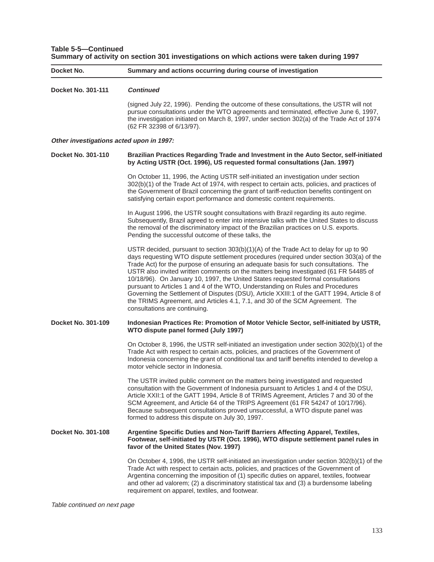| Table 5-5-Continued                                                                       |  |  |
|-------------------------------------------------------------------------------------------|--|--|
| Summary of activity on section 301 investigations on which actions were taken during 1997 |  |  |

| Docket No.                               | Summary and actions occurring during course of investigation                                                                                                                                                                                                                                                                                                                                                                                                                                                                                                                                                                                                                                                                                          |  |  |
|------------------------------------------|-------------------------------------------------------------------------------------------------------------------------------------------------------------------------------------------------------------------------------------------------------------------------------------------------------------------------------------------------------------------------------------------------------------------------------------------------------------------------------------------------------------------------------------------------------------------------------------------------------------------------------------------------------------------------------------------------------------------------------------------------------|--|--|
| Docket No. 301-111                       | <b>Continued</b>                                                                                                                                                                                                                                                                                                                                                                                                                                                                                                                                                                                                                                                                                                                                      |  |  |
|                                          | (signed July 22, 1996). Pending the outcome of these consultations, the USTR will not<br>pursue consultations under the WTO agreements and terminated, effective June 6, 1997,<br>the investigation initiated on March 8, 1997, under section 302(a) of the Trade Act of 1974<br>(62 FR 32398 of 6/13/97).                                                                                                                                                                                                                                                                                                                                                                                                                                            |  |  |
| Other investigations acted upon in 1997: |                                                                                                                                                                                                                                                                                                                                                                                                                                                                                                                                                                                                                                                                                                                                                       |  |  |
| Docket No. 301-110                       | Brazilian Practices Regarding Trade and Investment in the Auto Sector, self-initiated<br>by Acting USTR (Oct. 1996), US requested formal consultations (Jan. 1997)                                                                                                                                                                                                                                                                                                                                                                                                                                                                                                                                                                                    |  |  |
|                                          | On October 11, 1996, the Acting USTR self-initiated an investigation under section<br>302(b)(1) of the Trade Act of 1974, with respect to certain acts, policies, and practices of<br>the Government of Brazil concerning the grant of tariff-reduction benefits contingent on<br>satisfying certain export performance and domestic content requirements.                                                                                                                                                                                                                                                                                                                                                                                            |  |  |
|                                          | In August 1996, the USTR sought consultations with Brazil regarding its auto regime.<br>Subsequently, Brazil agreed to enter into intensive talks with the United States to discuss<br>the removal of the discriminatory impact of the Brazilian practices on U.S. exports.<br>Pending the successful outcome of these talks, the                                                                                                                                                                                                                                                                                                                                                                                                                     |  |  |
|                                          | USTR decided, pursuant to section 303(b)(1)(A) of the Trade Act to delay for up to 90<br>days requesting WTO dispute settlement procedures (required under section 303(a) of the<br>Trade Act) for the purpose of ensuring an adequate basis for such consultations. The<br>USTR also invited written comments on the matters being investigated (61 FR 54485 of<br>10/18/96). On January 10, 1997, the United States requested formal consultations<br>pursuant to Articles 1 and 4 of the WTO, Understanding on Rules and Procedures<br>Governing the Settlement of Disputes (DSU), Article XXIII:1 of the GATT 1994, Article 8 of<br>the TRIMS Agreement, and Articles 4.1, 7.1, and 30 of the SCM Agreement. The<br>consultations are continuing. |  |  |
| <b>Docket No. 301-109</b>                | Indonesian Practices Re: Promotion of Motor Vehicle Sector, self-initiated by USTR,<br>WTO dispute panel formed (July 1997)                                                                                                                                                                                                                                                                                                                                                                                                                                                                                                                                                                                                                           |  |  |
|                                          | On October 8, 1996, the USTR self-initiated an investigation under section 302(b)(1) of the<br>Trade Act with respect to certain acts, policies, and practices of the Government of<br>Indonesia concerning the grant of conditional tax and tariff benefits intended to develop a<br>motor vehicle sector in Indonesia.                                                                                                                                                                                                                                                                                                                                                                                                                              |  |  |
|                                          | The USTR invited public comment on the matters being investigated and requested<br>consultation with the Government of Indonesia pursuant to Articles 1 and 4 of the DSU,<br>Article XXII:1 of the GATT 1994, Article 8 of TRIMS Agreement, Articles 7 and 30 of the<br>SCM Agreement, and Article 64 of the TRIPS Agreement (61 FR 54247 of 10/17/96).<br>Because subsequent consultations proved unsuccessful, a WTO dispute panel was<br>formed to address this dispute on July 30, 1997.                                                                                                                                                                                                                                                          |  |  |
| Docket No. 301-108                       | Argentine Specific Duties and Non-Tariff Barriers Affecting Apparel, Textiles,<br>Footwear, self-initiated by USTR (Oct. 1996), WTO dispute settlement panel rules in<br>favor of the United States (Nov. 1997)                                                                                                                                                                                                                                                                                                                                                                                                                                                                                                                                       |  |  |
|                                          | On October 4, 1996, the USTR self-initiated an investigation under section 302(b)(1) of the<br>Trade Act with respect to certain acts, policies, and practices of the Government of<br>Argentina concerning the imposition of (1) specific duties on apparel, textiles, footwear<br>and other ad valorem; (2) a discriminatory statistical tax and (3) a burdensome labeling<br>requirement on apparel, textiles, and footwear.                                                                                                                                                                                                                                                                                                                       |  |  |

Table continued on next page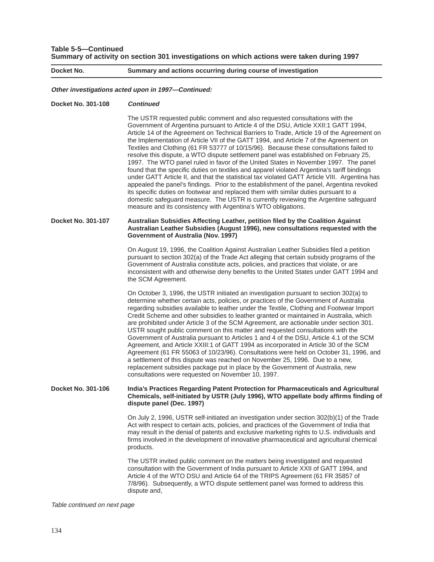**Docket No. Summary and actions occurring during course of investigation Other investigations acted upon in 1997—Continued: Docket No. 301-108 Continued** The USTR requested public comment and also requested consultations with the Government of Argentina pursuant to Article 4 of the DSU, Article XXII:1 GATT 1994, Article 14 of the Agreement on Technical Barriers to Trade, Article 19 of the Agreement on the Implementation of Article VII of the GATT 1994, and Article 7 of the Agreement on Textiles and Clothing (61 FR 53777 of 10/15/96). Because these consultations failed to resolve this dispute, a WTO dispute settlement panel was established on February 25, 1997. The WTO panel ruled in favor of the United States in November 1997. The panel found that the specific duties on textiles and apparel violated Argentina's tariff bindings under GATT Article II, and that the statistical tax violated GATT Article VIII. Argentina has appealed the panel's findings. Prior to the establishment of the panel, Argentina revoked its specific duties on footwear and replaced them with similar duties pursuant to a domestic safeguard measure. The USTR is currently reviewing the Argentine safeguard measure and its consistency with Argentina's WTO obligations. **Docket No. 301-107 Australian Subsidies Affecting Leather, petition filed by the Coalition Against Australian Leather Subsidies (August 1996), new consultations requested with the Government of Australia (Nov. 1997)** On August 19, 1996, the Coalition Against Australian Leather Subsidies filed a petition pursuant to section 302(a) of the Trade Act alleging that certain subsidy programs of the Government of Australia constitute acts, policies, and practices that violate, or are inconsistent with and otherwise deny benefits to the United States under GATT 1994 and the SCM Agreement. On October 3, 1996, the USTR initiated an investigation pursuant to section 302(a) to determine whether certain acts, policies, or practices of the Government of Australia regarding subsidies available to leather under the Textile, Clothing and Footwear Import Credit Scheme and other subsidies to leather granted or maintained in Australia, which are prohibited under Article 3 of the SCM Agreement, are actionable under section 301. USTR sought public comment on this matter and requested consultations with the Government of Australia pursuant to Articles 1 and 4 of the DSU, Article 4.1 of the SCM Agreement, and Article XXIII:1 of GATT 1994 as incorporated in Article 30 of the SCM Agreement (61 FR 55063 of 10/23/96). Consultations were held on October 31, 1996, and a settlement of this dispute was reached on November 25, 1996. Due to a new, replacement subsidies package put in place by the Government of Australia, new consultations were requested on November 10, 1997. **Docket No. 301-106 India's Practices Regarding Patent Protection for Pharmaceuticals and Agricultural Chemicals, self-initiated by USTR (July 1996), WTO appellate body affirms finding of dispute panel (Dec. 1997)** On July 2, 1996, USTR self-initiated an investigation under section 302(b)(1) of the Trade Act with respect to certain acts, policies, and practices of the Government of India that may result in the denial of patents and exclusive marketing rights to U.S. individuals and firms involved in the development of innovative pharmaceutical and agricultural chemical

> The USTR invited public comment on the matters being investigated and requested consultation with the Government of India pursuant to Article XXII of GATT 1994, and Article 4 of the WTO DSU and Article 64 of the TRIPS Agreement (61 FR 35857 of 7/8/96). Subsequently, a WTO dispute settlement panel was formed to address this dispute and,

Table continued on next page

products.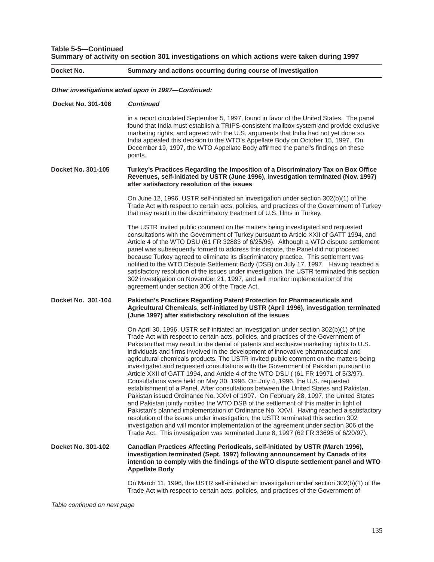| Docket No.                                         | Summary and actions occurring during course of investigation                                                                                                                                                                                                                                                                                                                                                                                                                                                                                                                                                                                                                                                                                                                                                                                                                                                                                                                                                                                                                                                                                                                                                                                                                                                                                                       |  |  |  |  |
|----------------------------------------------------|--------------------------------------------------------------------------------------------------------------------------------------------------------------------------------------------------------------------------------------------------------------------------------------------------------------------------------------------------------------------------------------------------------------------------------------------------------------------------------------------------------------------------------------------------------------------------------------------------------------------------------------------------------------------------------------------------------------------------------------------------------------------------------------------------------------------------------------------------------------------------------------------------------------------------------------------------------------------------------------------------------------------------------------------------------------------------------------------------------------------------------------------------------------------------------------------------------------------------------------------------------------------------------------------------------------------------------------------------------------------|--|--|--|--|
| Other investigations acted upon in 1997-Continued: |                                                                                                                                                                                                                                                                                                                                                                                                                                                                                                                                                                                                                                                                                                                                                                                                                                                                                                                                                                                                                                                                                                                                                                                                                                                                                                                                                                    |  |  |  |  |
| Docket No. 301-106                                 | <b>Continued</b>                                                                                                                                                                                                                                                                                                                                                                                                                                                                                                                                                                                                                                                                                                                                                                                                                                                                                                                                                                                                                                                                                                                                                                                                                                                                                                                                                   |  |  |  |  |
|                                                    | in a report circulated September 5, 1997, found in favor of the United States. The panel<br>found that India must establish a TRIPS-consistent mailbox system and provide exclusive<br>marketing rights, and agreed with the U.S. arguments that India had not yet done so.<br>India appealed this decision to the WTO's Appellate Body on October 15, 1997. On<br>December 19, 1997, the WTO Appellate Body affirmed the panel's findings on these<br>points.                                                                                                                                                                                                                                                                                                                                                                                                                                                                                                                                                                                                                                                                                                                                                                                                                                                                                                     |  |  |  |  |
| <b>Docket No. 301-105</b>                          | Turkey's Practices Regarding the Imposition of a Discriminatory Tax on Box Office<br>Revenues, self-initiated by USTR (June 1996), investigation terminated (Nov. 1997)<br>after satisfactory resolution of the issues                                                                                                                                                                                                                                                                                                                                                                                                                                                                                                                                                                                                                                                                                                                                                                                                                                                                                                                                                                                                                                                                                                                                             |  |  |  |  |
|                                                    | On June 12, 1996, USTR self-initiated an investigation under section 302(b)(1) of the<br>Trade Act with respect to certain acts, policies, and practices of the Government of Turkey<br>that may result in the discriminatory treatment of U.S. films in Turkey.                                                                                                                                                                                                                                                                                                                                                                                                                                                                                                                                                                                                                                                                                                                                                                                                                                                                                                                                                                                                                                                                                                   |  |  |  |  |
|                                                    | The USTR invited public comment on the matters being investigated and requested<br>consultations with the Government of Turkey pursuant to Article XXII of GATT 1994, and<br>Article 4 of the WTO DSU (61 FR 32883 of 6/25/96). Although a WTO dispute settlement<br>panel was subsequently formed to address this dispute, the Panel did not proceed<br>because Turkey agreed to eliminate its discriminatory practice. This settlement was<br>notified to the WTO Dispute Settlement Body (DSB) on July 17, 1997. Having reached a<br>satisfactory resolution of the issues under investigation, the USTR terminated this section<br>302 investigation on November 21, 1997, and will monitor implementation of the<br>agreement under section 306 of the Trade Act.                                                                                                                                                                                                                                                                                                                                                                                                                                                                                                                                                                                             |  |  |  |  |
| Docket No. 301-104                                 | <b>Pakistan's Practices Regarding Patent Protection for Pharmaceuticals and</b><br>Agricultural Chemicals, self-initiated by USTR (April 1996), investigation terminated<br>(June 1997) after satisfactory resolution of the issues                                                                                                                                                                                                                                                                                                                                                                                                                                                                                                                                                                                                                                                                                                                                                                                                                                                                                                                                                                                                                                                                                                                                |  |  |  |  |
|                                                    | On April 30, 1996, USTR self-initiated an investigation under section 302(b)(1) of the<br>Trade Act with respect to certain acts, policies, and practices of the Government of<br>Pakistan that may result in the denial of patents and exclusive marketing rights to U.S.<br>individuals and firms involved in the development of innovative pharmaceutical and<br>agricultural chemicals products. The USTR invited public comment on the matters being<br>investigated and requested consultations with the Government of Pakistan pursuant to<br>Article XXII of GATT 1994, and Article 4 of the WTO DSU ((61 FR 19971 of 5/3/97).<br>Consultations were held on May 30, 1996. On July 4, 1996, the U.S. requested<br>establishment of a Panel. After consultations between the United States and Pakistan,<br>Pakistan issued Ordinance No. XXVI of 1997. On February 28, 1997, the United States<br>and Pakistan jointly notified the WTO DSB of the settlement of this matter in light of<br>Pakistan's planned implementation of Ordinance No. XXVI. Having reached a satisfactory<br>resolution of the issues under investigation, the USTR terminated this section 302<br>investigation and will monitor implementation of the agreement under section 306 of the<br>Trade Act. This investigation was terminated June 8, 1997 (62 FR 33695 of 6/20/97). |  |  |  |  |
| Docket No. 301-102                                 | Canadian Practices Affecting Periodicals, self-initiated by USTR (March 1996),<br>investigation terminated (Sept. 1997) following announcement by Canada of its<br>intention to comply with the findings of the WTO dispute settlement panel and WTO<br><b>Appellate Body</b>                                                                                                                                                                                                                                                                                                                                                                                                                                                                                                                                                                                                                                                                                                                                                                                                                                                                                                                                                                                                                                                                                      |  |  |  |  |
|                                                    | On March 11, 1996, the USTR self-initiated an investigation under section 302(b)(1) of the<br>Trade Act with respect to certain acts, policies, and practices of the Government of                                                                                                                                                                                                                                                                                                                                                                                                                                                                                                                                                                                                                                                                                                                                                                                                                                                                                                                                                                                                                                                                                                                                                                                 |  |  |  |  |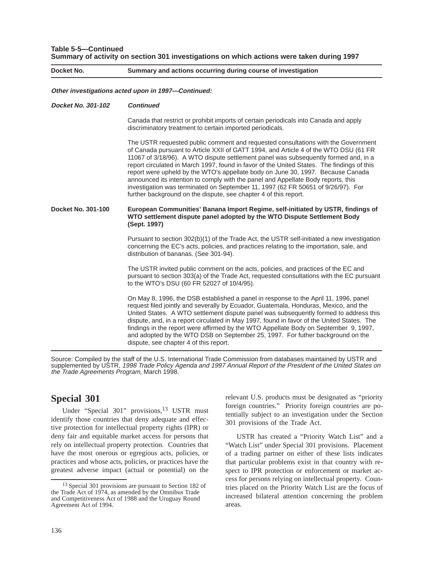| Docket No.                                         | Summary and actions occurring during course of investigation                                                                                                                                                                                                                                                                                                                                                                                                                                                                                                                                                                                                                                   |  |  |  |
|----------------------------------------------------|------------------------------------------------------------------------------------------------------------------------------------------------------------------------------------------------------------------------------------------------------------------------------------------------------------------------------------------------------------------------------------------------------------------------------------------------------------------------------------------------------------------------------------------------------------------------------------------------------------------------------------------------------------------------------------------------|--|--|--|
| Other investigations acted upon in 1997-Continued: |                                                                                                                                                                                                                                                                                                                                                                                                                                                                                                                                                                                                                                                                                                |  |  |  |
| Docket No. 301-102                                 | <b>Continued</b>                                                                                                                                                                                                                                                                                                                                                                                                                                                                                                                                                                                                                                                                               |  |  |  |
|                                                    | Canada that restrict or prohibit imports of certain periodicals into Canada and apply<br>discriminatory treatment to certain imported periodicals.                                                                                                                                                                                                                                                                                                                                                                                                                                                                                                                                             |  |  |  |
|                                                    | The USTR requested public comment and requested consultations with the Government<br>of Canada pursuant to Article XXII of GATT 1994, and Article 4 of the WTO DSU (61 FR<br>11067 of 3/18/96). A WTO dispute settlement panel was subsequently formed and, in a<br>report circulated in March 1997, found in favor of the United States. The findings of this<br>report were upheld by the WTO's appellate body on June 30, 1997. Because Canada<br>announced its intention to comply with the panel and Appellate Body reports, this<br>investigation was terminated on September 11, 1997 (62 FR 50651 of 9/26/97). For<br>further background on the dispute, see chapter 4 of this report. |  |  |  |
| Docket No. 301-100                                 | European Communities' Banana Import Regime, self-initiated by USTR, findings of<br>WTO settlement dispute panel adopted by the WTO Dispute Settlement Body<br>(Sept. 1997)                                                                                                                                                                                                                                                                                                                                                                                                                                                                                                                     |  |  |  |
|                                                    | Pursuant to section 302(b)(1) of the Trade Act, the USTR self-initiated a new investigation<br>concerning the EC's acts, policies, and practices relating to the importation, sale, and<br>distribution of bananas. (See 301-94).                                                                                                                                                                                                                                                                                                                                                                                                                                                              |  |  |  |
|                                                    | The USTR invited public comment on the acts, policies, and practices of the EC and<br>pursuant to section 303(a) of the Trade Act, requested consultations with the EC pursuant<br>to the WTO's DSU (60 FR 52027 of 10/4/95).                                                                                                                                                                                                                                                                                                                                                                                                                                                                  |  |  |  |
|                                                    | On May 8, 1996, the DSB established a panel in response to the April 11, 1996, panel<br>request filed jointly and severally by Ecuador, Guatemala, Honduras, Mexico, and the<br>United States. A WTO settlement dispute panel was subsequently formed to address this<br>dispute, and, in a report circulated in May 1997, found in favor of the United States. The<br>findings in the report were affirmed by the WTO Appellate Body on September 9, 1997,<br>and adopted by the WTO DSB on September 25, 1997. For futher background on the<br>dispute, see chapter 4 of this report.                                                                                                        |  |  |  |

Source: Compiled by the staff of the U.S. International Trade Commission from databases maintained by USTR and supplemented by USTR, 1998 Trade Policy Agenda and 1997 Annual Report of the President of the United States on the Trade Agreements Program, March 1998.

## **Special 301**

Under "Special 301" provisions,<sup>13</sup> USTR must identify those countries that deny adequate and effective protection for intellectual property rights (IPR) or deny fair and equitable market access for persons that rely on intellectual property protection. Countries that have the most onerous or egregious acts, policies, or practices and whose acts, policies, or practices have the greatest adverse impact (actual or potential) on the relevant U.S. products must be designated as "priority foreign countries." Priority foreign countries are potentially subject to an investigation under the Section 301 provisions of the Trade Act.

USTR has created a "Priority Watch List" and a "Watch List" under Special 301 provisions. Placement of a trading partner on either of these lists indicates that particular problems exist in that country with respect to IPR protection or enforcement or market access for persons relying on intellectual property. Countries placed on the Priority Watch List are the focus of increased bilateral attention concerning the problem areas.

<sup>13</sup> Special 301 provisions are pursuant to Section 182 of the Trade Act of 1974, as amended by the Omnibus Trade and Competitiveness Act of 1988 and the Uruguay Round Agreement Act of 1994.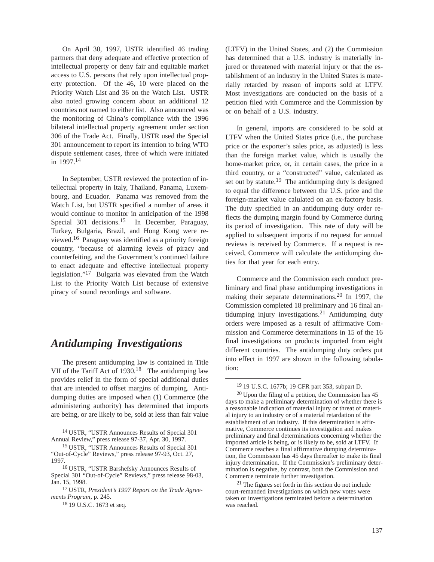On April 30, 1997, USTR identified 46 trading partners that deny adequate and effective protection of intellectual property or deny fair and equitable market access to U.S. persons that rely upon intellectual property protection. Of the 46, 10 were placed on the Priority Watch List and 36 on the Watch List. USTR also noted growing concern about an additional 12 countries not named to either list. Also announced was the monitoring of China's compliance with the 1996 bilateral intellectual property agreement under section 306 of the Trade Act. Finally, USTR used the Special 301 announcement to report its intention to bring WTO dispute settlement cases, three of which were initiated in 1997.14

In September, USTR reviewed the protection of intellectual property in Italy, Thailand, Panama, Luxembourg, and Ecuador. Panama was removed from the Watch List, but USTR specified a number of areas it would continue to monitor in anticipation of the 1998 Special 301 decisions.<sup>15</sup> In December, Paraguay, Turkey, Bulgaria, Brazil, and Hong Kong were reviewed.16 Paraguay was identified as a priority foreign country, "because of alarming levels of piracy and counterfeiting, and the Government's continued failure to enact adequate and effective intellectual property legislation."17 Bulgaria was elevated from the Watch List to the Priority Watch List because of extensive piracy of sound recordings and software.

# *Antidumping Investigations*

The present antidumping law is contained in Title VII of the Tariff Act of  $1930$ <sup>18</sup> The antidumping law provides relief in the form of special additional duties that are intended to offset margins of dumping. Antidumping duties are imposed when (1) Commerce (the administering authority) has determined that imports are being, or are likely to be, sold at less than fair value

(LTFV) in the United States, and (2) the Commission has determined that a U.S. industry is materially injured or threatened with material injury or that the establishment of an industry in the United States is materially retarded by reason of imports sold at LTFV. Most investigations are conducted on the basis of a petition filed with Commerce and the Commission by or on behalf of a U.S. industry.

In general, imports are considered to be sold at LTFV when the United States price (i.e., the purchase price or the exporter's sales price, as adjusted) is less than the foreign market value, which is usually the home-market price, or, in certain cases, the price in a third country, or a "constructed" value, calculated as set out by statute.<sup>19</sup> The antidumping duty is designed to equal the difference between the U.S. price and the foreign-market value calulated on an ex-factory basis. The duty specified in an antidumping duty order reflects the dumping margin found by Commerce during its period of investigation. This rate of duty will be applied to subsequent imports if no request for annual reviews is received by Commerce. If a request is received, Commerce will calculate the antidumping duties for that year for each entry.

Commerce and the Commission each conduct preliminary and final phase antidumping investigations in making their separate determinations.20 In 1997, the Commission completed 18 preliminary and 16 final antidumping injury investigations.<sup>21</sup> Antidumping duty orders were imposed as a result of affirmative Commission and Commerce determinations in 15 of the 16 final investigations on products imported from eight different countries. The antidumping duty orders put into effect in 1997 are shown in the following tabulation:

<sup>14</sup> USTR, "USTR Announces Results of Special 301 Annual Review," press release 97-37, Apr. 30, 1997.

<sup>15</sup> USTR, "USTR Announces Results of Special 301 "Out-of-Cycle" Reviews," press release 97-93, Oct. 27, 1997.

<sup>16</sup> USTR, "USTR Barshefsky Announces Results of Special 301 "Out-of-Cycle" Reviews," press release 98-03, Jan. 15, 1998.

<sup>17</sup> USTR, *President's 1997 Report on the Trade Agreements Program*, p. 245.

<sup>18</sup> 19 U.S.C. 1673 et seq.

<sup>19</sup> 19 U.S.C. 1677b; 19 CFR part 353, subpart D.

<sup>20</sup> Upon the filing of a petition, the Commission has 45 days to make a preliminary determination of whether there is a reasonable indication of material injury or threat of material injury to an industry or of a material retardation of the establishment of an industry. If this determination is affirmative, Commerce continues its investigation and makes preliminary and final determinations concerning whether the imported article is being, or is likely to be, sold at LTFV. If Commerce reaches a final affirmative dumping determination, the Commission has 45 days thereafter to make its final injury determination. If the Commission's preliminary determination is negative, by contrast, both the Commission and Commerce terminate further investigation.

<sup>21</sup> The figures set forth in this section do not include court-remanded investigations on which new votes were taken or investigations terminated before a determination was reached.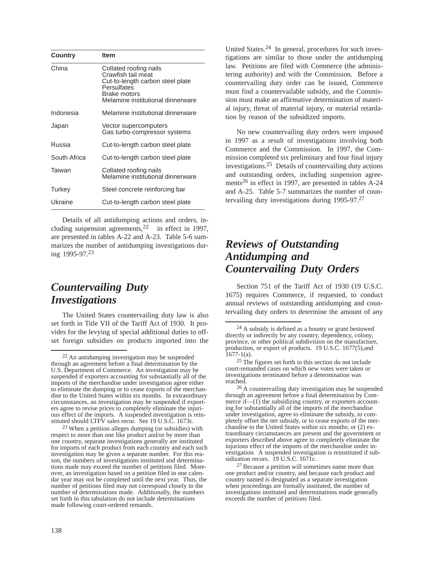| Country      | Item                                                                                                                                                 |
|--------------|------------------------------------------------------------------------------------------------------------------------------------------------------|
| China        | Collated roofing nails<br>Crawfish tail meat<br>Cut-to-length carbon steel plate<br>Persulfates<br>Brake motors<br>Melamine institutional dinnerware |
| Indonesia    | Melamine institutional dinnerware                                                                                                                    |
| Japan        | Vector supercomputers<br>Gas turbo-compressor systems                                                                                                |
| Russia       | Cut-to-length carbon steel plate                                                                                                                     |
| South Africa | Cut-to-length carbon steel plate                                                                                                                     |
| Taiwan       | Collated roofing nails<br>Melamine institutional dinnerware                                                                                          |
| Turkey       | Steel concrete reinforcing bar                                                                                                                       |
| Ukraine      | Cut-to-length carbon steel plate                                                                                                                     |

Details of all antidumping actions and orders, including suspension agreements,  $22$  in effect in 1997, are presented in tables A-22 and A-23. Table 5-6 summarizes the number of antidumping investigations during 1995-97.23

# *Countervailing Duty Investigations*

The United States countervailing duty law is also set forth in Title VII of the Tariff Act of 1930. It provides for the levying of special additional duties to offset foreign subsidies on products imported into the

<sup>23</sup> When a petition alleges dumping (or subsidies) with respect to more than one like product and/or by more than one country, separate investigations generally are instituted for imports of each product from each country and each such investigation may be given a separate number. For this reason, the numbers of investigations instituted and determinations made may exceed the number of petitions filed. Moreover, an investigation based on a petition filed in one calendar year may not be completed until the next year. Thus, the number of petitions filed may not correspond closely to the number of determinations made. Additionally, the numbers set forth in this tabulation do not include determinations made following court-ordered remands.

United States.24 In general, procedures for such investigations are similar to those under the antidumping law. Petitions are filed with Commerce (the administering authority) and with the Commission. Before a countervailing duty order can be issued, Commerce must find a countervailable subsidy, and the Commission must make an affirmative determination of material injury, threat of material injury, or material retardation by reason of the subsidized imports.

No new countervailing duty orders were imposed in 1997 as a result of investigations involving both Commerce and the Commission. In 1997, the Commission completed six preliminary and four final injury investigations.25 Details of countervailing duty actions and outstanding orders, including suspension agreements<sup>26</sup> in effect in 1997, are presented in tables A-24 and A-25. Table 5-7 summarizes the number of countervailing duty investigations during 1995-97.27

# *Reviews of Outstanding Antidumping and Countervailing Duty Orders*

Section 751 of the Tariff Act of 1930 (19 U.S.C. 1675) requires Commerce, if requested, to conduct annual reviews of outstanding antidumping and countervailing duty orders to determine the amount of any

<sup>26</sup> A countervailing duty investigation may be suspended through an agreement before a final determination by Commerce if— $(1)$  the subsidizing country, or exporters accounting for substantially all of the imports of the merchandise under investigation, agree to eliminate the subsidy, to completely offset the net subsidy, or to cease exports of the merchandise to the United States within six months; or (2) extraordinary circumstances are present and the government or exporters described above agree to completely eliminate the injurious effect of the imports of the merchandise under investigation. A suspended investigation is reinstituted if subsidization recurs. 19 U.S.C. 1671c.

<sup>27</sup> Because a petition will sometimes name more than one product and/or country, and because each product and country named is designated as a separate investigation when proceedings are formally instituted, the number of investigations instituted and determinations made generally exceeds the number of petitions filed.

<sup>22</sup> An antidumping investigation may be suspended through an agreement before a final determination by the U.S. Department of Commerce. An investigation may be suspended if exporters accounting for substantially all of the imports of the merchandise under investigation agree either to eliminate the dumping or to cease exports of the merchandise to the United States within six months. In extraordinary circumstances, an investigation may be suspended if exporters agree to revise prices to completely eliminate the injurious effect of the imports. A suspended investigation is reinstituted should LTFV sales recur. See 19 U.S.C. 1673c.

 $24$  A subsidy is defined as a bounty or grant bestowed directly or indirectly by any country, dependency, colony, province, or other political subdivision on the manufacture, production, or export of products. 19 U.S.C. 1677(5),and  $1677 - 1(a)$ .

<sup>25</sup> The figures set forth in this section do not include court-remanded cases on which new votes were taken or investigations terminated before a determination was reached.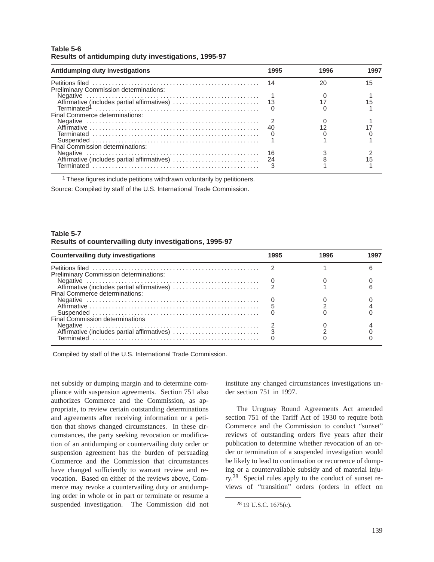#### **Table 5-6 Results of antidumping duty investigations, 1995-97**

| Antidumping duty investigations               | 1995 | 1996 |    |
|-----------------------------------------------|------|------|----|
|                                               | - 14 |      | 15 |
| <b>Preliminary Commission determinations:</b> |      |      |    |
|                                               |      |      |    |
| Affirmative (includes partial affirmatives)   |      |      |    |
|                                               |      |      |    |
| Final Commerce determinations:                |      |      |    |
|                                               |      |      |    |
|                                               |      |      |    |
| Terminated                                    |      |      |    |
|                                               |      |      |    |
| Final Commission determinations:              |      |      |    |
|                                               | 16   |      |    |
| Affirmative (includes partial affirmatives)   | 24   |      |    |
| Terminated                                    |      |      |    |
|                                               |      |      |    |

<sup>1</sup> These figures include petitions withdrawn voluntarily by petitioners.

Source: Compiled by staff of the U.S. International Trade Commission.

#### **Table 5-7 Results of countervailing duty investigations, 1995-97**

| Countervailing duty investigations                        |  |  |
|-----------------------------------------------------------|--|--|
| Preliminary Commission determinations:                    |  |  |
|                                                           |  |  |
| Final Commerce determinations:                            |  |  |
| Final Commission determinations                           |  |  |
| Affirmative (includes partial affirmatives)<br>Terminated |  |  |

Compiled by staff of the U.S. International Trade Commission.

net subsidy or dumping margin and to determine compliance with suspension agreements. Section 751 also authorizes Commerce and the Commission, as appropriate, to review certain outstanding determinations and agreements after receiving information or a petition that shows changed circumstances. In these circumstances, the party seeking revocation or modification of an antidumping or countervailing duty order or suspension agreement has the burden of persuading Commerce and the Commission that circumstances have changed sufficiently to warrant review and revocation. Based on either of the reviews above, Commerce may revoke a countervailing duty or antidumping order in whole or in part or terminate or resume a suspended investigation. The Commission did not institute any changed circumstances investigations under section 751 in 1997.

The Uruguay Round Agreements Act amended section 751 of the Tariff Act of 1930 to require both Commerce and the Commission to conduct "sunset" reviews of outstanding orders five years after their publication to determine whether revocation of an order or termination of a suspended investigation would be likely to lead to continuation or recurrence of dumping or a countervailable subsidy and of material injury.28 Special rules apply to the conduct of sunset reviews of "transition" orders (orders in effect on

<sup>28</sup> 19 U.S.C. 1675(c).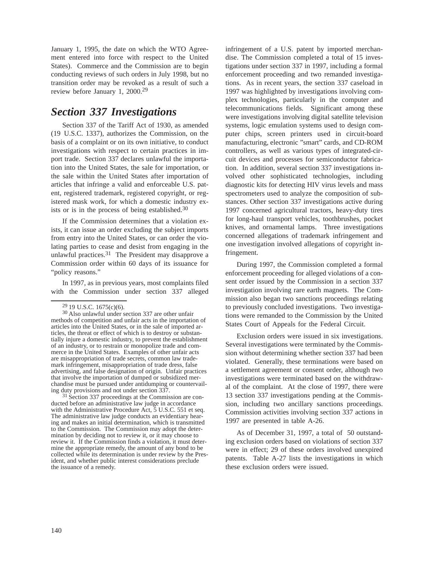January 1, 1995, the date on which the WTO Agreement entered into force with respect to the United States). Commerce and the Commission are to begin conducting reviews of such orders in July 1998, but no transition order may be revoked as a result of such a review before January 1, 2000.29

# *Section 337 Investigations*

Section 337 of the Tariff Act of 1930, as amended (19 U.S.C. 1337), authorizes the Commission, on the basis of a complaint or on its own initiative, to conduct investigations with respect to certain practices in import trade. Section 337 declares unlawful the importation into the United States, the sale for importation, or the sale within the United States after importation of articles that infringe a valid and enforceable U.S. patent, registered trademark, registered copyright, or registered mask work, for which a domestic industry exists or is in the process of being established. $30$ 

If the Commission determines that a violation exists, it can issue an order excluding the subject imports from entry into the United States, or can order the violating parties to cease and desist from engaging in the unlawful practices.<sup>31</sup> The President may disapprove a Commission order within 60 days of its issuance for "policy reasons."

In 1997, as in previous years, most complaints filed with the Commission under section 337 alleged

<sup>31</sup> Section 337 proceedings at the Commission are conducted before an administrative law judge in accordance with the Administrative Procedure Act, 5 U.S.C. 551 et seq. The administrative law judge conducts an evidentiary hearing and makes an initial determination, which is transmitted to the Commission. The Commission may adopt the determination by deciding not to review it, or it may choose to review it. If the Commission finds a violation, it must determine the appropriate remedy, the amount of any bond to be collected while its determination is under review by the President, and whether public interest considerations preclude the issuance of a remedy.

infringement of a U.S. patent by imported merchandise. The Commission completed a total of 15 investigations under section 337 in 1997, including a formal enforcement proceeding and two remanded investigations. As in recent years, the section 337 caseload in 1997 was highlighted by investigations involving complex technologies, particularly in the computer and telecommunications fields. Significant among these were investigations involving digital satellite television systems, logic emulation systems used to design computer chips, screen printers used in circuit-board manufacturing, electronic "smart" cards, and CD-ROM controllers, as well as various types of integrated-circuit devices and processes for semiconductor fabrication. In addition, several section 337 investigations involved other sophisticated technologies, including diagnostic kits for detecting HIV virus levels and mass spectrometers used to analyze the composition of substances. Other section 337 investigations active during 1997 concerned agricultural tractors, heavy-duty tires for long-haul transport vehicles, toothbrushes, pocket knives, and ornamental lamps. Three investigations concerned allegations of trademark infringement and one investigation involved allegations of copyright infringement.

During 1997, the Commission completed a formal enforcement proceeding for alleged violations of a consent order issued by the Commission in a section 337 investigation involving rare earth magnets. The Commission also began two sanctions proceedings relating to previously concluded investigations. Two investigations were remanded to the Commission by the United States Court of Appeals for the Federal Circuit.

Exclusion orders were issued in six investigations. Several investigations were terminated by the Commission without determining whether section 337 had been violated. Generally, these terminations were based on a settlement agreement or consent order, although two investigations were terminated based on the withdrawal of the complaint. At the close of 1997, there were 13 section 337 investigations pending at the Commission, including two ancillary sanctions proceedings. Commission activities involving section 337 actions in 1997 are presented in table A-26.

As of December 31, 1997, a total of 50 outstanding exclusion orders based on violations of section 337 were in effect; 29 of these orders involved unexpired patents. Table A-27 lists the investigations in which these exclusion orders were issued.

<sup>29</sup> 19 U.S.C. 1675(c)(6).

<sup>30</sup> Also unlawful under section 337 are other unfair methods of competition and unfair acts in the importation of articles into the United States, or in the sale of imported articles, the threat or effect of which is to destroy or substantially injure a domestic industry, to prevent the establishment of an industry, or to restrain or monopolize trade and commerce in the United States. Examples of other unfair acts are misappropriation of trade secrets, common law trademark infringement, misappropriation of trade dress, false advertising, and false designation of origin. Unfair practices that involve the importation of dumped or subsidized merchandise must be pursued under antidumping or countervailing duty provisions and not under section 337.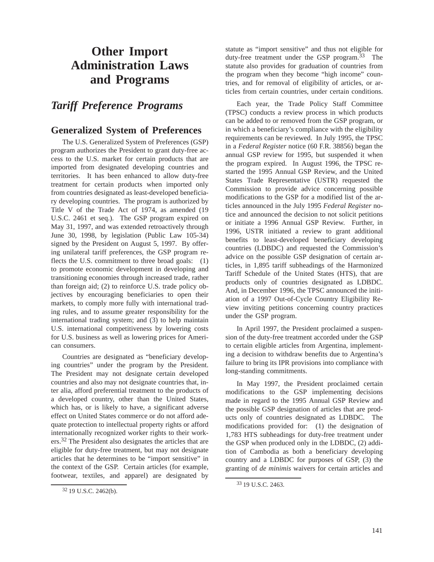# **Other Import Administration Laws and Programs**

# *Tariff Preference Programs*

### **Generalized System of Preferences**

The U.S. Generalized System of Preferences (GSP) program authorizes the President to grant duty-free access to the U.S. market for certain products that are imported from designated developing countries and territories. It has been enhanced to allow duty-free treatment for certain products when imported only from countries designated as least-developed beneficiary developing countries. The program is authorized by Title V of the Trade Act of 1974, as amended (19 U.S.C. 2461 et seq.). The GSP program expired on May 31, 1997, and was extended retroactively through June 30, 1998, by legislation (Public Law 105-34) signed by the President on August 5, 1997. By offering unilateral tariff preferences, the GSP program reflects the U.S. commitment to three broad goals: (1) to promote economic development in developing and transitioning economies through increased trade, rather than foreign aid; (2) to reinforce U.S. trade policy objectives by encouraging beneficiaries to open their markets, to comply more fully with international trading rules, and to assume greater responsibility for the international trading system; and (3) to help maintain U.S. international competitiveness by lowering costs for U.S. business as well as lowering prices for American consumers.

Countries are designated as "beneficiary developing countries" under the program by the President. The President may not designate certain developed countries and also may not designate countries that, inter alia, afford preferential treatment to the products of a developed country, other than the United States, which has, or is likely to have, a significant adverse effect on United States commerce or do not afford adequate protection to intellectual property rights or afford internationally recognized worker rights to their workers.32 The President also designates the articles that are eligible for duty-free treatment, but may not designate articles that he determines to be "import sensitive" in the context of the GSP. Certain articles (for example, footwear, textiles, and apparel) are designated by

statute as "import sensitive" and thus not eligible for duty-free treatment under the GSP program.<sup>33</sup> The statute also provides for graduation of countries from the program when they become "high income" countries, and for removal of eligibility of articles, or articles from certain countries, under certain conditions.

Each year, the Trade Policy Staff Committee (TPSC) conducts a review process in which products can be added to or removed from the GSP program, or in which a beneficiary's compliance with the eligibility requirements can be reviewed. In July 1995, the TPSC in a *Federal Register* notice (60 F.R. 38856) began the annual GSP review for 1995, but suspended it when the program expired. In August 1996, the TPSC restarted the 1995 Annual GSP Review, and the United States Trade Representative (USTR) requested the Commission to provide advice concerning possible modifications to the GSP for a modified list of the articles announced in the July 1995 *Federal Register* notice and announced the decision to not solicit petitions or initiate a 1996 Annual GSP Review. Further, in 1996, USTR initiated a review to grant additional benefits to least-developed beneficiary developing countries (LDBDC) and requested the Commission's advice on the possible GSP designation of certain articles, in 1,895 tariff subheadings of the Harmonized Tariff Schedule of the United States (HTS), that are products only of countries designated as LDBDC. And, in December 1996, the TPSC announced the initiation of a 1997 Out-of-Cycle Country Eligibility Review inviting petitions concerning country practices under the GSP program.

In April 1997, the President proclaimed a suspension of the duty-free treatment accorded under the GSP to certain eligible articles from Argentina, implementing a decision to withdraw benefits due to Argentina's failure to bring its IPR provisions into compliance with long-standing commitments.

In May 1997, the President proclaimed certain modifications to the GSP implementing decisions made in regard to the 1995 Annual GSP Review and the possible GSP designation of articles that are products only of countries designated as LDBDC. The modifications provided for: (1) the designation of 1,783 HTS subheadings for duty-free treatment under the GSP when produced only in the LDBDC, (2) addition of Cambodia as both a beneficiary developing country and a LDBDC for purposes of GSP, (3) the granting of *de minimis* waivers for certain articles and

<sup>32</sup> 19 U.S.C. 2462(b).

<sup>33</sup> 19 U.S.C. 2463.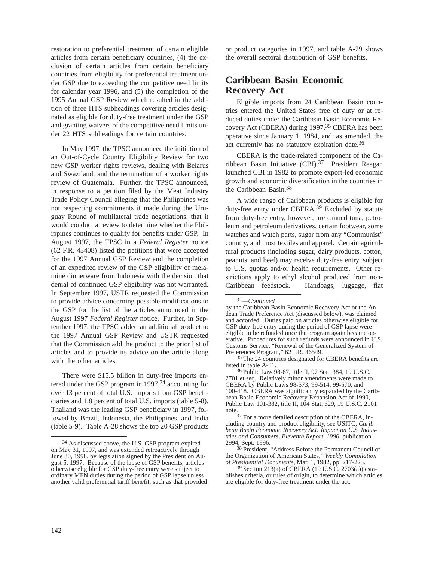restoration to preferential treatment of certain eligible articles from certain beneficiary countries, (4) the exclusion of certain articles from certain beneficiary countries from eligibility for preferential treatment under GSP due to exceeding the competitive need limits for calendar year 1996, and (5) the completion of the 1995 Annual GSP Review which resulted in the addition of three HTS subheadings covering articles designated as eligible for duty-free treatment under the GSP and granting waivers of the competitive need limits under 22 HTS subheadings for certain countries.

In May 1997, the TPSC announced the initiation of an Out-of-Cycle Country Eligibility Review for two new GSP worker rights reviews, dealing with Belarus and Swaziland, and the termination of a worker rights review of Guatemala. Further, the TPSC announced, in response to a petition filed by the Meat Industry Trade Policy Council alleging that the Philippines was not respecting commitments it made during the Uruguay Round of multilateral trade negotiations, that it would conduct a review to determine whether the Philippines continues to qualify for benefits under GSP. In August 1997, the TPSC in a *Federal Register* notice (62 F.R. 43408) listed the petitions that were accepted for the 1997 Annual GSP Review and the completion of an expedited review of the GSP eligibility of melamine dinnerware from Indonesia with the decision that denial of continued GSP eligibility was not warranted. In September 1997, USTR requested the Commission to provide advice concerning possible modifications to the GSP for the list of the articles announced in the August 1997 *Federal Register* notice. Further, in September 1997, the TPSC added an additional product to the 1997 Annual GSP Review and USTR requested that the Commission add the product to the prior list of articles and to provide its advice on the article along with the other articles.

There were \$15.5 billion in duty-free imports entered under the GSP program in 1997,<sup>34</sup> accounting for over 13 percent of total U.S. imports from GSP beneficiaries and 1.8 percent of total U.S. imports (table 5-8). Thailand was the leading GSP beneficiary in 1997, followed by Brazil, Indonesia, the Philippines, and India (table 5-9). Table A-28 shows the top 20 GSP products or product categories in 1997, and table A-29 shows the overall sectoral distribution of GSP benefits.

### **Caribbean Basin Economic Recovery Act**

Eligible imports from 24 Caribbean Basin countries entered the United States free of duty or at reduced duties under the Caribbean Basin Economic Recovery Act (CBERA) during 1997.<sup>35</sup> CBERA has been operative since January 1, 1984, and, as amended, the act currently has no statutory expiration date.36

CBERA is the trade-related component of the Caribbean Basin Initiative (CBI).<sup>37</sup> President Reagan launched CBI in 1982 to promote export-led economic growth and economic diversification in the countries in the Caribbean Basin.38

A wide range of Caribbean products is eligible for duty-free entry under CBERA. $39$  Excluded by statute from duty-free entry, however, are canned tuna, petroleum and petroleum derivatives, certain footwear, some watches and watch parts, sugar from any "Communist" country, and most textiles and apparel. Certain agricultural products (including sugar, dairy products, cotton, peanuts, and beef) may receive duty-free entry, subject to U.S. quotas and/or health requirements. Other restrictions apply to ethyl alcohol produced from non-Caribbean feedstock. Handbags, luggage, flat

<sup>34</sup> As discussed above, the U.S. GSP program expired on May 31, 1997, and was extended retroactively through June 30, 1998, by legislation signed by the President on August 5, 1997. Because of the lapse of GSP benefits, articles otherwise eligible for GSP duty-free entry were subject to ordinary MFN duties during the period of GSP lapse unless another valid preferential tariff benefit, such as that provided

<sup>34—</sup>*Continued*

by the Caribbean Basin Economic Recovery Act or the Andean Trade Preference Act (discussed below), was claimed and accorded. Duties paid on articles otherwise eligible for GSP duty-free entry during the period of GSP lapse were eligible to be refunded once the program again became operative. Procedures for such refunds were announced in U.S. Customs Service, "Renewal of the Generalized System of Preferences Program," 62 F.R. 46549.

<sup>&</sup>lt;sup>35</sup> The 24 countries designated for CBERA benefits are listed in table A-31.

<sup>36</sup> Public Law 98-67, title II, 97 Stat. 384, 19 U.S.C. 2701 et seq. Relatively minor amendments were made to CBERA by Public Laws 98-573, 99-514, 99-570, and 100-418. CBERA was significantly expanded by the Caribbean Basin Economic Recovery Expansion Act of 1990, Public Law 101-382, title II, 104 Stat. 629, 19 U.S.C. 2101 note.

 $37$  For a more detailed description of the CBERA, including country and product eligibility, see USITC, *Caribbean Basin Economic Recovery Act: Impact on U.S. Industries and Consumers, Eleventh Report, 1996*, publication 2994, Sept. 1996.

<sup>&</sup>lt;sup>38</sup> President, "Address Before the Permanent Council of the Organization of American States," *Weekly Compilation of Presidential Documents*, Mar. 1, 1982, pp. 217-223.

<sup>39</sup> Section 213(a) of CBERA (19 U.S.C. 2703(a)) establishes criteria, or rules of origin, to determine which articles are eligible for duty-free treatment under the act.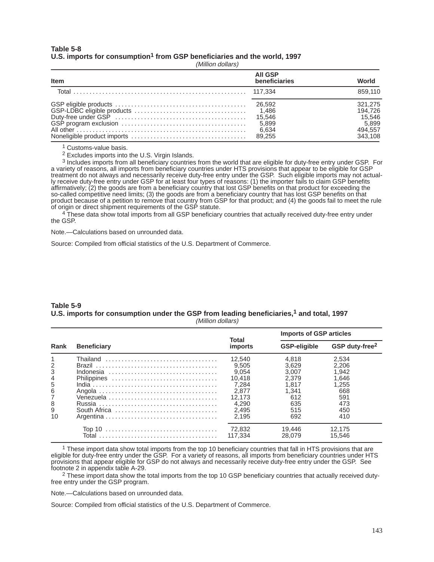#### **Table 5-8 U.S. imports for consumption1 from GSP beneficiaries and the world, 1997**

(Million dollars)

| <b>Item</b> | <b>AII GSP</b><br>beneficiaries | World                                                       |
|-------------|---------------------------------|-------------------------------------------------------------|
|             |                                 | 859.110                                                     |
|             | 5,899<br>6,634<br>89.255        | 321.275<br>194,726<br>15.546<br>5.899<br>494.557<br>343.108 |

1 Customs-value basis.

2 Excludes imports into the U.S. Virgin Islands.

3 Includes imports from all beneficiary countries from the world that are eligible for duty-free entry under GSP. For a variety of reasons, all imports from beneficiary countries under HTS provisions that appear to be eligible for GSP treatment do not always and necessarily receive duty-free entry under the GSP. Such eligible imports may not actually receive duty-free entry under GSP for at least four types of reasons: (1) the importer fails to claim GSP benefits affirmatively; (2) the goods are from a beneficiary country that lost GSP benefits on that product for exceeding the so-called competitive need limits; (3) the goods are from a beneficiary country that has lost GSP benefits on that product because of a petition to remove that country from GSP for that product; and (4) the goods fail to meet the rule of origin or direct shipment requirements of the GSP statute.

<sup>4</sup> These data show total imports from all GSP beneficiary countries that actually received duty-free entry under the GSP.

Note.—Calculations based on unrounded data.

Source: Compiled from official statistics of the U.S. Department of Commerce.

#### **Table 5-9** U.S. imports for consumption under the GSP from leading beneficiaries,<sup>1</sup> and total, 1997 (Million dollars)

|      | <b>Beneficiary</b> | Total<br>imports | <b>Imports of GSP articles</b> |                            |
|------|--------------------|------------------|--------------------------------|----------------------------|
| Rank |                    |                  | <b>GSP-eligible</b>            | GSP duty-free <sup>2</sup> |
|      |                    | 12.540           | 4.818                          | 2.534                      |
|      |                    | 9.505            | 3.629                          | 2.206                      |
|      |                    | 9.054            | 3.007                          | 1,942                      |
|      | Philippines        | 10.418           | 2.379                          | 1,646                      |
| 5    |                    | 7.284            | 1.817                          | 1,255                      |
| 6    |                    | 2.877            | 1.341                          | 668                        |
|      |                    | 12.173           | 612                            | 591                        |
| 8    |                    | 4.290            | 635                            | 473                        |
|      | South Africa       | 2.495            | 515                            | 450                        |
| 10   |                    | 2.195            | 692                            | 410                        |
|      |                    | 72.832           | 19.446                         | 12.175                     |
|      |                    | 117.334          | 28.079                         | 15.546                     |

 $1$  These import data show total imports from the top 10 beneficiary countries that fall in HTS provisions that are eligible for duty-free entry under the GSP. For a variety of reasons, all imports from beneficiary countries under HTS provisions that appear eligible for GSP do not always and necessarily receive duty-free entry under the GSP. See footnote 2 in appendix table A-29.

<sup>2</sup> These import data show the total imports from the top 10 GSP beneficiary countries that actually received dutyfree entry under the GSP program.

Note.—Calculations based on unrounded data.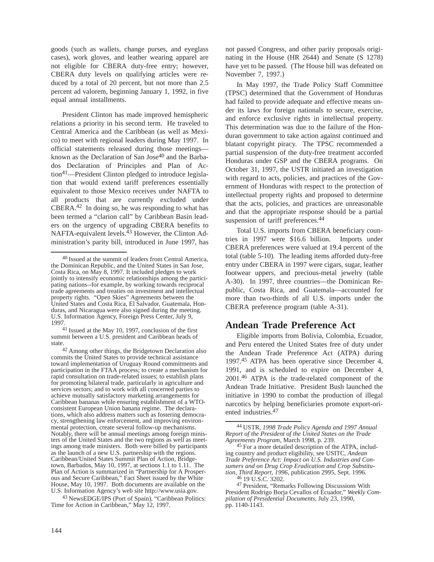goods (such as wallets, change purses, and eyeglass cases), work gloves, and leather wearing apparel are not eligible for CBERA duty-free entry; however, CBERA duty levels on qualifying articles were reduced by a total of 20 percent, but not more than 2.5 percent ad valorem, beginning January 1, 1992, in five equal annual installments.

President Clinton has made improved hemispheric relations a priority in his second term. He traveled to Central America and the Caribbean (as well as Mexico) to meet with regional leaders during May 1997. In official statements released during those meetings known as the Declaration of San Jose<sup>40</sup> and the Barbados Declaration of Principles and Plan of Action<sup>41</sup>—President Clinton pledged to introduce legislation that would extend tariff preferences essentially equivalent to those Mexico receives under NAFTA to all products that are currently excluded under CBERA.42 In doing so, he was responding to what has been termed a "clarion call" by Caribbean Basin leaders on the urgency of upgrading CBERA benefits to NAFTA-equivalent levels.<sup>43</sup> However, the Clinton Administration's parity bill, introduced in June 1997, has

<sup>41</sup> Issued at the May 10, 1997, conclusion of the first summit between a U.S. president and Caribbean heads of state.

<sup>42</sup> Among other things, the Bridgetown Declaration also commits the United States to provide technical assistance toward implementation of Uruguay Round commitments and participation in the FTAA process; to create a mechanism for rapid consultation on trade-related issues; to establish plans for promoting bilateral trade, particularly in agriculture and services sectors; and to work with all concerned parties to achieve mutually satisfactory marketing arrangements for Caribbean bananas while ensuring establishment of a WTOconsistent European Union banana regime. The declarations, which also address matters such as fostering democracy, strengthening law enforcement, and improving environmental protection, create several follow-up mechanisms. Notably, there will be annual meetings among foreign ministers of the United States and the two regions as well as meetings among trade ministers. Both were billed by participants as the launch of a new U.S. partnership with the regions. Caribbean/United States Summit Plan of Action, Bridgetown, Barbados, May 10, 1997, at sections 1.1 to 1.11. The Plan of Action is summarized in "Partnership for A Prosperous and Secure Caribbean," Fact Sheet issued by the White House, May 10, 1997. Both documents are available on the U.S. Information Agency's web site http://www.usia.gov.

<sup>43</sup> NewsEDGE/IPS (Port of Spain), "Caribbean Politics: Time for Action in Caribbean," May 12, 1997.

not passed Congress, and other parity proposals originating in the House (HR 2644) and Senate (S 1278) have yet to be passed. (The House bill was defeated on November 7, 1997.)

In May 1997, the Trade Policy Staff Committee (TPSC) determined that the Government of Honduras had failed to provide adequate and effective means under its laws for foreign nationals to secure, exercise, and enforce exclusive rights in intellectual property. This determination was due to the failure of the Honduran government to take action against continued and blatant copyright piracy. The TPSC recommended a partial suspension of the duty-free treatment accorded Honduras under GSP and the CBERA programs. On October 31, 1997, the USTR initiated an investigation with regard to acts, policies, and practices of the Government of Honduras with respect to the protection of intellectual property rights and proposed to determine that the acts, policies, and practices are unreasonable and that the appropriate response should be a partial suspension of tariff preferences.<sup>44</sup>

Total U.S. imports from CBERA beneficiary countries in 1997 were \$16.6 billion. Imports under CBERA preferences were valued at 19.4 percent of the total (table 5-10). The leading items afforded duty-free entry under CBERA in 1997 were cigars, sugar, leather footwear uppers, and precious-metal jewelry (table A-30). In 1997, three countries—the Dominican Republic, Costa Rica, and Guatemala—accounted for more than two-thirds of all U.S. imports under the CBERA preference program (table A-31).

## **Andean Trade Preference Act**

Eligible imports from Bolivia, Colombia, Ecuador, and Peru entered the United States free of duty under the Andean Trade Preference Act (ATPA) during 1997.45 ATPA has been operative since December 4, 1991, and is scheduled to expire on December 4, 2001.46 ATPA is the trade-related component of the Andean Trade Initiative. President Bush launched the initiative in 1990 to combat the production of illegal narcotics by helping beneficiaries promote export-oriented industries.47

<sup>40</sup> Issued at the summit of leaders from Central America, the Dominican Republic, and the United States in San Jose, Costa Rica, on May 8, 1997. It included pledges to work jointly to intensify economic relationships among the participating nations--for example, by working towards reciprocal trade agreements and treaties on investment and intellectual property rights. "Open Skies" Agreements between the United States and Costa Rica, El Salvador, Guatemala, Honduras, and Nicaragua were also signed during the meeting. U.S. Information Agency, Foreign Press Center, July 9, 1997.

<sup>44</sup> USTR, *1998 Trade Policy Agenda and 1997 Annual Report of the President of the United States on the Trade*

<sup>&</sup>lt;sup>45</sup> For a more detailed description of the ATPA, including country and product eligibility, see USITC, *Andean Trade Preference Act: Impact on U.S. Industries and Consumers and on Drug Crop Eradication and Crop Substitution, Third Report, 1996*, publication 2995, Sept. 1996. <sup>46</sup> 19 U.S.C. 3202.

<sup>47</sup> President, "Remarks Following Discussions With President Rodrigo Borja Cevallos of Ecuador," *Weekly Compilation of Presidential Documents*, July 23, 1990, pp. 1140-1143.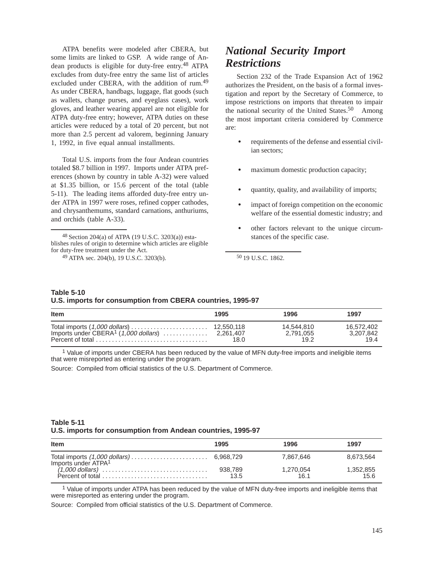ATPA benefits were modeled after CBERA, but some limits are linked to GSP. A wide range of Andean products is eligible for duty-free entry.48 ATPA excludes from duty-free entry the same list of articles excluded under CBERA, with the addition of rum.<sup>49</sup> As under CBERA, handbags, luggage, flat goods (such as wallets, change purses, and eyeglass cases), work gloves, and leather wearing apparel are not eligible for ATPA duty-free entry; however, ATPA duties on these articles were reduced by a total of 20 percent, but not more than 2.5 percent ad valorem, beginning January 1, 1992, in five equal annual installments.

Total U.S. imports from the four Andean countries totaled \$8.7 billion in 1997. Imports under ATPA preferences (shown by country in table A-32) were valued at \$1.35 billion, or 15.6 percent of the total (table 5-11). The leading items afforded duty-free entry under ATPA in 1997 were roses, refined copper cathodes, and chrysanthemums, standard carnations, anthuriums, and orchids (table A-33).

# *National Security Import Restrictions*

Section 232 of the Trade Expansion Act of 1962 authorizes the President, on the basis of a formal investigation and report by the Secretary of Commerce, to impose restrictions on imports that threaten to impair the national security of the United States.<sup>50</sup> Among the most important criteria considered by Commerce are:

- $\bullet$  requirements of the defense and essential civilian sectors;
- $\bullet$ maximum domestic production capacity;
- quantity, quality, and availability of imports;
- impact of foreign competition on the economic welfare of the essential domestic industry; and
- $\bullet$  other factors relevant to the unique circumstances of the specific case.

<sup>50</sup> 19 U.S.C. 1862.

### **Table 5-10 U.S. imports for consumption from CBERA countries, 1995-97**

| Item                                                                                      | 1995 | 1996       | 1997       |
|-------------------------------------------------------------------------------------------|------|------------|------------|
|                                                                                           | 18.0 | 14.544.810 | 16.572.402 |
|                                                                                           |      | 2,791,055  | 3,207,842  |
| Percent of total $\ldots, \ldots, \ldots, \ldots, \ldots, \ldots, \ldots, \ldots, \ldots$ |      | 19.2       | 19.4       |

<sup>1</sup> Value of imports under CBERA has been reduced by the value of MFN duty-free imports and ineligible items that were misreported as entering under the program.

Source: Compiled from official statistics of the U.S. Department of Commerce.

#### **Table 5-11 U.S. imports for consumption from Andean countries, 1995-97**

| Item | 1995            | 1996              | 1997              |
|------|-----------------|-------------------|-------------------|
|      |                 | 7.867.646         | 8.673.564         |
|      | 938,789<br>13.5 | 1,270,054<br>16.1 | 1,352,855<br>15.6 |

1 Value of imports under ATPA has been reduced by the value of MFN duty-free imports and ineligible items that were misreported as entering under the program.

<sup>48</sup> Section 204(a) of ATPA (19 U.S.C. 3203(a)) establishes rules of origin to determine which articles are eligible for duty-free treatment under the Act.

<sup>49</sup> ATPA sec. 204(b), 19 U.S.C. 3203(b).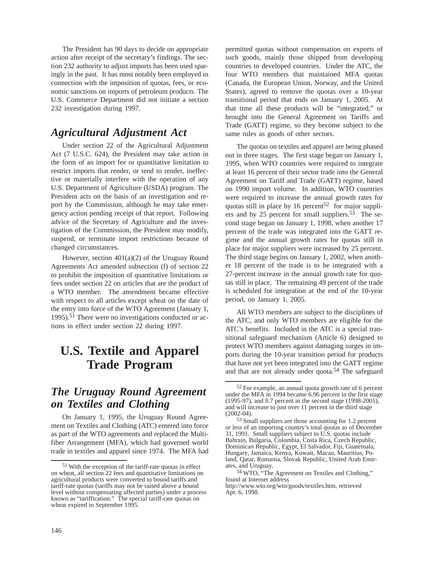The President has 90 days to decide on appropriate action after receipt of the secretary's findings. The section 232 authority to adjust imports has been used sparingly in the past. It has most notably been employed in connection with the imposition of quotas, fees, or economic sanctions on imports of petroleum products. The U.S. Commerce Department did not initiate a section 232 investigation during 1997.

# *Agricultural Adjustment Act*

Under section 22 of the Agricultural Adjustment Act (7 U.S.C. 624), the President may take action in the form of an import fee or quantitative limitation to restrict imports that render, or tend to render, ineffective or materially interfere with the operation of any U.S. Department of Agriculture (USDA) program. The President acts on the basis of an investigation and report by the Commission, although he may take emergency action pending receipt of that report. Following advice of the Secretary of Agriculture and the investigation of the Commission, the President may modify, suspend, or terminate import restrictions because of changed circumstances.

However, section 401(a)(2) of the Uruguay Round Agreements Act amended subsection (f) of section 22 to prohibit the imposition of quantitative limitations or fees under section 22 on articles that are the product of a WTO member. The amendment became effective with respect to all articles except wheat on the date of the entry into force of the WTO Agreement (January 1, 1995).<sup>51</sup> There were no investigations conducted or actions in effect under section 22 during 1997.

# **U.S. Textile and Apparel Trade Program**

# *The Uruguay Round Agreement on Textiles and Clothing*

On January 1, 1995, the Uruguay Round Agreement on Textiles and Clothing (ATC) entered into force as part of the WTO agreements and replaced the Multifiber Arrangement (MFA), which had governed world trade in textiles and apparel since 1974. The MFA had permitted quotas without compensation on exports of such goods, mainly those shipped from developing countries to developed countries. Under the ATC, the four WTO members that maintained MFA quotas (Canada, the European Union, Norway, and the United States), agreed to remove the quotas over a 10-year transitional period that ends on January 1, 2005. At that time all these products will be "integrated," or brought into the General Agreement on Tariffs and Trade (GATT) regime, so they become subject to the same rules as goods of other sectors.

The quotas on textiles and apparel are being phased out in three stages. The first stage began on January 1, 1995, when WTO countries were required to integrate at least 16 percent of their sector trade into the General Agreement on Tariff and Trade (GATT) regime, based on 1990 import volume. In addition, WTO countries were required to increase the annual growth rates for quotas still in place by 16 percent<sup>52</sup> for major suppliers and by 25 percent for small suppliers.<sup>53</sup> The second stage began on January 1, 1998, when another 17 percent of the trade was integrated into the GATT regime and the annual growth rates for quotas still in place for major suppliers were increased by 25 percent. The third stage begins on January 1, 2002, when another 18 percent of the trade is to be integrated with a 27-percent increase in the annual growth rate for quotas still in place. The remaining 49 percent of the trade is scheduled for integration at the end of the 10-year period, on January 1, 2005.

All WTO members are subject to the disciplines of the ATC, and only WTO members are eligible for the ATC's benefits. Included in the ATC is a special transitional safeguard mechanism (Article 6) designed to protect WTO members against damaging surges in imports during the 10-year transition period for products that have not yet been integrated into the GATT regime and that are not already under quota.54 The safeguard

<sup>54</sup> WTO, "The Agreement on Textiles and Clothing," found at Internet address

<sup>51</sup> With the exception of the tariff-rate quotas in effect on wheat, all section 22 fees and quantitative limitations on agricultural products were converted to bound tariffs and tariff-rate quotas (tariffs may not be raised above a bound level without compensating affected parties) under a process known as "tariffication." The special tariff-rate quotas on wheat expired in September 1995.

<sup>52</sup> For example, an annual quota growth rate of 6 percent under the MFA in 1994 became 6.96 percent in the first stage (1995-97), and 8.7 percent in the second stage (1998-2001), and will increase to just over 11 percent in the third stage (2002-04).

<sup>53</sup> Small suppliers are those accounting for 1.2 percent or less of an importing country's total quotas as of December 31, 1991. Small suppliers subject to U.S. quotas include Bahrain, Bulgaria, Colombia, Costa Rica, Czech Republic, Dominican Republic, Egypt, El Salvador, Fiji, Guatemala, Hungary, Jamaica, Kenya, Kuwait, Macau, Mauritius, Poland, Qatar, Romania, Slovak Republic, United Arab Emirates, and Uruguay.

http://www.wto.org/wto/goods/textiles.htm, retrieved Apr. 6, 1998.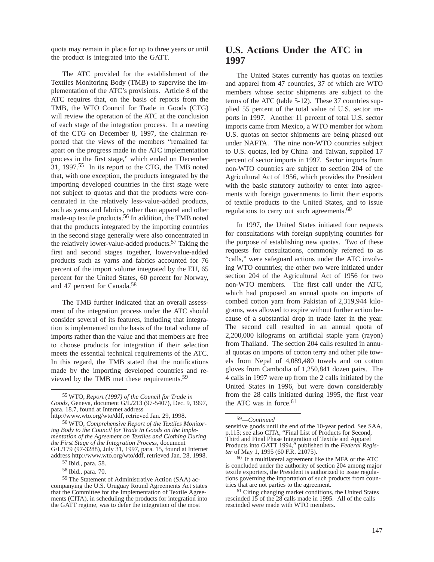quota may remain in place for up to three years or until the product is integrated into the GATT.

The ATC provided for the establishment of the Textiles Monitoring Body (TMB) to supervise the implementation of the ATC's provisions. Article 8 of the ATC requires that, on the basis of reports from the TMB, the WTO Council for Trade in Goods (CTG) will review the operation of the ATC at the conclusion of each stage of the integration process. In a meeting of the CTG on December 8, 1997, the chairman reported that the views of the members "remained far apart on the progress made in the ATC implementation process in the first stage," which ended on December 31, 1997.55 In its report to the CTG, the TMB noted that, with one exception, the products integrated by the importing developed countries in the first stage were not subject to quotas and that the products were concentrated in the relatively less-value-added products, such as yarns and fabrics, rather than apparel and other made-up textile products.56 In addition, the TMB noted that the products integrated by the importing countries in the second stage generally were also concentrated in the relatively lower-value-added products.57 Taking the first and second stages together, lower-value-added products such as yarns and fabrics accounted for 76 percent of the import volume integrated by the EU, 65 percent for the United States, 60 percent for Norway, and 47 percent for Canada.58

The TMB further indicated that an overall assessment of the integration process under the ATC should consider several of its features, including that integration is implemented on the basis of the total volume of imports rather than the value and that members are free to choose products for integration if their selection meets the essential technical requirements of the ATC. In this regard, the TMB stated that the notifications made by the importing developed countries and reviewed by the TMB met these requirements.<sup>59</sup>

### **U.S. Actions Under the ATC in 1997**

The United States currently has quotas on textiles and apparel from 47 countries, 37 of which are WTO members whose sector shipments are subject to the terms of the ATC (table 5-12). These 37 countries supplied 55 percent of the total value of U.S. sector imports in 1997. Another 11 percent of total U.S. sector imports came from Mexico, a WTO member for whom U.S. quotas on sector shipments are being phased out under NAFTA. The nine non-WTO countries subject to U.S. quotas, led by China and Taiwan, supplied 17 percent of sector imports in 1997. Sector imports from non-WTO countries are subject to section 204 of the Agricultural Act of 1956, which provides the President with the basic statutory authority to enter into agreements with foreign governments to limit their exports of textile products to the United States, and to issue regulations to carry out such agreements.<sup>60</sup>

In 1997, the United States initiated four requests for consultations with foreign supplying countries for the purpose of establishing new quotas. Two of these requests for consultations, commonly referred to as "calls," were safeguard actions under the ATC involving WTO countries; the other two were initiated under section 204 of the Agricultural Act of 1956 for two non-WTO members. The first call under the ATC, which had proposed an annual quota on imports of combed cotton yarn from Pakistan of 2,319,944 kilograms, was allowed to expire without further action because of a substantial drop in trade later in the year. The second call resulted in an annual quota of 2,200,000 kilograms on artificial staple yarn (rayon) from Thailand. The section 204 calls resulted in annual quotas on imports of cotton terry and other pile towels from Nepal of 4,089,480 towels and on cotton gloves from Cambodia of 1,250,841 dozen pairs. The 4 calls in 1997 were up from the 2 calls initiated by the United States in 1996, but were down considerably from the 28 calls initiated during 1995, the first year the ATC was in force. $61$ 

<sup>55</sup> WTO, *Report (1997) of the Council for Trade in Goods*, Geneva, document G/L/213 (97-5407), Dec. 9, 1997, para. 18.7, found at Internet address

http://www.wto.org/wto/ddf, retrieved Jan. 29, 1998.

<sup>56</sup> WTO, *Comprehensive Report of the Textiles Monitoring Body to the Council for Trade in Goods on the Implementation of the Agreement on Textiles and Clothing During the First Stage of the Integration Process*, document G/L/179 (97-3288), July 31, 1997, para. 15, found at Internet address http://www.wto.org/wto/ddf, retrieved Jan. 28, 1998.

<sup>57</sup> Ibid., para. 58.

<sup>58</sup> Ibid., para. 70.

<sup>59</sup> The Statement of Administrative Action (SAA) accompanying the U.S. Uruguay Round Agreements Act states that the Committee for the Implementation of Textile Agreements (CITA), in scheduling the products for integration into the GATT regime, was to defer the integration of the most

<sup>59—</sup>*Continued*

sensitive goods until the end of the 10-year period. See SAA, p.115; see also CITA, "Final List of Products for Second, Third and Final Phase Integration of Textile and Apparel Products into GATT 1994," published in the *Federal Register* of May 1, 1995 (60 F.R. 21075).

<sup>60</sup> If a multilateral agreement like the MFA or the ATC is concluded under the authority of section 204 among major textile exporters, the President is authorized to issue regulations governing the importation of such products from countries that are not parties to the agreement.

<sup>61</sup> Citing changing market conditions, the United States rescinded 15 of the 28 calls made in 1995. All of the calls rescinded were made with WTO members.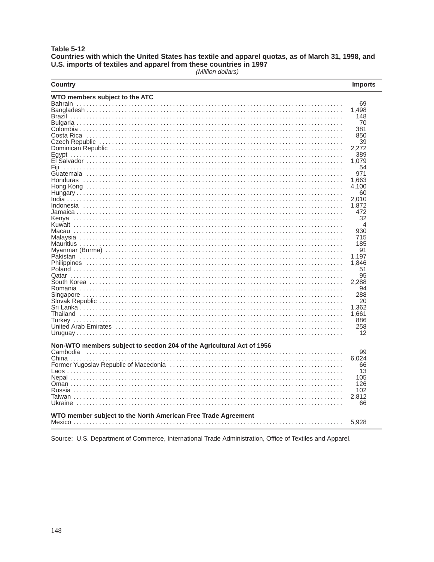# **Table 5-12** Countries with which the United States has textile and apparel quotas, as of March 31, 1998, and<br>U.S. imports of textiles and apparel from these countries in 1997<br>(Million dollars)

| <b>Country</b>                                                                                        | <b>Imports</b> |
|-------------------------------------------------------------------------------------------------------|----------------|
| WTO members subject to the ATC                                                                        |                |
|                                                                                                       | 69             |
|                                                                                                       | 1,498          |
|                                                                                                       | 148            |
|                                                                                                       | 70             |
| Colombia                                                                                              | 381            |
|                                                                                                       | 850            |
|                                                                                                       | 39             |
| Dominican Republic                                                                                    | 2,272          |
|                                                                                                       | 389            |
|                                                                                                       | 1.079          |
| Fiii<br>.                                                                                             | 54             |
| Guatemala                                                                                             | 971            |
| Honduras                                                                                              | 1.663          |
|                                                                                                       | 4.100          |
|                                                                                                       | 60             |
| India $\ldots \ldots \ldots \ldots \ldots$<br>.                                                       | 2,010          |
| Indonesia                                                                                             | 1,872          |
|                                                                                                       | 472            |
| Kenya                                                                                                 | 32             |
|                                                                                                       | 4              |
|                                                                                                       | 930            |
| Malaysia<br>.                                                                                         | 715            |
|                                                                                                       | 185            |
| Myanmar (Burma) $\ldots \ldots \ldots \ldots \ldots \ldots \ldots \ldots \ldots \ldots \ldots \ldots$ | 91             |
|                                                                                                       | 1,197          |
| Philippines                                                                                           | 1.846          |
| .                                                                                                     | 51             |
| Qatar                                                                                                 | 95             |
| South Korea                                                                                           | 2.288          |
| Romania                                                                                               | 94             |
|                                                                                                       | 288            |
|                                                                                                       | 20             |
|                                                                                                       | 1,362          |
| Thailand                                                                                              | 1,661          |
|                                                                                                       | 886            |
|                                                                                                       | 258            |
|                                                                                                       | 12             |
|                                                                                                       |                |
| Non-WTO members subject to section 204 of the Agricultural Act of 1956                                |                |
| Cambodia                                                                                              | 99             |
|                                                                                                       | 6,024          |
| Former Yugoslav Republic of Macedonia                                                                 | 66             |
|                                                                                                       | 13             |
|                                                                                                       | 105            |
|                                                                                                       | 126            |
|                                                                                                       | 102            |
| Taiwan                                                                                                | 2,812          |
| Ukraine                                                                                               | 66             |
|                                                                                                       |                |
| WTO member subject to the North American Free Trade Agreement                                         |                |
|                                                                                                       | 5,928          |
|                                                                                                       |                |

Source: U.S. Department of Commerce, International Trade Administration, Office of Textiles and Apparel.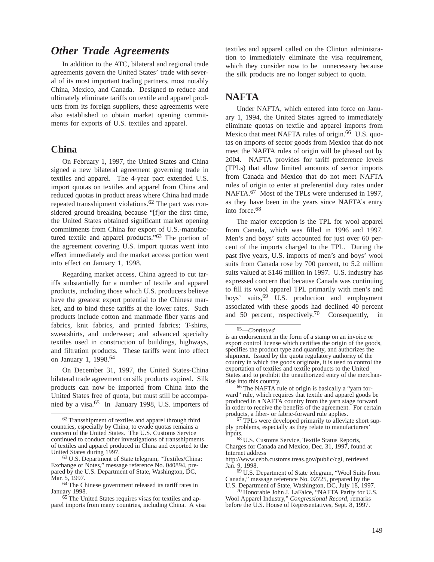# *Other Trade Agreements*

In addition to the ATC, bilateral and regional trade agreements govern the United States' trade with several of its most important trading partners, most notably China, Mexico, and Canada. Designed to reduce and ultimately eliminate tariffs on textile and apparel products from its foreign suppliers, these agreements were also established to obtain market opening commitments for exports of U.S. textiles and apparel.

### **China**

On February 1, 1997, the United States and China signed a new bilateral agreement governing trade in textiles and apparel. The 4-year pact extended U.S. import quotas on textiles and apparel from China and reduced quotas in product areas where China had made repeated transshipment violations.62 The pact was considered ground breaking because "[f]or the first time, the United States obtained significant market opening commitments from China for export of U.S.-manufactured textile and apparel products."63 The portion of the agreement covering U.S. import quotas went into effect immediately and the market access portion went into effect on January 1, 1998.

Regarding market access, China agreed to cut tariffs substantially for a number of textile and apparel products, including those which U.S. producers believe have the greatest export potential to the Chinese market, and to bind these tariffs at the lower rates. Such products include cotton and manmade fiber yarns and fabrics, knit fabrics, and printed fabrics; T-shirts, sweatshirts, and underwear; and advanced specialty textiles used in construction of buildings, highways, and filtration products. These tariffs went into effect on January 1, 1998.64

On December 31, 1997, the United States-China bilateral trade agreement on silk products expired. Silk products can now be imported from China into the United States free of quota, but must still be accompanied by a visa.65 In January 1998, U.S. importers of textiles and apparel called on the Clinton administration to immediately eliminate the visa requirement, which they consider now to be unnecessary because the silk products are no longer subject to quota.

## **NAFTA**

Under NAFTA, which entered into force on January 1, 1994, the United States agreed to immediately eliminate quotas on textile and apparel imports from Mexico that meet NAFTA rules of origin.<sup>66</sup> U.S. quotas on imports of sector goods from Mexico that do not meet the NAFTA rules of origin will be phased out by 2004. NAFTA provides for tariff preference levels (TPLs) that allow limited amounts of sector imports from Canada and Mexico that do not meet NAFTA rules of origin to enter at preferential duty rates under NAFTA.<sup>67</sup> Most of the TPLs were underused in 1997, as they have been in the years since NAFTA's entry into force.68

The major exception is the TPL for wool apparel from Canada, which was filled in 1996 and 1997. Men's and boys' suits accounted for just over 60 percent of the imports charged to the TPL. During the past five years, U.S. imports of men's and boys' wool suits from Canada rose by 700 percent, to 5.2 million suits valued at \$146 million in 1997. U.S. industry has expressed concern that because Canada was continuing to fill its wool apparel TPL primarily with men's and boys' suits,69 U.S. production and employment associated with these goods had declined 40 percent and 50 percent, respectively.<sup>70</sup> Consequently, in

<sup>62</sup> Transshipment of textiles and apparel through third countries, especially by China, to evade quotas remains a concern of the United States. The U.S. Customs Service continued to conduct other investigations of transshipments of textiles and apparel produced in China and exported to the United States during 1997.

<sup>63</sup> U.S. Department of State telegram, "Textiles/China: Exchange of Notes," message reference No. 040894, prepared by the U.S. Department of State, Washington, DC, Mar. 5, 1997.

<sup>64</sup> The Chinese government released its tariff rates in January 1998.

<sup>65</sup> The United States requires visas for textiles and apparel imports from many countries, including China. A visa

<sup>65—</sup>*Continued* is an endorsement in the form of a stamp on an invoice or export control license which certifies the origin of the goods, specifies the product type and quantity, and authorizes the shipment. Issued by the quota regulatory authority of the country in which the goods originate, it is used to control the exportation of textiles and textile products to the United States and to prohibit the unauthorized entry of the merchandise into this country.

<sup>66</sup> The NAFTA rule of origin is basically a "yarn forward" rule, which requires that textile and apparel goods be produced in a NAFTA country from the yarn stage forward in order to receive the benefits of the agreement. For certain products, a fiber- or fabric-forward rule applies.

<sup>67</sup> TPLs were developed primarily to alleviate short supply problems, especially as they relate to manufacturers' inputs.

<sup>68</sup> U.S. Customs Service, Textile Status Reports, Charges for Canada and Mexico, Dec. 31, 1997, found at Internet address

http://www.cebb.customs.treas.gov/public/cgi, retrieved Jan. 9, 1998.

<sup>69</sup> U.S. Department of State telegram, "Wool Suits from Canada," message reference No. 02725, prepared by the U.S. Department of State, Washington, DC, July 18, 1997.

<sup>70</sup> Honorable John J. LaFalce, "NAFTA Parity for U.S. Wool Apparel Industry," *Congressional Record*, remarks before the U.S. House of Representatives, Sept. 8, 1997.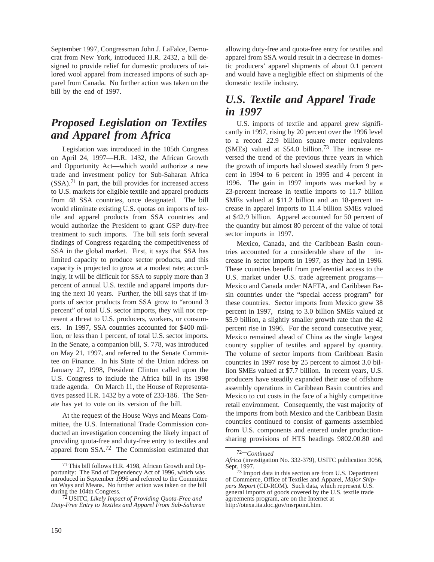September 1997, Congressman John J. LaFalce, Democrat from New York, introduced H.R. 2432, a bill designed to provide relief for domestic producers of tailored wool apparel from increased imports of such apparel from Canada. No further action was taken on the bill by the end of 1997.

# *Proposed Legislation on Textiles and Apparel from Africa*

Legislation was introduced in the 105th Congress on April 24, 1997—H.R. 1432, the African Growth and Opportunity Act—which would authorize a new trade and investment policy for Sub-Saharan Africa  $(SSA)$ .<sup>71</sup> In part, the bill provides for increased access to U.S. markets for eligible textile and apparel products from 48 SSA countries, once designated. The bill would eliminate existing U.S. quotas on imports of textile and apparel products from SSA countries and would authorize the President to grant GSP duty-free treatment to such imports. The bill sets forth several findings of Congress regarding the competitiveness of SSA in the global market. First, it says that SSA has limited capacity to produce sector products, and this capacity is projected to grow at a modest rate; accordingly, it will be difficult for SSA to supply more than 3 percent of annual U.S. textile and apparel imports during the next 10 years. Further, the bill says that if imports of sector products from SSA grow to "around 3 percent" of total U.S. sector imports, they will not represent a threat to U.S. producers, workers, or consumers. In 1997, SSA countries accounted for \$400 million, or less than 1 percent, of total U.S. sector imports. In the Senate, a companion bill, S. 778, was introduced on May 21, 1997, and referred to the Senate Committee on Finance. In his State of the Union address on January 27, 1998, President Clinton called upon the U.S. Congress to include the Africa bill in its 1998 trade agenda. On March 11, the House of Representatives passed H.R. 1432 by a vote of 233-186. The Senate has yet to vote on its version of the bill.

At the request of the House Ways and Means Committee, the U.S. International Trade Commission conducted an investigation concerning the likely impact of providing quota-free and duty-free entry to textiles and apparel from SSA.72 The Commission estimated that allowing duty-free and quota-free entry for textiles and apparel from SSA would result in a decrease in domestic producers' apparel shipments of about 0.1 percent and would have a negligible effect on shipments of the domestic textile industry.

# *U.S. Textile and Apparel Trade in 1997*

U.S. imports of textile and apparel grew significantly in 1997, rising by 20 percent over the 1996 level to a record 22.9 billion square meter equivalents (SMEs) valued at  $$54.0$  billion.<sup>73</sup> The increase reversed the trend of the previous three years in which the growth of imports had slowed steadily from 9 percent in 1994 to 6 percent in 1995 and 4 percent in 1996. The gain in 1997 imports was marked by a 23-percent increase in textile imports to 11.7 billion SMEs valued at \$11.2 billion and an 18-percent increase in apparel imports to 11.4 billion SMEs valued at \$42.9 billion. Apparel accounted for 50 percent of the quantity but almost 80 percent of the value of total sector imports in 1997.

Mexico, Canada, and the Caribbean Basin countries accounted for a considerable share of the increase in sector imports in 1997, as they had in 1996. These countries benefit from preferential access to the U.S. market under U.S. trade agreement programs— Mexico and Canada under NAFTA, and Caribbean Basin countries under the "special access program" for these countries. Sector imports from Mexico grew 38 percent in 1997, rising to 3.0 billion SMEs valued at \$5.9 billion, a slightly smaller growth rate than the 42 percent rise in 1996. For the second consecutive year, Mexico remained ahead of China as the single largest country supplier of textiles and apparel by quantity. The volume of sector imports from Caribbean Basin countries in 1997 rose by 25 percent to almost 3.0 billion SMEs valued at \$7.7 billion. In recent years, U.S. producers have steadily expanded their use of offshore assembly operations in Caribbean Basin countries and Mexico to cut costs in the face of a highly competitive retail environment. Consequently, the vast majority of the imports from both Mexico and the Caribbean Basin countries continued to consist of garments assembled from U.S. components and entered under productionsharing provisions of HTS headings 9802.00.80 and

<sup>71</sup> This bill follows H.R. 4198, African Growth and Opportunity: The End of Dependency Act of 1996, which was introduced in September 1996 and referred to the Committee on Ways and Means. No further action was taken on the bill during the 104th Congress.

<sup>72</sup> USITC, *Likely Impact of Providing Quota-Free and Duty-Free Entry to Textiles and Apparel From Sub-Saharan*

<sup>72—</sup>*Continued*

*Africa* (investigation No. 332-379), USITC publication 3056,

 $^{73}$  Import data in this section are from U.S. Department of Commerce, Office of Textiles and Apparel, *Major Shippers Report* (CD-ROM). Such data, which represent U.S. general imports of goods covered by the U.S. textile trade agreements program, are on the Internet at http://otexa.ita.doc.gov/msrpoint.htm.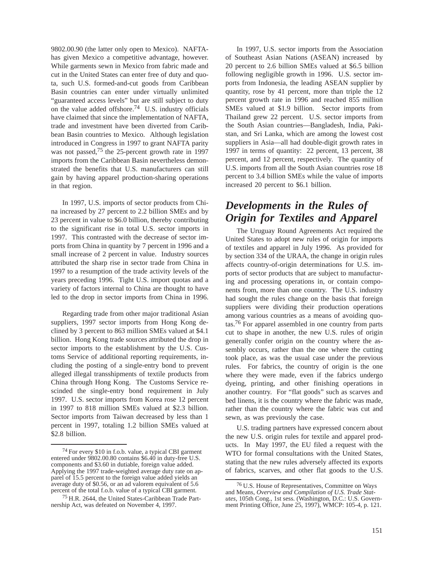9802.00.90 (the latter only open to Mexico). NAFTAhas given Mexico a competitive advantage, however. While garments sewn in Mexico from fabric made and cut in the United States can enter free of duty and quota, such U.S. formed-and-cut goods from Caribbean Basin countries can enter under virtually unlimited "guaranteed access levels" but are still subject to duty on the value added offshore.74 U.S. industry officials have claimed that since the implementation of NAFTA, trade and investment have been diverted from Caribbean Basin countries to Mexico. Although legislation introduced in Congress in 1997 to grant NAFTA parity was not passed,<sup>75</sup> the 25-percent growth rate in 1997 imports from the Caribbean Basin nevertheless demonstrated the benefits that U.S. manufacturers can still gain by having apparel production-sharing operations in that region.

In 1997, U.S. imports of sector products from China increased by 27 percent to 2.2 billion SMEs and by 23 percent in value to \$6.0 billion, thereby contributing to the significant rise in total U.S. sector imports in 1997. This contrasted with the decrease of sector imports from China in quantity by 7 percent in 1996 and a small increase of 2 percent in value. Industry sources attributed the sharp rise in sector trade from China in 1997 to a resumption of the trade activity levels of the years preceding 1996. Tight U.S. import quotas and a variety of factors internal to China are thought to have led to the drop in sector imports from China in 1996.

Regarding trade from other major traditional Asian suppliers, 1997 sector imports from Hong Kong declined by 3 percent to 863 million SMEs valued at \$4.1 billion. Hong Kong trade sources attributed the drop in sector imports to the establishment by the U.S. Customs Service of additional reporting requirements, including the posting of a single-entry bond to prevent alleged illegal transshipments of textile products from China through Hong Kong. The Customs Service rescinded the single-entry bond requirement in July 1997. U.S. sector imports from Korea rose 12 percent in 1997 to 818 million SMEs valued at \$2.3 billion. Sector imports from Taiwan decreased by less than 1 percent in 1997, totaling 1.2 billion SMEs valued at \$2.8 billion.

In 1997, U.S. sector imports from the Association of Southeast Asian Nations (ASEAN) increased by 20 percent to 2.6 billion SMEs valued at \$6.5 billion following negligible growth in 1996. U.S. sector imports from Indonesia, the leading ASEAN supplier by quantity, rose by 41 percent, more than triple the 12 percent growth rate in 1996 and reached 855 million SMEs valued at \$1.9 billion. Sector imports from Thailand grew 22 percent. U.S. sector imports from the South Asian countries—Bangladesh, India, Pakistan, and Sri Lanka, which are among the lowest cost suppliers in Asia—all had double-digit growth rates in 1997 in terms of quantity: 22 percent, 13 percent, 38 percent, and 12 percent, respectively. The quantity of U.S. imports from all the South Asian countries rose 18 percent to 3.4 billion SMEs while the value of imports increased 20 percent to \$6.1 billion.

# *Developments in the Rules of Origin for Textiles and Apparel*

The Uruguay Round Agreements Act required the United States to adopt new rules of origin for imports of textiles and apparel in July 1996. As provided for by section 334 of the URAA, the change in origin rules affects country-of-origin determinations for U.S. imports of sector products that are subject to manufacturing and processing operations in, or contain components from, more than one country. The U.S. industry had sought the rules change on the basis that foreign suppliers were dividing their production operations among various countries as a means of avoiding quotas.76 For apparel assembled in one country from parts cut to shape in another, the new U.S. rules of origin generally confer origin on the country where the assembly occurs, rather than the one where the cutting took place, as was the usual case under the previous rules. For fabrics, the country of origin is the one where they were made, even if the fabrics undergo dyeing, printing, and other finishing operations in another country. For "flat goods" such as scarves and bed linens, it is the country where the fabric was made, rather than the country where the fabric was cut and sewn, as was previously the case.

U.S. trading partners have expressed concern about the new U.S. origin rules for textile and apparel products. In May 1997, the EU filed a request with the WTO for formal consultations with the United States, stating that the new rules adversely affected its exports of fabrics, scarves, and other flat goods to the U.S.

<sup>74</sup> For every \$10 in f.o.b. value, a typical CBI garment entered under 9802.00.80 contains \$6.40 in duty-free U.S. components and \$3.60 in dutiable, foreign value added. Applying the 1997 trade-weighted average duty rate on apparel of 15.5 percent to the foreign value added yields an average duty of \$0.56, or an ad valorem equivalent of 5.6 percent of the total f.o.b. value of a typical CBI garment.

<sup>75</sup> H.R. 2644, the United States-Caribbean Trade Partnership Act, was defeated on November 4, 1997.

<sup>76</sup> U.S. House of Representatives, Committee on Ways and Means, *Overview and Compilation of U.S. Trade Statutes*, 105th Cong., 1st sess. (Washington, D.C.: U.S. Government Printing Office, June 25, 1997), WMCP: 105-4, p. 121.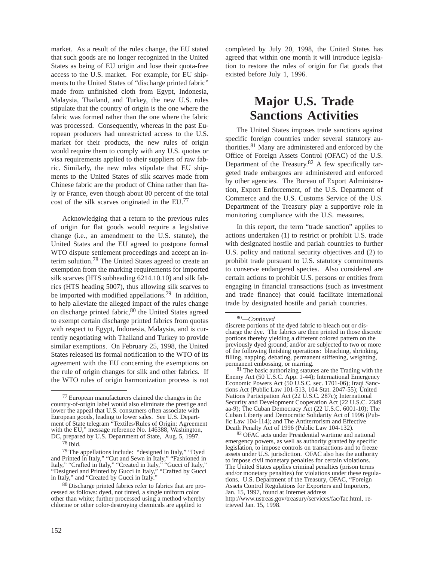market. As a result of the rules change, the EU stated that such goods are no longer recognized in the United States as being of EU origin and lose their quota-free access to the U.S. market. For example, for EU shipments to the United States of "discharge printed fabric" made from unfinished cloth from Egypt, Indonesia, Malaysia, Thailand, and Turkey, the new U.S. rules stipulate that the country of origin is the one where the fabric was formed rather than the one where the fabric was processed. Consequently, whereas in the past European producers had unrestricted access to the U.S. market for their products, the new rules of origin would require them to comply with any U.S. quotas or visa requirements applied to their suppliers of raw fabric. Similarly, the new rules stipulate that EU shipments to the United States of silk scarves made from Chinese fabric are the product of China rather than Italy or France, even though about 80 percent of the total cost of the silk scarves originated in the EU.<sup>77</sup>

Acknowledging that a return to the previous rules of origin for flat goods would require a legislative change (i.e., an amendment to the U.S. statute), the United States and the EU agreed to postpone formal WTO dispute settlement proceedings and accept an interim solution.78 The United States agreed to create an exemption from the marking requirements for imported silk scarves (HTS subheading 6214.10.10) and silk fabrics (HTS heading 5007), thus allowing silk scarves to be imported with modified appellations.<sup>79</sup> In addition, to help alleviate the alleged impact of the rules change on discharge printed fabric,<sup>80</sup> the United States agreed to exempt certain discharge printed fabrics from quotas with respect to Egypt, Indonesia, Malaysia, and is currently negotiating with Thailand and Turkey to provide similar exemptions. On February 25, 1998, the United States released its formal notification to the WTO of its agreement with the EU concerning the exemptions on the rule of origin changes for silk and other fabrics. If the WTO rules of origin harmonization process is not

completed by July 20, 1998, the United States has agreed that within one month it will introduce legislation to restore the rules of origin for flat goods that existed before July 1, 1996.

# **Major U.S. Trade Sanctions Activities**

The United States imposes trade sanctions against specific foreign countries under several statutory authorities.81 Many are administered and enforced by the Office of Foreign Assets Control (OFAC) of the U.S. Department of the Treasury.82 A few specifically targeted trade embargoes are administered and enforced by other agencies. The Bureau of Export Administration, Export Enforcement, of the U.S. Department of Commerce and the U.S. Customs Service of the U.S. Department of the Treasury play a supportive role in monitoring compliance with the U.S. measures.

In this report, the term "trade sanction" applies to actions undertaken (1) to restrict or prohibit U.S. trade with designated hostile and pariah countries to further U.S. policy and national security objectives and (2) to prohibit trade pursuant to U.S. statutory commitments to conserve endangered species. Also considered are certain actions to prohibit U.S. persons or entities from engaging in financial transactions (such as investment and trade finance) that could facilitate international trade by designated hostile and pariah countries.

<sup>77</sup> European manufacturers claimed the changes in the country-of-origin label would also eliminate the prestige and lower the appeal that U.S. consumers often associate with European goods, leading to lower sales. See U.S. Department of State telegram "Textiles/Rules of Origin: Agreement with the EU," message reference No. 146388, Washington, DC, prepared by U.S. Department of State, Aug. 5, 1997.

<sup>78</sup> Ibid.

<sup>79</sup> The appellations include: "designed in Italy," "Dyed and Printed in Italy," "Cut and Sewn in Italy," "Fashioned in Italy," "Crafted in Italy," "Created in Italy," "Gucci of Italy," "Designed and Printed by Gucci in Italy," "Crafted by Gucci in Italy," and "Created by Gucci in Italy."

<sup>80</sup> Discharge printed fabrics refer to fabrics that are processed as follows: dyed, not tinted, a single uniform color other than white; further processed using a method whereby chlorine or other color-destroying chemicals are applied to

<sup>80—</sup>*Continued* discrete portions of the dyed fabric to bleach out or discharge the dye. The fabrics are then printed in those discrete portions thereby yielding a different colored pattern on the previously dyed ground; and/or are subjected to two or more of the following finishing operations: bleaching, shrinking, filling, napping, debating, permanent stiffening, weighting, permanent embossing, or marring.

 $81$  The basic authorizing statutes are the Trading with the Enemy Act (50 U.S.C. App. 1-44); International Emergency Economic Powers Act (50 U.S.C. sec. 1701-06); Iraqi Sanctions Act (Public Law 101-513, 104 Stat. 2047-55); United Nations Participation Act (22 U.S.C. 287c); International Security and Development Cooperation Act (22 U.S.C. 2349 aa-9); The Cuban Democracy Act (22 U.S.C. 6001-10); The Cuban Liberty and Democratic Solidarity Act of 1996 (Public Law 104-114); and The Antiterrorism and Effective Death Penalty Act of 1996 (Public Law 104-132).

<sup>&</sup>lt;sup>82</sup> OFAC acts under Presidential wartime and national emergency powers, as well as authority granted by specific legislation, to impose controls on transactions and to freeze assets under U.S. jurisdiction. OFAC also has the authority to impose civil monetary penalties for certain violations. The United States applies criminal penalties (prison terms and/or monetary penalties) for violations under these regulations. U.S. Department of the Treasury, OFAC, "Foreign Assets Control Regulations for Exporters and Importers, Jan. 15, 1997, found at Internet address http://www.ustreas.gov/treasury/services/fac/fac.html, retrieved Jan. 15, 1998.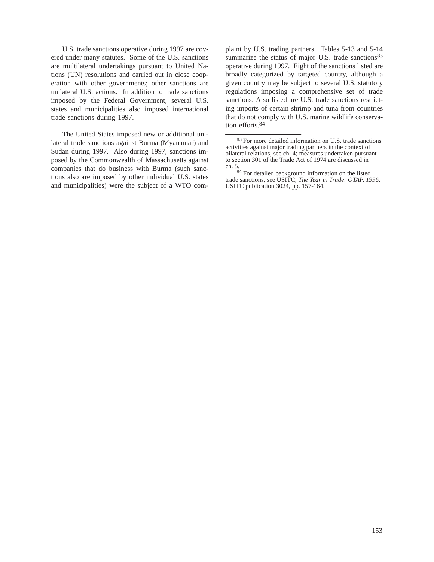U.S. trade sanctions operative during 1997 are covered under many statutes. Some of the U.S. sanctions are multilateral undertakings pursuant to United Nations (UN) resolutions and carried out in close cooperation with other governments; other sanctions are unilateral U.S. actions. In addition to trade sanctions imposed by the Federal Government, several U.S. states and municipalities also imposed international trade sanctions during 1997.

The United States imposed new or additional unilateral trade sanctions against Burma (Myanamar) and Sudan during 1997. Also during 1997, sanctions imposed by the Commonwealth of Massachusetts against companies that do business with Burma (such sanctions also are imposed by other individual U.S. states and municipalities) were the subject of a WTO complaint by U.S. trading partners. Tables 5-13 and 5-14 summarize the status of major U.S. trade sanctions<sup>83</sup> operative during 1997. Eight of the sanctions listed are broadly categorized by targeted country, although a given country may be subject to several U.S. statutory regulations imposing a comprehensive set of trade sanctions. Also listed are U.S. trade sanctions restricting imports of certain shrimp and tuna from countries that do not comply with U.S. marine wildlife conservation efforts.84

<sup>83</sup> For more detailed information on U.S. trade sanctions activities against major trading partners in the context of bilateral relations, see ch. 4; measures undertaken pursuant to section 301 of the Trade Act of 1974 are discussed in ch. 5.

<sup>84</sup> For detailed background information on the listed trade sanctions, see USITC, *The Year in Trade: OTAP, 1996*, USITC publication 3024, pp. 157-164.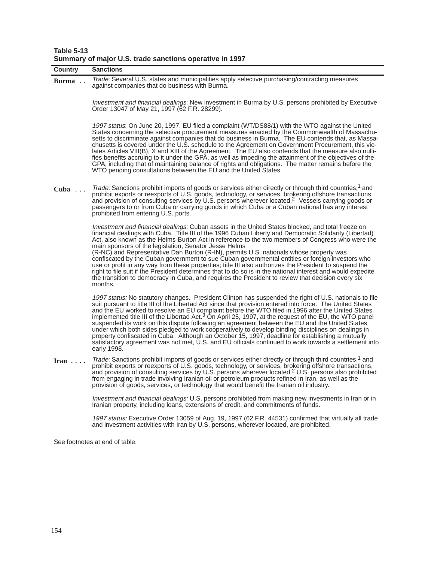**Table 5-13 Summary of major U.S. trade sanctions operative in 1997**

| <b>Country</b>       | <b>Sanctions</b>                                                                                                                                                                                                                                                                                                                                                                                                                                                                                                                                                                                                                                                                                                                                                                                                                                                                                               |
|----------------------|----------------------------------------------------------------------------------------------------------------------------------------------------------------------------------------------------------------------------------------------------------------------------------------------------------------------------------------------------------------------------------------------------------------------------------------------------------------------------------------------------------------------------------------------------------------------------------------------------------------------------------------------------------------------------------------------------------------------------------------------------------------------------------------------------------------------------------------------------------------------------------------------------------------|
| Burma                | Trade: Several U.S. states and municipalities apply selective purchasing/contracting measures<br>against companies that do business with Burma.                                                                                                                                                                                                                                                                                                                                                                                                                                                                                                                                                                                                                                                                                                                                                                |
|                      | Investment and financial dealings: New investment in Burma by U.S. persons prohibited by Executive<br>Order 13047 of May 21, 1997 (62 F.R. 28299).                                                                                                                                                                                                                                                                                                                                                                                                                                                                                                                                                                                                                                                                                                                                                             |
| Cuba $\dots$         | 1997 status: On June 20, 1997, EU filed a complaint (WT/DS88/1) with the WTO against the United<br>States concerning the selective procurement measures enacted by the Commonwealth of Massachu-<br>setts to discriminate against companies that do business in Burma. The EU contends that, as Massa-<br>chusetts is covered under the U.S. schedule to the Agreement on Government Procurement, this vio-<br>lates Articles VIII(B), X and XIII of the Agreement. The EU also contends that the measure also nulli-<br>fies benefits accruing to it under the GPA, as well as impeding the attainment of the objectives of the<br>GPA, including that of maintaining balance of rights and obligations. The matter remains before the<br>WTO pending consultations between the EU and the United States.                                                                                                     |
|                      | Trade: Sanctions prohibit imports of goods or services either directly or through third countries, <sup>1</sup> and<br>prohibit exports or reexports of U.S. goods, technology, or services, brokering offshore transactions,<br>and provision of consulting services by U.S. persons wherever located. <sup>2</sup> Vessels carrying goods or<br>passengers to or from Cuba or carrying goods in which Cuba or a Cuban national has any interest<br>prohibited from entering U.S. ports.                                                                                                                                                                                                                                                                                                                                                                                                                      |
|                      | Investment and financial dealings: Cuban assets in the United States blocked, and total freeze on<br>financial dealings with Cuba. Title III of the 1996 Cuban Liberty and Democratic Solidarity (Libertad)<br>Act, also known as the Helms-Burton Act in reference to the two members of Congress who were the<br>main sponsors of the legislation, Senator Jesse Helms<br>(R-NC) and Representative Dan Burton (R-IN), permits U.S. nationals whose property was<br>confiscated by the Cuban government to sue Cuban governmental entities or foreign investors who<br>use or profit in any way from these properties; title III also authorizes the President to suspend the<br>right to file suit if the President determines that to do so is in the national interest and would expedite<br>the transition to democracy in Cuba, and requires the President to review that decision every six<br>months. |
|                      | 1997 status: No statutory changes. President Clinton has suspended the right of U.S. nationals to file<br>suit pursuant to title III of the Libertad Act since that provision entered into force. The United States<br>and the EU worked to resolve an EU complaint before the WTO filed in 1996 after the United States<br>implemented title III of the Libertad Act. <sup>3</sup> On April 25, 1997, at the request of the EU, the WTO panel<br>suspended its work on this dispute following an agreement between the EU and the United States<br>under which both sides pledged to work cooperatively to develop binding disciplines on dealings in<br>property confiscated in Cuba. Although an October 15, 1997, deadline for establishing a mutually<br>satisfactory agreement was not met, U.S. and EU officials continued to work towards a settlement into<br>early 1998.                             |
| $\text{Iran} \ldots$ | Trade: Sanctions prohibit imports of goods or services either directly or through third countries, <sup>1</sup> and<br>prohibit exports or reexports of U.S. goods, technology, or services, brokering offshore transactions,<br>and provision of consulting services by U.S. persons wherever located. <sup>2</sup> U.S. persons also prohibited<br>from engaging in trade involving Iranian oil or petroleum products refined in Iran, as well as the<br>provision of goods, services, or technology that would benefit the Iranian oil industry.                                                                                                                                                                                                                                                                                                                                                            |
|                      | Investment and financial dealings: U.S. persons prohibited from making new investments in Iran or in<br>Iranian property, including loans, extensions of credit, and commitments of funds.                                                                                                                                                                                                                                                                                                                                                                                                                                                                                                                                                                                                                                                                                                                     |
|                      | 1997 status: Executive Order 13059 of Aug. 19, 1997 (62 F.R. 44531) confirmed that virtually all trade<br>and investment activities with Iran by U.S. persons, wherever located, are prohibited.                                                                                                                                                                                                                                                                                                                                                                                                                                                                                                                                                                                                                                                                                                               |
|                      | See footnotes at end of table.                                                                                                                                                                                                                                                                                                                                                                                                                                                                                                                                                                                                                                                                                                                                                                                                                                                                                 |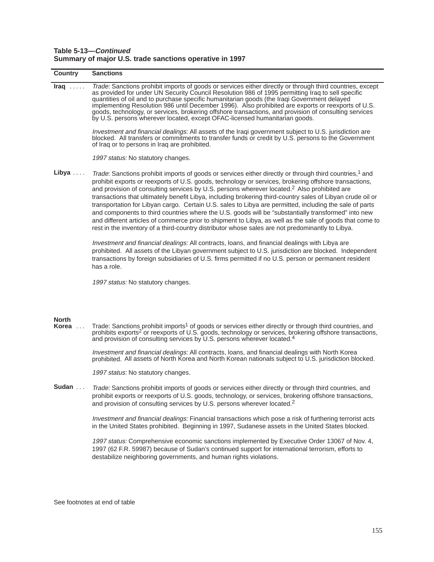#### **Table 5-13—Continued Summary of major U.S. trade sanctions operative in 1997**

| <b>Country</b> | <b>Sanctions</b>                                                                                                                                                                                                                                                                                                                                                                                                                                                                                                                                                                                                                                                                                                                                                                                                                                                                        |
|----------------|-----------------------------------------------------------------------------------------------------------------------------------------------------------------------------------------------------------------------------------------------------------------------------------------------------------------------------------------------------------------------------------------------------------------------------------------------------------------------------------------------------------------------------------------------------------------------------------------------------------------------------------------------------------------------------------------------------------------------------------------------------------------------------------------------------------------------------------------------------------------------------------------|
| $Iraq$         | Trade: Sanctions prohibit imports of goods or services either directly or through third countries, except<br>as provided for under UN Security Council Resolution 986 of 1995 permitting Iraq to sell specific<br>quantities of oil and to purchase specific humanitarian goods (the Iraqi Government delayed<br>implementing Resolution 986 until December 1996). Also prohibited are exports or reexports of U.S.<br>goods, technology, or services, brokering offshore transactions, and provision of consulting services<br>by U.S. persons wherever located, except OFAC-licensed humanitarian goods.                                                                                                                                                                                                                                                                              |
|                | Investment and financial dealings: All assets of the Iraqi government subject to U.S. jurisdiction are<br>blocked. All transfers or commitments to transfer funds or credit by U.S. persons to the Government<br>of Iraq or to persons in Iraq are prohibited.                                                                                                                                                                                                                                                                                                                                                                                                                                                                                                                                                                                                                          |
|                | 1997 status: No statutory changes.                                                                                                                                                                                                                                                                                                                                                                                                                                                                                                                                                                                                                                                                                                                                                                                                                                                      |
| Libya $\ldots$ | Trade: Sanctions prohibit imports of goods or services either directly or through third countries, <sup>1</sup> and<br>prohibit exports or reexports of U.S. goods, technology or services, brokering offshore transactions,<br>and provision of consulting services by U.S. persons wherever located. <sup>2</sup> Also prohibited are<br>transactions that ultimately benefit Libya, including brokering third-country sales of Libyan crude oil or<br>transportation for Libyan cargo. Certain U.S. sales to Libya are permitted, including the sale of parts<br>and components to third countries where the U.S. goods will be "substantially transformed" into new<br>and different articles of commerce prior to shipment to Libya, as well as the sale of goods that come to<br>rest in the inventory of a third-country distributor whose sales are not predominantly to Libya. |
|                | Investment and financial dealings: All contracts, loans, and financial dealings with Libya are<br>prohibited. All assets of the Libyan government subject to U.S. jurisdiction are blocked. Independent<br>transactions by foreign subsidiaries of U.S. firms permitted if no U.S. person or permanent resident<br>has a role.                                                                                                                                                                                                                                                                                                                                                                                                                                                                                                                                                          |
|                | 1997 status: No statutory changes.                                                                                                                                                                                                                                                                                                                                                                                                                                                                                                                                                                                                                                                                                                                                                                                                                                                      |
| <b>North</b>   |                                                                                                                                                                                                                                                                                                                                                                                                                                                                                                                                                                                                                                                                                                                                                                                                                                                                                         |
| Korea          | Trade: Sanctions prohibit imports <sup>1</sup> of goods or services either directly or through third countries, and<br>prohibits exports <sup>2</sup> or reexports of U.S. goods, technology or services, brokering offshore transactions,<br>and provision of consulting services by U.S. persons wherever located. <sup>4</sup>                                                                                                                                                                                                                                                                                                                                                                                                                                                                                                                                                       |
|                | Investment and financial dealings: All contracts Joans, and financial dealings with North Korea                                                                                                                                                                                                                                                                                                                                                                                                                                                                                                                                                                                                                                                                                                                                                                                         |

Investment and financial dealings: All contracts, loans, and financial dealings with North Korea prohibited. All assets of North Korea and North Korean nationals subject to U.S. jurisdiction blocked.

1997 status: No statutory changes.

**Sudan** ... Trade: Sanctions prohibit imports of goods or services either directly or through third countries, and prohibit exports or reexports of U.S. goods, technology, or services, brokering offshore transactions, and provision of consulting services by U.S. persons wherever located.<sup>2</sup>

> Investment and financial dealings: Financial transactions which pose a risk of furthering terrorist acts in the United States prohibited. Beginning in 1997, Sudanese assets in the United States blocked.

> 1997 status: Comprehensive economic sanctions implemented by Executive Order 13067 of Nov. 4, 1997 (62 F.R. 59987) because of Sudan's continued support for international terrorism, efforts to destabilize neighboring governments, and human rights violations.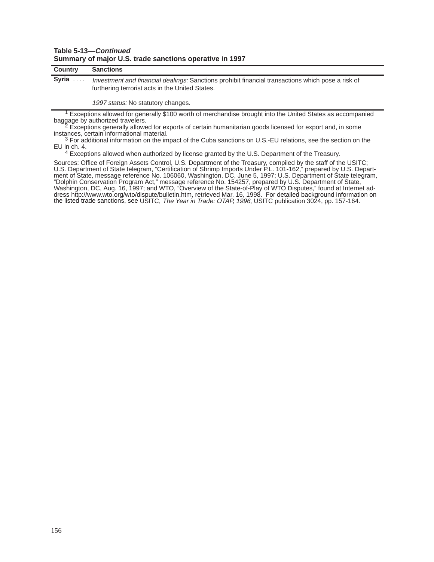#### **Table 5-13—Continued Summary of major U.S. trade sanctions operative in 1997**

| <b>Country</b> | <b>Sanctions</b>                                                                                                                                     |
|----------------|------------------------------------------------------------------------------------------------------------------------------------------------------|
| Syria          | Investment and financial dealings: Sanctions prohibit financial transactions which pose a risk of<br>furthering terrorist acts in the United States. |

1997 status: No statutory changes.

<sup>1</sup> Exceptions allowed for generally \$100 worth of merchandise brought into the United States as accompanied baggage by authorized travelers.

 $2$  Exceptions generally allowed for exports of certain humanitarian goods licensed for export and, in some instances, certain informational material.

<sup>3</sup> For additional information on the impact of the Cuba sanctions on U.S.-EU relations, see the section on the EU in ch. 4.

4 Exceptions allowed when authorized by license granted by the U.S. Department of the Treasury.

Sources: Office of Foreign Assets Control, U.S. Department of the Treasury, compiled by the staff of the USITC; U.S. Department of State telegram, "Certification of Shrimp Imports Under P.L. 101-162," prepared by U.S. Department of State, message reference No. 106060, Washington, DC, June 5, 1997; U.S. Department of State telegram, "Dolphin Conservation Program Act," message reference No. 154257, prepared by U.S. Department of State, Washington, DC, Aug. 16, 1997; and WTO, "Overview of the State-of-Play of WTO Disputes," found at Internet address http://www.wto.org/wto/dispute/bulletin.htm, retrieved Mar. 16, 1998. For detailed background information on the listed trade sanctions, see USITC, *The Year in Trade: OTAP, 1996*, USITC publication 3024, pp. 157-164.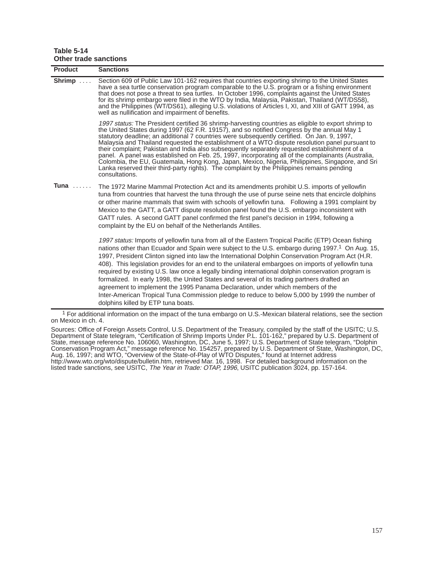#### **Table 5-14 Other trade sanctions**

| <b>Product</b> | <b>Sanctions</b>                                                                                                                                                                                                                                                                                                                                                                                                                                                                                                                                                                                                                                                                                                                                                                                                                                            |
|----------------|-------------------------------------------------------------------------------------------------------------------------------------------------------------------------------------------------------------------------------------------------------------------------------------------------------------------------------------------------------------------------------------------------------------------------------------------------------------------------------------------------------------------------------------------------------------------------------------------------------------------------------------------------------------------------------------------------------------------------------------------------------------------------------------------------------------------------------------------------------------|
| Shrimp         | Section 609 of Public Law 101-162 requires that countries exporting shrimp to the United States<br>have a sea turtle conservation program comparable to the U.S. program or a fishing environment<br>that does not pose a threat to sea turtles. In October 1996, complaints against the United States<br>for its shrimp embargo were filed in the WTO by India, Malaysia, Pakistan, Thailand (WT/DS58),<br>and the Philippines (WT/DS61), alleging U.S. violations of Articles I, XI, and XIII of GATT 1994, as<br>well as nullification and impairment of benefits.                                                                                                                                                                                                                                                                                       |
|                | 1997 status: The President certified 36 shrimp-harvesting countries as eligible to export shrimp to<br>the United States during 1997 (62 F.R. 19157), and so notified Congress by the annual May 1<br>statutory deadline; an additional 7 countries were subsequently certified. On Jan. 9, 1997,<br>Malaysia and Thailand requested the establishment of a WTO dispute resolution panel pursuant to<br>their complaint; Pakistan and India also subsequently separately requested establishment of a<br>panel. A panel was established on Feb. 25, 1997, incorporating all of the complainants (Australia,<br>Colombia, the EU, Guatemala, Hong Kong, Japan, Mexico, Nigeria, Philippines, Singapore, and Sri<br>Lanka reserved their third-party rights). The complaint by the Philippines remains pending<br>consultations.                              |
| Tuna $\ldots$  | The 1972 Marine Mammal Protection Act and its amendments prohibit U.S. imports of yellowfin<br>tuna from countries that harvest the tuna through the use of purse seine nets that encircle dolphins<br>or other marine mammals that swim with schools of yellowfin tuna. Following a 1991 complaint by<br>Mexico to the GATT, a GATT dispute resolution panel found the U.S. embargo inconsistent with<br>GATT rules. A second GATT panel confirmed the first panel's decision in 1994, following a<br>complaint by the EU on behalf of the Netherlands Antilles.                                                                                                                                                                                                                                                                                           |
|                | 1997 status: Imports of yellowfin tuna from all of the Eastern Tropical Pacific (ETP) Ocean fishing<br>nations other than Ecuador and Spain were subject to the U.S. embargo during 1997. <sup>1</sup> On Aug. 15,<br>1997, President Clinton signed into law the International Dolphin Conservation Program Act (H.R.<br>408). This legislation provides for an end to the unilateral embargoes on imports of yellowfin tuna<br>required by existing U.S. law once a legally binding international dolphin conservation program is<br>formalized. In early 1998, the United States and several of its trading partners drafted an<br>agreement to implement the 1995 Panama Declaration, under which members of the<br>Inter-American Tropical Tuna Commission pledge to reduce to below 5,000 by 1999 the number of<br>dolphins killed by ETP tuna boats. |

<sup>1</sup> For additional information on the impact of the tuna embargo on U.S.-Mexican bilateral relations, see the section on Mexico in ch. 4.

Sources: Office of Foreign Assets Control, U.S. Department of the Treasury, compiled by the staff of the USITC; U.S. Department of State telegram, "Certification of Shrimp Imports Under P.L. 101-162," prepared by U.S. Department of State, message reference No. 106060, Washington, DC, June 5, 1997; U.S. Department of State telegram, "Dolphin Conservation Program Act," message reference No. 154257, prepared by U.S. Department of State, Washington, DC, Aug. 16, 1997; and WTO, "Overview of the State-of-Play of WTO Disputes," found at Internet address http://www.wto.org/wto/dispute/bulletin.htm, retrieved Mar. 16, 1998. For detailed background information on the listed trade sanctions, see USITC, The Year in Trade: OTAP, 1996, USITC publication 3024, pp. 157-164.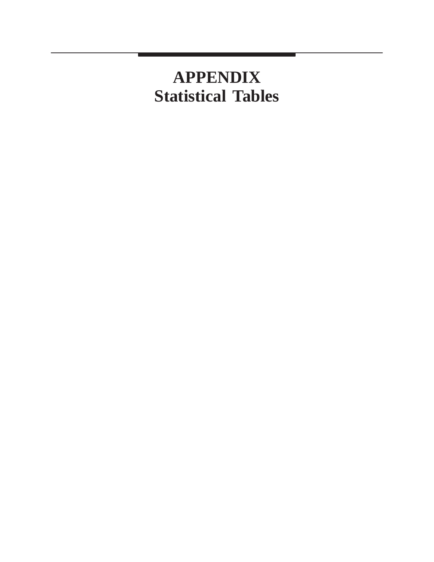# **APPENDIX Statistical Tables**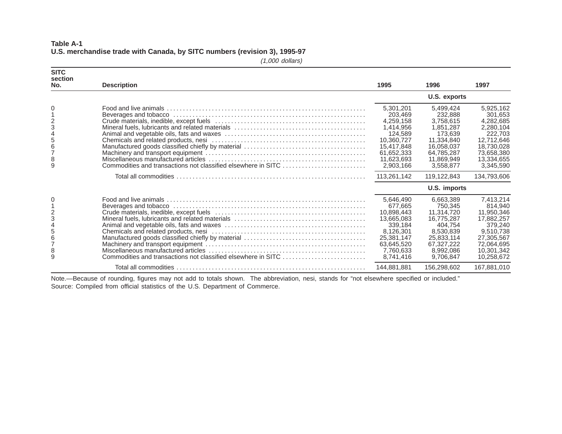### **Table A-1 U.S. merchandise trade with Canada, by SITC numbers (revision 3), 1995-97**

(1,000 dollars)

| <b>SITC</b><br>section<br>No.   | <b>Description</b>                                            | 1995                                                                                                                                          | 1996                                                                                                                                          | 1997                                                                                                                                          |
|---------------------------------|---------------------------------------------------------------|-----------------------------------------------------------------------------------------------------------------------------------------------|-----------------------------------------------------------------------------------------------------------------------------------------------|-----------------------------------------------------------------------------------------------------------------------------------------------|
|                                 |                                                               |                                                                                                                                               | U.S. exports                                                                                                                                  |                                                                                                                                               |
| 0<br>2<br>5<br>8<br>9           | Commodities and transactions not classified elsewhere in SITC | 5,301,201<br>203,469<br>4,259,158<br>1.414.956<br>124,589<br>10,360,727<br>15,417,848<br>61,652,333<br>11,623,693<br>2,903,166<br>113,261,142 | 5,499,424<br>232,888<br>3,758,615<br>1.851.287<br>173.639<br>11.334.840<br>16,058,037<br>64,785,287<br>11,869,949<br>3,558,877<br>119,122,843 | 5,925,162<br>301,653<br>4,282,685<br>2,280,104<br>222.703<br>12,712,646<br>18,730,028<br>73,658,380<br>13,334,655<br>3,345,590<br>134,793,606 |
|                                 |                                                               |                                                                                                                                               | U.S. imports                                                                                                                                  |                                                                                                                                               |
| 0<br>2<br>3<br>5<br>6<br>8<br>9 | Commodities and transactions not classified elsewhere in SITC | 5,646,490<br>677.665<br>10,898,443<br>13,665,083<br>339,184<br>8,126,301<br>25,381,147<br>63,645,520<br>7,760,633<br>8,741,416                | 6.663.389<br>750.345<br>11,314,720<br>16.775.287<br>404.754<br>8,530,839<br>25,833,114<br>67,327,222<br>8,992,086<br>9,706,847                | 7,413,214<br>814.940<br>11,950,346<br>17,882,257<br>379.240<br>9,510,738<br>27,305,567<br>72,064,695<br>10,301,342<br>10,258,672              |
|                                 |                                                               | 144,881,881                                                                                                                                   | 156,298,602                                                                                                                                   | 167,881,010                                                                                                                                   |

Note.—Because of rounding, figures may not add to totals shown. The abbreviation, nesi, stands for "not elsewhere specified or included." Source: Compiled from official statistics of the U.S. Department of Commerce.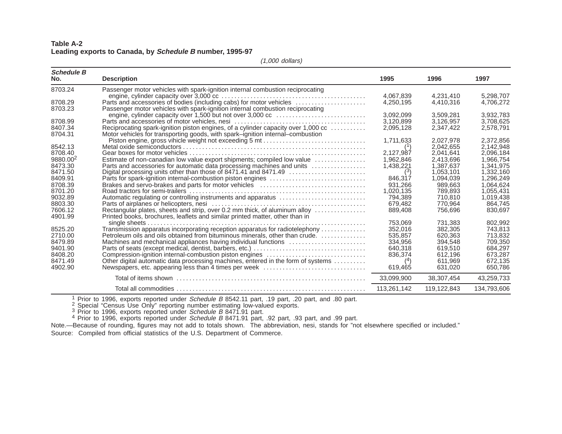### **Table A-2 Leading exports to Canada, by Schedule B number, 1995-97**

(1,000 dollars)

| <b>Schedule B</b><br>No. | <b>Description</b>                                                                | 1995               | 1996               | 1997                 |
|--------------------------|-----------------------------------------------------------------------------------|--------------------|--------------------|----------------------|
| 8703.24                  | Passenger motor vehicles with spark-ignition internal combustion reciprocating    |                    |                    |                      |
|                          |                                                                                   | 4,067,839          | 4,231,410          | 5.298.707            |
| 8708.29                  | Parts and accessories of bodies (including cabs) for motor vehicles               | 4,250,195          | 4,410,316          | 4,706,272            |
| 8703.23                  | Passenger motor vehicles with spark-ignition internal combustion reciprocating    |                    |                    |                      |
|                          |                                                                                   | 3,092,099          | 3,509,281          | 3,932,783            |
| 8708.99                  |                                                                                   | 3,120,899          | 3,126,957          | 3,708,625            |
| 8407.34                  | Reciprocating spark-ignition piston engines, of a cylinder capacity over 1,000 cc | 2,095,128          | 2,347,422          | 2,578,791            |
| 8704.31                  | Motor vehicles for transporting goods, with spark-ignition internal-combustion    |                    |                    |                      |
|                          | Piston engine, gross vihicle weight not exceeding 5 mt                            | 1,711,633          | 2,027,978          | 2.372.856            |
| 8542.13                  |                                                                                   |                    | 2,042,655          | 2,142,948            |
| 8708.40                  |                                                                                   | 2,127,987          | 2.041.641          | 2.096.184            |
| 9880.00 <sup>2</sup>     | Estimate of non-canadian low value export shipments; compiled low value           | 1,962,846          | 2.413.696          | 1.966.754            |
| 8473.30                  | Parts and accessories for automatic data processing machines and units            | 1,438,221          | 1,387,637          | 1,341,975            |
| 8471.50                  | Digital processing units other than those of 8471.41 and 8471.49                  | $^{(3)}$           | 1,053,101          | 1,332,160            |
| 8409.91                  | Parts for spark-ignition internal-combustion piston engines                       | 846.317            | 1.094.039          | 1.296.249            |
| 8708.39                  | Brakes and servo-brakes and parts for motor vehicles                              | 931,266            | 989.663            | 1.064.624            |
| 8701.20<br>9032.89       |                                                                                   | 1.020.135          | 789.893            | 1.055.431            |
| 8803.30                  | Automatic regulating or controlling instruments and apparatus                     | 794,389<br>679,482 | 710,810            | 1,019,438<br>864,745 |
| 7606.12                  | Rectangular plates, sheets and strip, over 0.2 mm thick, of aluminum alloy        | 889,408            | 770,964<br>756.696 | 830.697              |
| 4901.99                  | Printed books, brochures, leaflets and similar printed matter, other than in      |                    |                    |                      |
|                          |                                                                                   | 753.069            | 731.383            | 802.992              |
| 8525.20                  | Transmission apparatus incorporating reception apparatus for radiotelephony       | 352,016            | 382,305            | 743.813              |
| 2710.00                  | Petroleum oils and oils obtained from bituminous minerals, other than crude.      | 535.857            | 620.363            | 713.832              |
| 8479.89                  | Machines and mechanical appliances having individual functions                    | 334.956            | 394.548            | 709.350              |
| 9401.90                  |                                                                                   | 640.318            | 619.510            | 684.297              |
| 8408.20                  | Compression-ignition internal-combustion piston engines                           | 836,374            | 612,196            | 673,287              |
| 8471.49                  | Other digital automatic data processing machines, entered in the form of systems  | (4)                | 611.969            | 672,135              |
| 4902.90                  | Newspapers, etc. appearing less than 4 times per week                             | 619,465            | 631.020            | 650,786              |
|                          |                                                                                   | 33,099,900         | 38,307,454         | 43,259,733           |
|                          |                                                                                   | 113,261,142        | 119,122,843        | 134.793.606          |

<sup>1</sup> Prior to 1996, exports reported under *Schedule B* 8542.11 part, .19 part, .20 part, and .80 part. <sup>2</sup> Special "Census Use Only" reporting number estimating low-valued exports.

 $^3$  Prior to 1996, exports reported under *Schedule B* 8471.91 part.<br><sup>4</sup> Prior to 1996, exports reported under *Schedule B* 8471.91 part, .92 part, .93 part, and .99 part.

Note.—Because of rounding, figures may not add to totals shown. The abbreviation, nesi, stands for "not elsewhere specified or included." Source: Compiled from official statistics of the U.S. Department of Commerce.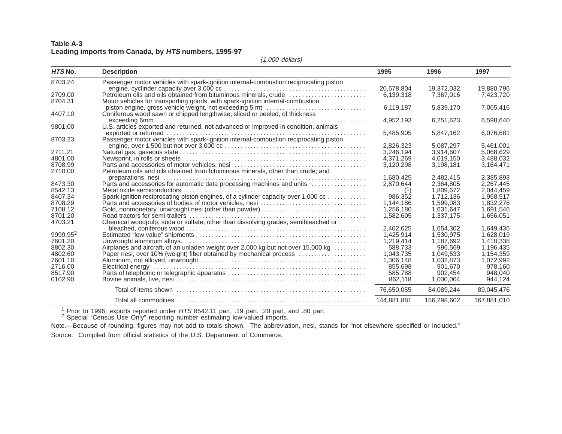### **Table A-3 Leading imports from Canada, by HTS numbers, 1995-97**

(1,000 dollars)

| HTS No.  | <b>Description</b>                                                                    | 1995        | 1996        | 1997        |
|----------|---------------------------------------------------------------------------------------|-------------|-------------|-------------|
| 8703.24  | Passenger motor vehicles with spark-ignition internal-combustion reciprocating piston |             |             |             |
|          |                                                                                       | 20,578,804  | 19,372,032  | 19,880,796  |
| 2709.00  | Petroleum oils and oils obtained from bituminous minerals, crude                      | 6,139,318   | 7,367,016   | 7,423,720   |
| 8704.31  | Motor vehicles for transporting goods, with spark-ignition internal-combustion        |             |             |             |
|          | piston engine, gross vehicle weight, not exceeding 5 mt                               | 6,119,187   | 5,839,170   | 7,065,416   |
| 4407.10  | Coniferous wood sawn or chipped lengthwise, sliced or peeled, of thickness            |             |             |             |
|          | exceeding 6mm<br>.                                                                    | 4.952.193   | 6,251,623   | 6,598,640   |
| 9801.00  | U.S. articles exported and returned, not advanced or improved in condition, animals   |             |             |             |
|          | exported or returned<br>.                                                             | 5,485,905   | 5,847,162   | 6,076,681   |
| 8703.23  | Passenger motor vehicles with spark-ignition internal-combustion reciprocating piston |             |             |             |
|          |                                                                                       | 2.826.323   | 5.087.297   | 5.461.001   |
| 2711.21  |                                                                                       | 3.246.194   | 3.914.607   | 5.068.629   |
| 4801.00  |                                                                                       | 4,371,269   | 4,019,150   | 3,488,032   |
| 8708.99  |                                                                                       | 3,120,298   | 3.198.181   | 3,164,471   |
| 2710.00  | Petroleum oils and oils obtained from bituminous minerals, other than crude; and      |             |             |             |
|          |                                                                                       | 1.680.425   | 2.482.415   | 2.385.893   |
| 8473.30  | Parts and accessories for automatic data processing machines and units                | 2,870,644   | 2,364,805   | 2,267,445   |
| 8542.13  | Metal oxide semiconductors.<br>.                                                      | (1)         | 1,809,672   | 2,044,459   |
| 8407.34  |                                                                                       | 986.352     | 1,712,136   | 1,958,517   |
| 8708.29  |                                                                                       | 1,144,186   | 1,599,083   | 1,832,276   |
| 7108.12  | Gold, nonmonetary, unwrought nesi (other than powder)                                 | 1.256.180   | 1,631,647   | 1,691,546   |
| 8701.20  |                                                                                       | 1.582.605   | 1.337.175   | 1.656.051   |
| 4703.21  | Chemical woodpulp, soda or sulfate, other than dissolving grades, semibleached or     |             |             |             |
|          |                                                                                       | 2.402.625   | 1,654,302   | 1.649.436   |
| 9999.952 |                                                                                       | 1,425,914   | 1,530,975   | 1.628.019   |
| 7601.20  |                                                                                       | 1.219.414   | 1.187.692   | 1.410.338   |
| 8802.30  | Airplanes and aircraft, of an unladen weight over 2,000 kg but not over 15,000 kg     | 588.733     | 996.569     | 1,196,435   |
| 4802.60  | Paper nesi, over 10% (weight) fiber obtained by mechanical process                    | 1,043,735   | 1,049,533   | 1,154,359   |
| 7601.10  |                                                                                       | 1.306.148   | 1.032.873   | 1.072.992   |
| 2716.00  |                                                                                       | 855.698     | 901.670     | 978.160     |
| 8517.90  |                                                                                       | 585.788     | 902.454     | 948.040     |
| 0102.90  |                                                                                       | 862,118     | 1,000,004   | 944,124     |
|          |                                                                                       | 76,650,055  | 84,089,244  | 89,045,476  |
|          |                                                                                       | 144.881.881 | 156,298,602 | 167,881,010 |

<sup>1</sup> Prior to 1996, exports reported under HTS 8542.11 part, .19 part, .20 part, and .80 part. <sup>2</sup> Special "Census Use Only" reporting number estimating low-valued imports.

Note.—Because of rounding, figures may not add to totals shown. The abbreviation, nesi, stands for "not elsewhere specified or included."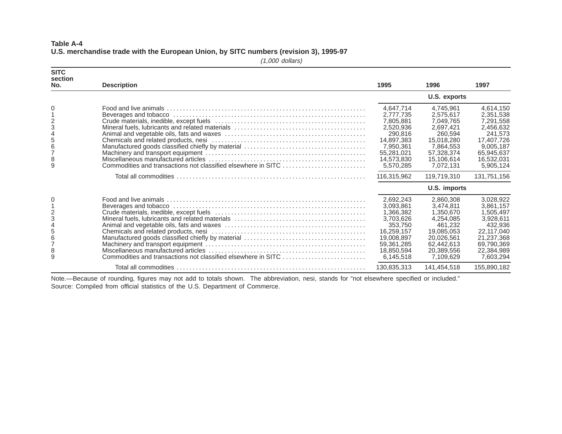### **Table A-4 U.S. merchandise trade with the European Union, by SITC numbers (revision 3), 1995-97**

(1,000 dollars)

| <b>SITC</b><br>section<br>No. | <b>Description</b>                                            | 1995                                                                                                                                           | 1996                                                                                                                                           | 1997                                                                                                                                           |
|-------------------------------|---------------------------------------------------------------|------------------------------------------------------------------------------------------------------------------------------------------------|------------------------------------------------------------------------------------------------------------------------------------------------|------------------------------------------------------------------------------------------------------------------------------------------------|
|                               |                                                               |                                                                                                                                                | U.S. exports                                                                                                                                   |                                                                                                                                                |
| 0<br>3<br>5<br>6<br>8<br>9    | Commodities and transactions not classified elsewhere in SITC | 4,647,714<br>2,777,735<br>7.805.881<br>2,520,936<br>290,816<br>14,897,383<br>7,950,361<br>55,281,021<br>14,573,830<br>5,570,285<br>116,315,962 | 4,745,961<br>2,575,617<br>7.049.765<br>2.697.421<br>260.594<br>15,018,280<br>7,864,553<br>57,328,374<br>15,106,614<br>7,072,131<br>119,719,310 | 4,614,150<br>2,351,538<br>7,291,558<br>2,456,632<br>241,573<br>17,407,726<br>9,005,187<br>65,945,637<br>16,532,031<br>5,905,124<br>131,751,156 |
|                               |                                                               |                                                                                                                                                | U.S. imports                                                                                                                                   |                                                                                                                                                |
| 0<br>3<br>5<br>6<br>8<br>9    | Commodities and transactions not classified elsewhere in SITC | 2,692,243<br>3,093,861<br>1,366,382<br>3,703,626<br>353,750<br>16,259,157<br>19,008,897<br>59,361,285<br>18,850,594<br>6,145,518               | 2,860,308<br>3,474,811<br>1,350,670<br>4.254.085<br>461,232<br>19.085.053<br>20,026,561<br>62,442,613<br>20.389.556<br>7,109,629               | 3,028,922<br>3,861,157<br>1,505,497<br>3,928,611<br>432,936<br>22,117,040<br>21,237,368<br>69,790,369<br>22,384,989<br>7,603,294               |
|                               |                                                               | 130,835,313                                                                                                                                    | 141,454,518                                                                                                                                    | 155,890,182                                                                                                                                    |

Note.—Because of rounding, figures may not add to totals shown. The abbreviation, nesi, stands for "not elsewhere specified or included." Source: Compiled from official statistics of the U.S. Department of Commerce.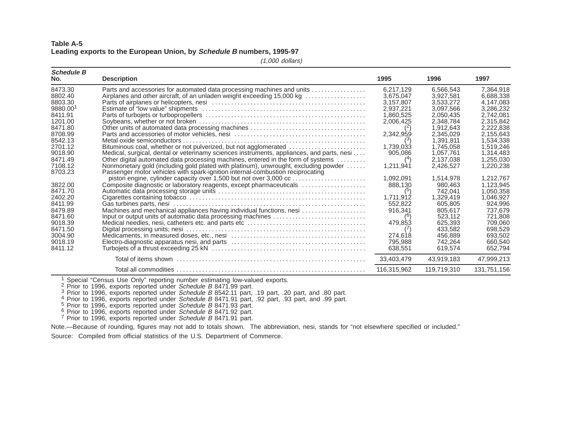### **Table A-5 Leading exports to the European Union, by Schedule B numbers, 1995-97**

(1,000 dollars)

| <b>Schedule B</b><br>No. | <b>Description</b>                                                                        | 1995        | 1996        | 1997        |
|--------------------------|-------------------------------------------------------------------------------------------|-------------|-------------|-------------|
| 8473.30                  | Parts and accessories for automated data processing machines and units                    | 6,217,129   | 6,566,543   | 7,364,918   |
| 8802.40                  | Airplanes and other aircraft, of an unladen weight exceeding 15,000 kg                    | 3,675,047   | 3,927,581   | 6,688,338   |
| 8803.30                  |                                                                                           | 3,157,807   | 3,533,272   | 4,147,083   |
| 9880.001                 |                                                                                           | 2.937.221   | 3.097.566   | 3.286.232   |
| 8411.91                  |                                                                                           | 1,860,525   | 2.050.435   | 2,742,081   |
| 1201.00                  |                                                                                           | 2,006,425   | 2,348,784   | 2,315,842   |
| 8471.80                  |                                                                                           |             | 1,912,643   | 2,222,838   |
| 8708.99                  |                                                                                           | 2,342,959   | 2.345.029   | 2,155,643   |
| 8542.13                  |                                                                                           |             | 1,391,811   | 1.534.338   |
| 2701.12                  | Bituminous coal, whether or not pulverized, but not agglomerated                          | 1,739,033   | 1,745,058   | 1,519,246   |
| 9018.90                  | Medical, surgical, dental or veterinamy sciences instruments, appliances, and parts, nesi | 905.086     | 1.057.761   | 1,314,483   |
| 8471.49                  | Other digital automated data processing machines, entered in the form of systems          | (4)         | 2,137,038   | 1,255,030   |
| 7108.12                  | Nonmonetary gold (including gold plated with platinum), unwrought, excluding powder       | 1,211,941   | 2,426,527   | 1,220,238   |
| 8703.23                  | Passenger motor vehicles with spark-ignition internal-combustion reciprocating            |             |             |             |
|                          |                                                                                           | 1,092,091   | 1,514,978   | 1.212.767   |
| 3822.00                  | Composite diagnostic or laboratory reagents, except pharmaceuticals                       | 888,130     | 980.463     | 1.123.945   |
| 8471.70                  |                                                                                           | (5)         | 742,041     | 1,050,358   |
| 2402.20                  |                                                                                           | 1,711,912   | 1.329.419   | 1,046,927   |
| 8411.99                  |                                                                                           | 552,822     | 605,805     | 924,996     |
| 8479.89                  | Machines and mechanical appliances having individual functions, nesi                      | 916,341     | 805,617     | 737,679     |
| 8471.60                  | Input or output units of automatic data processing machines                               |             | 523.112     | 721.808     |
| 9018.39                  |                                                                                           | 479,853     | 625,393     | 709,060     |
| 8471.50                  |                                                                                           |             | 433,582     | 698,529     |
| 3004.90                  |                                                                                           | 274.618     | 456.889     | 693,502     |
| 9018.19                  |                                                                                           | 795,988     | 742.264     | 660,540     |
| 8411.12                  |                                                                                           | 638.551     | 619.574     | 652.794     |
|                          |                                                                                           | 33,403,479  | 43,919,183  | 47,999,213  |
|                          |                                                                                           | 116.315.962 | 119.719.310 | 131.751.156 |

 $1/2$  Special "Census Use Only" reporting number estimating low-valued exports.

<sup>2</sup> Prior to 1996, exports reported under *Schedule B* 8471.99 part.<br><sup>3</sup> Prior to 1996, exports reported under *Schedule B* 8542.11 part, .19 part, .20 part, and .80 part.<br><sup>4</sup> Prior to 1996, exports reported under *Schedu* 

Note.—Because of rounding, figures may not add to totals shown. The abbreviation, nesi, stands for "not elsewhere specified or included."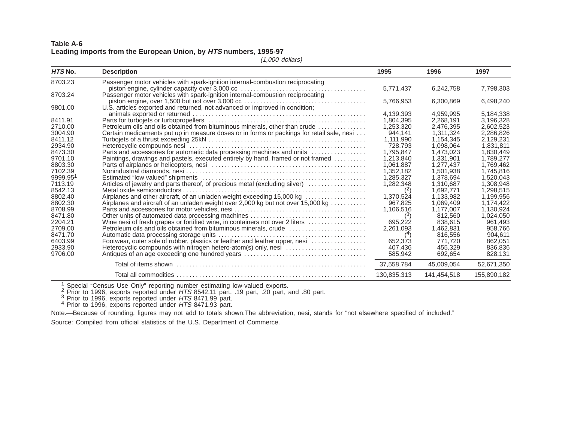### **Table A-6 Leading imports from the European Union, by HTS numbers, 1995-97**

(1,000 dollars)

| HTS No.  | <b>Description</b>                                                                        | 1995        | 1996        | 1997        |
|----------|-------------------------------------------------------------------------------------------|-------------|-------------|-------------|
| 8703.23  | Passenger motor vehicles with spark-ignition internal-combustion reciprocating            |             |             |             |
|          |                                                                                           | 5,771,437   | 6,242,758   | 7,798,303   |
| 8703.24  | Passenger motor vehicles with spark-ignition internal-combustion reciprocating            |             |             |             |
|          |                                                                                           | 5,766,953   | 6,300,869   | 6,498,240   |
| 9801.00  | U.S. articles exported and returned, not advanced or improved in condition;               |             |             |             |
|          |                                                                                           | 4.139.393   | 4,959,995   | 5,184,338   |
| 8411.91  |                                                                                           | 1,804,395   | 2,268,191   | 3,196,328   |
| 2710.00  | Petroleum oils and oils obtained from bituminous minerals, other than crude               | 1,253,320   | 2,476,395   | 2,602,523   |
| 3004.90  | Certain medicaments put up in measure doses or in forms or packings for retail sale, nesi | 944.141     | 1.311.324   | 2.286.826   |
| 8411.12  |                                                                                           | 1,111,990   | 1.154.345   | 2,129,231   |
| 2934.90  |                                                                                           | 728.793     | 1.098.064   | 1.831.811   |
| 8473.30  |                                                                                           | 1,795,847   | 1.473.023   | 1,830,449   |
| 9701.10  | Paintings, drawings and pastels, executed entirely by hand, framed or not framed          | 1,213,840   | 1,331,901   | 1,789,277   |
| 8803.30  |                                                                                           | 1,061,887   | 1,277,437   | 1,769,462   |
| 7102.39  |                                                                                           | 1,352,182   | 1.501.938   | 1.745.816   |
| 9999.951 |                                                                                           | 1,285,327   | 1.378.694   | 1,520,043   |
| 7113.19  | Articles of jewelry and parts thereof, of precious metal (excluding silver)               | 1,282,348   | 1.310.687   | 1,308,948   |
| 8542.13  |                                                                                           |             | 1,692,771   | 1,298,515   |
| 8802.40  |                                                                                           | 1,370,524   | 1,133,982   | 1,199,956   |
| 8802.30  | Airplanes and aircraft of an unladen weight over 2,000 kg but not over 15,000 kg          | 967.825     | 1.069.409   | 1.174.422   |
| 8708.99  |                                                                                           | 1,106,516   | 1.177.007   | 1,130,924   |
| 8471.80  |                                                                                           | $^{(3)}$    | 812.560     | 1,024,050   |
| 2204.21  | Wine nesi of fresh grapes or fortified wine, in containers not over 2 liters              | 695,222     | 838,615     | 961,493     |
| 2709.00  | Petroleum oils and oils obtained from bituminous minerals, crude                          | 2.261.093   | 1,462,831   | 958.766     |
| 8471.70  |                                                                                           |             | 816,556     | 904.611     |
| 6403.99  | Footwear, outer sole of rubber, plastics or leather and leather upper, nesi               | 652.373     | 771.720     | 862.051     |
| 2933.90  | Heterocyclic compounds with nitrogen hetero-atom(s) only, nesi                            | 407,436     | 455,329     | 836,836     |
| 9706.00  |                                                                                           | 585,942     | 692,654     | 828,131     |
|          |                                                                                           | 37,558,784  | 45,009,054  | 52,671,350  |
|          |                                                                                           | 130,835,313 | 141,454,518 | 155,890,182 |

<sup>1</sup> Special "Census Use Only" reporting number estimating low-valued exports.<br>
<sup>2</sup> Prior to 1996, exports reported under  $HTS$  8542.11 part, .19 part, .20 part, and .80 part.<br>
<sup>3</sup> Prior to 1996, exports reported under  $HTS$ 

Note.—Because of rounding, figures may not add to totals shown.The abbreviation, nesi, stands for "not elsewhere specified of included."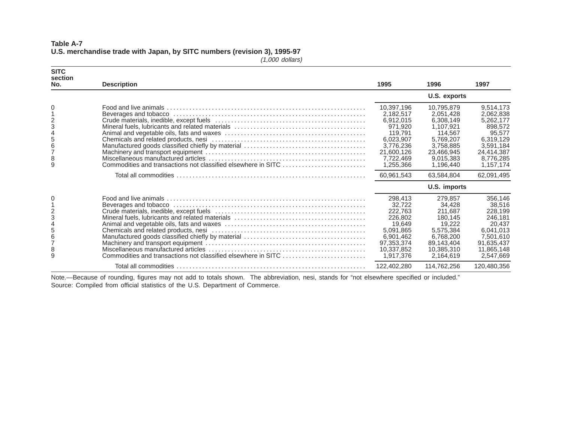### **Table A-7 U.S. merchandise trade with Japan, by SITC numbers (revision 3), 1995-97**

(1,000 dollars)

| <b>SITC</b><br>section<br>No. | <b>Description</b>                                            | 1995                                                                                                                                       | 1996                                                                                                                                         | 1997                                                                                                                                     |
|-------------------------------|---------------------------------------------------------------|--------------------------------------------------------------------------------------------------------------------------------------------|----------------------------------------------------------------------------------------------------------------------------------------------|------------------------------------------------------------------------------------------------------------------------------------------|
|                               |                                                               |                                                                                                                                            | U.S. exports                                                                                                                                 |                                                                                                                                          |
| 0<br>3<br>5<br>8<br>9         | Commodities and transactions not classified elsewhere in SITC | 10,397,196<br>2,182,517<br>6,912,015<br>971.920<br>119,791<br>6,023,907<br>3,776,236<br>21,600,126<br>7,722,469<br>1,255,366<br>60,961,543 | 10,795,879<br>2,051,428<br>6,308,149<br>1.107.921<br>114.567<br>5,769,207<br>3,758,885<br>23,466,945<br>9,015,383<br>1,196,440<br>63,584,804 | 9.514.173<br>2,062,838<br>5,262,177<br>898,572<br>95,577<br>6,319,129<br>3,591,184<br>24,414,387<br>8,776,285<br>1,157,174<br>62,091,495 |
|                               |                                                               |                                                                                                                                            | U.S. imports                                                                                                                                 |                                                                                                                                          |
| 0<br>3<br>5<br>6<br>8<br>9    |                                                               | 298,413<br>32,722<br>222,763<br>226,802<br>19,649<br>5,091,865<br>6,901,462<br>97,353,374<br>10,337,852<br>1,917,376                       | 279.857<br>34,428<br>211,687<br>180.145<br>19,222<br>5,575,384<br>6,768,200<br>89,143,404<br>10.385.310<br>2,164,619                         | 356.146<br>38,516<br>228.199<br>246,181<br>20.437<br>6.041.013<br>7,501,610<br>91,635,437<br>11,865,148<br>2,547,669                     |
|                               |                                                               | 122.402.280                                                                                                                                | 114.762.256                                                                                                                                  | 120.480.356                                                                                                                              |

Note.—Because of rounding, figures may not add to totals shown. The abbreviation, nesi, stands for "not elsewhere specified or included." Source: Compiled from official statistics of the U.S. Department of Commerce.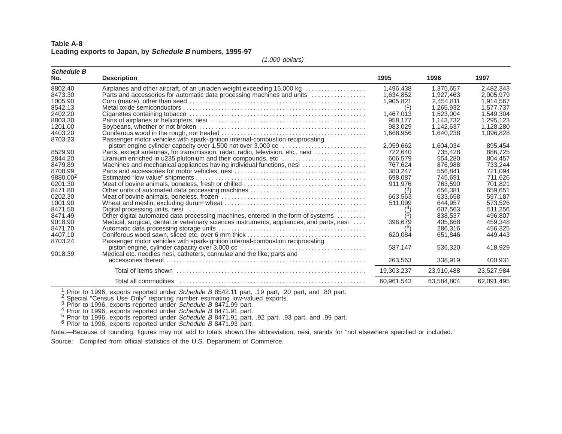### **Table A-8 Leading exports to Japan, by Schedule B numbers, 1995-97**

(1,000 dollars)

| <b>Schedule B</b><br>No. | <b>Description</b>                                                                        | 1995       | 1996       | 1997       |
|--------------------------|-------------------------------------------------------------------------------------------|------------|------------|------------|
| 8802.40                  | Airplanes and other aircraft, of an unladen weight exceeding 15,000 kg                    | 1.496.438  | 1.375.657  | 2,482,343  |
| 8473.30                  | Parts and accessories for automatic data processing machines and units                    | 1,634,852  | 1,927,463  | 2.005.979  |
| 1005.90                  |                                                                                           | 1,905,821  | 2.454.811  | 1.914.567  |
| 8542.13                  |                                                                                           |            | 1.265.932  | 1.577.737  |
| 2402.20                  |                                                                                           | 1,467,013  | 1.523.004  | 1,549,304  |
| 8803.30                  |                                                                                           | 958.177    | 1.143.732  | 1,295,123  |
| 1201.00                  |                                                                                           | 983,029    | 1,142,637  | 1,128,280  |
| 4403.20                  |                                                                                           | 1,668,956  | 1,640,238  | 1,096,828  |
| 8703.23                  | Passenger motor vehicles with spark-ignition internal-combustion reciprocating            |            |            |            |
|                          |                                                                                           | 2,059,662  | 1,604,034  | 895,454    |
| 8529.90                  | Parts, except antennas, for transmission, radar, radio, television, etc., nesi            | 722,640    | 735.428    | 886.725    |
| 2844.20                  | Uranium enriched in u235 plutonium and their compounds, etc                               | 606,579    | 554,280    | 804,457    |
| 8479.89                  | Machines and mechanical appliances having individual functions, nesi                      | 767,624    | 876.988    | 733,244    |
| 8708.99                  |                                                                                           | 380,247    | 556.841    | 721.094    |
| 9880.00 <sup>2</sup>     |                                                                                           | 698,087    | 745.691    | 711,626    |
| 0201.30                  |                                                                                           | 911,976    | 763,590    | 701,821    |
| 8471.80                  |                                                                                           | (3)        | 656.381    | 659.651    |
| 0202.30                  |                                                                                           | 663.563    | 633.658    | 597.187    |
| 1001.90                  |                                                                                           | 511.099    | 644.957    | 573,526    |
| 8471.50                  |                                                                                           |            | 607.563    | 511.256    |
| 8471.49                  | Other digital automated data processing machines, entered in the form of systems          |            | 838.537    | 496.807    |
| 9018.90                  | Medical, surgical, dental or veterinary sciences instruments, appliances, and parts, nesi | 396.679    | 405.668    | 459.348    |
| 8471.70                  |                                                                                           |            | 286,316    | 456,325    |
| 4407.10                  |                                                                                           | 620.084    | 651.846    | 449.443    |
| 8703.24                  | Passenger motor vehicles with spark-ignition internal-combustion reciprocating            |            |            |            |
|                          |                                                                                           | 587.147    | 536,320    | 418,929    |
| 9018.39                  | Medical etc. needles nesi, catheters, cannulae and the like; parts and                    |            |            |            |
|                          |                                                                                           | 263,563    | 338,919    | 400,931    |
|                          |                                                                                           | 19,303,237 | 23,910,488 | 23,527,984 |
|                          |                                                                                           | 60.961.543 | 63,584,804 | 62.091.495 |

<sup>1</sup> Prior to 1996, exports reported under *Schedule B* 8542.11 part, .19 part, .20 part, and .80 part.<br><sup>2</sup> Special "Census Use Only" reporting number estimating low-valued exports.

<sup>3</sup> Prior to 1996, exports reported under *Schedule B* 8471.99 part.<br><sup>4</sup> Prior to 1996, exports reported under *Schedule B* 8471.91 part.<br><sup>5</sup> Prior to 1996, exports reported under *Schedule B* 8471.91 part, .92 part, .93 p

Note.—Because of rounding, figures may not add to totals shown.The abbreviation, nesi, stands for "not elsewhere specified or included."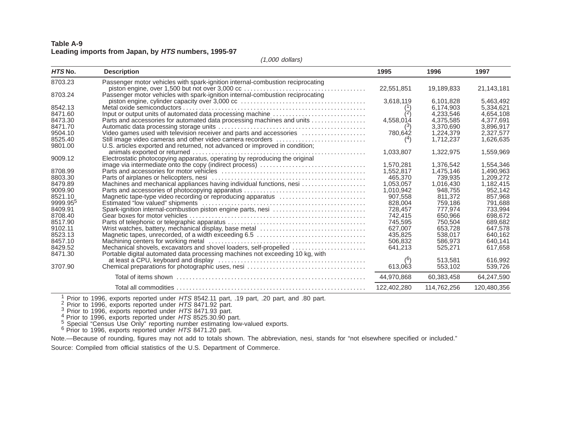### **Table A-9 Leading imports from Japan, by HTS numbers, 1995-97**

(1,000 dollars)

| HTS No.  | <b>Description</b>                                                             | 1995        | 1996        | 1997        |
|----------|--------------------------------------------------------------------------------|-------------|-------------|-------------|
| 8703.23  | Passenger motor vehicles with spark-ignition internal-combustion reciprocating |             |             |             |
|          |                                                                                | 22,551,851  | 19,189,833  | 21,143,181  |
| 8703.24  | Passenger motor vehicles with spark-ignition internal-combustion reciprocating |             |             |             |
|          |                                                                                | 3,618,119   | 6,101,828   | 5,463,492   |
| 8542.13  |                                                                                |             | 6.174.903   | 5.334.621   |
| 8471.60  |                                                                                |             | 4,233,546   | 4,654,108   |
| 8473.30  | Parts and accessories for automated data processing machines and units         | 4,558,014   | 4,375,585   | 4,377,691   |
| 8471.70  |                                                                                | $^{(3)}$    | 3,370,690   | 3,896,917   |
| 9504.10  |                                                                                | 780,642     | 1,224,379   | 2,327,577   |
| 8525.40  | Still image video cameras and other video camera recorders                     | (4)         | 1,712,237   | 1,626,635   |
| 9801.00  | U.S. articles exported and returned, not advanced or improved in condition;    |             |             |             |
|          |                                                                                | 1,033,807   | 1,322,975   | 1,559,969   |
| 9009.12  |                                                                                |             |             |             |
|          |                                                                                | 1,570,281   | 1,376,542   | 1.554.346   |
| 8708.99  |                                                                                | 1,552,817   | 1,475,146   | 1,490,963   |
| 8803.30  |                                                                                | 465,370     | 739.935     | 1,209,272   |
| 8479.89  | Machines and mechanical appliances having individual functions, nesi           | 1,053,057   | 1,016,430   | 1,182,415   |
| 9009.90  |                                                                                | 1,010,942   | 948.755     | 952.142     |
| 8521.10  | Magnetic tape-type video recording or reproducing apparatus                    | 907,558     | 811,372     | 857,968     |
| 9999.955 |                                                                                | 828,004     | 759.186     | 791.688     |
| 8409.91  | Spark-ignition internal-combustion piston engine parts, nesi                   | 728,457     | 777.974     | 733,994     |
| 8708.40  |                                                                                | 742.415     | 650.966     | 698,672     |
| 8517.90  |                                                                                | 745,595     | 750.504     | 689,682     |
| 9102.11  |                                                                                | 627.007     | 653.728     | 647.578     |
| 8523.13  |                                                                                | 435,825     | 538,017     | 640,162     |
| 8457.10  |                                                                                | 506.832     | 586.973     | 640.141     |
| 8429.52  |                                                                                | 641.213     | 525.271     | 617,658     |
| 8471.30  | Portable digital automated data processing machines not exceeding 10 kg, with  |             |             |             |
|          |                                                                                | (6)         | 513.581     | 616.992     |
| 3707.90  |                                                                                | 613,063     | 553,102     | 539,726     |
|          |                                                                                |             |             |             |
|          |                                                                                | 44,970,868  | 60,383,458  | 64,247,590  |
|          |                                                                                | 122,402,280 | 114,762,256 | 120,480,356 |

<sup>1</sup> Prior to 1996, exports reported under HTS 8542.11 part, .19 part, .20 part, and .80 part.<br><sup>2</sup> Prior to 1996, exports reported under HTS 8471.92 part.<br><sup>3</sup> Prior to 1996, exports reported under HTS 8471.93 part.<br><sup>4</sup> Pri

 $6$  Prior to 1996, exports reported under HTS 8471.20 part.

Note.—Because of rounding, figures may not add to totals shown. The abbreviation, nesi, stands for "not elsewhere specified or included."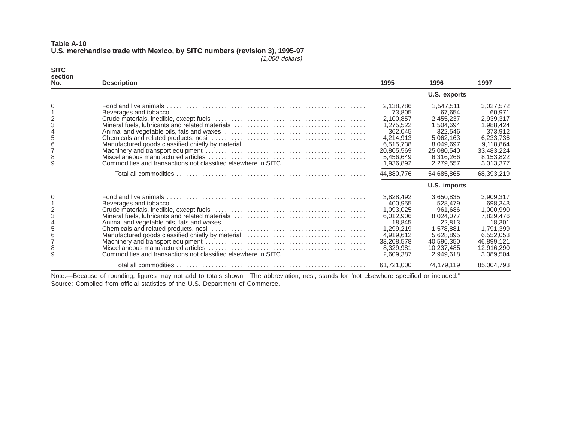# **Table A-10 U.S. merchandise trade with Mexico, by SITC numbers (revision 3), 1995-97**

| <b>SITC</b><br>section<br>No. | <b>Description</b>                                                                                                                                                      | 1995                                                                                                                                     | 1996                                                                                                                                     | 1997                                                                                                                                     |
|-------------------------------|-------------------------------------------------------------------------------------------------------------------------------------------------------------------------|------------------------------------------------------------------------------------------------------------------------------------------|------------------------------------------------------------------------------------------------------------------------------------------|------------------------------------------------------------------------------------------------------------------------------------------|
|                               |                                                                                                                                                                         |                                                                                                                                          | U.S. exports                                                                                                                             |                                                                                                                                          |
| O<br>4<br>5<br>6<br>8<br>9    | Crude materials, inedible, except fuels<br>Mineral fuels, lubricants and related materials<br>$\ldots$<br>Commodities and transactions not classified elsewhere in SITC | 2,138,786<br>73,805<br>2,100,857<br>1,275,522<br>362,045<br>4,214,913<br>6,515,738<br>20,805,569<br>5,456,649<br>1,936,892<br>44,880,776 | 3,547,511<br>67.654<br>2.455.237<br>1,504,694<br>322,546<br>5,062,163<br>8,049,697<br>25.080.540<br>6.316.266<br>2.279.557<br>54,685,865 | 3,027,572<br>60.971<br>2,939,317<br>1,988,424<br>373,912<br>6,233,736<br>9,118,864<br>33,483,224<br>8,153,822<br>3,013,377<br>68,393,219 |
|                               |                                                                                                                                                                         |                                                                                                                                          | U.S. imports                                                                                                                             |                                                                                                                                          |
| ი<br>3<br>5<br>6<br>8<br>9    | Commodities and transactions not classified elsewhere in SITC                                                                                                           | 3,828,492<br>400,955<br>1,093,025<br>6.012.906<br>18,845<br>1,299,219<br>4,919,612<br>33,208,578<br>8,329,981<br>2,609,387               | 3.650.835<br>528,479<br>961,686<br>8.024.077<br>22,813<br>1,578,881<br>5.628.895<br>40,596,350<br>10,237,485<br>2,949,618                | 3,909,317<br>698,343<br>1,000,990<br>7,829,476<br>18,301<br>1,791,399<br>6,552,053<br>46,899,121<br>12,916,290<br>3,389,504              |
|                               |                                                                                                                                                                         | 61,721,000                                                                                                                               | 74,179,119                                                                                                                               | 85,004,793                                                                                                                               |

(1,000 dollars)

Note.—Because of rounding, figures may not add to totals shown. The abbreviation, nesi, stands for "not elsewhere specified or included." Source: Compiled from official statistics of the U.S. Department of Commerce.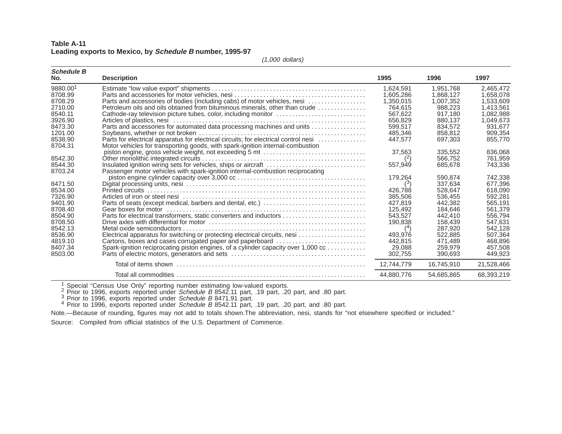## **Table A-11 Leading exports to Mexico, by Schedule B number, 1995-97**

(1,000 dollars)

| <b>Schedule B</b><br>No. | <b>Description</b>                                                                  | 1995       | 1996       | 1997       |
|--------------------------|-------------------------------------------------------------------------------------|------------|------------|------------|
| 9880.001                 |                                                                                     | 1,624,591  | 1.951.768  | 2,465,472  |
| 8708.99                  |                                                                                     | 1.605.286  | 1.868.127  | 1.658.078  |
| 8708.29                  | Parts and accessories of bodies (including cabs) of motor vehicles, nesi            | 1,350,015  | 1,007,352  | 1,533,609  |
| 2710.00                  | Petroleum oils and oils obtained from bituminous minerals, other than crude         | 764,615    | 988,223    | 1,413,561  |
| 8540.11                  | Cathode-ray television picture tubes, color, including monitor                      | 567.622    | 917.180    | 1.082.988  |
| 3926.90                  |                                                                                     | 656,829    | 880.137    | 1,049,673  |
| 8473.30                  |                                                                                     | 599,517    | 834.572    | 931.677    |
| 1201.00                  | Sovbeans, whether or not broken.                                                    | 485.346    | 858.812    | 909.354    |
| 8538.90                  | Parts for electrical apparatus for electrical circuits; for electrical control nesi | 447.577    | 697.303    | 855,770    |
| 8704.31                  | Motor vehicles for transporting goods, with spark-ignition internal-combustion      |            |            |            |
|                          |                                                                                     | 37,563     | 335.552    | 836,068    |
| 8542.30                  |                                                                                     |            | 566.752    | 761.959    |
| 8544.30                  |                                                                                     | 557.949    | 685,678    | 743,336    |
| 8703.24                  | Passenger motor vehicles with spark-ignition internal-combustion reciprocating      |            |            |            |
|                          |                                                                                     | 179.264    | 590.874    | 742,338    |
| 8471.50                  |                                                                                     | (3)        | 337.634    | 677.396    |
| 8534.00                  |                                                                                     | 426.788    | 528.647    | 618,090    |
| 7326.90                  |                                                                                     | 385,506    | 536.455    | 592,281    |
| 9401.90                  | Parts of seats (except medical, barbers and dental, etc.)                           | 427,819    | 442.382    | 565,191    |
| 8708.40                  |                                                                                     | 125.492    | 184.646    | 561,379    |
| 8504.90                  | Parts for electrical transformers, static converters and inductors                  | 543.527    | 442.410    | 556.794    |
| 8708.50                  |                                                                                     | 190.838    | 158.439    | 547,631    |
| 8542.13                  |                                                                                     |            | 287.920    | 542.128    |
| 8536.90                  | Electrical apparatus for switching or protecting electrical circuits, nesi          | 493,976    | 522.885    | 507,364    |
| 4819.10                  | Cartons, boxes and cases corrugated paper and paperboard                            | 442,815    | 471.489    | 468.896    |
| 8407.34                  | Spark-ignition reciprocating piston engines, of a cylinder capacity over 1,000 cc   | 29,088     | 259.979    | 457,508    |
| 8503.00                  |                                                                                     | 302.755    | 390,693    | 449,923    |
|                          |                                                                                     | 12,744,779 | 16,745,910 | 21,528,466 |
|                          |                                                                                     | 44,880,776 | 54,685,865 | 68,393,219 |

<sup>1</sup> Special "Census Use Only" reporting number estimating low-valued exports.

<sup>2</sup> Prior to 1996, exports reported under *Schedule B* 8542.11 part, .19 part, .20 part, and .80 part.<br><sup>3</sup> Prior to 1996, exports reported under *Schedule B* 8471.91 part.<br><sup>4</sup> Prior to 1996, exports reported under *Schedul* 

Note.—Because of rounding, figures may not add to totals shown.The abbreviation, nesi, stands for "not elsewhere specified or included."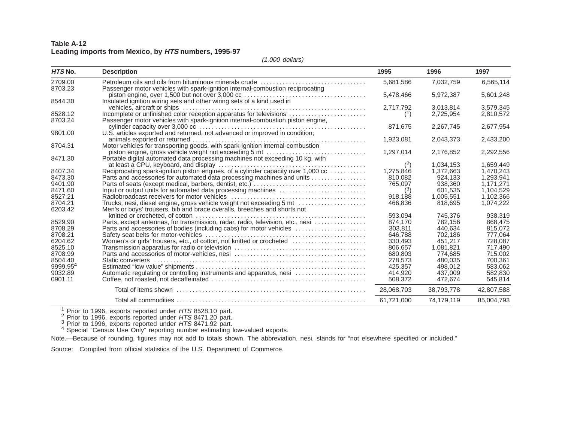## **Table A-12 Leading imports from Mexico, by HTS numbers, 1995-97**

(1,000 dollars)

| HTS No.  | <b>Description</b>                                                                                                 | 1995               | 1996               | 1997               |
|----------|--------------------------------------------------------------------------------------------------------------------|--------------------|--------------------|--------------------|
| 2709.00  |                                                                                                                    | 5,681,586          | 7,032,759          | 6,565,114          |
| 8703.23  | Passenger motor vehicles with spark-ignition internal-combustion reciprocating                                     |                    |                    |                    |
| 8544.30  |                                                                                                                    | 5,478,466          | 5.972.387          | 5,601,248          |
|          | Insulated ignition wiring sets and other wiring sets of a kind used in                                             | 2,717,792          | 3.013.814          | 3.579.345          |
| 8528.12  | Incomplete or unfinished color reception apparatus for televisions                                                 | (1)                | 2,725,954          | 2,810,572          |
| 8703.24  | Passenger motor vehicles with spark-ignition internal-combustion piston engine,                                    |                    |                    |                    |
|          |                                                                                                                    | 871.675            | 2.267.745          | 2,677,954          |
| 9801.00  | U.S. articles exported and returned, not advanced or improved in condition;                                        |                    |                    |                    |
|          | animals exported or returned.<br>.                                                                                 | 1,923,081          | 2,043,373          | 2,433,200          |
| 8704.31  | Motor vehicles for transporting goods, with spark-ignition internal-combustion                                     |                    |                    |                    |
|          |                                                                                                                    | 1,297,014          | 2,176,852          | 2,292,556          |
| 8471.30  |                                                                                                                    |                    |                    |                    |
|          |                                                                                                                    | (2)                | 1,034,153          | 1.659.449          |
| 8407.34  | Reciprocating spark-ignition piston engines, of a cylinder capacity over 1,000 cc                                  | 1,275,846          | 1.372.663          | 1.470.243          |
| 8473.30  | Parts and accessories for automated data processing machines and units                                             | 810.082            | 924,133            | 1,293,941          |
| 9401.90  |                                                                                                                    | 765.097            | 938.360            | 1.171.271          |
| 8471.60  | Input or output units for automated data processing machines                                                       | (3)                | 601,535            | 1,104,529          |
| 8527.21  |                                                                                                                    | 918.188            | 1.005.551          | 1,102,366          |
| 8704.21  | Trucks, nesi, diesel engine, gross vehicle weight not exceeding 5 mt                                               | 466.836            | 818.695            | 1.074.222          |
| 6203.42  | Men's or boys' trousers, bib and brace overalls, breeches and shorts not                                           |                    |                    |                    |
| 8529.90  | knitted or crocheted, of cotton.<br>Parts, except antennas, for transmission, radar, radio, television, etc., nesi | 593.094<br>874,170 | 745.376<br>782,156 | 938.319<br>868,475 |
| 8708.29  | Parts and accessories of bodies (including cabs) for motor vehicles                                                | 303.811            | 440.634            | 815.072            |
| 8708.21  |                                                                                                                    | 646,788            | 702,186            | 777,064            |
| 6204.62  | Women's or girls' trousers, etc., of cotton, not knitted or crocheted                                              | 330,493            | 451.217            | 728.087            |
| 8525.10  |                                                                                                                    | 806.657            | 1.081.821          | 717.490            |
| 8708.99  |                                                                                                                    | 680,803            | 774.685            | 715,002            |
| 8504.40  |                                                                                                                    | 278,573            | 480.035            | 700.361            |
| 9999.954 |                                                                                                                    | 425,357            | 498.012            | 583.062            |
| 9032.89  | Automatic regulating or controlling instruments and apparatus, nesi                                                | 414,920            | 437.009            | 582.830            |
| 0901.11  |                                                                                                                    | 508.372            | 472.674            | 545,814            |
|          |                                                                                                                    | 28,068,703         | 38,793,778         | 42,807,588         |
|          |                                                                                                                    | 61,721,000         | 74,179,119         | 85,004,793         |

<sup>1</sup> Prior to 1996, exports reported under  $HTS$  8528.10 part.<br>
<sup>2</sup> Prior to 1996, exports reported under  $HTS$  8471.20 part.<br>
<sup>3</sup> Prior to 1996, exports reported under  $HTS$  8471.92 part.<br>
<sup>4</sup> Special "Census Use Only" repor

Note.—Because of rounding, figures may not add to totals shown. The abbreviation, nesi, stands for "not elsewhere specified or included."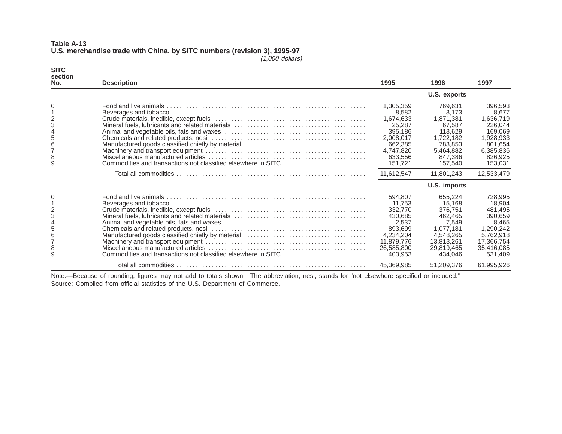# **Table A-13 U.S. merchandise trade with China, by SITC numbers (revision 3), 1995-97**

| <b>SITC</b><br>section<br>No.                     | <b>Description</b>                                            | 1995                                                                                                                          | 1996                                                                                                                        | 1997                                                                                                                         |
|---------------------------------------------------|---------------------------------------------------------------|-------------------------------------------------------------------------------------------------------------------------------|-----------------------------------------------------------------------------------------------------------------------------|------------------------------------------------------------------------------------------------------------------------------|
|                                                   |                                                               |                                                                                                                               | U.S. exports                                                                                                                |                                                                                                                              |
| 0<br>2<br>3<br>4<br>5<br>6<br>8<br>9              | Commodities and transactions not classified elsewhere in SITC | 1,305,359<br>8,582<br>1,674,633<br>25,287<br>395,186<br>2,008,017<br>662,385<br>4,747,820<br>633.556<br>151,721<br>11,612,547 | 769,631<br>3,173<br>1,871,381<br>67,587<br>113,629<br>1,722,182<br>783.853<br>5,464,882<br>847.386<br>157,540<br>11,801,243 | 396,593<br>8,677<br>1,636,719<br>226,044<br>169,069<br>1,928,933<br>801,654<br>6,385,836<br>826,925<br>153,031<br>12,533,479 |
|                                                   |                                                               |                                                                                                                               | U.S. imports                                                                                                                |                                                                                                                              |
| 0<br>$\overline{2}$<br>3<br>4<br>5<br>6<br>8<br>9 | Commodities and transactions not classified elsewhere in SITC | 594,807<br>11.753<br>332.770<br>430,685<br>2,537<br>893,699<br>4,234,204<br>11,879,776<br>26,585,800<br>403,953               | 655.224<br>15.168<br>376.751<br>462.465<br>7.549<br>1,077,181<br>4,548,265<br>13,813,261<br>29,819,465<br>434.046           | 728,995<br>18,904<br>481,495<br>390,659<br>8,465<br>1,290,242<br>5,762,918<br>17,366,754<br>35,416,085<br>531,409            |
|                                                   |                                                               | 45,369,985                                                                                                                    | 51,209,376                                                                                                                  | 61,995,926                                                                                                                   |

(1,000 dollars)

Note.—Because of rounding, figures may not add to totals shown. The abbreviation, nesi, stands for "not elsewhere specified or included." Source: Compiled from official statistics of the U.S. Department of Commerce.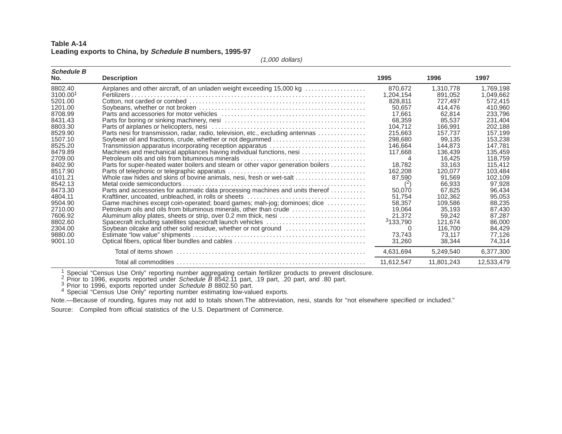## **Table A-14 Leading exports to China, by Schedule B numbers, 1995-97**

(1,000 dollars)

| <b>Schedule B</b><br>No. | <b>Description</b>                                                               | 1995       | 1996       | 1997       |
|--------------------------|----------------------------------------------------------------------------------|------------|------------|------------|
| 8802.40                  | Airplanes and other aircraft, of an unladen weight exceeding 15,000 kg           | 870,672    | 1,310,778  | 1,769,198  |
| 3100.001                 |                                                                                  | 1,204,154  | 891,052    | 1,049,662  |
| 5201.00                  |                                                                                  | 828.811    | 727.497    | 572,415    |
| 1201.00                  |                                                                                  | 50.657     | 414,476    | 410,960    |
| 8708.99                  |                                                                                  | 17,661     | 62.814     | 233,796    |
| 8431.43                  |                                                                                  | 68,359     | 85,537     | 231,404    |
| 8803.30                  |                                                                                  | 104,712    | 166.991    | 202,188    |
| 8529.90                  | Parts nesi for transmission, radar, radio, television, etc., excluding antennas  | 215,663    | 157.737    | 157,199    |
| 1507.10                  | Soybean oil and fractions, crude, whether or not degummed                        | 298,680    | 99.135     | 153,238    |
| 8525.20                  | Transmission apparatus incorporating reception apparatus                         | 146,664    | 144,873    | 147,781    |
| 8479.89                  | Machines and mechanical appliances having individual functions, nesi             | 117,668    | 136,439    | 135,459    |
| 2709.00                  |                                                                                  |            | 16,425     | 118,759    |
| 8402.90                  | Parts for super-heated water boilers and steam or other vapor generation boilers | 18,782     | 33,163     | 115,412    |
| 8517.90                  | Parts of telephonic or telegraphic apparatus.                                    | 162,208    | 120,077    | 103,484    |
| 4101.21                  | Whole raw hides and skins of bovine animals, nesi, fresh or wet-salt             | 87,590     | 91,569     | 102,109    |
| 8542.13                  |                                                                                  | (2)        | 66,933     | 97,928     |
| 8473.30                  | Parts and accessories for automatic data processing machines and units thereof   | 50,070     | 67.825     | 96,434     |
| 4804.11                  |                                                                                  | 51,754     | 102,362    | 95,053     |
| 9504.90                  | Game machines except coin-operated; board games; mah-jog; dominoes; dice         | 58,357     | 109,586    | 88,235     |
| 2710.00                  | Petroleum oils and oils from bituminous minerals, other than crude               | 19,064     | 35,193     | 87,430     |
| 7606.92                  | Aluminum alloy plates, sheets or strip, over 0.2 mm thick, nesi                  | 21,372     | 59,242     | 87,287     |
| 8802.60                  |                                                                                  | 3133,790   | 121,674    | 86,000     |
| 2304.00                  | Soybean oilcake and other solid residue, whether or not ground                   | $\Omega$   | 116.700    | 84,429     |
| 9880.00                  |                                                                                  | 73,743     | 73.117     | 77,126     |
| 9001.10                  |                                                                                  | 31,260     | 38,344     | 74,314     |
|                          |                                                                                  | 4,631,694  | 5,249,540  | 6,377,300  |
|                          |                                                                                  | 11,612,547 | 11,801,243 | 12,533,479 |

<sup>1</sup> Special "Census Use Only" reporting number aggregating certain fertilizer products to prevent disclosure.<br>
<sup>2</sup> Prior to 1996, exports reported under *Schedule B* 8542.11 part, .19 part, .20 part, and .80 part.<br>
<sup>3</sup> Pr

Note.—Because of rounding, figures may not add to totals shown.The abbreviation, nesi, stands for "not elsewhere specified or included."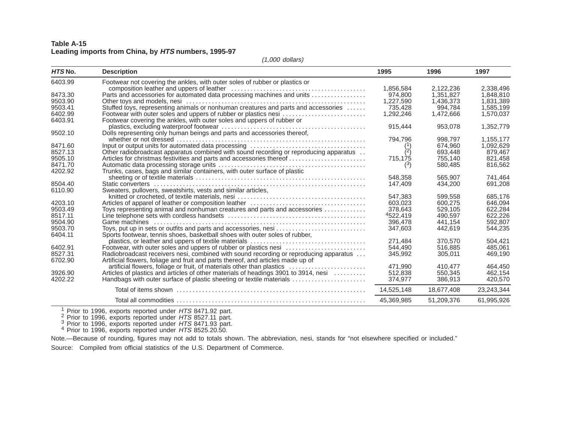## **Table A-15 Leading imports from China, by HTS numbers, 1995-97**

(1,000 dollars)

| HTS No. | <b>Description</b>                                                                    | 1995       | 1996       | 1997       |
|---------|---------------------------------------------------------------------------------------|------------|------------|------------|
| 6403.99 | Footwear not covering the ankles, with outer soles of rubber or plastics or           |            |            |            |
|         |                                                                                       | 1.856.584  | 2.122.236  | 2.338.496  |
| 8473.30 | Parts and accessories for automated data processing machines and units                | 974,800    | 1,351,827  | 1,848,810  |
| 9503.90 |                                                                                       | 1,227,590  | 1,436,373  | 1,831,389  |
| 9503.41 | Stuffed toys, representing animals or nonhuman creatures and parts and accessories    | 735,428    | 994,784    | 1,585,199  |
| 6402.99 |                                                                                       | 1,292,246  | 1,472,666  | 1,570,037  |
| 6403.91 | Footwear covering the ankles, with outer soles and uppers of rubber or                |            |            |            |
|         |                                                                                       | 915,444    | 953,078    | 1,352,779  |
| 9502.10 | Dolls representing only human beings and parts and accessories thereof,               |            |            |            |
|         |                                                                                       | 794.796    | 998.797    | 1,155,177  |
| 8471.60 |                                                                                       |            | 674.960    | 1,092,629  |
| 8527.13 | Other radiobroadcast apparatus combined with sound recording or reproducing apparatus |            | 693,448    | 879.467    |
| 9505.10 | Articles for christmas festivities and parts and accessories thereof                  | 715,175    | 755,140    | 821,458    |
| 8471.70 |                                                                                       | $^{(3)}$   | 580,485    | 816,562    |
| 4202.92 | Trunks, cases, bags and similar containers, with outer surface of plastic             |            |            |            |
|         |                                                                                       | 548.358    | 565.907    | 741.464    |
| 8504.40 |                                                                                       | 147.409    | 434.200    | 691,208    |
| 6110.90 | Sweaters, pullovers, sweatshirts, vests and similar articles,                         |            |            |            |
|         |                                                                                       | 547,383    | 599,558    | 685,176    |
| 4203.10 |                                                                                       | 603.023    | 600.275    | 646.094    |
| 9503.49 |                                                                                       | 378,643    | 529,105    | 622.284    |
| 8517.11 |                                                                                       | 4522,419   | 490.597    | 622.226    |
| 9504.90 | Game machines                                                                         | 396,478    | 441.154    | 592.807    |
| 9503.70 | Toys, put up in sets or outfits and parts and accessories, nesi                       | 347,603    | 442,619    | 544,235    |
| 6404.11 | Sports footwear, tennis shoes, basketball shoes with outer soles of rubber,           |            |            |            |
|         |                                                                                       | 271.484    | 370,570    | 504.421    |
| 6402.91 | Footwear, with outer soles and uppers of rubber or plastics nesi                      | 544.490    | 516.885    | 485.061    |
| 8527.31 | Radiobroadcast receivers nesi, combined with sound recording or reproducing apparatus | 345.992    | 305,011    | 469,190    |
| 6702.90 | Artificial flowers, foliage and fruit and parts thereof, and articles made up of      |            |            |            |
|         | artificial flowers, foliage or fruit, of materials other than plastics                | 471.990    | 410.477    | 464.450    |
| 3926.90 | Articles of plastics and articles of other materials of headings 3901 to 3914, nesi   | 512,838    | 550.345    | 462.154    |
| 4202.22 | Handbags with outer surface of plastic sheeting or textile materials                  | 374,977    | 386,913    | 420,570    |
|         |                                                                                       | 14,525,148 | 18,677,408 | 23,243,344 |
|         |                                                                                       | 45.369.985 | 51.209.376 | 61,995,926 |

<sup>1</sup> Prior to 1996, exports reported under  $HTS$  8471.92 part.<br>
<sup>2</sup> Prior to 1996, exports reported under  $HTS$  8527.11 part.<br>
<sup>3</sup> Prior to 1996, exports reported under  $HTS$  8471.93 part.<br>
<sup>4</sup> Prior to 1996, exports reported

Note.—Because of rounding, figures may not add to totals shown. The abbreviation, nesi, stands for "not elsewhere specified or included."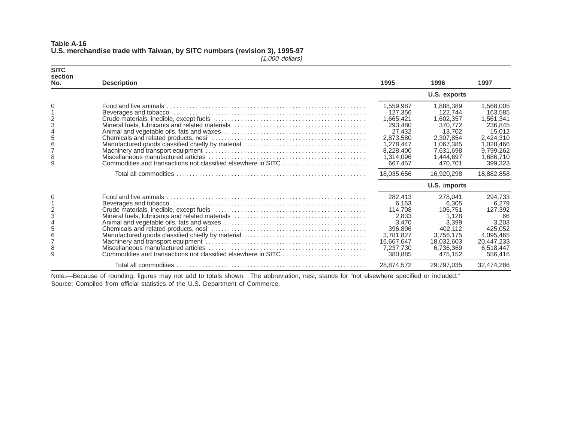# **Table A-16 U.S. merchandise trade with Taiwan, by SITC numbers (revision 3), 1995-97**

| SITC<br>section<br>No. | <b>Description</b>                                            | 1995                                                                                                                                | 1996                                                                                                                                | 1997                                                                                                                                |
|------------------------|---------------------------------------------------------------|-------------------------------------------------------------------------------------------------------------------------------------|-------------------------------------------------------------------------------------------------------------------------------------|-------------------------------------------------------------------------------------------------------------------------------------|
|                        |                                                               |                                                                                                                                     | U.S. exports                                                                                                                        |                                                                                                                                     |
| 5<br>ጸ                 | Commodities and transactions not classified elsewhere in SITC | 1,559,987<br>127,356<br>1,665,421<br>293,480<br>27,432<br>2,873,580<br>1,278,447<br>8,228,400<br>1,314,096<br>667,457<br>18,035,656 | 1,888,389<br>122,744<br>1,602,357<br>370.772<br>13,702<br>2,307,854<br>1,067,385<br>7,631,698<br>1,444,697<br>470.701<br>16,920,298 | 1,568,005<br>163.585<br>1,561,341<br>236,845<br>15,012<br>2,424,310<br>1,028,466<br>9,799,262<br>1,686,710<br>399.323<br>18,882,858 |
|                        |                                                               |                                                                                                                                     | U.S. imports                                                                                                                        |                                                                                                                                     |
| a                      | Commodities and transactions not classified elsewhere in SITC | 282,413<br>6,163<br>114,708<br>2,833<br>3,470<br>396,896<br>3,781,827<br>16,667,647<br>7,237,730<br>380,885                         | 278,041<br>6.305<br>105.751<br>1,128<br>3,399<br>402.112<br>3,756,175<br>18,032,603<br>6,736,369<br>475,152                         | 294,733<br>6,279<br>127,392<br>66<br>3,203<br>425,052<br>4,095,465<br>20,447,233<br>6,518,447<br>556,416                            |
|                        |                                                               | 28,874,572                                                                                                                          | 29,797,035                                                                                                                          | 32,474,286                                                                                                                          |

(1,000 dollars)

Note.—Because of rounding, figures may not add to totals shown. The abbreviation, nesi, stands for "not elsewhere specified or included." Source: Compiled from official statistics of the U.S. Department of Commerce.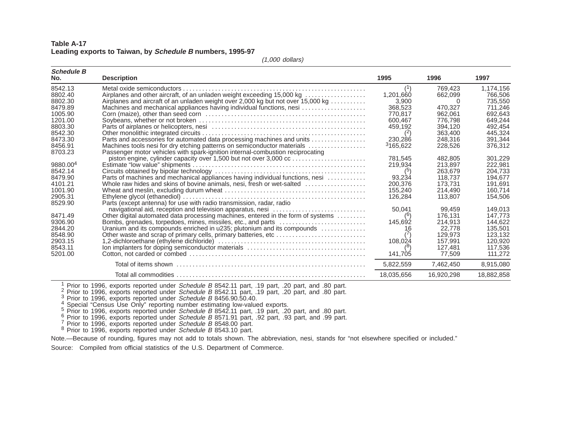## **Table A-17 Leading exports to Taiwan, by Schedule B numbers, 1995-97**

(1,000 dollars)

| <b>Schedule B</b><br>No. | <b>Description</b>                                                               | 1995                 | 1996       | 1997       |
|--------------------------|----------------------------------------------------------------------------------|----------------------|------------|------------|
| 8542.13                  | Metal oxide semiconductors                                                       |                      | 769.423    | 1,174,156  |
| 8802.40                  | Airplanes and other aircraft, of an unladen weight exceeding 15,000 kg           | 1,201,660            | 662.099    | 766.506    |
| 8802.30                  | Airplanes and aircraft of an unladen weight over 2,000 kg but not over 15,000 kg | 3,900                |            | 735.550    |
| 8479.89                  | Machines and mechanical appliances having individual functions, nesi             | 368.523              | 470.327    | 711.246    |
| 1005.90                  |                                                                                  | 770.817              | 962.061    | 692.643    |
| 1201.00                  |                                                                                  | 600.467              | 776.798    | 649.244    |
| 8803.30                  |                                                                                  | 459,192              | 394.120    | 492.454    |
| 8542.30                  |                                                                                  | (2)                  | 363,400    | 445.324    |
| 8473.30                  | Parts and accessories for automated data processing machines and units           | 230,286              | 248.316    | 391,344    |
| 8456.91                  | Machines tools nesi for dry etching patterns on semiconductor materials          | <sup>3</sup> 165,622 | 228,526    | 376,312    |
| 8703.23                  | Passenger motor vehicles with spark-ignition internal-combustion reciprocating   |                      |            |            |
|                          |                                                                                  | 781.545              | 482.805    | 301,229    |
| 9880.004                 |                                                                                  | 219.934              | 213.897    | 222,981    |
| 8542.14                  |                                                                                  | (5)                  | 263.679    | 204.733    |
| 8479.90                  | Parts of machines and mechanical appliances having individual functions, nesi    | 93,234               | 118.737    | 194.677    |
| 4101.21                  | Whole raw hides and skins of bovine animals, nesi, fresh or wet-salted           | 200.376              | 173.731    | 191.691    |
| 1001.90                  |                                                                                  | 155.240              | 214.490    | 160.714    |
| 2905.31                  |                                                                                  | 126.284              | 113,807    | 154.506    |
| 8529.90                  | Parts (except antenna) for use with radio transmission, radar, radio             |                      |            |            |
|                          | navigational aid, reception and television apparatus, nesi                       | 50.041               | 99.459     | 149.013    |
| 8471.49                  | Other digital automated data processing machines, entered in the form of systems |                      | 176.131    | 147.773    |
| 9306.90                  | Bombs, grenades, torpedoes, mines, missiles, etc., and parts                     | 145.692              | 214.913    | 144.622    |
| 2844.20                  | Uranium and its compounds enriched in u235; plutonium and its compounds          | 16                   | 22,778     | 135.501    |
| 8548.90                  | Other waste and scrap of primary cells, primary batteries, etc                   |                      | 129.973    | 123.132    |
| 2903.15                  |                                                                                  | 108.024              | 157,991    | 120.920    |
| 8543.11                  |                                                                                  |                      | 127,481    | 117,536    |
| 5201.00                  |                                                                                  | 141,705              | 77.509     | 111,272    |
|                          |                                                                                  | 5,822,559            | 7,462,450  | 8,915,080  |
|                          |                                                                                  | 18.035.656           | 16.920.298 | 18,882,858 |

<sup>1</sup> Prior to 1996, exports reported under *Schedule B* 8542.11 part, .19 part, .20 part, and .80 part.<br><sup>2</sup> Prior to 1996, exports reported under *Schedule B* 8542.11 part, .19 part, .20 part, and .80 part.<br><sup>3</sup> Prior to 19

<sup>5</sup> Prior to 1996, exports reported under *Schedule B 8542.*11 part, .19 part, .20 part, and .80 part.<br><sup>6</sup> Prior to 1996, exports reported under *Schedule B 8571.*91 part, .92 part, .93 part, and .99 part.<br><sup>7</sup> Prior to 199

Note.—Because of rounding, figures may not add to totals shown. The abbreviation, nesi, stands for "not elsewhere specified or included."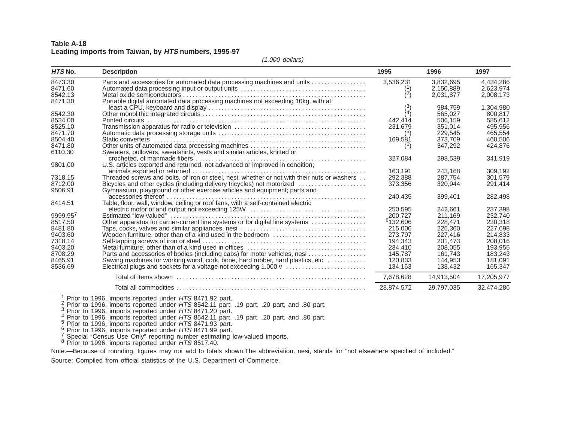#### **Table A-18 Leading imports from Taiwan, by HTS numbers, 1995-97**

(1,000 dollars)

| HTS No. | <b>Description</b>                                                                           | 1995                 | 1996       | 1997       |
|---------|----------------------------------------------------------------------------------------------|----------------------|------------|------------|
| 8473.30 | Parts and accessories for automated data processing machines and units                       | 3,536,231            | 3,832,695  | 4,434,286  |
| 8471.60 |                                                                                              |                      | 2,150,889  | 2,623,974  |
| 8542.13 |                                                                                              |                      | 2.031.877  | 2.008.173  |
| 8471.30 | Portable digital automated data processing machines not exceeding 10kg, with at              |                      |            |            |
|         |                                                                                              |                      | 984.759    | 1,304,980  |
| 8542.30 |                                                                                              |                      | 565,027    | 800.817    |
| 8534.00 |                                                                                              | 442.414              | 506.159    | 585.612    |
| 8525.10 |                                                                                              | 231,679              | 351.014    | 495.956    |
| 8471.70 |                                                                                              | (5)                  | 229.545    | 465.554    |
| 8504.40 |                                                                                              | 169,581              | 373.709    | 460.506    |
| 8471.80 |                                                                                              |                      | 347.292    | 424,876    |
| 6110.30 | Sweaters, pullovers, sweatshirts, vests and similar articles, knitted or                     |                      |            |            |
|         |                                                                                              | 327,084              | 298,539    | 341,919    |
| 9801.00 |                                                                                              |                      |            |            |
|         |                                                                                              | 163,191              | 243,168    | 309,192    |
| 7318.15 | Threaded screws and bolts, of iron or steel, nesi, whether or not with their nuts or washers | 292,388              | 287.754    | 301.579    |
| 8712.00 | Bicycles and other cycles (including delivery tricycles) not motorized                       | 373.356              | 320.944    | 291.414    |
| 9506.91 | Gymnasium, playground or other exercise articles and equipment; parts and                    |                      |            |            |
|         | $accessories$ thereof $\ldots \ldots \ldots \ldots \ldots \ldots \ldots \ldots$              | 240.435              | 399.401    | 282.498    |
| 8414.51 | Table, floor, wall, window, ceiling or roof fans, with a self-contained electric             |                      |            |            |
|         |                                                                                              | 250.595              | 242.661    | 237.398    |
| 9999.95 |                                                                                              | 200,727              | 211.169    | 232,740    |
| 8517.50 | Other apparatus for carrier-current line systems or for digital line systems                 | <sup>8</sup> 132.606 | 228.471    | 230.318    |
| 8481.80 |                                                                                              | 215,006              | 226,360    | 227.698    |
| 9403.60 | Wooden furniture, other than of a kind used in the bedroom                                   | 273.797              | 227.416    | 214.833    |
| 7318.14 |                                                                                              | 194.343              | 201.473    | 208.016    |
| 9403.20 |                                                                                              | 234,410              | 208.055    | 193,955    |
| 8708.29 | Parts and accessories of bodies (including cabs) for motor vehicles, nesi                    | 145.787              | 161.743    | 183,243    |
| 8465.91 | Sawing machines for working wood, cork, bone, hard rubber, hard plastics, etc                | 120,833              | 144,953    | 181,091    |
| 8536.69 |                                                                                              | 134,163              | 138.432    | 165,347    |
|         |                                                                                              | 7,678,628            | 14,913,504 | 17,205,977 |
|         |                                                                                              | 28.874.572           | 29.797.035 | 32.474.286 |

<sup>1</sup> Prior to 1996, imports reported under *HTS* 8471.92 part.<br>
<sup>2</sup> Prior to 1996, imports reported under *HTS* 8542.11 part, .19 part, .20 part, and .80 part.<br>
<sup>3</sup> Prior to 1996, imports reported under *HTS* 8471.20 part.

<sup>8</sup> Prior to 1996, imports reported under HTS 8517.40.

Note.—Because of rounding, figures may not add to totals shown.The abbreviation, nesi, stands for "not elsewhere specified of included."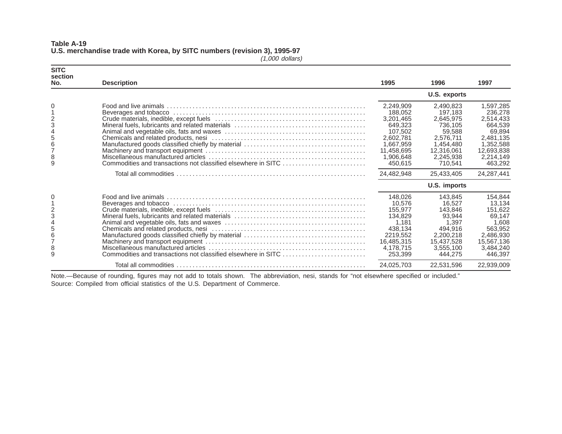# **Table A-19 U.S. merchandise trade with Korea, by SITC numbers (revision 3), 1995-97**

| SITC<br>section<br>No. | <b>Description</b>                                                                                               | 1995                                                                                                                                  | 1996                                                                                                                                 | 1997                                                                                                                                 |
|------------------------|------------------------------------------------------------------------------------------------------------------|---------------------------------------------------------------------------------------------------------------------------------------|--------------------------------------------------------------------------------------------------------------------------------------|--------------------------------------------------------------------------------------------------------------------------------------|
|                        |                                                                                                                  |                                                                                                                                       | U.S. exports                                                                                                                         |                                                                                                                                      |
| 5<br>8                 | Mineral fuels, lubricants and related materials<br>Commodities and transactions not classified elsewhere in SITC | 2,249,909<br>188,052<br>3,201,465<br>649.323<br>107,502<br>2,602,781<br>1,667,959<br>11,458,695<br>1,906,648<br>450,615<br>24,482,948 | 2,490,823<br>197,183<br>2,645,975<br>736,105<br>59,588<br>2,576,711<br>1,454,480<br>12,316,061<br>2,245,938<br>710.541<br>25,433,405 | 1,597,285<br>236.278<br>2,514,433<br>664,539<br>69,894<br>2,481,135<br>1,352,588<br>12,693,838<br>2,214,149<br>463,292<br>24,287,441 |
|                        |                                                                                                                  |                                                                                                                                       | U.S. imports                                                                                                                         |                                                                                                                                      |
| a                      | Commodities and transactions not classified elsewhere in SITC                                                    | 148,026<br>10,576<br>155.977<br>134,829<br>1,181<br>438,134<br>2219,552<br>16,485,315<br>4,178,715<br>253,399                         | 143,845<br>16.527<br>143.846<br>93,944<br>1.397<br>494,916<br>2,200,218<br>15,437,528<br>3,555,100<br>444.275                        | 154,844<br>13,134<br>151.622<br>69,147<br>1,608<br>563,952<br>2,486,930<br>15,567,136<br>3,484,240<br>446.397                        |
|                        |                                                                                                                  | 24,025,703                                                                                                                            | 22,531,596                                                                                                                           | 22,939,009                                                                                                                           |

(1,000 dollars)

Note.—Because of rounding, figures may not add to totals shown. The abbreviation, nesi, stands for "not elsewhere specified or included." Source: Compiled from official statistics of the U.S. Department of Commerce.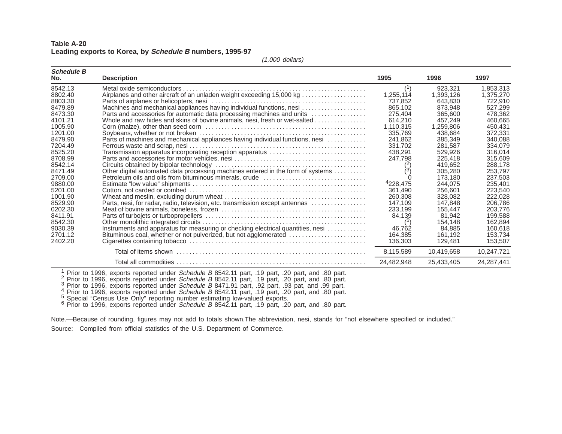## **Table A-20 Leading exports to Korea, by Schedule B numbers, 1995-97**

(1,000 dollars)

| <b>Schedule B</b><br>No. | <b>Description</b>                                                              | 1995       | 1996       | 1997       |
|--------------------------|---------------------------------------------------------------------------------|------------|------------|------------|
| 8542.13                  |                                                                                 |            | 923,321    | 1,853,313  |
| 8802.40                  | Airplanes and other aircraft of an unladen weight exceeding 15,000 kg           | 1,255,114  | 1,393,126  | 1,375,270  |
| 8803.30                  |                                                                                 | 737.852    | 643.830    | 722,910    |
| 8479.89                  | Machines and mechanical appliances having individual functions, nesi            | 865,102    | 873,948    | 527,299    |
| 8473.30                  | Parts and accessories for automatic data processing machines and units          | 275,404    | 365,600    | 478,362    |
| 4101.21                  | Whole and raw hides and skins of bovine animals, nesi, fresh or wet-salted      | 614,210    | 457.249    | 460,665    |
| 1005.90                  |                                                                                 | 1,110,315  | 1,259,806  | 450,431    |
| 1201.00                  |                                                                                 | 335.769    | 438.684    | 372.331    |
| 8479.90                  | Parts of machines and mechanical appliances having individual functions, nesi   | 241.862    | 385.349    | 340.088    |
| 7204.49                  |                                                                                 | 331.702    | 281.587    | 334,079    |
| 8525.20                  |                                                                                 | 438.291    | 529.926    | 316,014    |
| 8708.99                  |                                                                                 | 247,798    | 225,418    | 315,609    |
| 8542.14                  |                                                                                 |            | 419.652    | 288,178    |
| 8471.49                  | Other digital automated data processing machines entered in the form of systems |            | 305.280    | 253,797    |
| 2709.00                  | Petroleum oils and oils from bituminous minerals, crude                         |            | 173.180    | 237,503    |
| 9880.00                  |                                                                                 | 4228,475   | 244,075    | 235,401    |
| 5201.00                  |                                                                                 | 361,490    | 256,601    | 223,540    |
| 1001.90                  |                                                                                 | 260,308    | 328,082    | 222,028    |
| 8529.90                  | Parts, nesi, for radar, radio, television, etc. transmission except antennas    | 147,109    | 147.848    | 206,786    |
| 0202.30                  |                                                                                 | 233.199    | 155.447    | 203,776    |
| 8411.91                  |                                                                                 | 84.139     | 81.942     | 199,588    |
| 8542.30                  |                                                                                 | (5)        | 154,148    | 162,894    |
| 9030.39                  | Instruments and apparatus for measuring or checking electrical quantities, nesi | 46.762     | 84,885     | 160,618    |
| 2701.12                  | Bituminous coal, whether or not pulverized, but not agglomerated                | 164,385    | 161.192    | 153,734    |
| 2402.20                  |                                                                                 | 136,303    | 129,481    | 153,507    |
|                          |                                                                                 | 8,115,589  | 10,419,658 | 10,247,721 |
|                          |                                                                                 | 24,482,948 | 25,433,405 | 24,287,441 |

<sup>1</sup> Prior to 1996, exports reported under *Schedule B* 8542.11 part, .19 part, .20 part, and .80 part.<br>
<sup>2</sup> Prior to 1996, exports reported under *Schedule B* 8542.11 part, .19 part, .20 part, and .80 part.<br>
<sup>3</sup> Prior to

Note.—Because of rounding, figures may not add to totals shown.The abbreviation, nesi, stands for "not elsewhere specified or included."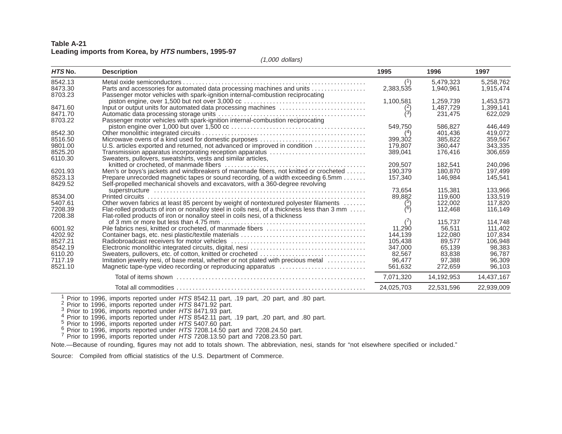## **Table A-21 Leading imports from Korea, by HTS numbers, 1995-97**

(1,000 dollars)

| HTS No. | <b>Description</b>                                                                                                                                                | 1995           | 1996       | 1997       |
|---------|-------------------------------------------------------------------------------------------------------------------------------------------------------------------|----------------|------------|------------|
| 8542.13 |                                                                                                                                                                   |                | 5.479.323  | 5.258.762  |
| 8473.30 | Parts and accessories for automated data processing machines and units                                                                                            | 2,383,535      | 1,940,961  | 1,915,474  |
| 8703.23 | Passenger motor vehicles with spark-ignition internal-combustion reciprocating                                                                                    |                |            |            |
|         |                                                                                                                                                                   | 1,100,581      | 1,259,739  | 1,453,573  |
| 8471.60 | Input or output units for automated data processing machines                                                                                                      |                | 1,487,729  | 1,399,141  |
| 8471.70 |                                                                                                                                                                   | $\binom{2}{3}$ | 231,475    | 622,029    |
| 8703.22 | Passenger motor vehicles with spark-ignition internal-combustion reciprocating                                                                                    |                |            |            |
|         |                                                                                                                                                                   | 549.750        | 586.827    | 446.449    |
| 8542.30 |                                                                                                                                                                   |                | 401.436    | 419.072    |
| 8516.50 | Microwave ovens of a kind used for domestic purposes                                                                                                              | 399.302        | 385.822    | 359.567    |
| 9801.00 | U.S. articles exported and returned, not advanced or improved in condition                                                                                        | 179,807        | 360,447    | 343,335    |
| 8525.20 | Transmission apparatus incorporating reception apparatus                                                                                                          | 389,041        | 176,416    | 306,659    |
| 6110.30 | Sweaters, pullovers, sweatshirts, vests and similar articles,                                                                                                     |                |            |            |
|         |                                                                                                                                                                   | 209.507        | 182.541    | 240.096    |
| 6201.93 | Men's or boys's jackets and windbreakers of manmade fibers, not knitted or crocheted                                                                              | 190.379        | 180.870    | 197.499    |
| 8523.13 | Prepare unrecorded magnetic tapes or sound recording, of a width exceeding 6.5mm                                                                                  | 157.340        | 146.984    | 145.541    |
| 8429.52 | Self-propelled mechanical shovels and excavators, with a 360-degree revolving                                                                                     |                |            |            |
|         |                                                                                                                                                                   | 73.654         | 115.381    | 133.966    |
| 8534.00 |                                                                                                                                                                   | 89.882         | 119,600    | 133,519    |
| 5407.61 | Other woven fabrics at least 85 percent by weight of nontextured polyester filaments                                                                              |                | 122,002    | 117.820    |
| 7208.39 | Flat-rolled products of iron or nonalloy steel in coils nesi, of a thickness less than 3 mm                                                                       | $\binom{5}{6}$ | 112.468    | 116.149    |
| 7208.38 | Flat-rolled products of iron or nonalloy steel in coils nesi, of a thickness                                                                                      |                |            |            |
|         |                                                                                                                                                                   |                | 115.737    | 114.748    |
| 6001.92 | Pile fabrics nesi, knitted or crocheted, of manmade fibers                                                                                                        | 11,290         | 56.511     | 111,402    |
| 4202.92 |                                                                                                                                                                   | 144.139        | 122.080    | 107.834    |
| 8527.21 |                                                                                                                                                                   | 105,438        | 89.577     | 106,948    |
| 8542.19 |                                                                                                                                                                   | 347,000        | 65.139     | 98,383     |
| 6110.20 |                                                                                                                                                                   | 82,567         | 83,838     | 96.787     |
| 7117.19 | Imitation jewelry nesi, of base metal, whether or not plated with precious metal                                                                                  | 96.477         | 97.388     | 96,309     |
| 8521.10 | Magnetic tape-type video recording or reproducing apparatus                                                                                                       | 561,632        | 272,659    | 96,103     |
|         | Total of items shown $\ldots$ , $\ldots$ , $\ldots$ , $\ldots$ , $\ldots$ , $\ldots$ , $\ldots$ , $\ldots$ , $\ldots$ , $\ldots$ , $\ldots$ , $\ldots$ , $\ldots$ | 7,071,320      | 14,192,953 | 14,437,167 |
|         |                                                                                                                                                                   | 24,025,703     | 22,531,596 | 22,939,009 |

<sup>1</sup> Prior to 1996, imports reported under *HTS* 8542.11 part, .19 part, .20 part, and .80 part.<br>
<sup>2</sup> Prior to 1996, imports reported under *HTS* 8471.92 part.<br>
<sup>3</sup> Prior to 1996, imports reported under *HTS* 8471.93 part.

Note.—Because of rounding, figures may not add to totals shown. The abbreviation, nesi, stands for "not elsewhere specified or included."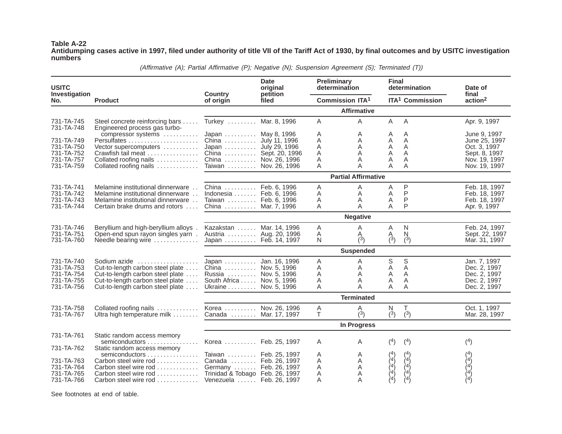# **Table A-22 Antidumping cases active in 1997, filed under authority of title VII of the Tariff Act of 1930, by final outcomes and by USITC investigation numbers**

| <b>USITC</b>             | <b>Product</b>                                                       | <b>Country</b>                                    | <b>Date</b><br>original | Preliminary<br>determination<br><b>Commission ITA1</b> |                            | <b>Final</b><br>determination    |                                   | Date of                       |
|--------------------------|----------------------------------------------------------------------|---------------------------------------------------|-------------------------|--------------------------------------------------------|----------------------------|----------------------------------|-----------------------------------|-------------------------------|
| Investigation<br>No.     |                                                                      | of origin                                         | petition<br>filed       |                                                        |                            |                                  | <b>ITA<sup>1</sup></b> Commission | final<br>action <sup>2</sup>  |
|                          |                                                                      |                                                   |                         |                                                        | <b>Affirmative</b>         |                                  |                                   |                               |
| 731-TA-745<br>731-TA-748 | Steel concrete reinforcing bars<br>Engineered process gas turbo-     | Turkey  Mar. 8, 1996                              |                         | A                                                      | A                          | A                                | A                                 | Apr. 9, 1997                  |
|                          | compressor systems                                                   | Japan May 8, 1996                                 |                         | Α                                                      | A                          | Α                                | Α                                 | June 9, 1997                  |
| 731-TA-749<br>731-TA-750 |                                                                      | China  July 11, 1996                              |                         | Α                                                      | A                          | A<br>A                           | A                                 | June 25, 1997                 |
| 731-TA-752               | Vector supercomputers<br>Crawfish tail meat                          | Japan July 29, 1996<br>China  Sept. 20, 1996      |                         | Α<br>A                                                 | A<br>A                     | A                                | A<br>A                            | Oct. 3, 1997<br>Sept. 8, 1997 |
| 731-TA-757               | Collated roofing nails                                               | China  Nov. 26, 1996                              |                         | Α                                                      | Α                          | A                                | Α                                 | Nov. 19, 1997                 |
| 731-TA-759               | Collated roofing nails                                               | Taiwan                                            | Nov. 26, 1996           | A                                                      | A                          | A                                | Α                                 | Nov. 19, 1997                 |
|                          |                                                                      |                                                   |                         |                                                        | <b>Partial Affirmative</b> |                                  |                                   |                               |
| 731-TA-741               | Melamine institutional dinnerware                                    | China  Feb. 6, 1996                               |                         | A                                                      | A                          | Α                                | $\mathsf{P}$                      | Feb. 18, 1997                 |
| 731-TA-742               | Melamine institutional dinnerware                                    | Indonesia  Feb. 6, 1996                           |                         | A                                                      | A                          | A                                | P                                 | Feb. 18, 1997                 |
| 731-TA-743               | Melamine institutional dinnerware                                    | Taiwan  Feb. 6, 1996                              |                         | A                                                      | A                          | Α                                | P                                 | Feb. 18, 1997                 |
| 731-TA-744               | Certain brake drums and rotors                                       | China  Mar. 7, 1996                               |                         | A                                                      | A                          | A                                | P                                 | Apr. 9, 1997                  |
|                          |                                                                      |                                                   |                         |                                                        | <b>Negative</b>            |                                  |                                   |                               |
| 731-TA-746               | Beryllium and high-beryllium alloys.                                 | Kazakstan  Mar. 14, 1996                          |                         | A                                                      | Α                          | Α                                | $\mathsf{N}$                      | Feb. 24, 1997                 |
| 731-TA-751               | Open-end spun rayon singles yarn.                                    | Austria  Aug. 20, 1996                            |                         | Α                                                      | A                          | Α                                | N                                 | Sept. 22, 1997                |
| 731-TA-760               | Needle bearing wire                                                  | Japan  Feb. 14, 1997                              |                         | N                                                      | (3)                        | (3)                              | (3)                               | Mar. 31, 1997                 |
|                          |                                                                      |                                                   |                         |                                                        | <b>Suspended</b>           |                                  |                                   |                               |
| 731-TA-740               | Sodium azide                                                         | Japan  Jan. 16, 1996                              |                         | Α                                                      | Α                          | S                                | $\mathbb S$                       | Jan. 7, 1997                  |
| 731-TA-753               | Cut-to-length carbon steel plate                                     | China  Nov. 5, 1996                               |                         | Α                                                      | A                          | Α                                | A                                 | Dec. 2, 1997                  |
| 731-TA-754               | Cut-to-length carbon steel plate                                     | Russia                                            | Nov. 5, 1996            | Α                                                      | A                          | A                                | Α                                 | Dec. 2, 1997                  |
| 731-TA-755<br>731-TA-756 | Cut-to-length carbon steel plate<br>Cut-to-length carbon steel plate | South Africa Nov. 5. 1996<br>Ukraine Nov. 5, 1996 |                         | A<br>A                                                 | A<br>A                     | A<br>A                           | Α<br>Α                            | Dec. 2, 1997<br>Dec. 2, 1997  |
|                          |                                                                      |                                                   |                         |                                                        | <b>Terminated</b>          |                                  |                                   |                               |
|                          |                                                                      |                                                   |                         |                                                        |                            |                                  |                                   |                               |
| 731-TA-758<br>731-TA-767 | Collated roofing nails.<br>.<br>Ultra high temperature milk          | Korea  Nov. 26, 1996<br>Canada  Mar. 17, 1997     |                         | Α<br>T                                                 | Α<br>(3)                   | N<br>(3)                         | $\top$<br>(3)                     | Oct. 1, 1997<br>Mar. 28, 1997 |
|                          |                                                                      |                                                   |                         |                                                        | In Progress                |                                  |                                   |                               |
|                          |                                                                      |                                                   |                         |                                                        |                            |                                  |                                   |                               |
| 731-TA-761               | Static random access memory<br>semiconductors                        | Korea  Feb. 25, 1997                              |                         | A                                                      | Α                          | (4)                              | (4)                               | (4)                           |
| 731-TA-762               | Static random access memory                                          |                                                   |                         |                                                        |                            |                                  |                                   |                               |
|                          | semiconductors                                                       | Taiwan  Feb. 25, 1997                             |                         | A                                                      | A                          |                                  |                                   |                               |
| 731-TA-763               | Carbon steel wire rod                                                | Canada  Feb. 26, 1997                             |                         | Α                                                      | Α                          | $\binom{4}{4}$<br>$\binom{4}{4}$ | ì4)                               | $\binom{4}{4}$                |
| 731-TA-764               | Carbon steel wire rod                                                | Germany  Feb. 26, 1997                            |                         | Α                                                      | Α                          |                                  | ∕4∖                               |                               |
| 731-TA-765               | Carbon steel wire rod $\ldots \ldots \ldots$                         | Trinidad & Tobago Feb. 26, 1997                   |                         | A                                                      | Α                          |                                  |                                   |                               |
| 731-TA-766               | Carbon steel wire rod                                                | Venezuela  Feb. 26, 1997                          |                         | A                                                      | A                          |                                  |                                   |                               |

(Affirmative (A); Partial Affirmative (P); Negative (N); Suspension Agreement (S); Terminated (T))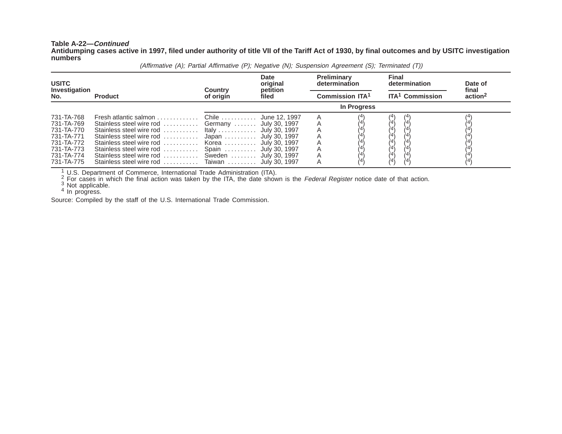**Table A-22—Continued**

**Antidumping cases active in 1997, filed under authority of title VII of the Tariff Act of 1930, by final outcomes and by USITC investigation numbers**

| <b>USITC</b><br>Investigation                                                                                |                                                                                                                                                                                                                                                                                                                    | <b>Country</b>                                                                                  | Date<br>original<br>petition |             | <b>Preliminary</b><br>determination | <b>Final</b> | determination                     | Date of<br>final    |
|--------------------------------------------------------------------------------------------------------------|--------------------------------------------------------------------------------------------------------------------------------------------------------------------------------------------------------------------------------------------------------------------------------------------------------------------|-------------------------------------------------------------------------------------------------|------------------------------|-------------|-------------------------------------|--------------|-----------------------------------|---------------------|
| No.                                                                                                          | <b>Product</b>                                                                                                                                                                                                                                                                                                     | of origin                                                                                       | filed                        |             | <b>Commission ITA1</b>              |              | <b>ITA<sup>1</sup></b> Commission | action <sup>2</sup> |
|                                                                                                              |                                                                                                                                                                                                                                                                                                                    |                                                                                                 |                              |             | In Progress                         |              |                                   |                     |
| 731-TA-768<br>731-TA-769<br>731-TA-770<br>731-TA-771<br>731-TA-772<br>731-TA-773<br>731-TA-774<br>731-TA-775 | Fresh atlantic salmon  Chile  June 12, 1997<br>Stainless steel wire rod<br>Stainless steel wire rod  Italy  July 30, 1997<br>Stainless steel wire rod<br>Stainless steel wire rod  Korea  July 30, 1997<br>Stainless steel wire rod<br>Stainless steel wire rod<br>Stainless steel wire rod  Taiwan  July 30, 1997 | Germany  July 30, 1997<br>Japan  July 30, 1997<br>Spain  July 30, 1997<br>Sweden  July 30, 1997 |                              | A<br>A<br>Α |                                     | (4)          |                                   |                     |

(Affirmative (A); Partial Affirmative (P); Negative (N); Suspension Agreement (S); Terminated (T))

<sup>1</sup> U.S. Department of Commerce, International Trade Administration (ITA).<br><sup>2</sup> For cases in which the final action was taken by the ITA, the date shown is the *Federal Register* notice date of that action.<br><sup>3</sup> Not applicab

Source: Compiled by the staff of the U.S. International Trade Commission.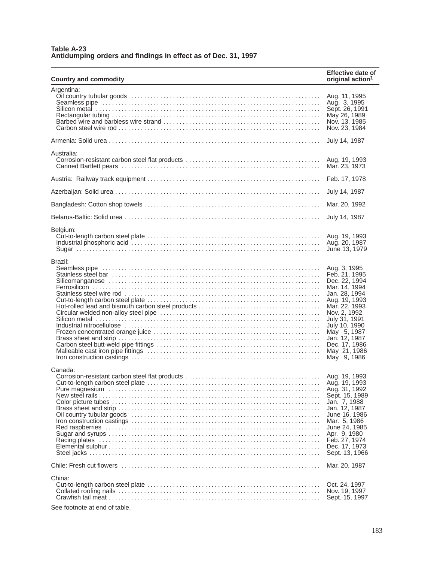| <b>Country and commodity</b> | <b>Effective date of</b><br>original action <sup>1</sup>                                                                                                                                                                                             |
|------------------------------|------------------------------------------------------------------------------------------------------------------------------------------------------------------------------------------------------------------------------------------------------|
| Argentina:                   | Aug. 11, 1995<br>Aug. 3, 1995<br>Sept. 26, 1991<br>May 26, 1989<br>Nov. 13, 1985<br>Nov. 23, 1984                                                                                                                                                    |
|                              | July 14, 1987                                                                                                                                                                                                                                        |
| Australia:                   | Aug. 19, 1993<br>Mar. 23, 1973                                                                                                                                                                                                                       |
|                              | Feb. 17, 1978                                                                                                                                                                                                                                        |
|                              | July 14, 1987                                                                                                                                                                                                                                        |
|                              | Mar. 20, 1992                                                                                                                                                                                                                                        |
|                              | July 14, 1987                                                                                                                                                                                                                                        |
| Belgium:                     | Aug. 19, 1993<br>Aug. 20, 1987<br>June 13, 1979                                                                                                                                                                                                      |
| Brazil:                      | Aug. 3, 1995<br>Feb. 21, 1995<br>Dec. 22, 1994<br>Mar. 14, 1994<br>Jan. 28, 1994<br>Aug. 19, 1993<br>Mar. 22, 1993<br>Nov. 2, 1992<br>July 31, 1991<br>July 10, 1990<br>May 5, 1987<br>Jan. 12, 1987<br>Dec. 17, 1986<br>May 21, 1986<br>May 9, 1986 |
| Canada:                      | Aug. 19, 1993<br>Aug. 31, 1992<br>Sept. 15, 1989<br>Jan. 7, 1988<br>Jan. 12, 1987<br>June 16, 1986<br>Mar. 5, 1986<br>June 24, 1985<br>Apr. 9, 1980<br>Feb. 27, 1974<br>Dec. 17, 1973<br>Sept. 13, 1966                                              |
|                              | Mar. 20, 1987                                                                                                                                                                                                                                        |
| China:                       | Oct. 24, 1997<br>Nov. 19, 1997<br>Sept. 15, 1997                                                                                                                                                                                                     |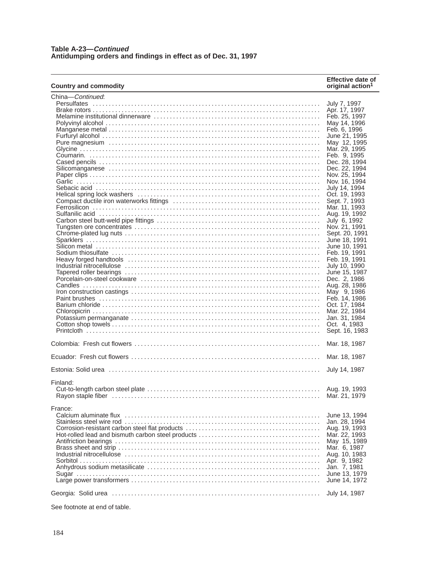| <b>Country and commodity</b>                                 | <b>Effective date of</b><br>original action <sup>1</sup> |
|--------------------------------------------------------------|----------------------------------------------------------|
| China-Continued:                                             |                                                          |
|                                                              | July 7, 1997                                             |
|                                                              | Apr. 17, 1997                                            |
|                                                              | Feb. 25, 1997                                            |
|                                                              | May 14, 1996                                             |
|                                                              | Feb. 6, 1996                                             |
|                                                              | June 21, 1995                                            |
|                                                              | May 12, 1995                                             |
|                                                              | Mar. 29, 1995                                            |
|                                                              | Feb. 9, 1995                                             |
|                                                              | Dec. 28, 1994                                            |
|                                                              | Dec. 22, 1994                                            |
|                                                              | Nov. 25, 1994                                            |
|                                                              | Nov. 16, 1994                                            |
|                                                              | July 14, 1994                                            |
|                                                              | Oct. 19, 1993                                            |
|                                                              | Sept. 7, 1993                                            |
|                                                              | Mar. 11, 1993                                            |
|                                                              | Aug. 19, 1992                                            |
|                                                              | July 6, 1992                                             |
|                                                              | Nov. 21, 1991                                            |
|                                                              | Sept. 20, 1991                                           |
|                                                              | June 18, 1991                                            |
|                                                              | June 10, 1991                                            |
|                                                              | Feb. 19, 1991                                            |
|                                                              | Feb. 19, 1991                                            |
|                                                              | July 10, 1990                                            |
|                                                              | June 15, 1987                                            |
|                                                              | Dec. 2, 1986                                             |
|                                                              | Aug. 28, 1986                                            |
|                                                              | May 9, 1986                                              |
|                                                              | Feb. 14, 1986                                            |
|                                                              | Oct. 17, 1984                                            |
|                                                              | Mar. 22, 1984                                            |
|                                                              | Jan. 31, 1984                                            |
|                                                              | Oct. 4, 1983                                             |
|                                                              | Sept. 16, 1983                                           |
|                                                              | Mar. 18, 1987                                            |
|                                                              | Mar. 18, 1987                                            |
|                                                              | July 14, 1987                                            |
| Finland:<br>Rayon staple fiber …………………………………………………………………………… | Mar. 21, 1979                                            |
| France:                                                      | June 13, 1994<br>Jan. 28, 1994                           |
|                                                              | Aug. 19, 1993                                            |
|                                                              | Mar. 22, 1993                                            |
|                                                              | May 15, 1989                                             |
|                                                              | Mar. 6, 1987                                             |
|                                                              | Aug. 10, 1983                                            |
|                                                              | Apr. 9, 1982                                             |
|                                                              | Jan. 7, 1981                                             |
|                                                              | June 13, 1979                                            |
|                                                              | June 14, 1972                                            |
|                                                              | July 14, 1987                                            |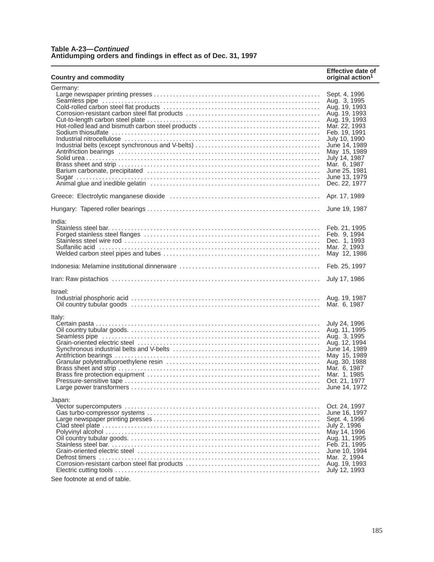| <b>Country and commodity</b> | <b>Effective date of</b><br>original action <sup>1</sup>                                                                                                                                                                                                 |
|------------------------------|----------------------------------------------------------------------------------------------------------------------------------------------------------------------------------------------------------------------------------------------------------|
| Germany:                     | Sept. 4, 1996<br>Aug. 3, 1995<br>Aug. 19, 1993<br>Aug. 19, 1993<br>Aug. 19, 1993<br>Mar. 22, 1993<br>Feb. 19, 1991<br>July 10, 1990<br>June 14, 1989<br>May 15, 1989<br>July 14, 1987<br>Mar. 6, 1987<br>June 25, 1981<br>June 13, 1979<br>Dec. 22, 1977 |
|                              | Apr. 17, 1989                                                                                                                                                                                                                                            |
|                              | June 19, 1987                                                                                                                                                                                                                                            |
| India:                       | Feb. 21, 1995<br>Feb. 9, 1994<br>Dec. 1, 1993<br>Mar. 2, 1993<br>May 12, 1986                                                                                                                                                                            |
|                              | Feb. 25, 1997                                                                                                                                                                                                                                            |
|                              | July 17, 1986                                                                                                                                                                                                                                            |
| Israel:                      | Aug. 19, 1987<br>Mar. 6, 1987                                                                                                                                                                                                                            |
| Italy:                       | July 24, 1996<br>Aug. 11, 1995<br>Aug. 3, 1995<br>Aug. 12, 1994<br>June 14, 1989<br>May 15, 1989<br>Aug. 30, 1988<br>Mar. 6, 1987<br>Mar. 1, 1985<br>Oct. 21, 1977<br>June 14, 1972                                                                      |
| Japan:                       | Oct. 24, 1997<br>June 16, 1997<br>Sept. 4, 1996<br>July 2, 1996<br>May 14, 1996<br>Aug. 11, 1995<br>Feb. 21, 1995<br>June 10, 1994<br>Mar. 2, 1994<br>Aug. 19, 1993<br>July 12, 1993                                                                     |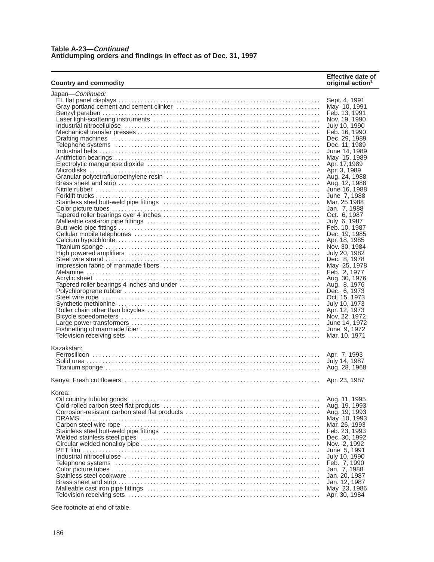| <b>Country and commodity</b>                                                                                                                                                                                                   | <b>Effective date of</b><br>original action <sup>1</sup> |
|--------------------------------------------------------------------------------------------------------------------------------------------------------------------------------------------------------------------------------|----------------------------------------------------------|
| Japan-Continued:                                                                                                                                                                                                               |                                                          |
|                                                                                                                                                                                                                                | Sept. 4, 1991                                            |
|                                                                                                                                                                                                                                | May 10, 1991                                             |
|                                                                                                                                                                                                                                | Feb. 13, 1991                                            |
|                                                                                                                                                                                                                                | Nov. 19, 1990                                            |
|                                                                                                                                                                                                                                | July 10, 1990                                            |
|                                                                                                                                                                                                                                | Feb. 16, 1990                                            |
| Drafting machines in the contract of the contract of the contract of the contract of the contract of the contract of the contract of the contract of the contract of the contract of the contract of the contract of the contr | Dec. 29, 1989<br>Dec. 11, 1989                           |
|                                                                                                                                                                                                                                | June 14, 1989                                            |
|                                                                                                                                                                                                                                | May 15, 1989                                             |
|                                                                                                                                                                                                                                | Apr. 17,1989                                             |
|                                                                                                                                                                                                                                | Apr. 3, 1989                                             |
|                                                                                                                                                                                                                                | Aug. 24, 1988                                            |
|                                                                                                                                                                                                                                | Aug. 12, 1988                                            |
|                                                                                                                                                                                                                                | June 16, 1988                                            |
|                                                                                                                                                                                                                                | June 7, 1988                                             |
|                                                                                                                                                                                                                                | Mar. 25 1988                                             |
|                                                                                                                                                                                                                                | Jan. 7, 1988                                             |
|                                                                                                                                                                                                                                | Oct. 6, 1987<br>July 6, 1987                             |
|                                                                                                                                                                                                                                | Feb. 10, 1987                                            |
|                                                                                                                                                                                                                                | Dec. 19, 1985                                            |
|                                                                                                                                                                                                                                | Apr. 18, 1985                                            |
|                                                                                                                                                                                                                                | Nov. 30, 1984                                            |
|                                                                                                                                                                                                                                | July 20, 1982                                            |
|                                                                                                                                                                                                                                | Dec. 8, 1978                                             |
|                                                                                                                                                                                                                                | May 25, 1978                                             |
|                                                                                                                                                                                                                                | Feb. 2, 1977                                             |
|                                                                                                                                                                                                                                | Aug. 30, 1976                                            |
|                                                                                                                                                                                                                                | Aug. 8, 1976                                             |
|                                                                                                                                                                                                                                | Dec. 6, 1973                                             |
|                                                                                                                                                                                                                                | Oct. 15, 1973<br>July 10, 1973                           |
|                                                                                                                                                                                                                                | Apr. 12, 1973                                            |
|                                                                                                                                                                                                                                | Nov. 22, 1972                                            |
|                                                                                                                                                                                                                                | June 14, 1972                                            |
|                                                                                                                                                                                                                                | June 9, 1972                                             |
|                                                                                                                                                                                                                                | Mar. 10, 1971                                            |
|                                                                                                                                                                                                                                |                                                          |
| Kazakstan:                                                                                                                                                                                                                     |                                                          |
|                                                                                                                                                                                                                                | Apr. 7, 1993                                             |
|                                                                                                                                                                                                                                | July 14, 1987                                            |
|                                                                                                                                                                                                                                | Aug. 28, 1968                                            |
|                                                                                                                                                                                                                                | Apr. 23, 1987                                            |
| Korea:                                                                                                                                                                                                                         |                                                          |
|                                                                                                                                                                                                                                | Aug. 11, 1995                                            |
|                                                                                                                                                                                                                                | Aug. 19, 1993                                            |
|                                                                                                                                                                                                                                | Aug. 19, 1993                                            |
|                                                                                                                                                                                                                                | May 10, 1993                                             |
|                                                                                                                                                                                                                                | Mar. 26, 1993                                            |
|                                                                                                                                                                                                                                | Feb. 23, 1993                                            |
|                                                                                                                                                                                                                                | Dec. 30, 1992                                            |
|                                                                                                                                                                                                                                | Nov. 2, 1992                                             |
|                                                                                                                                                                                                                                | June 5, 1991                                             |
|                                                                                                                                                                                                                                | July 10, 1990<br>Feb. 7, 1990                            |
|                                                                                                                                                                                                                                | Jan. 7, 1988                                             |
|                                                                                                                                                                                                                                | Jan. 20, 1987                                            |
|                                                                                                                                                                                                                                | Jan. 12, 1987                                            |
|                                                                                                                                                                                                                                | May 23, 1986                                             |
|                                                                                                                                                                                                                                | Apr. 30, 1984                                            |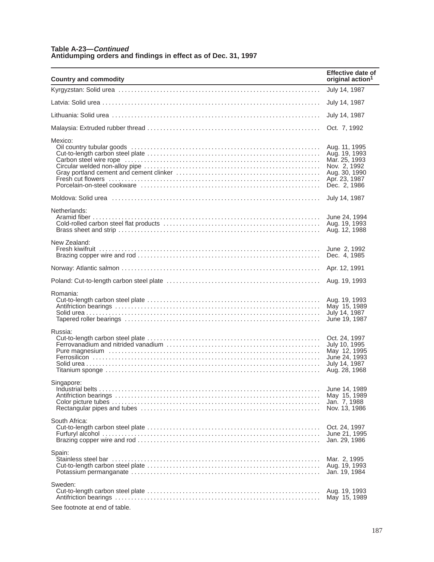| <b>Country and commodity</b> | <b>Effective date of</b><br>original action <sup>1</sup>                                                          |
|------------------------------|-------------------------------------------------------------------------------------------------------------------|
|                              | July 14, 1987                                                                                                     |
|                              | July 14, 1987                                                                                                     |
|                              | July 14, 1987                                                                                                     |
|                              | Oct. 7, 1992                                                                                                      |
| Mexico:                      | Aug. 11, 1995<br>Aug. 19, 1993<br>Mar. 25, 1993<br>Nov. 2, 1992<br>Aug. 30, 1990<br>Apr. 23, 1987<br>Dec. 2, 1986 |
|                              | July 14, 1987                                                                                                     |
| Netherlands:<br>New Zealand: | June 24, 1994<br>Aug. 19, 1993<br>Aug. 12, 1988                                                                   |
|                              | June 2, 1992<br>Dec. 4, 1985                                                                                      |
|                              | Apr. 12, 1991                                                                                                     |
|                              | Aug. 19, 1993                                                                                                     |
| Romania:                     | Aug. 19, 1993<br>May 15, 1989<br>July 14, 1987<br>June 19, 1987                                                   |
| Russia:                      | Oct. 24, 1997<br>July 10, 1995<br>May 12, 1995<br>June 24, 1993<br>July 14, 1987<br>Aug. 28, 1968                 |
| Singapore:                   | June 14, 1989<br>May 15, 1989<br>Jan. 7, 1988<br>Nov. 13, 1986                                                    |
| South Africa:                | Oct. 24, 1997<br>June 21, 1995<br>Jan. 29, 1986                                                                   |
| Spain:                       | Mar. 2, 1995<br>Aug. 19, 1993<br>Jan. 19, 1984                                                                    |
| Sweden:                      | Aug. 19, 1993<br>May 15, 1989                                                                                     |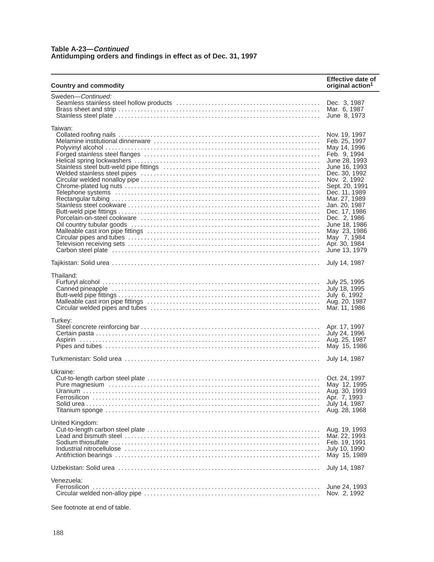|                              | <b>Effective date of</b>                                                                                                                                                                                                                                                                                 |
|------------------------------|----------------------------------------------------------------------------------------------------------------------------------------------------------------------------------------------------------------------------------------------------------------------------------------------------------|
| <b>Country and commodity</b> | original action <sup>1</sup>                                                                                                                                                                                                                                                                             |
| Sweden-Continued:            | Dec. 3, 1987<br>Mar. 6, 1987<br>June 8, 1973                                                                                                                                                                                                                                                             |
| Taiwan:                      | Nov. 19, 1997<br>Feb. 25, 1997<br>May 14, 1996<br>Feb. 9, 1994<br>June 28, 1993<br>June 16, 1993<br>Dec. 30, 1992<br>Nov. 2, 1992<br>Sept. 20, 1991<br>Dec. 11, 1989<br>Mar. 27, 1989<br>Jan. 20, 1987<br>Dec. 17, 1986<br>Dec. 2, 1986<br>June 18, 1986<br>May 23, 1986<br>May 7, 1984<br>Apr. 30, 1984 |
|                              | June 13, 1979                                                                                                                                                                                                                                                                                            |
|                              | July 14, 1987                                                                                                                                                                                                                                                                                            |
| Thailand:                    | July 25, 1995<br>July 18, 1995<br>July 6, 1992<br>Aug. 20, 1987<br>Mar. 11, 1986                                                                                                                                                                                                                         |
| Turkey:                      | Apr. 17, 1997<br>July 24, 1996<br>Aug. 25, 1987<br>May 15, 1986                                                                                                                                                                                                                                          |
|                              | July 14, 1987                                                                                                                                                                                                                                                                                            |
| Ukraine:                     | Oct. 24, 1997<br>May 12, 1995<br>Aug. 30, 1993<br>Apr. 7, 1993<br>July 14, 1987<br>Aug. 28, 1968                                                                                                                                                                                                         |
| United Kingdom:              | Aug. 19, 1993<br>Mar. 22, 1993<br>Feb. 19, 1991<br>July 10, 1990<br>May 15, 1989                                                                                                                                                                                                                         |
|                              | July 14, 1987                                                                                                                                                                                                                                                                                            |
| Venezuela:                   | June 24, 1993<br>Nov. 2, 1992                                                                                                                                                                                                                                                                            |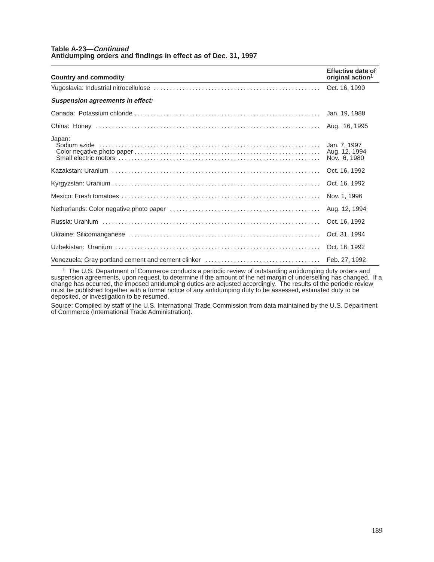| <b>Country and commodity</b>            | <b>Effective date of</b><br>original action <sup>1</sup> |
|-----------------------------------------|----------------------------------------------------------|
|                                         | Oct. 16, 1990                                            |
| <b>Suspension agreements in effect:</b> |                                                          |
|                                         | Jan. 19, 1988                                            |
|                                         | Aug. 16, 1995                                            |
| Japan:                                  | Jan. 7, 1997<br>Aug. 12, 1994<br>Nov. 6, 1980            |
|                                         | Oct. 16, 1992                                            |
|                                         | Oct. 16, 1992                                            |
|                                         | Nov. 1, 1996                                             |
|                                         | Aug. 12, 1994                                            |
|                                         | Oct. 16, 1992                                            |
|                                         | Oct. 31, 1994                                            |
|                                         | Oct. 16, 1992                                            |
|                                         | Feb. 27, 1992                                            |

 $1$  The U.S. Department of Commerce conducts a periodic review of outstanding antidumping duty orders and suspension agreements, upon request, to determine if the amount of the net margin of underselling has changed. If a change has occurred, the imposed antidumping duties are adjusted accordingly. The results of the periodic review must be published together with a formal notice of any antidumping duty to be assessed, estimated duty to be deposited, or investigation to be resumed.

Source: Compiled by staff of the U.S. International Trade Commission from data maintained by the U.S. Department of Commerce (International Trade Administration).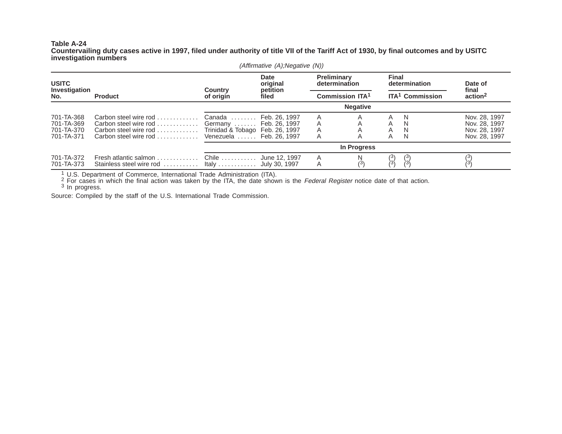#### **Table A-24 Countervailing duty cases active in 1997, filed under authority of title VII of the Tariff Act of 1930, by final outcomes and by USITC investigation numbers**

| (Affirmative (A), Negative (N))                      |                                                                                                  |                                                                                                                |                                              |                              |                        |                               |                                   |                                                                  |
|------------------------------------------------------|--------------------------------------------------------------------------------------------------|----------------------------------------------------------------------------------------------------------------|----------------------------------------------|------------------------------|------------------------|-------------------------------|-----------------------------------|------------------------------------------------------------------|
| <b>USITC</b><br>Investigation<br>No.                 | <b>Product</b>                                                                                   | <b>Country</b><br>of origin                                                                                    | <b>Date</b><br>original<br>petition<br>filed | Preliminary<br>determination |                        | <b>Final</b><br>determination |                                   | Date of<br>final                                                 |
|                                                      |                                                                                                  |                                                                                                                |                                              |                              | <b>Commission ITA1</b> |                               | <b>ITA<sup>1</sup></b> Commission | action <sup>2</sup>                                              |
|                                                      |                                                                                                  |                                                                                                                |                                              |                              | <b>Negative</b>        |                               |                                   |                                                                  |
| 701-TA-368<br>701-TA-369<br>701-TA-370<br>701-TA-371 | Carbon steel wire rod<br>Carbon steel wire rod<br>Carbon steel wire rod<br>Carbon steel wire rod | Canada  Feb. 26, 1997<br>Germany  Feb. 26, 1997<br>Trinidad & Tobago Feb. 26, 1997<br>Venezuela  Feb. 26, 1997 |                                              | A<br>A<br>A                  | A                      | Α<br>Α<br>A                   | N                                 | Nov. 28, 1997<br>Nov. 28, 1997<br>Nov. 28, 1997<br>Nov. 28, 1997 |
|                                                      |                                                                                                  |                                                                                                                |                                              |                              | In Progress            |                               |                                   |                                                                  |
| 701-TA-372<br>701-TA-373                             | Fresh atlantic salmon<br>Stainless steel wire rod  Italy                                         | Chile                                                                                                          | June 12, 1997<br>July 30, 1997               | A<br>A                       | (3)                    | $\binom{3}{3}$                | ì3í                               | 70<br>73                                                         |

 $1$  U.S. Department of Commerce, International Trade Administration (ITA).

<sup>2</sup> For cases in which the final action was taken by the ITA, the date shown is the *Federal Register* notice date of that action.<br><sup>3</sup> In progress.

Source: Compiled by the staff of the U.S. International Trade Commission.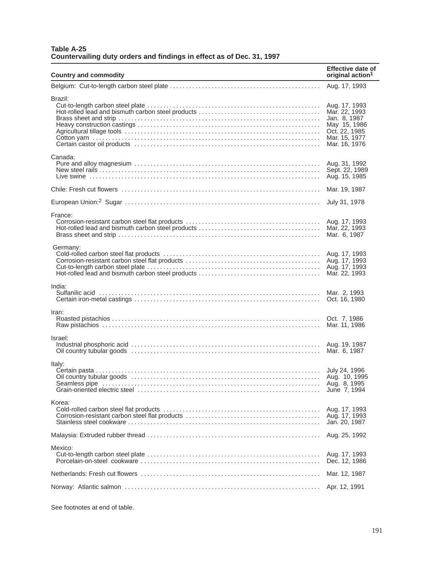#### **Table A-25 Countervailing duty orders and findings in effect as of Dec. 31, 1997**

| <b>Country and commodity</b> | <b>Effective date of</b><br>original action <sup>1</sup>                                                          |
|------------------------------|-------------------------------------------------------------------------------------------------------------------|
|                              | Aug. 17, 1993                                                                                                     |
| Brazil:                      | Aug. 17, 1993<br>Mar. 22, 1993<br>Jan. 8, 1987<br>May 15, 1986<br>Oct. 22, 1985<br>Mar. 15, 1977<br>Mar. 16, 1976 |
| Canada:                      | Aug. 31, 1992<br>Sept. 22, 1989<br>Aug. 15, 1985                                                                  |
|                              | Mar. 19, 1987                                                                                                     |
|                              | July 31, 1978                                                                                                     |
| France:                      | Aug. 17, 1993<br>Mar. 22, 1993<br>Mar. 6, 1987                                                                    |
| Germany:                     | Aug. 17, 1993<br>Aug. 17, 1993<br>Aug. 17, 1993<br>Mar. 22, 1993                                                  |
| India:                       | Mar. 2, 1993<br>Oct. 16, 1980                                                                                     |
| Iran:                        | Oct. 7, 1986<br>Mar. 11, 1986                                                                                     |
| Israel:                      | Aug. 19, 1987<br>Mar. 6, 1987                                                                                     |
| Italy:                       | July 24, 1996<br>June 7, 1994                                                                                     |
| Korea:                       | Aug. 17, 1993<br>Aug. 17, 1993<br>Jan. 20, 1987                                                                   |
|                              | Aug. 25, 1992                                                                                                     |
| Mexico:                      | Aug. 17, 1993<br>Dec. 12, 1986                                                                                    |
|                              | Mar. 12, 1987                                                                                                     |
|                              | Apr. 12, 1991                                                                                                     |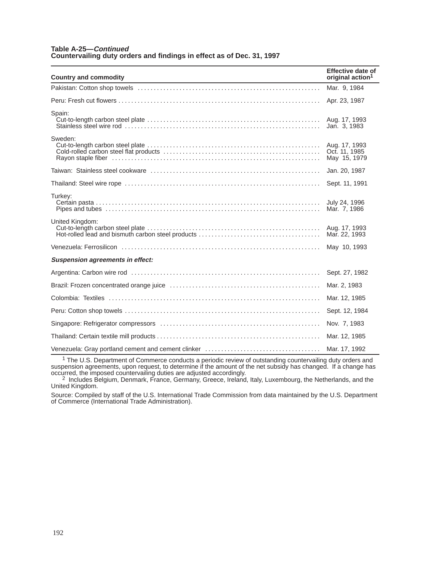#### **Table A-25—Continued Countervailing duty orders and findings in effect as of Dec. 31, 1997**

| <b>Country and commodity</b>            | <b>Effective date of</b><br>original action <sup>1</sup> |
|-----------------------------------------|----------------------------------------------------------|
|                                         | Mar. 9, 1984                                             |
|                                         | Apr. 23, 1987                                            |
| Spain:                                  | Aug. 17, 1993<br>Jan. 3, 1983                            |
| Sweden:                                 | Aug. 17, 1993<br>Oct. 11, 1985<br>May 15, 1979           |
|                                         | Jan. 20, 1987                                            |
|                                         | Sept. 11, 1991                                           |
| Turkey:                                 | July 24, 1996<br>Mar. 7, 1986                            |
| United Kingdom:                         | Aug. 17, 1993<br>Mar. 22, 1993                           |
|                                         | May 10, 1993                                             |
| <b>Suspension agreements in effect:</b> |                                                          |
|                                         | Sept. 27, 1982                                           |
|                                         | Mar. 2, 1983                                             |
|                                         | Mar. 12, 1985                                            |
|                                         | Sept. 12, 1984                                           |
|                                         | Nov. 7, 1983                                             |
|                                         | Mar. 12, 1985                                            |
|                                         | Mar. 17, 1992                                            |

 $1$  The U.S. Department of Commerce conducts a periodic review of outstanding countervailing duty orders and suspension agreements, upon request, to determine if the amount of the net subsidy has changed. If a change has

occurred, the imposed countervailing duties are adjusted accordingly.<br><sup>2</sup> Includes Belgium, Denmark, France, Germany, Greece, Ireland, Italy, Luxembourg, the Netherlands, and the United Kingdom.

Source: Compiled by staff of the U.S. International Trade Commission from data maintained by the U.S. Department of Commerce (International Trade Administration).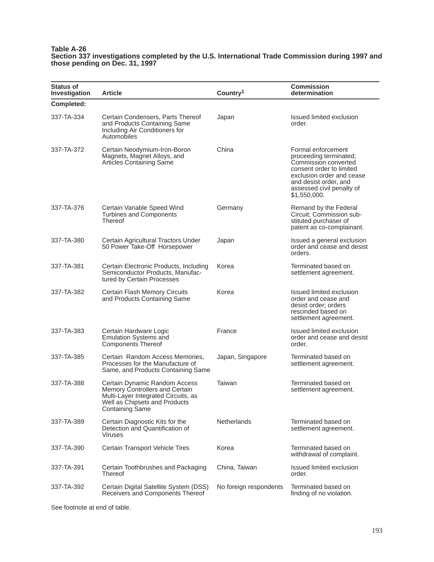**Table A-26 Section 337 investigations completed by the U.S. International Trade Commission during 1997 and those pending on Dec. 31, 1997**

| <b>Status of</b><br>Investigation | <b>Article</b>                                                                                                                                                    | Country <sup>1</sup>   | <b>Commission</b><br>determination                                                                                                                                                                  |
|-----------------------------------|-------------------------------------------------------------------------------------------------------------------------------------------------------------------|------------------------|-----------------------------------------------------------------------------------------------------------------------------------------------------------------------------------------------------|
| Completed:                        |                                                                                                                                                                   |                        |                                                                                                                                                                                                     |
| 337-TA-334                        | Certain Condensers, Parts Thereof<br>and Products Containing Same<br>Including Air Conditioners for<br>Automobiles                                                | Japan                  | Issued limited exclusion<br>order.                                                                                                                                                                  |
| 337-TA-372                        | Certain Neodymium-Iron-Boron<br>Magnets, Magnet Alloys, and<br><b>Articles Containing Same</b>                                                                    | China                  | Formal enforcement<br>proceeding terminated;<br>Commission converted<br>consent order to limited<br>exclusion order and cease<br>and desist order, and<br>assessed civil penalty of<br>\$1,550,000. |
| 337-TA-376                        | Certain Variable Speed Wind<br><b>Turbines and Components</b><br><b>Thereof</b>                                                                                   | Germany                | Remand by the Federal<br>Circuit: Commission sub-<br>stituted purchaser of<br>patent as co-complainant.                                                                                             |
| 337-TA-380                        | Certain Agricultural Tractors Under<br>50 Power Take-Off Horsepower                                                                                               | Japan                  | Issued a general exclusion<br>order and cease and desist<br>orders.                                                                                                                                 |
| 337-TA-381                        | Certain Electronic Products, Including<br>Semiconductor Products, Manufac-<br>tured by Certain Processes                                                          | Korea                  | Terminated based on<br>settlement agreement.                                                                                                                                                        |
| 337-TA-382                        | <b>Certain Flash Memory Circuits</b><br>and Products Containing Same                                                                                              | Korea                  | Issued limited exclusion<br>order and cease and<br>desist order; orders<br>rescinded based on<br>settlement agreement.                                                                              |
| 337-TA-383                        | Certain Hardware Logic<br><b>Emulation Systems and</b><br><b>Components Thereof</b>                                                                               | France                 | Issued limited exclusion<br>order and cease and desist<br>order.                                                                                                                                    |
| 337-TA-385                        | Certain Random Access Memories,<br>Processes for the Manufacture of<br>Same, and Products Containing Same                                                         | Japan, Singapore       | Terminated based on<br>settlement agreement.                                                                                                                                                        |
| 337-TA-388                        | Certain Dynamic Random Access<br>Memory Controllers and Certain<br>Multi-Layer Integrated Circuits, as<br>Well as Chipsets and Products<br><b>Containing Same</b> | Taiwan                 | Terminated based on<br>settlement agreement.                                                                                                                                                        |
| 337-TA-389                        | Certain Diagnostic Kits for the<br>Detection and Quantification of<br><b>Viruses</b>                                                                              | <b>Netherlands</b>     | Terminated based on<br>settlement agreement.                                                                                                                                                        |
| 337-TA-390                        | Certain Transport Vehicle Tires                                                                                                                                   | Korea                  | Terminated based on<br>withdrawal of complaint.                                                                                                                                                     |
| 337-TA-391                        | Certain Toothbrushes and Packaging<br>Thereof                                                                                                                     | China, Taiwan          | Issued limited exclusion<br>order.                                                                                                                                                                  |
| 337-TA-392                        | Certain Digital Satellite System (DSS)<br>Receivers and Components Thereof                                                                                        | No foreign respondents | Terminated based on<br>finding of no violation.                                                                                                                                                     |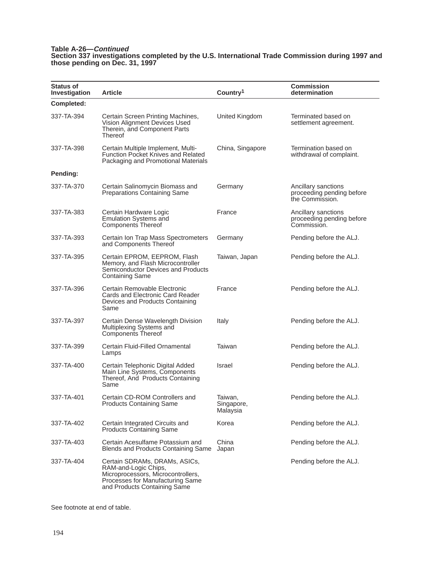#### **Table A-26—Continued Section 337 investigations completed by the U.S. International Trade Commission during 1997 and those pending on Dec. 31, 1997**

| <b>Status of</b><br>Investigation | <b>Article</b>                                                                                                                                                  | Country <sup>1</sup>              | <b>Commission</b><br>determination                                  |
|-----------------------------------|-----------------------------------------------------------------------------------------------------------------------------------------------------------------|-----------------------------------|---------------------------------------------------------------------|
| Completed:                        |                                                                                                                                                                 |                                   |                                                                     |
| 337-TA-394                        | Certain Screen Printing Machines,<br>Vision Alignment Devices Used<br>Therein, and Component Parts<br>Thereof                                                   | United Kingdom                    | Terminated based on<br>settlement agreement.                        |
| 337-TA-398                        | Certain Multiple Implement, Multi-<br><b>Function Pocket Knives and Related</b><br>Packaging and Promotional Materials                                          | China, Singapore                  | Termination based on<br>withdrawal of complaint.                    |
| Pending:                          |                                                                                                                                                                 |                                   |                                                                     |
| 337-TA-370                        | Certain Salinomycin Biomass and<br><b>Preparations Containing Same</b>                                                                                          | Germany                           | Ancillary sanctions<br>proceeding pending before<br>the Commission. |
| 337-TA-383                        | Certain Hardware Logic<br><b>Emulation Systems and</b><br><b>Components Thereof</b>                                                                             | France                            | Ancillary sanctions<br>proceeding pending before<br>Commission.     |
| 337-TA-393                        | Certain Ion Trap Mass Spectrometers<br>and Components Thereof                                                                                                   | Germany                           | Pending before the ALJ.                                             |
| 337-TA-395                        | Certain EPROM, EEPROM, Flash<br>Memory, and Flash Microcontroller<br>Semiconductor Devices and Products<br><b>Containing Same</b>                               | Taiwan, Japan                     | Pending before the ALJ.                                             |
| 337-TA-396                        | Certain Removable Electronic<br>Cards and Electronic Card Reader<br>Devices and Products Containing<br>Same                                                     | France                            | Pending before the ALJ.                                             |
| 337-TA-397                        | Certain Dense Wavelength Division<br>Multiplexing Systems and<br><b>Components Thereof</b>                                                                      | Italy                             | Pending before the ALJ.                                             |
| 337-TA-399                        | Certain Fluid-Filled Ornamental<br>Lamps                                                                                                                        | Taiwan                            | Pending before the ALJ.                                             |
| 337-TA-400                        | Certain Telephonic Digital Added<br>Main Line Systems, Components<br>Thereof, And Products Containing<br>Same                                                   | Israel                            | Pending before the ALJ.                                             |
| 337-TA-401                        | Certain CD-ROM Controllers and<br><b>Products Containing Same</b>                                                                                               | Taiwan,<br>Singapore,<br>Malaysia | Pending before the ALJ.                                             |
| 337-TA-402                        | Certain Integrated Circuits and<br><b>Products Containing Same</b>                                                                                              | Korea                             | Pending before the ALJ.                                             |
| 337-TA-403                        | Certain Acesulfame Potassium and<br>Blends and Products Containing Same                                                                                         | China<br>Japan                    | Pending before the ALJ.                                             |
| 337-TA-404                        | Certain SDRAMs, DRAMs, ASICs,<br>RAM-and-Logic Chips,<br>Microprocessors, Microcontrollers,<br>Processes for Manufacturing Same<br>and Products Containing Same |                                   | Pending before the ALJ.                                             |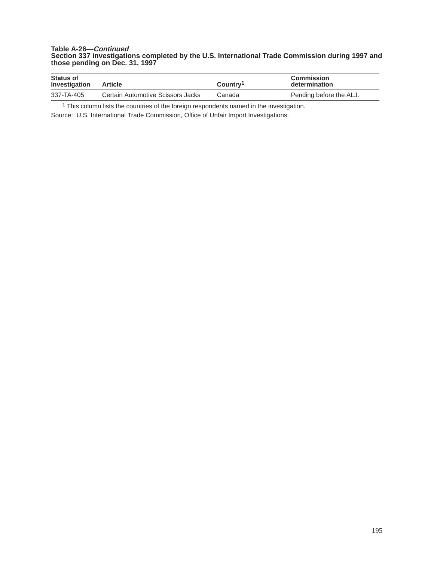#### **Table A-26—Continued Section 337 investigations completed by the U.S. International Trade Commission during 1997 and those pending on Dec. 31, 1997**

| <b>Status of</b><br>Investigation | <b>Article</b>                    | Country <sup>1</sup> | Commission<br>determination |
|-----------------------------------|-----------------------------------|----------------------|-----------------------------|
| 337-TA-405                        | Certain Automotive Scissors Jacks | Canada               | Pending before the ALJ.     |

<sup>1</sup> This column lists the countries of the foreign respondents named in the investigation. Source: U.S. International Trade Commission, Office of Unfair Import Investigations.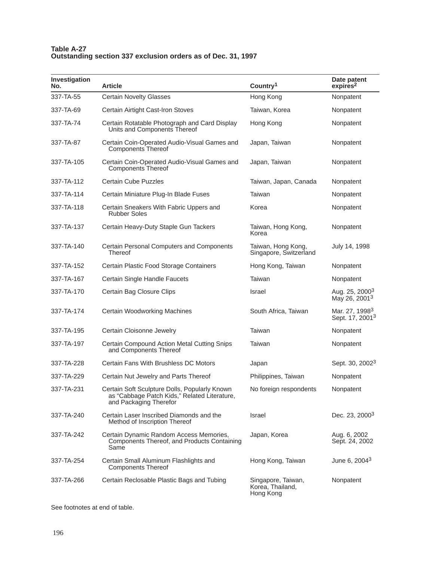| Investigation<br>No. | <b>Article</b>                                                                                                          | Country <sup>1</sup>                                | Date patent<br>expires <sup>2</sup>                       |
|----------------------|-------------------------------------------------------------------------------------------------------------------------|-----------------------------------------------------|-----------------------------------------------------------|
| 337-TA-55            | <b>Certain Novelty Glasses</b>                                                                                          | Hong Kong                                           | Nonpatent                                                 |
| 337-TA-69            | Certain Airtight Cast-Iron Stoves                                                                                       | Taiwan, Korea                                       | Nonpatent                                                 |
| 337-TA-74            | Certain Rotatable Photograph and Card Display<br>Units and Components Thereof                                           | Hong Kong                                           | Nonpatent                                                 |
| 337-TA-87            | Certain Coin-Operated Audio-Visual Games and<br><b>Components Thereof</b>                                               | Japan, Taiwan                                       | Nonpatent                                                 |
| 337-TA-105           | Certain Coin-Operated Audio-Visual Games and<br><b>Components Thereof</b>                                               | Japan, Taiwan                                       | Nonpatent                                                 |
| 337-TA-112           | Certain Cube Puzzles                                                                                                    | Taiwan, Japan, Canada                               | Nonpatent                                                 |
| 337-TA-114           | Certain Miniature Plug-In Blade Fuses                                                                                   | Taiwan                                              | Nonpatent                                                 |
| 337-TA-118           | Certain Sneakers With Fabric Uppers and<br><b>Rubber Soles</b>                                                          | Korea                                               | Nonpatent                                                 |
| 337-TA-137           | Certain Heavy-Duty Staple Gun Tackers                                                                                   | Taiwan, Hong Kong,<br>Korea                         | Nonpatent                                                 |
| 337-TA-140           | Certain Personal Computers and Components<br>Thereof                                                                    | Taiwan, Hong Kong,<br>Singapore, Switzerland        | July 14, 1998                                             |
| 337-TA-152           | Certain Plastic Food Storage Containers                                                                                 | Hong Kong, Taiwan                                   | Nonpatent                                                 |
| 337-TA-167           | Certain Single Handle Faucets                                                                                           | Taiwan                                              | Nonpatent                                                 |
| 337-TA-170           | Certain Bag Closure Clips                                                                                               | Israel                                              | Aug. 25, 2000 <sup>3</sup><br>May 26, 2001 <sup>3</sup>   |
| 337-TA-174           | Certain Woodworking Machines                                                                                            | South Africa, Taiwan                                | Mar. 27, 1998 <sup>3</sup><br>Sept. 17, 2001 <sup>3</sup> |
| 337-TA-195           | Certain Cloisonne Jewelry                                                                                               | Taiwan                                              | Nonpatent                                                 |
| 337-TA-197           | Certain Compound Action Metal Cutting Snips<br>and Components Thereof                                                   | Taiwan                                              | Nonpatent                                                 |
| 337-TA-228           | Certain Fans With Brushless DC Motors                                                                                   | Japan                                               | Sept. 30, 2002 <sup>3</sup>                               |
| 337-TA-229           | Certain Nut Jewelry and Parts Thereof                                                                                   | Philippines, Taiwan                                 | Nonpatent                                                 |
| 337-TA-231           | Certain Soft Sculpture Dolls, Popularly Known<br>as "Cabbage Patch Kids," Related Literature,<br>and Packaging Therefor | No foreign respondents                              | Nonpatent                                                 |
| 337-TA-240           | Certain Laser Inscribed Diamonds and the<br>Method of Inscription Thereof                                               | Israel                                              | Dec. 23, 2000 <sup>3</sup>                                |
| 337-TA-242           | Certain Dynamic Random Access Memories,<br>Components Thereof, and Products Containing<br>Same                          | Japan, Korea                                        | Aug. 6, 2002<br>Sept. 24, 2002                            |
| 337-TA-254           | Certain Small Aluminum Flashlights and<br><b>Components Thereof</b>                                                     | Hong Kong, Taiwan                                   | June 6, 2004 <sup>3</sup>                                 |
| 337-TA-266           | Certain Reclosable Plastic Bags and Tubing                                                                              | Singapore, Taiwan,<br>Korea, Thailand,<br>Hong Kong | Nonpatent                                                 |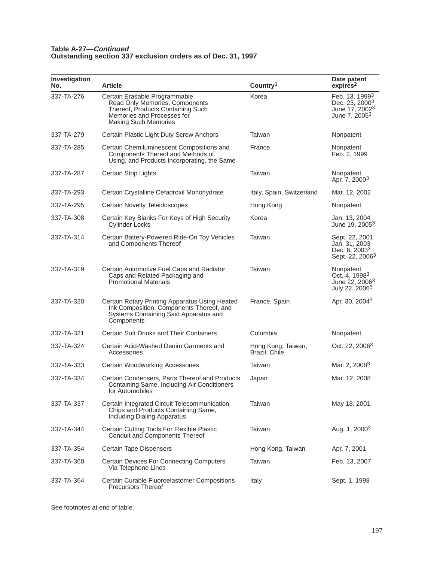#### **Table A-27—Continued Outstanding section 337 exclusion orders as of Dec. 31, 1997**

| Investigation<br>No. | <b>Article</b>                                                                                                                                                    | Country <sup>1</sup>                | Date patent<br>expires <sup>2</sup>                                                                                 |
|----------------------|-------------------------------------------------------------------------------------------------------------------------------------------------------------------|-------------------------------------|---------------------------------------------------------------------------------------------------------------------|
| 337-TA-276           | Certain Erasable Programmable<br>Read Only Memories, Components<br>Thereof, Products Containing Such<br>Memories and Processes for<br><b>Making Such Memories</b> | Korea                               | Feb. 13, 1999 <sup>3</sup><br>Dec. 23, 2000 <sup>3</sup><br>June 17, 2002 <sup>3</sup><br>June 7, 2005 <sup>3</sup> |
| 337-TA-279           | Certain Plastic Light Duty Screw Anchors                                                                                                                          | Taiwan                              | Nonpatent                                                                                                           |
| 337-TA-285           | Certain Chemiluminescent Compositions and<br>Components Thereof and Methods of<br>Using, and Products Incorporating, the Same                                     | France                              | Nonpatent<br>Feb. 2, 1999                                                                                           |
| 337-TA-287           | Certain Strip Lights                                                                                                                                              | Taiwan                              | Nonpatent<br>Apr. 7, 2000 <sup>3</sup>                                                                              |
| 337-TA-293           | Certain Crystalline Cefadroxil Monohydrate                                                                                                                        | Italy, Spain, Switzerland           | Mar. 12, 2002                                                                                                       |
| 337-TA-295           | <b>Certain Novelty Teleidoscopes</b>                                                                                                                              | Hong Kong                           | Nonpatent                                                                                                           |
| 337-TA-308           | Certain Key Blanks For Keys of High Security<br>Cylinder Locks                                                                                                    | Korea                               | Jan. 13, 2004<br>June 19, 2005 <sup>3</sup>                                                                         |
| 337-TA-314           | Certain Battery-Powered Ride-On Toy Vehicles<br>and Components Thereof                                                                                            | Taiwan                              | Sept. 22, 2001<br>Jan. 31, 2003<br>Dec. $6, 20033$<br>Sept. 22, 2006 <sup>3</sup>                                   |
| 337-TA-319           | Certain Automotive Fuel Caps and Radiator<br>Caps and Related Packaging and<br><b>Promotional Materials</b>                                                       | Taiwan                              | Nonpatent<br>Oct. 4, 1998 <sup>3</sup><br>June 22, 2006 <sup>3</sup><br>July 22, 2006 <sup>3</sup>                  |
| 337-TA-320           | Certain Rotary Printing Apparatus Using Heated<br>Ink Composition, Components Thereof, and<br>Systems Containing Said Apparatus and<br>Components                 | France, Spain                       | Apr. 30, 2004 <sup>3</sup>                                                                                          |
| 337-TA-321           | Certain Soft Drinks and Their Containers                                                                                                                          | Colombia                            | Nonpatent                                                                                                           |
| 337-TA-324           | Certain Acid-Washed Denim Garments and<br>Accessories                                                                                                             | Hong Kong, Taiwan,<br>Brazil, Chile | Oct. 22, 2006 <sup>3</sup>                                                                                          |
| 337-TA-333           | <b>Certain Woodworking Accessories</b>                                                                                                                            | Taiwan                              | Mar. 2, 2008 <sup>3</sup>                                                                                           |
| 337-TA-334           | Certain Condensers, Parts Thereof and Products<br>Containing Same, Including Air Conditioners<br>for Automobiles                                                  | Japan                               | Mar. 12, 2008                                                                                                       |
| 337-TA-337           | Certain Integrated Circuit Telecommunication<br>Chips and Products Containing Same,<br><b>Including Dialing Apparatus</b>                                         | Taiwan                              | May 18, 2001                                                                                                        |
| 337-TA-344           | Certain Cutting Tools For Flexible Plastic<br>Conduit and Components Thereof                                                                                      | Taiwan                              | Aug. 1, 2000 <sup>3</sup>                                                                                           |
| 337-TA-354           | Certain Tape Dispensers                                                                                                                                           | Hong Kong, Taiwan                   | Apr. 7, 2001                                                                                                        |
| 337-TA-360           | <b>Certain Devices For Connecting Computers</b><br>Via Telephone Lines                                                                                            | Taiwan                              | Feb. 13, 2007                                                                                                       |
| 337-TA-364           | Certain Curable Fluoroelastomer Compositions<br><b>Precursors Thereof</b>                                                                                         | Italy                               | Sept. 1, 1998                                                                                                       |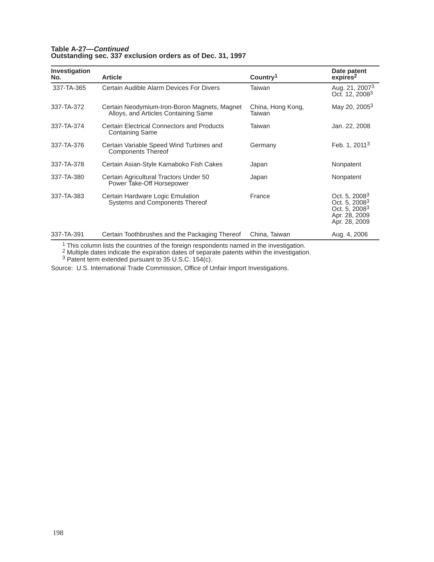#### **Table A-27—Continued Outstanding sec. 337 exclusion orders as of Dec. 31, 1997**

| Investigation<br>No. | <b>Article</b>                                                                       | Country <sup>1</sup>        | Date patent<br>expires <sup>2</sup>                                                     |
|----------------------|--------------------------------------------------------------------------------------|-----------------------------|-----------------------------------------------------------------------------------------|
| 337-TA-365           | Certain Audible Alarm Devices For Divers                                             | Taiwan                      | Aug. 21, 2007 <sup>3</sup><br>Oct. 12, 2008 <sup>3</sup>                                |
| 337-TA-372           | Certain Neodymium-Iron-Boron Magnets, Magnet<br>Alloys, and Articles Containing Same | China, Hong Kong,<br>Taiwan | May 20, 2005 <sup>3</sup>                                                               |
| 337-TA-374           | <b>Certain Electrical Connectors and Products</b><br><b>Containing Same</b>          | Taiwan                      | Jan. 22, 2008                                                                           |
| 337-TA-376           | Certain Variable Speed Wind Turbines and<br><b>Components Thereof</b>                | Germany                     | Feb. 1, 2011 <sup>3</sup>                                                               |
| 337-TA-378           | Certain Asian-Style Kamaboko Fish Cakes                                              | Japan                       | Nonpatent                                                                               |
| 337-TA-380           | Certain Agricultural Tractors Under 50<br>Power Take-Off Horsepower                  | Japan                       | Nonpatent                                                                               |
| 337-TA-383           | Certain Hardware Logic Emulation<br>Systems and Components Thereof                   | France                      | Oct. 5, $20083$<br>Oct. 5, $20083$<br>Oct. 5, $20083$<br>Apr. 28, 2009<br>Apr. 28, 2009 |
| 337-TA-391           | Certain Toothbrushes and the Packaging Thereof                                       | China, Taiwan               | Aug. 4, 2006                                                                            |

 $1$  This column lists the countries of the foreign respondents named in the investigation.

 $2$  Multiple dates indicate the expiration dates of separate patents within the investigation.

 $3$  Patent term extended pursuant to 35 U.S.C. 154 $(c)$ .

Source: U.S. International Trade Commission, Office of Unfair Import Investigations.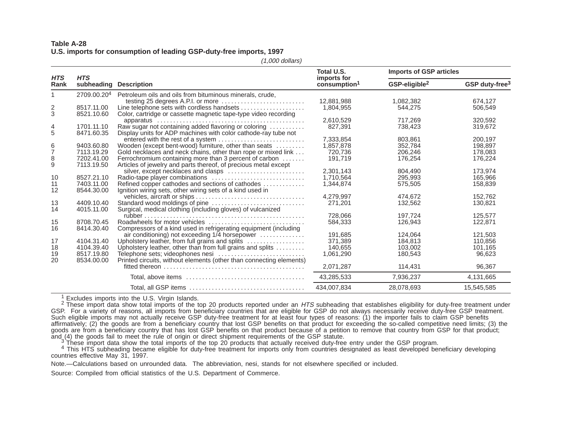## **Table A-28 U.S. imports for consumption of leading GSP-duty-free imports, 1997**

|                    |                          |                                                                     | Total U.S.                              | <b>Imports of GSP articles</b> |                            |
|--------------------|--------------------------|---------------------------------------------------------------------|-----------------------------------------|--------------------------------|----------------------------|
| <b>HTS</b><br>Rank | <b>HTS</b><br>subheading | <b>Description</b>                                                  | imports for<br>consumption <sup>1</sup> | GSP-eligible <sup>2</sup>      | GSP duty-free <sup>3</sup> |
|                    | 2709.00.204              | Petroleum oils and oils from bituminous minerals, crude,            |                                         |                                |                            |
|                    |                          |                                                                     | 12,881,988                              | 1,082,382                      | 674,127                    |
| 2                  | 8517.11.00               |                                                                     | 1,804,955                               | 544,275                        | 506,549                    |
| 3                  | 8521.10.60               | Color, cartridge or cassette magnetic tape-type video recording     |                                         |                                |                            |
|                    |                          |                                                                     | 2,610,529                               | 717,269                        | 320,592                    |
| 4                  | 1701.11.10               | Raw sugar not containing added flavoring or coloring                | 827.391                                 | 738,423                        | 319,672                    |
| 5                  | 8471.60.35               | Display units for ADP machines with color cathode-ray tube not      |                                         |                                |                            |
|                    |                          |                                                                     | 7.333.854                               | 803.861                        | 200,197                    |
| 6                  | 9403.60.80               | Wooden (except bent-wood) furniture, other than seats               | 1,857,878                               | 352,784                        | 198,897                    |
|                    | 7113.19.29               | Gold necklaces and neck chains, other than rope or mixed link       | 720,736                                 | 206,246                        | 178,083                    |
| 8                  | 7202.41.00               | Ferrochromium containing more than 3 percent of carbon              | 191,719                                 | 176,254                        | 176,224                    |
| 9                  | 7113.19.50               | Articles of jewelry and parts thereof, of precious metal except     |                                         |                                |                            |
|                    |                          | silver, except necklaces and clasps                                 | 2.301.143                               | 804.490                        | 173,974                    |
| 10                 | 8527.21.10               |                                                                     | 1,710,564                               | 295,993                        | 165,966                    |
| 11                 | 7403.11.00               | Refined copper cathodes and sections of cathodes                    | 1,344,874                               | 575,505                        | 158,839                    |
| 12                 | 8544.30.00               | Ignition wiring sets, other wiring sets of a kind used in           |                                         |                                |                            |
|                    |                          |                                                                     | 4,279,997                               | 474,672                        | 152,762                    |
| 13                 | 4409.10.40               | Standard wood moldings of pine                                      | 271.201                                 | 132,562                        | 130,821                    |
| 14                 | 4015.11.00               | Surgical, medical clothing (including gloves) of vulcanized         |                                         |                                |                            |
|                    |                          |                                                                     | 728.066                                 | 197,724                        | 125,577                    |
| 15                 | 8708.70.45               |                                                                     | 584,333                                 | 126,943                        | 122,871                    |
| 16                 | 8414.30.40               | Compressors of a kind used in refrigerating equipment (including    |                                         |                                |                            |
|                    |                          | air conditioning) not exceeding 1/4 horsepower                      | 191.685                                 | 124,064                        | 121,503                    |
| 17                 | 4104.31.40               | Upholstery leather, from full grains and splits                     | 371.389                                 | 184.813                        | 110,856                    |
| 18                 | 4104.39.40               | Upholstery leather, other than from full grains and splits          | 140,655                                 | 103,002                        | 101,165                    |
| 19                 | 8517.19.80               |                                                                     | 1,061,290                               | 180,543                        | 96,623                     |
| 20                 | 8534.00.00               | Printed circuits, without elements (other than connecting elements) |                                         |                                |                            |
|                    |                          |                                                                     | 2,071,287                               | 114,431                        | 96,367                     |
|                    |                          |                                                                     | 43,285,533                              | 7,936,237                      | 4,131,665                  |
|                    |                          |                                                                     | 434.007.834                             | 28.078.693                     | 15.545.585                 |

(1,000 dollars)

<sup>1</sup> Excludes imports into the U.S. Virgin Islands.<br><sup>2</sup> These import data show total imports of the top 20 products reported under an HTS subheading that establishes eligibility for duty-free treatment under GSP. For a variety of reasons, all imports from beneficiary countries that are eligible for GSP do not always necessarily receive duty-free GSP treatment. Such eligible imports may not actually receive GSP duty-free treatment for at least four types of reasons: (1) the importer fails to claim GSP benefits affirmatively; (2) the goods are from a beneficiary country that lost GSP benefits on that product for exceeding the so-called competitive need limits; (3) the goods are from a beneficiary country that has lost GSP benefits on that product because of a petition to remove that country from GSP for that product;<br>and (4) the goods fail to meet the rule of origin or direct shipment r

<sup>3</sup> These import data show the total imports of the top 20 products that actually received duty-free entry under the GSP program.<br><sup>4</sup> This HTS subheading became eligible for duty-free treatment for imports only from countr countries effective May 31, 1997.

Note.—Calculations based on unrounded data. The abbreviation, nesi, stands for not elsewhere specified or included.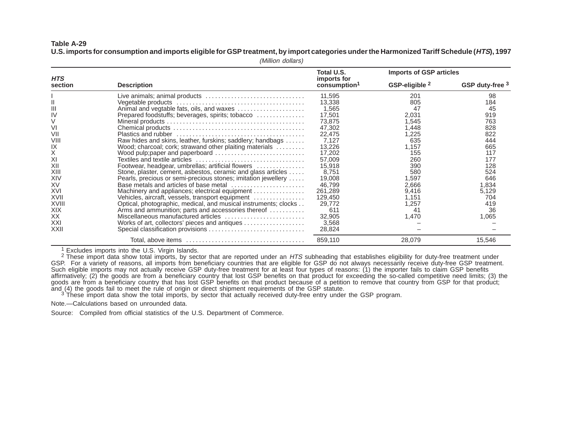#### **Table A-29**

**U.S. imports for consumption and imports eligible for GSP treatment, by import categories under the Harmonized Tariff Schedule (HTS), 1997**

|                       |                                                                 | Total U.S.                              | <b>Imports of GSP articles</b> |                 |
|-----------------------|-----------------------------------------------------------------|-----------------------------------------|--------------------------------|-----------------|
| <b>HTS</b><br>section | <b>Description</b>                                              | imports for<br>consumption <sup>1</sup> | GSP-eligible <sup>2</sup>      | GSP duty-free 3 |
|                       | Live animals; animal products                                   | 11,595                                  | 201                            | 98              |
| Ш                     |                                                                 | 13,338                                  | 805                            | 184             |
| Ш                     | Animal and vegtable fats, oils, and waxes                       | 1,565                                   | 47                             | 45              |
| IV                    | Prepared foodstuffs; beverages, spirits; tobacco                | 17,501                                  | 2,031                          | 919             |
|                       |                                                                 | 73,875                                  | 1,545                          | 763             |
| VI                    |                                                                 | 47,302                                  | 1,448                          | 828             |
| VII                   |                                                                 | 22,475                                  | 1,225                          | 822             |
| VIII                  | Raw hides and skins, leather, furskins; saddlery; handbags      | 7.127                                   | 635                            | 444             |
| IΧ                    | Wood; charcoal; cork; strawand other plaiting materials         | 13,226                                  | 1,157                          | 665             |
| Χ                     | Wood pulp; paper and paperboard                                 | 17,202                                  | 155                            | 117             |
| XI                    |                                                                 | 57,009                                  | 260                            | 177             |
| XII                   | Footwear, headgear, umbrellas; artificial flowers               | 15,918                                  | 390                            | 128             |
| XIII                  | Stone, plaster, cement, asbestos, ceramic and glass articles    | 8,751                                   | 580                            | 524             |
| XIV                   | Pearls, precious or semi-precious stones; imitation jewellery   | 19,008                                  | 1,597                          | 646             |
| XV                    |                                                                 | 46,799                                  | 2,666                          | 1,834           |
| XVI                   | Machinery and appliances; electrical equipment                  | 261,289                                 | 9,416                          | 5,129           |
| XVII                  | Vehicles, aircraft, vessels, transport equipment                | 129,450                                 | 1,151                          | 704             |
| XVIII                 | Optical, photographic, medical, and musical instruments; clocks | 29,772                                  | 1,257                          | 419             |
| XIX                   | Arms and ammunition; parts and accessories thereof              | 611                                     | 41                             | 36              |
| XX                    | Miscellaneous manufactured articles                             | 32,905                                  | 1,470                          | 1,065           |
| XXI                   | Works of art, collectors' pieces and antiques                   | 3,568                                   |                                |                 |
| <b>XXII</b>           |                                                                 | 28,824                                  |                                |                 |
|                       |                                                                 | 859,110                                 | 28,079                         | 15,546          |

(Million dollars)

<sup>1</sup> Excludes imports into the U.S. Virgin Islands.<br><sup>2</sup> These import data show total imports, by sector that are reported under an *HTS* subheading that establishes eligibility for duty-free treatment under GSP. For a variety of reasons, all imports from beneficiary countries that are eligible for GSP do not always necessarily receive duty-free GSP treatment. Such eligible imports may not actually receive GSP duty-free treatment for at least four types of reasons: (1) the importer fails to claim GSP benefits affirmatively; (2) the goods are from a beneficiary country that lost GSP benefits on that product for exceeding the so-called competitive need limits; (3) the goods are from a beneficiary country that has lost GSP benefits on that product because of a petition to remove that country from GSP for that product; and (4) the goods fail to meet the rule of origin or direct shipment requirements of the GSP statute.  $3$  These import data show the total imports, by sector that actually received duty-free entry under the GSP program.

Note.—Calculations based on unrounded data.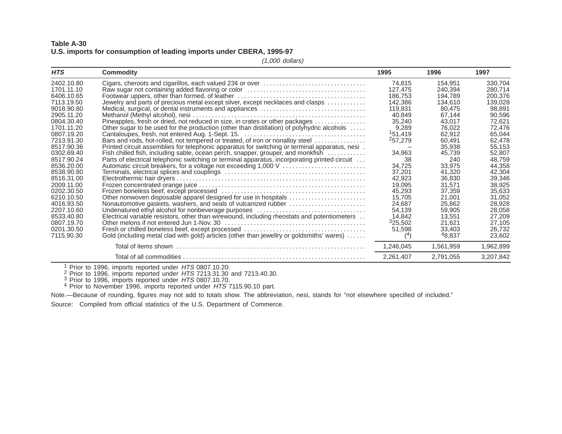## **Table A-30 U.S. imports for consumption of leading imports under CBERA, 1995-97**

(1,000 dollars)

| <b>HTS</b> | <b>Commodity</b>                                                                               | 1995                | 1996      | 1997      |
|------------|------------------------------------------------------------------------------------------------|---------------------|-----------|-----------|
| 2402.10.80 |                                                                                                | 74,815              | 154,951   | 330.704   |
| 1701.11.10 |                                                                                                | 127,475             | 240,394   | 280,714   |
| 6406.10.65 |                                                                                                | 186,753             | 194,789   | 200,376   |
| 7113.19.50 | Jewelry and parts of precious metal except silver, except necklaces and clasps                 | 142,386             | 134,610   | 139,028   |
| 9018.90.80 |                                                                                                | 119,831             | 80,475    | 98,891    |
| 2905.11.20 |                                                                                                | 40,849              | 67,144    | 90,596    |
| 0804.30.40 | Pineapples, fresh or dried, not reduced in size, in crates or other packages                   | 35,240              | 43,017    | 72,621    |
| 1701.11.20 | Other sugar to be used for the production (other than distillation) of polyhydric alcohols     | 9,289               | 76.022    | 72,476    |
| 0807.19.20 |                                                                                                | <sup>1</sup> 51,419 | 62,912    | 65,044    |
| 7213.91.30 | Bars and rods, hot-rolled, not tempered or treated, of iron or nonalloy steel                  | 257,279             | 60,491    | 62,478    |
| 8517.90.36 | Printed circuit assemblies for telephonic apparatus for switching or terminal apparatus, nesi. |                     | 35,938    | 55,153    |
| 0302.69.40 | Fish chilled fish, including sable, ocean perch, snapper, grouper, and monkfish                | 34,963              | 45,739    | 52,807    |
| 8517.90.24 | Parts of electrical telephonic switching or terminal apparatus, incorporating printed circuit  | 38                  | 240       | 48,759    |
| 8536.20.00 | Automatic circuit breakers, for a voltage not exceeding 1,000 V                                | 34,725              | 33,975    | 44,358    |
| 8538.90.80 |                                                                                                | 37,201              | 41,320    | 42,304    |
| 8516.31.00 |                                                                                                | 42,923              | 36,830    | 39,346    |
| 2009.11.00 |                                                                                                | 19,095              | 31,571    | 38,925    |
| 0202.30.50 |                                                                                                | 45,293              | 37,359    | 35,633    |
| 6210.10.50 | Other nonwoven disposable apparel designed for use in hospitals                                | 15,705              | 21,001    | 31,052    |
| 4016.93.50 | Nonautomotive gaskets, washers, and seals of vulcanized rubber                                 | 24.687              | 25.862    | 28,928    |
| 2207.10.60 |                                                                                                | 54,139              | 59,905    | 28,058    |
| 8533.40.80 | Electrical variable resistors, other than wirewound, including rheostats and potentiometers    | 14,842              | 13,551    | 27,209    |
| 0807.19.70 |                                                                                                | 325,502             | 21,621    | 27,105    |
| 0201.30.50 |                                                                                                | 51,598              | 33,403    | 26,732    |
| 7115.90.30 | Gold (including metal clad with gold) articles (other than jewellry or goldsmiths' wares)      |                     | 48,837    | 23,602    |
|            |                                                                                                | 1,246,045           | 1,561,959 | 1,962,899 |
|            |                                                                                                | 2,261,407           | 2,791,055 | 3,207,842 |

<sup>1</sup> Prior to 1996, imports reported under  $HTS$  0807.10.20.<br>
<sup>2</sup> Prior to 1996, imports reported under  $HTS$  7213.31.30 and 7213.40.30.<br>
<sup>3</sup> Prior to 1996, imports reported under  $HTS$  0807.10.70.<br>
<sup>4</sup> Prior to November 1996

Note.—Because of rounding, figures may not add to totals show. The abbreviation, nesi, stands for "not elsewhere specified of included."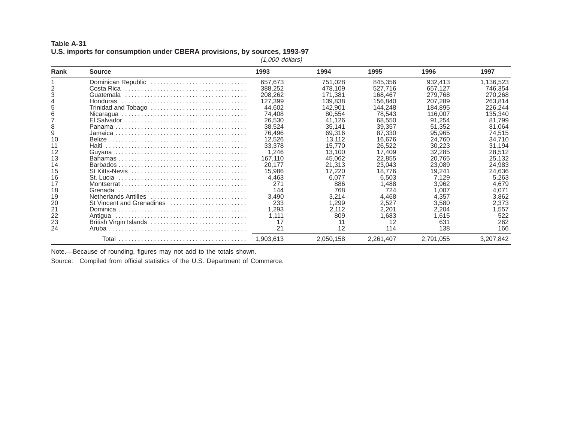#### **Table A-31 U.S. imports for consumption under CBERA provisions, by sources, 1993-97** (1,000 dollars)

| <b>Rank</b> | <b>Source</b>             | 1993      | 1994      | 1995      | 1996      | 1997      |
|-------------|---------------------------|-----------|-----------|-----------|-----------|-----------|
|             | Dominican Republic        | 657.673   | 751,028   | 845,356   | 932,413   | 1,136,523 |
|             |                           | 388,252   | 478.109   | 527.716   | 657.127   | 746.354   |
| 3           |                           | 208,262   | 171,381   | 168,467   | 279,768   | 270,268   |
|             |                           | 127,399   | 139,838   | 156.840   | 207,289   | 263.814   |
| 5           | Trinidad and Tobago       | 44.602    | 142.901   | 144.248   | 184.895   | 226.244   |
| 6           |                           | 74.408    | 80.554    | 78,543    | 116,007   | 135,340   |
|             |                           | 26,530    | 41.126    | 68,550    | 91.254    | 81,799    |
| 8           |                           | 38,524    | 35,141    | 39,357    | 51,352    | 81,064    |
| 9           |                           | 76.496    | 69.316    | 87.330    | 95.965    | 74,515    |
| 10          |                           | 12.526    | 13,112    | 16,676    | 24,760    | 34,710    |
|             |                           | 33,378    | 15.770    | 26,522    | 30.223    | 31,194    |
| 12          |                           | 1.246     | 13.100    | 17.409    | 32.285    | 28.512    |
| 13          |                           | 167,110   | 45.062    | 22,855    | 20.765    | 25,132    |
| 14          |                           | 20.177    | 21,313    | 23,043    | 23,089    | 24,983    |
| 15          |                           | 15,986    | 17.220    | 18.776    | 19,241    | 24,636    |
| 16          |                           | 4.463     | 6.077     | 6.503     | 7.129     | 5,263     |
| 17          |                           | 271       | 886       | 1,488     | 3,962     | 4,679     |
| 18          |                           | 144       | 768       | 724       | 1,007     | 4,071     |
| 19          | Netherlands Antilles      | 3.490     | 3,214     | 4.468     | 4,357     | 3,862     |
| 20          | St Vincent and Grenadines | 233       | 299. ا    | 2,527     | 3,580     | 2,373     |
| 21          |                           | 1,293     | 2.112     | 2.201     | 2,204     | 1,557     |
| 22          |                           | 1.111     | 809       | 1.683     | 1.615     | 522       |
| 23          | British Virgin Islands    | 17        | 11        | 12        | 631       | 262       |
| 24          |                           | 21        | 12        | 114       | 138       | 166       |
|             |                           | 1,903,613 | 2,050,158 | 2,261,407 | 2,791,055 | 3,207,842 |

Note.—Because of rounding, figures may not add to the totals shown.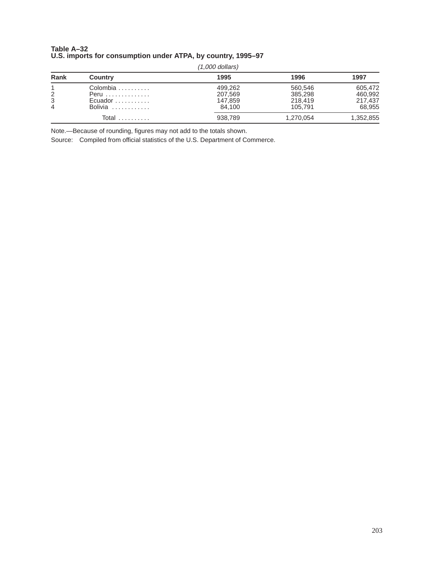| Table A-32                                                   |  |  |
|--------------------------------------------------------------|--|--|
| U.S. imports for consumption under ATPA, by country, 1995–97 |  |  |

|             | (1,000 dollars)                          |                                         |                                          |                                         |  |  |
|-------------|------------------------------------------|-----------------------------------------|------------------------------------------|-----------------------------------------|--|--|
| Rank        | <b>Country</b>                           | 1995                                    | 1996                                     | 1997                                    |  |  |
| 2<br>3<br>4 | Colombia<br>$Peru$<br>Ecuador<br>Bolivia | 499,262<br>207,569<br>147,859<br>84,100 | 560,546<br>385,298<br>218,419<br>105.791 | 605,472<br>460,992<br>217,437<br>68,955 |  |  |
|             | Total                                    | 938,789                                 | 1,270,054                                | 1,352,855                               |  |  |

Note.—Because of rounding, figures may not add to the totals shown.